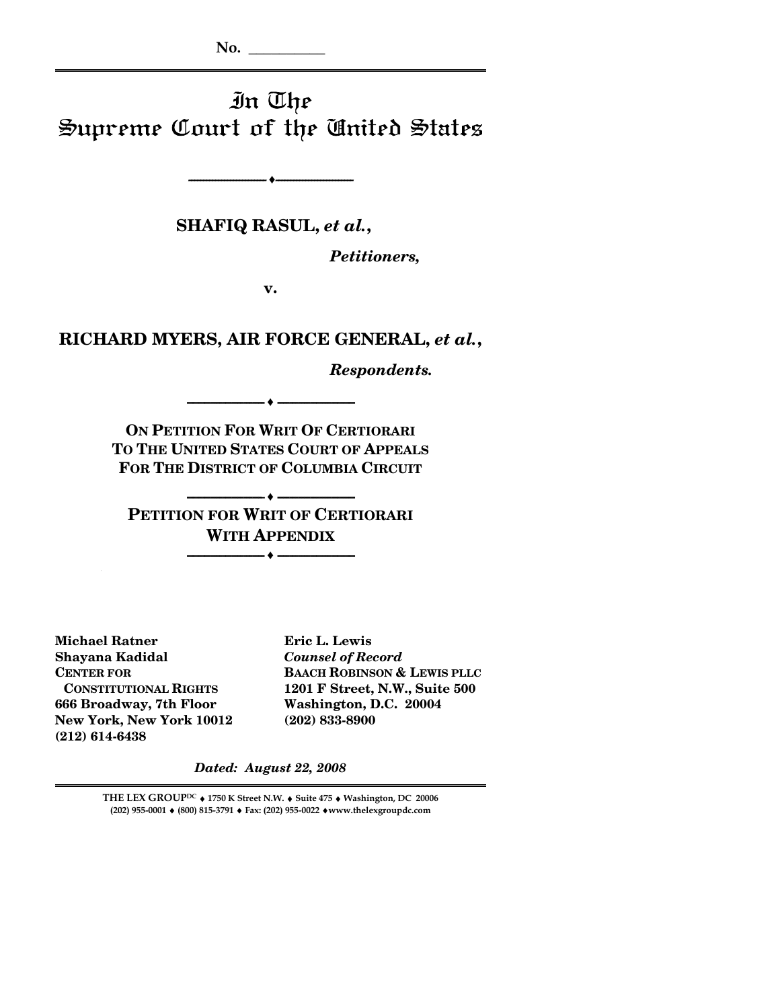**No. \_\_\_\_\_\_\_\_\_\_**

# In The Supreme Court of the United States

**-------------------------- ♦--------------------------** 

**SHAFIQ RASUL,** *et al.***,** 

*Petitioners,* 

**v.** 

### **RICHARD MYERS, AIR FORCE GENERAL,** *et al.***,**

*Respondents.* 

**ON PETITION FOR WRIT OF CERTIORARI TO THE UNITED STATES COURT OF APPEALS FOR THE DISTRICT OF COLUMBIA CIRCUIT**

**-------------------------- ♦ --------------------------** 

**-------------------------- ♦ -------------------------- PETITION FOR WRIT OF CERTIORARI WITH APPENDIX**

**-------------------------- ♦ --------------------------**

**Michael Ratner Eric L. Lewis Shayana Kadidal** *Counsel of Record* **666 Broadway, 7th Floor Washington, D.C. 20004 New York, New York 10012 (202) 833-8900 (212) 614-6438** 

**CENTER FOR BAACH ROBINSON & LEWIS PLLC CONSTITUTIONAL RIGHTS 1201 F Street, N.W., Suite 500** 

*Dated: August 22, 2008* 

**THE LEX GROUPDC** ♦ **1750 K Street N.W.** ♦ **Suite 475** ♦ **Washington, DC 20006 (202) 955-0001** ♦ **(800) 815-3791** ♦ **Fax: (202) 955-0022** ♦**www.thelexgroupdc.com**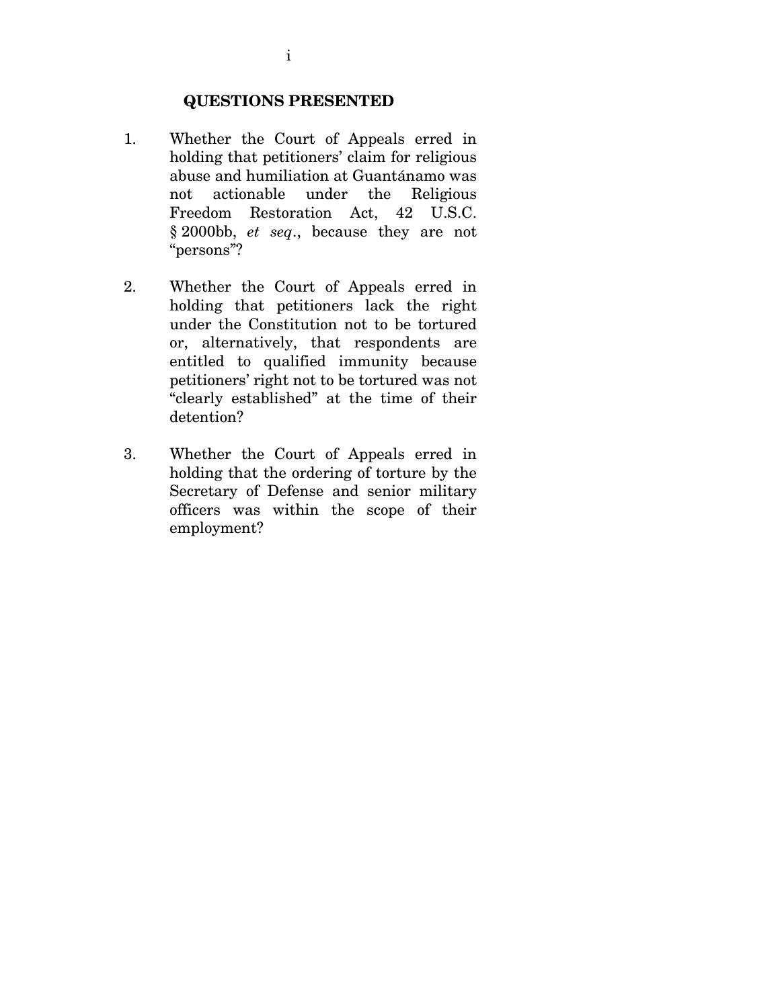#### **QUESTIONS PRESENTED**

- 1. Whether the Court of Appeals erred in holding that petitioners' claim for religious abuse and humiliation at Guantánamo was not actionable under the Religious Freedom Restoration Act, 42 U.S.C. § 2000bb, *et seq*., because they are not "persons"?
- 2. Whether the Court of Appeals erred in holding that petitioners lack the right under the Constitution not to be tortured or, alternatively, that respondents are entitled to qualified immunity because petitioners' right not to be tortured was not "clearly established" at the time of their detention?
- 3. Whether the Court of Appeals erred in holding that the ordering of torture by the Secretary of Defense and senior military officers was within the scope of their employment?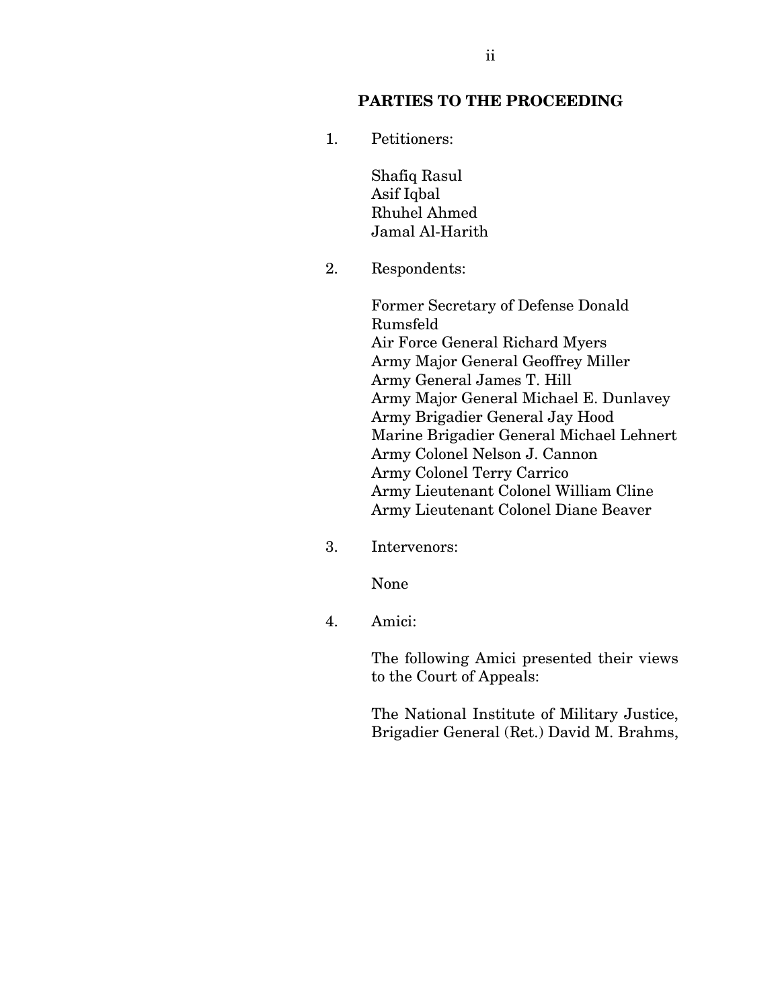### **PARTIES TO THE PROCEEDING**

1. Petitioners:

Shafiq Rasul Asif Iqbal Rhuhel Ahmed Jamal Al-Harith

2. Respondents:

Former Secretary of Defense Donald Rumsfeld Air Force General Richard Myers Army Major General Geoffrey Miller Army General James T. Hill Army Major General Michael E. Dunlavey Army Brigadier General Jay Hood Marine Brigadier General Michael Lehnert Army Colonel Nelson J. Cannon Army Colonel Terry Carrico Army Lieutenant Colonel William Cline Army Lieutenant Colonel Diane Beaver

3. Intervenors:

None

4. Amici:

The following Amici presented their views to the Court of Appeals:

The National Institute of Military Justice, Brigadier General (Ret.) David M. Brahms,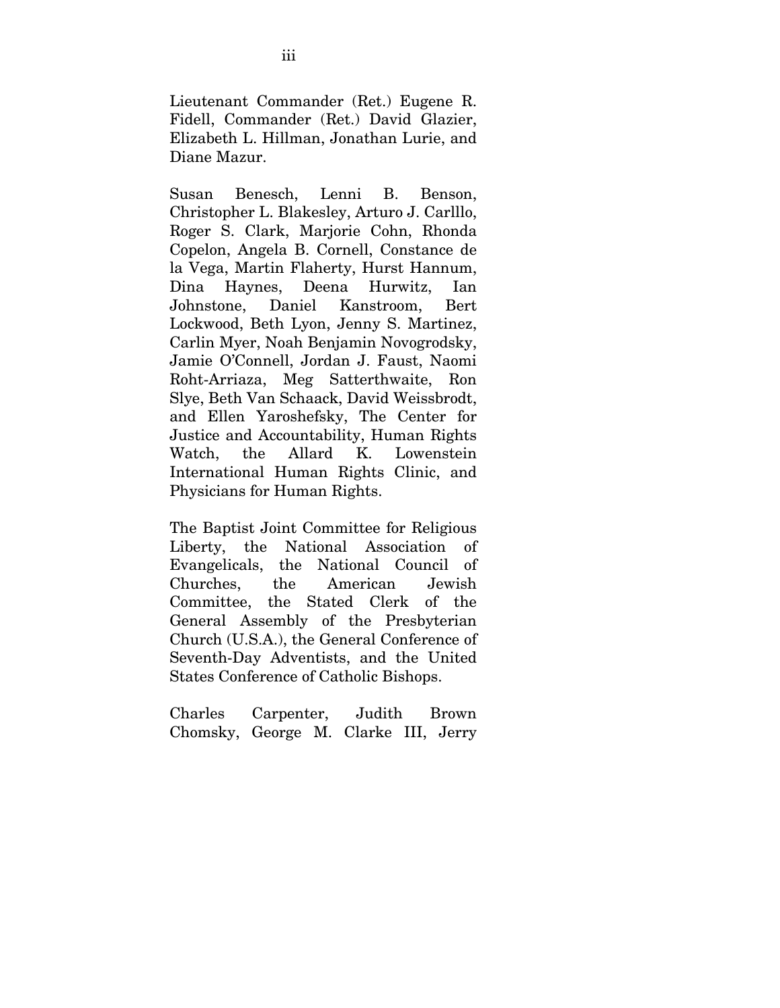Lieutenant Commander (Ret.) Eugene R. Fidell, Commander (Ret.) David Glazier, Elizabeth L. Hillman, Jonathan Lurie, and Diane Mazur.

Susan Benesch, Lenni B. Benson, Christopher L. Blakesley, Arturo J. Carlllo, Roger S. Clark, Marjorie Cohn, Rhonda Copelon, Angela B. Cornell, Constance de la Vega, Martin Flaherty, Hurst Hannum, Dina Haynes, Deena Hurwitz, Ian Johnstone, Daniel Kanstroom, Bert Lockwood, Beth Lyon, Jenny S. Martinez, Carlin Myer, Noah Benjamin Novogrodsky, Jamie O'Connell, Jordan J. Faust, Naomi Roht-Arriaza, Meg Satterthwaite, Ron Slye, Beth Van Schaack, David Weissbrodt, and Ellen Yaroshefsky, The Center for Justice and Accountability, Human Rights Watch, the Allard K. Lowenstein International Human Rights Clinic, and Physicians for Human Rights.

The Baptist Joint Committee for Religious Liberty, the National Association of Evangelicals, the National Council of Churches, the American Jewish Committee, the Stated Clerk of the General Assembly of the Presbyterian Church (U.S.A.), the General Conference of Seventh-Day Adventists, and the United States Conference of Catholic Bishops.

Charles Carpenter, Judith Brown Chomsky, George M. Clarke III, Jerry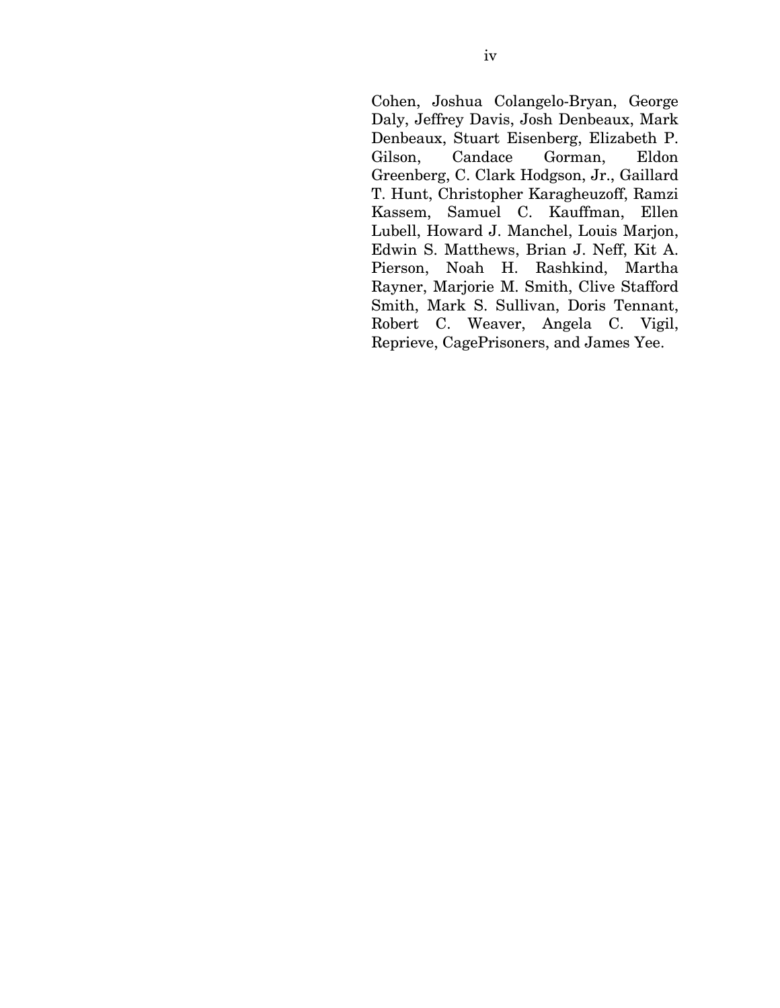Cohen, Joshua Colangelo-Bryan, George Daly, Jeffrey Davis, Josh Denbeaux, Mark Denbeaux, Stuart Eisenberg, Elizabeth P. Gilson, Candace Gorman, Eldon Greenberg, C. Clark Hodgson, Jr., Gaillard T. Hunt, Christopher Karagheuzoff, Ramzi Kassem, Samuel C. Kauffman, Ellen Lubell, Howard J. Manchel, Louis Marjon, Edwin S. Matthews, Brian J. Neff, Kit A. Pierson, Noah H. Rashkind, Martha Rayner, Marjorie M. Smith, Clive Stafford Smith, Mark S. Sullivan, Doris Tennant, Robert C. Weaver, Angela C. Vigil, Reprieve, CagePrisoners, and James Yee.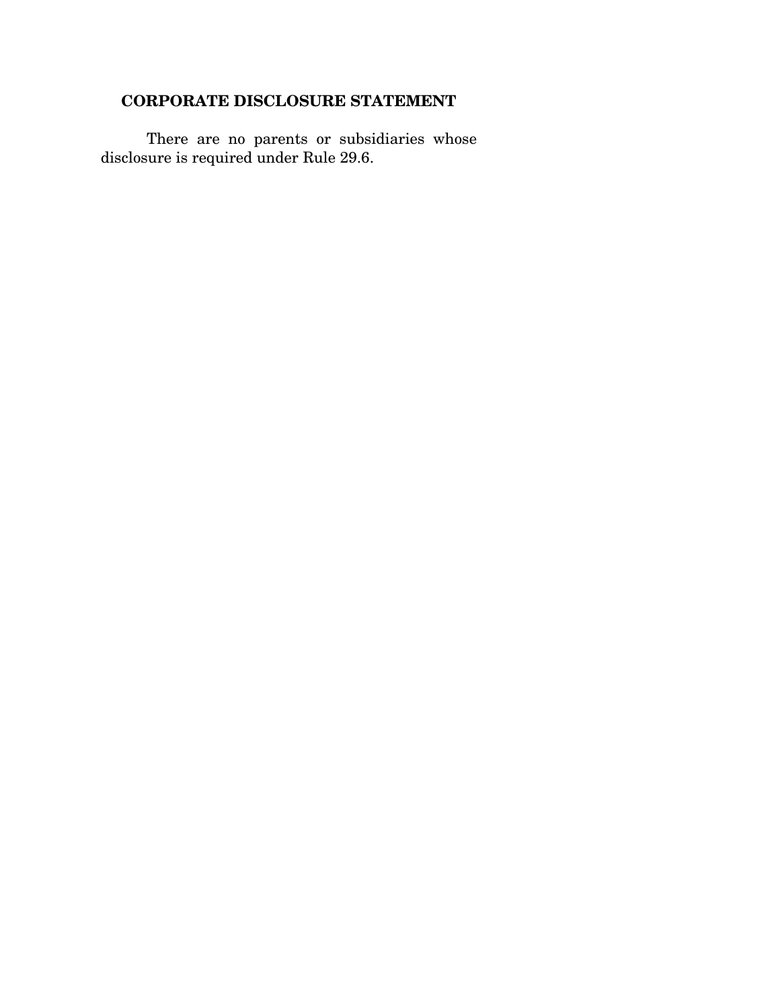# **CORPORATE DISCLOSURE STATEMENT**

There are no parents or subsidiaries whose disclosure is required under Rule 29.6.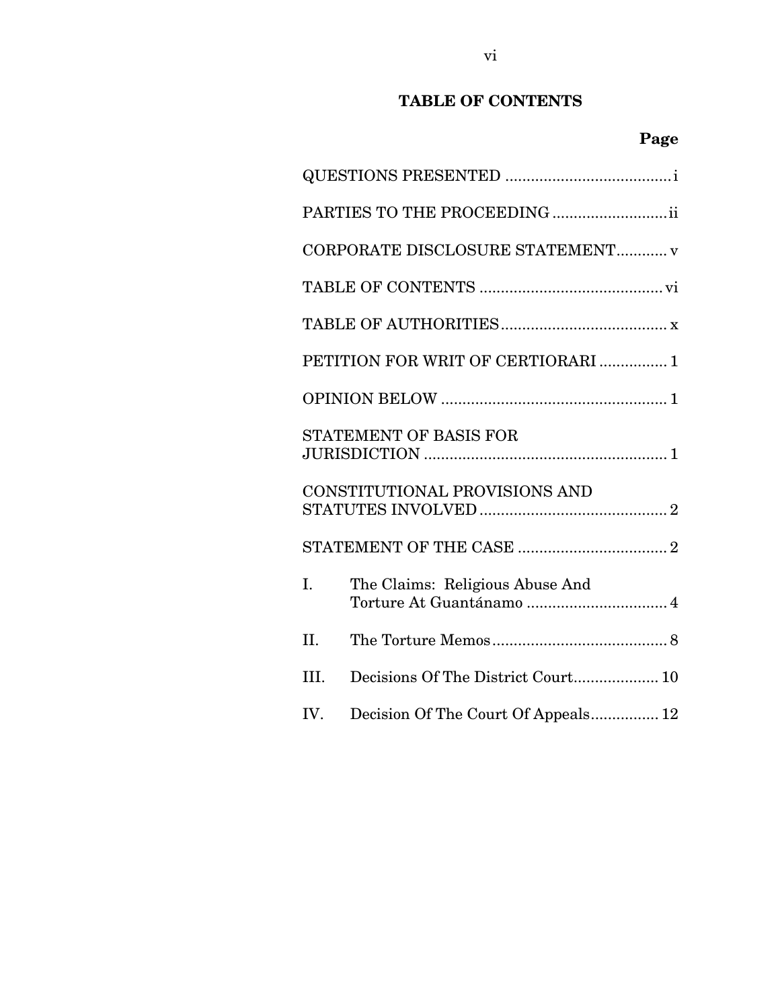# **TABLE OF CONTENTS**

|                               | PARTIES TO THE PROCEEDING ii        |  |  |  |
|-------------------------------|-------------------------------------|--|--|--|
|                               | CORPORATE DISCLOSURE STATEMENT v    |  |  |  |
|                               |                                     |  |  |  |
|                               |                                     |  |  |  |
|                               | PETITION FOR WRIT OF CERTIORARI  1  |  |  |  |
|                               |                                     |  |  |  |
|                               | STATEMENT OF BASIS FOR              |  |  |  |
| CONSTITUTIONAL PROVISIONS AND |                                     |  |  |  |
|                               |                                     |  |  |  |
| I.                            | The Claims: Religious Abuse And     |  |  |  |
| II.                           |                                     |  |  |  |
| III.                          | Decisions Of The District Court 10  |  |  |  |
| IV.                           | Decision Of The Court Of Appeals 12 |  |  |  |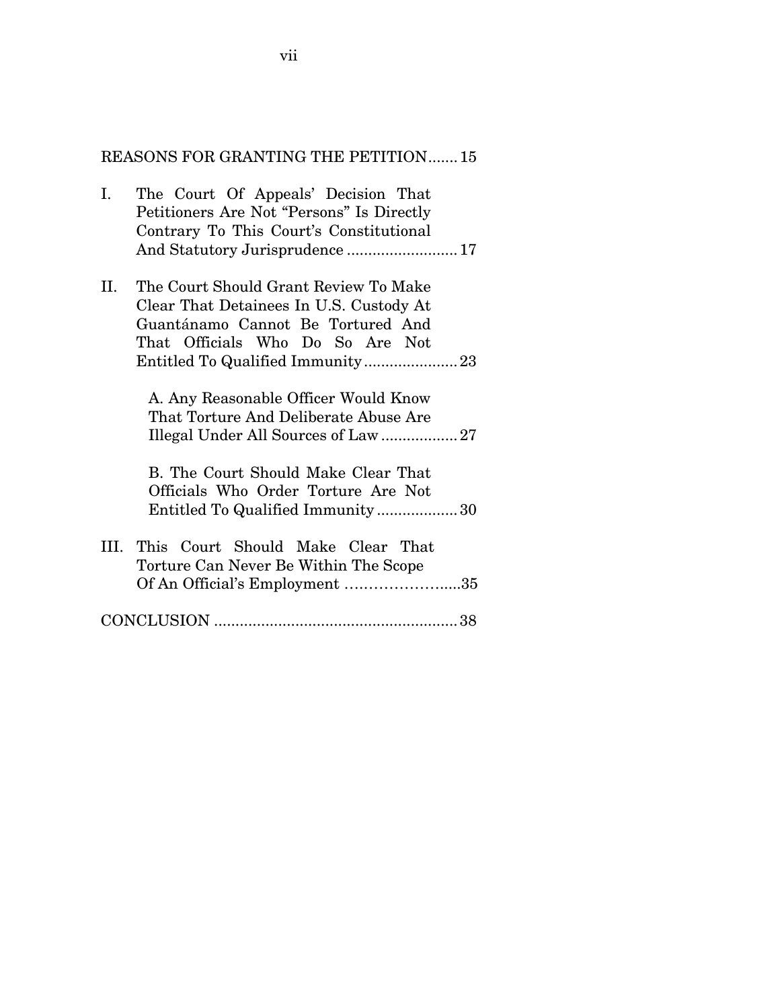### REASONS FOR GRANTING THE PETITION.......15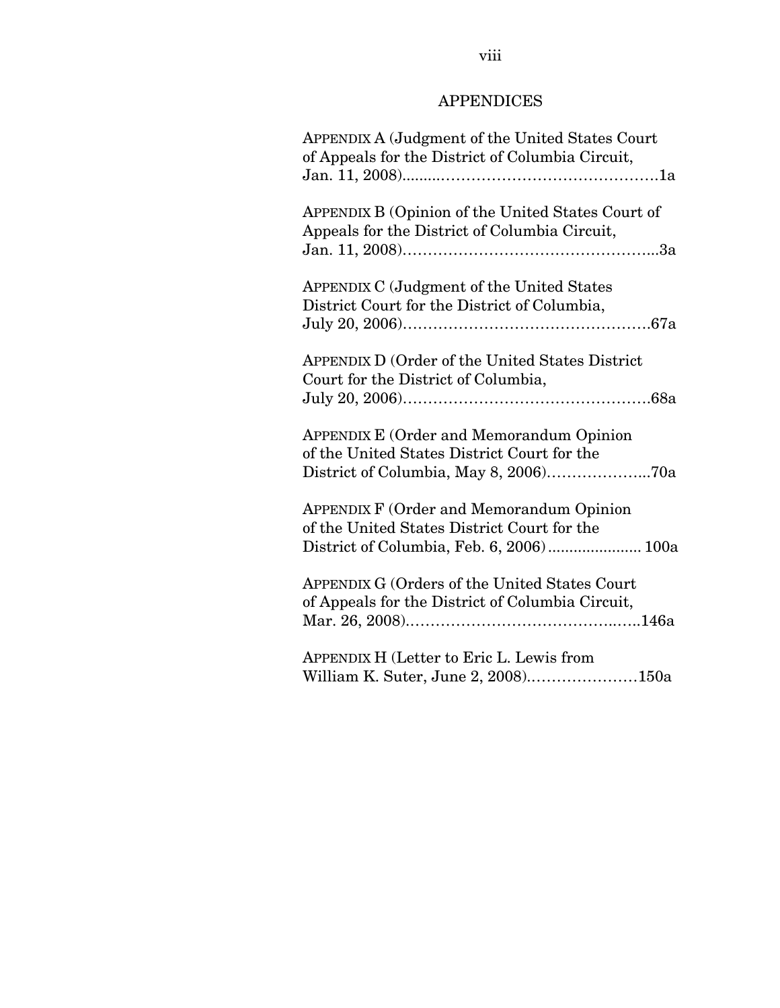# APPENDICES

| <b>APPENDIX A (Judgment of the United States Court</b><br>of Appeals for the District of Columbia Circuit,                                 |
|--------------------------------------------------------------------------------------------------------------------------------------------|
|                                                                                                                                            |
| APPENDIX B (Opinion of the United States Court of<br>Appeals for the District of Columbia Circuit,                                         |
| APPENDIX C (Judgment of the United States<br>District Court for the District of Columbia,                                                  |
| APPENDIX D (Order of the United States District<br>Court for the District of Columbia,                                                     |
| <b>APPENDIX E (Order and Memorandum Opinion</b><br>of the United States District Court for the                                             |
| <b>APPENDIX F (Order and Memorandum Opinion</b><br>of the United States District Court for the<br>District of Columbia, Feb. 6, 2006) 100a |
| APPENDIX G (Orders of the United States Court<br>of Appeals for the District of Columbia Circuit,                                          |
| APPENDIX H (Letter to Eric L. Lewis from<br>William K. Suter, June 2, 2008)150a                                                            |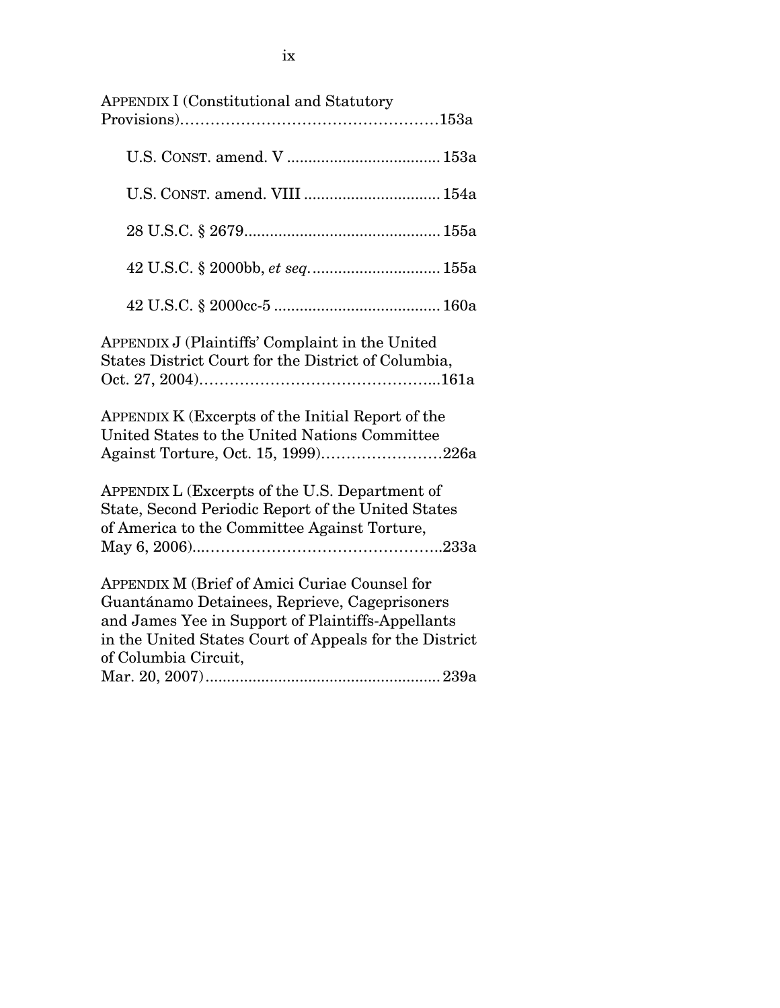| <b>APPENDIX I (Constitutional and Statutory</b>                                                                                                                                                                                       |
|---------------------------------------------------------------------------------------------------------------------------------------------------------------------------------------------------------------------------------------|
|                                                                                                                                                                                                                                       |
|                                                                                                                                                                                                                                       |
|                                                                                                                                                                                                                                       |
| 42 U.S.C. § 2000bb, et seq 155a                                                                                                                                                                                                       |
|                                                                                                                                                                                                                                       |
| APPENDIX J (Plaintiffs' Complaint in the United<br>States District Court for the District of Columbia,                                                                                                                                |
| APPENDIX K (Excerpts of the Initial Report of the<br>United States to the United Nations Committee<br>Against Torture, Oct. 15, 1999)226a                                                                                             |
| APPENDIX L (Excerpts of the U.S. Department of<br>State, Second Periodic Report of the United States<br>of America to the Committee Against Torture,                                                                                  |
| APPENDIX M (Brief of Amici Curiae Counsel for<br>Guantánamo Detainees, Reprieve, Cageprisoners<br>and James Yee in Support of Plaintiffs-Appellants<br>in the United States Court of Appeals for the District<br>of Columbia Circuit, |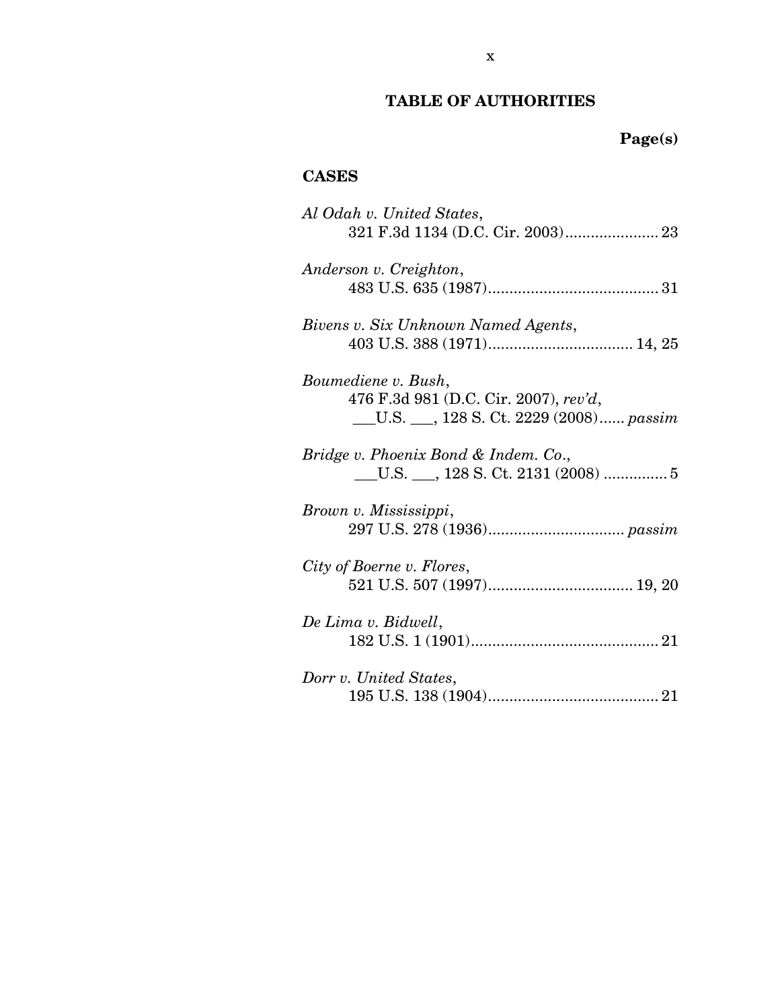# **TABLE OF AUTHORITIES**

# **Page(s)**

## **CASES**

| Al Odah v. United States,                 |
|-------------------------------------------|
|                                           |
|                                           |
| Anderson v. Creighton,                    |
|                                           |
| Bivens v. Six Unknown Named Agents,       |
|                                           |
|                                           |
| Boumediene v. Bush,                       |
| 476 F.3d 981 (D.C. Cir. 2007), rev'd,     |
| __U.S. ___, 128 S. Ct. 2229 (2008) passim |
|                                           |
| Bridge v. Phoenix Bond & Indem. Co.,      |
|                                           |
|                                           |
| Brown v. Mississippi,                     |
|                                           |
|                                           |
| City of Boerne v. Flores,                 |
|                                           |
|                                           |
| De Lima v. Bidwell,                       |
|                                           |
|                                           |
| Dorr v. United States,                    |
|                                           |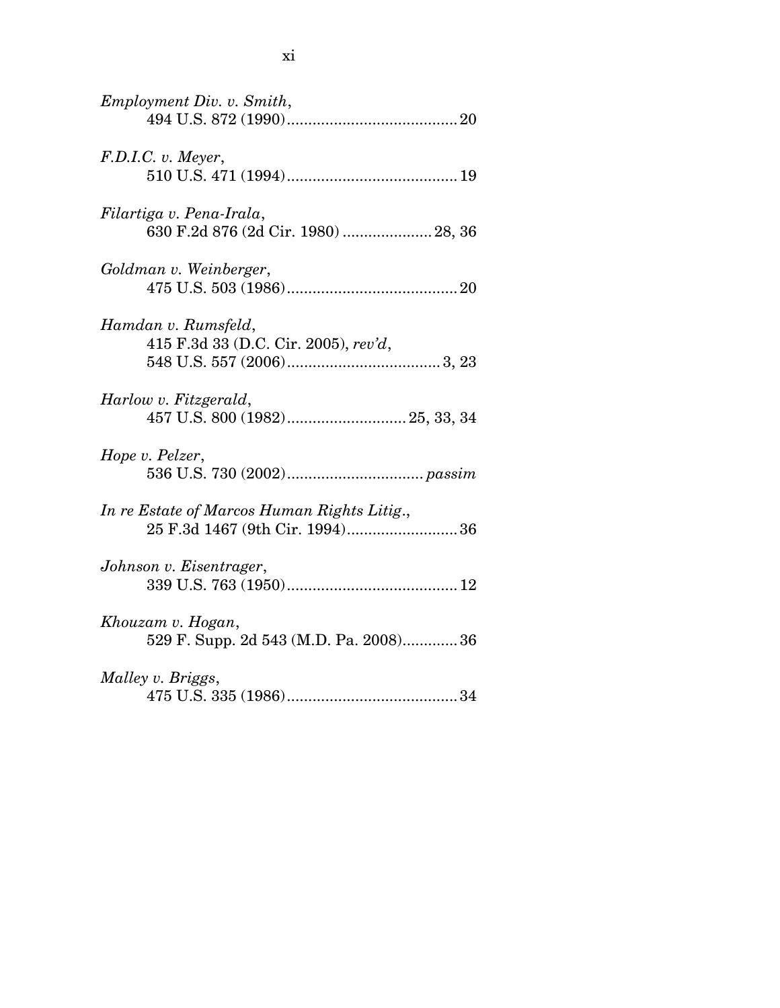| Employment Div. v. Smith,                                                     |
|-------------------------------------------------------------------------------|
| F.D.I.C. v. Meyer,                                                            |
| Filartiga v. Pena-Irala,<br>630 F.2d 876 (2d Cir. 1980)  28, 36               |
| Goldman v. Weinberger,                                                        |
| Hamdan v. Rumsfeld,<br>415 F.3d 33 (D.C. Cir. 2005), rev'd,                   |
| Harlow v. Fitzgerald,                                                         |
| Hope v. Pelzer,                                                               |
| In re Estate of Marcos Human Rights Litig.,<br>25 F.3d 1467 (9th Cir. 1994)36 |
| Johnson v. Eisentrager,                                                       |
| Khouzam v. Hogan,<br>529 F. Supp. 2d 543 (M.D. Pa. 2008) 36                   |
| Malley v. Briggs,                                                             |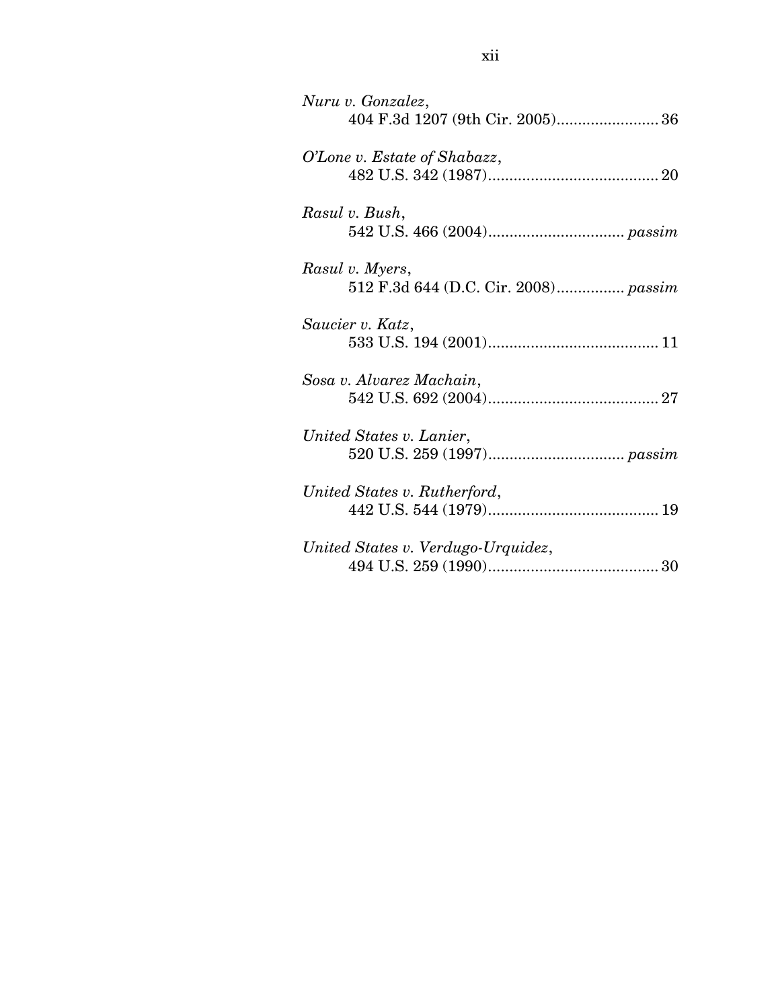| Nuru v. Gonzalez,                    |
|--------------------------------------|
| 404 F.3d 1207 (9th Cir. 2005) 36     |
| O'Lone v. Estate of Shabazz,         |
|                                      |
| Rasul v. Bush,                       |
|                                      |
| Rasul v. Myers,                      |
| 512 F.3d 644 (D.C. Cir. 2008) passim |
| Saucier v. Katz,                     |
|                                      |
| Sosa v. Alvarez Machain,             |
|                                      |
| United States v. Lanier,             |
|                                      |
| United States v. Rutherford,         |
|                                      |
| United States v. Verdugo-Urquidez,   |
|                                      |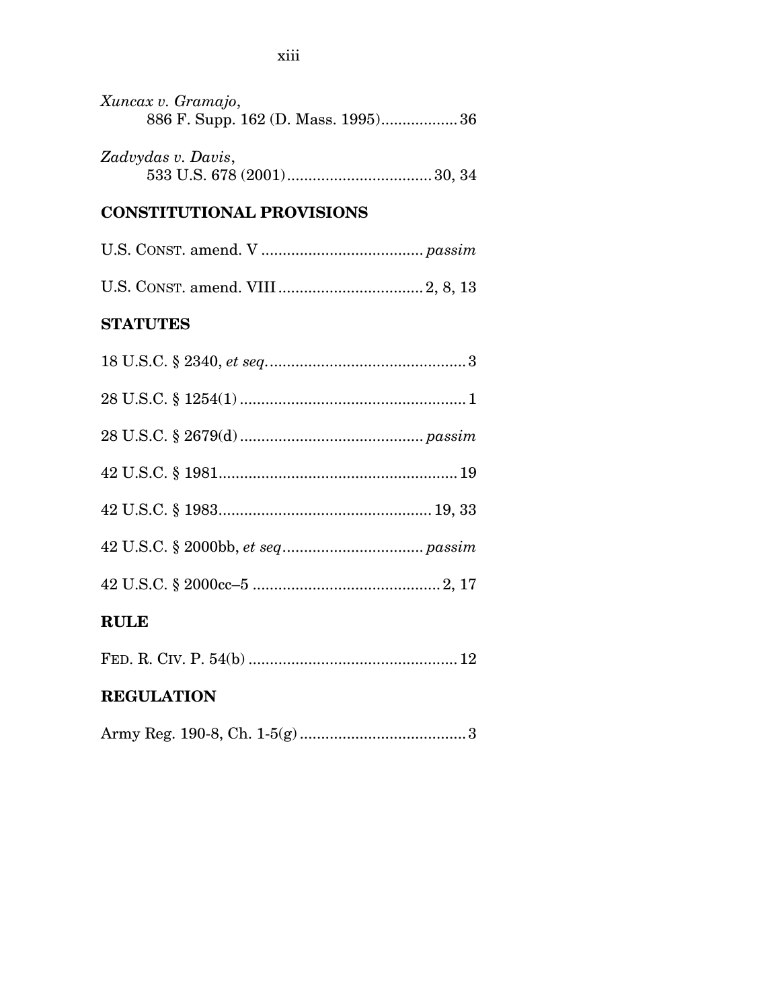| Xuncax v. Gramajo,<br>886 F. Supp. 162 (D. Mass. 1995)36 |
|----------------------------------------------------------|
| Zadvydas v. Davis,                                       |
| <b>CONSTITUTIONAL PROVISIONS</b>                         |

### **STATUTES**

| RULE |
|------|
|      |
|      |
|      |
|      |
|      |
|      |
|      |

|--|--|--|--|--|--|

# **REGULATION**

|--|--|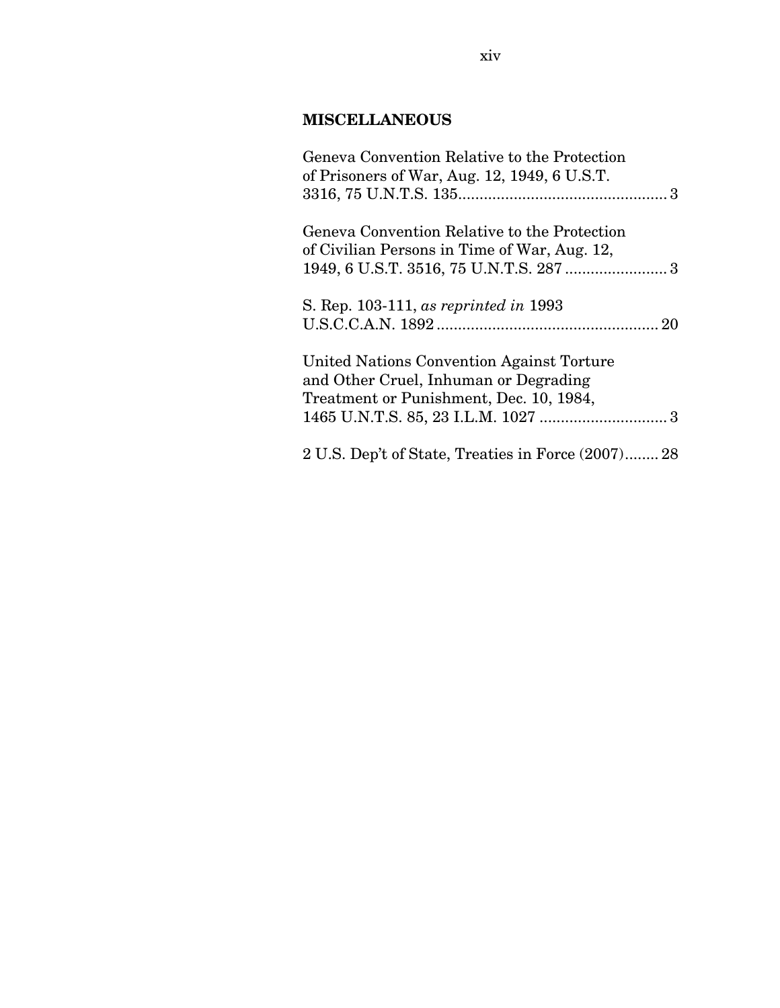### **MISCELLANEOUS**

| Geneva Convention Relative to the Protection       |
|----------------------------------------------------|
| of Prisoners of War, Aug. 12, 1949, 6 U.S.T.       |
|                                                    |
| Geneva Convention Relative to the Protection       |
| of Civilian Persons in Time of War, Aug. 12,       |
|                                                    |
| S. Rep. 103-111, as reprinted in 1993              |
|                                                    |
| United Nations Convention Against Torture          |
| and Other Cruel, Inhuman or Degrading              |
| Treatment or Punishment, Dec. 10, 1984,            |
|                                                    |
| 2 U.S. Dep't of State, Treaties in Force (2007) 28 |
|                                                    |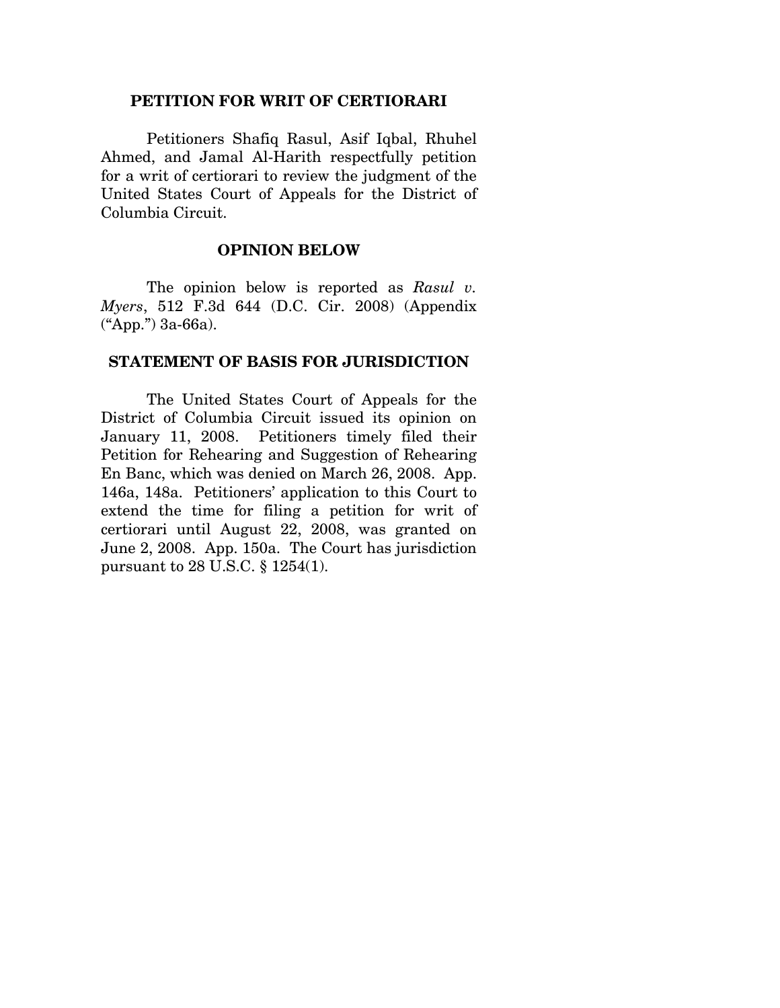#### **PETITION FOR WRIT OF CERTIORARI**

Petitioners Shafiq Rasul, Asif Iqbal, Rhuhel Ahmed, and Jamal Al-Harith respectfully petition for a writ of certiorari to review the judgment of the United States Court of Appeals for the District of Columbia Circuit.

#### **OPINION BELOW**

The opinion below is reported as *Rasul v. Myers*, 512 F.3d 644 (D.C. Cir. 2008) (Appendix ("App.") 3a-66a).

#### **STATEMENT OF BASIS FOR JURISDICTION**

The United States Court of Appeals for the District of Columbia Circuit issued its opinion on January 11, 2008. Petitioners timely filed their Petition for Rehearing and Suggestion of Rehearing En Banc, which was denied on March 26, 2008. App. 146a, 148a. Petitioners' application to this Court to extend the time for filing a petition for writ of certiorari until August 22, 2008, was granted on June 2, 2008. App. 150a. The Court has jurisdiction pursuant to 28 U.S.C. § 1254(1).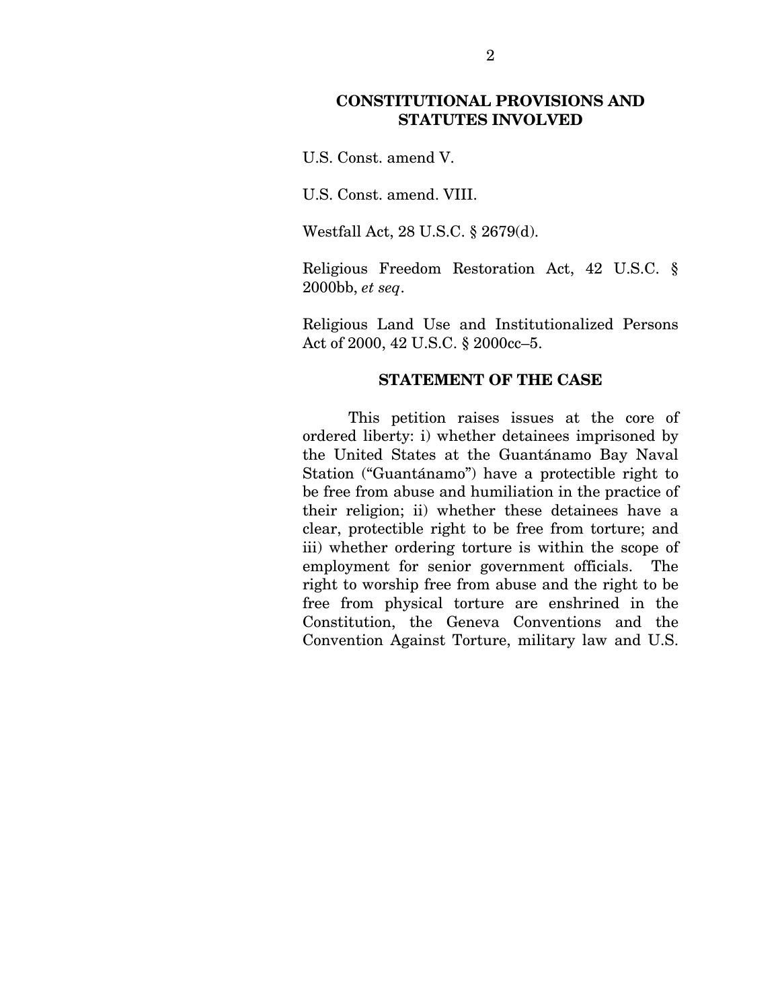### **CONSTITUTIONAL PROVISIONS AND STATUTES INVOLVED**

U.S. Const. amend V.

U.S. Const. amend. VIII.

Westfall Act, 28 U.S.C. § 2679(d).

Religious Freedom Restoration Act, 42 U.S.C. § 2000bb, *et seq*.

Religious Land Use and Institutionalized Persons Act of 2000, 42 U.S.C. § 2000cc–5.

#### **STATEMENT OF THE CASE**

 This petition raises issues at the core of ordered liberty: i) whether detainees imprisoned by the United States at the Guantánamo Bay Naval Station ("Guantánamo") have a protectible right to be free from abuse and humiliation in the practice of their religion; ii) whether these detainees have a clear, protectible right to be free from torture; and iii) whether ordering torture is within the scope of employment for senior government officials. The right to worship free from abuse and the right to be free from physical torture are enshrined in the Constitution, the Geneva Conventions and the Convention Against Torture, military law and U.S.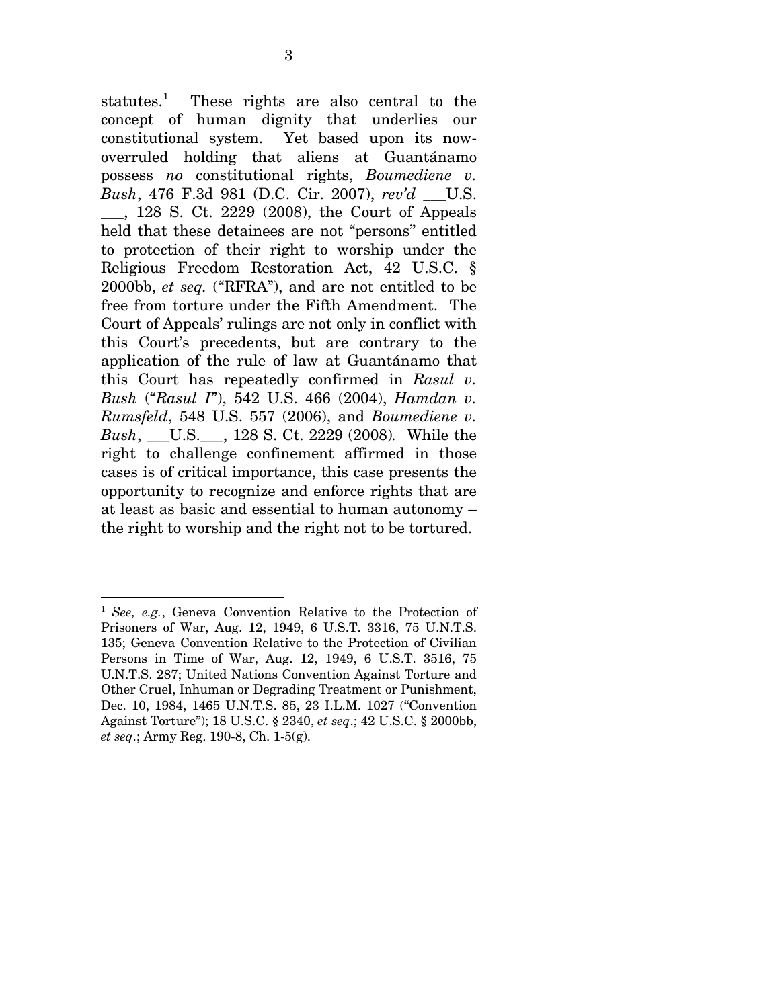statutes.<sup>[1](#page-17-0)</sup> These rights are also central to the concept of human dignity that underlies our constitutional system. Yet based upon its nowoverruled holding that aliens at Guantánamo possess *no* constitutional rights, *Boumediene v. Bush*, 476 F.3d 981 (D.C. Cir. 2007), *rev'd* \_\_\_U.S. \_\_\_, 128 S. Ct. 2229 (2008), the Court of Appeals held that these detainees are not "persons" entitled to protection of their right to worship under the Religious Freedom Restoration Act, 42 U.S.C. § 2000bb, *et seq.* ("RFRA"), and are not entitled to be free from torture under the Fifth Amendment. The Court of Appeals' rulings are not only in conflict with this Court's precedents, but are contrary to the application of the rule of law at Guantánamo that this Court has repeatedly confirmed in *Rasul v. Bush* ("*Rasul I*"), 542 U.S. 466 (2004), *Hamdan v. Rumsfeld*, 548 U.S. 557 (2006), and *Boumediene v. Bush*, \_\_\_U.S.\_\_\_, 128 S. Ct. 2229 (2008)*.* While the right to challenge confinement affirmed in those cases is of critical importance, this case presents the opportunity to recognize and enforce rights that are at least as basic and essential to human autonomy – the right to worship and the right not to be tortured.

 $\overline{a}$ 

<span id="page-17-0"></span><sup>1</sup> *See, e.g.*, Geneva Convention Relative to the Protection of Prisoners of War, Aug. 12, 1949, 6 U.S.T. 3316, 75 U.N.T.S. 135; Geneva Convention Relative to the Protection of Civilian Persons in Time of War, Aug. 12, 1949, 6 U.S.T. 3516, 75 U.N.T.S. 287; United Nations Convention Against Torture and Other Cruel, Inhuman or Degrading Treatment or Punishment, Dec. 10, 1984, 1465 U.N.T.S. 85, 23 I.L.M. 1027 ("Convention Against Torture"); 18 U.S.C. § 2340, *et seq*.; 42 U.S.C. § 2000bb, *et seq*.; Army Reg. 190-8, Ch. 1-5(g).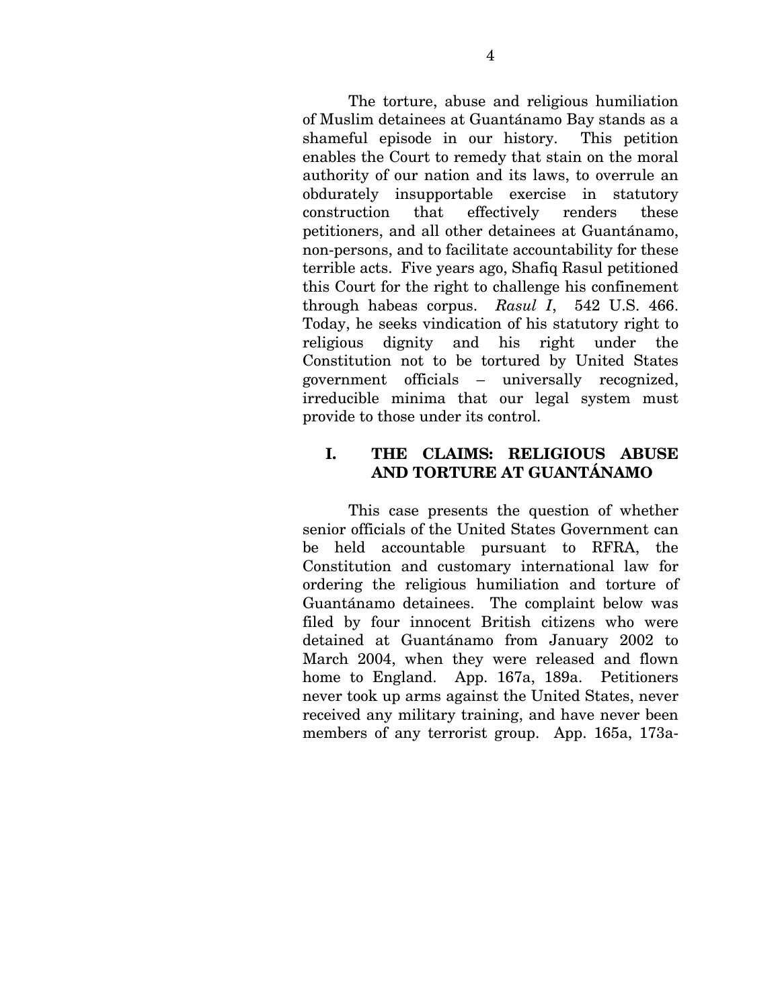The torture, abuse and religious humiliation of Muslim detainees at Guantánamo Bay stands as a shameful episode in our history. This petition enables the Court to remedy that stain on the moral authority of our nation and its laws, to overrule an obdurately insupportable exercise in statutory construction that effectively renders these petitioners, and all other detainees at Guantánamo, non-persons, and to facilitate accountability for these terrible acts. Five years ago, Shafiq Rasul petitioned this Court for the right to challenge his confinement through habeas corpus. *Rasul I*, 542 U.S. 466. Today, he seeks vindication of his statutory right to religious dignity and his right under the Constitution not to be tortured by United States government officials – universally recognized, irreducible minima that our legal system must provide to those under its control.

### **I. THE CLAIMS: RELIGIOUS ABUSE AND TORTURE AT GUANTÁNAMO**

This case presents the question of whether senior officials of the United States Government can be held accountable pursuant to RFRA, the Constitution and customary international law for ordering the religious humiliation and torture of Guantánamo detainees. The complaint below was filed by four innocent British citizens who were detained at Guantánamo from January 2002 to March 2004, when they were released and flown home to England. App. 167a, 189a. Petitioners never took up arms against the United States, never received any military training, and have never been members of any terrorist group. App. 165a, 173a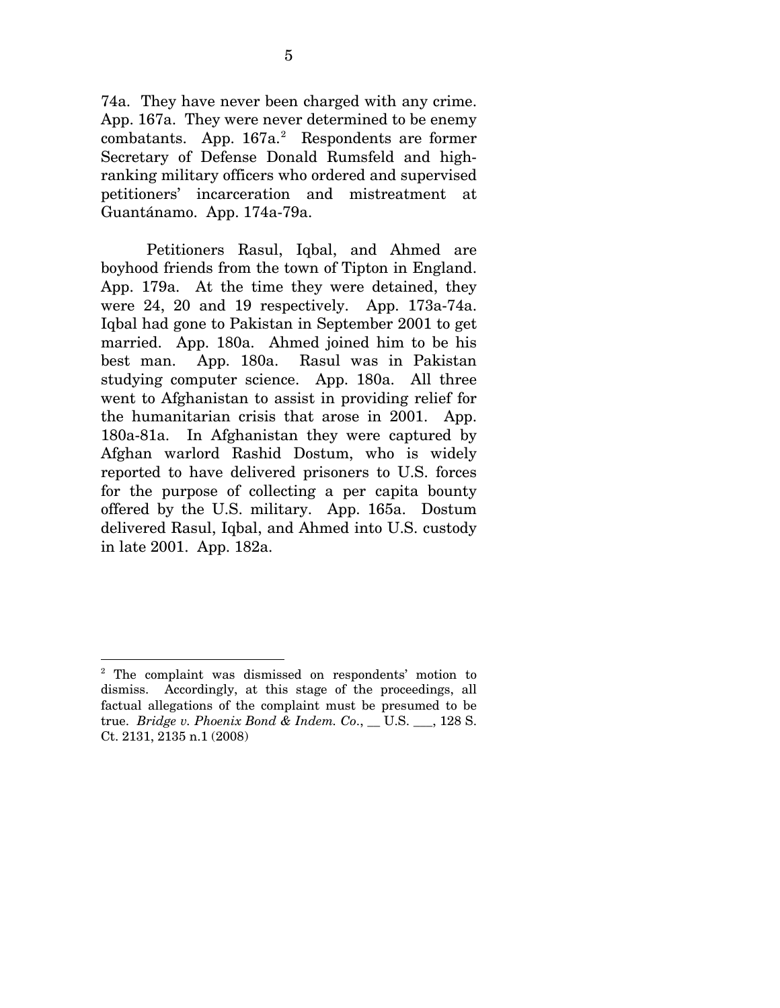74a. They have never been charged with any crime. App. 167a. They were never determined to be enemy  $combatants.$  App.  $167a.$ <sup>[2](#page-19-0)</sup> Respondents are former Secretary of Defense Donald Rumsfeld and highranking military officers who ordered and supervised petitioners' incarceration and mistreatment at Guantánamo. App. 174a-79a.

Petitioners Rasul, Iqbal, and Ahmed are boyhood friends from the town of Tipton in England. App. 179a. At the time they were detained, they were 24, 20 and 19 respectively. App. 173a-74a. Iqbal had gone to Pakistan in September 2001 to get married. App. 180a. Ahmed joined him to be his best man. App. 180a. Rasul was in Pakistan studying computer science. App. 180a. All three went to Afghanistan to assist in providing relief for the humanitarian crisis that arose in 2001. App. 180a-81a. In Afghanistan they were captured by Afghan warlord Rashid Dostum, who is widely reported to have delivered prisoners to U.S. forces for the purpose of collecting a per capita bounty offered by the U.S. military. App. 165a. Dostum delivered Rasul, Iqbal, and Ahmed into U.S. custody in late 2001. App. 182a.

 $\overline{a}$ 

<span id="page-19-0"></span><sup>&</sup>lt;sup>2</sup> The complaint was dismissed on respondents' motion to dismiss. Accordingly, at this stage of the proceedings, all factual allegations of the complaint must be presumed to be true. *Bridge v. Phoenix Bond & Indem. Co*., \_\_ U.S. \_\_\_, 128 S. Ct. 2131, 2135 n.1 (2008)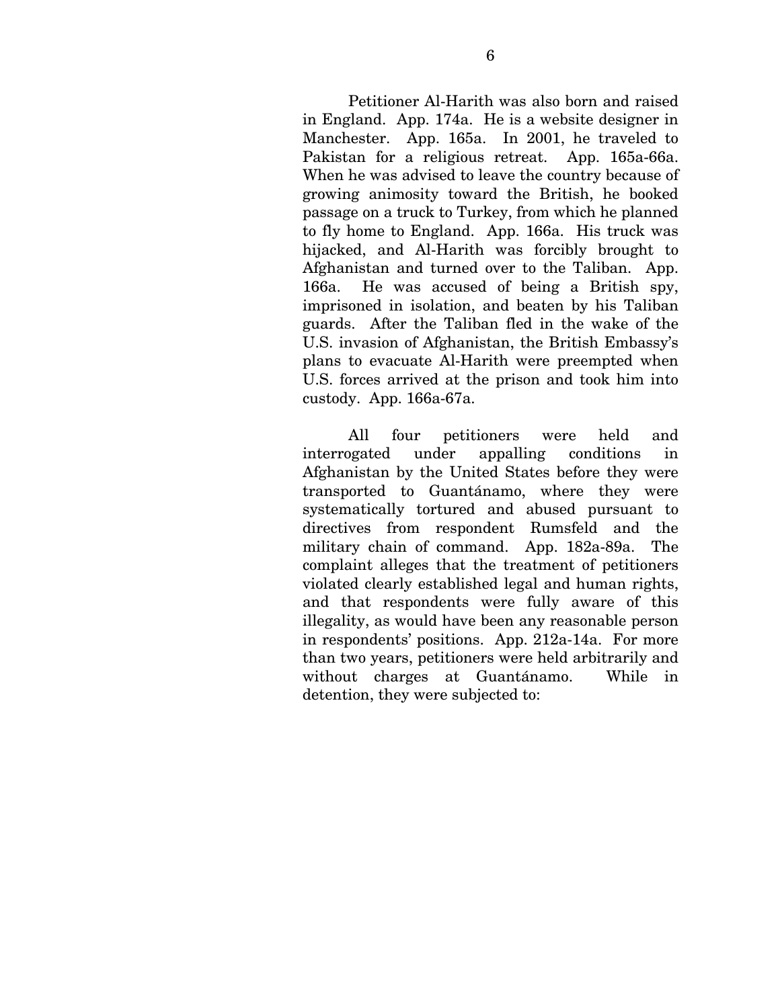Petitioner Al-Harith was also born and raised in England. App. 174a. He is a website designer in Manchester. App. 165a. In 2001, he traveled to Pakistan for a religious retreat. App. 165a-66a. When he was advised to leave the country because of growing animosity toward the British, he booked passage on a truck to Turkey, from which he planned to fly home to England. App. 166a. His truck was hijacked, and Al-Harith was forcibly brought to Afghanistan and turned over to the Taliban. App. 166a. He was accused of being a British spy, imprisoned in isolation, and beaten by his Taliban guards. After the Taliban fled in the wake of the U.S. invasion of Afghanistan, the British Embassy's plans to evacuate Al-Harith were preempted when U.S. forces arrived at the prison and took him into custody. App. 166a-67a.

All four petitioners were held and interrogated under appalling conditions in Afghanistan by the United States before they were transported to Guantánamo, where they were systematically tortured and abused pursuant to directives from respondent Rumsfeld and the military chain of command. App. 182a-89a. The complaint alleges that the treatment of petitioners violated clearly established legal and human rights, and that respondents were fully aware of this illegality, as would have been any reasonable person in respondents' positions. App. 212a-14a. For more than two years, petitioners were held arbitrarily and without charges at Guantánamo. While in detention, they were subjected to: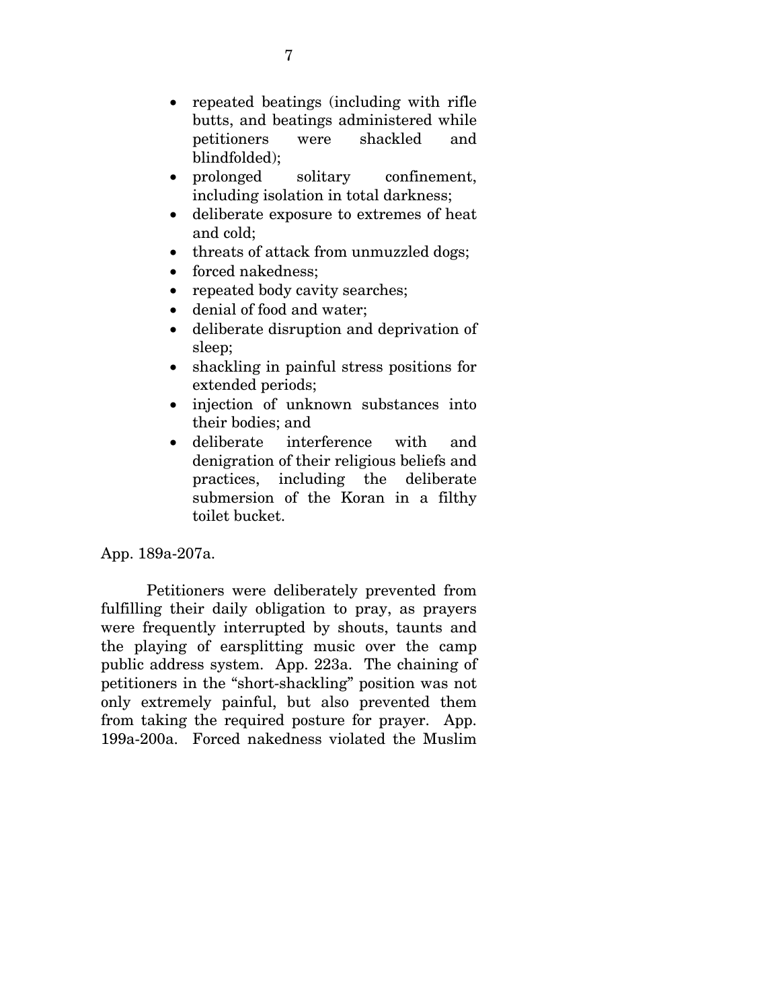- repeated beatings (including with rifle butts, and beatings administered while petitioners were shackled and blindfolded);
- prolonged solitary confinement, including isolation in total darkness;
- deliberate exposure to extremes of heat and cold;
- threats of attack from unmuzzled dogs;
- forced nakedness;
- repeated body cavity searches;
- denial of food and water;
- deliberate disruption and deprivation of sleep;
- shackling in painful stress positions for extended periods;
- injection of unknown substances into their bodies; and
- deliberate interference with and denigration of their religious beliefs and practices, including the deliberate submersion of the Koran in a filthy toilet bucket.

App. 189a-207a.

Petitioners were deliberately prevented from fulfilling their daily obligation to pray, as prayers were frequently interrupted by shouts, taunts and the playing of earsplitting music over the camp public address system. App. 223a. The chaining of petitioners in the "short-shackling" position was not only extremely painful, but also prevented them from taking the required posture for prayer. App. 199a-200a. Forced nakedness violated the Muslim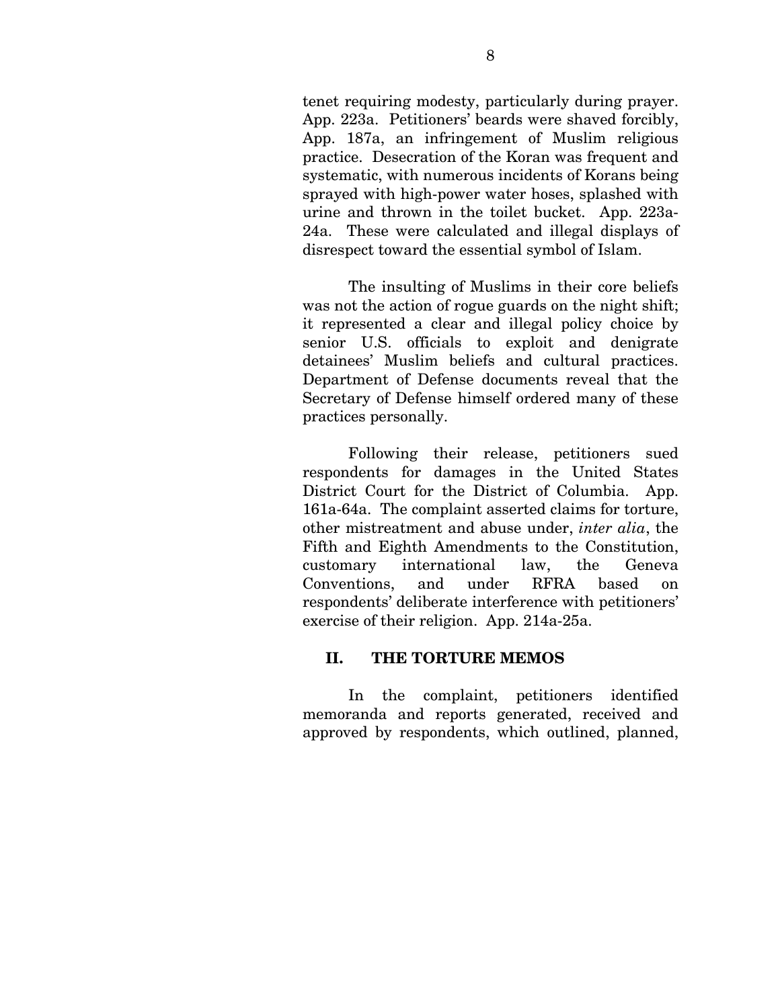tenet requiring modesty, particularly during prayer. App. 223a. Petitioners' beards were shaved forcibly, App. 187a, an infringement of Muslim religious practice. Desecration of the Koran was frequent and systematic, with numerous incidents of Korans being sprayed with high-power water hoses, splashed with urine and thrown in the toilet bucket. App. 223a-24a. These were calculated and illegal displays of disrespect toward the essential symbol of Islam.

The insulting of Muslims in their core beliefs was not the action of rogue guards on the night shift; it represented a clear and illegal policy choice by senior U.S. officials to exploit and denigrate detainees' Muslim beliefs and cultural practices. Department of Defense documents reveal that the Secretary of Defense himself ordered many of these practices personally.

Following their release, petitioners sued respondents for damages in the United States District Court for the District of Columbia. App. 161a-64a. The complaint asserted claims for torture, other mistreatment and abuse under, *inter alia*, the Fifth and Eighth Amendments to the Constitution, customary international law, the Geneva Conventions, and under RFRA based on respondents' deliberate interference with petitioners' exercise of their religion. App. 214a-25a.

#### **II. THE TORTURE MEMOS**

In the complaint, petitioners identified memoranda and reports generated, received and approved by respondents, which outlined, planned,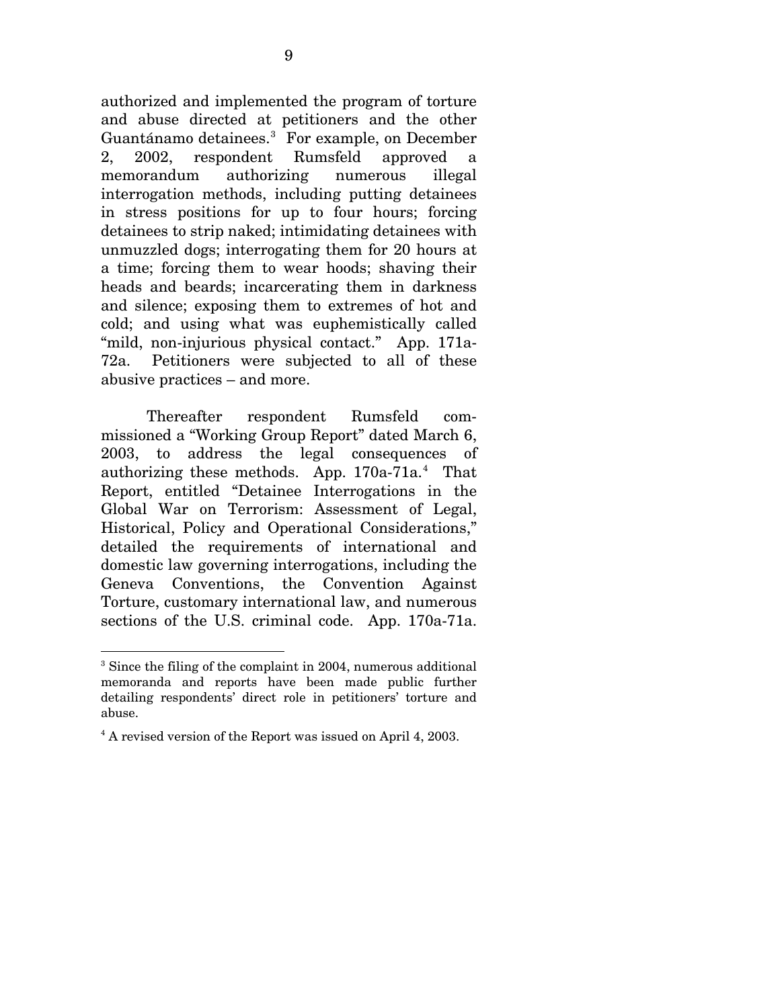authorized and implemented the program of torture and abuse directed at petitioners and the other Guantánamo detainees.<sup>[3](#page-23-0)</sup> For example, on December 2, 2002, respondent Rumsfeld approved a memorandum authorizing numerous illegal interrogation methods, including putting detainees in stress positions for up to four hours; forcing detainees to strip naked; intimidating detainees with unmuzzled dogs; interrogating them for 20 hours at a time; forcing them to wear hoods; shaving their heads and beards; incarcerating them in darkness and silence; exposing them to extremes of hot and cold; and using what was euphemistically called "mild, non-injurious physical contact." App. 171a-72a. Petitioners were subjected to all of these abusive practices – and more.

Thereafter respondent Rumsfeld commissioned a "Working Group Report" dated March 6, 2003, to address the legal consequences of authorizing these methods. App. 170a-71a.<sup>[4](#page-23-1)</sup> That Report, entitled "Detainee Interrogations in the Global War on Terrorism: Assessment of Legal, Historical, Policy and Operational Considerations," detailed the requirements of international and domestic law governing interrogations, including the Geneva Conventions, the Convention Against Torture, customary international law, and numerous sections of the U.S. criminal code. App. 170a-71a.

<span id="page-23-0"></span> $\overline{a}$ <sup>3</sup> Since the filing of the complaint in 2004, numerous additional memoranda and reports have been made public further detailing respondents' direct role in petitioners' torture and abuse.

<span id="page-23-1"></span><sup>&</sup>lt;sup>4</sup> A revised version of the Report was issued on April 4, 2003.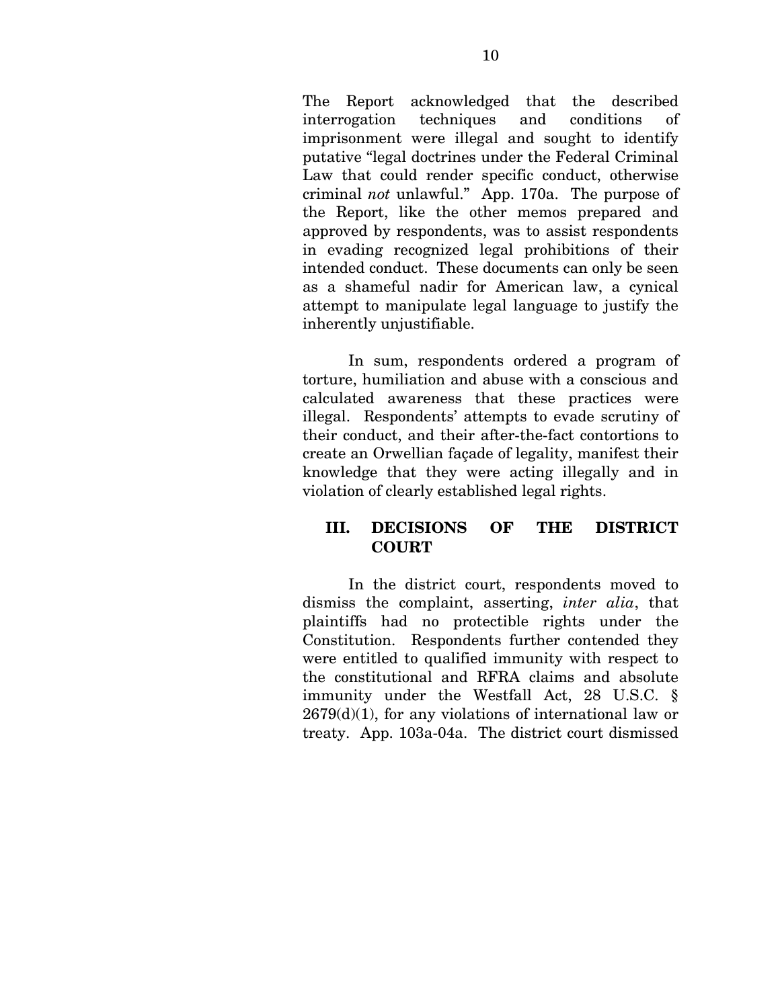The Report acknowledged that the described interrogation techniques and conditions of imprisonment were illegal and sought to identify putative "legal doctrines under the Federal Criminal Law that could render specific conduct, otherwise criminal *not* unlawful." App. 170a. The purpose of the Report, like the other memos prepared and approved by respondents, was to assist respondents in evading recognized legal prohibitions of their intended conduct. These documents can only be seen as a shameful nadir for American law, a cynical attempt to manipulate legal language to justify the inherently unjustifiable.

 In sum, respondents ordered a program of torture, humiliation and abuse with a conscious and calculated awareness that these practices were illegal. Respondents' attempts to evade scrutiny of their conduct, and their after-the-fact contortions to create an Orwellian façade of legality, manifest their knowledge that they were acting illegally and in violation of clearly established legal rights.

### **III. DECISIONS OF THE DISTRICT COURT**

In the district court, respondents moved to dismiss the complaint, asserting, *inter alia*, that plaintiffs had no protectible rights under the Constitution. Respondents further contended they were entitled to qualified immunity with respect to the constitutional and RFRA claims and absolute immunity under the Westfall Act, 28 U.S.C. §  $2679(d)(1)$ , for any violations of international law or treaty. App. 103a-04a. The district court dismissed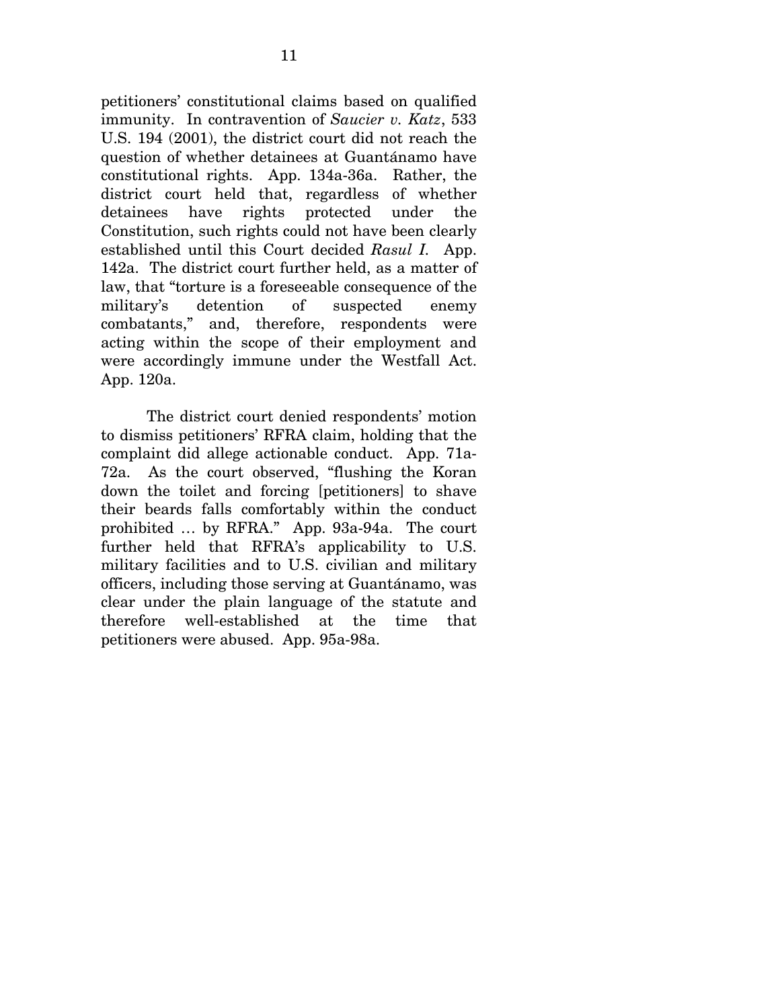petitioners' constitutional claims based on qualified immunity. In contravention of *Saucier v. Katz*, 533 U.S. 194 (2001), the district court did not reach the question of whether detainees at Guantánamo have constitutional rights. App. 134a-36a. Rather, the district court held that, regardless of whether detainees have rights protected under the Constitution, such rights could not have been clearly established until this Court decided *Rasul I.* App. 142a. The district court further held, as a matter of law, that "torture is a foreseeable consequence of the military's detention of suspected enemy combatants," and, therefore, respondents were acting within the scope of their employment and were accordingly immune under the Westfall Act. App. 120a.

The district court denied respondents' motion to dismiss petitioners' RFRA claim, holding that the complaint did allege actionable conduct. App. 71a-72a. As the court observed, "flushing the Koran down the toilet and forcing [petitioners] to shave their beards falls comfortably within the conduct prohibited … by RFRA." App. 93a-94a. The court further held that RFRA's applicability to U.S. military facilities and to U.S. civilian and military officers, including those serving at Guantánamo, was clear under the plain language of the statute and therefore well-established at the time that petitioners were abused. App. 95a-98a.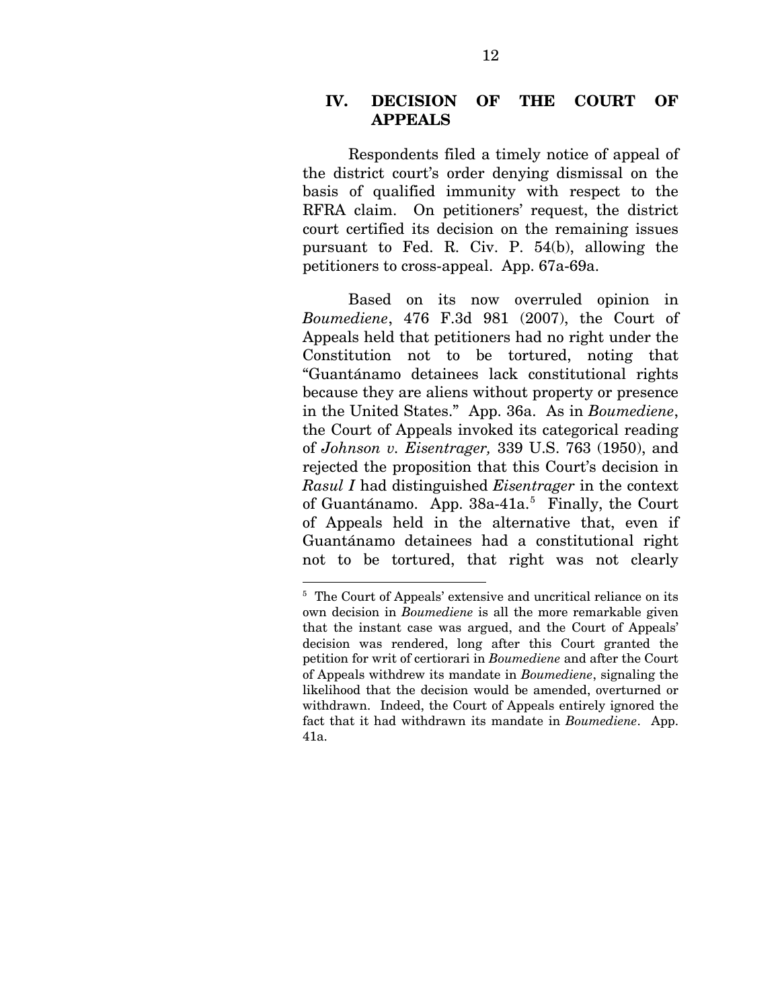### **IV. DECISION OF THE COURT OF APPEALS**

Respondents filed a timely notice of appeal of the district court's order denying dismissal on the basis of qualified immunity with respect to the RFRA claim. On petitioners' request, the district court certified its decision on the remaining issues pursuant to Fed. R. Civ. P. 54(b), allowing the petitioners to cross-appeal. App. 67a-69a.

Based on its now overruled opinion in *Boumediene*, 476 F.3d 981 (2007), the Court of Appeals held that petitioners had no right under the Constitution not to be tortured, noting that "Guantánamo detainees lack constitutional rights because they are aliens without property or presence in the United States." App. 36a. As in *Boumediene*, the Court of Appeals invoked its categorical reading of *Johnson v. Eisentrager,* 339 U.S. 763 (1950), and rejected the proposition that this Court's decision in *Rasul I* had distinguished *Eisentrager* in the context of Guantánamo. App. 38a-41a.<sup>[5](#page-26-0)</sup> Finally, the Court of Appeals held in the alternative that, even if Guantánamo detainees had a constitutional right not to be tortured, that right was not clearly

1

<span id="page-26-0"></span><sup>&</sup>lt;sup>5</sup> The Court of Appeals' extensive and uncritical reliance on its own decision in *Boumediene* is all the more remarkable given that the instant case was argued, and the Court of Appeals' decision was rendered, long after this Court granted the petition for writ of certiorari in *Boumediene* and after the Court of Appeals withdrew its mandate in *Boumediene*, signaling the likelihood that the decision would be amended, overturned or withdrawn. Indeed, the Court of Appeals entirely ignored the fact that it had withdrawn its mandate in *Boumediene*. App. 41a.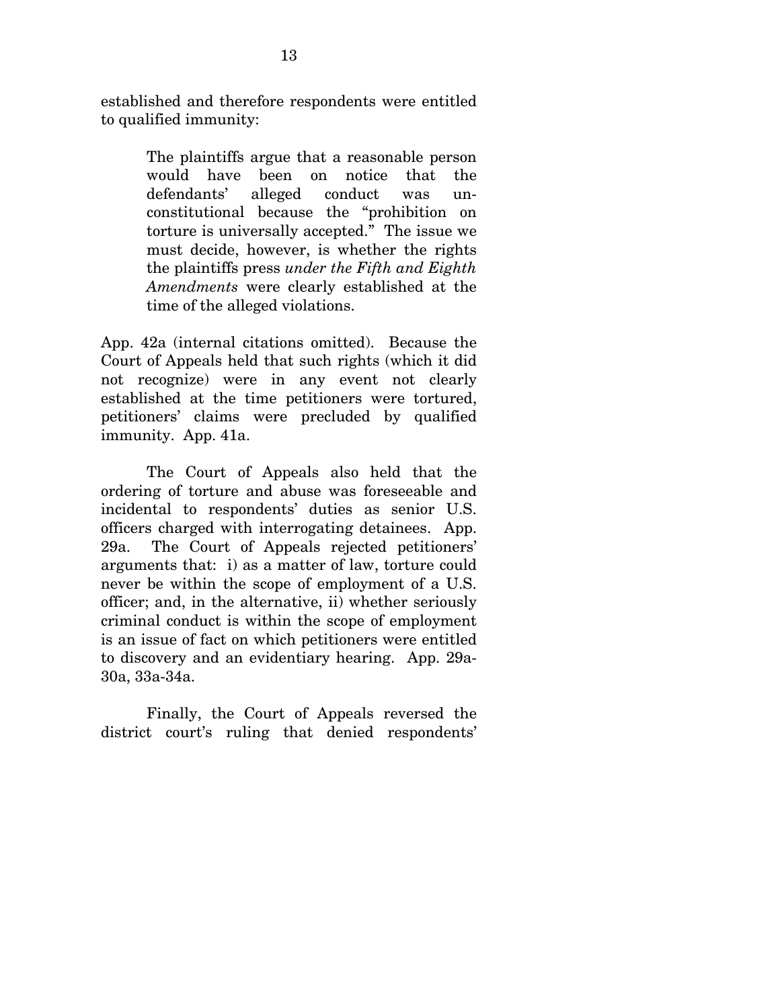established and therefore respondents were entitled to qualified immunity:

> The plaintiffs argue that a reasonable person would have been on notice that the defendants' alleged conduct was unconstitutional because the "prohibition on torture is universally accepted." The issue we must decide, however, is whether the rights the plaintiffs press *under the Fifth and Eighth Amendments* were clearly established at the time of the alleged violations.

App. 42a (internal citations omitted). Because the Court of Appeals held that such rights (which it did not recognize) were in any event not clearly established at the time petitioners were tortured, petitioners' claims were precluded by qualified immunity. App. 41a.

 The Court of Appeals also held that the ordering of torture and abuse was foreseeable and incidental to respondents' duties as senior U.S. officers charged with interrogating detainees. App. 29a. The Court of Appeals rejected petitioners' arguments that: i) as a matter of law, torture could never be within the scope of employment of a U.S. officer; and, in the alternative, ii) whether seriously criminal conduct is within the scope of employment is an issue of fact on which petitioners were entitled to discovery and an evidentiary hearing. App. 29a-30a, 33a-34a.

Finally, the Court of Appeals reversed the district court's ruling that denied respondents'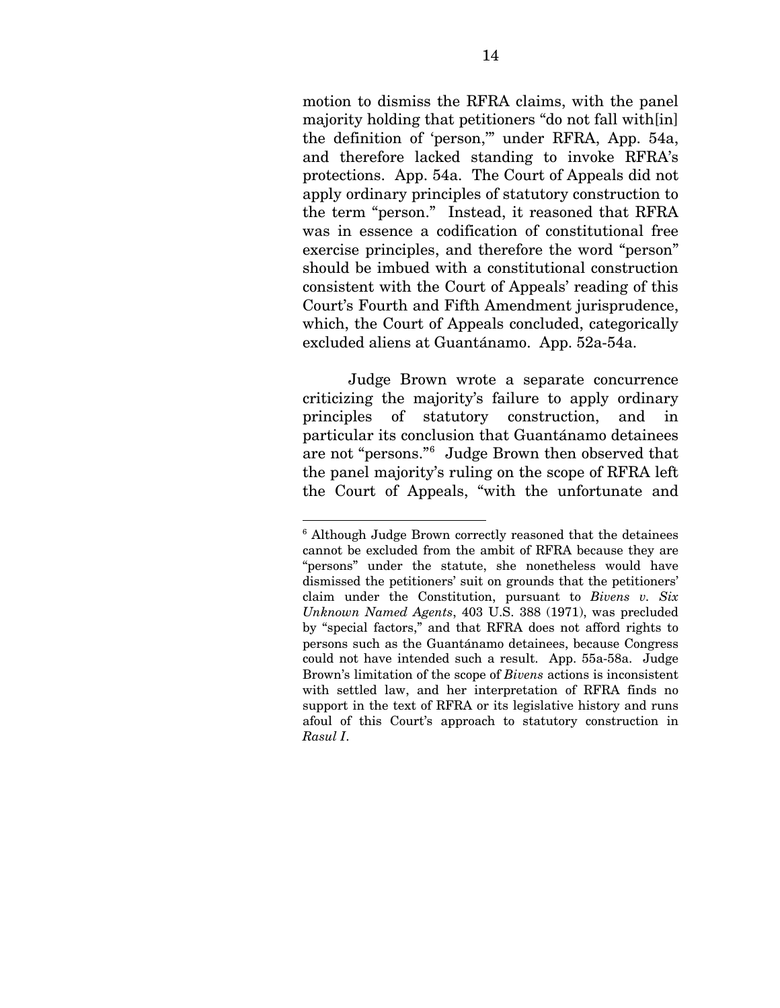motion to dismiss the RFRA claims, with the panel majority holding that petitioners "do not fall with [in] the definition of 'person,'" under RFRA, App. 54a, and therefore lacked standing to invoke RFRA's protections. App. 54a. The Court of Appeals did not apply ordinary principles of statutory construction to the term "person." Instead, it reasoned that RFRA was in essence a codification of constitutional free exercise principles, and therefore the word "person" should be imbued with a constitutional construction consistent with the Court of Appeals' reading of this Court's Fourth and Fifth Amendment jurisprudence, which, the Court of Appeals concluded, categorically excluded aliens at Guantánamo. App. 52a-54a.

Judge Brown wrote a separate concurrence criticizing the majority's failure to apply ordinary principles of statutory construction, and in particular its conclusion that Guantánamo detainees are not "persons."[6](#page-28-0) Judge Brown then observed that the panel majority's ruling on the scope of RFRA left the Court of Appeals, "with the unfortunate and

1

<span id="page-28-0"></span><sup>&</sup>lt;sup>6</sup> Although Judge Brown correctly reasoned that the detainees cannot be excluded from the ambit of RFRA because they are "persons" under the statute, she nonetheless would have dismissed the petitioners' suit on grounds that the petitioners' claim under the Constitution, pursuant to *Bivens v. Six Unknown Named Agents*, 403 U.S. 388 (1971), was precluded by "special factors," and that RFRA does not afford rights to persons such as the Guantánamo detainees, because Congress could not have intended such a result. App. 55a-58a. Judge Brown's limitation of the scope of *Bivens* actions is inconsistent with settled law, and her interpretation of RFRA finds no support in the text of RFRA or its legislative history and runs afoul of this Court's approach to statutory construction in *Rasul I*.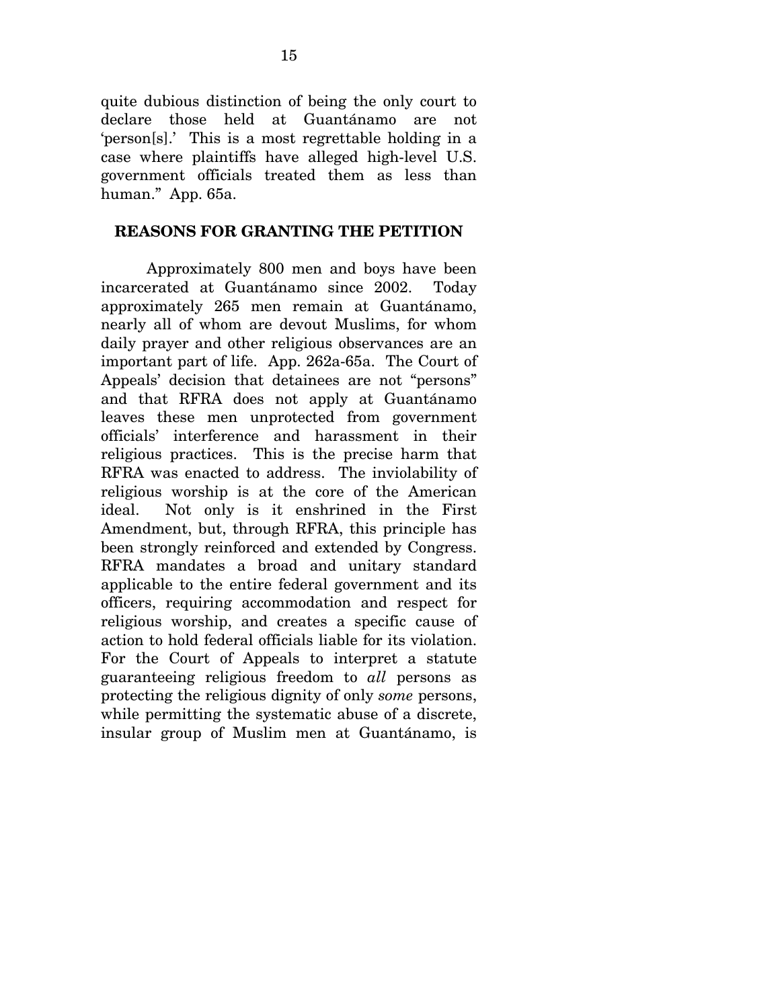quite dubious distinction of being the only court to declare those held at Guantánamo are not 'person[s].' This is a most regrettable holding in a case where plaintiffs have alleged high-level U.S. government officials treated them as less than human." App. 65a.

### **REASONS FOR GRANTING THE PETITION**

Approximately 800 men and boys have been incarcerated at Guantánamo since 2002. Today approximately 265 men remain at Guantánamo, nearly all of whom are devout Muslims, for whom daily prayer and other religious observances are an important part of life. App. 262a-65a. The Court of Appeals' decision that detainees are not "persons" and that RFRA does not apply at Guantánamo leaves these men unprotected from government officials' interference and harassment in their religious practices. This is the precise harm that RFRA was enacted to address. The inviolability of religious worship is at the core of the American ideal. Not only is it enshrined in the First Amendment, but, through RFRA, this principle has been strongly reinforced and extended by Congress. RFRA mandates a broad and unitary standard applicable to the entire federal government and its officers, requiring accommodation and respect for religious worship, and creates a specific cause of action to hold federal officials liable for its violation. For the Court of Appeals to interpret a statute guaranteeing religious freedom to *all* persons as protecting the religious dignity of only *some* persons, while permitting the systematic abuse of a discrete, insular group of Muslim men at Guantánamo, is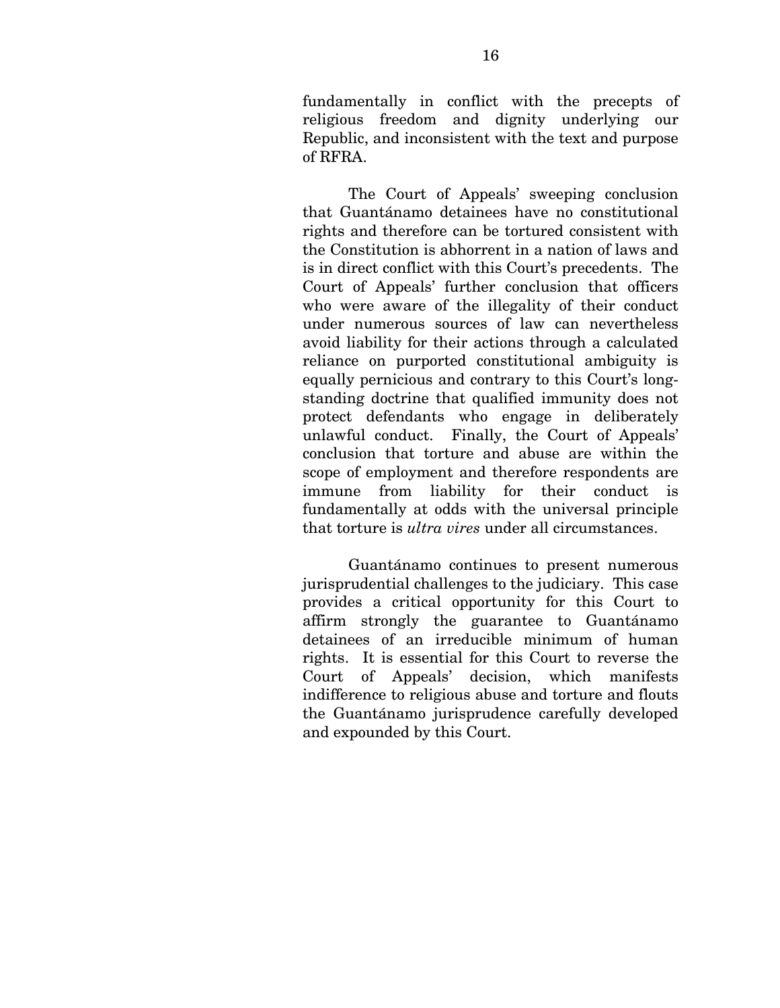fundamentally in conflict with the precepts of religious freedom and dignity underlying our Republic, and inconsistent with the text and purpose of RFRA.

The Court of Appeals' sweeping conclusion that Guantánamo detainees have no constitutional rights and therefore can be tortured consistent with the Constitution is abhorrent in a nation of laws and is in direct conflict with this Court's precedents. The Court of Appeals' further conclusion that officers who were aware of the illegality of their conduct under numerous sources of law can nevertheless avoid liability for their actions through a calculated reliance on purported constitutional ambiguity is equally pernicious and contrary to this Court's longstanding doctrine that qualified immunity does not protect defendants who engage in deliberately unlawful conduct. Finally, the Court of Appeals' conclusion that torture and abuse are within the scope of employment and therefore respondents are immune from liability for their conduct is fundamentally at odds with the universal principle that torture is *ultra vires* under all circumstances.

Guantánamo continues to present numerous jurisprudential challenges to the judiciary. This case provides a critical opportunity for this Court to affirm strongly the guarantee to Guantánamo detainees of an irreducible minimum of human rights. It is essential for this Court to reverse the Court of Appeals' decision, which manifests indifference to religious abuse and torture and flouts the Guantánamo jurisprudence carefully developed and expounded by this Court.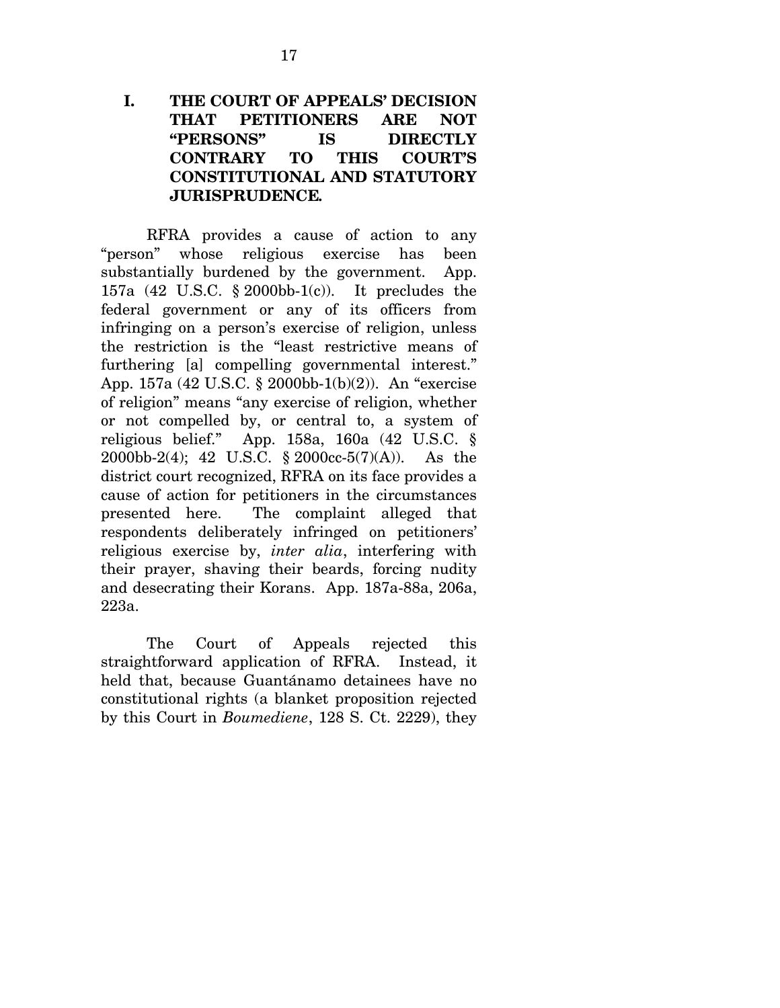### **I. THE COURT OF APPEALS' DECISION THAT PETITIONERS ARE NOT "PERSONS" IS DIRECTLY CONTRARY TO THIS COURT'S CONSTITUTIONAL AND STATUTORY JURISPRUDENCE***.*

RFRA provides a cause of action to any "person" whose religious exercise has been substantially burdened by the government. App. 157a (42 U.S.C. § 2000bb-1(c)). It precludes the federal government or any of its officers from infringing on a person's exercise of religion, unless the restriction is the "least restrictive means of furthering [a] compelling governmental interest." App. 157a (42 U.S.C. § 2000bb-1(b)(2)). An "exercise of religion" means "any exercise of religion, whether or not compelled by, or central to, a system of religious belief." App. 158a, 160a (42 U.S.C. § 2000bb-2(4); 42 U.S.C. § 2000cc-5(7)(A)). As the district court recognized, RFRA on its face provides a cause of action for petitioners in the circumstances presented here. The complaint alleged that respondents deliberately infringed on petitioners' religious exercise by, *inter alia*, interfering with their prayer, shaving their beards, forcing nudity and desecrating their Korans. App. 187a-88a, 206a, 223a.

The Court of Appeals rejected this straightforward application of RFRA. Instead, it held that, because Guantánamo detainees have no constitutional rights (a blanket proposition rejected by this Court in *Boumediene*, 128 S. Ct. 2229), they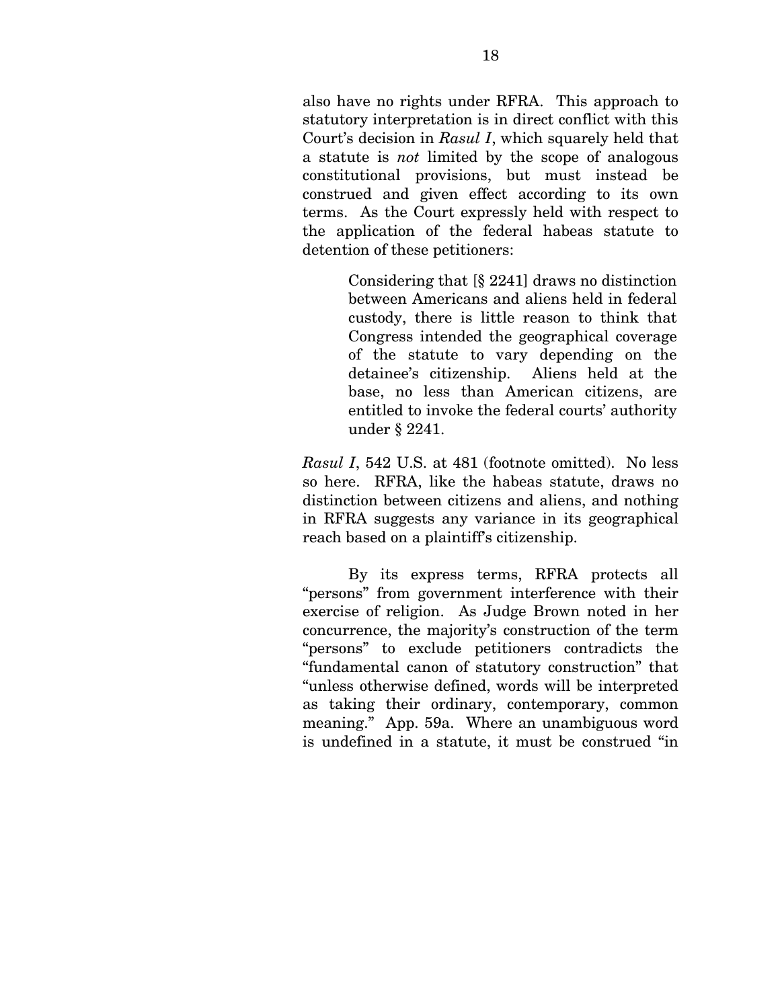also have no rights under RFRA. This approach to statutory interpretation is in direct conflict with this Court's decision in *Rasul I*, which squarely held that a statute is *not* limited by the scope of analogous constitutional provisions, but must instead be construed and given effect according to its own terms. As the Court expressly held with respect to the application of the federal habeas statute to detention of these petitioners:

> Considering that [§ 2241] draws no distinction between Americans and aliens held in federal custody, there is little reason to think that Congress intended the geographical coverage of the statute to vary depending on the detainee's citizenship. Aliens held at the base, no less than American citizens, are entitled to invoke the federal courts' authority under § 2241.

*Rasul I*, 542 U.S. at 481 (footnote omitted). No less so here. RFRA, like the habeas statute, draws no distinction between citizens and aliens, and nothing in RFRA suggests any variance in its geographical reach based on a plaintiff's citizenship.

By its express terms, RFRA protects all "persons" from government interference with their exercise of religion. As Judge Brown noted in her concurrence, the majority's construction of the term "persons" to exclude petitioners contradicts the "fundamental canon of statutory construction" that "unless otherwise defined, words will be interpreted as taking their ordinary, contemporary, common meaning." App. 59a. Where an unambiguous word is undefined in a statute, it must be construed "in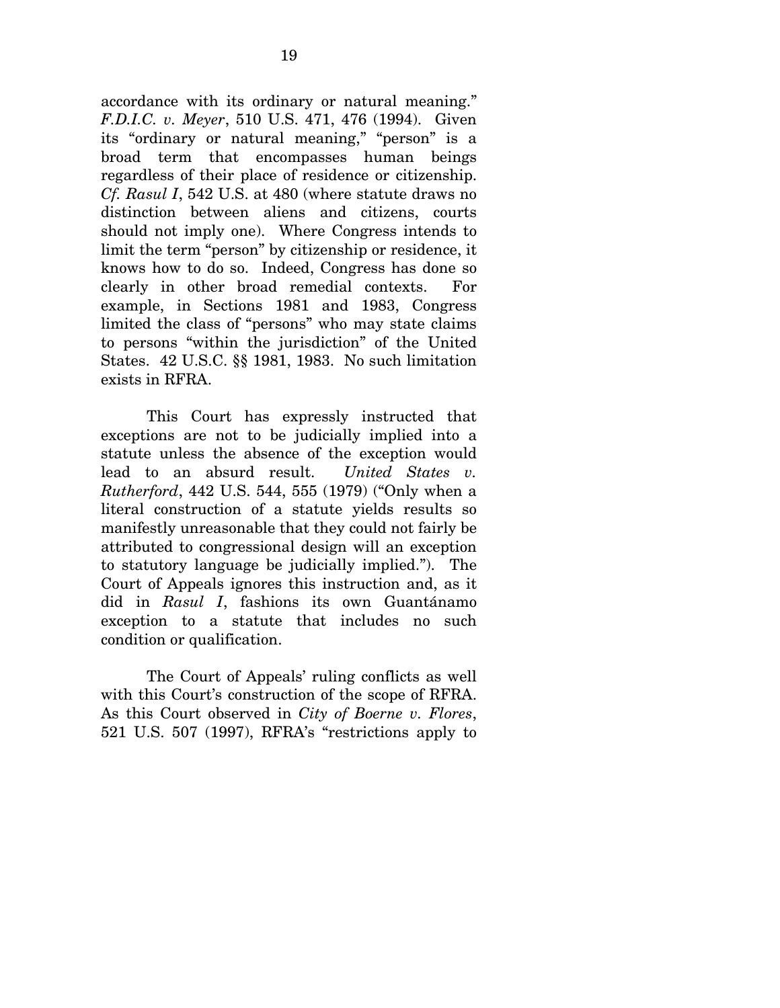accordance with its ordinary or natural meaning." *F.D.I.C. v. Meyer*, 510 U.S. 471, 476 (1994). Given its "ordinary or natural meaning," "person" is a broad term that encompasses human beings regardless of their place of residence or citizenship. *Cf. Rasul I*, 542 U.S. at 480 (where statute draws no distinction between aliens and citizens, courts should not imply one). Where Congress intends to limit the term "person" by citizenship or residence, it knows how to do so. Indeed, Congress has done so clearly in other broad remedial contexts. For example, in Sections 1981 and 1983, Congress limited the class of "persons" who may state claims to persons "within the jurisdiction" of the United States. 42 U.S.C. §§ 1981, 1983. No such limitation exists in RFRA.

This Court has expressly instructed that exceptions are not to be judicially implied into a statute unless the absence of the exception would lead to an absurd result. *United States v. Rutherford*, 442 U.S. 544, 555 (1979) ("Only when a literal construction of a statute yields results so manifestly unreasonable that they could not fairly be attributed to congressional design will an exception to statutory language be judicially implied."). The Court of Appeals ignores this instruction and, as it did in *Rasul I*, fashions its own Guantánamo exception to a statute that includes no such condition or qualification.

The Court of Appeals' ruling conflicts as well with this Court's construction of the scope of RFRA. As this Court observed in *City of Boerne v. Flores*, 521 U.S. 507 (1997), RFRA's "restrictions apply to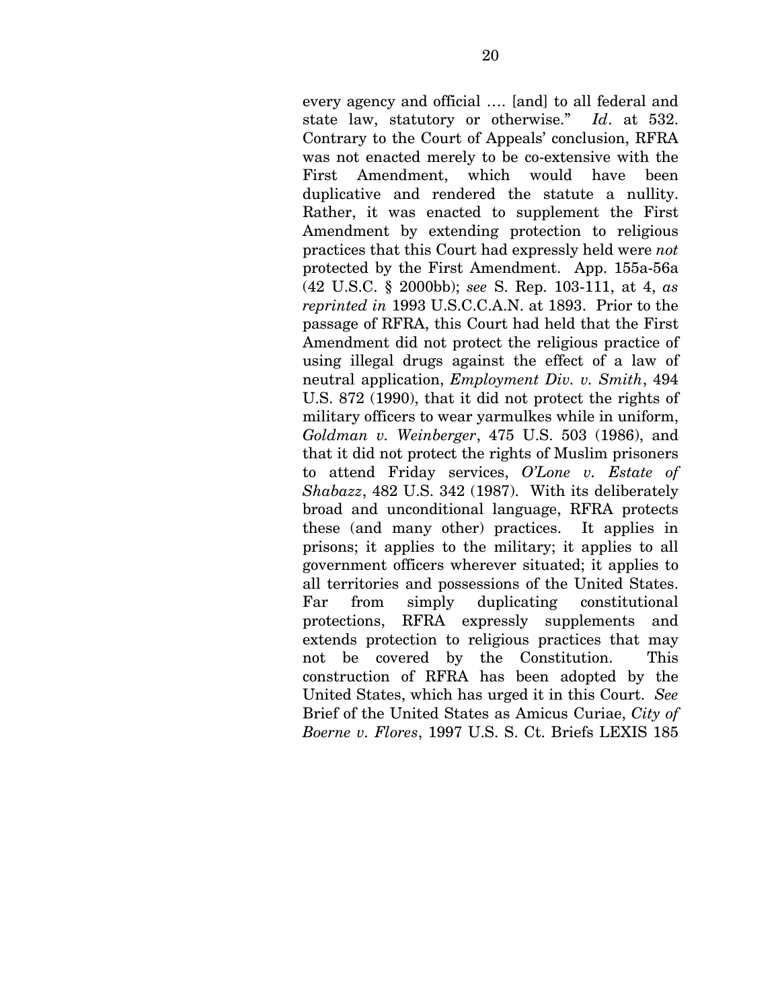every agency and official …. [and] to all federal and state law, statutory or otherwise." *Id*. at 532. Contrary to the Court of Appeals' conclusion, RFRA was not enacted merely to be co-extensive with the First Amendment, which would have been duplicative and rendered the statute a nullity. Rather, it was enacted to supplement the First Amendment by extending protection to religious practices that this Court had expressly held were *not* protected by the First Amendment. App. 155a-56a (42 U.S.C. § 2000bb); *see* S. Rep. 103-111, at 4, *as reprinted in* 1993 U.S.C.C.A.N. at 1893. Prior to the passage of RFRA, this Court had held that the First Amendment did not protect the religious practice of using illegal drugs against the effect of a law of neutral application, *Employment Div. v. Smith*, 494 U.S. 872 (1990), that it did not protect the rights of military officers to wear yarmulkes while in uniform, *Goldman v. Weinberger*, 475 U.S. 503 (1986), and that it did not protect the rights of Muslim prisoners to attend Friday services, *O'Lone v. Estate of Shabazz*, 482 U.S. 342 (1987). With its deliberately broad and unconditional language, RFRA protects these (and many other) practices. It applies in prisons; it applies to the military; it applies to all government officers wherever situated; it applies to all territories and possessions of the United States. Far from simply duplicating constitutional protections, RFRA expressly supplements and extends protection to religious practices that may not be covered by the Constitution. This construction of RFRA has been adopted by the United States, which has urged it in this Court. *See* Brief of the United States as Amicus Curiae, *City of Boerne v. Flores*, 1997 U.S. S. Ct. Briefs LEXIS 185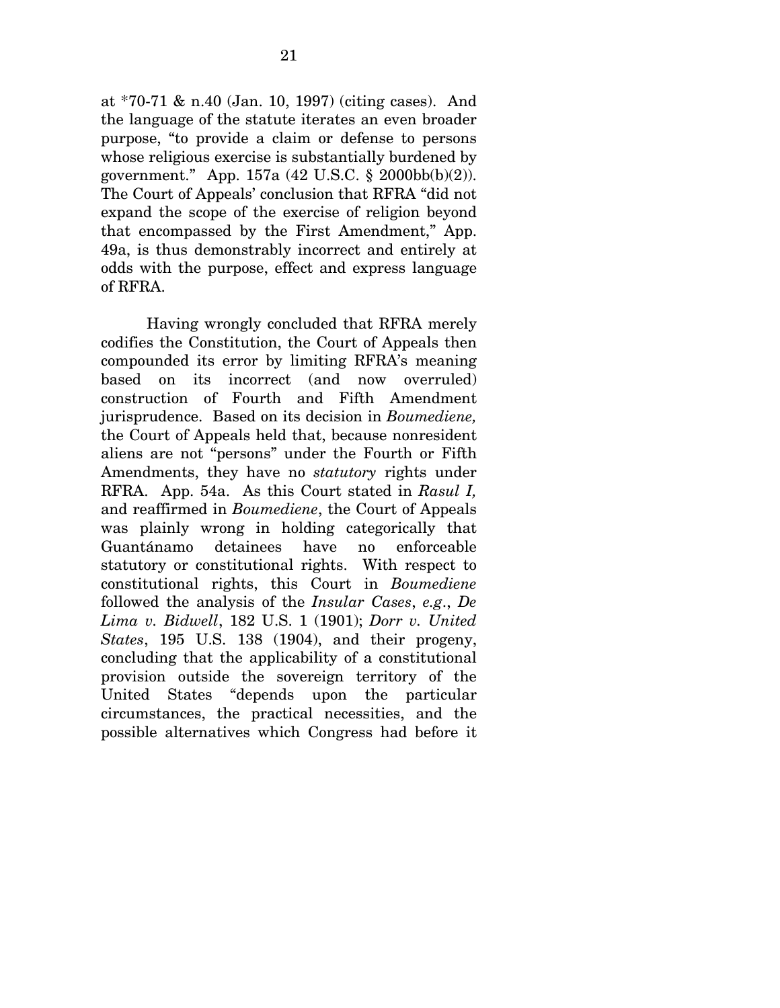at \*70-71 & n.40 (Jan. 10, 1997) (citing cases). And the language of the statute iterates an even broader purpose, "to provide a claim or defense to persons whose religious exercise is substantially burdened by government." App. 157a (42 U.S.C. § 2000bb(b)(2)). The Court of Appeals' conclusion that RFRA "did not expand the scope of the exercise of religion beyond that encompassed by the First Amendment," App. 49a, is thus demonstrably incorrect and entirely at odds with the purpose, effect and express language of RFRA.

Having wrongly concluded that RFRA merely codifies the Constitution, the Court of Appeals then compounded its error by limiting RFRA's meaning based on its incorrect (and now overruled) construction of Fourth and Fifth Amendment jurisprudence. Based on its decision in *Boumediene,*  the Court of Appeals held that, because nonresident aliens are not "persons" under the Fourth or Fifth Amendments, they have no *statutory* rights under RFRA. App. 54a. As this Court stated in *Rasul I,*  and reaffirmed in *Boumediene*, the Court of Appeals was plainly wrong in holding categorically that Guantánamo detainees have no enforceable statutory or constitutional rights. With respect to constitutional rights, this Court in *Boumediene* followed the analysis of the *Insular Cases*, *e.g*., *De Lima v. Bidwell*, 182 U.S. 1 (1901); *Dorr v. United States*, 195 U.S. 138 (1904), and their progeny, concluding that the applicability of a constitutional provision outside the sovereign territory of the United States "depends upon the particular circumstances, the practical necessities, and the possible alternatives which Congress had before it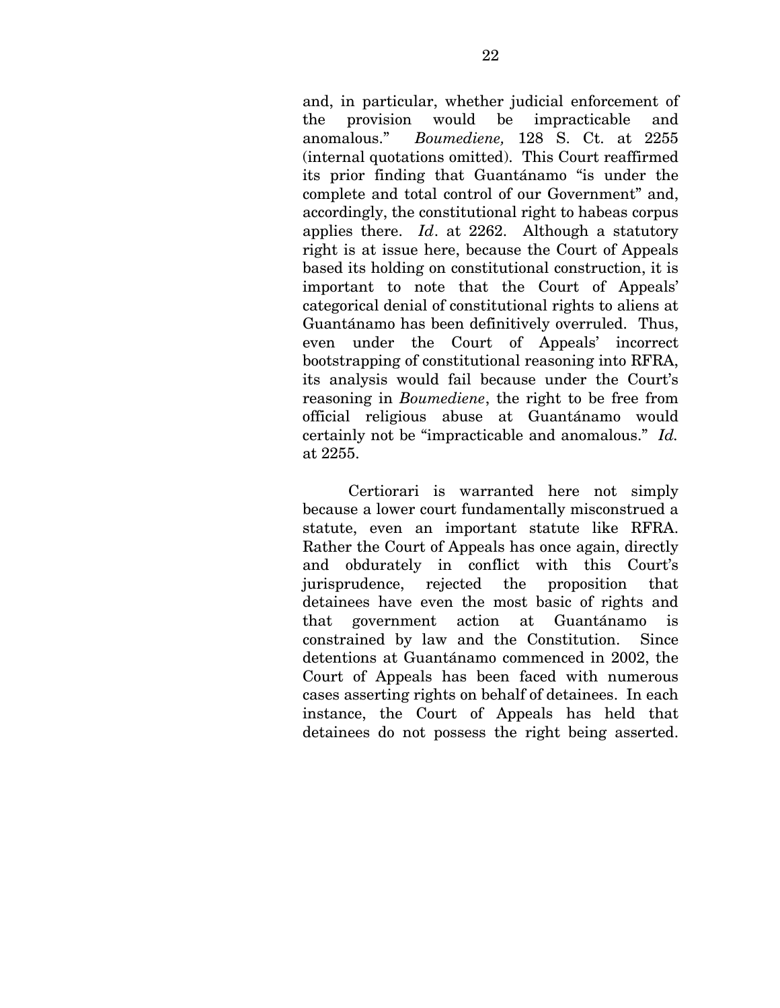and, in particular, whether judicial enforcement of the provision would be impracticable and anomalous." *Boumediene,* 128 S. Ct. at 2255 (internal quotations omitted). This Court reaffirmed its prior finding that Guantánamo "is under the complete and total control of our Government" and, accordingly, the constitutional right to habeas corpus applies there. *Id*. at 2262. Although a statutory right is at issue here, because the Court of Appeals based its holding on constitutional construction, it is important to note that the Court of Appeals' categorical denial of constitutional rights to aliens at Guantánamo has been definitively overruled. Thus, even under the Court of Appeals' incorrect bootstrapping of constitutional reasoning into RFRA, its analysis would fail because under the Court's reasoning in *Boumediene*, the right to be free from official religious abuse at Guantánamo would certainly not be "impracticable and anomalous." *Id.* at 2255.

Certiorari is warranted here not simply because a lower court fundamentally misconstrued a statute, even an important statute like RFRA. Rather the Court of Appeals has once again, directly and obdurately in conflict with this Court's jurisprudence, rejected the proposition that detainees have even the most basic of rights and that government action at Guantánamo is constrained by law and the Constitution. Since detentions at Guantánamo commenced in 2002, the Court of Appeals has been faced with numerous cases asserting rights on behalf of detainees. In each instance, the Court of Appeals has held that detainees do not possess the right being asserted.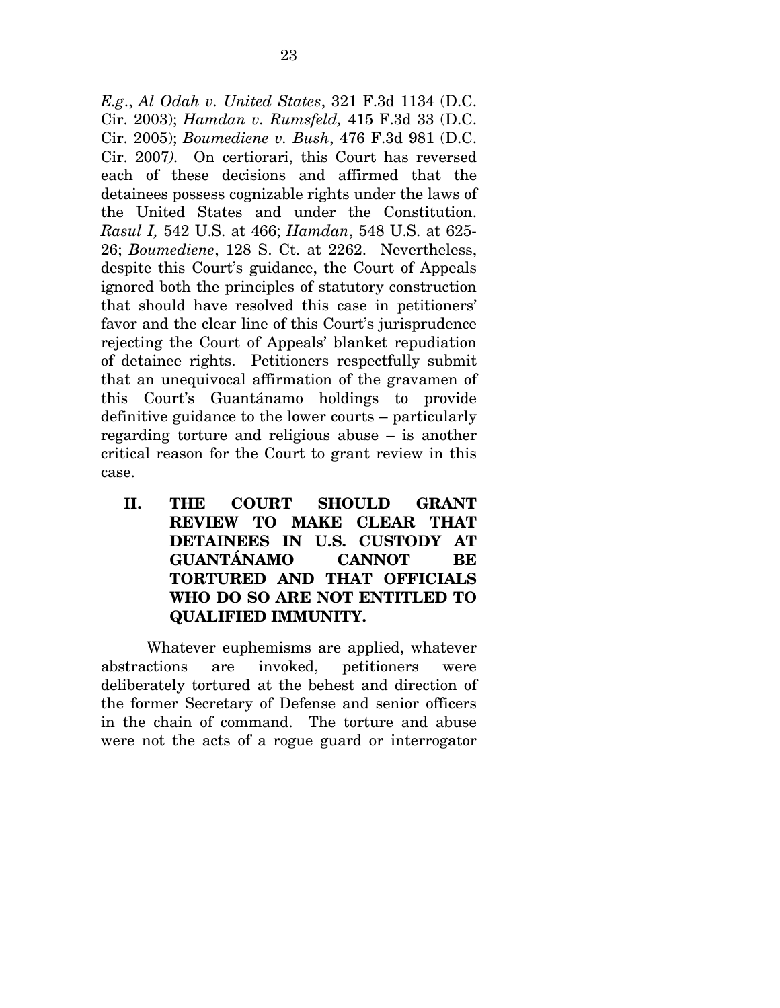*E.g*., *Al Odah v. United States*, 321 F.3d 1134 (D.C. Cir. 2003); *Hamdan v. Rumsfeld,* 415 F.3d 33 (D.C. Cir. 2005); *Boumediene v. Bush*, 476 F.3d 981 (D.C. Cir. 2007*).* On certiorari, this Court has reversed each of these decisions and affirmed that the detainees possess cognizable rights under the laws of the United States and under the Constitution. *Rasul I,* 542 U.S. at 466; *Hamdan*, 548 U.S. at 625- 26; *Boumediene*, 128 S. Ct. at 2262. Nevertheless, despite this Court's guidance, the Court of Appeals ignored both the principles of statutory construction that should have resolved this case in petitioners' favor and the clear line of this Court's jurisprudence rejecting the Court of Appeals' blanket repudiation of detainee rights. Petitioners respectfully submit that an unequivocal affirmation of the gravamen of this Court's Guantánamo holdings to provide definitive guidance to the lower courts – particularly regarding torture and religious abuse – is another critical reason for the Court to grant review in this case.

**II. THE COURT SHOULD GRANT REVIEW TO MAKE CLEAR THAT DETAINEES IN U.S. CUSTODY AT GUANTÁNAMO CANNOT BE TORTURED AND THAT OFFICIALS WHO DO SO ARE NOT ENTITLED TO QUALIFIED IMMUNITY.** 

 Whatever euphemisms are applied, whatever abstractions are invoked, petitioners were deliberately tortured at the behest and direction of the former Secretary of Defense and senior officers in the chain of command. The torture and abuse were not the acts of a rogue guard or interrogator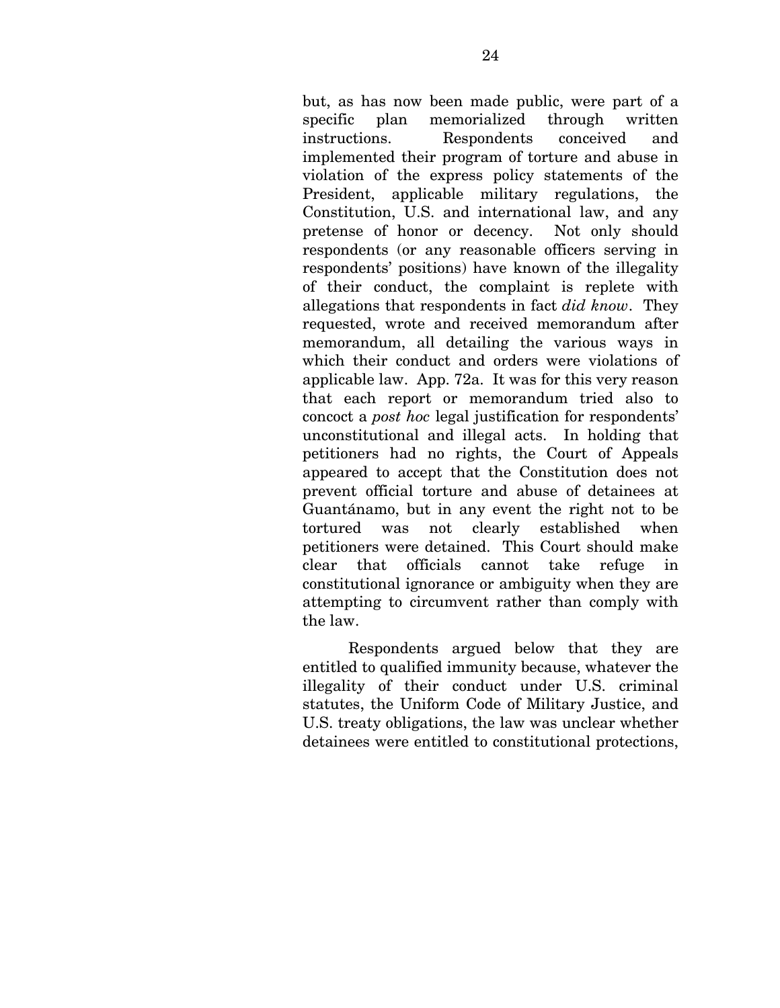but, as has now been made public, were part of a specific plan memorialized through written instructions. Respondents conceived and implemented their program of torture and abuse in violation of the express policy statements of the President, applicable military regulations, the Constitution, U.S. and international law, and any pretense of honor or decency. Not only should respondents (or any reasonable officers serving in respondents' positions) have known of the illegality of their conduct, the complaint is replete with allegations that respondents in fact *did know*. They requested, wrote and received memorandum after memorandum, all detailing the various ways in which their conduct and orders were violations of applicable law. App. 72a. It was for this very reason that each report or memorandum tried also to concoct a *post hoc* legal justification for respondents' unconstitutional and illegal acts. In holding that petitioners had no rights, the Court of Appeals appeared to accept that the Constitution does not prevent official torture and abuse of detainees at Guantánamo, but in any event the right not to be tortured was not clearly established when petitioners were detained. This Court should make clear that officials cannot take refuge in constitutional ignorance or ambiguity when they are attempting to circumvent rather than comply with the law.

Respondents argued below that they are entitled to qualified immunity because, whatever the illegality of their conduct under U.S. criminal statutes, the Uniform Code of Military Justice, and U.S. treaty obligations, the law was unclear whether detainees were entitled to constitutional protections,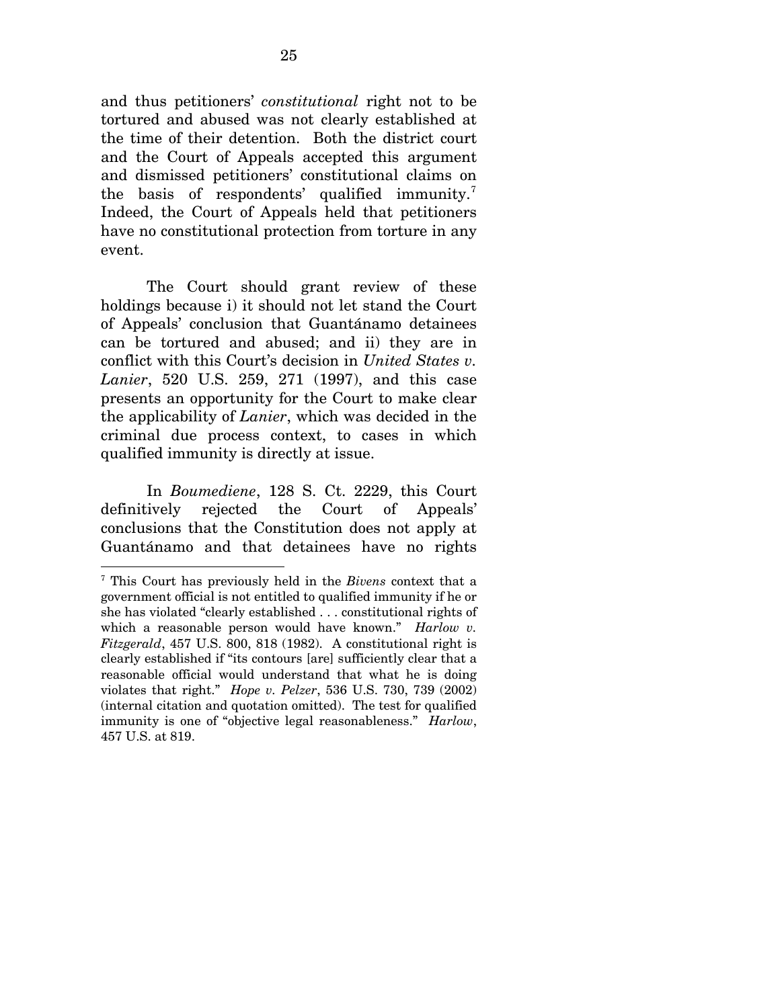and thus petitioners' *constitutional* right not to be tortured and abused was not clearly established at the time of their detention. Both the district court and the Court of Appeals accepted this argument and dismissed petitioners' constitutional claims on the basis of respondents' qualified immunity.<sup>[7](#page-39-0)</sup> Indeed, the Court of Appeals held that petitioners have no constitutional protection from torture in any event.

The Court should grant review of these holdings because i) it should not let stand the Court of Appeals' conclusion that Guantánamo detainees can be tortured and abused; and ii) they are in conflict with this Court's decision in *United States v. Lanier*, 520 U.S. 259, 271 (1997), and this case presents an opportunity for the Court to make clear the applicability of *Lanier*, which was decided in the criminal due process context, to cases in which qualified immunity is directly at issue.

In *Boumediene*, 128 S. Ct. 2229, this Court definitively rejected the Court of Appeals' conclusions that the Constitution does not apply at Guantánamo and that detainees have no rights

 $\overline{a}$ 

<span id="page-39-0"></span><sup>7</sup> This Court has previously held in the *Bivens* context that a government official is not entitled to qualified immunity if he or she has violated "clearly established . . . constitutional rights of which a reasonable person would have known." *Harlow v. Fitzgerald*, 457 U.S. 800, 818 (1982). A constitutional right is clearly established if "its contours [are] sufficiently clear that a reasonable official would understand that what he is doing violates that right." *Hope v. Pelzer*, 536 U.S. 730, 739 (2002) (internal citation and quotation omitted). The test for qualified immunity is one of "objective legal reasonableness." *Harlow*, 457 U.S. at 819.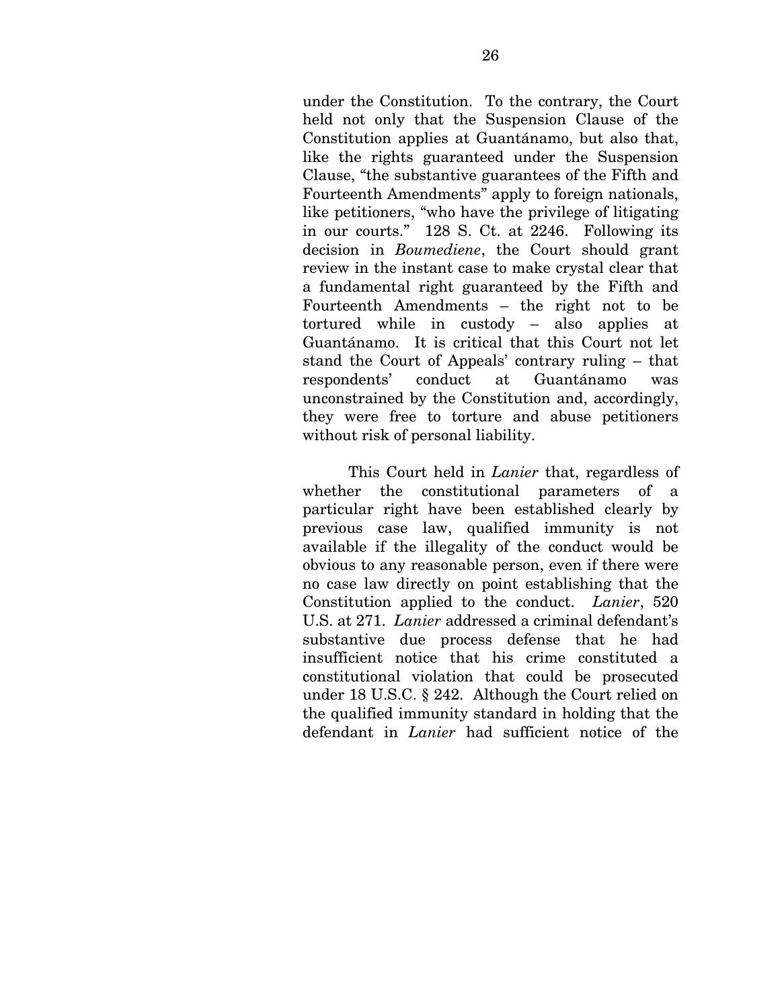under the Constitution. To the contrary, the Court held not only that the Suspension Clause of the Constitution applies at Guantánamo, but also that, like the rights guaranteed under the Suspension Clause, "the substantive guarantees of the Fifth and Fourteenth Amendments" apply to foreign nationals, like petitioners, "who have the privilege of litigating in our courts." 128 S. Ct. at 2246. Following its decision in *Boumediene*, the Court should grant review in the instant case to make crystal clear that a fundamental right guaranteed by the Fifth and Fourteenth Amendments – the right not to be tortured while in custody – also applies at Guantánamo. It is critical that this Court not let stand the Court of Appeals' contrary ruling – that respondents' conduct at Guantánamo was unconstrained by the Constitution and, accordingly, they were free to torture and abuse petitioners without risk of personal liability.

This Court held in *Lanier* that, regardless of whether the constitutional parameters of a particular right have been established clearly by previous case law, qualified immunity is not available if the illegality of the conduct would be obvious to any reasonable person, even if there were no case law directly on point establishing that the Constitution applied to the conduct. *Lanier*, 520 U.S. at 271. *Lanier* addressed a criminal defendant's substantive due process defense that he had insufficient notice that his crime constituted a constitutional violation that could be prosecuted under 18 U.S.C. § 242. Although the Court relied on the qualified immunity standard in holding that the defendant in *Lanier* had sufficient notice of the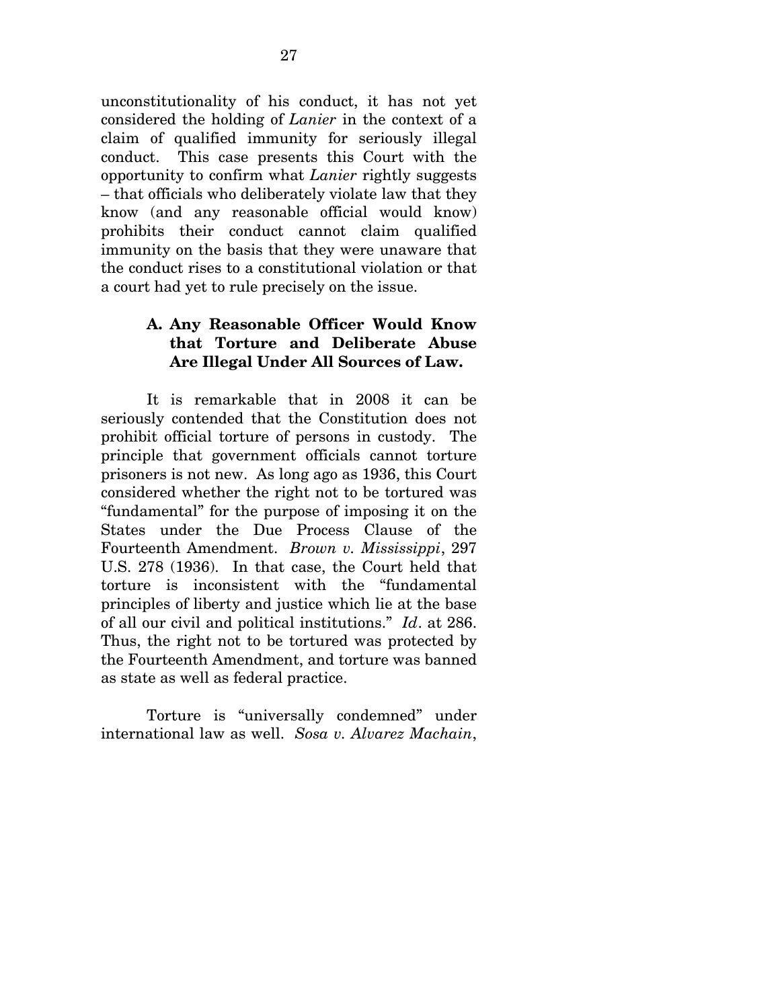unconstitutionality of his conduct, it has not yet considered the holding of *Lanier* in the context of a claim of qualified immunity for seriously illegal conduct. This case presents this Court with the opportunity to confirm what *Lanier* rightly suggests – that officials who deliberately violate law that they know (and any reasonable official would know) prohibits their conduct cannot claim qualified immunity on the basis that they were unaware that the conduct rises to a constitutional violation or that a court had yet to rule precisely on the issue.

# **A. Any Reasonable Officer Would Know that Torture and Deliberate Abuse Are Illegal Under All Sources of Law.**

It is remarkable that in 2008 it can be seriously contended that the Constitution does not prohibit official torture of persons in custody. The principle that government officials cannot torture prisoners is not new. As long ago as 1936, this Court considered whether the right not to be tortured was "fundamental" for the purpose of imposing it on the States under the Due Process Clause of the Fourteenth Amendment. *Brown v. Mississippi*, 297 U.S. 278 (1936). In that case, the Court held that torture is inconsistent with the "fundamental principles of liberty and justice which lie at the base of all our civil and political institutions." *Id*. at 286. Thus, the right not to be tortured was protected by the Fourteenth Amendment, and torture was banned as state as well as federal practice.

Torture is "universally condemned" under international law as well. *Sosa v. Alvarez Machain*,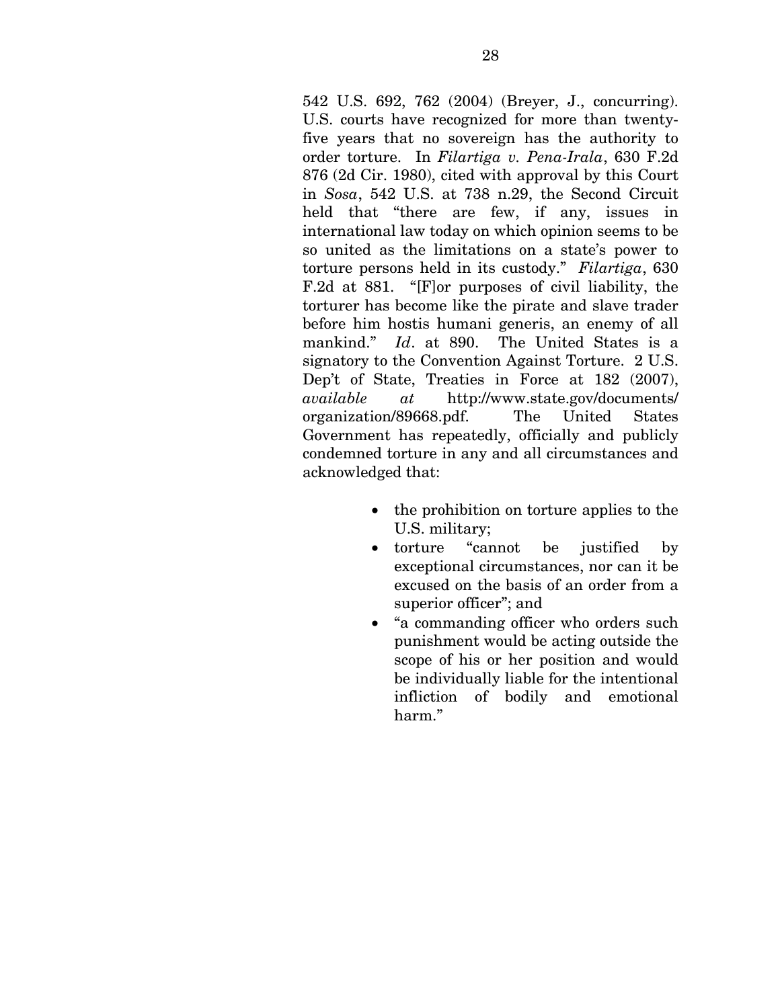542 U.S. 692, 762 (2004) (Breyer, J., concurring). U.S. courts have recognized for more than twentyfive years that no sovereign has the authority to order torture. In *Filartiga v. Pena-Irala*, 630 F.2d 876 (2d Cir. 1980), cited with approval by this Court in *Sosa*, 542 U.S. at 738 n.29, the Second Circuit held that "there are few, if any, issues in international law today on which opinion seems to be so united as the limitations on a state's power to torture persons held in its custody." *Filartiga*, 630 F.2d at 881. "[F]or purposes of civil liability, the torturer has become like the pirate and slave trader before him hostis humani generis, an enemy of all mankind." *Id*. at 890. The United States is a signatory to the Convention Against Torture. 2 U.S. Dep't of State, Treaties in Force at 182 (2007), *available at* http://www.state.gov/documents/ organization/89668.pdf. The United States Government has repeatedly, officially and publicly condemned torture in any and all circumstances and acknowledged that:

- the prohibition on torture applies to the U.S. military;
- torture "cannot be justified by exceptional circumstances, nor can it be excused on the basis of an order from a superior officer"; and
- "a commanding officer who orders such punishment would be acting outside the scope of his or her position and would be individually liable for the intentional infliction of bodily and emotional harm."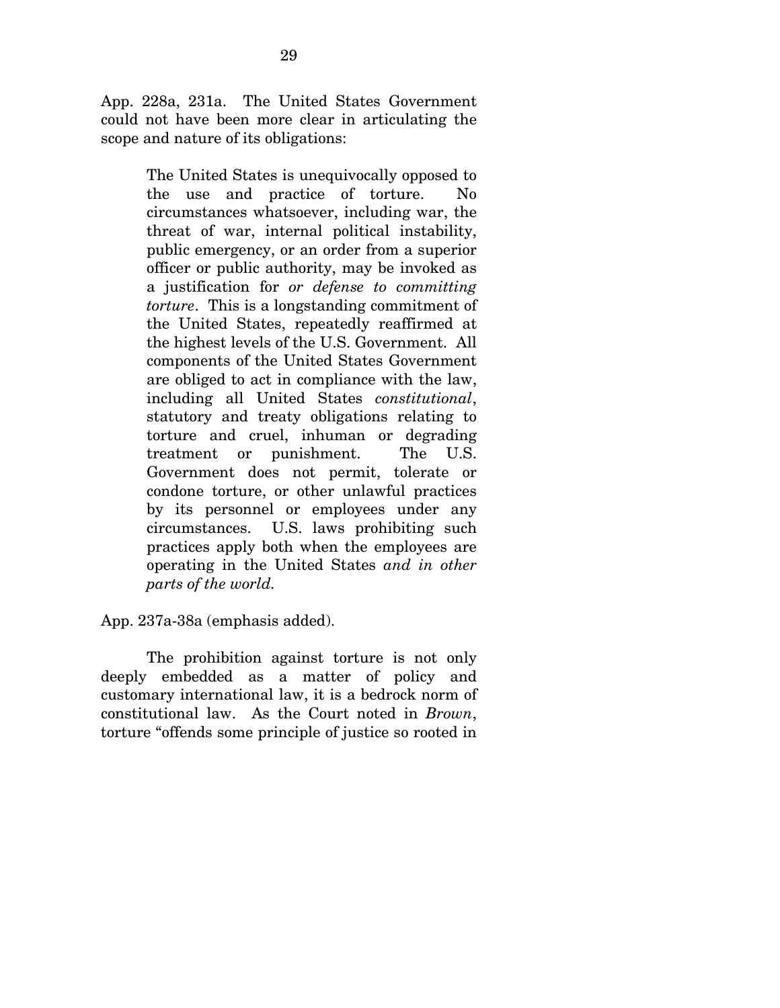App. 228a, 231a. The United States Government could not have been more clear in articulating the scope and nature of its obligations:

> The United States is unequivocally opposed to the use and practice of torture. No circumstances whatsoever, including war, the threat of war, internal political instability, public emergency, or an order from a superior officer or public authority, may be invoked as a justification for *or defense to committing torture*. This is a longstanding commitment of the United States, repeatedly reaffirmed at the highest levels of the U.S. Government. All components of the United States Government are obliged to act in compliance with the law, including all United States *constitutional*, statutory and treaty obligations relating to torture and cruel, inhuman or degrading treatment or punishment. The U.S. Government does not permit, tolerate or condone torture, or other unlawful practices by its personnel or employees under any circumstances. U.S. laws prohibiting such practices apply both when the employees are operating in the United States *and in other parts of the world.*

App. 237a-38a (emphasis added).

 The prohibition against torture is not only deeply embedded as a matter of policy and customary international law, it is a bedrock norm of constitutional law. As the Court noted in *Brown*, torture "offends some principle of justice so rooted in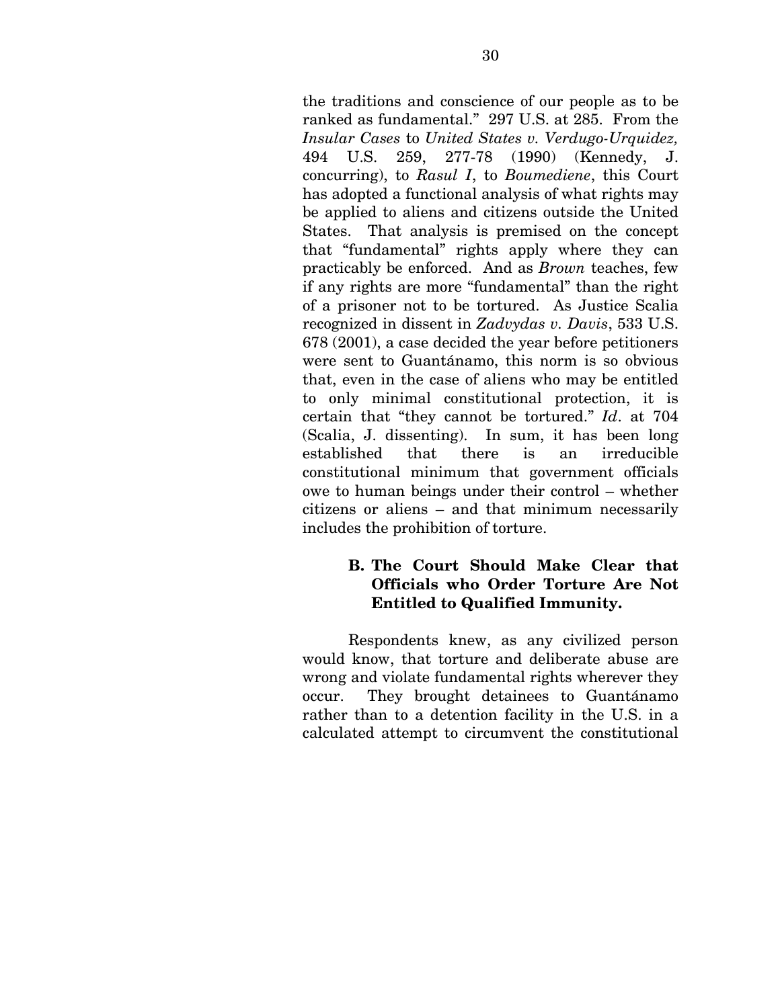the traditions and conscience of our people as to be ranked as fundamental." 297 U.S. at 285. From the *Insular Cases* to *United States v. Verdugo-Urquidez,*  494 U.S. 259, 277-78 (1990) (Kennedy, J. concurring), to *Rasul I*, to *Boumediene*, this Court has adopted a functional analysis of what rights may be applied to aliens and citizens outside the United States. That analysis is premised on the concept that "fundamental" rights apply where they can practicably be enforced. And as *Brown* teaches, few if any rights are more "fundamental" than the right of a prisoner not to be tortured. As Justice Scalia recognized in dissent in *Zadvydas v. Davis*, 533 U.S. 678 (2001), a case decided the year before petitioners were sent to Guantánamo, this norm is so obvious that, even in the case of aliens who may be entitled to only minimal constitutional protection, it is certain that "they cannot be tortured." *Id*. at 704 (Scalia, J. dissenting). In sum, it has been long established that there is an irreducible constitutional minimum that government officials owe to human beings under their control – whether citizens or aliens – and that minimum necessarily includes the prohibition of torture.

## **B. The Court Should Make Clear that Officials who Order Torture Are Not Entitled to Qualified Immunity.**

 Respondents knew, as any civilized person would know, that torture and deliberate abuse are wrong and violate fundamental rights wherever they occur. They brought detainees to Guantánamo rather than to a detention facility in the U.S. in a calculated attempt to circumvent the constitutional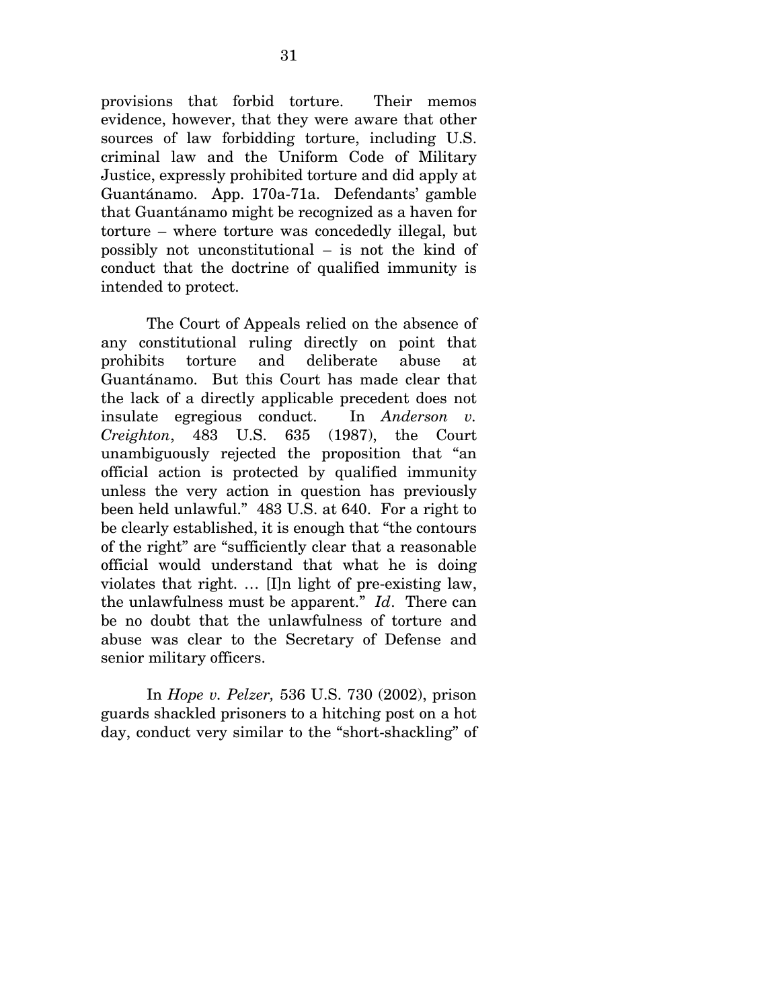provisions that forbid torture. Their memos evidence, however, that they were aware that other sources of law forbidding torture, including U.S. criminal law and the Uniform Code of Military Justice, expressly prohibited torture and did apply at Guantánamo. App. 170a-71a. Defendants' gamble that Guantánamo might be recognized as a haven for torture – where torture was concededly illegal, but possibly not unconstitutional – is not the kind of conduct that the doctrine of qualified immunity is intended to protect.

 The Court of Appeals relied on the absence of any constitutional ruling directly on point that prohibits torture and deliberate abuse at Guantánamo. But this Court has made clear that the lack of a directly applicable precedent does not insulate egregious conduct. In *Anderson v. Creighton*, 483 U.S. 635 (1987), the Court unambiguously rejected the proposition that "an official action is protected by qualified immunity unless the very action in question has previously been held unlawful." 483 U.S. at 640. For a right to be clearly established, it is enough that "the contours of the right" are "sufficiently clear that a reasonable official would understand that what he is doing violates that right. … [I]n light of pre-existing law, the unlawfulness must be apparent." *Id*. There can be no doubt that the unlawfulness of torture and abuse was clear to the Secretary of Defense and senior military officers.

In *Hope v. Pelzer,* 536 U.S. 730 (2002), prison guards shackled prisoners to a hitching post on a hot day, conduct very similar to the "short-shackling" of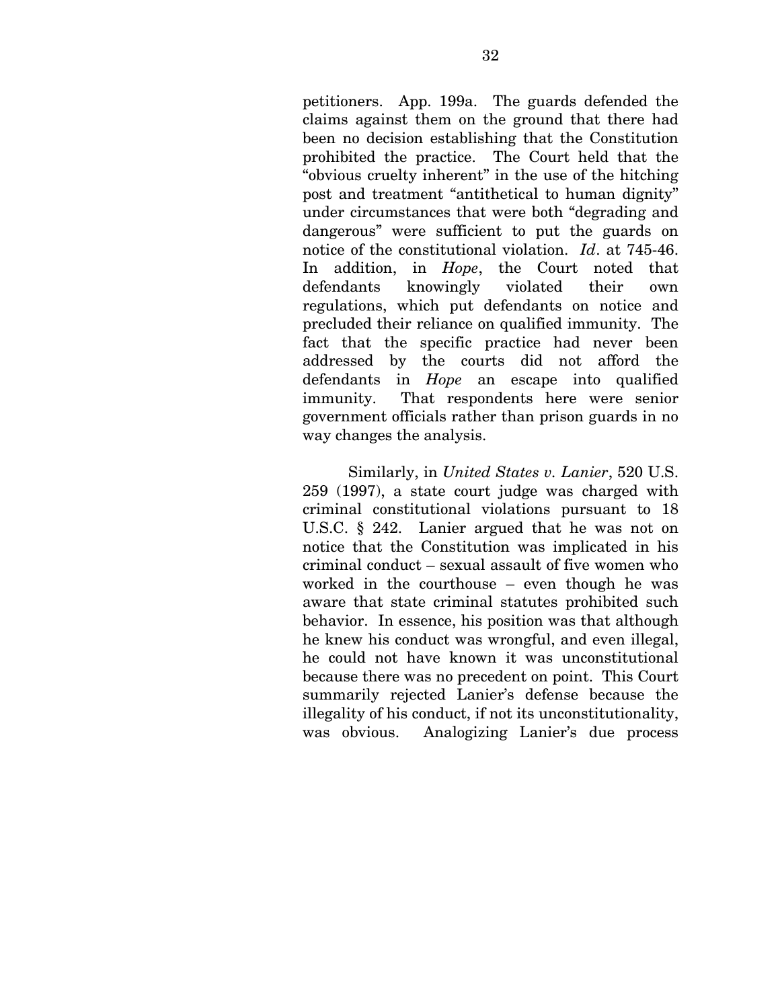petitioners. App. 199a. The guards defended the claims against them on the ground that there had been no decision establishing that the Constitution prohibited the practice. The Court held that the "obvious cruelty inherent" in the use of the hitching post and treatment "antithetical to human dignity" under circumstances that were both "degrading and dangerous" were sufficient to put the guards on notice of the constitutional violation. *Id*. at 745-46. In addition, in *Hope*, the Court noted that defendants knowingly violated their own regulations, which put defendants on notice and precluded their reliance on qualified immunity. The fact that the specific practice had never been addressed by the courts did not afford the defendants in *Hope* an escape into qualified immunity. That respondents here were senior government officials rather than prison guards in no way changes the analysis.

 Similarly, in *United States v. Lanier*, 520 U.S. 259 (1997), a state court judge was charged with criminal constitutional violations pursuant to 18 U.S.C. § 242. Lanier argued that he was not on notice that the Constitution was implicated in his criminal conduct – sexual assault of five women who worked in the courthouse – even though he was aware that state criminal statutes prohibited such behavior. In essence, his position was that although he knew his conduct was wrongful, and even illegal, he could not have known it was unconstitutional because there was no precedent on point. This Court summarily rejected Lanier's defense because the illegality of his conduct, if not its unconstitutionality, was obvious. Analogizing Lanier's due process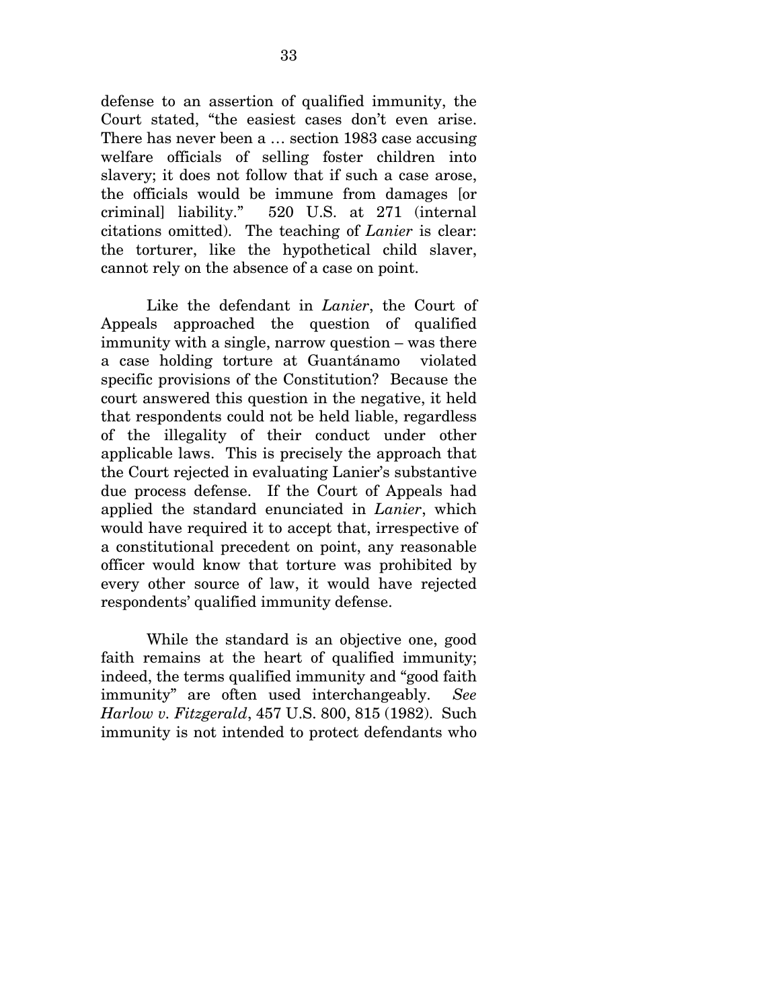defense to an assertion of qualified immunity, the Court stated, "the easiest cases don't even arise. There has never been a … section 1983 case accusing welfare officials of selling foster children into slavery; it does not follow that if such a case arose, the officials would be immune from damages [or criminal] liability." 520 U.S. at 271 (internal citations omitted). The teaching of *Lanier* is clear: the torturer, like the hypothetical child slaver, cannot rely on the absence of a case on point.

 Like the defendant in *Lanier*, the Court of Appeals approached the question of qualified immunity with a single, narrow question – was there a case holding torture at Guantánamo violated specific provisions of the Constitution? Because the court answered this question in the negative, it held that respondents could not be held liable, regardless of the illegality of their conduct under other applicable laws. This is precisely the approach that the Court rejected in evaluating Lanier's substantive due process defense. If the Court of Appeals had applied the standard enunciated in *Lanier*, which would have required it to accept that, irrespective of a constitutional precedent on point, any reasonable officer would know that torture was prohibited by every other source of law, it would have rejected respondents' qualified immunity defense.

While the standard is an objective one, good faith remains at the heart of qualified immunity; indeed, the terms qualified immunity and "good faith immunity" are often used interchangeably. *See Harlow v. Fitzgerald*, 457 U.S. 800, 815 (1982). Such immunity is not intended to protect defendants who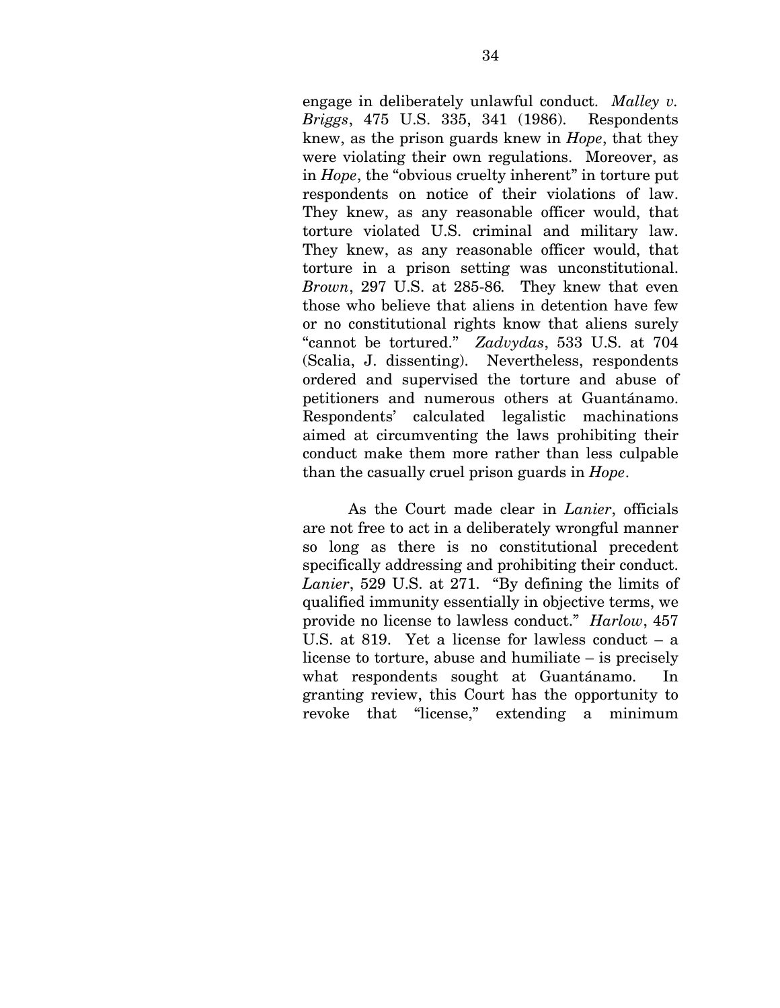engage in deliberately unlawful conduct. *Malley v. Briggs*, 475 U.S. 335, 341 (1986). Respondents knew, as the prison guards knew in *Hope*, that they were violating their own regulations. Moreover, as in *Hope*, the "obvious cruelty inherent" in torture put respondents on notice of their violations of law. They knew, as any reasonable officer would, that torture violated U.S. criminal and military law. They knew, as any reasonable officer would, that torture in a prison setting was unconstitutional. *Brown*, 297 U.S. at 285-86*.* They knew that even those who believe that aliens in detention have few or no constitutional rights know that aliens surely "cannot be tortured." *Zadvydas*, 533 U.S. at 704 (Scalia, J. dissenting). Nevertheless, respondents ordered and supervised the torture and abuse of petitioners and numerous others at Guantánamo. Respondents' calculated legalistic machinations aimed at circumventing the laws prohibiting their conduct make them more rather than less culpable than the casually cruel prison guards in *Hope*.

 As the Court made clear in *Lanier*, officials are not free to act in a deliberately wrongful manner so long as there is no constitutional precedent specifically addressing and prohibiting their conduct. *Lanier*, 529 U.S. at 271. "By defining the limits of qualified immunity essentially in objective terms, we provide no license to lawless conduct." *Harlow*, 457 U.S. at 819. Yet a license for lawless conduct – a license to torture, abuse and humiliate – is precisely what respondents sought at Guantánamo. In granting review, this Court has the opportunity to revoke that "license," extending a minimum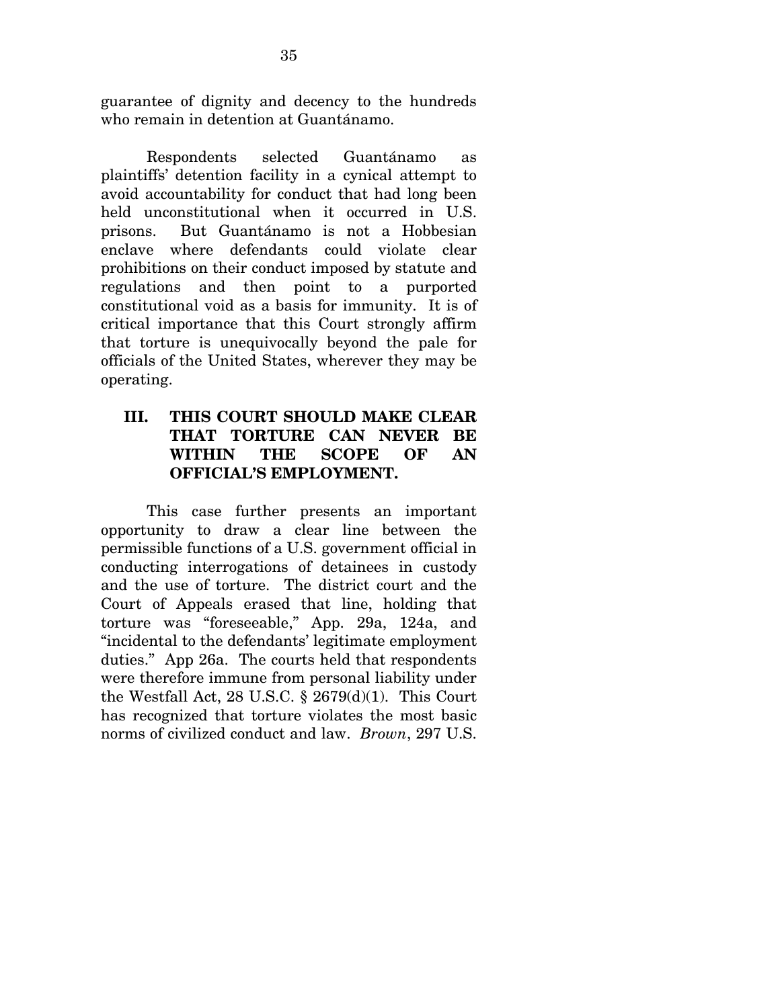guarantee of dignity and decency to the hundreds who remain in detention at Guantánamo.

 Respondents selected Guantánamo as plaintiffs' detention facility in a cynical attempt to avoid accountability for conduct that had long been held unconstitutional when it occurred in U.S. prisons. But Guantánamo is not a Hobbesian enclave where defendants could violate clear prohibitions on their conduct imposed by statute and regulations and then point to a purported constitutional void as a basis for immunity. It is of critical importance that this Court strongly affirm that torture is unequivocally beyond the pale for officials of the United States, wherever they may be operating.

# **III. THIS COURT SHOULD MAKE CLEAR THAT TORTURE CAN NEVER BE WITHIN THE SCOPE OF AN OFFICIAL'S EMPLOYMENT.**

This case further presents an important opportunity to draw a clear line between the permissible functions of a U.S. government official in conducting interrogations of detainees in custody and the use of torture. The district court and the Court of Appeals erased that line, holding that torture was "foreseeable," App. 29a, 124a, and "incidental to the defendants' legitimate employment duties." App 26a. The courts held that respondents were therefore immune from personal liability under the Westfall Act, 28 U.S.C.  $\S$  2679(d)(1). This Court has recognized that torture violates the most basic norms of civilized conduct and law. *Brown*, 297 U.S.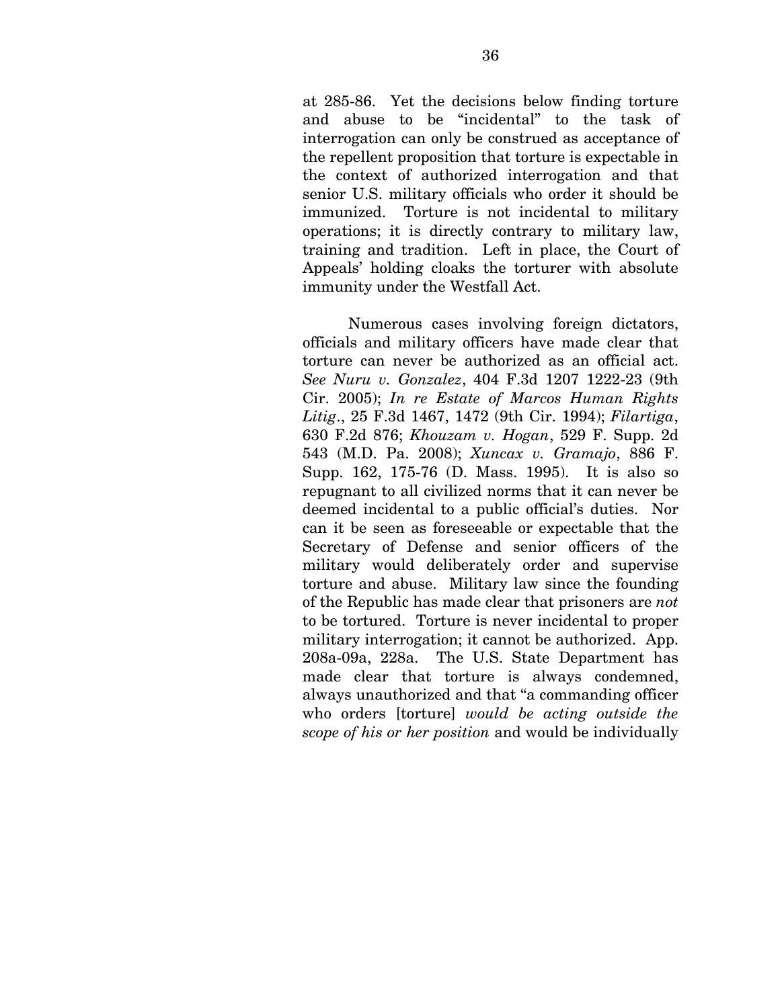at 285-86. Yet the decisions below finding torture and abuse to be "incidental" to the task of interrogation can only be construed as acceptance of the repellent proposition that torture is expectable in the context of authorized interrogation and that senior U.S. military officials who order it should be immunized. Torture is not incidental to military operations; it is directly contrary to military law, training and tradition. Left in place, the Court of Appeals' holding cloaks the torturer with absolute immunity under the Westfall Act.

Numerous cases involving foreign dictators, officials and military officers have made clear that torture can never be authorized as an official act. *See Nuru v. Gonzalez*, 404 F.3d 1207 1222-23 (9th Cir. 2005); *In re Estate of Marcos Human Rights Litig*., 25 F.3d 1467, 1472 (9th Cir. 1994); *Filartiga*, 630 F.2d 876; *Khouzam v. Hogan*, 529 F. Supp. 2d 543 (M.D. Pa. 2008); *Xuncax v. Gramajo*, 886 F. Supp. 162, 175-76 (D. Mass. 1995). It is also so repugnant to all civilized norms that it can never be deemed incidental to a public official's duties. Nor can it be seen as foreseeable or expectable that the Secretary of Defense and senior officers of the military would deliberately order and supervise torture and abuse. Military law since the founding of the Republic has made clear that prisoners are *not*  to be tortured. Torture is never incidental to proper military interrogation; it cannot be authorized. App. 208a-09a, 228a. The U.S. State Department has made clear that torture is always condemned, always unauthorized and that "a commanding officer who orders [torture] *would be acting outside the scope of his or her position* and would be individually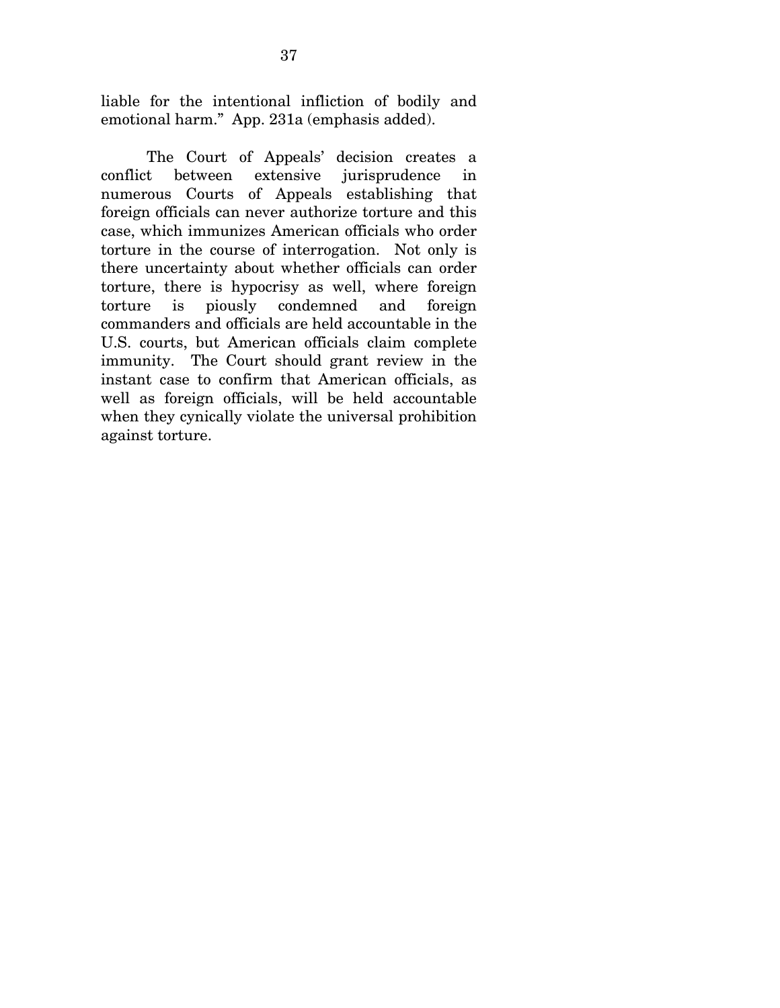liable for the intentional infliction of bodily and emotional harm." App. 231a (emphasis added).

The Court of Appeals' decision creates a conflict between extensive jurisprudence in numerous Courts of Appeals establishing that foreign officials can never authorize torture and this case, which immunizes American officials who order torture in the course of interrogation. Not only is there uncertainty about whether officials can order torture, there is hypocrisy as well, where foreign torture is piously condemned and foreign commanders and officials are held accountable in the U.S. courts, but American officials claim complete immunity. The Court should grant review in the instant case to confirm that American officials, as well as foreign officials, will be held accountable when they cynically violate the universal prohibition against torture.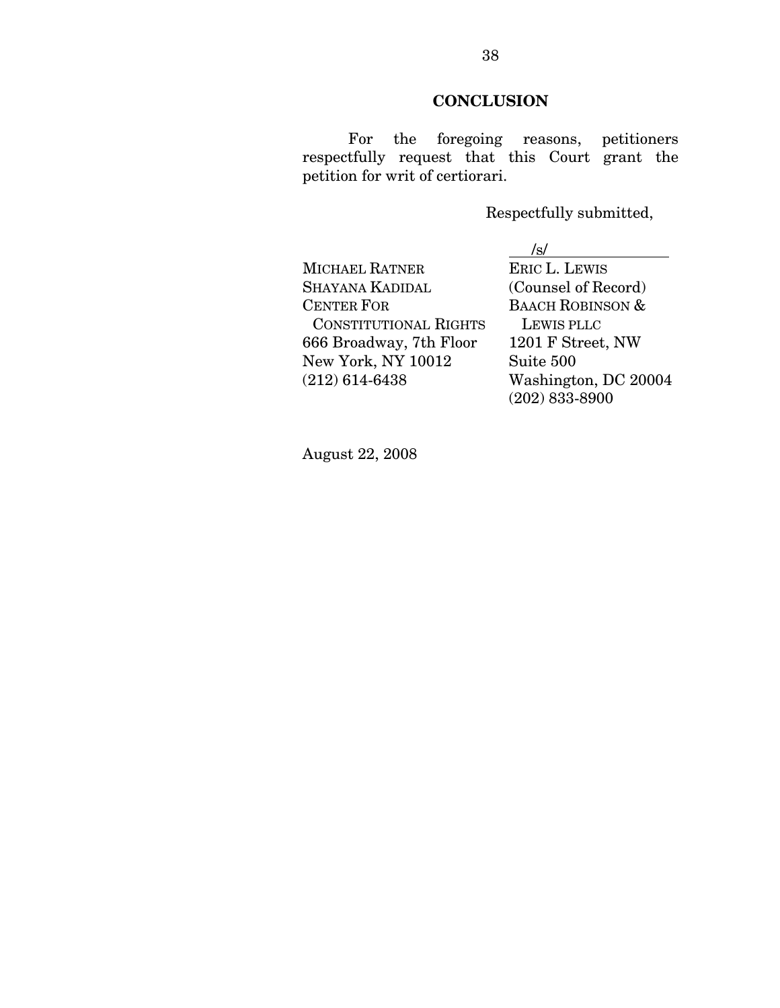## **CONCLUSION**

For the foregoing reasons, petitioners respectfully request that this Court grant the petition for writ of certiorari.

Respectfully submitted,

MICHAEL RATNER SHAYANA KADIDAL (Counsel of Record) CENTER FOR BAACH ROBINSON & CONSTITUTIONAL RIGHTS LEWIS PLLC 666 Broadway, 7th Floor 1201 F Street, NW New York, NY 10012 Suite 500 (212) 614-6438 Washington, DC 20004

 $\frac{\sqrt{s}}{\text{ERIC L. LEWIS}}$ (202) 833-8900

August 22, 2008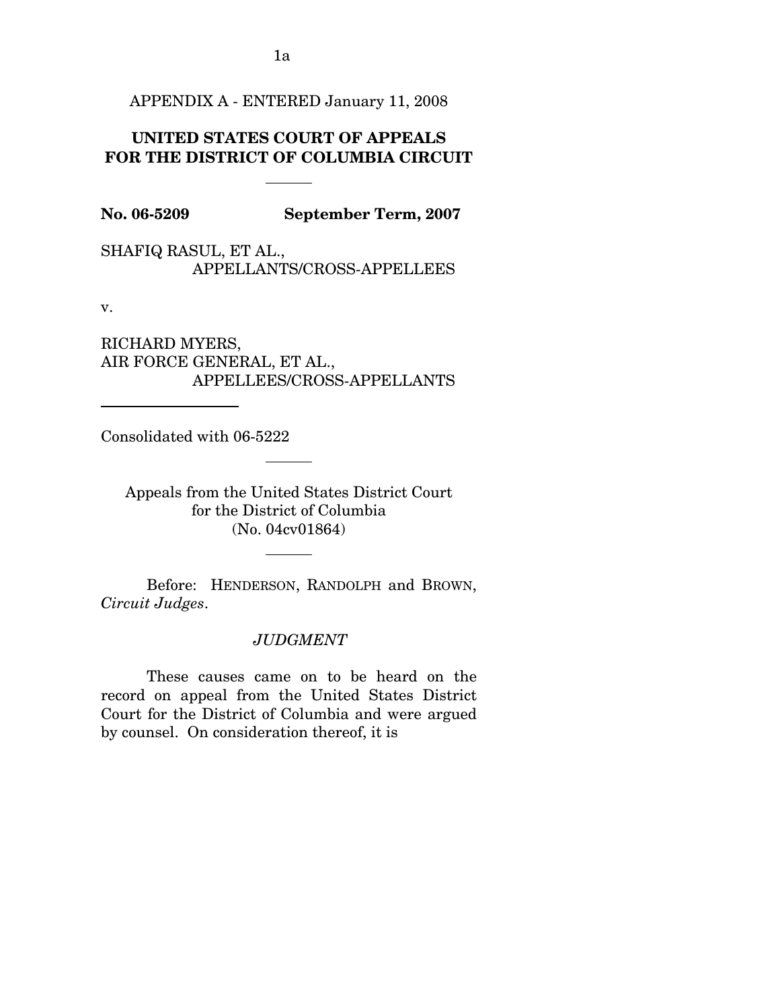APPENDIX A - ENTERED January 11, 2008

# **UNITED STATES COURT OF APPEALS FOR THE DISTRICT OF COLUMBIA CIRCUIT**

**No. 06-5209 September Term, 2007** 

SHAFIQ RASUL, ET AL., APPELLANTS/CROSS-APPELLEES

v.

 $\overline{a}$ 

RICHARD MYERS, AIR FORCE GENERAL, ET AL., APPELLEES/CROSS-APPELLANTS

Consolidated with 06-5222

Appeals from the United States District Court for the District of Columbia (No. 04cv01864)

 Before: HENDERSON, RANDOLPH and BROWN, *Circuit Judges*.

*JUDGMENT* 

These causes came on to be heard on the record on appeal from the United States District Court for the District of Columbia and were argued by counsel. On consideration thereof, it is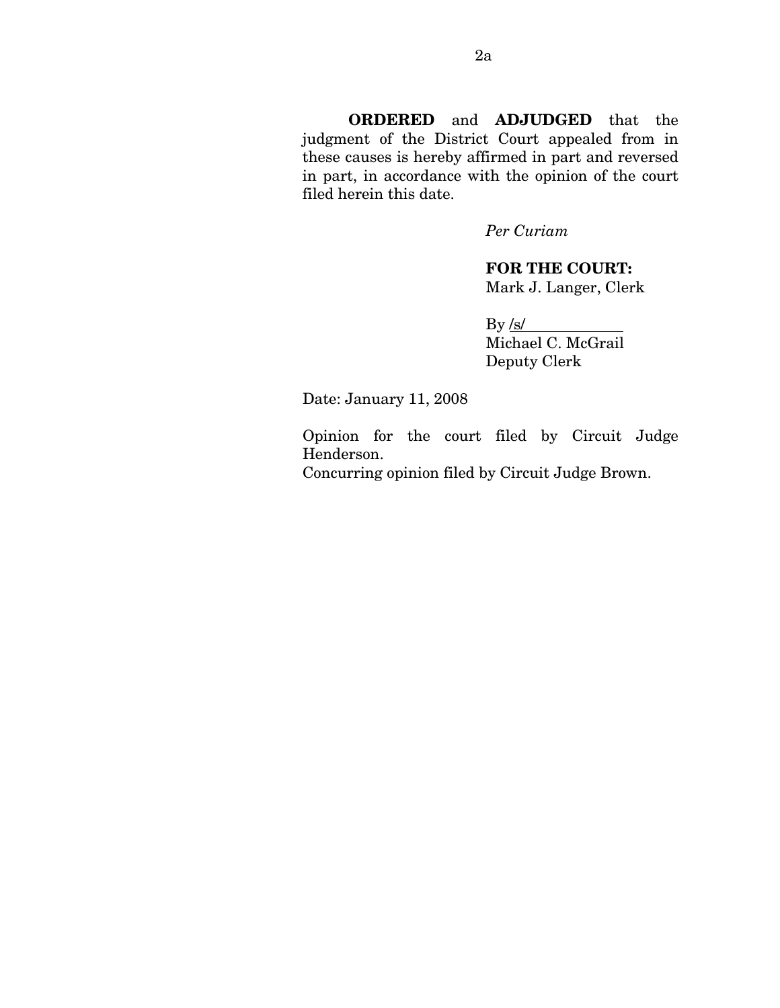**ORDERED** and **ADJUDGED** that the judgment of the District Court appealed from in these causes is hereby affirmed in part and reversed in part, in accordance with the opinion of the court filed herein this date.

*Per Curiam* 

**FOR THE COURT:**  Mark J. Langer, Clerk

 $By/s/$ Michael C. McGrail Deputy Clerk

Date: January 11, 2008

Opinion for the court filed by Circuit Judge Henderson.

Concurring opinion filed by Circuit Judge Brown.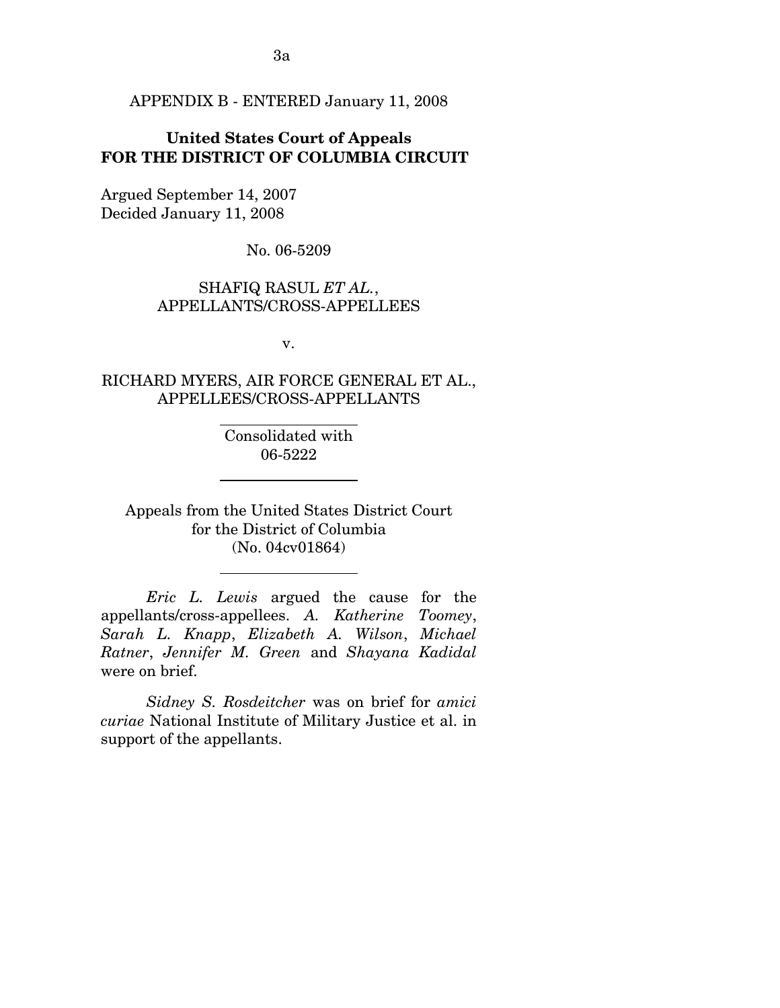APPENDIX B - ENTERED January 11, 2008

## **United States Court of Appeals FOR THE DISTRICT OF COLUMBIA CIRCUIT**

Argued September 14, 2007 Decided January 11, 2008

 $\overline{a}$ 

 $\overline{a}$ 

 $\overline{a}$ 

No. 06-5209

#### SHAFIQ RASUL *ET AL.*, APPELLANTS/CROSS-APPELLEES

v.

# RICHARD MYERS, AIR FORCE GENERAL ET AL., APPELLEES/CROSS-APPELLANTS

Consolidated with 06-5222

Appeals from the United States District Court for the District of Columbia (No. 04cv01864)

*Eric L. Lewis* argued the cause for the appellants/cross-appellees. *A. Katherine Toomey*, *Sarah L. Knapp*, *Elizabeth A. Wilson*, *Michael Ratner*, *Jennifer M. Green* and *Shayana Kadidal*  were on brief.

*Sidney S. Rosdeitcher* was on brief for *amici curiae* National Institute of Military Justice et al. in support of the appellants.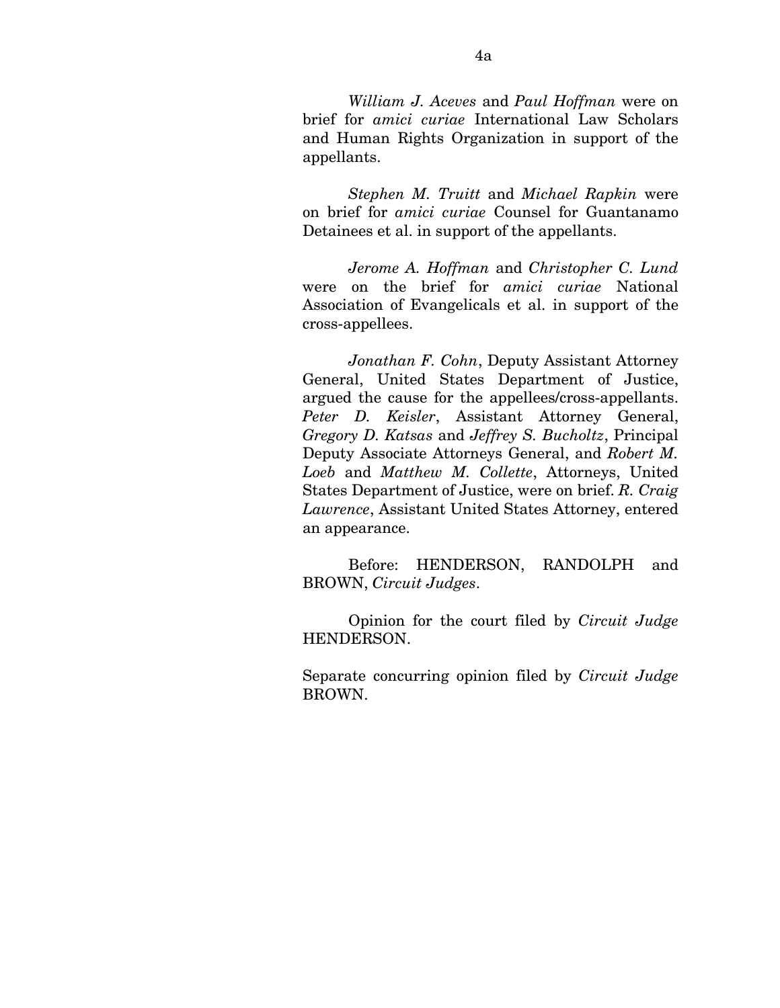*William J. Aceves* and *Paul Hoffman* were on brief for *amici curiae* International Law Scholars and Human Rights Organization in support of the appellants.

*Stephen M. Truitt* and *Michael Rapkin* were on brief for *amici curiae* Counsel for Guantanamo Detainees et al. in support of the appellants.

*Jerome A. Hoffman* and *Christopher C. Lund*  were on the brief for *amici curiae* National Association of Evangelicals et al. in support of the cross-appellees.

*Jonathan F. Cohn*, Deputy Assistant Attorney General, United States Department of Justice, argued the cause for the appellees/cross-appellants. *Peter D. Keisler*, Assistant Attorney General, *Gregory D. Katsas* and *Jeffrey S. Bucholtz*, Principal Deputy Associate Attorneys General, and *Robert M. Loeb* and *Matthew M. Collette*, Attorneys, United States Department of Justice, were on brief. *R. Craig Lawrence*, Assistant United States Attorney, entered an appearance.

Before: HENDERSON, RANDOLPH and BROWN, *Circuit Judges*.

Opinion for the court filed by *Circuit Judge*  HENDERSON.

Separate concurring opinion filed by *Circuit Judge*  BROWN.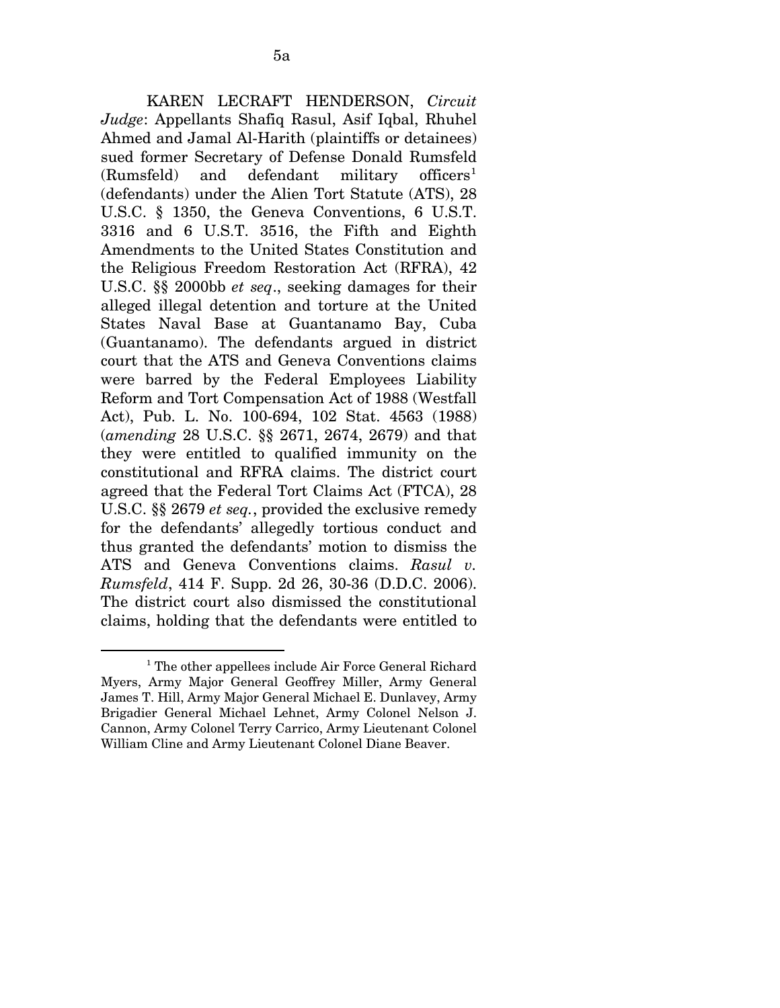KAREN LECRAFT HENDERSON, *Circuit Judge*: Appellants Shafiq Rasul, Asif Iqbal, Rhuhel Ahmed and Jamal Al-Harith (plaintiffs or detainees) sued former Secretary of Defense Donald Rumsfeld  $(Rumsfeld)$  and defendant military officers<sup>[1](#page-57-0)</sup> (defendants) under the Alien Tort Statute (ATS), 28 U.S.C. § 1350, the Geneva Conventions, 6 U.S.T. 3316 and 6 U.S.T. 3516, the Fifth and Eighth Amendments to the United States Constitution and the Religious Freedom Restoration Act (RFRA), 42 U.S.C. §§ 2000bb *et seq*., seeking damages for their alleged illegal detention and torture at the United States Naval Base at Guantanamo Bay, Cuba (Guantanamo). The defendants argued in district court that the ATS and Geneva Conventions claims were barred by the Federal Employees Liability Reform and Tort Compensation Act of 1988 (Westfall Act), Pub. L. No. 100-694, 102 Stat. 4563 (1988) (*amending* 28 U.S.C. §§ 2671, 2674, 2679) and that they were entitled to qualified immunity on the constitutional and RFRA claims. The district court agreed that the Federal Tort Claims Act (FTCA), 28 U.S.C. §§ 2679 *et seq.*, provided the exclusive remedy for the defendants' allegedly tortious conduct and thus granted the defendants' motion to dismiss the ATS and Geneva Conventions claims. *Rasul v. Rumsfeld*, 414 F. Supp. 2d 26, 30-36 (D.D.C. 2006). The district court also dismissed the constitutional claims, holding that the defendants were entitled to

 $\overline{a}$ 

<span id="page-57-0"></span><sup>&</sup>lt;sup>1</sup> The other appellees include Air Force General Richard Myers, Army Major General Geoffrey Miller, Army General James T. Hill, Army Major General Michael E. Dunlavey, Army Brigadier General Michael Lehnet, Army Colonel Nelson J. Cannon, Army Colonel Terry Carrico, Army Lieutenant Colonel William Cline and Army Lieutenant Colonel Diane Beaver.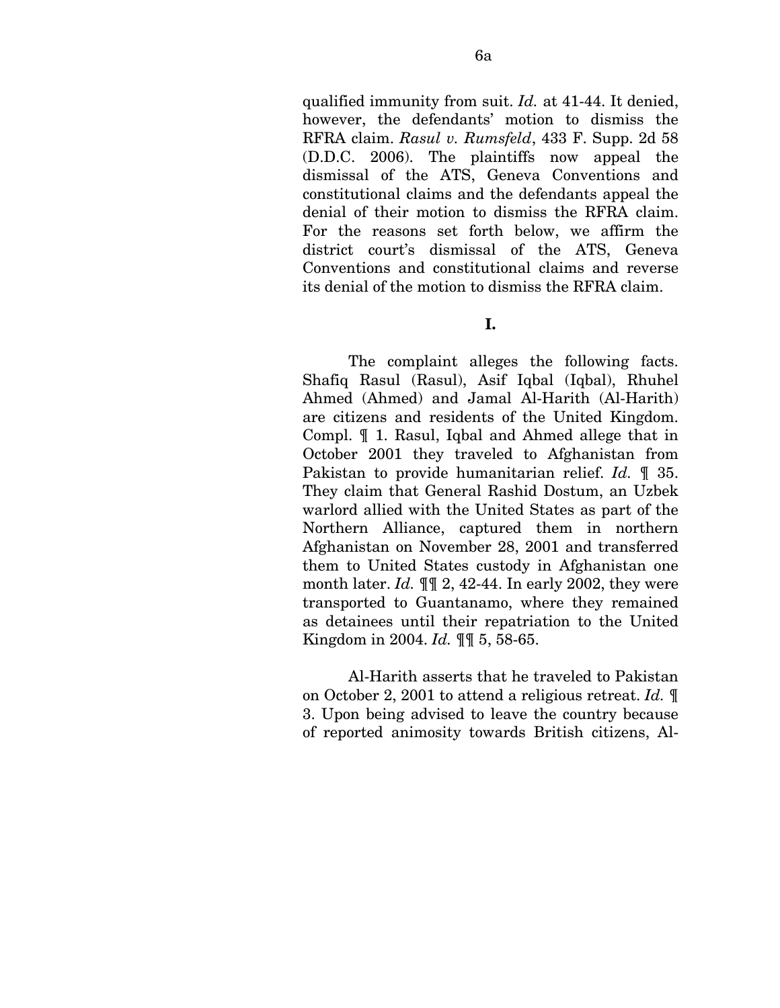qualified immunity from suit. *Id.* at 41-44. It denied, however, the defendants' motion to dismiss the RFRA claim. *Rasul v. Rumsfeld*, 433 F. Supp. 2d 58 (D.D.C. 2006). The plaintiffs now appeal the dismissal of the ATS, Geneva Conventions and constitutional claims and the defendants appeal the denial of their motion to dismiss the RFRA claim. For the reasons set forth below, we affirm the district court's dismissal of the ATS, Geneva Conventions and constitutional claims and reverse its denial of the motion to dismiss the RFRA claim.

#### **I.**

The complaint alleges the following facts. Shafiq Rasul (Rasul), Asif Iqbal (Iqbal), Rhuhel Ahmed (Ahmed) and Jamal Al-Harith (Al-Harith) are citizens and residents of the United Kingdom. Compl. ¶ 1. Rasul, Iqbal and Ahmed allege that in October 2001 they traveled to Afghanistan from Pakistan to provide humanitarian relief. *Id.* ¶ 35. They claim that General Rashid Dostum, an Uzbek warlord allied with the United States as part of the Northern Alliance, captured them in northern Afghanistan on November 28, 2001 and transferred them to United States custody in Afghanistan one month later. *Id.* ¶¶ 2, 42-44. In early 2002, they were transported to Guantanamo, where they remained as detainees until their repatriation to the United Kingdom in 2004. *Id.* ¶¶ 5, 58-65.

Al-Harith asserts that he traveled to Pakistan on October 2, 2001 to attend a religious retreat. *Id.* ¶ 3. Upon being advised to leave the country because of reported animosity towards British citizens, Al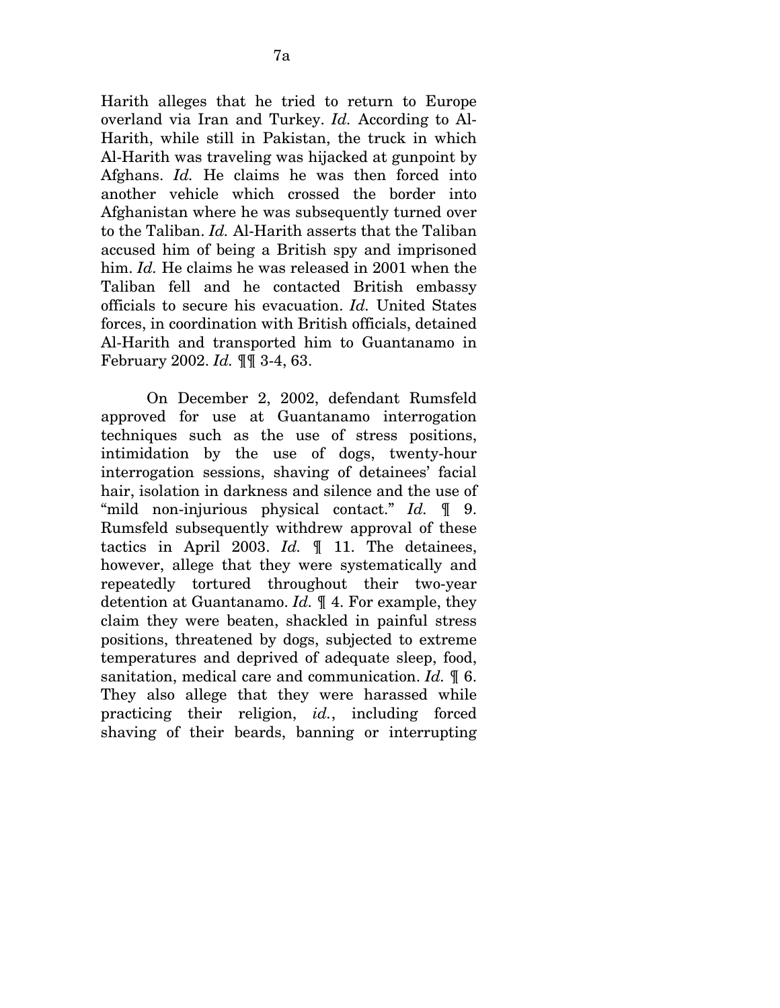Harith alleges that he tried to return to Europe overland via Iran and Turkey. *Id.* According to Al-Harith, while still in Pakistan, the truck in which Al-Harith was traveling was hijacked at gunpoint by Afghans. *Id.* He claims he was then forced into another vehicle which crossed the border into Afghanistan where he was subsequently turned over to the Taliban. *Id.* Al-Harith asserts that the Taliban accused him of being a British spy and imprisoned him. *Id.* He claims he was released in 2001 when the Taliban fell and he contacted British embassy officials to secure his evacuation. *Id.* United States forces, in coordination with British officials, detained Al-Harith and transported him to Guantanamo in February 2002. *Id.* ¶¶ 3-4, 63.

On December 2, 2002, defendant Rumsfeld approved for use at Guantanamo interrogation techniques such as the use of stress positions, intimidation by the use of dogs, twenty-hour interrogation sessions, shaving of detainees' facial hair, isolation in darkness and silence and the use of "mild non-injurious physical contact." *Id.* ¶ 9. Rumsfeld subsequently withdrew approval of these tactics in April 2003. *Id.* ¶ 11. The detainees, however, allege that they were systematically and repeatedly tortured throughout their two-year detention at Guantanamo. *Id.* ¶ 4. For example, they claim they were beaten, shackled in painful stress positions, threatened by dogs, subjected to extreme temperatures and deprived of adequate sleep, food, sanitation, medical care and communication. *Id.* ¶ 6. They also allege that they were harassed while practicing their religion, *id.*, including forced shaving of their beards, banning or interrupting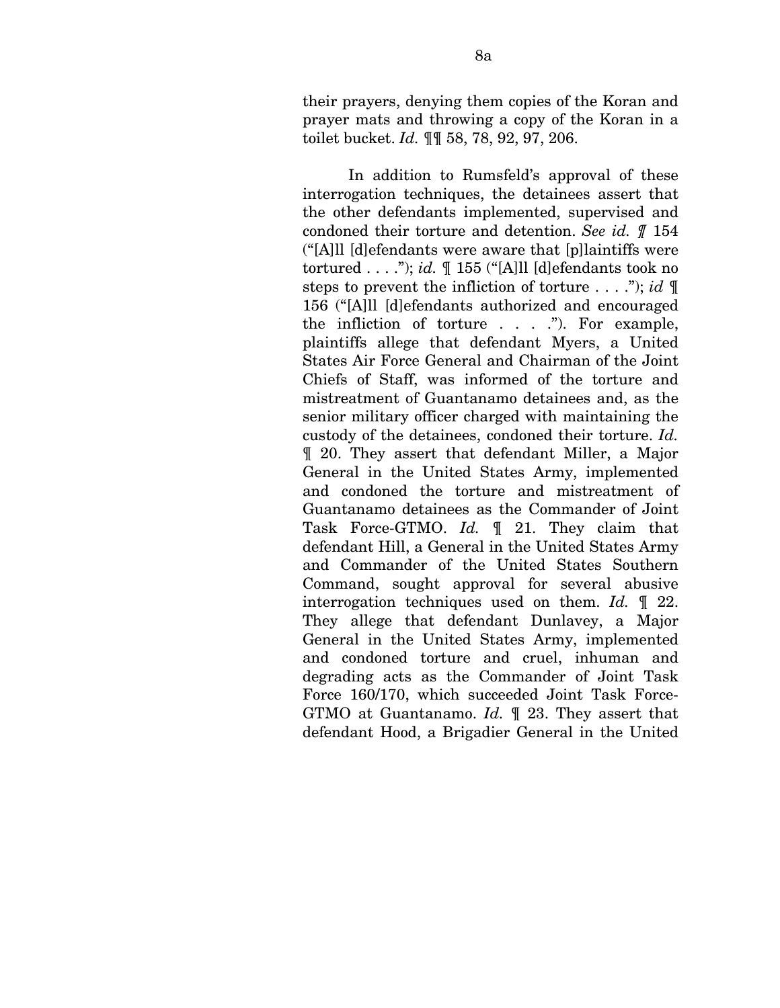their prayers, denying them copies of the Koran and prayer mats and throwing a copy of the Koran in a toilet bucket. *Id.* ¶¶ 58, 78, 92, 97, 206.

In addition to Rumsfeld's approval of these interrogation techniques, the detainees assert that the other defendants implemented, supervised and condoned their torture and detention. *See id. ¶* 154 ("[A]ll [d]efendants were aware that [p]laintiffs were tortured . . . ."); *id.* ¶ 155 ("[A]ll [d]efendants took no steps to prevent the infliction of torture . . . ."); *id* ¶ 156 ("[A]ll [d]efendants authorized and encouraged the infliction of torture  $\ldots$  ..."). For example, plaintiffs allege that defendant Myers, a United States Air Force General and Chairman of the Joint Chiefs of Staff, was informed of the torture and mistreatment of Guantanamo detainees and, as the senior military officer charged with maintaining the custody of the detainees, condoned their torture. *Id.*  ¶ 20. They assert that defendant Miller, a Major General in the United States Army, implemented and condoned the torture and mistreatment of Guantanamo detainees as the Commander of Joint Task Force-GTMO. *Id.* ¶ 21. They claim that defendant Hill, a General in the United States Army and Commander of the United States Southern Command, sought approval for several abusive interrogation techniques used on them. *Id.* ¶ 22. They allege that defendant Dunlavey, a Major General in the United States Army, implemented and condoned torture and cruel, inhuman and degrading acts as the Commander of Joint Task Force 160/170, which succeeded Joint Task Force-GTMO at Guantanamo. *Id.* ¶ 23. They assert that defendant Hood, a Brigadier General in the United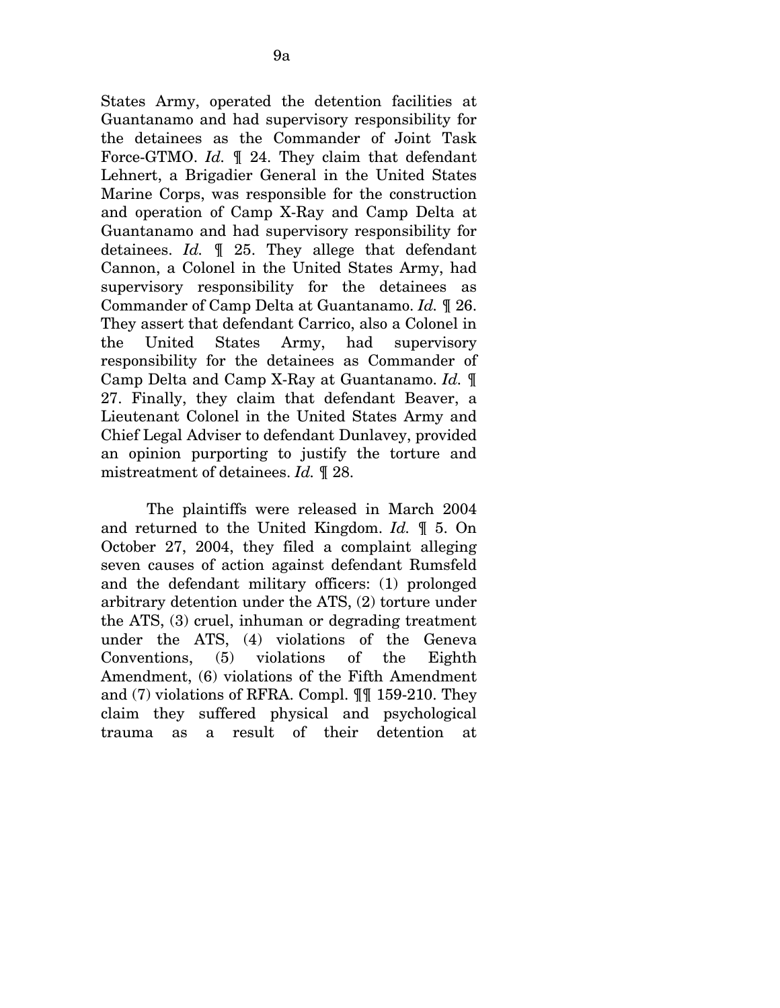States Army, operated the detention facilities at Guantanamo and had supervisory responsibility for the detainees as the Commander of Joint Task Force-GTMO. *Id.* ¶ 24. They claim that defendant Lehnert, a Brigadier General in the United States Marine Corps, was responsible for the construction and operation of Camp X-Ray and Camp Delta at Guantanamo and had supervisory responsibility for detainees. *Id.* ¶ 25. They allege that defendant Cannon, a Colonel in the United States Army, had supervisory responsibility for the detainees as Commander of Camp Delta at Guantanamo. *Id.* ¶ 26. They assert that defendant Carrico, also a Colonel in the United States Army, had supervisory responsibility for the detainees as Commander of Camp Delta and Camp X-Ray at Guantanamo. *Id.* ¶ 27. Finally, they claim that defendant Beaver, a Lieutenant Colonel in the United States Army and Chief Legal Adviser to defendant Dunlavey, provided an opinion purporting to justify the torture and mistreatment of detainees. *Id.* ¶ 28.

The plaintiffs were released in March 2004 and returned to the United Kingdom. *Id.* ¶ 5. On October 27, 2004, they filed a complaint alleging seven causes of action against defendant Rumsfeld and the defendant military officers: (1) prolonged arbitrary detention under the ATS, (2) torture under the ATS, (3) cruel, inhuman or degrading treatment under the ATS, (4) violations of the Geneva Conventions, (5) violations of the Eighth Amendment, (6) violations of the Fifth Amendment and (7) violations of RFRA. Compl. ¶¶ 159-210. They claim they suffered physical and psychological trauma as a result of their detention at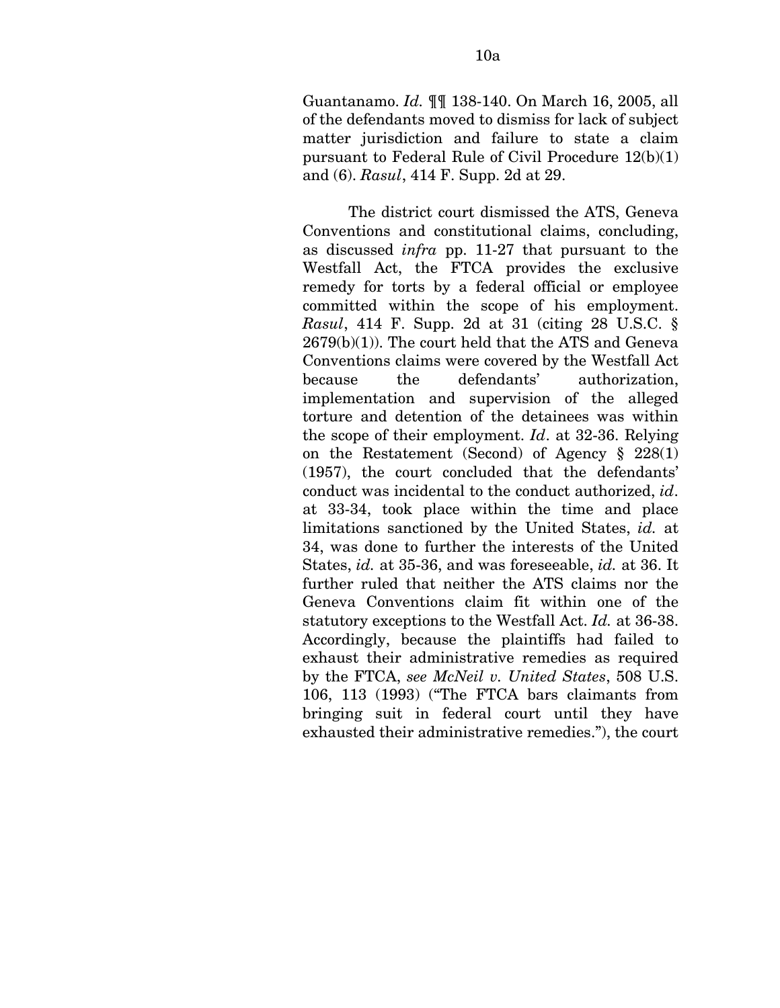Guantanamo. *Id.* ¶¶ 138-140. On March 16, 2005, all of the defendants moved to dismiss for lack of subject matter jurisdiction and failure to state a claim pursuant to Federal Rule of Civil Procedure 12(b)(1) and (6). *Rasul*, 414 F. Supp. 2d at 29.

The district court dismissed the ATS, Geneva Conventions and constitutional claims, concluding, as discussed *infra* pp. 11-27 that pursuant to the Westfall Act, the FTCA provides the exclusive remedy for torts by a federal official or employee committed within the scope of his employment. *Rasul*, 414 F. Supp. 2d at 31 (citing 28 U.S.C. § 2679(b)(1)). The court held that the ATS and Geneva Conventions claims were covered by the Westfall Act because the defendants' authorization, implementation and supervision of the alleged torture and detention of the detainees was within the scope of their employment. *Id*. at 32-36. Relying on the Restatement (Second) of Agency § 228(1) (1957), the court concluded that the defendants' conduct was incidental to the conduct authorized, *id*. at 33-34, took place within the time and place limitations sanctioned by the United States, *id.* at 34, was done to further the interests of the United States, *id.* at 35-36, and was foreseeable, *id.* at 36. It further ruled that neither the ATS claims nor the Geneva Conventions claim fit within one of the statutory exceptions to the Westfall Act. *Id.* at 36-38. Accordingly, because the plaintiffs had failed to exhaust their administrative remedies as required by the FTCA, *see McNeil v. United States*, 508 U.S. 106, 113 (1993) ("The FTCA bars claimants from bringing suit in federal court until they have exhausted their administrative remedies."), the court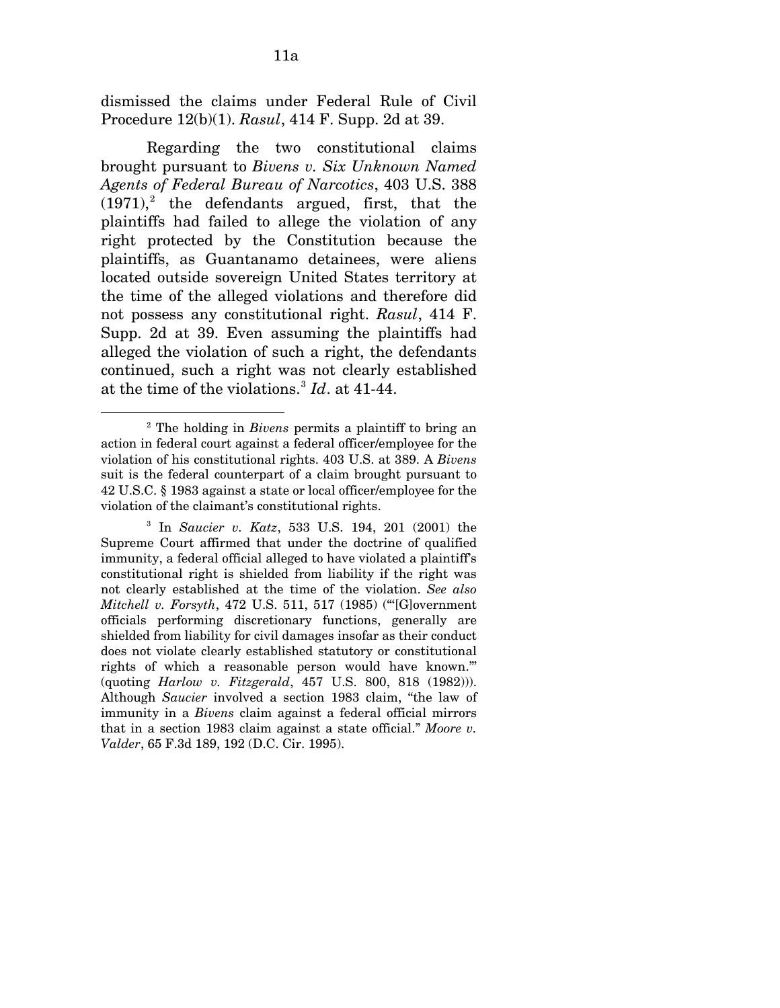dismissed the claims under Federal Rule of Civil Procedure 12(b)(1). *Rasul*, 414 F. Supp. 2d at 39.

Regarding the two constitutional claims brought pursuant to *Bivens v. Six Unknown Named Agents of Federal Bureau of Narcotics*, 403 U.S. 388  $(1971)<sup>2</sup>$  $(1971)<sup>2</sup>$  $(1971)<sup>2</sup>$  the defendants argued, first, that the plaintiffs had failed to allege the violation of any right protected by the Constitution because the plaintiffs, as Guantanamo detainees, were aliens located outside sovereign United States territory at the time of the alleged violations and therefore did not possess any constitutional right. *Rasul*, 414 F. Supp. 2d at 39. Even assuming the plaintiffs had alleged the violation of such a right, the defendants continued, such a right was not clearly established at the time of the violations.[3](#page-63-1) *Id*. at 41-44.

 $\overline{a}$ 

<span id="page-63-0"></span><sup>&</sup>lt;sup>2</sup> The holding in *Bivens* permits a plaintiff to bring an action in federal court against a federal officer/employee for the violation of his constitutional rights. 403 U.S. at 389. A *Bivens*  suit is the federal counterpart of a claim brought pursuant to 42 U.S.C. § 1983 against a state or local officer/employee for the violation of the claimant's constitutional rights.

<span id="page-63-1"></span><sup>3</sup> In *Saucier v. Katz*, 533 U.S. 194, 201 (2001) the Supreme Court affirmed that under the doctrine of qualified immunity, a federal official alleged to have violated a plaintiff's constitutional right is shielded from liability if the right was not clearly established at the time of the violation. *See also Mitchell v. Forsyth*, 472 U.S. 511, 517 (1985) ("'[G]overnment officials performing discretionary functions, generally are shielded from liability for civil damages insofar as their conduct does not violate clearly established statutory or constitutional rights of which a reasonable person would have known."' (quoting *Harlow v. Fitzgerald*, 457 U.S. 800, 818 (1982))). Although *Saucier* involved a section 1983 claim, "the law of immunity in a *Bivens* claim against a federal official mirrors that in a section 1983 claim against a state official." *Moore v. Valder*, 65 F.3d 189, 192 (D.C. Cir. 1995).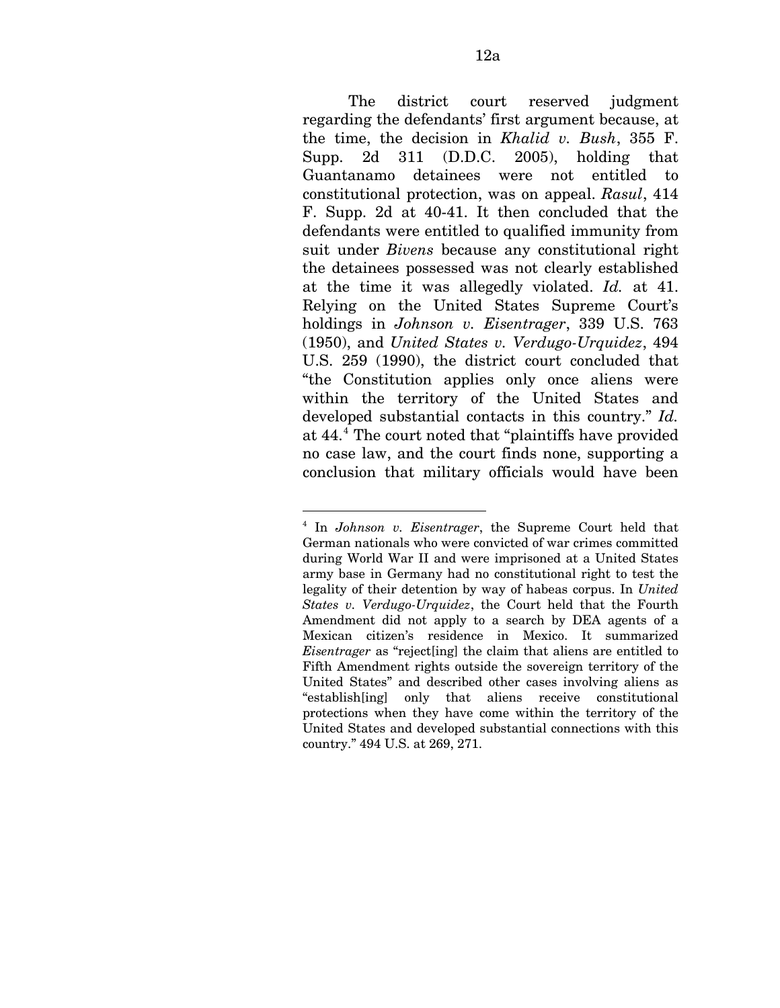The district court reserved judgment regarding the defendants' first argument because, at the time, the decision in *Khalid v. Bush*, 355 F. Supp. 2d 311 (D.D.C. 2005), holding that Guantanamo detainees were not entitled to constitutional protection, was on appeal. *Rasul*, 414 F. Supp. 2d at 40-41. It then concluded that the defendants were entitled to qualified immunity from suit under *Bivens* because any constitutional right the detainees possessed was not clearly established at the time it was allegedly violated. *Id.* at 41. Relying on the United States Supreme Court's holdings in *Johnson v. Eisentrager*, 339 U.S. 763 (1950), and *United States v. Verdugo-Urquidez*, 494 U.S. 259 (1990), the district court concluded that "the Constitution applies only once aliens were within the territory of the United States and developed substantial contacts in this country." *Id.*  at [4](#page-64-0)4.<sup>4</sup> The court noted that "plaintiffs have provided no case law, and the court finds none, supporting a conclusion that military officials would have been

<u>.</u>

<span id="page-64-0"></span><sup>4</sup> In *Johnson v. Eisentrager*, the Supreme Court held that German nationals who were convicted of war crimes committed during World War II and were imprisoned at a United States army base in Germany had no constitutional right to test the legality of their detention by way of habeas corpus. In *United States v. Verdugo-Urquidez*, the Court held that the Fourth Amendment did not apply to a search by DEA agents of a Mexican citizen's residence in Mexico. It summarized *Eisentrager* as "reject[ing] the claim that aliens are entitled to Fifth Amendment rights outside the sovereign territory of the United States" and described other cases involving aliens as "establish[ing] only that aliens receive constitutional protections when they have come within the territory of the United States and developed substantial connections with this country." 494 U.S. at 269, 271.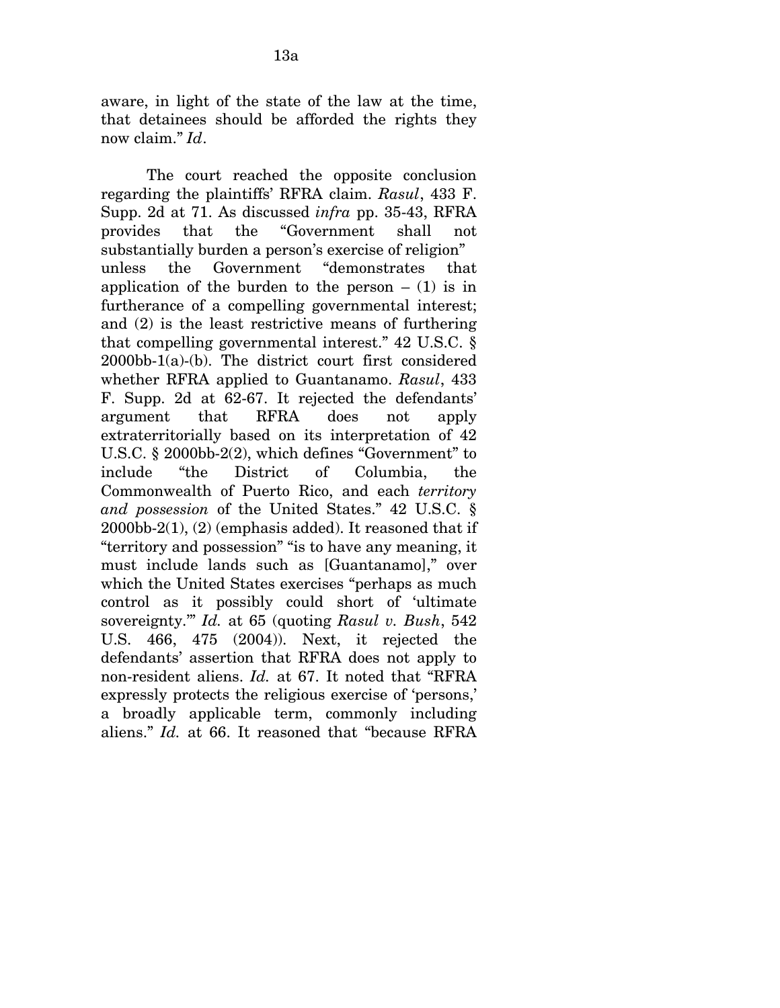aware, in light of the state of the law at the time, that detainees should be afforded the rights they now claim." *Id*.

The court reached the opposite conclusion regarding the plaintiffs' RFRA claim. *Rasul*, 433 F. Supp. 2d at 71. As discussed *infra* pp. 35-43, RFRA provides that the "Government shall not substantially burden a person's exercise of religion" unless the Government "demonstrates that application of the burden to the person  $-$  (1) is in furtherance of a compelling governmental interest; and (2) is the least restrictive means of furthering that compelling governmental interest." 42 U.S.C. § 2000bb-1(a)-(b). The district court first considered whether RFRA applied to Guantanamo. *Rasul*, 433 F. Supp. 2d at 62-67. It rejected the defendants' argument that RFRA does not apply extraterritorially based on its interpretation of 42 U.S.C. § 2000bb-2(2), which defines "Government" to include "the District of Columbia, the Commonwealth of Puerto Rico, and each *territory and possession* of the United States." 42 U.S.C. § 2000bb-2(1), (2) (emphasis added). It reasoned that if "territory and possession" "is to have any meaning, it must include lands such as [Guantanamo]," over which the United States exercises "perhaps as much control as it possibly could short of 'ultimate sovereignty.'" *Id.* at 65 (quoting *Rasul v. Bush*, 542 U.S. 466, 475 (2004)). Next, it rejected the defendants' assertion that RFRA does not apply to non-resident aliens. *Id.* at 67. It noted that "RFRA expressly protects the religious exercise of 'persons,' a broadly applicable term, commonly including aliens." *Id.* at 66. It reasoned that "because RFRA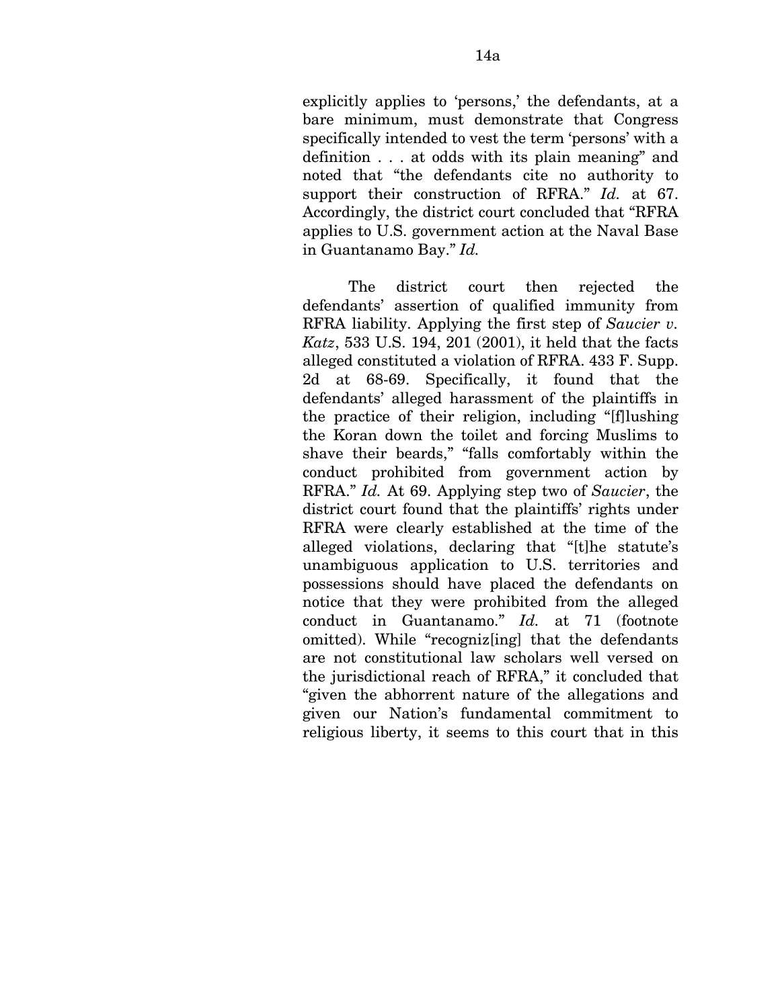explicitly applies to 'persons,' the defendants, at a bare minimum, must demonstrate that Congress specifically intended to vest the term 'persons' with a definition . . . at odds with its plain meaning" and noted that "the defendants cite no authority to support their construction of RFRA." *Id.* at 67. Accordingly, the district court concluded that "RFRA applies to U.S. government action at the Naval Base in Guantanamo Bay." *Id.* 

The district court then rejected the defendants' assertion of qualified immunity from RFRA liability. Applying the first step of *Saucier v. Katz*, 533 U.S. 194, 201 (2001), it held that the facts alleged constituted a violation of RFRA. 433 F. Supp. 2d at 68-69. Specifically, it found that the defendants' alleged harassment of the plaintiffs in the practice of their religion, including "[f]lushing the Koran down the toilet and forcing Muslims to shave their beards," "falls comfortably within the conduct prohibited from government action by RFRA." *Id.* At 69. Applying step two of *Saucier*, the district court found that the plaintiffs' rights under RFRA were clearly established at the time of the alleged violations, declaring that "[t]he statute's unambiguous application to U.S. territories and possessions should have placed the defendants on notice that they were prohibited from the alleged conduct in Guantanamo." *Id.* at 71 (footnote omitted). While "recogniz[ing] that the defendants are not constitutional law scholars well versed on the jurisdictional reach of RFRA," it concluded that "given the abhorrent nature of the allegations and given our Nation's fundamental commitment to religious liberty, it seems to this court that in this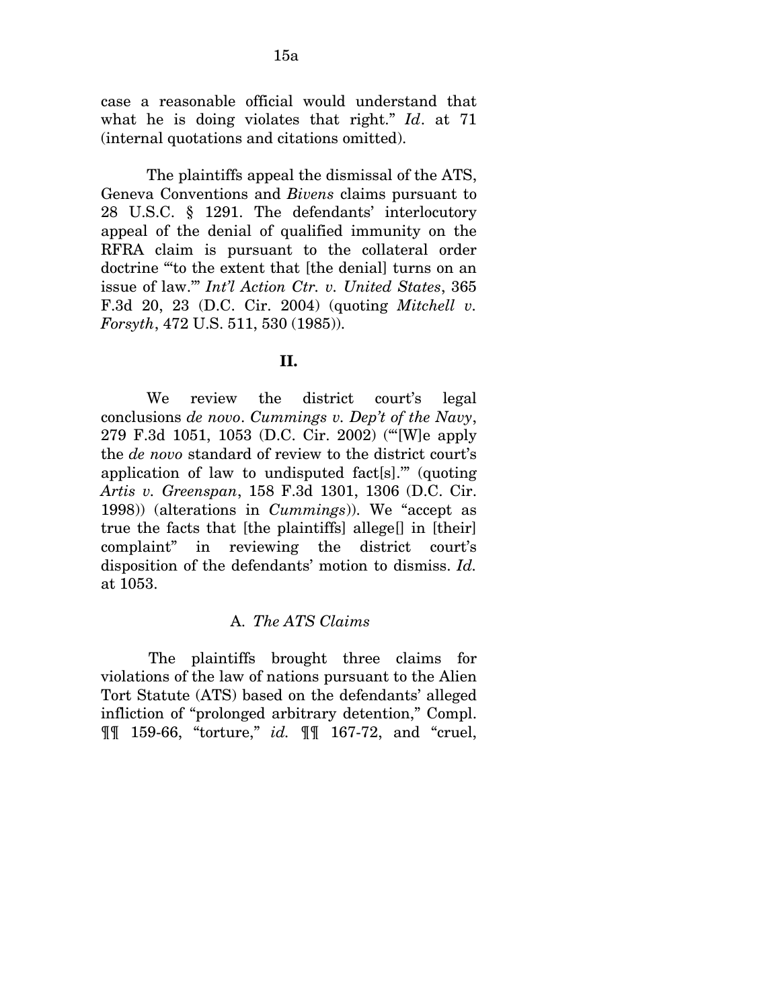case a reasonable official would understand that what he is doing violates that right." *Id*. at 71 (internal quotations and citations omitted).

The plaintiffs appeal the dismissal of the ATS, Geneva Conventions and *Bivens* claims pursuant to 28 U.S.C. § 1291. The defendants' interlocutory appeal of the denial of qualified immunity on the RFRA claim is pursuant to the collateral order doctrine "'to the extent that [the denial] turns on an issue of law.'" *Int'l Action Ctr. v. United States*, 365 F.3d 20, 23 (D.C. Cir. 2004) (quoting *Mitchell v. Forsyth*, 472 U.S. 511, 530 (1985)).

### **II.**

We review the district court's legal conclusions *de novo*. *Cummings v. Dep't of the Navy*, 279 F.3d 1051, 1053 (D.C. Cir. 2002) ("'[W]e apply the *de novo* standard of review to the district court's application of law to undisputed fact[s].'" (quoting *Artis v. Greenspan*, 158 F.3d 1301, 1306 (D.C. Cir. 1998)) (alterations in *Cummings*)). We "accept as true the facts that [the plaintiffs] allege[] in [their] complaint" in reviewing the district court's disposition of the defendants' motion to dismiss. *Id.*  at 1053.

# A. *The ATS Claims*

The plaintiffs brought three claims for violations of the law of nations pursuant to the Alien Tort Statute (ATS) based on the defendants' alleged infliction of "prolonged arbitrary detention," Compl. ¶¶ 159-66, "torture," *id.* ¶¶ 167-72, and "cruel,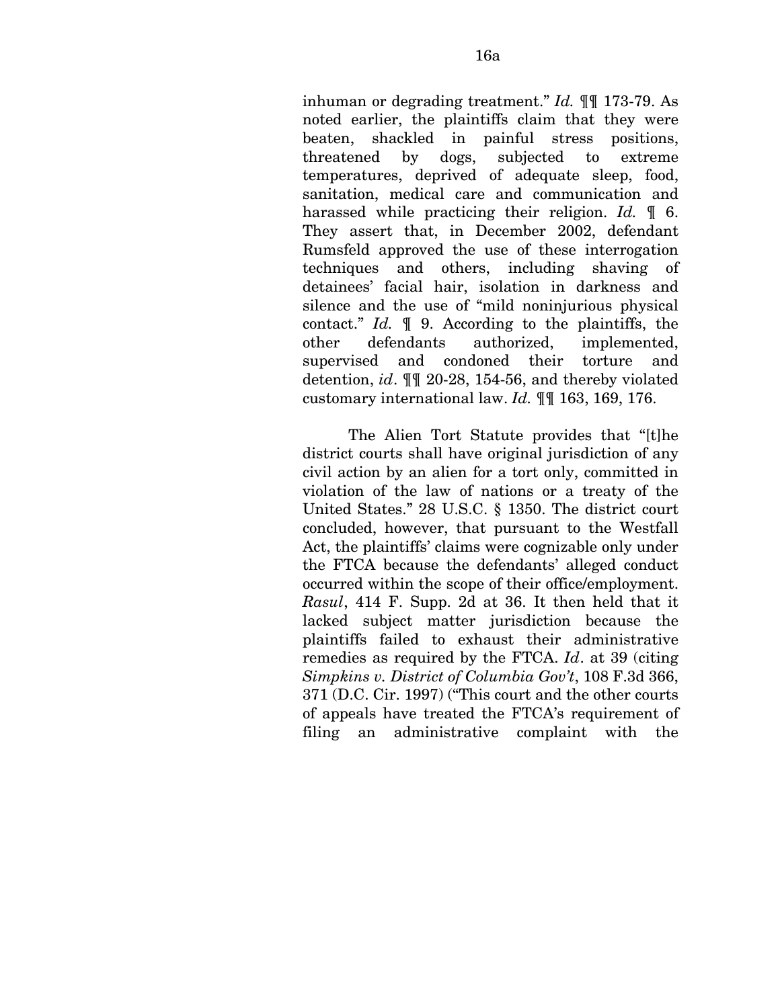inhuman or degrading treatment." *Id.* ¶¶ 173-79. As noted earlier, the plaintiffs claim that they were beaten, shackled in painful stress positions, threatened by dogs, subjected to extreme temperatures, deprived of adequate sleep, food, sanitation, medical care and communication and harassed while practicing their religion. *Id.* ¶ 6. They assert that, in December 2002, defendant Rumsfeld approved the use of these interrogation techniques and others, including shaving of detainees' facial hair, isolation in darkness and silence and the use of "mild noninjurious physical contact." *Id.* ¶ 9. According to the plaintiffs, the other defendants authorized, implemented, supervised and condoned their torture and detention, *id*. ¶¶ 20-28, 154-56, and thereby violated customary international law. *Id.* ¶¶ 163, 169, 176.

The Alien Tort Statute provides that "[t]he district courts shall have original jurisdiction of any civil action by an alien for a tort only, committed in violation of the law of nations or a treaty of the United States." 28 U.S.C. § 1350. The district court concluded, however, that pursuant to the Westfall Act, the plaintiffs' claims were cognizable only under the FTCA because the defendants' alleged conduct occurred within the scope of their office/employment. *Rasul*, 414 F. Supp. 2d at 36. It then held that it lacked subject matter jurisdiction because the plaintiffs failed to exhaust their administrative remedies as required by the FTCA. *Id*. at 39 (citing *Simpkins v. District of Columbia Gov't*, 108 F.3d 366, 371 (D.C. Cir. 1997) ("This court and the other courts of appeals have treated the FTCA's requirement of filing an administrative complaint with the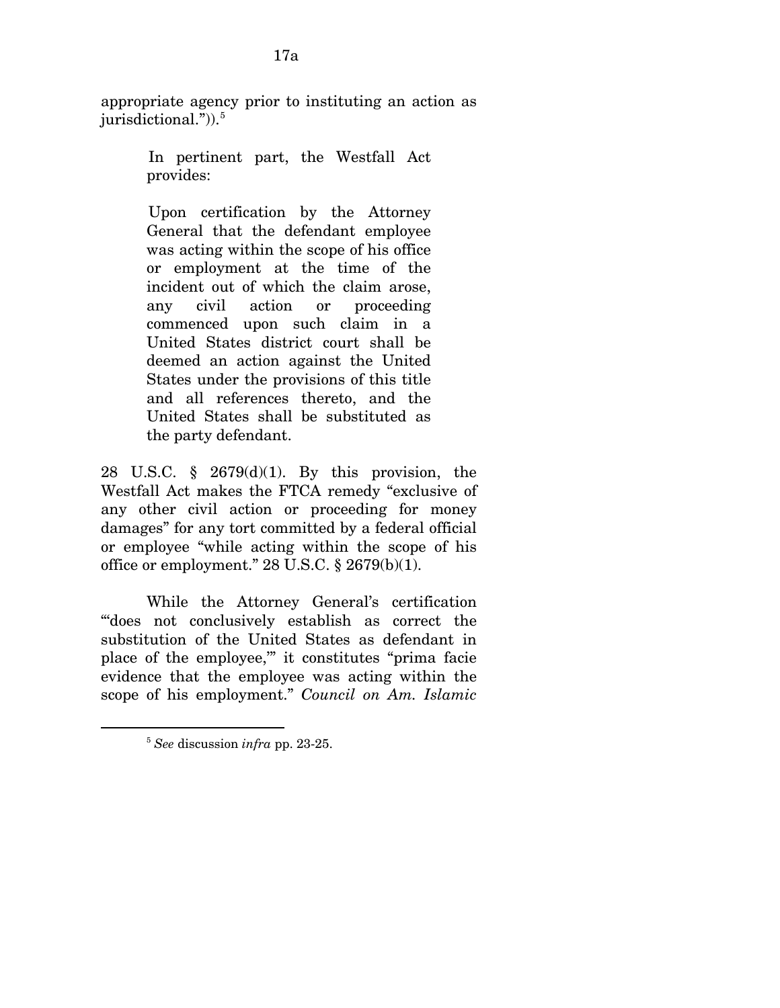appropriate agency prior to instituting an action as jurisdictional." $)$ ).<sup>[5](#page-69-0)</sup>

> In pertinent part, the Westfall Act provides:

Upon certification by the Attorney General that the defendant employee was acting within the scope of his office or employment at the time of the incident out of which the claim arose, any civil action or proceeding commenced upon such claim in a United States district court shall be deemed an action against the United States under the provisions of this title and all references thereto, and the United States shall be substituted as the party defendant.

28 U.S.C. § 2679(d)(1). By this provision, the Westfall Act makes the FTCA remedy "exclusive of any other civil action or proceeding for money damages" for any tort committed by a federal official or employee "while acting within the scope of his office or employment." 28 U.S.C. § 2679(b)(1).

While the Attorney General's certification "'does not conclusively establish as correct the substitution of the United States as defendant in place of the employee,'" it constitutes "prima facie evidence that the employee was acting within the scope of his employment." *Council on Am. Islamic* 

<span id="page-69-0"></span> $\overline{a}$ 

<sup>5</sup> *See* discussion *infra* pp. 23-25.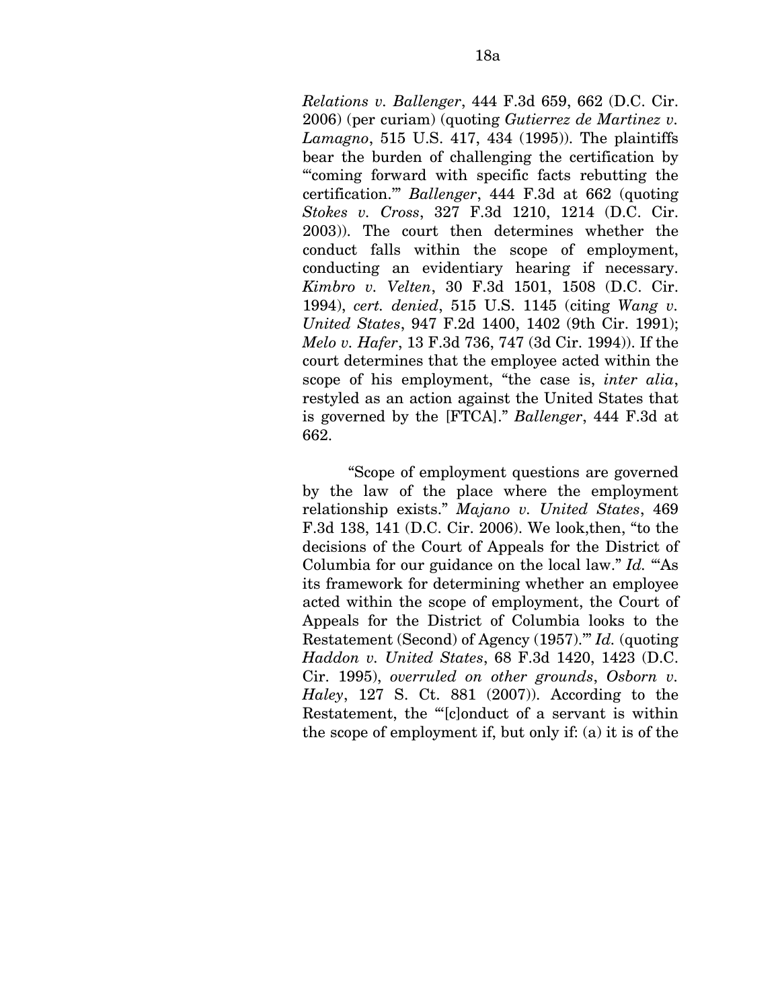*Relations v. Ballenger*, 444 F.3d 659, 662 (D.C. Cir. 2006) (per curiam) (quoting *Gutierrez de Martinez v. Lamagno*, 515 U.S. 417, 434 (1995)). The plaintiffs bear the burden of challenging the certification by "'coming forward with specific facts rebutting the certification.'" *Ballenger*, 444 F.3d at 662 (quoting *Stokes v. Cross*, 327 F.3d 1210, 1214 (D.C. Cir. 2003)). The court then determines whether the conduct falls within the scope of employment, conducting an evidentiary hearing if necessary. *Kimbro v. Velten*, 30 F.3d 1501, 1508 (D.C. Cir. 1994), *cert. denied*, 515 U.S. 1145 (citing *Wang v. United States*, 947 F.2d 1400, 1402 (9th Cir. 1991); *Melo v. Hafer*, 13 F.3d 736, 747 (3d Cir. 1994)). If the court determines that the employee acted within the scope of his employment, "the case is, *inter alia*, restyled as an action against the United States that is governed by the [FTCA]." *Ballenger*, 444 F.3d at 662.

"Scope of employment questions are governed by the law of the place where the employment relationship exists." *Majano v. United States*, 469 F.3d 138, 141 (D.C. Cir. 2006). We look,then, "to the decisions of the Court of Appeals for the District of Columbia for our guidance on the local law." *Id.* "As its framework for determining whether an employee acted within the scope of employment, the Court of Appeals for the District of Columbia looks to the Restatement (Second) of Agency (1957).'" *Id.* (quoting *Haddon v. United States*, 68 F.3d 1420, 1423 (D.C. Cir. 1995), *overruled on other grounds*, *Osborn v. Haley*, 127 S. Ct. 881 (2007)). According to the Restatement, the "'[c]onduct of a servant is within the scope of employment if, but only if: (a) it is of the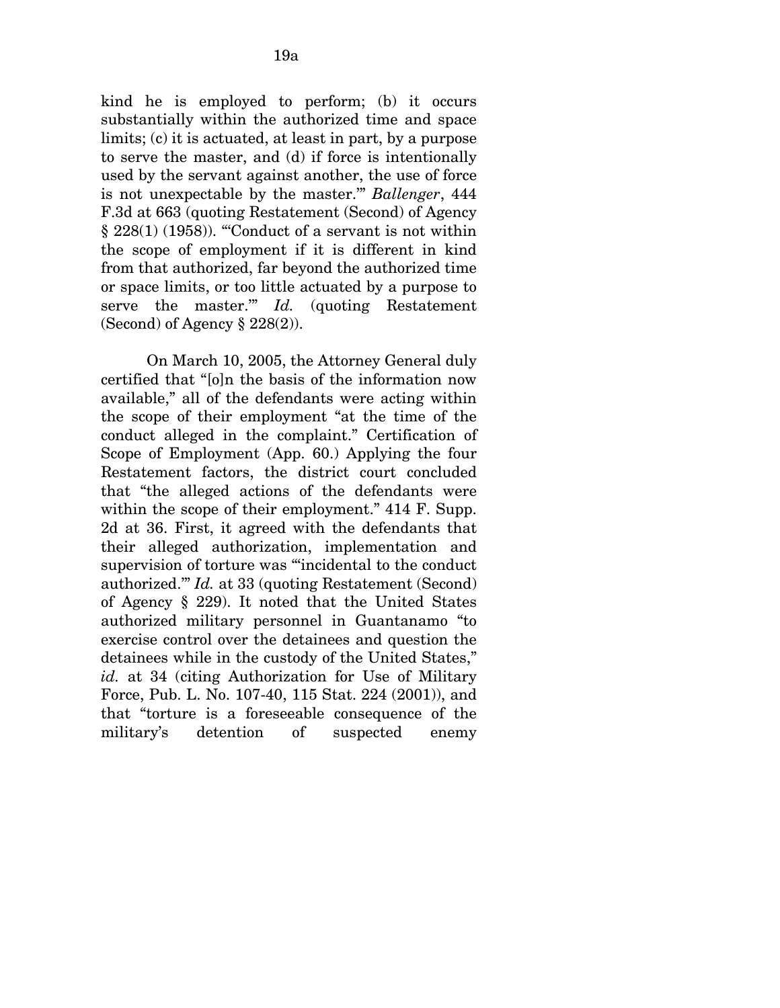kind he is employed to perform; (b) it occurs substantially within the authorized time and space limits; (c) it is actuated, at least in part, by a purpose to serve the master, and (d) if force is intentionally used by the servant against another, the use of force is not unexpectable by the master.'" *Ballenger*, 444 F.3d at 663 (quoting Restatement (Second) of Agency  $\S 228(1)$  (1958)). "Conduct of a servant is not within the scope of employment if it is different in kind from that authorized, far beyond the authorized time or space limits, or too little actuated by a purpose to serve the master.'" *Id.* (quoting Restatement (Second) of Agency  $\S 228(2)$ ).

On March 10, 2005, the Attorney General duly certified that "[o]n the basis of the information now available," all of the defendants were acting within the scope of their employment "at the time of the conduct alleged in the complaint." Certification of Scope of Employment (App. 60.) Applying the four Restatement factors, the district court concluded that "the alleged actions of the defendants were within the scope of their employment." 414 F. Supp. 2d at 36. First, it agreed with the defendants that their alleged authorization, implementation and supervision of torture was "'incidental to the conduct authorized.'" *Id.* at 33 (quoting Restatement (Second) of Agency § 229). It noted that the United States authorized military personnel in Guantanamo "to exercise control over the detainees and question the detainees while in the custody of the United States," *id.* at 34 (citing Authorization for Use of Military Force, Pub. L. No. 107-40, 115 Stat. 224 (2001)), and that "torture is a foreseeable consequence of the military's detention of suspected enemy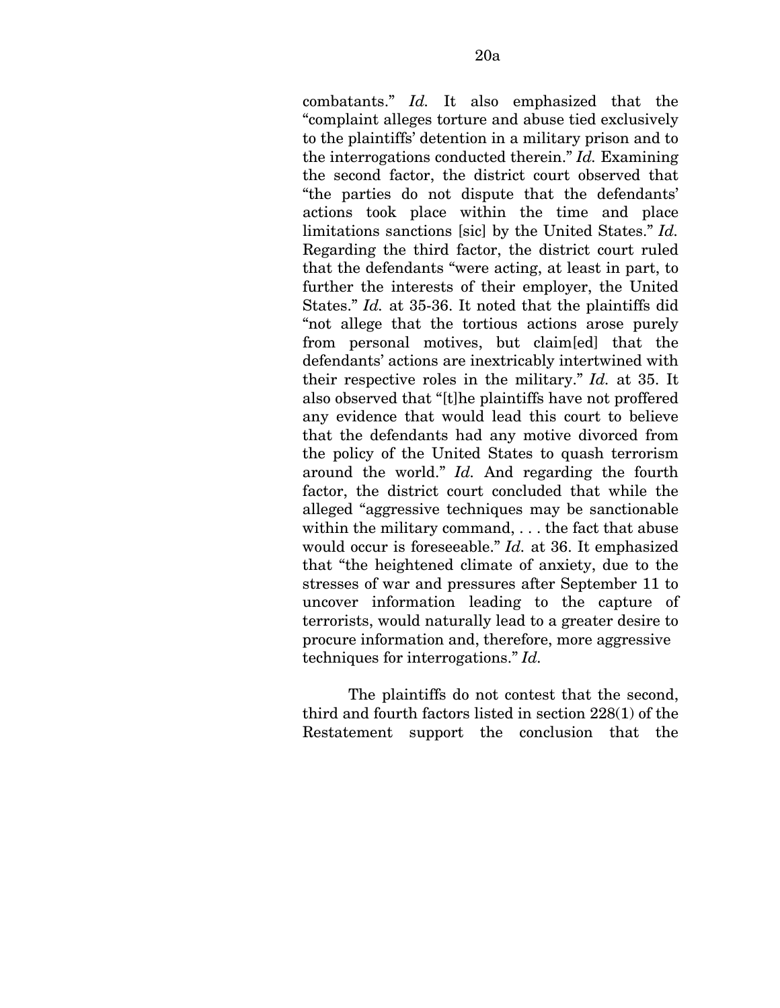combatants." *Id.* It also emphasized that the "complaint alleges torture and abuse tied exclusively to the plaintiffs' detention in a military prison and to the interrogations conducted therein." *Id.* Examining the second factor, the district court observed that "the parties do not dispute that the defendants' actions took place within the time and place limitations sanctions [sic] by the United States." *Id.*  Regarding the third factor, the district court ruled that the defendants "were acting, at least in part, to further the interests of their employer, the United States." *Id.* at 35-36. It noted that the plaintiffs did "not allege that the tortious actions arose purely from personal motives, but claim[ed] that the defendants' actions are inextricably intertwined with their respective roles in the military." *Id.* at 35. It also observed that "[t]he plaintiffs have not proffered any evidence that would lead this court to believe that the defendants had any motive divorced from the policy of the United States to quash terrorism around the world." *Id.* And regarding the fourth factor, the district court concluded that while the alleged "aggressive techniques may be sanctionable within the military command, . . . the fact that abuse would occur is foreseeable." *Id.* at 36. It emphasized that "the heightened climate of anxiety, due to the stresses of war and pressures after September 11 to uncover information leading to the capture of terrorists, would naturally lead to a greater desire to procure information and, therefore, more aggressive techniques for interrogations." *Id.* 

The plaintiffs do not contest that the second, third and fourth factors listed in section 228(1) of the Restatement support the conclusion that the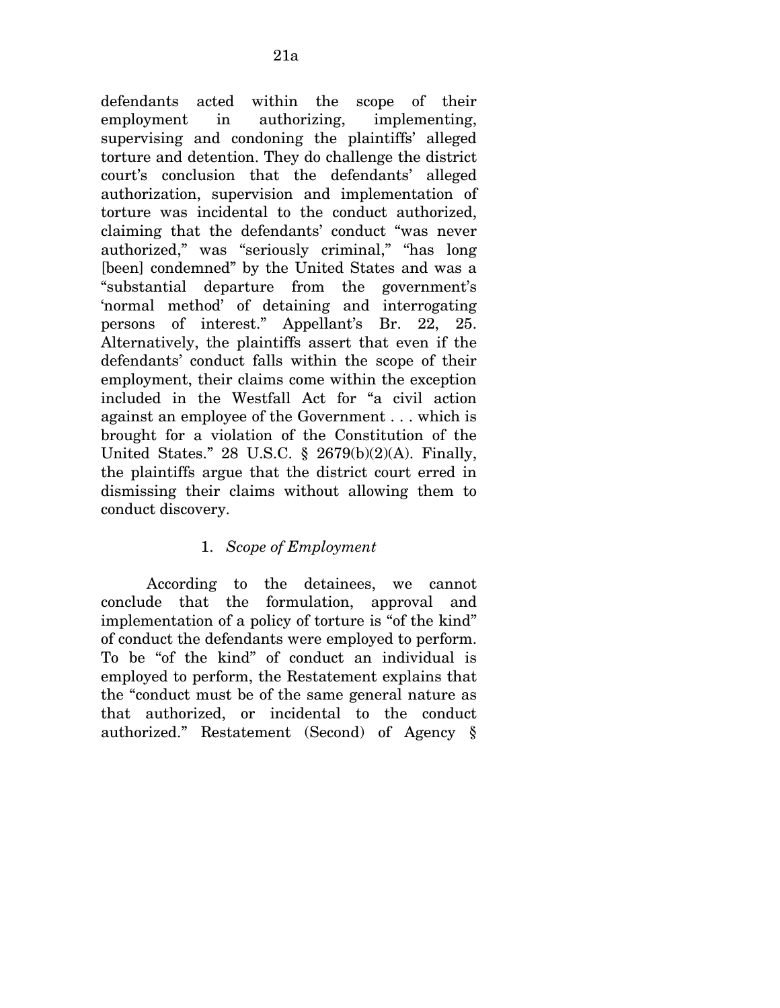defendants acted within the scope of their employment in authorizing, implementing, supervising and condoning the plaintiffs' alleged torture and detention. They do challenge the district court's conclusion that the defendants' alleged authorization, supervision and implementation of torture was incidental to the conduct authorized, claiming that the defendants' conduct "was never authorized," was "seriously criminal," "has long [been] condemned" by the United States and was a "substantial departure from the government's 'normal method' of detaining and interrogating persons of interest." Appellant's Br. 22, 25. Alternatively, the plaintiffs assert that even if the defendants' conduct falls within the scope of their employment, their claims come within the exception included in the Westfall Act for "a civil action against an employee of the Government . . . which is brought for a violation of the Constitution of the United States." 28 U.S.C. § 2679(b)(2)(A). Finally, the plaintiffs argue that the district court erred in dismissing their claims without allowing them to conduct discovery.

## 1. *Scope of Employment*

According to the detainees, we cannot conclude that the formulation, approval and implementation of a policy of torture is "of the kind" of conduct the defendants were employed to perform. To be "of the kind" of conduct an individual is employed to perform, the Restatement explains that the "conduct must be of the same general nature as that authorized, or incidental to the conduct authorized." Restatement (Second) of Agency §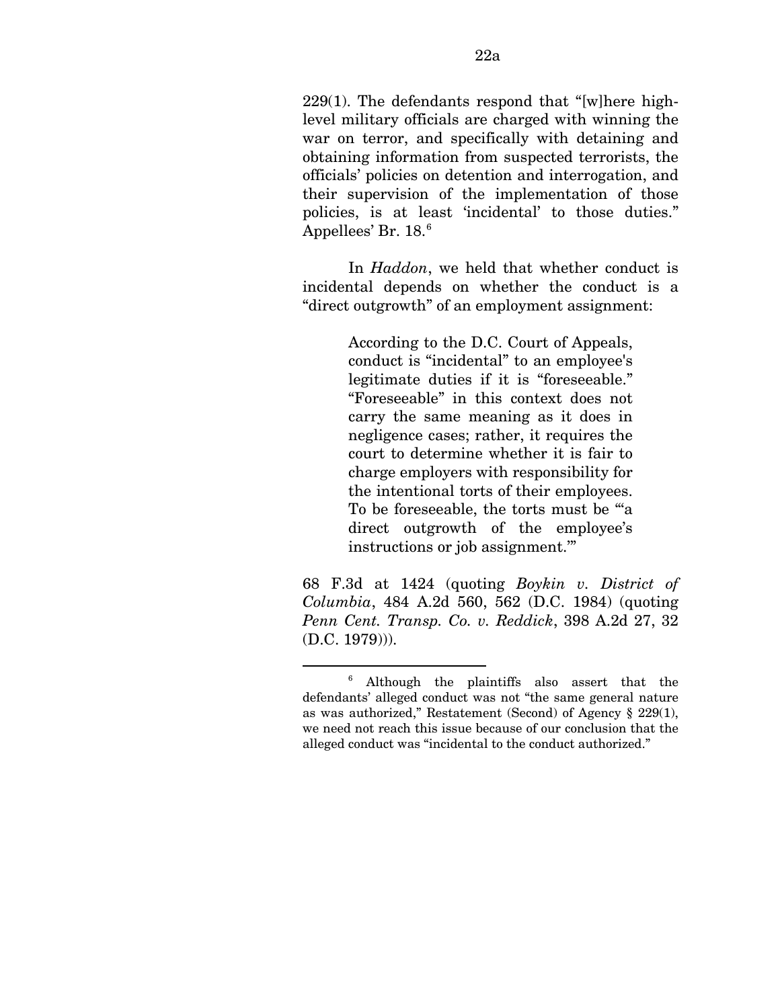229(1). The defendants respond that "[w]here highlevel military officials are charged with winning the war on terror, and specifically with detaining and obtaining information from suspected terrorists, the officials' policies on detention and interrogation, and their supervision of the implementation of those policies, is at least 'incidental' to those duties." Appellees' Br. 18.<sup>[6](#page-74-0)</sup>

In *Haddon*, we held that whether conduct is incidental depends on whether the conduct is a "direct outgrowth" of an employment assignment:

> According to the D.C. Court of Appeals, conduct is "incidental" to an employee's legitimate duties if it is "foreseeable." "Foreseeable" in this context does not carry the same meaning as it does in negligence cases; rather, it requires the court to determine whether it is fair to charge employers with responsibility for the intentional torts of their employees. To be foreseeable, the torts must be "'a direct outgrowth of the employee's instructions or job assignment.'"

68 F.3d at 1424 (quoting *Boykin v. District of Columbia*, 484 A.2d 560, 562 (D.C. 1984) (quoting *Penn Cent. Transp. Co. v. Reddick*, 398 A.2d 27, 32 (D.C. 1979))).

<u>.</u>

<span id="page-74-0"></span><sup>6</sup> Although the plaintiffs also assert that the defendants' alleged conduct was not "the same general nature as was authorized," Restatement (Second) of Agency § 229(1), we need not reach this issue because of our conclusion that the alleged conduct was "incidental to the conduct authorized."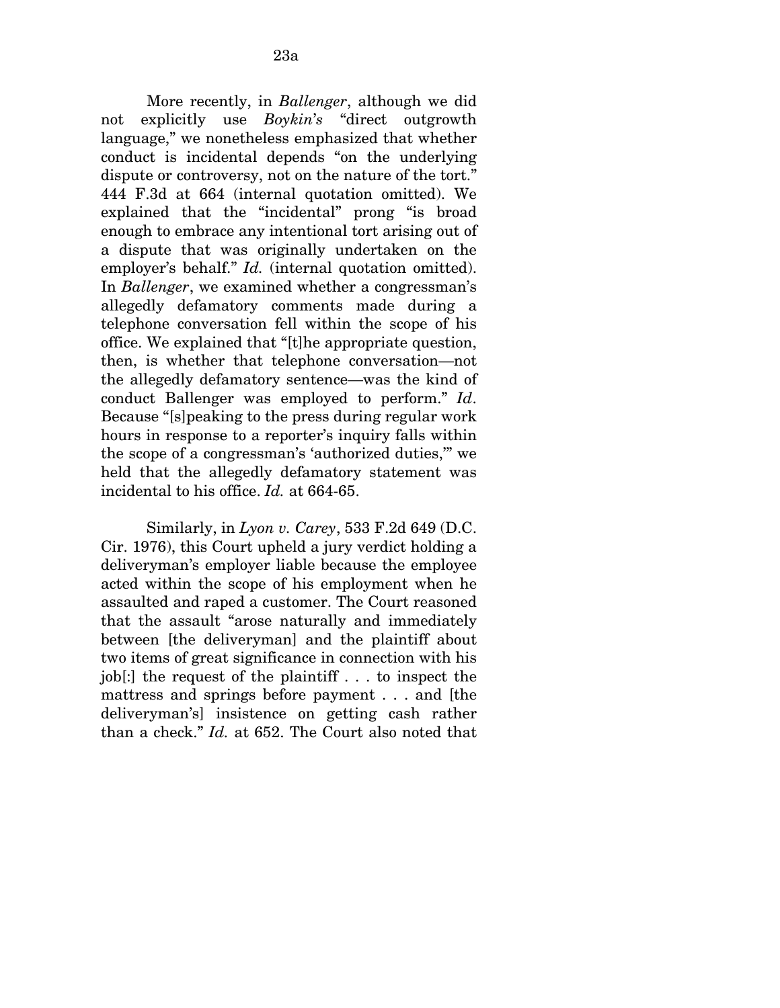More recently, in *Ballenger*, although we did not explicitly use *Boykin*'*s* "direct outgrowth language," we nonetheless emphasized that whether conduct is incidental depends "on the underlying dispute or controversy, not on the nature of the tort." 444 F.3d at 664 (internal quotation omitted). We explained that the "incidental" prong "is broad enough to embrace any intentional tort arising out of a dispute that was originally undertaken on the employer's behalf." *Id.* (internal quotation omitted). In *Ballenger*, we examined whether a congressman's allegedly defamatory comments made during a telephone conversation fell within the scope of his office. We explained that "[t]he appropriate question, then, is whether that telephone conversation—not the allegedly defamatory sentence—was the kind of conduct Ballenger was employed to perform." *Id*. Because "[s]peaking to the press during regular work hours in response to a reporter's inquiry falls within the scope of a congressman's 'authorized duties,'" we held that the allegedly defamatory statement was incidental to his office. *Id.* at 664-65.

Similarly, in *Lyon v. Carey*, 533 F.2d 649 (D.C. Cir. 1976), this Court upheld a jury verdict holding a deliveryman's employer liable because the employee acted within the scope of his employment when he assaulted and raped a customer. The Court reasoned that the assault "arose naturally and immediately between [the deliveryman] and the plaintiff about two items of great significance in connection with his job[:] the request of the plaintiff . . . to inspect the mattress and springs before payment . . . and [the deliveryman's] insistence on getting cash rather than a check." *Id.* at 652. The Court also noted that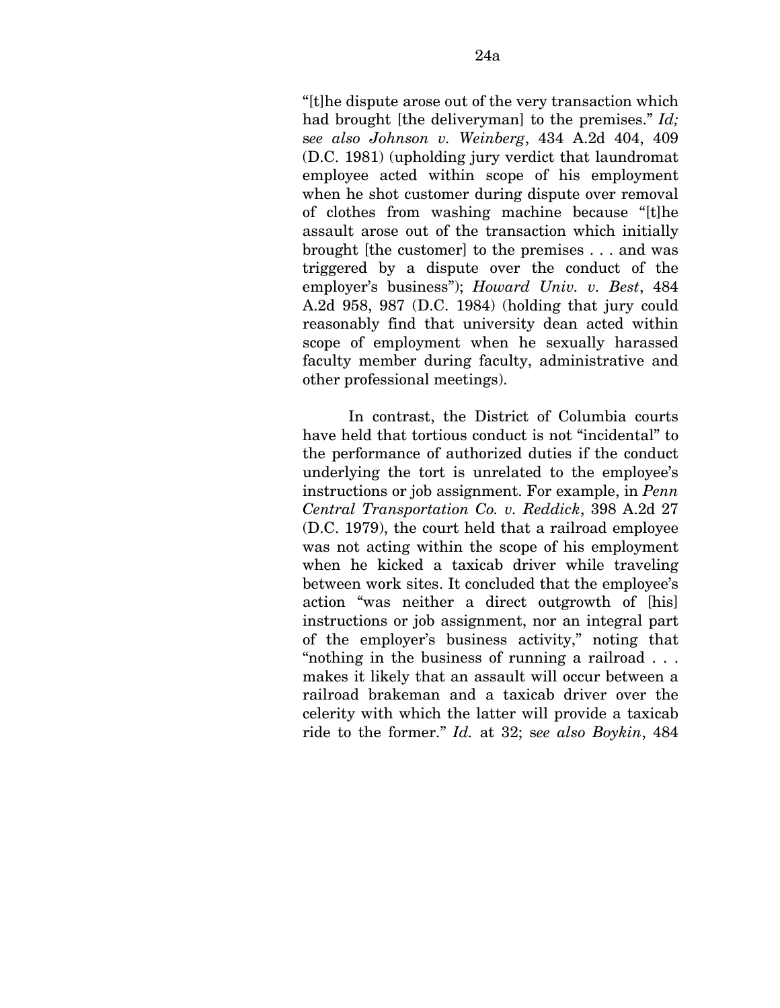"[t]he dispute arose out of the very transaction which had brought [the deliveryman] to the premises." *Id;*  s*ee also Johnson v. Weinberg*, 434 A.2d 404, 409 (D.C. 1981) (upholding jury verdict that laundromat employee acted within scope of his employment when he shot customer during dispute over removal of clothes from washing machine because "[t]he assault arose out of the transaction which initially brought [the customer] to the premises . . . and was triggered by a dispute over the conduct of the employer's business"); *Howard Univ. v. Best*, 484 A.2d 958, 987 (D.C. 1984) (holding that jury could reasonably find that university dean acted within scope of employment when he sexually harassed faculty member during faculty, administrative and other professional meetings).

In contrast, the District of Columbia courts have held that tortious conduct is not "incidental" to the performance of authorized duties if the conduct underlying the tort is unrelated to the employee's instructions or job assignment. For example, in *Penn Central Transportation Co. v. Reddick*, 398 A.2d 27 (D.C. 1979), the court held that a railroad employee was not acting within the scope of his employment when he kicked a taxicab driver while traveling between work sites. It concluded that the employee's action "was neither a direct outgrowth of [his] instructions or job assignment, nor an integral part of the employer's business activity," noting that "nothing in the business of running a railroad . . . makes it likely that an assault will occur between a railroad brakeman and a taxicab driver over the celerity with which the latter will provide a taxicab ride to the former." *Id.* at 32; s*ee also Boykin*, 484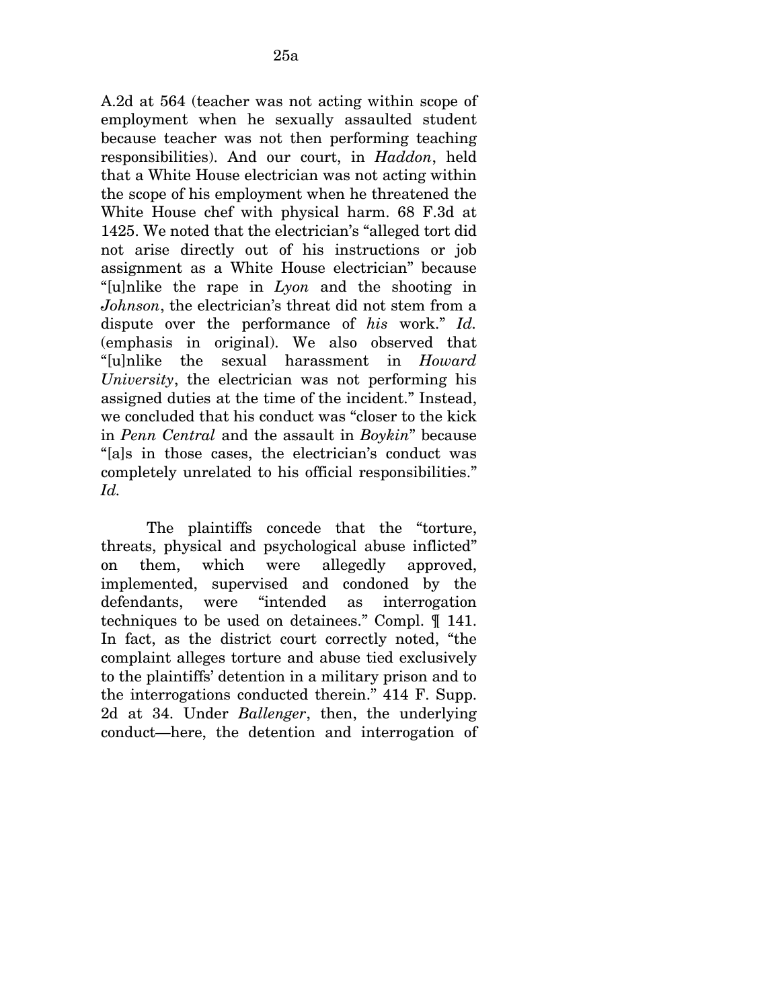A.2d at 564 (teacher was not acting within scope of employment when he sexually assaulted student because teacher was not then performing teaching responsibilities). And our court, in *Haddon*, held that a White House electrician was not acting within the scope of his employment when he threatened the White House chef with physical harm. 68 F.3d at 1425. We noted that the electrician's "alleged tort did not arise directly out of his instructions or job assignment as a White House electrician" because "[u]nlike the rape in *Lyon* and the shooting in *Johnson*, the electrician's threat did not stem from a dispute over the performance of *his* work." *Id.*  (emphasis in original). We also observed that "[u]nlike the sexual harassment in *Howard University*, the electrician was not performing his assigned duties at the time of the incident." Instead, we concluded that his conduct was "closer to the kick in *Penn Central* and the assault in *Boykin*" because "[a]s in those cases, the electrician's conduct was completely unrelated to his official responsibilities." *Id.* 

The plaintiffs concede that the "torture, threats, physical and psychological abuse inflicted" on them, which were allegedly approved, implemented, supervised and condoned by the defendants, were "intended as interrogation techniques to be used on detainees." Compl. ¶ 141. In fact, as the district court correctly noted, "the complaint alleges torture and abuse tied exclusively to the plaintiffs' detention in a military prison and to the interrogations conducted therein." 414 F. Supp. 2d at 34. Under *Ballenger*, then, the underlying conduct—here, the detention and interrogation of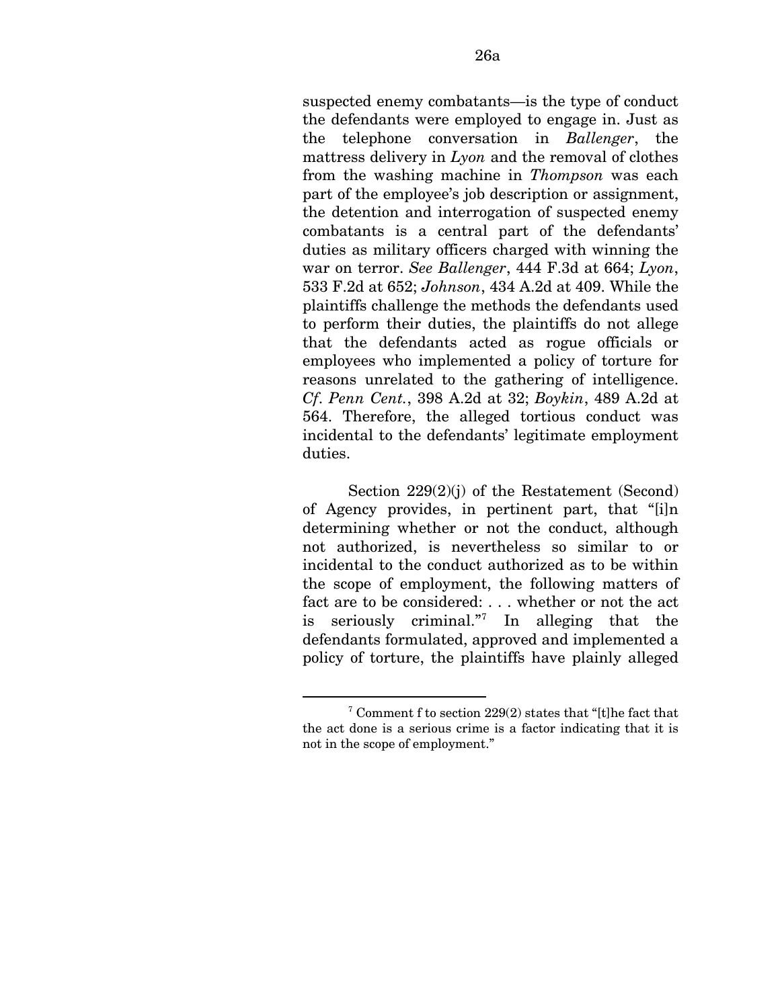suspected enemy combatants—is the type of conduct the defendants were employed to engage in. Just as the telephone conversation in *Ballenger*, the mattress delivery in *Lyon* and the removal of clothes from the washing machine in *Thompson* was each part of the employee's job description or assignment, the detention and interrogation of suspected enemy combatants is a central part of the defendants' duties as military officers charged with winning the war on terror. *See Ballenger*, 444 F.3d at 664; *Lyon*, 533 F.2d at 652; *Johnson*, 434 A.2d at 409. While the plaintiffs challenge the methods the defendants used to perform their duties, the plaintiffs do not allege that the defendants acted as rogue officials or employees who implemented a policy of torture for reasons unrelated to the gathering of intelligence. *Cf*. *Penn Cent.*, 398 A.2d at 32; *Boykin*, 489 A.2d at 564. Therefore, the alleged tortious conduct was incidental to the defendants' legitimate employment duties.

Section 229(2)(j) of the Restatement (Second) of Agency provides, in pertinent part, that "[i]n determining whether or not the conduct, although not authorized, is nevertheless so similar to or incidental to the conduct authorized as to be within the scope of employment, the following matters of fact are to be considered: . . . whether or not the act is seriously criminal."[7](#page-78-0) In alleging that the defendants formulated, approved and implemented a policy of torture, the plaintiffs have plainly alleged

1

<span id="page-78-0"></span><sup>7</sup> Comment f to section 229(2) states that "[t]he fact that the act done is a serious crime is a factor indicating that it is not in the scope of employment."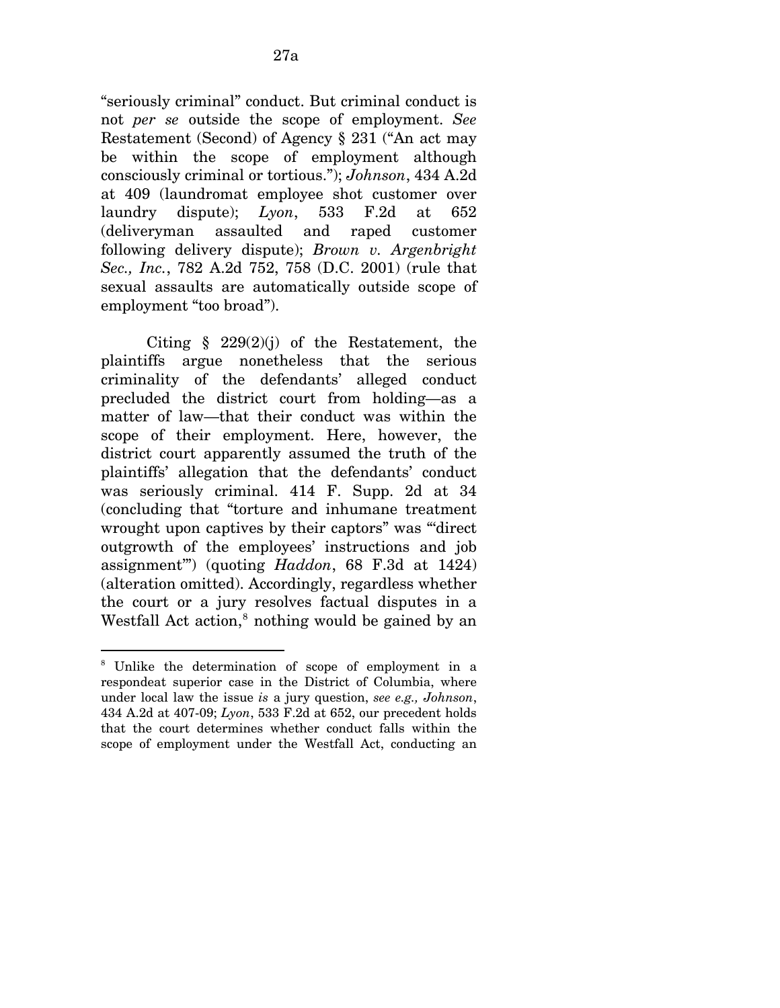"seriously criminal" conduct. But criminal conduct is not *per se* outside the scope of employment. *See*  Restatement (Second) of Agency § 231 ("An act may be within the scope of employment although consciously criminal or tortious."); *Johnson*, 434 A.2d at 409 (laundromat employee shot customer over laundry dispute); *Lyon*, 533 F.2d at 652 (deliveryman assaulted and raped customer following delivery dispute); *Brown v. Argenbright Sec., Inc.*, 782 A.2d 752, 758 (D.C. 2001) (rule that sexual assaults are automatically outside scope of employment "too broad").

Citing  $\S$  229(2)(j) of the Restatement, the plaintiffs argue nonetheless that the serious criminality of the defendants' alleged conduct precluded the district court from holding—as a matter of law—that their conduct was within the scope of their employment. Here, however, the district court apparently assumed the truth of the plaintiffs' allegation that the defendants' conduct was seriously criminal. 414 F. Supp. 2d at 34 (concluding that "torture and inhumane treatment wrought upon captives by their captors" was "'direct outgrowth of the employees' instructions and job assignment'") (quoting *Haddon*, 68 F.3d at 1424) (alteration omitted). Accordingly, regardless whether the court or a jury resolves factual disputes in a Westfall Act action,<sup>[8](#page-79-0)</sup> nothing would be gained by an

 $\overline{a}$ 

<span id="page-79-0"></span><sup>8</sup> Unlike the determination of scope of employment in a respondeat superior case in the District of Columbia, where under local law the issue *is* a jury question, *see e.g., Johnson*, 434 A.2d at 407-09; *Lyon*, 533 F.2d at 652, our precedent holds that the court determines whether conduct falls within the scope of employment under the Westfall Act, conducting an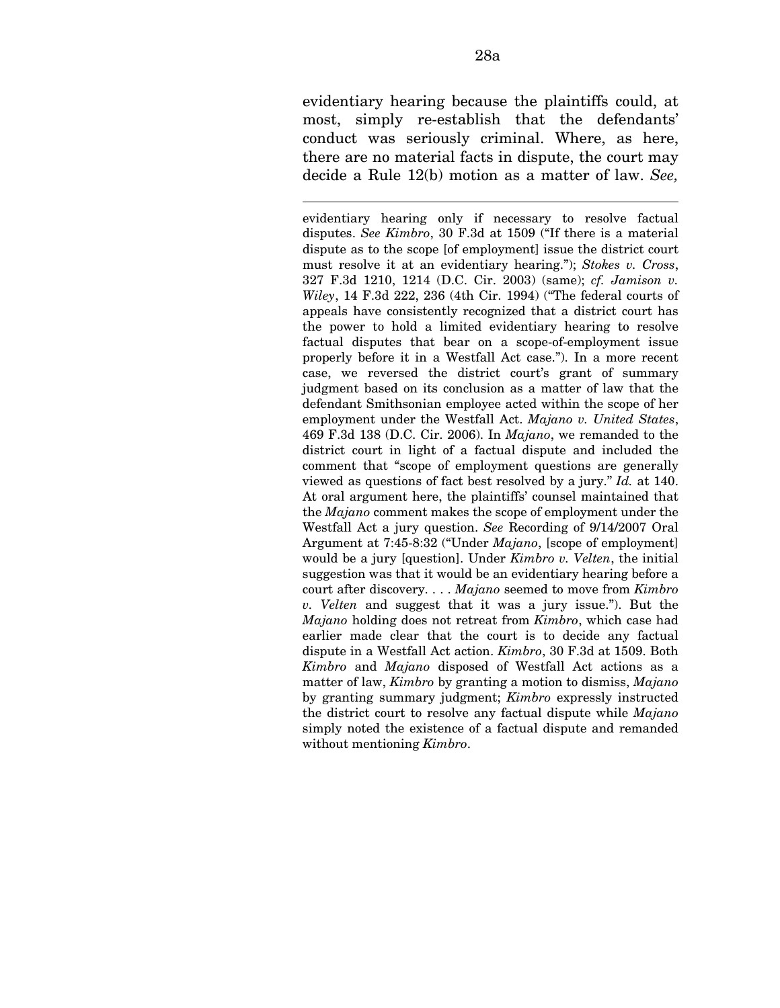evidentiary hearing because the plaintiffs could, at most, simply re-establish that the defendants' conduct was seriously criminal. Where, as here, there are no material facts in dispute, the court may decide a Rule 12(b) motion as a matter of law. *See,* 

l

evidentiary hearing only if necessary to resolve factual disputes. *See Kimbro*, 30 F.3d at 1509 ("If there is a material dispute as to the scope [of employment] issue the district court must resolve it at an evidentiary hearing."); *Stokes v. Cross*, 327 F.3d 1210, 1214 (D.C. Cir. 2003) (same); *cf. Jamison v. Wiley*, 14 F.3d 222, 236 (4th Cir. 1994) ("The federal courts of appeals have consistently recognized that a district court has the power to hold a limited evidentiary hearing to resolve factual disputes that bear on a scope-of-employment issue properly before it in a Westfall Act case."). In a more recent case, we reversed the district court's grant of summary judgment based on its conclusion as a matter of law that the defendant Smithsonian employee acted within the scope of her employment under the Westfall Act. *Majano v. United States*, 469 F.3d 138 (D.C. Cir. 2006). In *Majano*, we remanded to the district court in light of a factual dispute and included the comment that "scope of employment questions are generally viewed as questions of fact best resolved by a jury." *Id.* at 140. At oral argument here, the plaintiffs' counsel maintained that the *Majano* comment makes the scope of employment under the Westfall Act a jury question. *See* Recording of 9/14/2007 Oral Argument at 7:45-8:32 ("Under *Majano*, [scope of employment] would be a jury [question]. Under *Kimbro v. Velten*, the initial suggestion was that it would be an evidentiary hearing before a court after discovery. . . . *Majano* seemed to move from *Kimbro v. Velten* and suggest that it was a jury issue."). But the *Majano* holding does not retreat from *Kimbro*, which case had earlier made clear that the court is to decide any factual dispute in a Westfall Act action. *Kimbro*, 30 F.3d at 1509. Both *Kimbro* and *Majano* disposed of Westfall Act actions as a matter of law, *Kimbro* by granting a motion to dismiss, *Majano*  by granting summary judgment; *Kimbro* expressly instructed the district court to resolve any factual dispute while *Majano*  simply noted the existence of a factual dispute and remanded without mentioning *Kimbro*.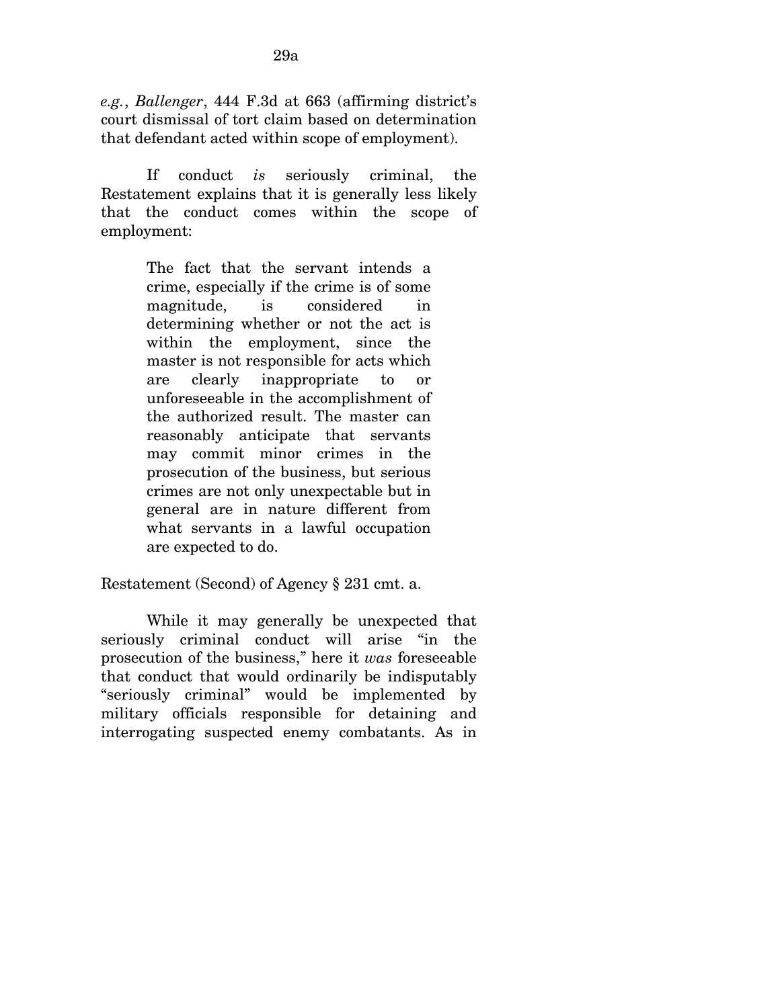*e.g.*, *Ballenger*, 444 F.3d at 663 (affirming district's court dismissal of tort claim based on determination that defendant acted within scope of employment).

If conduct *is* seriously criminal, the Restatement explains that it is generally less likely that the conduct comes within the scope of employment:

> The fact that the servant intends a crime, especially if the crime is of some magnitude, is considered in determining whether or not the act is within the employment, since the master is not responsible for acts which are clearly inappropriate to or unforeseeable in the accomplishment of the authorized result. The master can reasonably anticipate that servants may commit minor crimes in the prosecution of the business, but serious crimes are not only unexpectable but in general are in nature different from what servants in a lawful occupation are expected to do.

Restatement (Second) of Agency § 231 cmt. a.

While it may generally be unexpected that seriously criminal conduct will arise "in the prosecution of the business," here it *was* foreseeable that conduct that would ordinarily be indisputably "seriously criminal" would be implemented by military officials responsible for detaining and interrogating suspected enemy combatants. As in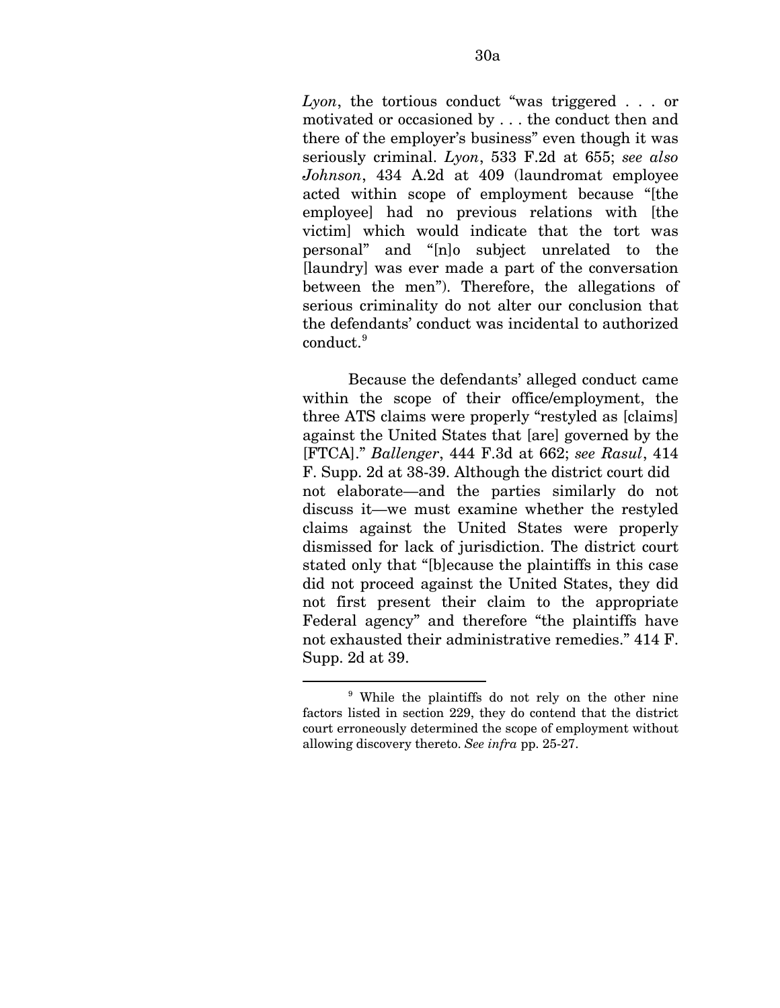*Lyon*, the tortious conduct "was triggered . . . or motivated or occasioned by . . . the conduct then and there of the employer's business" even though it was seriously criminal. *Lyon*, 533 F.2d at 655; *see also Johnson*, 434 A.2d at 409 (laundromat employee acted within scope of employment because "[the employee] had no previous relations with [the victim] which would indicate that the tort was personal" and "[n]o subject unrelated to the [laundry] was ever made a part of the conversation between the men"). Therefore, the allegations of serious criminality do not alter our conclusion that the defendants' conduct was incidental to authorized conduct.[9](#page-82-0)

Because the defendants' alleged conduct came within the scope of their office/employment, the three ATS claims were properly "restyled as [claims] against the United States that [are] governed by the [FTCA]." *Ballenger*, 444 F.3d at 662; *see Rasul*, 414 F. Supp. 2d at 38-39. Although the district court did not elaborate—and the parties similarly do not discuss it—we must examine whether the restyled claims against the United States were properly dismissed for lack of jurisdiction. The district court stated only that "[b]ecause the plaintiffs in this case did not proceed against the United States, they did not first present their claim to the appropriate Federal agency" and therefore "the plaintiffs have not exhausted their administrative remedies." 414 F. Supp. 2d at 39.

1

<span id="page-82-0"></span><sup>9</sup> While the plaintiffs do not rely on the other nine factors listed in section 229, they do contend that the district court erroneously determined the scope of employment without allowing discovery thereto. *See infra* pp. 25-27.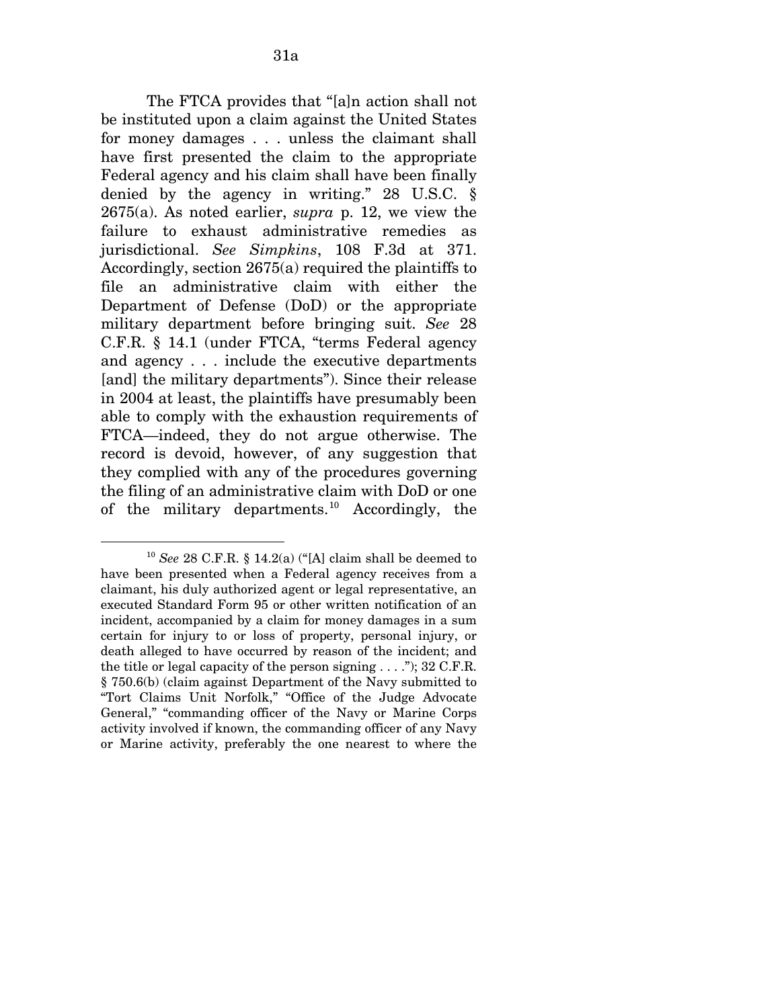The FTCA provides that "[a]n action shall not be instituted upon a claim against the United States for money damages . . . unless the claimant shall have first presented the claim to the appropriate Federal agency and his claim shall have been finally denied by the agency in writing." 28 U.S.C. § 2675(a). As noted earlier, *supra* p. 12, we view the failure to exhaust administrative remedies as jurisdictional. *See Simpkins*, 108 F.3d at 371. Accordingly, section 2675(a) required the plaintiffs to file an administrative claim with either the Department of Defense (DoD) or the appropriate military department before bringing suit. *See* 28 C.F.R. § 14.1 (under FTCA, "terms Federal agency and agency . . . include the executive departments [and] the military departments"). Since their release in 2004 at least, the plaintiffs have presumably been able to comply with the exhaustion requirements of FTCA—indeed, they do not argue otherwise. The record is devoid, however, of any suggestion that they complied with any of the procedures governing the filing of an administrative claim with DoD or one of the military departments.<sup>[10](#page-83-0)</sup> Accordingly, the

 $\overline{a}$ 

<span id="page-83-0"></span><sup>10</sup> *See* 28 C.F.R. § 14.2(a) ("[A] claim shall be deemed to have been presented when a Federal agency receives from a claimant, his duly authorized agent or legal representative, an executed Standard Form 95 or other written notification of an incident, accompanied by a claim for money damages in a sum certain for injury to or loss of property, personal injury, or death alleged to have occurred by reason of the incident; and the title or legal capacity of the person signing  $\dots$  ."); 32 C.F.R. § 750.6(b) (claim against Department of the Navy submitted to "Tort Claims Unit Norfolk," "Office of the Judge Advocate General," "commanding officer of the Navy or Marine Corps activity involved if known, the commanding officer of any Navy or Marine activity, preferably the one nearest to where the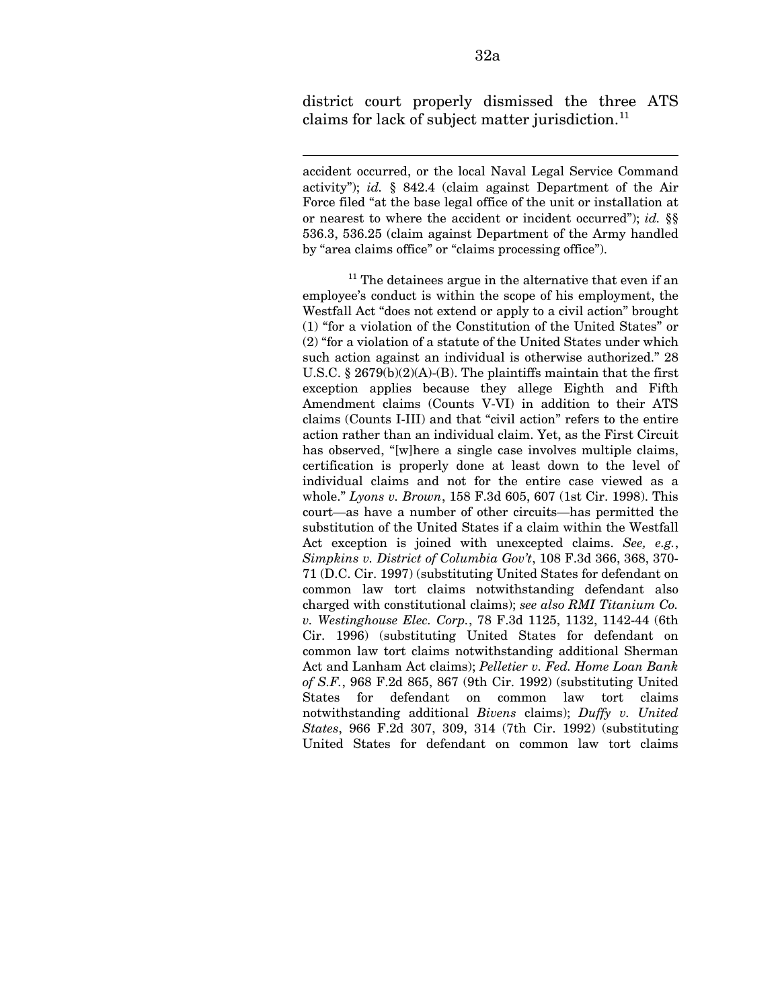district court properly dismissed the three ATS claims for lack of subject matter jurisdiction. $^{11}$  $^{11}$  $^{11}$ 

 $\overline{a}$ 

accident occurred, or the local Naval Legal Service Command activity"); *id.* § 842.4 (claim against Department of the Air Force filed "at the base legal office of the unit or installation at or nearest to where the accident or incident occurred"); *id.* §§ 536.3, 536.25 (claim against Department of the Army handled by "area claims office" or "claims processing office").

<span id="page-84-0"></span> $11$  The detainees argue in the alternative that even if an employee's conduct is within the scope of his employment, the Westfall Act "does not extend or apply to a civil action" brought (1) "for a violation of the Constitution of the United States" or (2) "for a violation of a statute of the United States under which such action against an individual is otherwise authorized." 28 U.S.C. § 2679(b)(2)(A)-(B). The plaintiffs maintain that the first exception applies because they allege Eighth and Fifth Amendment claims (Counts V-VI) in addition to their ATS claims (Counts I-III) and that "civil action" refers to the entire action rather than an individual claim. Yet, as the First Circuit has observed, "[w]here a single case involves multiple claims, certification is properly done at least down to the level of individual claims and not for the entire case viewed as a whole." *Lyons v. Brown*, 158 F.3d 605, 607 (1st Cir. 1998). This court—as have a number of other circuits—has permitted the substitution of the United States if a claim within the Westfall Act exception is joined with unexcepted claims. *See, e.g.*, *Simpkins v. District of Columbia Gov't*, 108 F.3d 366, 368, 370- 71 (D.C. Cir. 1997) (substituting United States for defendant on common law tort claims notwithstanding defendant also charged with constitutional claims); *see also RMI Titanium Co. v. Westinghouse Elec. Corp.*, 78 F.3d 1125, 1132, 1142-44 (6th Cir. 1996) (substituting United States for defendant on common law tort claims notwithstanding additional Sherman Act and Lanham Act claims); *Pelletier v. Fed. Home Loan Bank of S.F.*, 968 F.2d 865, 867 (9th Cir. 1992) (substituting United States for defendant on common law tort claims notwithstanding additional *Bivens* claims); *Duffy v. United States*, 966 F.2d 307, 309, 314 (7th Cir. 1992) (substituting United States for defendant on common law tort claims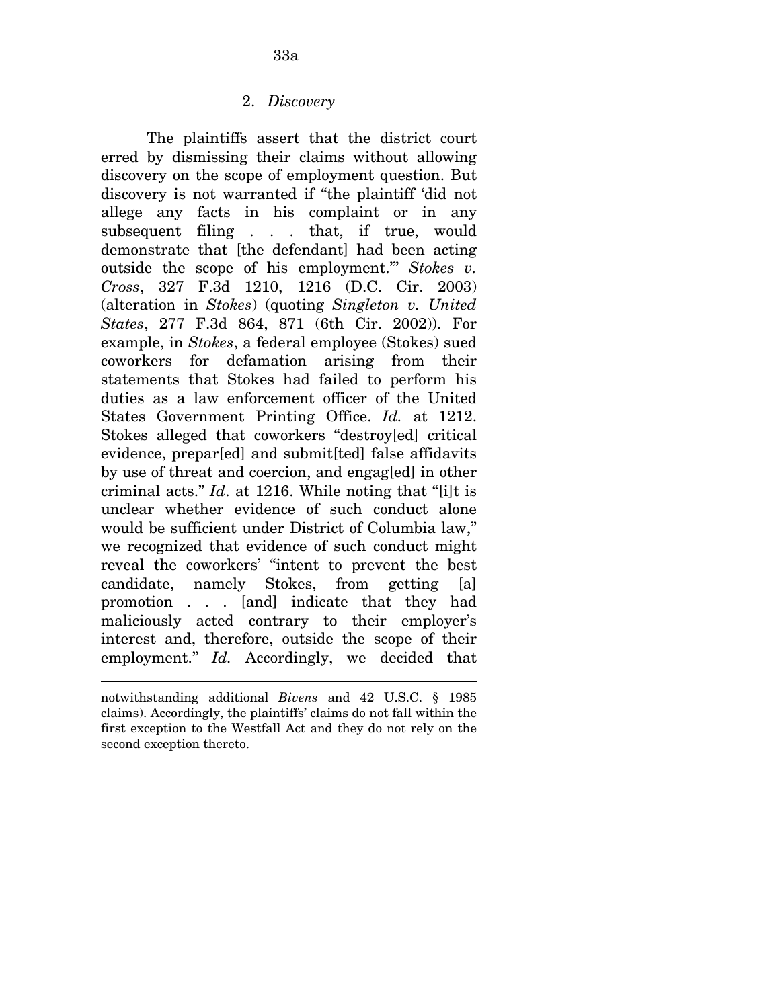The plaintiffs assert that the district court erred by dismissing their claims without allowing discovery on the scope of employment question. But discovery is not warranted if "the plaintiff 'did not allege any facts in his complaint or in any subsequent filing . . . that, if true, would demonstrate that [the defendant] had been acting outside the scope of his employment.'" *Stokes v. Cross*, 327 F.3d 1210, 1216 (D.C. Cir. 2003) (alteration in *Stokes*) (quoting *Singleton v. United States*, 277 F.3d 864, 871 (6th Cir. 2002)). For example, in *Stokes*, a federal employee (Stokes) sued coworkers for defamation arising from their statements that Stokes had failed to perform his duties as a law enforcement officer of the United States Government Printing Office. *Id.* at 1212. Stokes alleged that coworkers "destroy<sup>[ed]</sup> critical evidence, prepar[ed] and submit[ted] false affidavits by use of threat and coercion, and engag[ed] in other criminal acts." *Id*. at 1216. While noting that "[i]t is unclear whether evidence of such conduct alone would be sufficient under District of Columbia law," we recognized that evidence of such conduct might reveal the coworkers' "intent to prevent the best candidate, namely Stokes, from getting [a] promotion . . . [and] indicate that they had maliciously acted contrary to their employer's interest and, therefore, outside the scope of their employment." *Id.* Accordingly, we decided that

 $\overline{a}$ 

notwithstanding additional *Bivens* and 42 U.S.C. § 1985 claims). Accordingly, the plaintiffs' claims do not fall within the first exception to the Westfall Act and they do not rely on the second exception thereto.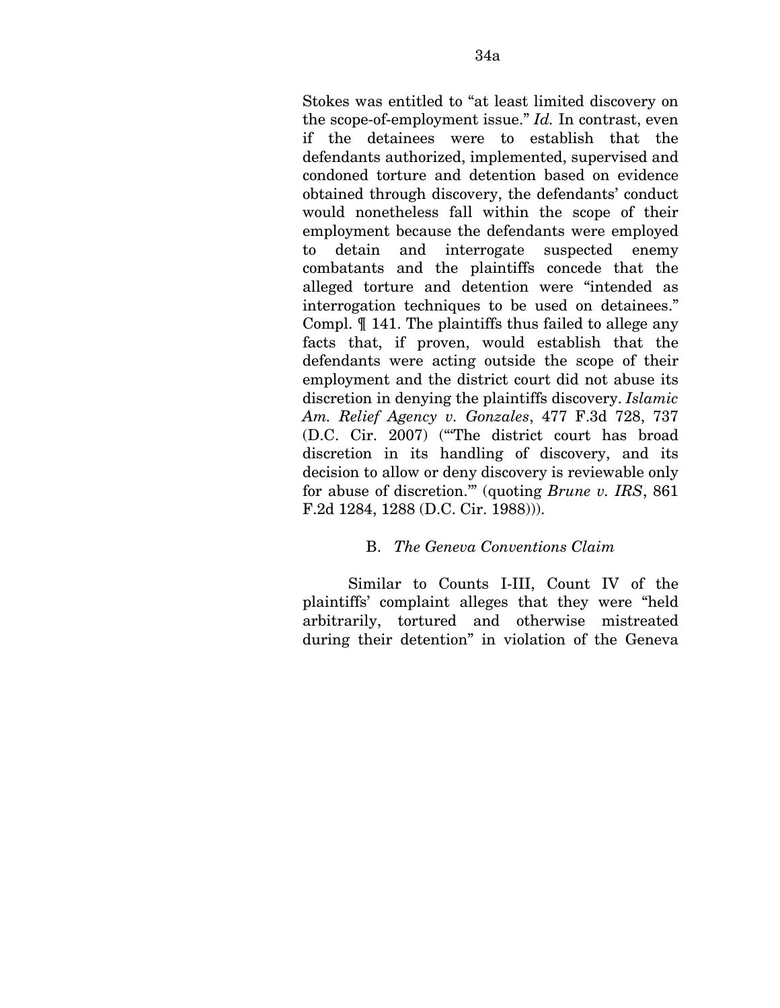Stokes was entitled to "at least limited discovery on the scope-of-employment issue." *Id.* In contrast, even if the detainees were to establish that the defendants authorized, implemented, supervised and condoned torture and detention based on evidence obtained through discovery, the defendants' conduct would nonetheless fall within the scope of their employment because the defendants were employed to detain and interrogate suspected enemy combatants and the plaintiffs concede that the alleged torture and detention were "intended as interrogation techniques to be used on detainees." Compl. ¶ 141. The plaintiffs thus failed to allege any facts that, if proven, would establish that the defendants were acting outside the scope of their employment and the district court did not abuse its discretion in denying the plaintiffs discovery. *Islamic Am. Relief Agency v. Gonzales*, 477 F.3d 728, 737 (D.C. Cir. 2007) ("'The district court has broad discretion in its handling of discovery, and its decision to allow or deny discovery is reviewable only for abuse of discretion.'" (quoting *Brune v. IRS*, 861 F.2d 1284, 1288 (D.C. Cir. 1988))).

## B. *The Geneva Conventions Claim*

Similar to Counts I-III, Count IV of the plaintiffs' complaint alleges that they were "held arbitrarily, tortured and otherwise mistreated during their detention" in violation of the Geneva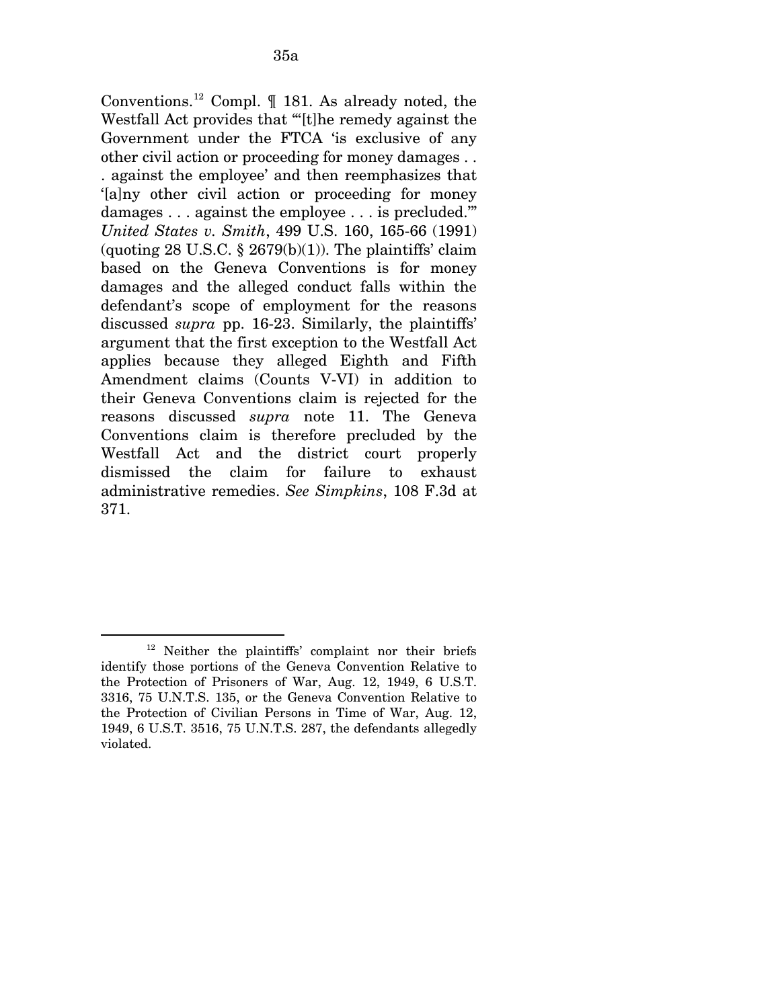Conventions.[12](#page-87-0) Compl. ¶ 181. As already noted, the Westfall Act provides that "'[t]he remedy against the Government under the FTCA 'is exclusive of any other civil action or proceeding for money damages . . . against the employee' and then reemphasizes that '[a]ny other civil action or proceeding for money damages . . . against the employee . . . is precluded.'" *United States v. Smith*, 499 U.S. 160, 165-66 (1991) (quoting 28 U.S.C.  $\S 2679(b)(1)$ ). The plaintiffs' claim based on the Geneva Conventions is for money damages and the alleged conduct falls within the defendant's scope of employment for the reasons discussed *supra* pp. 16-23. Similarly, the plaintiffs' argument that the first exception to the Westfall Act applies because they alleged Eighth and Fifth Amendment claims (Counts V-VI) in addition to their Geneva Conventions claim is rejected for the reasons discussed *supra* note 11. The Geneva Conventions claim is therefore precluded by the Westfall Act and the district court properly dismissed the claim for failure to exhaust administrative remedies. *See Simpkins*, 108 F.3d at 371.

<span id="page-87-0"></span> $\overline{a}$ 12 Neither the plaintiffs' complaint nor their briefs identify those portions of the Geneva Convention Relative to the Protection of Prisoners of War, Aug. 12, 1949, 6 U.S.T. 3316, 75 U.N.T.S. 135, or the Geneva Convention Relative to the Protection of Civilian Persons in Time of War, Aug. 12, 1949, 6 U.S.T. 3516, 75 U.N.T.S. 287, the defendants allegedly violated.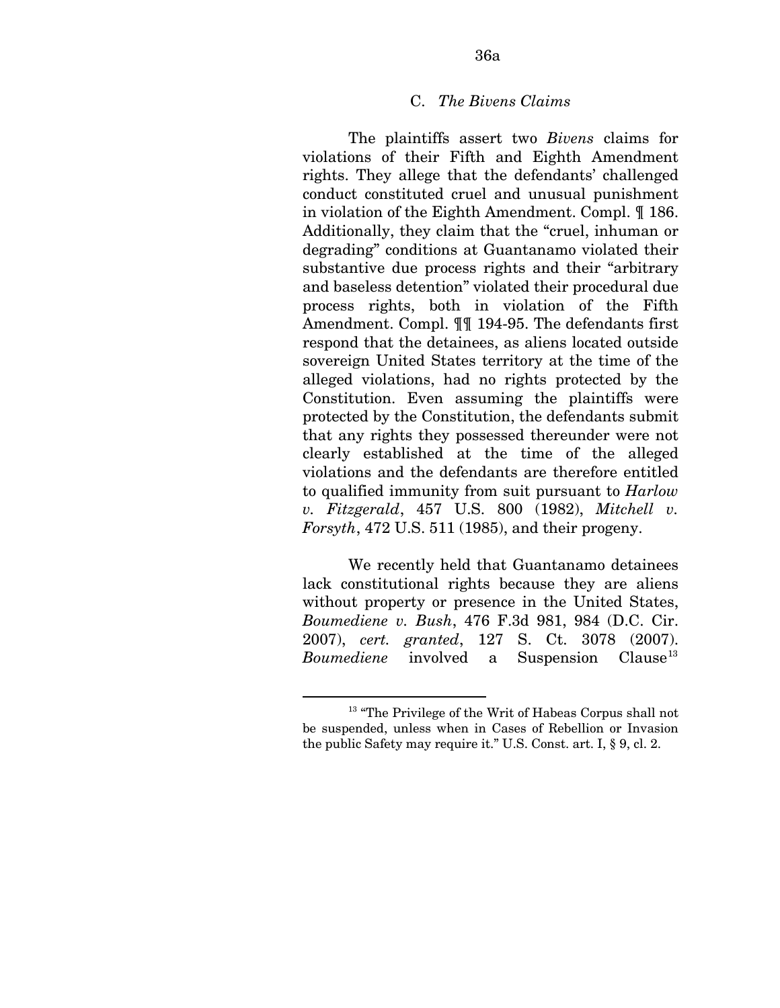## C. *The Bivens Claims*

The plaintiffs assert two *Bivens* claims for violations of their Fifth and Eighth Amendment rights. They allege that the defendants' challenged conduct constituted cruel and unusual punishment in violation of the Eighth Amendment. Compl. ¶ 186. Additionally, they claim that the "cruel, inhuman or degrading" conditions at Guantanamo violated their substantive due process rights and their "arbitrary and baseless detention" violated their procedural due process rights, both in violation of the Fifth Amendment. Compl. ¶¶ 194-95. The defendants first respond that the detainees, as aliens located outside sovereign United States territory at the time of the alleged violations, had no rights protected by the Constitution. Even assuming the plaintiffs were protected by the Constitution, the defendants submit that any rights they possessed thereunder were not clearly established at the time of the alleged violations and the defendants are therefore entitled to qualified immunity from suit pursuant to *Harlow v. Fitzgerald*, 457 U.S. 800 (1982), *Mitchell v. Forsyth*, 472 U.S. 511 (1985), and their progeny.

We recently held that Guantanamo detainees lack constitutional rights because they are aliens without property or presence in the United States, *Boumediene v. Bush*, 476 F.3d 981, 984 (D.C. Cir. 2007), *cert. granted*, 127 S. Ct. 3078 (2007). *Boumediene* involved a Suspension Clause<sup>[13](#page-88-0)</sup>

1

<span id="page-88-0"></span><sup>&</sup>lt;sup>13</sup> "The Privilege of the Writ of Habeas Corpus shall not be suspended, unless when in Cases of Rebellion or Invasion the public Safety may require it." U.S. Const. art. I, § 9, cl. 2.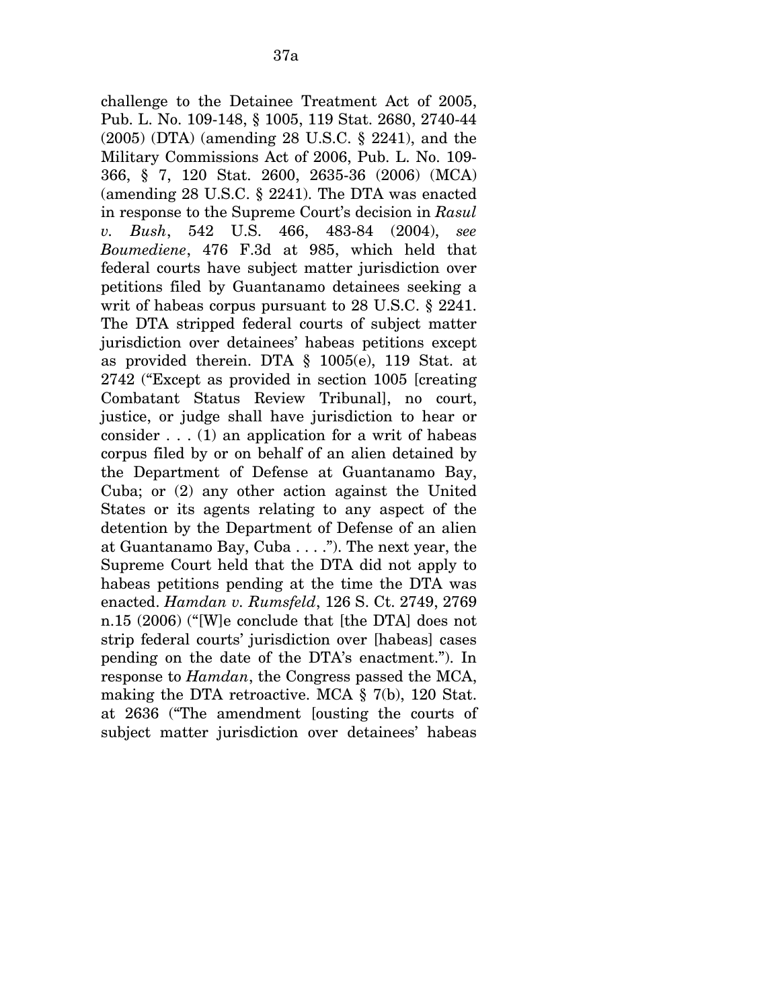challenge to the Detainee Treatment Act of 2005, Pub. L. No. 109-148, § 1005, 119 Stat. 2680, 2740-44 (2005) (DTA) (amending 28 U.S.C. § 2241), and the Military Commissions Act of 2006, Pub. L. No. 109- 366, § 7, 120 Stat. 2600, 2635-36 (2006) (MCA) (amending 28 U.S.C. § 2241). The DTA was enacted in response to the Supreme Court's decision in *Rasul v. Bush*, 542 U.S. 466, 483-84 (2004), *see Boumediene*, 476 F.3d at 985, which held that federal courts have subject matter jurisdiction over petitions filed by Guantanamo detainees seeking a writ of habeas corpus pursuant to 28 U.S.C. § 2241. The DTA stripped federal courts of subject matter jurisdiction over detainees' habeas petitions except as provided therein. DTA § 1005(e), 119 Stat. at 2742 ("Except as provided in section 1005 [creating Combatant Status Review Tribunal], no court, justice, or judge shall have jurisdiction to hear or consider  $\dots$  (1) an application for a writ of habeas corpus filed by or on behalf of an alien detained by the Department of Defense at Guantanamo Bay, Cuba; or (2) any other action against the United States or its agents relating to any aspect of the detention by the Department of Defense of an alien at Guantanamo Bay, Cuba . . . ."). The next year, the Supreme Court held that the DTA did not apply to habeas petitions pending at the time the DTA was enacted. *Hamdan v. Rumsfeld*, 126 S. Ct. 2749, 2769 n.15 (2006) ("[W]e conclude that [the DTA] does not strip federal courts' jurisdiction over [habeas] cases pending on the date of the DTA's enactment."). In response to *Hamdan*, the Congress passed the MCA, making the DTA retroactive. MCA § 7(b), 120 Stat. at 2636 ("The amendment [ousting the courts of subject matter jurisdiction over detainees' habeas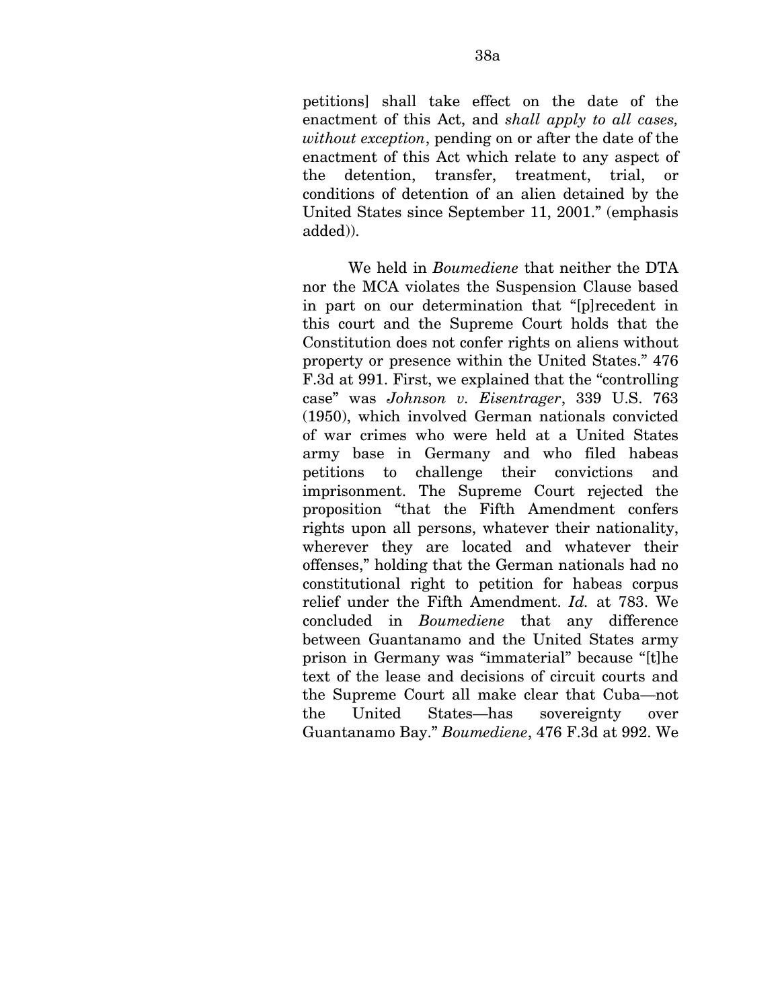petitions] shall take effect on the date of the enactment of this Act, and *shall apply to all cases, without exception*, pending on or after the date of the enactment of this Act which relate to any aspect of the detention, transfer, treatment, trial, or conditions of detention of an alien detained by the United States since September 11, 2001." (emphasis added)).

We held in *Boumediene* that neither the DTA nor the MCA violates the Suspension Clause based in part on our determination that "[p]recedent in this court and the Supreme Court holds that the Constitution does not confer rights on aliens without property or presence within the United States." 476 F.3d at 991. First, we explained that the "controlling case" was *Johnson v. Eisentrager*, 339 U.S. 763 (1950), which involved German nationals convicted of war crimes who were held at a United States army base in Germany and who filed habeas petitions to challenge their convictions and imprisonment. The Supreme Court rejected the proposition "that the Fifth Amendment confers rights upon all persons, whatever their nationality, wherever they are located and whatever their offenses," holding that the German nationals had no constitutional right to petition for habeas corpus relief under the Fifth Amendment. *Id.* at 783. We concluded in *Boumediene* that any difference between Guantanamo and the United States army prison in Germany was "immaterial" because "[t]he text of the lease and decisions of circuit courts and the Supreme Court all make clear that Cuba—not the United States—has sovereignty over Guantanamo Bay." *Boumediene*, 476 F.3d at 992. We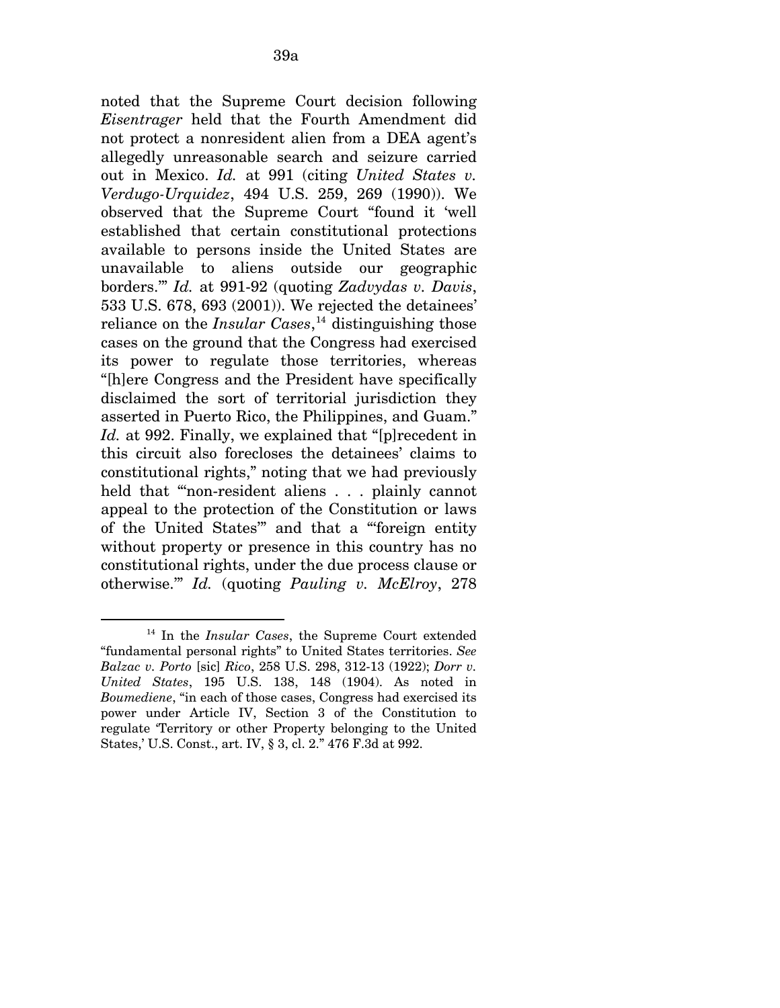noted that the Supreme Court decision following *Eisentrager* held that the Fourth Amendment did not protect a nonresident alien from a DEA agent's allegedly unreasonable search and seizure carried out in Mexico. *Id.* at 991 (citing *United States v. Verdugo-Urquidez*, 494 U.S. 259, 269 (1990)). We observed that the Supreme Court "found it 'well established that certain constitutional protections available to persons inside the United States are unavailable to aliens outside our geographic borders.'" *Id.* at 991-92 (quoting *Zadvydas v. Davis*, 533 U.S. 678, 693 (2001)). We rejected the detainees' reliance on the *Insular Cases*, [14](#page-91-0) distinguishing those cases on the ground that the Congress had exercised its power to regulate those territories, whereas "[h]ere Congress and the President have specifically disclaimed the sort of territorial jurisdiction they asserted in Puerto Rico, the Philippines, and Guam." *Id.* at 992. Finally, we explained that "[p] recedent in this circuit also forecloses the detainees' claims to constitutional rights," noting that we had previously held that "non-resident aliens . . . plainly cannot appeal to the protection of the Constitution or laws of the United States'" and that a "'foreign entity without property or presence in this country has no constitutional rights, under the due process clause or otherwise.'" *Id.* (quoting *Pauling v. McElroy*, 278

<span id="page-91-0"></span> $\overline{a}$ 14 In the *Insular Cases*, the Supreme Court extended "fundamental personal rights" to United States territories. *See Balzac v. Porto* [sic] *Rico*, 258 U.S. 298, 312-13 (1922); *Dorr v. United States*, 195 U.S. 138, 148 (1904). As noted in *Boumediene*, "in each of those cases, Congress had exercised its power under Article IV, Section 3 of the Constitution to regulate 'Territory or other Property belonging to the United States,' U.S. Const., art. IV, § 3, cl. 2." 476 F.3d at 992.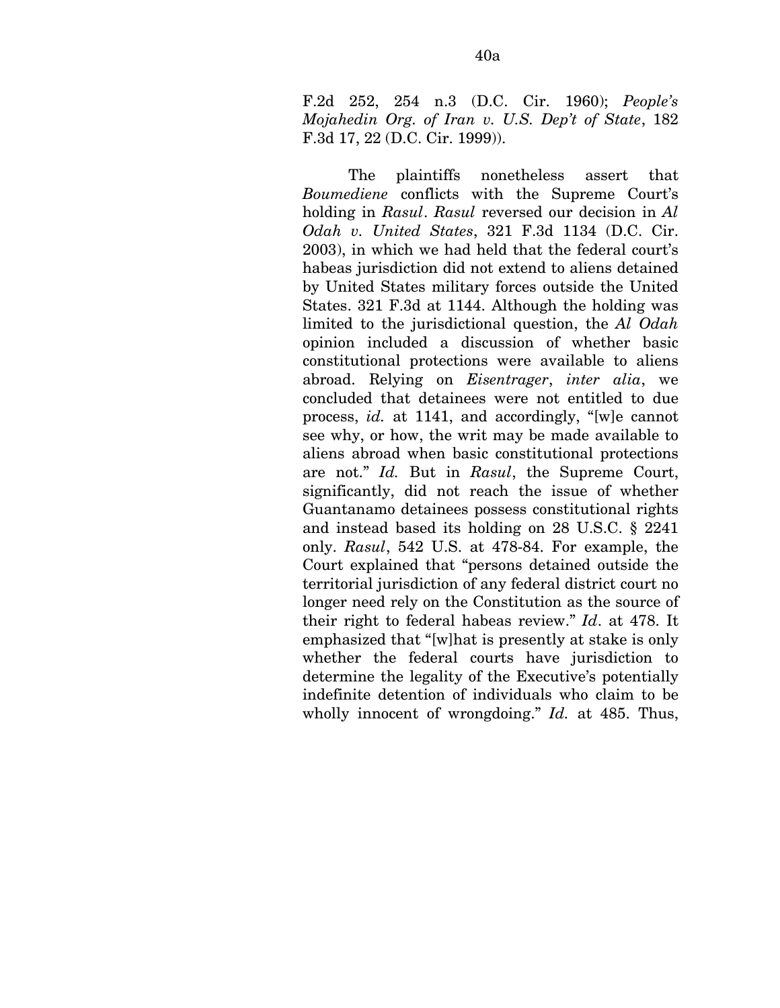F.2d 252, 254 n.3 (D.C. Cir. 1960); *People's Mojahedin Org. of Iran v. U.S. Dep't of State*, 182 F.3d 17, 22 (D.C. Cir. 1999)).

The plaintiffs nonetheless assert that *Boumediene* conflicts with the Supreme Court's holding in *Rasul*. *Rasul* reversed our decision in *Al Odah v. United States*, 321 F.3d 1134 (D.C. Cir. 2003), in which we had held that the federal court's habeas jurisdiction did not extend to aliens detained by United States military forces outside the United States. 321 F.3d at 1144. Although the holding was limited to the jurisdictional question, the *Al Odah*  opinion included a discussion of whether basic constitutional protections were available to aliens abroad. Relying on *Eisentrager*, *inter alia*, we concluded that detainees were not entitled to due process, *id.* at 1141, and accordingly, "[w]e cannot see why, or how, the writ may be made available to aliens abroad when basic constitutional protections are not." *Id.* But in *Rasul*, the Supreme Court, significantly, did not reach the issue of whether Guantanamo detainees possess constitutional rights and instead based its holding on 28 U.S.C. § 2241 only. *Rasul*, 542 U.S. at 478-84. For example, the Court explained that "persons detained outside the territorial jurisdiction of any federal district court no longer need rely on the Constitution as the source of their right to federal habeas review." *Id*. at 478. It emphasized that "[w]hat is presently at stake is only whether the federal courts have jurisdiction to determine the legality of the Executive's potentially indefinite detention of individuals who claim to be wholly innocent of wrongdoing." *Id.* at 485. Thus,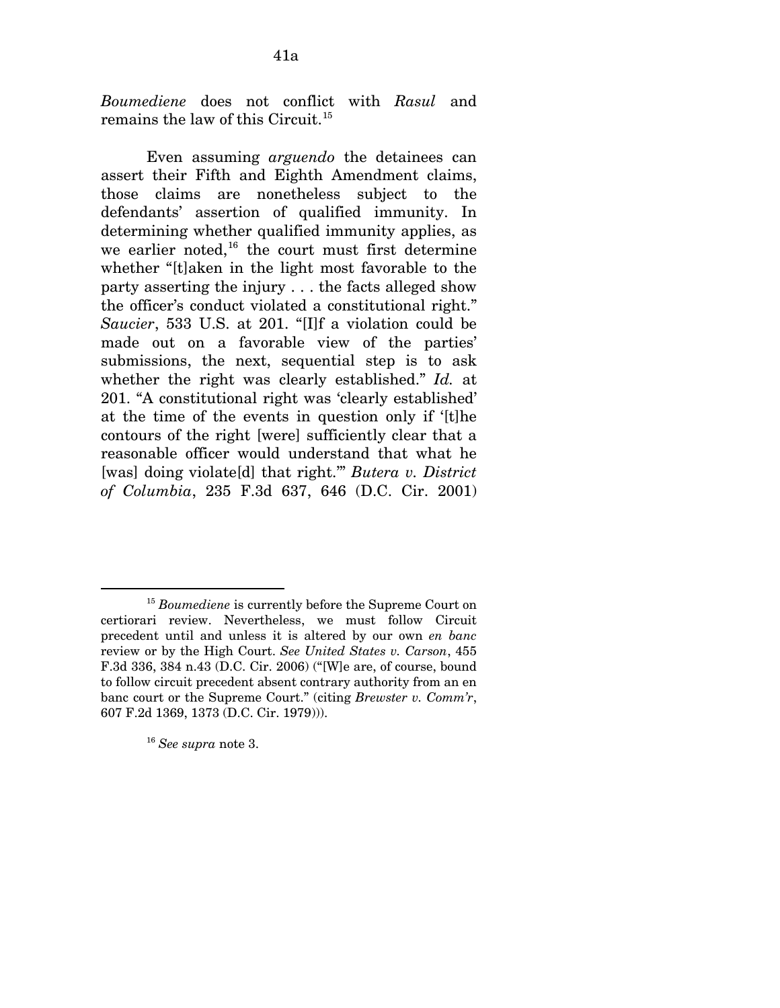*Boumediene* does not conflict with *Rasul* and remains the law of this Circuit.<sup>[15](#page-93-0)</sup>

Even assuming *arguendo* the detainees can assert their Fifth and Eighth Amendment claims, those claims are nonetheless subject to the defendants' assertion of qualified immunity. In determining whether qualified immunity applies, as we earlier noted, $16$  the court must first determine whether "[t]aken in the light most favorable to the party asserting the injury . . . the facts alleged show the officer's conduct violated a constitutional right." *Saucier*, 533 U.S. at 201. "[I]f a violation could be made out on a favorable view of the parties' submissions, the next, sequential step is to ask whether the right was clearly established." *Id.* at 201. "A constitutional right was 'clearly established' at the time of the events in question only if '[t]he contours of the right [were] sufficiently clear that a reasonable officer would understand that what he [was] doing violate[d] that right.'" *Butera v. District of Columbia*, 235 F.3d 637, 646 (D.C. Cir. 2001)

<span id="page-93-1"></span><sup>16</sup> *See supra* note 3.

l

<span id="page-93-0"></span><sup>15</sup> *Boumediene* is currently before the Supreme Court on certiorari review. Nevertheless, we must follow Circuit precedent until and unless it is altered by our own *en banc*  review or by the High Court. *See United States v. Carson*, 455 F.3d 336, 384 n.43 (D.C. Cir. 2006) ("[W]e are, of course, bound to follow circuit precedent absent contrary authority from an en banc court or the Supreme Court." (citing *Brewster v. Comm'r*, 607 F.2d 1369, 1373 (D.C. Cir. 1979))).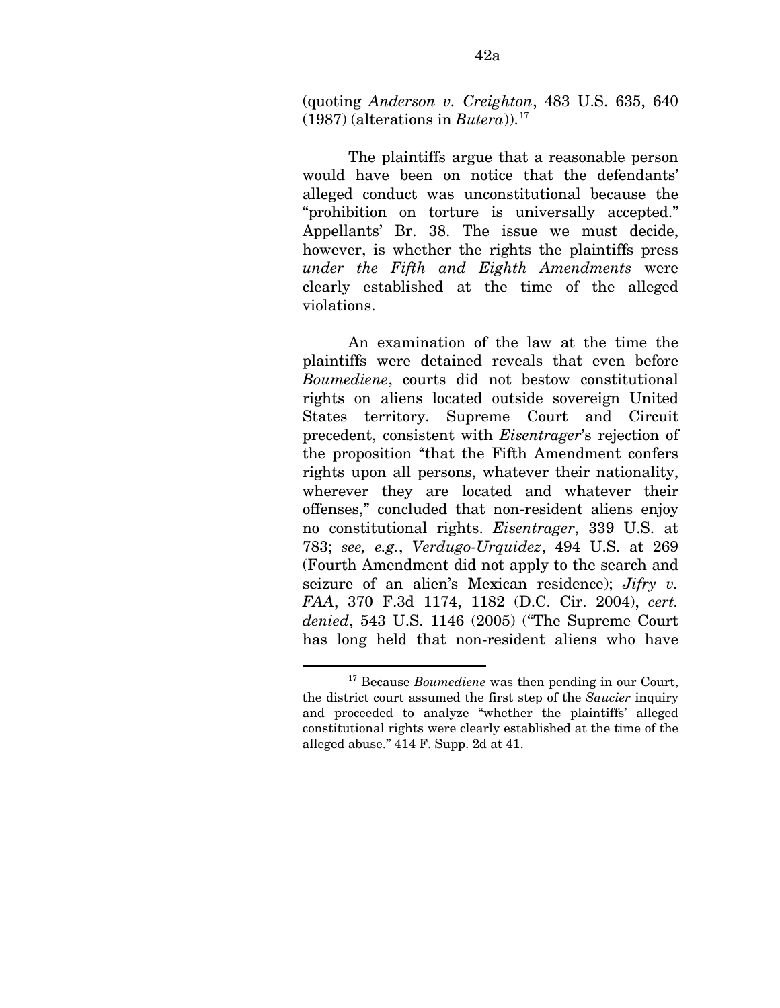(quoting *Anderson v. Creighton*, 483 U.S. 635, 640  $(1987)$  (alterations in *Butera*)).<sup>[17](#page-94-0)</sup>

The plaintiffs argue that a reasonable person would have been on notice that the defendants' alleged conduct was unconstitutional because the "prohibition on torture is universally accepted." Appellants' Br. 38. The issue we must decide, however, is whether the rights the plaintiffs press *under the Fifth and Eighth Amendments* were clearly established at the time of the alleged violations.

An examination of the law at the time the plaintiffs were detained reveals that even before *Boumediene*, courts did not bestow constitutional rights on aliens located outside sovereign United States territory. Supreme Court and Circuit precedent, consistent with *Eisentrager*'s rejection of the proposition "that the Fifth Amendment confers rights upon all persons, whatever their nationality, wherever they are located and whatever their offenses," concluded that non-resident aliens enjoy no constitutional rights. *Eisentrager*, 339 U.S. at 783; *see, e.g.*, *Verdugo-Urquidez*, 494 U.S. at 269 (Fourth Amendment did not apply to the search and seizure of an alien's Mexican residence); *Jifry v. FAA*, 370 F.3d 1174, 1182 (D.C. Cir. 2004), *cert. denied*, 543 U.S. 1146 (2005) ("The Supreme Court has long held that non-resident aliens who have

<u>.</u>

<span id="page-94-0"></span><sup>17</sup> Because *Boumediene* was then pending in our Court, the district court assumed the first step of the *Saucier* inquiry and proceeded to analyze "whether the plaintiffs' alleged constitutional rights were clearly established at the time of the alleged abuse." 414 F. Supp. 2d at 41.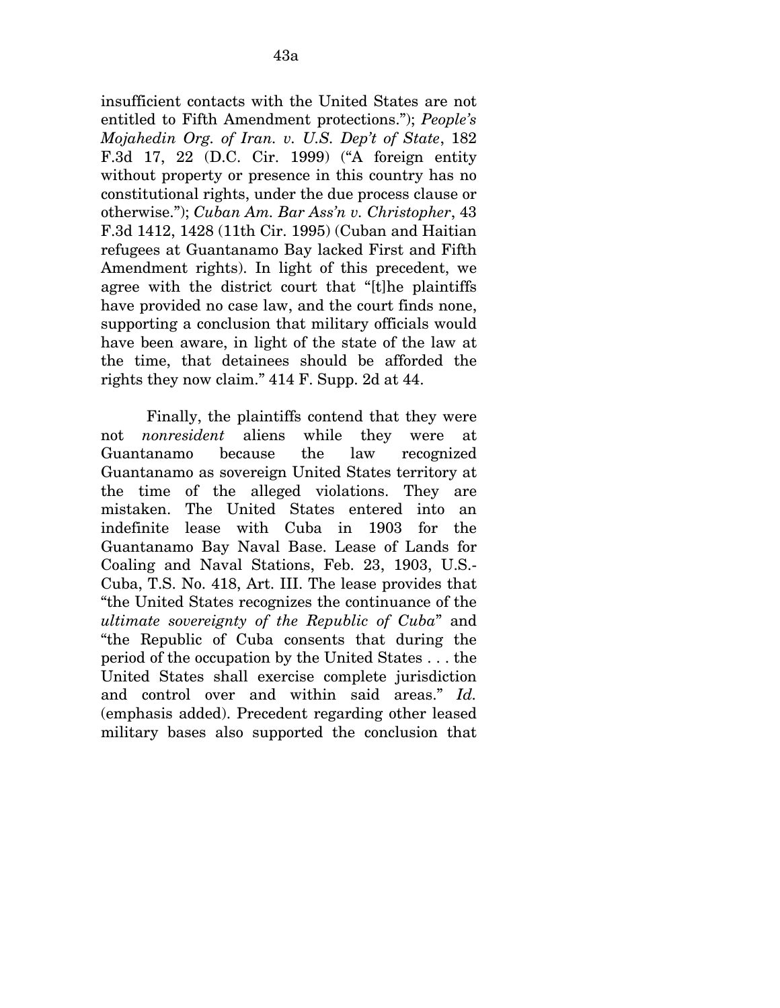insufficient contacts with the United States are not entitled to Fifth Amendment protections."); *People's Mojahedin Org. of Iran. v. U.S. Dep't of State*, 182 F.3d 17, 22 (D.C. Cir. 1999) ("A foreign entity without property or presence in this country has no constitutional rights, under the due process clause or otherwise."); *Cuban Am. Bar Ass'n v. Christopher*, 43 F.3d 1412, 1428 (11th Cir. 1995) (Cuban and Haitian refugees at Guantanamo Bay lacked First and Fifth Amendment rights). In light of this precedent, we agree with the district court that "[t]he plaintiffs have provided no case law, and the court finds none, supporting a conclusion that military officials would have been aware, in light of the state of the law at the time, that detainees should be afforded the rights they now claim." 414 F. Supp. 2d at 44.

Finally, the plaintiffs contend that they were not *nonresident* aliens while they were at Guantanamo because the law recognized Guantanamo as sovereign United States territory at the time of the alleged violations. They are mistaken. The United States entered into an indefinite lease with Cuba in 1903 for the Guantanamo Bay Naval Base. Lease of Lands for Coaling and Naval Stations, Feb. 23, 1903, U.S.- Cuba, T.S. No. 418, Art. III. The lease provides that "the United States recognizes the continuance of the *ultimate sovereignty of the Republic of Cuba*" and "the Republic of Cuba consents that during the period of the occupation by the United States . . . the United States shall exercise complete jurisdiction and control over and within said areas." *Id.*  (emphasis added). Precedent regarding other leased military bases also supported the conclusion that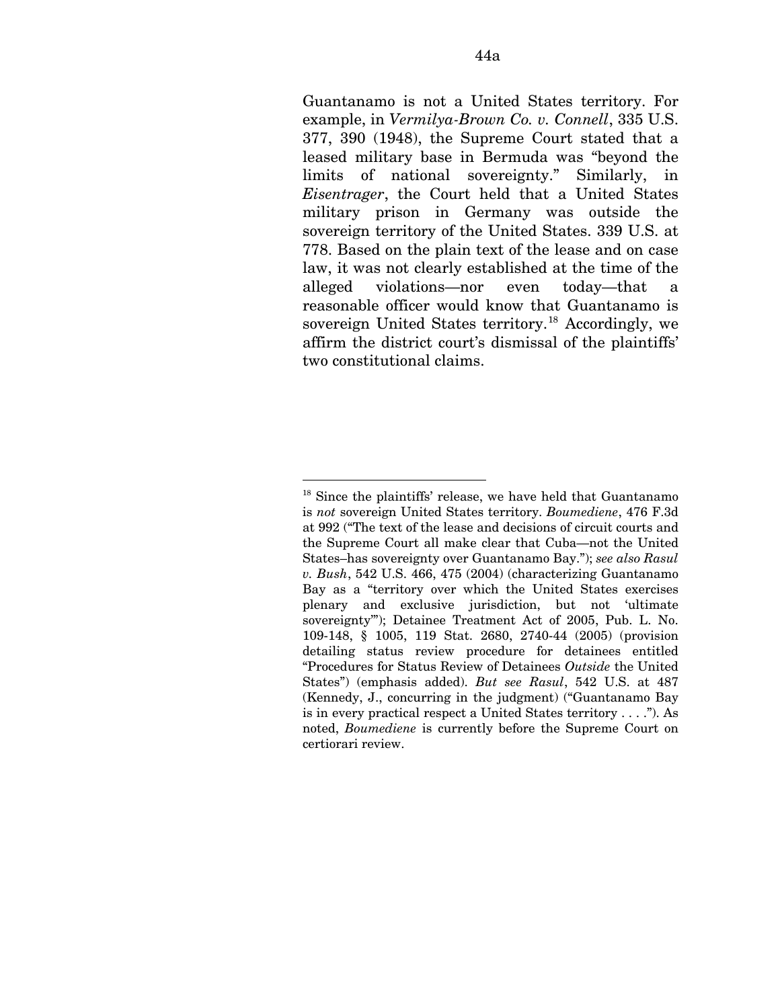Guantanamo is not a United States territory. For example, in *Vermilya-Brown Co. v. Connell*, 335 U.S. 377, 390 (1948), the Supreme Court stated that a leased military base in Bermuda was "beyond the limits of national sovereignty." Similarly, in *Eisentrager*, the Court held that a United States military prison in Germany was outside the sovereign territory of the United States. 339 U.S. at 778. Based on the plain text of the lease and on case law, it was not clearly established at the time of the alleged violations—nor even today—that a reasonable officer would know that Guantanamo is sovereign United States territory.<sup>[18](#page-96-0)</sup> Accordingly, we affirm the district court's dismissal of the plaintiffs' two constitutional claims.

<u>.</u>

<span id="page-96-0"></span><sup>&</sup>lt;sup>18</sup> Since the plaintiffs' release, we have held that Guantanamo is *not* sovereign United States territory. *Boumediene*, 476 F.3d at 992 ("The text of the lease and decisions of circuit courts and the Supreme Court all make clear that Cuba—not the United States–has sovereignty over Guantanamo Bay."); *see also Rasul v. Bush*, 542 U.S. 466, 475 (2004) (characterizing Guantanamo Bay as a "territory over which the United States exercises plenary and exclusive jurisdiction, but not 'ultimate sovereignty"); Detainee Treatment Act of 2005, Pub. L. No. 109-148, § 1005, 119 Stat. 2680, 2740-44 (2005) (provision detailing status review procedure for detainees entitled "Procedures for Status Review of Detainees *Outside* the United States") (emphasis added). *But see Rasul*, 542 U.S. at 487 (Kennedy, J., concurring in the judgment) ("Guantanamo Bay is in every practical respect a United States territory . . . ."). As noted, *Boumediene* is currently before the Supreme Court on certiorari review.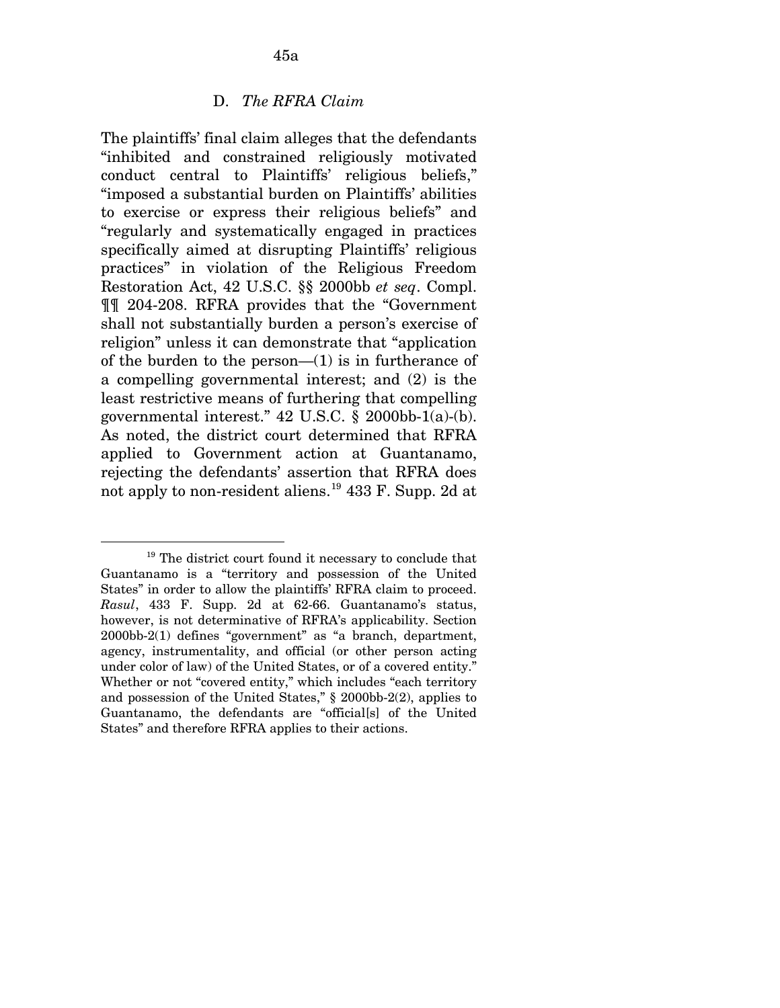## D. *The RFRA Claim*

The plaintiffs' final claim alleges that the defendants "inhibited and constrained religiously motivated conduct central to Plaintiffs' religious beliefs," "imposed a substantial burden on Plaintiffs' abilities to exercise or express their religious beliefs" and "regularly and systematically engaged in practices specifically aimed at disrupting Plaintiffs' religious practices" in violation of the Religious Freedom Restoration Act, 42 U.S.C. §§ 2000bb *et seq*. Compl. ¶¶ 204-208. RFRA provides that the "Government shall not substantially burden a person's exercise of religion" unless it can demonstrate that "application of the burden to the person— $(1)$  is in furtherance of a compelling governmental interest; and (2) is the least restrictive means of furthering that compelling governmental interest." 42 U.S.C. § 2000bb-1(a)-(b). As noted, the district court determined that RFRA applied to Government action at Guantanamo, rejecting the defendants' assertion that RFRA does not apply to non-resident aliens.[19](#page-97-0) 433 F. Supp. 2d at

<span id="page-97-0"></span> $\overline{a}$ <sup>19</sup> The district court found it necessary to conclude that Guantanamo is a "territory and possession of the United States" in order to allow the plaintiffs' RFRA claim to proceed. *Rasul*, 433 F. Supp. 2d at 62-66. Guantanamo's status, however, is not determinative of RFRA's applicability. Section 2000bb-2(1) defines "government" as "a branch, department, agency, instrumentality, and official (or other person acting under color of law) of the United States, or of a covered entity." Whether or not "covered entity," which includes "each territory and possession of the United States," § 2000bb-2(2), applies to Guantanamo, the defendants are "official[s] of the United States" and therefore RFRA applies to their actions.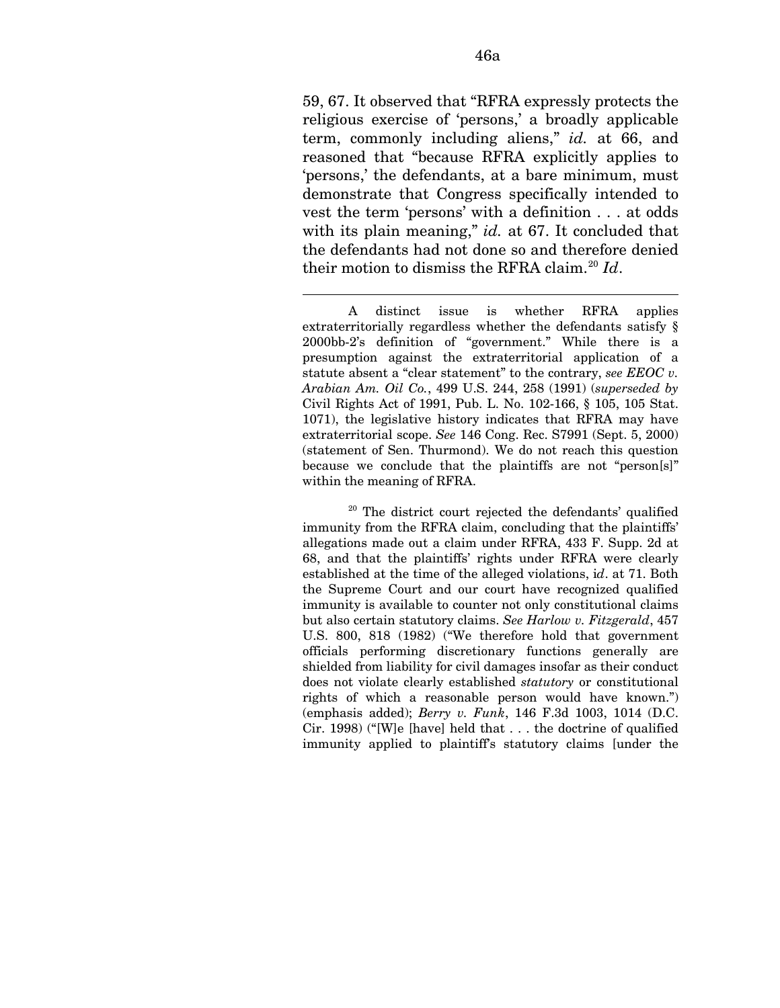59, 67. It observed that "RFRA expressly protects the religious exercise of 'persons,' a broadly applicable term, commonly including aliens," *id.* at 66, and reasoned that "because RFRA explicitly applies to 'persons,' the defendants, at a bare minimum, must demonstrate that Congress specifically intended to vest the term 'persons' with a definition . . . at odds with its plain meaning," *id.* at 67. It concluded that the defendants had not done so and therefore denied their motion to dismiss the RFRA claim.[20](#page-98-0) *Id*.

 $\overline{a}$ 

<span id="page-98-0"></span>20 The district court rejected the defendants' qualified immunity from the RFRA claim, concluding that the plaintiffs' allegations made out a claim under RFRA, 433 F. Supp. 2d at 68, and that the plaintiffs' rights under RFRA were clearly established at the time of the alleged violations, i*d*. at 71. Both the Supreme Court and our court have recognized qualified immunity is available to counter not only constitutional claims but also certain statutory claims. *See Harlow v. Fitzgerald*, 457 U.S. 800, 818 (1982) ("We therefore hold that government officials performing discretionary functions generally are shielded from liability for civil damages insofar as their conduct does not violate clearly established *statutory* or constitutional rights of which a reasonable person would have known.") (emphasis added); *Berry v. Funk*, 146 F.3d 1003, 1014 (D.C. Cir. 1998) ("[W]e [have] held that . . . the doctrine of qualified immunity applied to plaintiff's statutory claims [under the

A distinct issue is whether RFRA applies extraterritorially regardless whether the defendants satisfy § 2000bb-2's definition of "government." While there is a presumption against the extraterritorial application of a statute absent a "clear statement" to the contrary, *see EEOC v. Arabian Am. Oil Co.*, 499 U.S. 244, 258 (1991) (*superseded by*  Civil Rights Act of 1991, Pub. L. No. 102-166, § 105, 105 Stat. 1071), the legislative history indicates that RFRA may have extraterritorial scope. *See* 146 Cong. Rec. S7991 (Sept. 5, 2000) (statement of Sen. Thurmond). We do not reach this question because we conclude that the plaintiffs are not "person[s]" within the meaning of RFRA.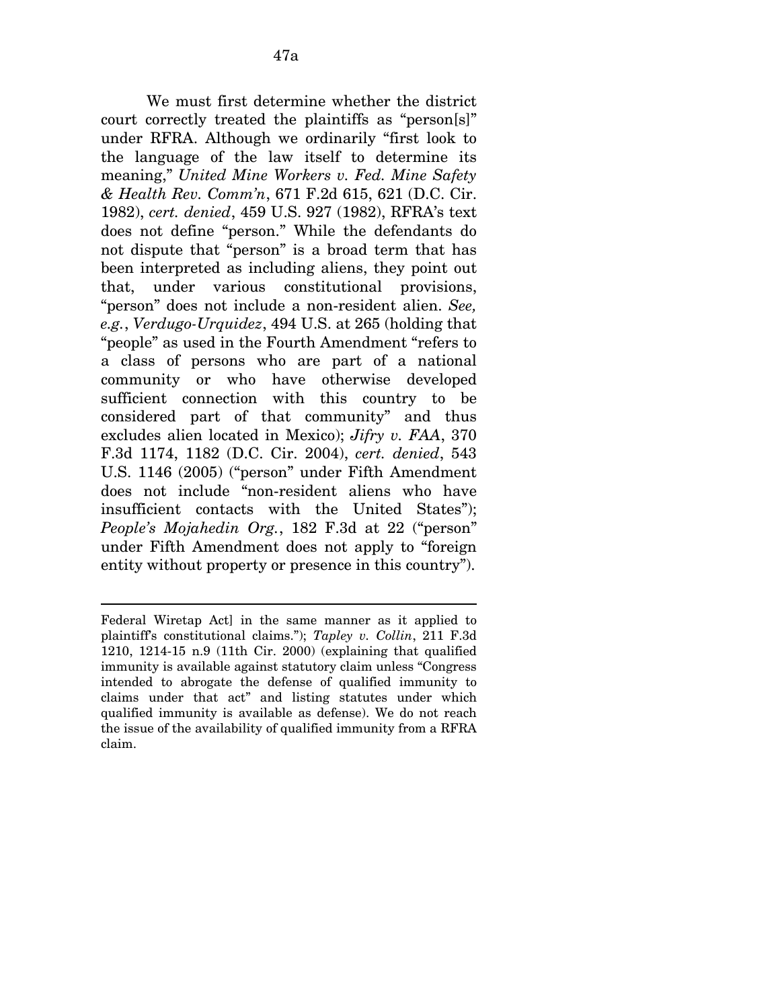We must first determine whether the district court correctly treated the plaintiffs as "person[s]" under RFRA. Although we ordinarily "first look to the language of the law itself to determine its meaning," *United Mine Workers v. Fed. Mine Safety & Health Rev. Comm'n*, 671 F.2d 615, 621 (D.C. Cir. 1982), *cert. denied*, 459 U.S. 927 (1982), RFRA's text does not define "person." While the defendants do not dispute that "person" is a broad term that has been interpreted as including aliens, they point out that, under various constitutional provisions, "person" does not include a non-resident alien. *See, e.g.*, *Verdugo-Urquidez*, 494 U.S. at 265 (holding that "people" as used in the Fourth Amendment "refers to a class of persons who are part of a national community or who have otherwise developed sufficient connection with this country to be considered part of that community" and thus excludes alien located in Mexico); *Jifry v. FAA*, 370 F.3d 1174, 1182 (D.C. Cir. 2004), *cert. denied*, 543 U.S. 1146 (2005) ("person" under Fifth Amendment does not include "non-resident aliens who have insufficient contacts with the United States"); *People's Mojahedin Org.*, 182 F.3d at 22 ("person" under Fifth Amendment does not apply to "foreign entity without property or presence in this country").

 $\overline{a}$ 

Federal Wiretap Act] in the same manner as it applied to plaintiff's constitutional claims."); *Tapley v. Collin*, 211 F.3d 1210, 1214-15 n.9 (11th Cir. 2000) (explaining that qualified immunity is available against statutory claim unless "Congress intended to abrogate the defense of qualified immunity to claims under that act" and listing statutes under which qualified immunity is available as defense). We do not reach the issue of the availability of qualified immunity from a RFRA claim.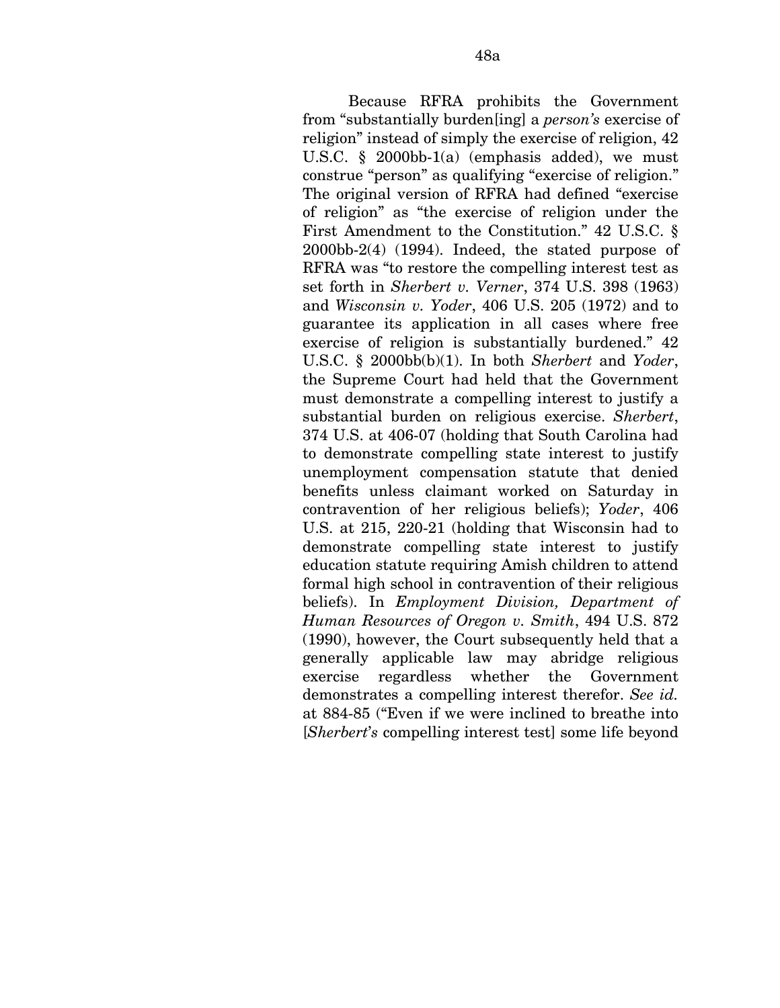Because RFRA prohibits the Government from "substantially burden[ing] a *person's* exercise of religion" instead of simply the exercise of religion, 42 U.S.C. § 2000bb-1(a) (emphasis added), we must construe "person" as qualifying "exercise of religion." The original version of RFRA had defined "exercise of religion" as "the exercise of religion under the First Amendment to the Constitution." 42 U.S.C. § 2000bb-2(4) (1994). Indeed, the stated purpose of RFRA was "to restore the compelling interest test as set forth in *Sherbert v. Verner*, 374 U.S. 398 (1963) and *Wisconsin v. Yoder*, 406 U.S. 205 (1972) and to guarantee its application in all cases where free exercise of religion is substantially burdened." 42 U.S.C. § 2000bb(b)(1). In both *Sherbert* and *Yoder*, the Supreme Court had held that the Government must demonstrate a compelling interest to justify a substantial burden on religious exercise. *Sherbert*, 374 U.S. at 406-07 (holding that South Carolina had to demonstrate compelling state interest to justify unemployment compensation statute that denied benefits unless claimant worked on Saturday in contravention of her religious beliefs); *Yoder*, 406 U.S. at 215, 220-21 (holding that Wisconsin had to demonstrate compelling state interest to justify education statute requiring Amish children to attend formal high school in contravention of their religious beliefs). In *Employment Division, Department of Human Resources of Oregon v. Smith*, 494 U.S. 872 (1990), however, the Court subsequently held that a generally applicable law may abridge religious exercise regardless whether the Government demonstrates a compelling interest therefor. *See id.*  at 884-85 ("Even if we were inclined to breathe into [*Sherbert*'*s* compelling interest test] some life beyond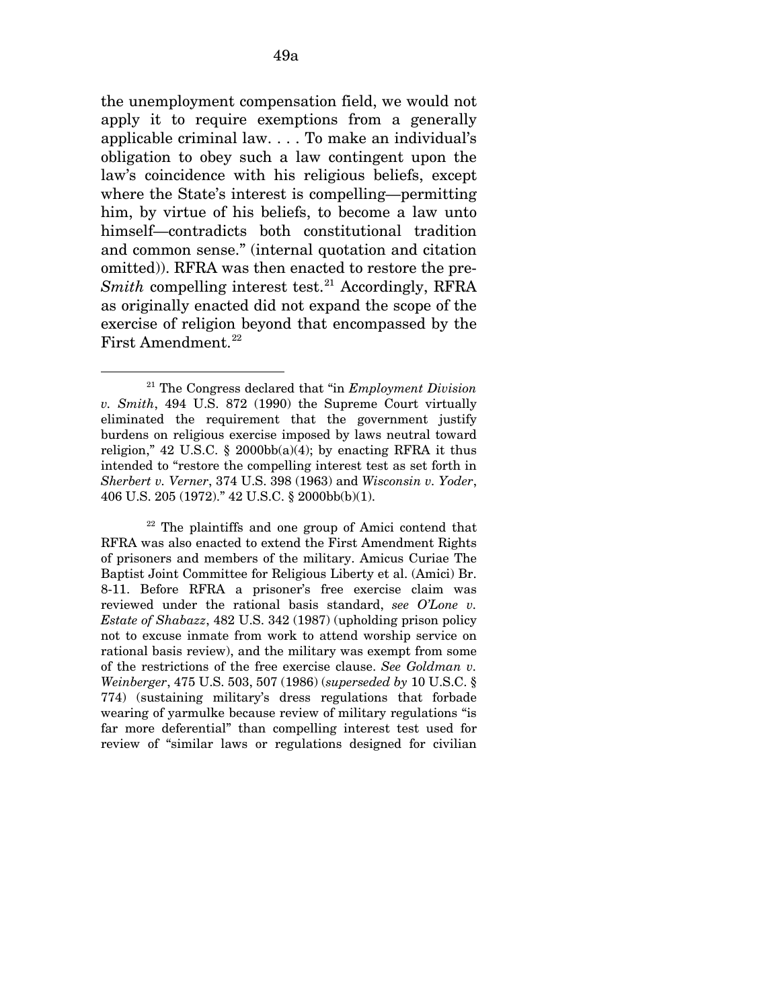the unemployment compensation field, we would not apply it to require exemptions from a generally applicable criminal law. . . . To make an individual's obligation to obey such a law contingent upon the law's coincidence with his religious beliefs, except where the State's interest is compelling—permitting him, by virtue of his beliefs, to become a law unto himself—contradicts both constitutional tradition and common sense." (internal quotation and citation omitted)). RFRA was then enacted to restore the pre-*Smith* compelling interest test.<sup>[21](#page-101-0)</sup> Accordingly, RFRA as originally enacted did not expand the scope of the exercise of religion beyond that encompassed by the First Amendment.<sup>[22](#page-101-1)</sup>

 $\overline{a}$ 

<span id="page-101-0"></span><sup>21</sup> The Congress declared that "in *Employment Division v. Smith*, 494 U.S. 872 (1990) the Supreme Court virtually eliminated the requirement that the government justify burdens on religious exercise imposed by laws neutral toward religion," 42 U.S.C. § 2000bb(a)(4); by enacting RFRA it thus intended to "restore the compelling interest test as set forth in *Sherbert v. Verner*, 374 U.S. 398 (1963) and *Wisconsin v. Yoder*, 406 U.S. 205 (1972)." 42 U.S.C. § 2000bb(b)(1).

<span id="page-101-1"></span><sup>22</sup> The plaintiffs and one group of Amici contend that RFRA was also enacted to extend the First Amendment Rights of prisoners and members of the military. Amicus Curiae The Baptist Joint Committee for Religious Liberty et al. (Amici) Br. 8-11. Before RFRA a prisoner's free exercise claim was reviewed under the rational basis standard, *see O'Lone v. Estate of Shabazz*, 482 U.S. 342 (1987) (upholding prison policy not to excuse inmate from work to attend worship service on rational basis review), and the military was exempt from some of the restrictions of the free exercise clause. *See Goldman v. Weinberger*, 475 U.S. 503, 507 (1986) (*superseded by* 10 U.S.C. § 774) (sustaining military's dress regulations that forbade wearing of yarmulke because review of military regulations "is far more deferential" than compelling interest test used for review of "similar laws or regulations designed for civilian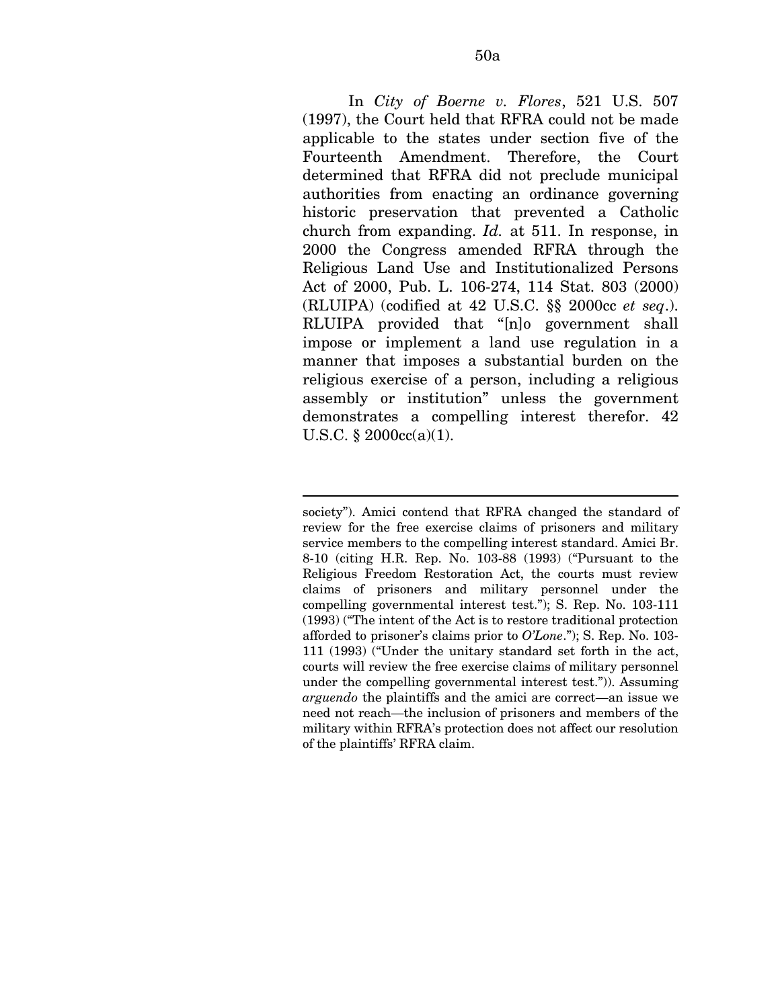In *City of Boerne v. Flores*, 521 U.S. 507 (1997), the Court held that RFRA could not be made applicable to the states under section five of the Fourteenth Amendment. Therefore, the Court determined that RFRA did not preclude municipal authorities from enacting an ordinance governing historic preservation that prevented a Catholic church from expanding. *Id.* at 511. In response, in 2000 the Congress amended RFRA through the Religious Land Use and Institutionalized Persons Act of 2000, Pub. L. 106-274, 114 Stat. 803 (2000) (RLUIPA) (codified at 42 U.S.C. §§ 2000cc *et seq*.). RLUIPA provided that "[n]o government shall impose or implement a land use regulation in a manner that imposes a substantial burden on the religious exercise of a person, including a religious assembly or institution" unless the government demonstrates a compelling interest therefor. 42 U.S.C. § 2000cc(a)(1).

society"). Amici contend that RFRA changed the standard of review for the free exercise claims of prisoners and military service members to the compelling interest standard. Amici Br. 8-10 (citing H.R. Rep. No. 103-88 (1993) ("Pursuant to the Religious Freedom Restoration Act, the courts must review claims of prisoners and military personnel under the compelling governmental interest test."); S. Rep. No. 103-111 (1993) ("The intent of the Act is to restore traditional protection afforded to prisoner's claims prior to *O'Lone*."); S. Rep. No. 103- 111 (1993) ("Under the unitary standard set forth in the act, courts will review the free exercise claims of military personnel under the compelling governmental interest test.")). Assuming *arguendo* the plaintiffs and the amici are correct—an issue we need not reach—the inclusion of prisoners and members of the military within RFRA's protection does not affect our resolution of the plaintiffs' RFRA claim.

 $\overline{a}$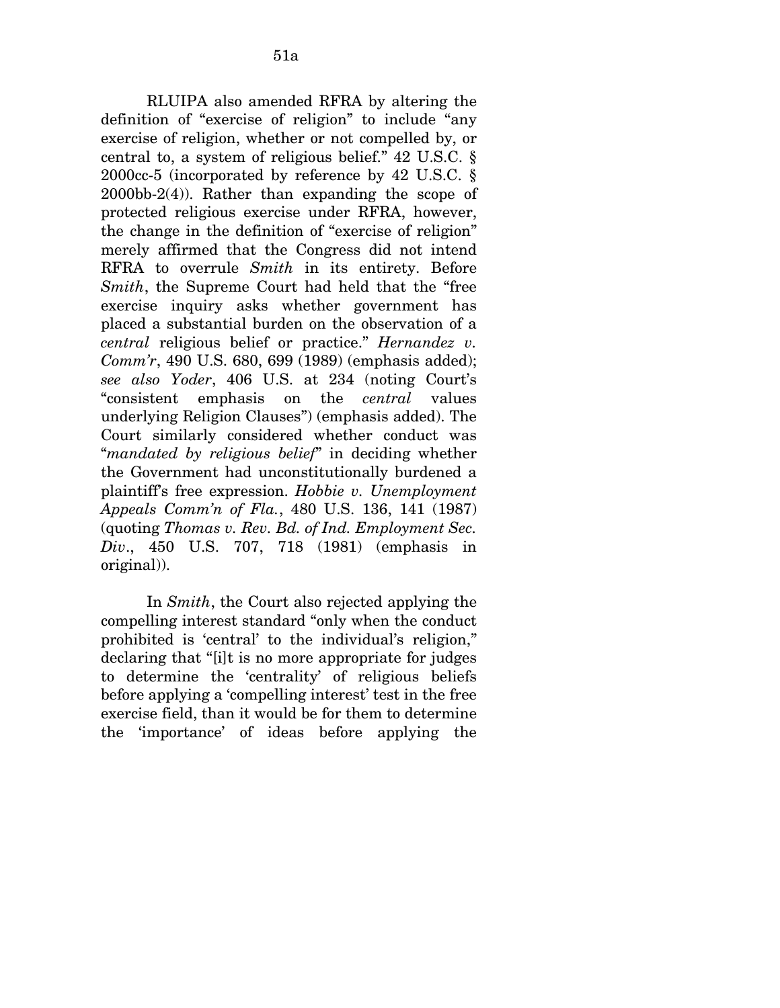RLUIPA also amended RFRA by altering the definition of "exercise of religion" to include "any exercise of religion, whether or not compelled by, or central to, a system of religious belief." 42 U.S.C. § 2000cc-5 (incorporated by reference by 42 U.S.C. § 2000bb-2(4)). Rather than expanding the scope of protected religious exercise under RFRA, however, the change in the definition of "exercise of religion" merely affirmed that the Congress did not intend RFRA to overrule *Smith* in its entirety. Before *Smith*, the Supreme Court had held that the "free exercise inquiry asks whether government has placed a substantial burden on the observation of a *central* religious belief or practice." *Hernandez v. Comm'r*, 490 U.S. 680, 699 (1989) (emphasis added); *see also Yoder*, 406 U.S. at 234 (noting Court's "consistent emphasis on the *central* values underlying Religion Clauses") (emphasis added). The Court similarly considered whether conduct was "*mandated by religious belief*" in deciding whether the Government had unconstitutionally burdened a plaintiff's free expression. *Hobbie v. Unemployment Appeals Comm'n of Fla.*, 480 U.S. 136, 141 (1987) (quoting *Thomas v. Rev. Bd. of Ind. Employment Sec. Div*., 450 U.S. 707, 718 (1981) (emphasis in original)).

In *Smith*, the Court also rejected applying the compelling interest standard "only when the conduct prohibited is 'central' to the individual's religion," declaring that "[i]t is no more appropriate for judges to determine the 'centrality' of religious beliefs before applying a 'compelling interest' test in the free exercise field, than it would be for them to determine the 'importance' of ideas before applying the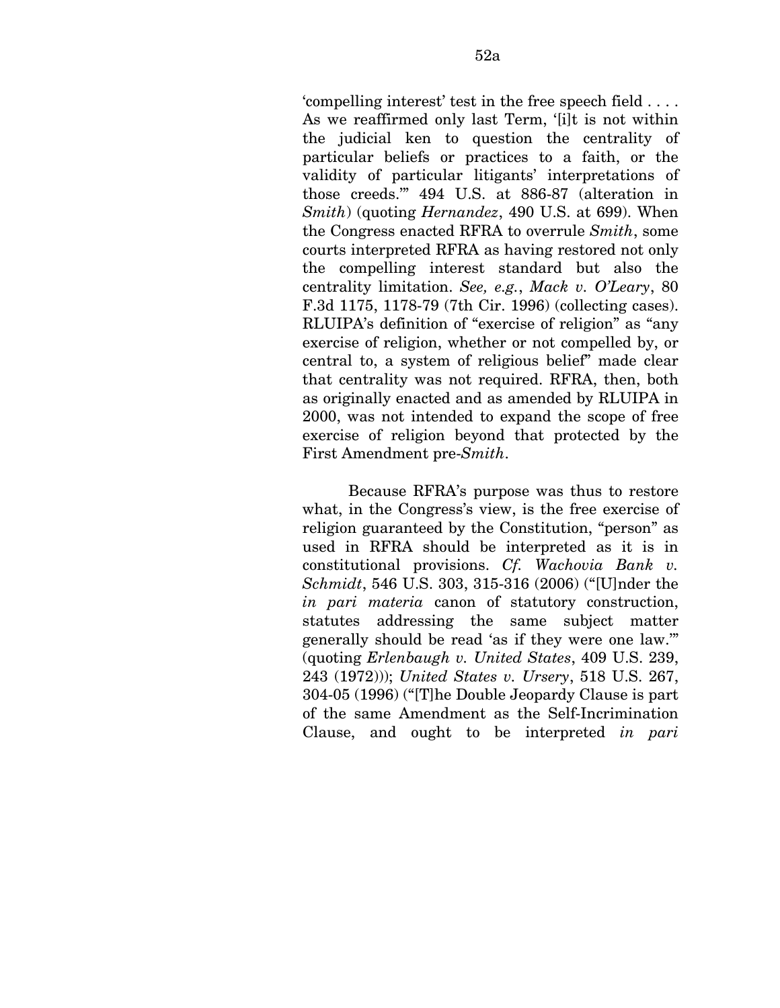'compelling interest' test in the free speech field . . . . As we reaffirmed only last Term, '[i]t is not within the judicial ken to question the centrality of particular beliefs or practices to a faith, or the validity of particular litigants' interpretations of those creeds.'" 494 U.S. at 886-87 (alteration in *Smith*) (quoting *Hernandez*, 490 U.S. at 699). When the Congress enacted RFRA to overrule *Smith*, some courts interpreted RFRA as having restored not only the compelling interest standard but also the centrality limitation. *See, e.g.*, *Mack v. O'Leary*, 80 F.3d 1175, 1178-79 (7th Cir. 1996) (collecting cases). RLUIPA's definition of "exercise of religion" as "any exercise of religion, whether or not compelled by, or central to, a system of religious belief" made clear that centrality was not required. RFRA, then, both as originally enacted and as amended by RLUIPA in 2000, was not intended to expand the scope of free exercise of religion beyond that protected by the First Amendment pre-*Smith*.

Because RFRA's purpose was thus to restore what, in the Congress's view, is the free exercise of religion guaranteed by the Constitution, "person" as used in RFRA should be interpreted as it is in constitutional provisions. *Cf. Wachovia Bank v. Schmidt*, 546 U.S. 303, 315-316 (2006) ("[U]nder the *in pari materia* canon of statutory construction, statutes addressing the same subject matter generally should be read 'as if they were one law.'" (quoting *Erlenbaugh v. United States*, 409 U.S. 239, 243 (1972))); *United States v. Ursery*, 518 U.S. 267, 304-05 (1996) ("[T]he Double Jeopardy Clause is part of the same Amendment as the Self-Incrimination Clause, and ought to be interpreted *in pari*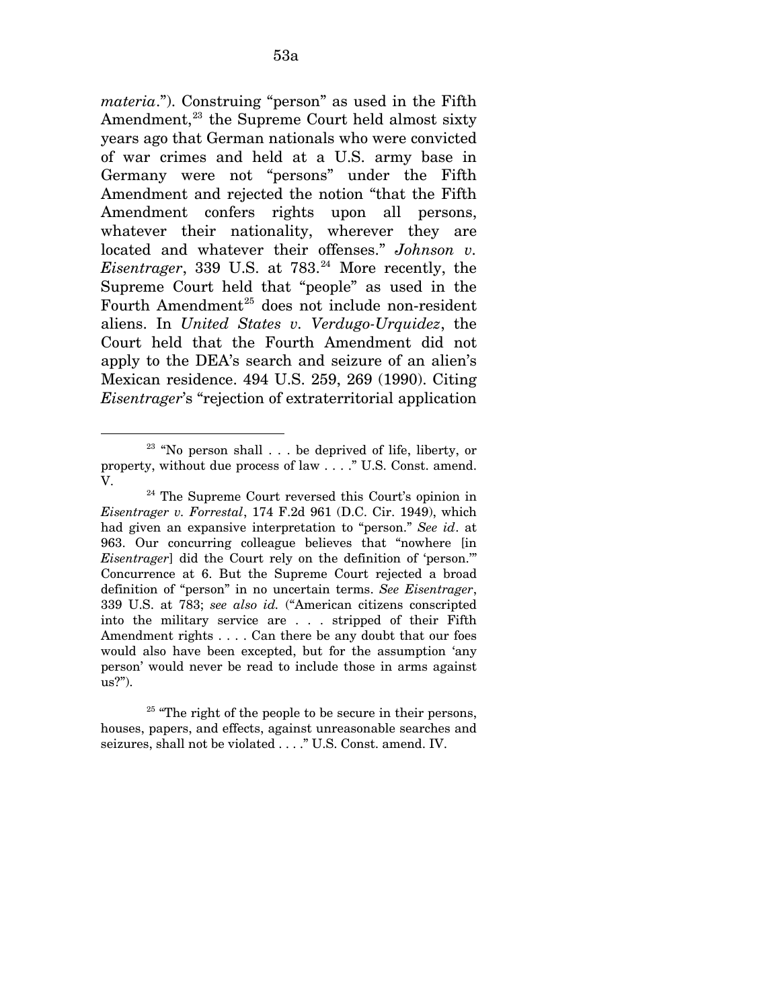*materia*."). Construing "person" as used in the Fifth Amendment, $^{23}$  $^{23}$  $^{23}$  the Supreme Court held almost sixty years ago that German nationals who were convicted of war crimes and held at a U.S. army base in Germany were not "persons" under the Fifth Amendment and rejected the notion "that the Fifth Amendment confers rights upon all persons, whatever their nationality, wherever they are located and whatever their offenses." *Johnson v. Eisentrager*, 339 U.S. at 783.<sup>[24](#page-105-1)</sup> More recently, the Supreme Court held that "people" as used in the Fourth Amendment<sup>[25](#page-105-2)</sup> does not include non-resident aliens. In *United States v. Verdugo-Urquidez*, the Court held that the Fourth Amendment did not apply to the DEA's search and seizure of an alien's Mexican residence. 494 U.S. 259, 269 (1990). Citing *Eisentrager*'s "rejection of extraterritorial application

<span id="page-105-0"></span>l  $23$  "No person shall ... be deprived of life, liberty, or property, without due process of law . . . ." U.S. Const. amend.

<span id="page-105-1"></span>V.<br><sup>24</sup> The Supreme Court reversed this Court's opinion in *Eisentrager v. Forrestal*, 174 F.2d 961 (D.C. Cir. 1949), which had given an expansive interpretation to "person." *See id*. at 963. Our concurring colleague believes that "nowhere [in *Eisentrager*] did the Court rely on the definition of 'person.'" Concurrence at 6. But the Supreme Court rejected a broad definition of "person" in no uncertain terms. *See Eisentrager*, 339 U.S. at 783; *see also id.* ("American citizens conscripted into the military service are . . . stripped of their Fifth Amendment rights . . . . Can there be any doubt that our foes would also have been excepted, but for the assumption 'any person' would never be read to include those in arms against us?").

<span id="page-105-2"></span> $25$  "The right of the people to be secure in their persons, houses, papers, and effects, against unreasonable searches and seizures, shall not be violated . . . ." U.S. Const. amend. IV.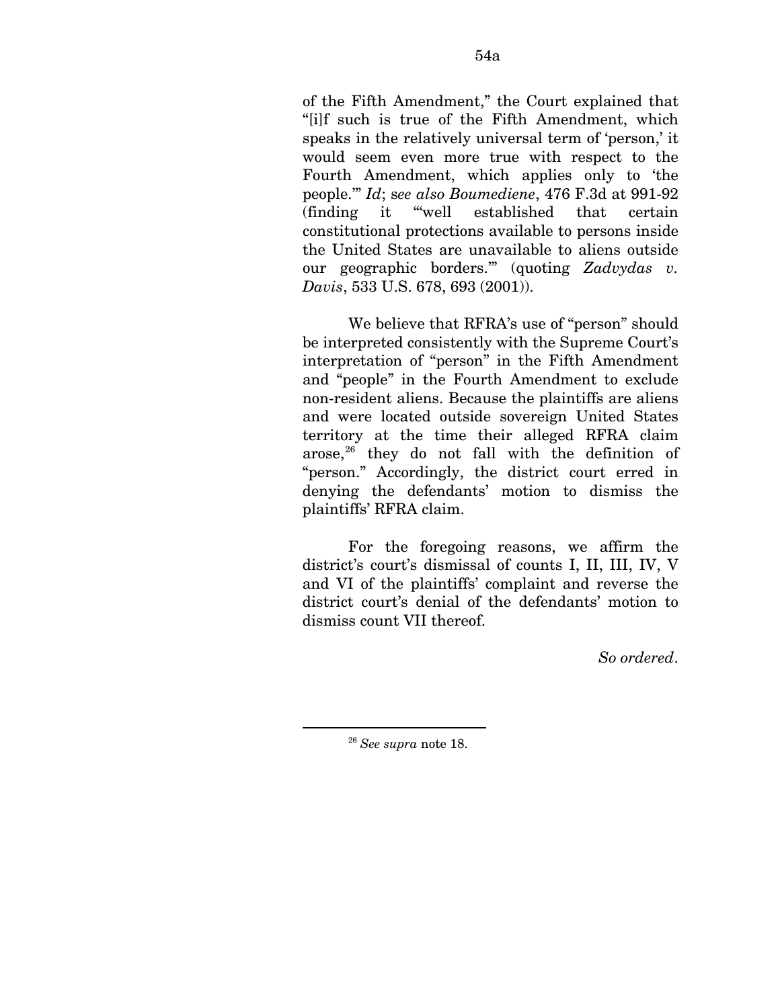of the Fifth Amendment," the Court explained that "[i]f such is true of the Fifth Amendment, which speaks in the relatively universal term of 'person,' it would seem even more true with respect to the Fourth Amendment, which applies only to 'the people.'" *Id*; s*ee also Boumediene*, 476 F.3d at 991-92 (finding it "'well established that certain constitutional protections available to persons inside the United States are unavailable to aliens outside our geographic borders.'" (quoting *Zadvydas v. Davis*, 533 U.S. 678, 693 (2001)).

We believe that RFRA's use of "person" should be interpreted consistently with the Supreme Court's interpretation of "person" in the Fifth Amendment and "people" in the Fourth Amendment to exclude non-resident aliens. Because the plaintiffs are aliens and were located outside sovereign United States territory at the time their alleged RFRA claim arose.<sup>[26](#page-106-0)</sup> they do not fall with the definition of "person." Accordingly, the district court erred in denying the defendants' motion to dismiss the plaintiffs' RFRA claim.

For the foregoing reasons, we affirm the district's court's dismissal of counts I, II, III, IV, V and VI of the plaintiffs' complaint and reverse the district court's denial of the defendants' motion to dismiss count VII thereof.

*So ordered*.

<span id="page-106-0"></span>1

<sup>26</sup> *See supra* note 18.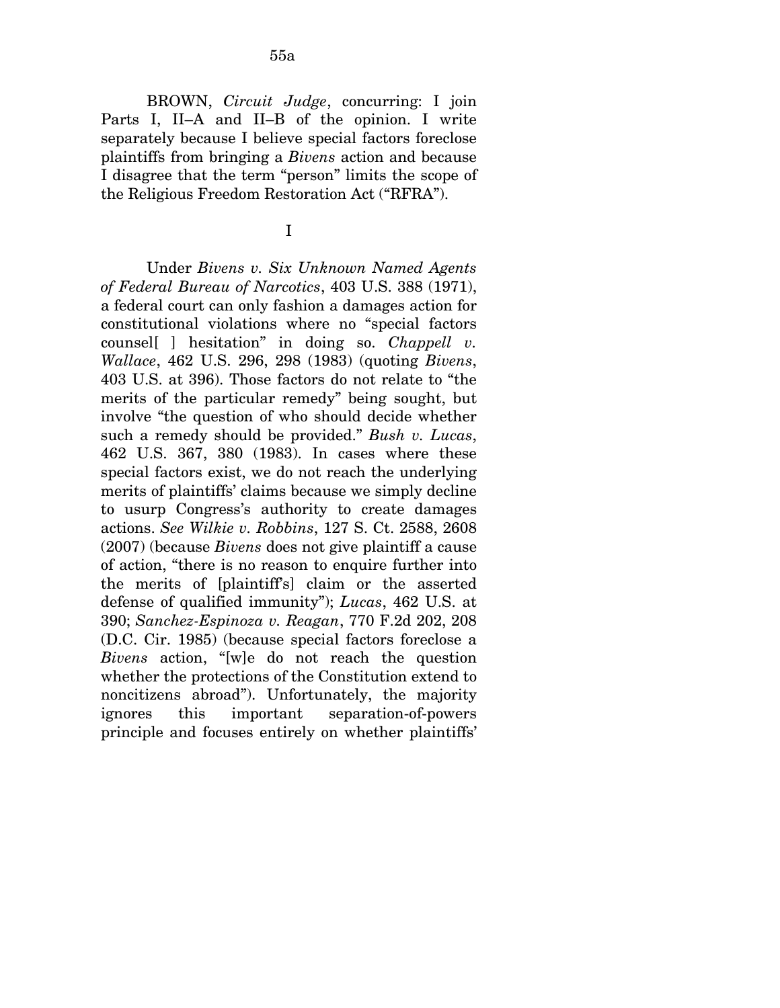BROWN, *Circuit Judge*, concurring: I join Parts I, II–A and II–B of the opinion. I write separately because I believe special factors foreclose plaintiffs from bringing a *Bivens* action and because I disagree that the term "person" limits the scope of the Religious Freedom Restoration Act ("RFRA").

I

Under *Bivens v. Six Unknown Named Agents of Federal Bureau of Narcotics*, 403 U.S. 388 (1971), a federal court can only fashion a damages action for constitutional violations where no "special factors counsel[ ] hesitation" in doing so. *Chappell v. Wallace*, 462 U.S. 296, 298 (1983) (quoting *Bivens*, 403 U.S. at 396). Those factors do not relate to "the merits of the particular remedy" being sought, but involve "the question of who should decide whether such a remedy should be provided." *Bush v. Lucas*, 462 U.S. 367, 380 (1983). In cases where these special factors exist, we do not reach the underlying merits of plaintiffs' claims because we simply decline to usurp Congress's authority to create damages actions. *See Wilkie v. Robbins*, 127 S. Ct. 2588, 2608 (2007) (because *Bivens* does not give plaintiff a cause of action, "there is no reason to enquire further into the merits of [plaintiff's] claim or the asserted defense of qualified immunity"); *Lucas*, 462 U.S. at 390; *Sanchez-Espinoza v. Reagan*, 770 F.2d 202, 208 (D.C. Cir. 1985) (because special factors foreclose a *Bivens* action, "[w]e do not reach the question whether the protections of the Constitution extend to noncitizens abroad"). Unfortunately, the majority ignores this important separation-of-powers principle and focuses entirely on whether plaintiffs'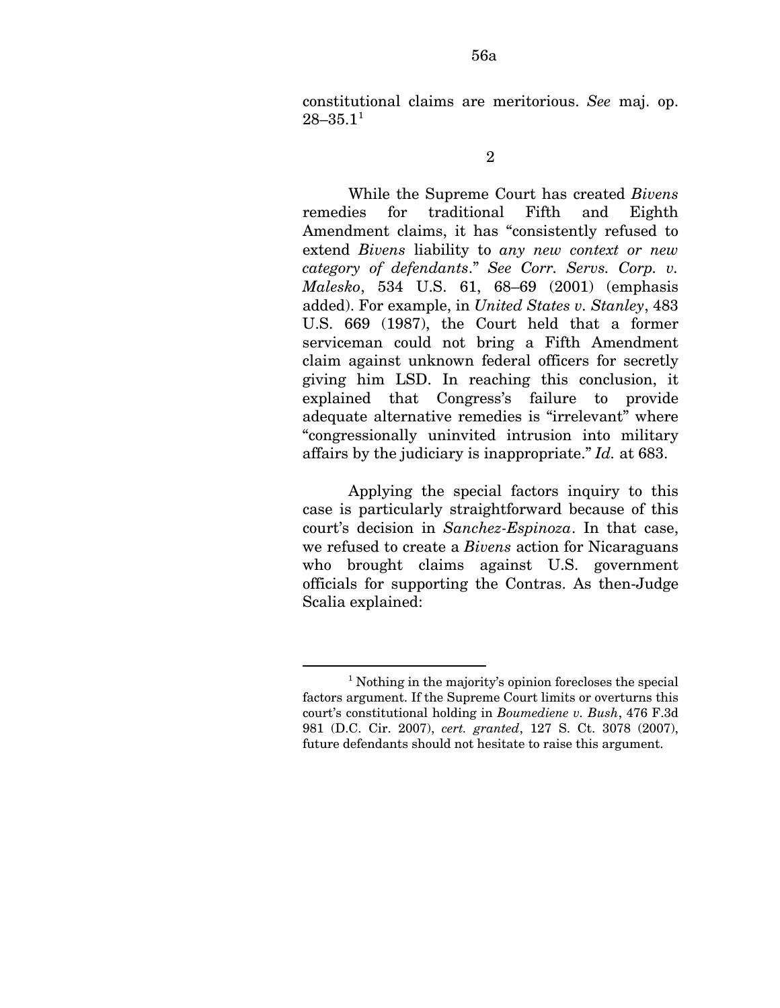constitutional claims are meritorious. *See* maj. op.  $28 - 35.1<sup>1</sup>$  $28 - 35.1<sup>1</sup>$  $28 - 35.1<sup>1</sup>$ 

While the Supreme Court has created *Bivens*  remedies for traditional Fifth and Eighth Amendment claims, it has "consistently refused to extend *Bivens* liability to *any new context or new category of defendants*." *See Corr. Servs. Corp. v. Malesko*, 534 U.S. 61, 68–69 (2001) (emphasis added). For example, in *United States v. Stanley*, 483 U.S. 669 (1987), the Court held that a former serviceman could not bring a Fifth Amendment claim against unknown federal officers for secretly giving him LSD. In reaching this conclusion, it explained that Congress's failure to provide adequate alternative remedies is "irrelevant" where "congressionally uninvited intrusion into military affairs by the judiciary is inappropriate." *Id.* at 683.

Applying the special factors inquiry to this case is particularly straightforward because of this court's decision in *Sanchez-Espinoza*. In that case, we refused to create a *Bivens* action for Nicaraguans who brought claims against U.S. government officials for supporting the Contras. As then-Judge Scalia explained:

<u>.</u>

<sup>2</sup> 

<span id="page-108-0"></span><sup>&</sup>lt;sup>1</sup> Nothing in the majority's opinion forecloses the special factors argument. If the Supreme Court limits or overturns this court's constitutional holding in *Boumediene v. Bush*, 476 F.3d 981 (D.C. Cir. 2007), *cert. granted*, 127 S. Ct. 3078 (2007), future defendants should not hesitate to raise this argument.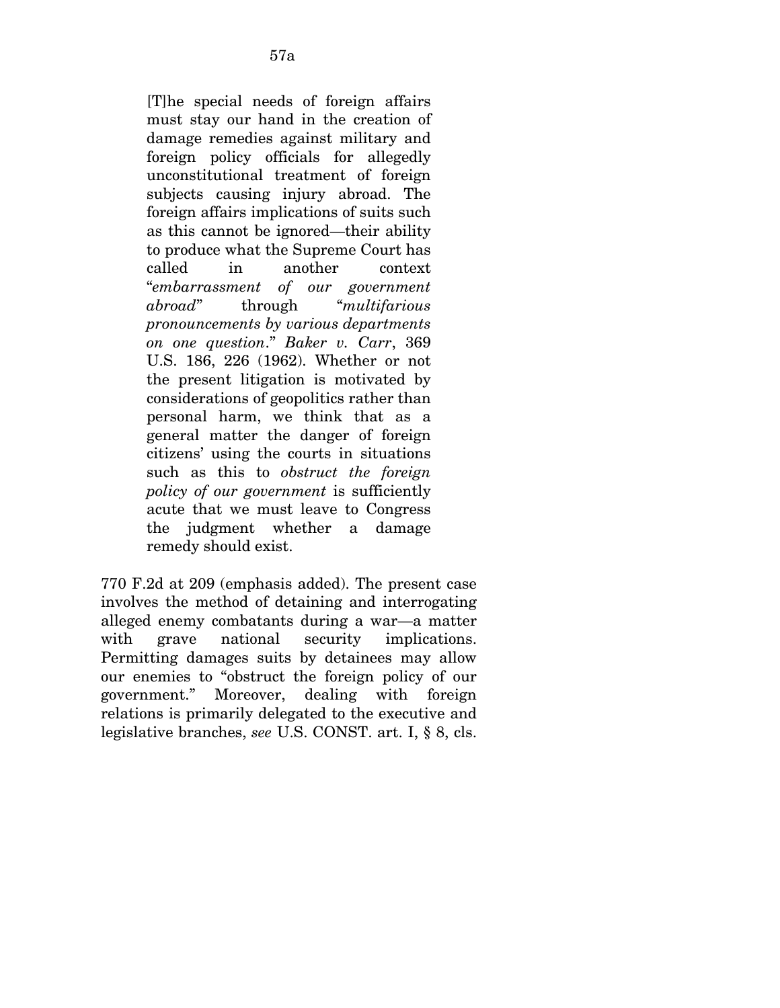[T]he special needs of foreign affairs must stay our hand in the creation of damage remedies against military and foreign policy officials for allegedly unconstitutional treatment of foreign subjects causing injury abroad. The foreign affairs implications of suits such as this cannot be ignored—their ability to produce what the Supreme Court has called in another context "*embarrassment of our government abroad*" through "*multifarious pronouncements by various departments on one question*." *Baker v. Carr*, 369 U.S. 186, 226 (1962). Whether or not the present litigation is motivated by considerations of geopolitics rather than personal harm, we think that as a general matter the danger of foreign citizens' using the courts in situations such as this to *obstruct the foreign policy of our government* is sufficiently acute that we must leave to Congress the judgment whether a damage remedy should exist.

770 F.2d at 209 (emphasis added). The present case involves the method of detaining and interrogating alleged enemy combatants during a war—a matter with grave national security implications. Permitting damages suits by detainees may allow our enemies to "obstruct the foreign policy of our government." Moreover, dealing with foreign relations is primarily delegated to the executive and legislative branches, *see* U.S. CONST. art. I, § 8, cls.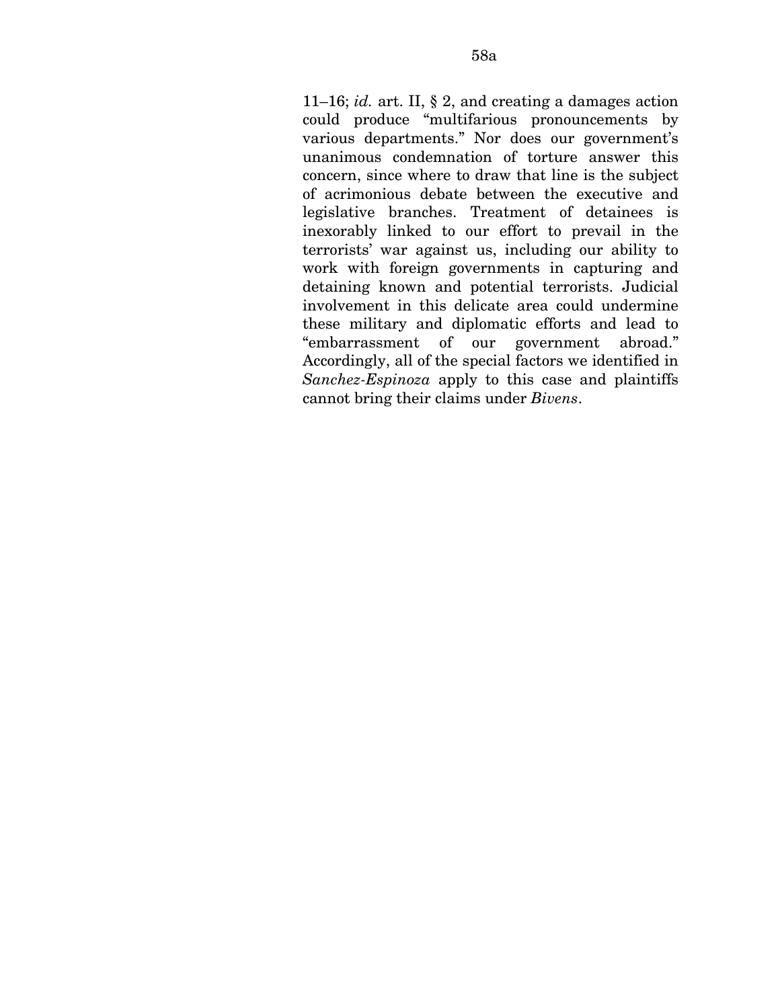11–16; *id.* art. II, § 2, and creating a damages action could produce "multifarious pronouncements by various departments." Nor does our government's unanimous condemnation of torture answer this concern, since where to draw that line is the subject of acrimonious debate between the executive and legislative branches. Treatment of detainees is inexorably linked to our effort to prevail in the terrorists' war against us, including our ability to work with foreign governments in capturing and detaining known and potential terrorists. Judicial involvement in this delicate area could undermine these military and diplomatic efforts and lead to "embarrassment of our government abroad." Accordingly, all of the special factors we identified in *Sanchez-Espinoza* apply to this case and plaintiffs cannot bring their claims under *Bivens*.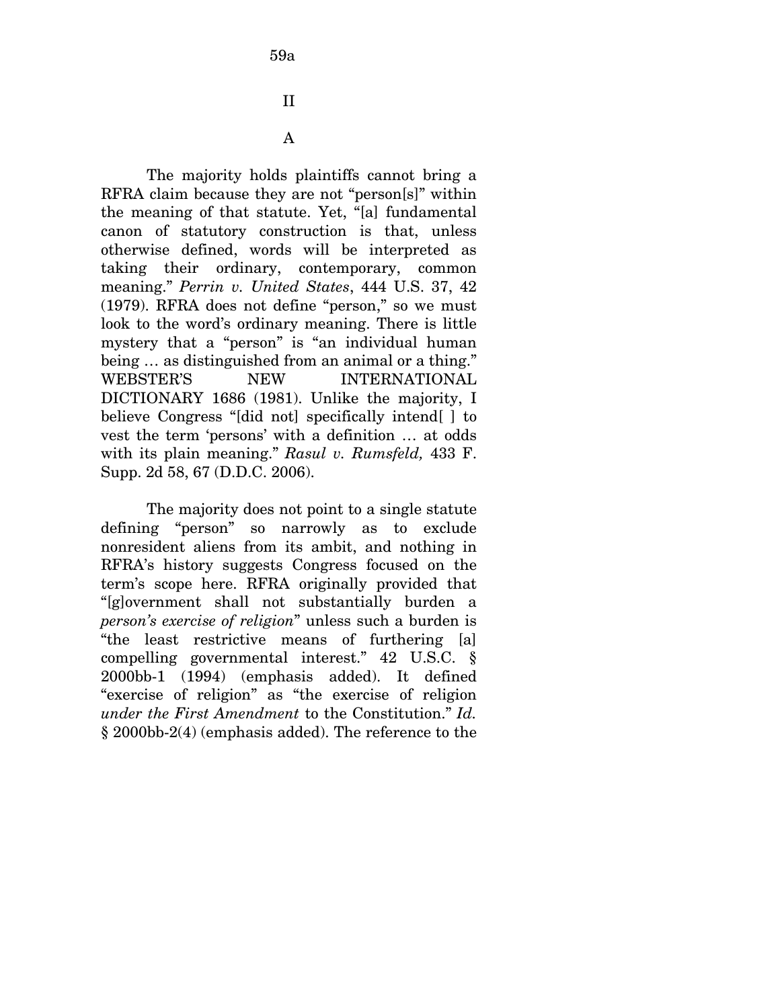The majority holds plaintiffs cannot bring a RFRA claim because they are not "person[s]" within the meaning of that statute. Yet, "[a] fundamental canon of statutory construction is that, unless otherwise defined, words will be interpreted as taking their ordinary, contemporary, common meaning." *Perrin v. United States*, 444 U.S. 37, 42 (1979). RFRA does not define "person," so we must look to the word's ordinary meaning. There is little mystery that a "person" is "an individual human being … as distinguished from an animal or a thing." WEBSTER'S NEW INTERNATIONAL DICTIONARY 1686 (1981). Unlike the majority, I believe Congress "[did not] specifically intend[ ] to vest the term 'persons' with a definition … at odds with its plain meaning." *Rasul v. Rumsfeld,* 433 F. Supp. 2d 58, 67 (D.D.C. 2006).

The majority does not point to a single statute defining "person" so narrowly as to exclude nonresident aliens from its ambit, and nothing in RFRA's history suggests Congress focused on the term's scope here. RFRA originally provided that "[g]overnment shall not substantially burden a *person's exercise of religion*" unless such a burden is "the least restrictive means of furthering [a] compelling governmental interest." 42 U.S.C. § 2000bb-1 (1994) (emphasis added). It defined "exercise of religion" as "the exercise of religion *under the First Amendment* to the Constitution." *Id.*  § 2000bb-2(4) (emphasis added). The reference to the

59a

II

A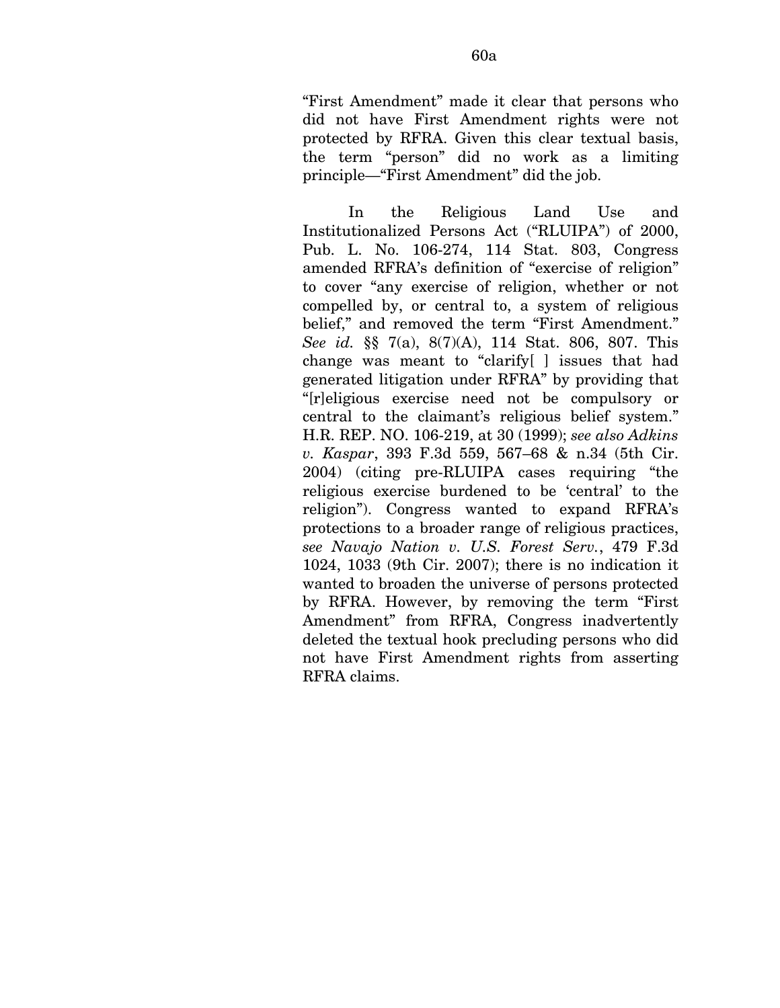"First Amendment" made it clear that persons who did not have First Amendment rights were not protected by RFRA. Given this clear textual basis, the term "person" did no work as a limiting principle—"First Amendment" did the job.

In the Religious Land Use and Institutionalized Persons Act ("RLUIPA") of 2000, Pub. L. No. 106-274, 114 Stat. 803, Congress amended RFRA's definition of "exercise of religion" to cover "any exercise of religion, whether or not compelled by, or central to, a system of religious belief," and removed the term "First Amendment." *See id.* §§ 7(a), 8(7)(A), 114 Stat. 806, 807. This change was meant to "clarify[ ] issues that had generated litigation under RFRA" by providing that "[r]eligious exercise need not be compulsory or central to the claimant's religious belief system." H.R. REP. NO. 106-219, at 30 (1999); *see also Adkins v. Kaspar*, 393 F.3d 559, 567–68 & n.34 (5th Cir. 2004) (citing pre-RLUIPA cases requiring "the religious exercise burdened to be 'central' to the religion"). Congress wanted to expand RFRA's protections to a broader range of religious practices, *see Navajo Nation v. U.S. Forest Serv.*, 479 F.3d 1024, 1033 (9th Cir. 2007); there is no indication it wanted to broaden the universe of persons protected by RFRA. However, by removing the term "First Amendment" from RFRA, Congress inadvertently deleted the textual hook precluding persons who did not have First Amendment rights from asserting RFRA claims.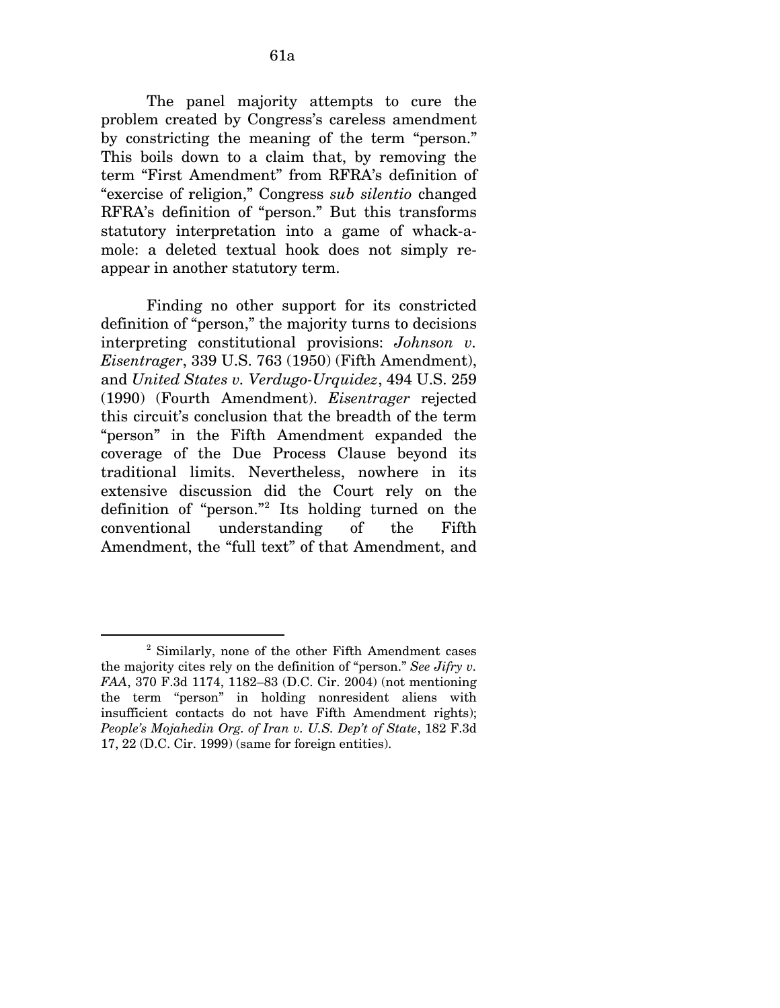The panel majority attempts to cure the problem created by Congress's careless amendment by constricting the meaning of the term "person." This boils down to a claim that, by removing the term "First Amendment" from RFRA's definition of "exercise of religion," Congress *sub silentio* changed RFRA's definition of "person." But this transforms statutory interpretation into a game of whack-amole: a deleted textual hook does not simply reappear in another statutory term.

Finding no other support for its constricted definition of "person," the majority turns to decisions interpreting constitutional provisions: *Johnson v. Eisentrager*, 339 U.S. 763 (1950) (Fifth Amendment), and *United States v. Verdugo-Urquidez*, 494 U.S. 259 (1990) (Fourth Amendment). *Eisentrager* rejected this circuit's conclusion that the breadth of the term "person" in the Fifth Amendment expanded the coverage of the Due Process Clause beyond its traditional limits. Nevertheless, nowhere in its extensive discussion did the Court rely on the definition of "person."[2](#page-113-0) Its holding turned on the conventional understanding of the Fifth Amendment, the "full text" of that Amendment, and

 $\overline{a}$ 

<span id="page-113-0"></span><sup>2</sup> Similarly, none of the other Fifth Amendment cases the majority cites rely on the definition of "person." *See Jifry v. FAA*, 370 F.3d 1174, 1182–83 (D.C. Cir. 2004) (not mentioning the term "person" in holding nonresident aliens with insufficient contacts do not have Fifth Amendment rights); *People's Mojahedin Org. of Iran v. U.S. Dep't of State*, 182 F.3d 17, 22 (D.C. Cir. 1999) (same for foreign entities).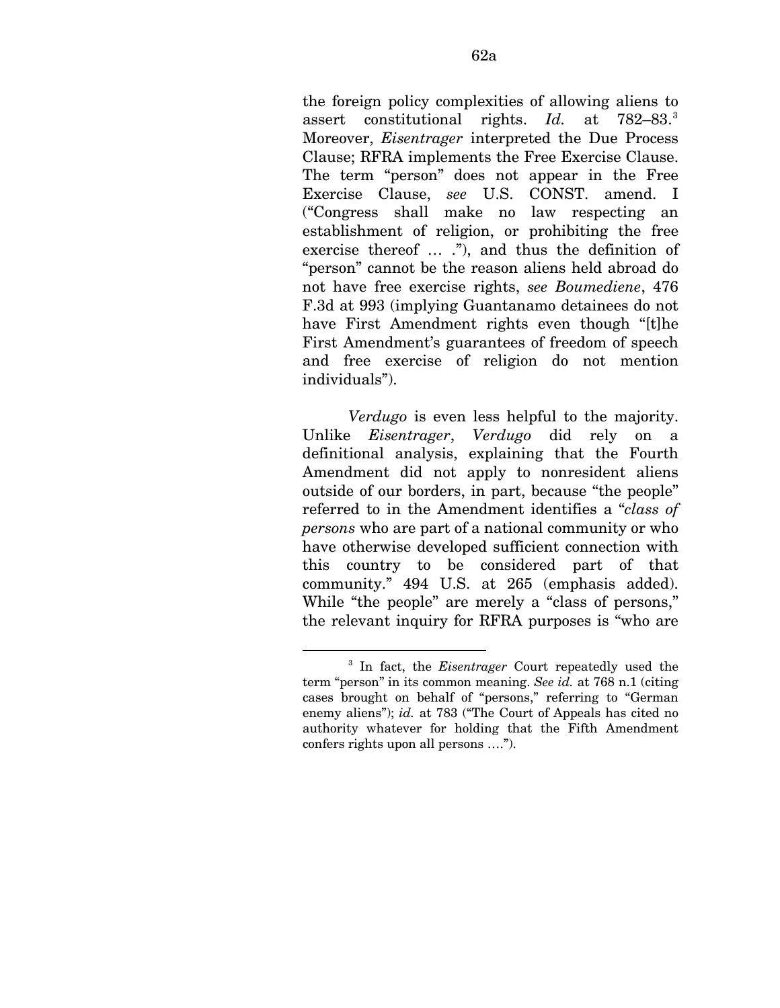the foreign policy complexities of allowing aliens to assert constitutional rights. *Id.* at 782–8[3](#page-114-0).<sup>3</sup> Moreover, *Eisentrager* interpreted the Due Process Clause; RFRA implements the Free Exercise Clause. The term "person" does not appear in the Free Exercise Clause, *see* U.S. CONST. amend. I ("Congress shall make no law respecting an establishment of religion, or prohibiting the free exercise thereof ... ."), and thus the definition of "person" cannot be the reason aliens held abroad do not have free exercise rights, *see Boumediene*, 476 F.3d at 993 (implying Guantanamo detainees do not have First Amendment rights even though "[t]he First Amendment's guarantees of freedom of speech and free exercise of religion do not mention individuals").

*Verdugo* is even less helpful to the majority. Unlike *Eisentrager*, *Verdugo* did rely on a definitional analysis, explaining that the Fourth Amendment did not apply to nonresident aliens outside of our borders, in part, because "the people" referred to in the Amendment identifies a "*class of persons* who are part of a national community or who have otherwise developed sufficient connection with this country to be considered part of that community." 494 U.S. at 265 (emphasis added). While "the people" are merely a "class of persons," the relevant inquiry for RFRA purposes is "who are

1

<span id="page-114-0"></span><sup>3</sup> In fact, the *Eisentrager* Court repeatedly used the term "person" in its common meaning. *See id.* at 768 n.1 (citing cases brought on behalf of "persons," referring to "German enemy aliens"); *id.* at 783 ("The Court of Appeals has cited no authority whatever for holding that the Fifth Amendment confers rights upon all persons ….").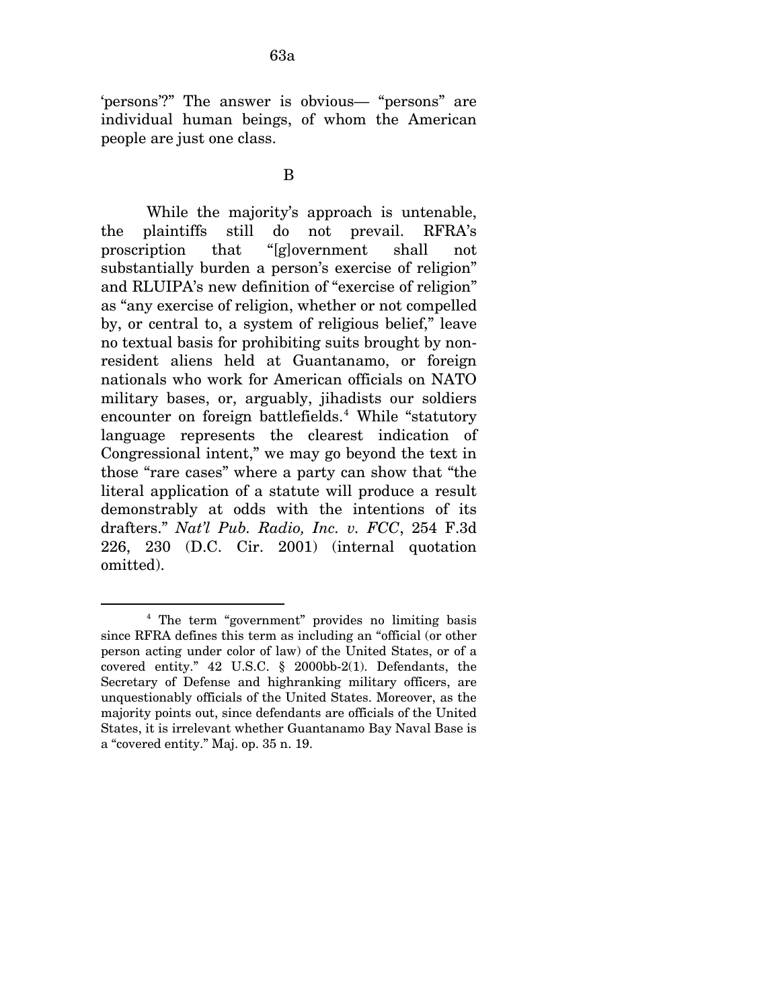'persons'?" The answer is obvious— "persons" are individual human beings, of whom the American people are just one class.

#### B

While the majority's approach is untenable, the plaintiffs still do not prevail. RFRA's proscription that "[g]overnment shall not substantially burden a person's exercise of religion" and RLUIPA's new definition of "exercise of religion" as "any exercise of religion, whether or not compelled by, or central to, a system of religious belief," leave no textual basis for prohibiting suits brought by nonresident aliens held at Guantanamo, or foreign nationals who work for American officials on NATO military bases, or, arguably, jihadists our soldiers encounter on foreign battlefields.<sup>[4](#page-115-0)</sup> While "statutory language represents the clearest indication of Congressional intent," we may go beyond the text in those "rare cases" where a party can show that "the literal application of a statute will produce a result demonstrably at odds with the intentions of its drafters." *Nat'l Pub. Radio, Inc. v. FCC*, 254 F.3d 226, 230 (D.C. Cir. 2001) (internal quotation omitted).

 $\overline{a}$ 

<span id="page-115-0"></span><sup>4</sup> The term "government" provides no limiting basis since RFRA defines this term as including an "official (or other person acting under color of law) of the United States, or of a covered entity." 42 U.S.C. § 2000bb-2(1). Defendants, the Secretary of Defense and highranking military officers, are unquestionably officials of the United States. Moreover, as the majority points out, since defendants are officials of the United States, it is irrelevant whether Guantanamo Bay Naval Base is a "covered entity." Maj. op. 35 n. 19.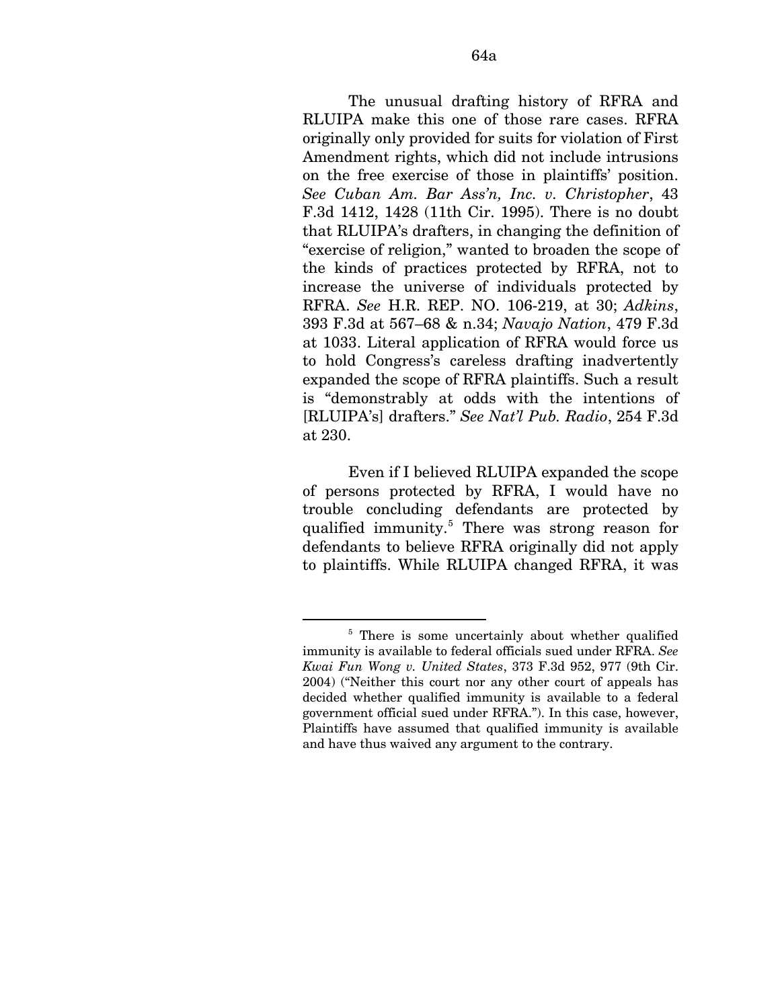The unusual drafting history of RFRA and RLUIPA make this one of those rare cases. RFRA originally only provided for suits for violation of First Amendment rights, which did not include intrusions on the free exercise of those in plaintiffs' position. *See Cuban Am. Bar Ass'n, Inc. v. Christopher*, 43 F.3d 1412, 1428 (11th Cir. 1995). There is no doubt that RLUIPA's drafters, in changing the definition of "exercise of religion," wanted to broaden the scope of the kinds of practices protected by RFRA, not to increase the universe of individuals protected by RFRA. *See* H.R. REP. NO. 106-219, at 30; *Adkins*, 393 F.3d at 567–68 & n.34; *Navajo Nation*, 479 F.3d at 1033. Literal application of RFRA would force us to hold Congress's careless drafting inadvertently expanded the scope of RFRA plaintiffs. Such a result is "demonstrably at odds with the intentions of [RLUIPA's] drafters." *See Nat'l Pub. Radio*, 254 F.3d at 230.

Even if I believed RLUIPA expanded the scope of persons protected by RFRA, I would have no trouble concluding defendants are protected by qualified immunity.<sup>[5](#page-116-0)</sup> There was strong reason for defendants to believe RFRA originally did not apply to plaintiffs. While RLUIPA changed RFRA, it was

1

<span id="page-116-0"></span><sup>&</sup>lt;sup>5</sup> There is some uncertainly about whether qualified immunity is available to federal officials sued under RFRA. *See Kwai Fun Wong v. United States*, 373 F.3d 952, 977 (9th Cir. 2004) ("Neither this court nor any other court of appeals has decided whether qualified immunity is available to a federal government official sued under RFRA."). In this case, however, Plaintiffs have assumed that qualified immunity is available and have thus waived any argument to the contrary.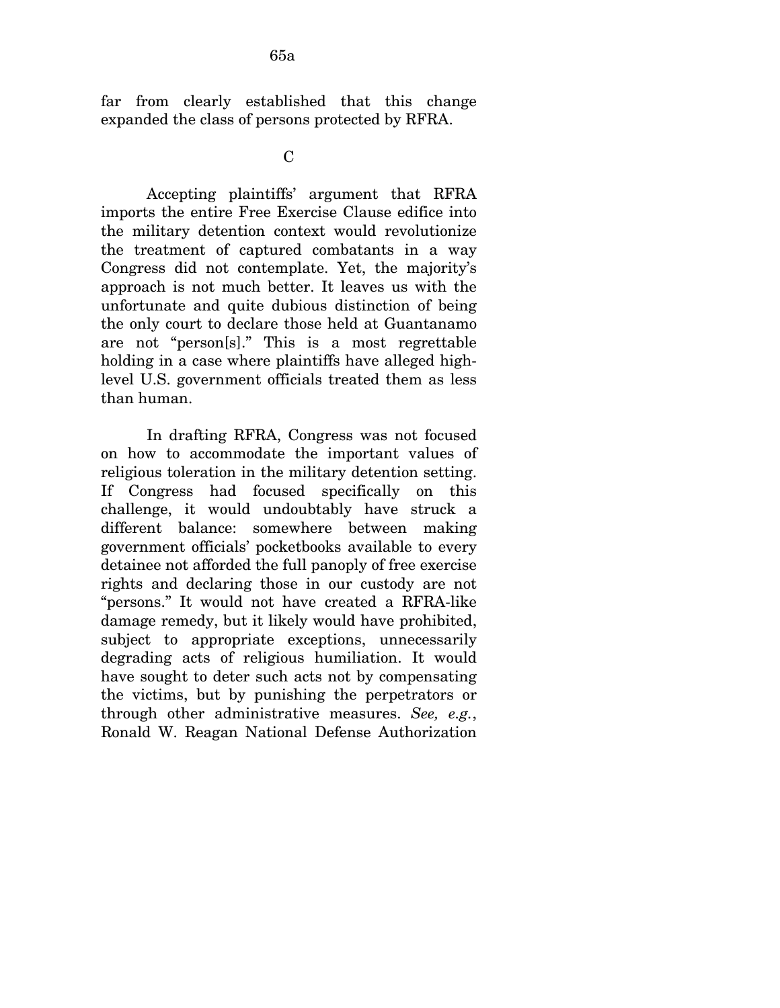far from clearly established that this change expanded the class of persons protected by RFRA.

 $\mathcal{C}$ 

Accepting plaintiffs' argument that RFRA imports the entire Free Exercise Clause edifice into the military detention context would revolutionize the treatment of captured combatants in a way Congress did not contemplate. Yet, the majority's approach is not much better. It leaves us with the unfortunate and quite dubious distinction of being the only court to declare those held at Guantanamo are not "person[s]." This is a most regrettable holding in a case where plaintiffs have alleged highlevel U.S. government officials treated them as less than human.

In drafting RFRA, Congress was not focused on how to accommodate the important values of religious toleration in the military detention setting. If Congress had focused specifically on this challenge, it would undoubtably have struck a different balance: somewhere between making government officials' pocketbooks available to every detainee not afforded the full panoply of free exercise rights and declaring those in our custody are not "persons." It would not have created a RFRA-like damage remedy, but it likely would have prohibited, subject to appropriate exceptions, unnecessarily degrading acts of religious humiliation. It would have sought to deter such acts not by compensating the victims, but by punishing the perpetrators or through other administrative measures. *See, e.g.*, Ronald W. Reagan National Defense Authorization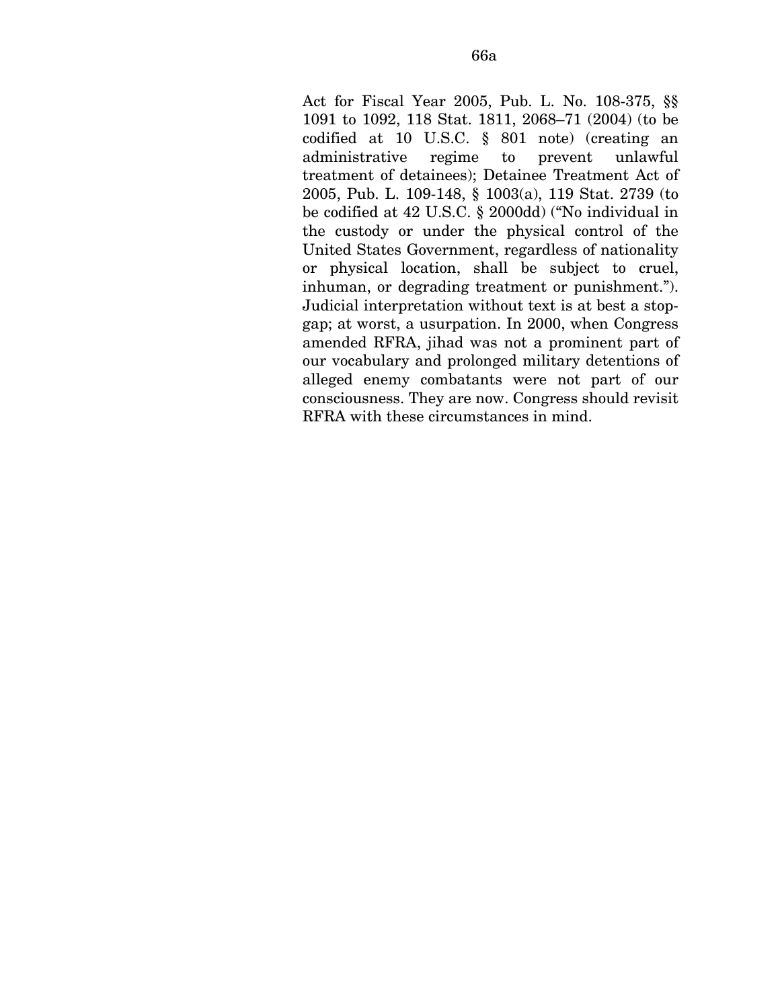Act for Fiscal Year 2005, Pub. L. No. 108-375, §§ 1091 to 1092, 118 Stat. 1811, 2068–71 (2004) (to be codified at 10 U.S.C. § 801 note) (creating an administrative regime to prevent unlawful treatment of detainees); Detainee Treatment Act of 2005, Pub. L. 109-148, § 1003(a), 119 Stat. 2739 (to be codified at 42 U.S.C. § 2000dd) ("No individual in the custody or under the physical control of the United States Government, regardless of nationality or physical location, shall be subject to cruel, inhuman, or degrading treatment or punishment."). Judicial interpretation without text is at best a stopgap; at worst, a usurpation. In 2000, when Congress amended RFRA, jihad was not a prominent part of our vocabulary and prolonged military detentions of alleged enemy combatants were not part of our consciousness. They are now. Congress should revisit RFRA with these circumstances in mind.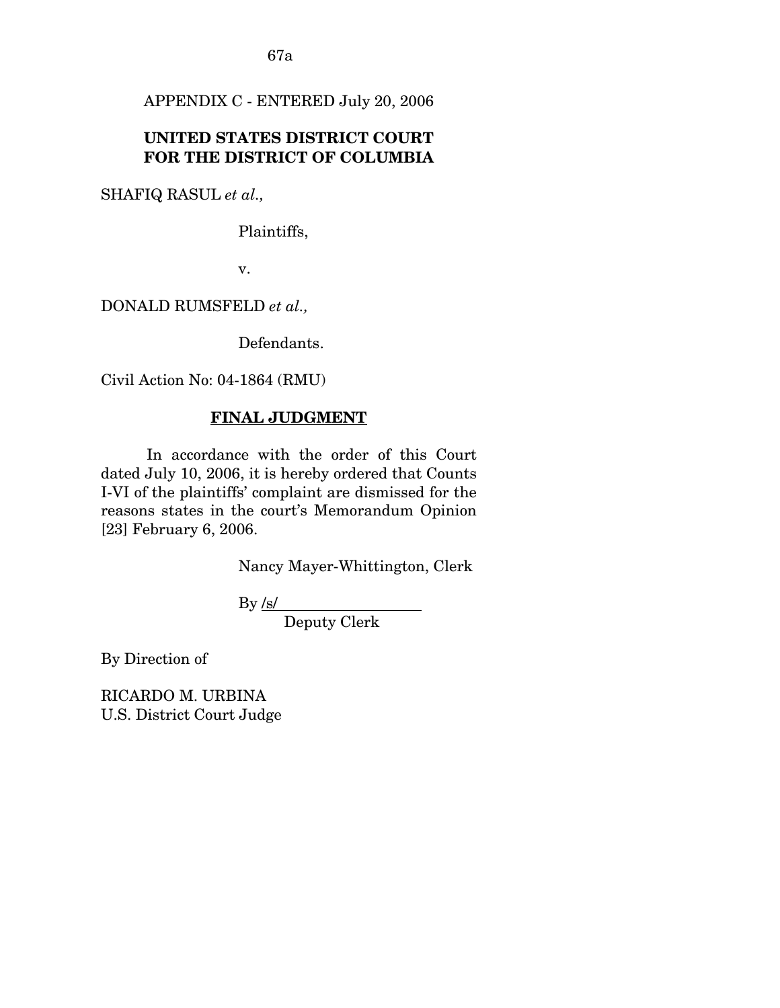67a

APPENDIX C - ENTERED July 20, 2006

## **UNITED STATES DISTRICT COURT FOR THE DISTRICT OF COLUMBIA**

SHAFIQ RASUL *et al.,* 

Plaintiffs,

v.

DONALD RUMSFELD *et al.,* 

Defendants.

Civil Action No: 04-1864 (RMU)

#### **FINAL JUDGMENT**

 In accordance with the order of this Court dated July 10, 2006, it is hereby ordered that Counts I-VI of the plaintiffs' complaint are dismissed for the reasons states in the court's Memorandum Opinion [23] February 6, 2006.

Nancy Mayer-Whittington, Clerk

 $By *fs/*$ 

Deputy Clerk

By Direction of

RICARDO M. URBINA U.S. District Court Judge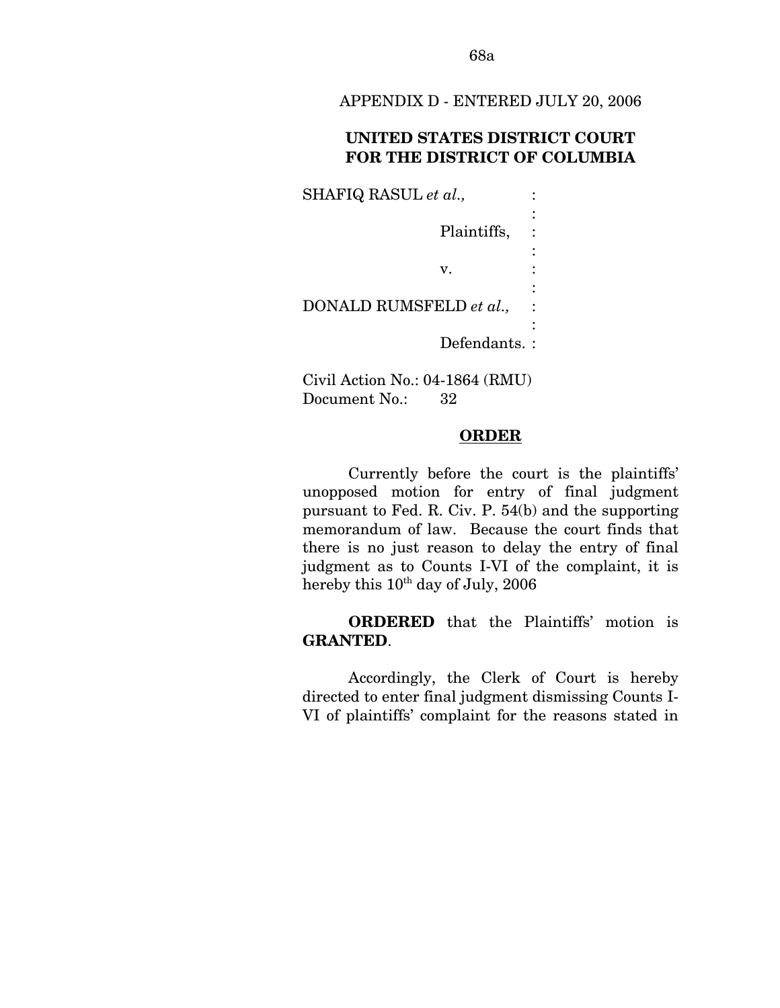APPENDIX D - ENTERED JULY 20, 2006

## **UNITED STATES DISTRICT COURT FOR THE DISTRICT OF COLUMBIA**

SHAFIQ RASUL *et al.*,  $\qquad$ : the control of the control of the control of Plaintiffs, : the control of the control of the control of  $\mathbf{v}$ .  $\mathbf{v}$ . the control of the control of the control of DONALD RUMSFELD *et al.,* : the control of the control of the control of Defendants. :

Civil Action No.: 04-1864 (RMU) Document No.: 32

#### **ORDER**

 Currently before the court is the plaintiffs' unopposed motion for entry of final judgment pursuant to Fed. R. Civ. P. 54(b) and the supporting memorandum of law. Because the court finds that there is no just reason to delay the entry of final judgment as to Counts I-VI of the complaint, it is hereby this  $10^{th}$  day of July, 2006

**ORDERED** that the Plaintiffs' motion is **GRANTED**.

 Accordingly, the Clerk of Court is hereby directed to enter final judgment dismissing Counts I-VI of plaintiffs' complaint for the reasons stated in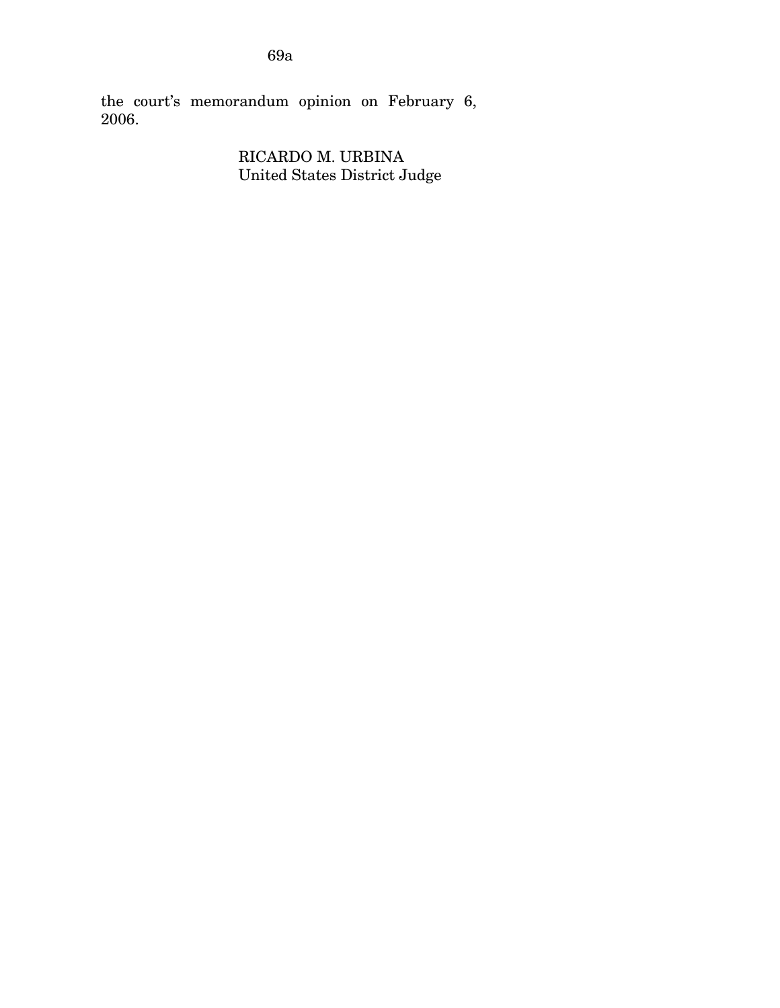the court's memorandum opinion on February 6, 2006.

> RICARDO M. URBINA United States District Judge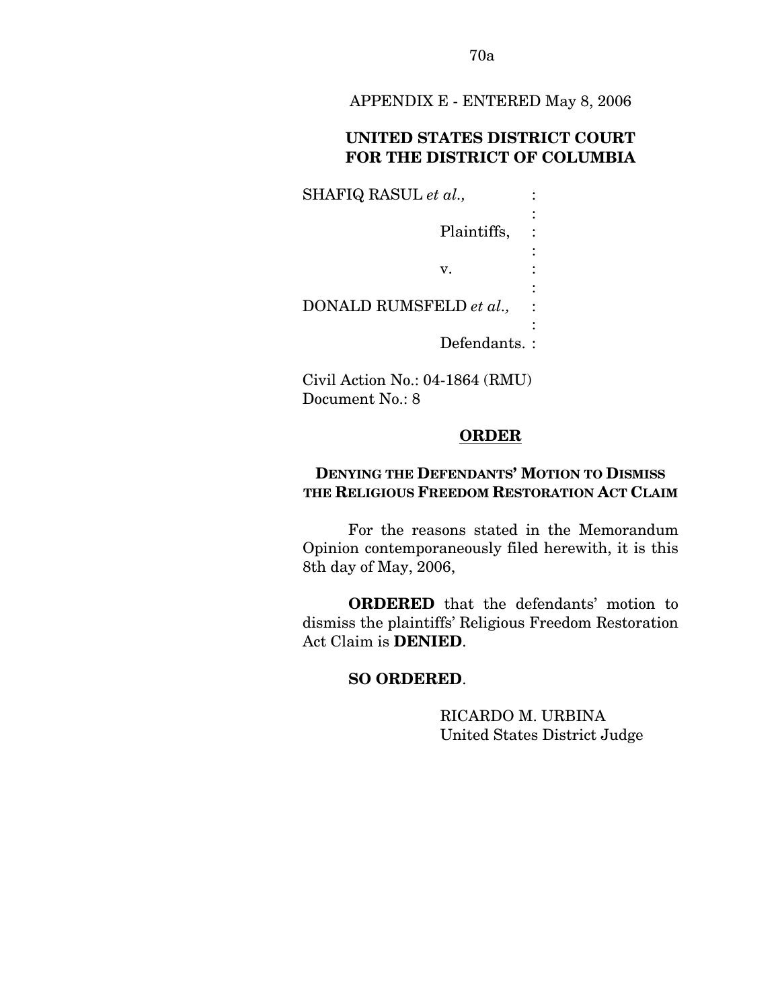70a

APPENDIX E - ENTERED May 8, 2006

## **UNITED STATES DISTRICT COURT FOR THE DISTRICT OF COLUMBIA**

SHAFIQ RASUL *et al.*,  $\qquad$ : the control of the control of the control of Plaintiffs, : the control of the control of the control of  $\mathbf{v}$ .  $\mathbf{v}$ . the control of the control of the control of DONALD RUMSFELD *et al.,* : the control of the control of the control of Defendants. :

Civil Action No.: 04-1864 (RMU) Document No.: 8

#### **ORDER**

# **DENYING THE DEFENDANTS' MOTION TO DISMISS THE RELIGIOUS FREEDOM RESTORATION ACT CLAIM**

 For the reasons stated in the Memorandum Opinion contemporaneously filed herewith, it is this 8th day of May, 2006,

**ORDERED** that the defendants' motion to dismiss the plaintiffs' Religious Freedom Restoration Act Claim is **DENIED**.

#### **SO ORDERED**.

RICARDO M. URBINA United States District Judge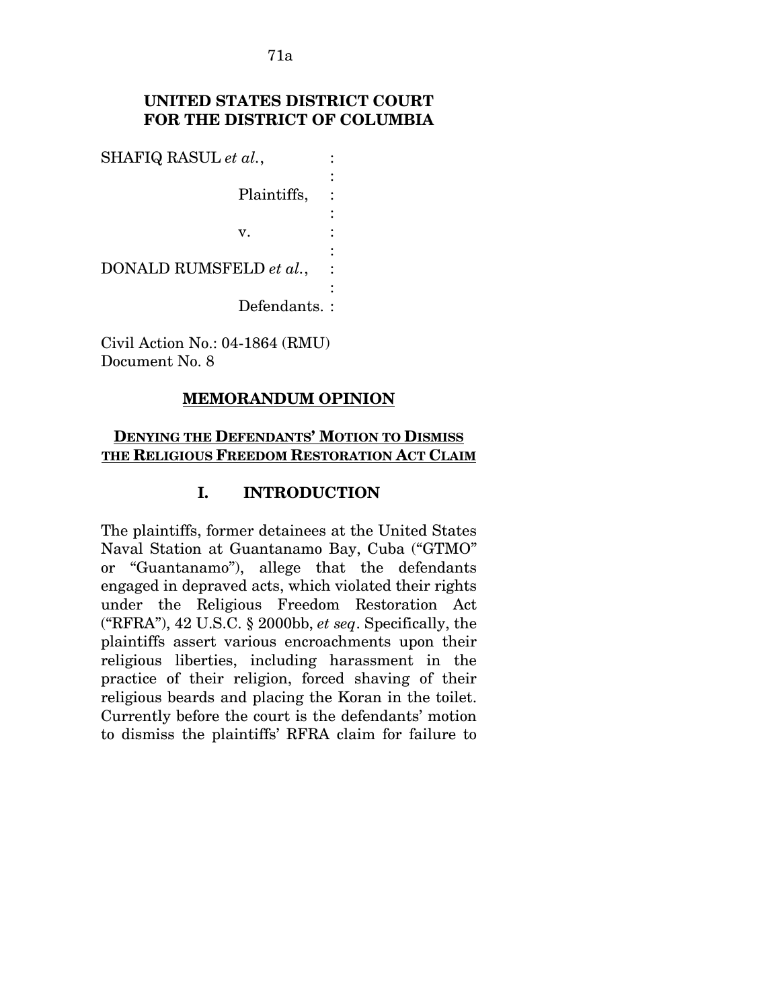71a

# **UNITED STATES DISTRICT COURT FOR THE DISTRICT OF COLUMBIA**

:

:

:

:

SHAFIQ RASUL *et al.*,  $\qquad$ :

Plaintiffs, :

v. :

DONALD RUMSFELD *et al.*,

Defendants. :

Civil Action No.: 04-1864 (RMU) Document No. 8

## **MEMORANDUM OPINION**

#### **DENYING THE DEFENDANTS' MOTION TO DISMISS THE RELIGIOUS FREEDOM RESTORATION ACT CLAIM**

## **I. INTRODUCTION**

The plaintiffs, former detainees at the United States Naval Station at Guantanamo Bay, Cuba ("GTMO" or "Guantanamo"), allege that the defendants engaged in depraved acts, which violated their rights under the Religious Freedom Restoration Act ("RFRA"), 42 U.S.C. § 2000bb, *et seq*. Specifically, the plaintiffs assert various encroachments upon their religious liberties, including harassment in the practice of their religion, forced shaving of their religious beards and placing the Koran in the toilet. Currently before the court is the defendants' motion to dismiss the plaintiffs' RFRA claim for failure to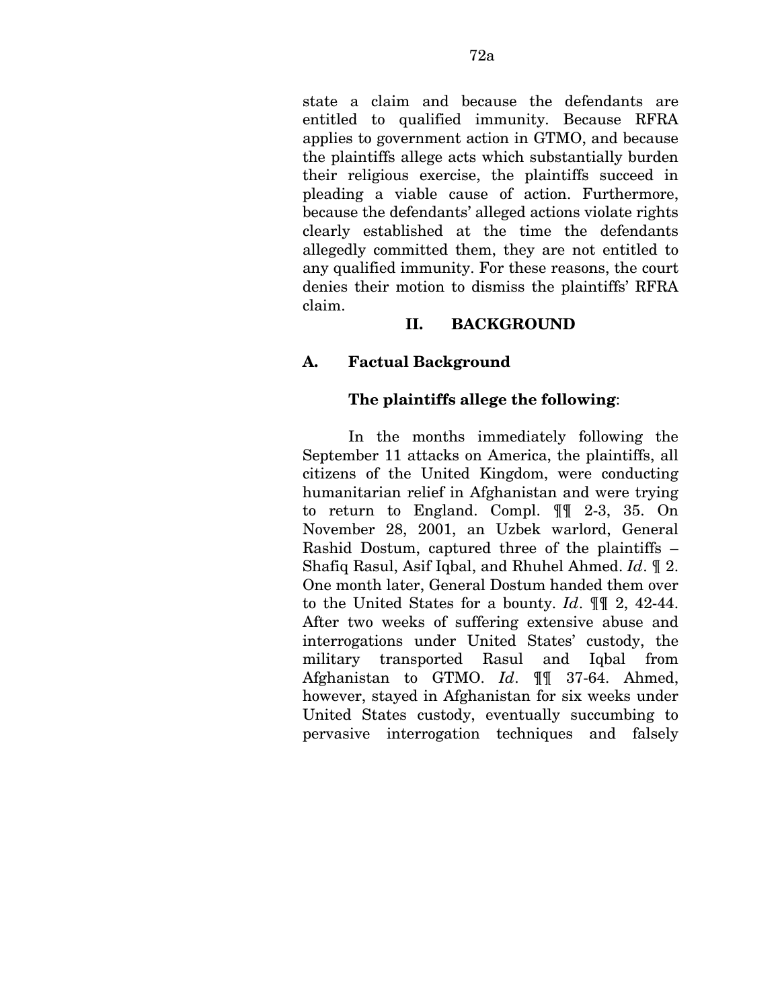state a claim and because the defendants are entitled to qualified immunity. Because RFRA applies to government action in GTMO, and because the plaintiffs allege acts which substantially burden their religious exercise, the plaintiffs succeed in pleading a viable cause of action. Furthermore, because the defendants' alleged actions violate rights clearly established at the time the defendants allegedly committed them, they are not entitled to any qualified immunity. For these reasons, the court denies their motion to dismiss the plaintiffs' RFRA claim.

## **II. BACKGROUND**

## **A. Factual Background**

#### **The plaintiffs allege the following**:

In the months immediately following the September 11 attacks on America, the plaintiffs, all citizens of the United Kingdom, were conducting humanitarian relief in Afghanistan and were trying to return to England. Compl. ¶¶ 2-3, 35. On November 28, 2001, an Uzbek warlord, General Rashid Dostum, captured three of the plaintiffs – Shafiq Rasul, Asif Iqbal, and Rhuhel Ahmed. *Id*. ¶ 2. One month later, General Dostum handed them over to the United States for a bounty. *Id*. ¶¶ 2, 42-44. After two weeks of suffering extensive abuse and interrogations under United States' custody, the military transported Rasul and Iqbal from Afghanistan to GTMO. *Id*. ¶¶ 37-64. Ahmed, however, stayed in Afghanistan for six weeks under United States custody, eventually succumbing to pervasive interrogation techniques and falsely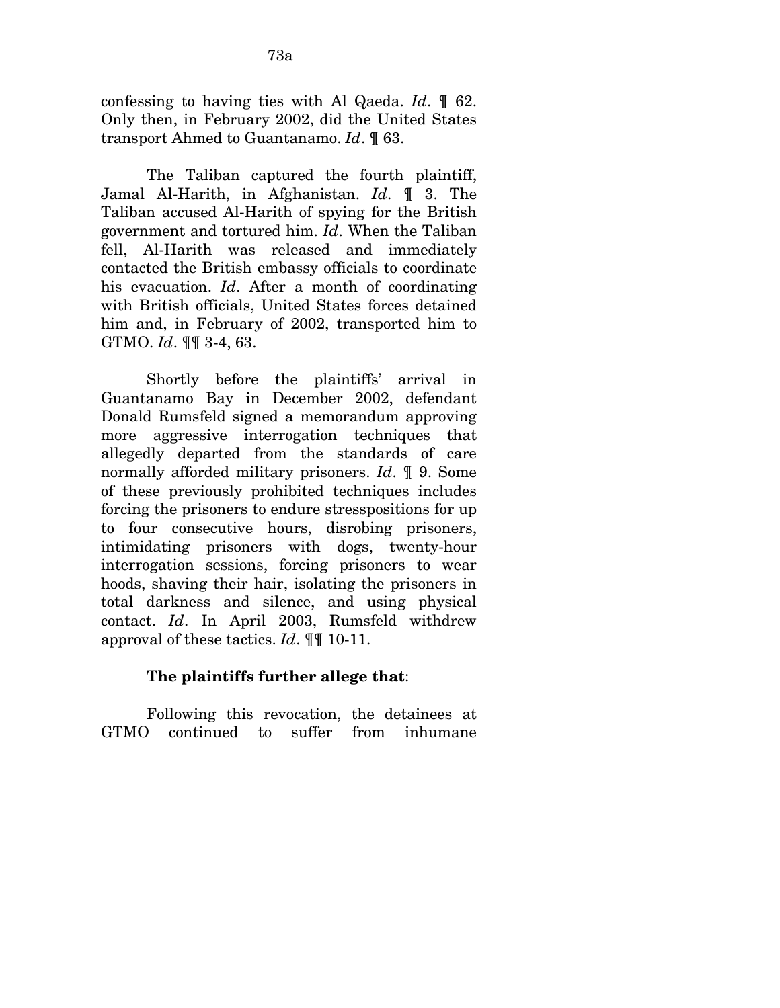confessing to having ties with Al Qaeda. *Id*. ¶ 62. Only then, in February 2002, did the United States transport Ahmed to Guantanamo. *Id*. ¶ 63.

The Taliban captured the fourth plaintiff, Jamal Al-Harith, in Afghanistan. *Id*. ¶ 3. The Taliban accused Al-Harith of spying for the British government and tortured him. *Id*. When the Taliban fell, Al-Harith was released and immediately contacted the British embassy officials to coordinate his evacuation. *Id*. After a month of coordinating with British officials, United States forces detained him and, in February of 2002, transported him to GTMO. *Id*. ¶¶ 3-4, 63.

Shortly before the plaintiffs' arrival in Guantanamo Bay in December 2002, defendant Donald Rumsfeld signed a memorandum approving more aggressive interrogation techniques that allegedly departed from the standards of care normally afforded military prisoners. *Id*. ¶ 9. Some of these previously prohibited techniques includes forcing the prisoners to endure stresspositions for up to four consecutive hours, disrobing prisoners, intimidating prisoners with dogs, twenty-hour interrogation sessions, forcing prisoners to wear hoods, shaving their hair, isolating the prisoners in total darkness and silence, and using physical contact. *Id*. In April 2003, Rumsfeld withdrew approval of these tactics. *Id*. ¶¶ 10-11.

## **The plaintiffs further allege that**:

Following this revocation, the detainees at GTMO continued to suffer from inhumane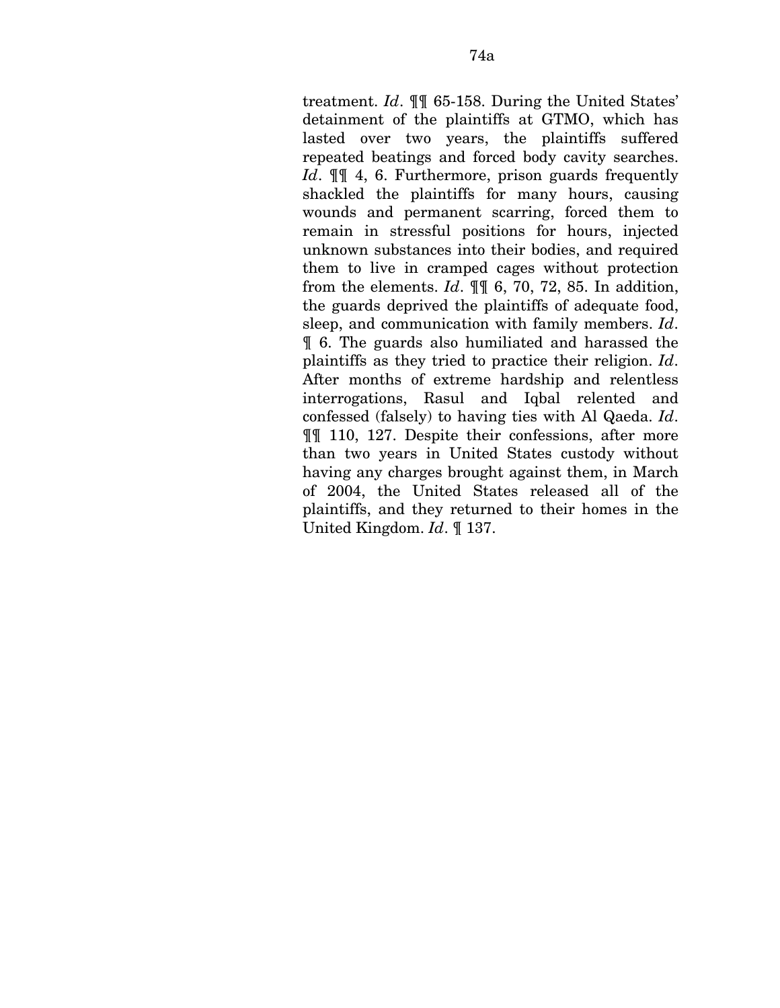treatment. *Id*. ¶¶ 65-158. During the United States' detainment of the plaintiffs at GTMO, which has lasted over two years, the plaintiffs suffered repeated beatings and forced body cavity searches. *Id*. ¶¶ 4, 6. Furthermore, prison guards frequently shackled the plaintiffs for many hours, causing wounds and permanent scarring, forced them to remain in stressful positions for hours, injected unknown substances into their bodies, and required them to live in cramped cages without protection from the elements. *Id*. ¶¶ 6, 70, 72, 85. In addition, the guards deprived the plaintiffs of adequate food, sleep, and communication with family members. *Id*. ¶ 6. The guards also humiliated and harassed the plaintiffs as they tried to practice their religion. *Id*. After months of extreme hardship and relentless interrogations, Rasul and Iqbal relented and confessed (falsely) to having ties with Al Qaeda. *Id*. ¶¶ 110, 127. Despite their confessions, after more than two years in United States custody without having any charges brought against them, in March of 2004, the United States released all of the plaintiffs, and they returned to their homes in the United Kingdom. *Id*. ¶ 137.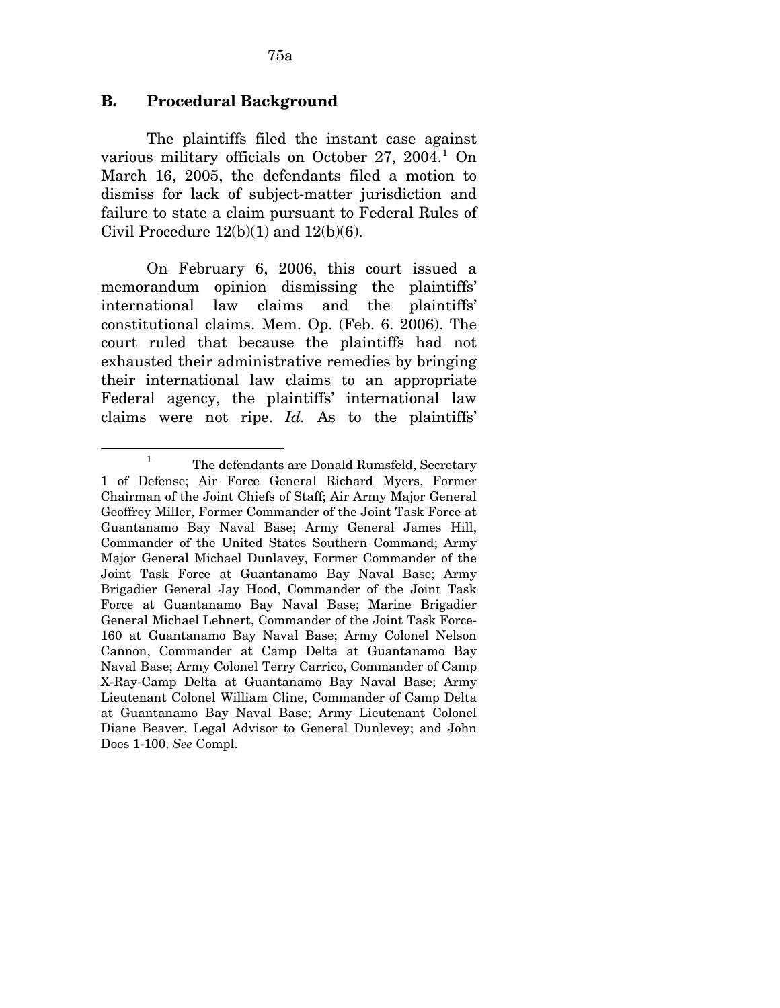#### **B. Procedural Background**

The plaintiffs filed the instant case against various military officials on October 27, 2004.<sup>[1](#page-127-0)</sup> On March 16, 2005, the defendants filed a motion to dismiss for lack of subject-matter jurisdiction and failure to state a claim pursuant to Federal Rules of Civil Procedure  $12(b)(1)$  and  $12(b)(6)$ .

On February 6, 2006, this court issued a memorandum opinion dismissing the plaintiffs' international law claims and the plaintiffs' constitutional claims. Mem. Op. (Feb. 6. 2006). The court ruled that because the plaintiffs had not exhausted their administrative remedies by bringing their international law claims to an appropriate Federal agency, the plaintiffs' international law claims were not ripe. *Id.* As to the plaintiffs'

<span id="page-127-0"></span><sup>&</sup>lt;u>1</u> <sup>1</sup> The defendants are Donald Rumsfeld, Secretary 1 of Defense; Air Force General Richard Myers, Former Chairman of the Joint Chiefs of Staff; Air Army Major General Geoffrey Miller, Former Commander of the Joint Task Force at Guantanamo Bay Naval Base; Army General James Hill, Commander of the United States Southern Command; Army Major General Michael Dunlavey, Former Commander of the Joint Task Force at Guantanamo Bay Naval Base; Army Brigadier General Jay Hood, Commander of the Joint Task Force at Guantanamo Bay Naval Base; Marine Brigadier General Michael Lehnert, Commander of the Joint Task Force-160 at Guantanamo Bay Naval Base; Army Colonel Nelson Cannon, Commander at Camp Delta at Guantanamo Bay Naval Base; Army Colonel Terry Carrico, Commander of Camp X-Ray-Camp Delta at Guantanamo Bay Naval Base; Army Lieutenant Colonel William Cline, Commander of Camp Delta at Guantanamo Bay Naval Base; Army Lieutenant Colonel Diane Beaver, Legal Advisor to General Dunlevey; and John Does 1-100. *See* Compl.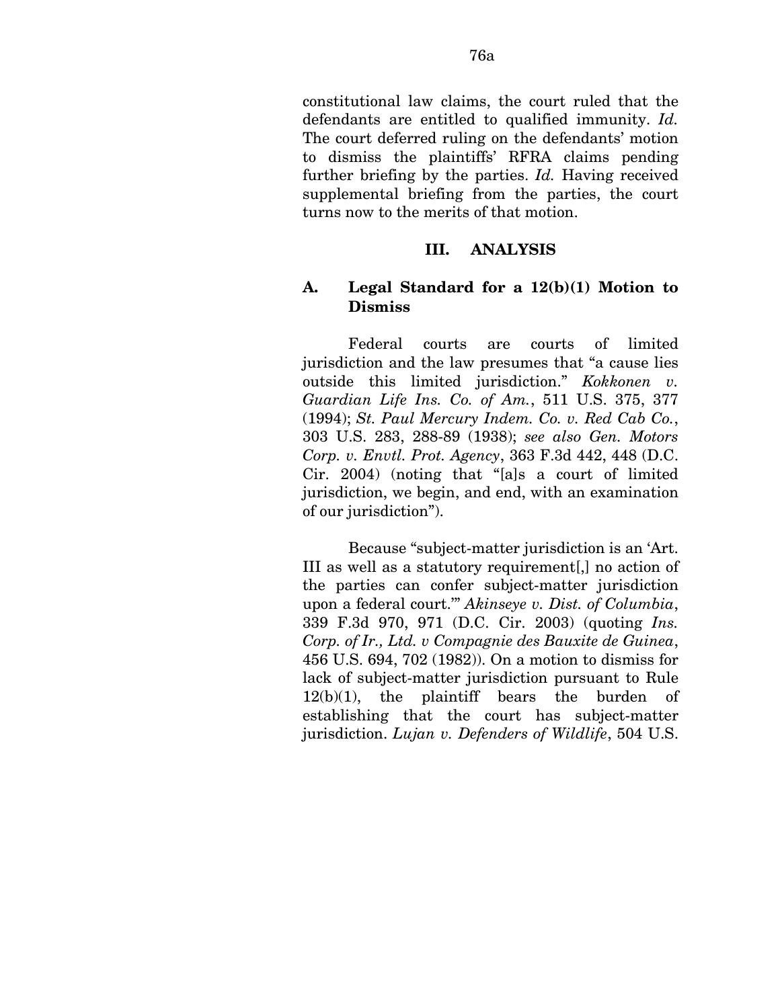constitutional law claims, the court ruled that the defendants are entitled to qualified immunity. *Id.*  The court deferred ruling on the defendants' motion to dismiss the plaintiffs' RFRA claims pending further briefing by the parties. *Id.* Having received supplemental briefing from the parties, the court turns now to the merits of that motion.

#### **III. ANALYSIS**

#### **A. Legal Standard for a 12(b)(1) Motion to Dismiss**

Federal courts are courts of limited jurisdiction and the law presumes that "a cause lies outside this limited jurisdiction." *Kokkonen v. Guardian Life Ins. Co. of Am.*, 511 U.S. 375, 377 (1994); *St. Paul Mercury Indem. Co. v. Red Cab Co.*, 303 U.S. 283, 288-89 (1938); *see also Gen. Motors Corp. v. Envtl. Prot. Agency*, 363 F.3d 442, 448 (D.C. Cir. 2004) (noting that "[a]s a court of limited jurisdiction, we begin, and end, with an examination of our jurisdiction").

Because "subject-matter jurisdiction is an 'Art. III as well as a statutory requirement[,] no action of the parties can confer subject-matter jurisdiction upon a federal court.'" *Akinseye v. Dist. of Columbia*, 339 F.3d 970, 971 (D.C. Cir. 2003) (quoting *Ins. Corp. of Ir., Ltd. v Compagnie des Bauxite de Guinea*, 456 U.S. 694, 702 (1982)). On a motion to dismiss for lack of subject-matter jurisdiction pursuant to Rule  $12(b)(1)$ , the plaintiff bears the burden of establishing that the court has subject-matter jurisdiction. *Lujan v. Defenders of Wildlife*, 504 U.S.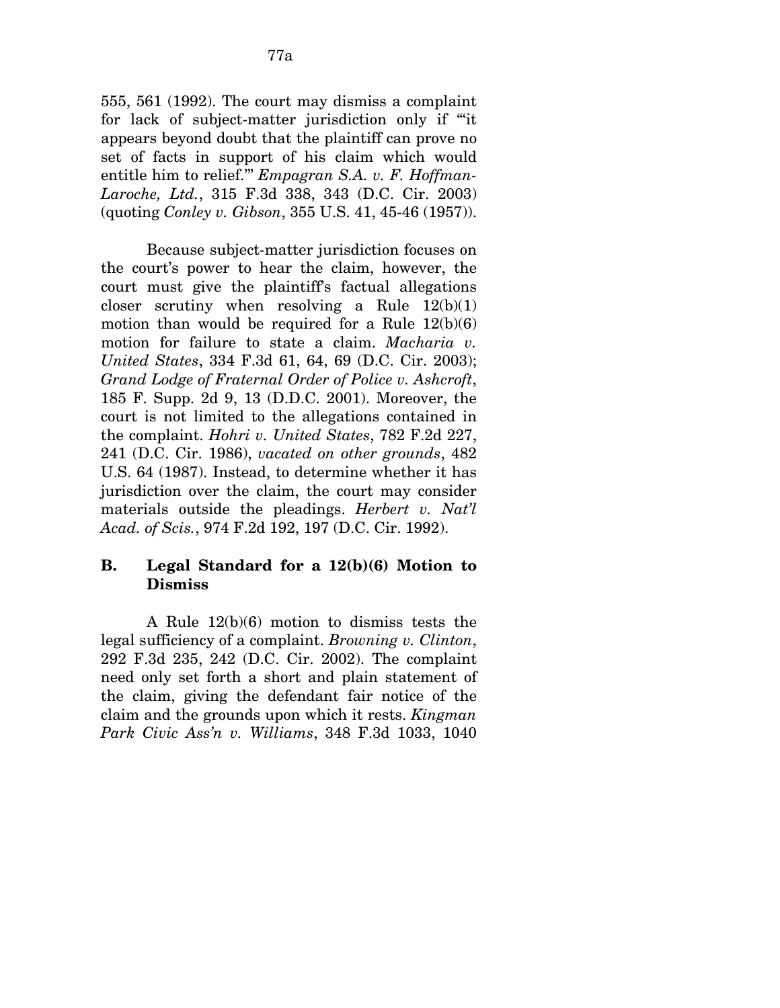555, 561 (1992). The court may dismiss a complaint for lack of subject-matter jurisdiction only if "'it appears beyond doubt that the plaintiff can prove no set of facts in support of his claim which would entitle him to relief.'" *Empagran S.A. v. F. Hoffman-Laroche, Ltd.*, 315 F.3d 338, 343 (D.C. Cir. 2003) (quoting *Conley v. Gibson*, 355 U.S. 41, 45-46 (1957)).

Because subject-matter jurisdiction focuses on the court's power to hear the claim, however, the court must give the plaintiff's factual allegations closer scrutiny when resolving a Rule  $12(b)(1)$ motion than would be required for a Rule  $12(b)(6)$ motion for failure to state a claim. *Macharia v. United States*, 334 F.3d 61, 64, 69 (D.C. Cir. 2003); *Grand Lodge of Fraternal Order of Police v. Ashcroft*, 185 F. Supp. 2d 9, 13 (D.D.C. 2001). Moreover, the court is not limited to the allegations contained in the complaint. *Hohri v. United States*, 782 F.2d 227, 241 (D.C. Cir. 1986), *vacated on other grounds*, 482 U.S. 64 (1987). Instead, to determine whether it has jurisdiction over the claim, the court may consider materials outside the pleadings. *Herbert v. Nat'l Acad. of Scis.*, 974 F.2d 192, 197 (D.C. Cir. 1992).

# **B. Legal Standard for a 12(b)(6) Motion to Dismiss**

A Rule 12(b)(6) motion to dismiss tests the legal sufficiency of a complaint. *Browning v. Clinton*, 292 F.3d 235, 242 (D.C. Cir. 2002). The complaint need only set forth a short and plain statement of the claim, giving the defendant fair notice of the claim and the grounds upon which it rests. *Kingman Park Civic Ass'n v. Williams*, 348 F.3d 1033, 1040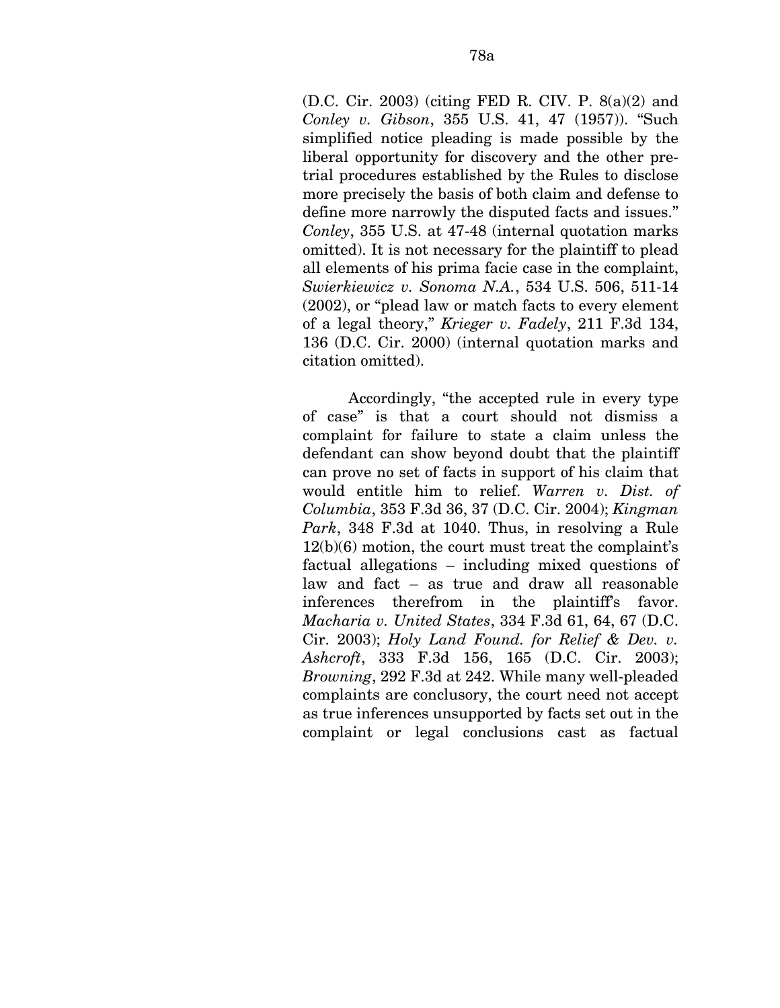(D.C. Cir. 2003) (citing FED R. CIV. P. 8(a)(2) and *Conley v. Gibson*, 355 U.S. 41, 47 (1957)). "Such simplified notice pleading is made possible by the liberal opportunity for discovery and the other pretrial procedures established by the Rules to disclose more precisely the basis of both claim and defense to define more narrowly the disputed facts and issues." *Conley*, 355 U.S. at 47-48 (internal quotation marks omitted). It is not necessary for the plaintiff to plead all elements of his prima facie case in the complaint, *Swierkiewicz v. Sonoma N.A.*, 534 U.S. 506, 511-14 (2002), or "plead law or match facts to every element of a legal theory," *Krieger v. Fadely*, 211 F.3d 134, 136 (D.C. Cir. 2000) (internal quotation marks and citation omitted).

Accordingly, "the accepted rule in every type of case" is that a court should not dismiss a complaint for failure to state a claim unless the defendant can show beyond doubt that the plaintiff can prove no set of facts in support of his claim that would entitle him to relief. *Warren v. Dist. of Columbia*, 353 F.3d 36, 37 (D.C. Cir. 2004); *Kingman Park*, 348 F.3d at 1040. Thus, in resolving a Rule 12(b)(6) motion, the court must treat the complaint's factual allegations – including mixed questions of law and fact – as true and draw all reasonable inferences therefrom in the plaintiff's favor. *Macharia v. United States*, 334 F.3d 61, 64, 67 (D.C. Cir. 2003); *Holy Land Found. for Relief & Dev. v. Ashcroft*, 333 F.3d 156, 165 (D.C. Cir. 2003); *Browning*, 292 F.3d at 242. While many well-pleaded complaints are conclusory, the court need not accept as true inferences unsupported by facts set out in the complaint or legal conclusions cast as factual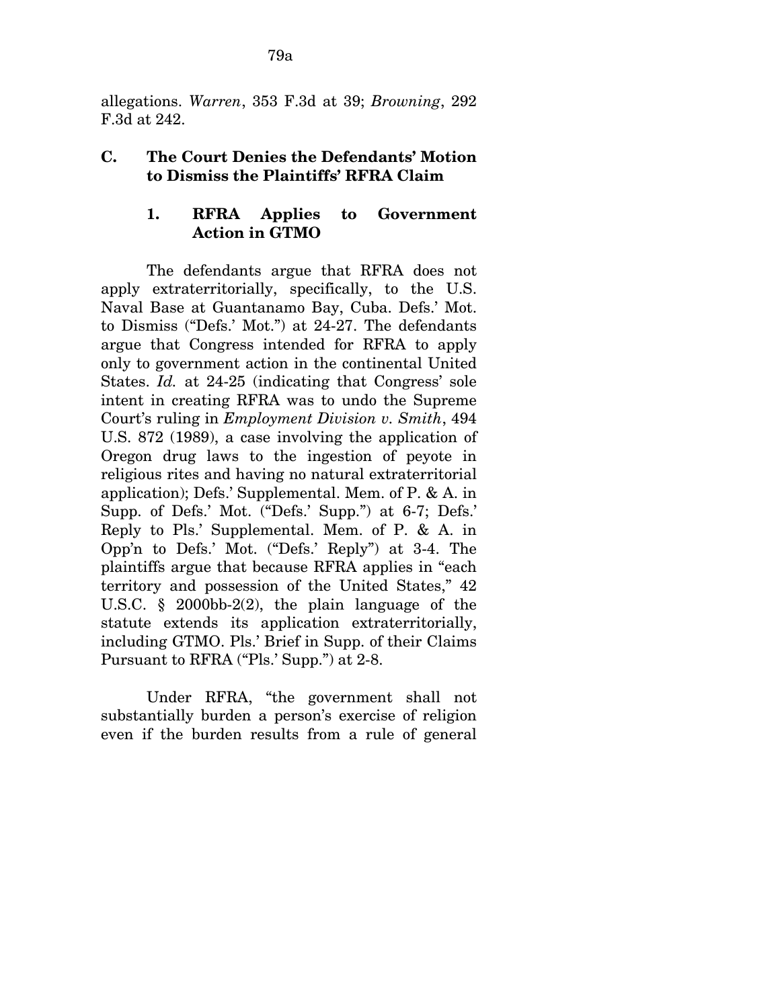allegations. *Warren*, 353 F.3d at 39; *Browning*, 292 F.3d at 242.

# **C. The Court Denies the Defendants' Motion to Dismiss the Plaintiffs' RFRA Claim**

# **1. RFRA Applies to Government Action in GTMO**

The defendants argue that RFRA does not apply extraterritorially, specifically, to the U.S. Naval Base at Guantanamo Bay, Cuba. Defs.' Mot. to Dismiss ("Defs.' Mot.") at 24-27. The defendants argue that Congress intended for RFRA to apply only to government action in the continental United States. *Id.* at 24-25 (indicating that Congress' sole intent in creating RFRA was to undo the Supreme Court's ruling in *Employment Division v. Smith*, 494 U.S. 872 (1989), a case involving the application of Oregon drug laws to the ingestion of peyote in religious rites and having no natural extraterritorial application); Defs.' Supplemental. Mem. of P. & A. in Supp. of Defs.' Mot. ("Defs.' Supp.") at 6-7; Defs.' Reply to Pls.' Supplemental. Mem. of P. & A. in Opp'n to Defs.' Mot. ("Defs.' Reply") at 3-4. The plaintiffs argue that because RFRA applies in "each territory and possession of the United States," 42 U.S.C. § 2000bb-2(2), the plain language of the statute extends its application extraterritorially, including GTMO. Pls.' Brief in Supp. of their Claims Pursuant to RFRA ("Pls.' Supp.") at 2-8.

Under RFRA, "the government shall not substantially burden a person's exercise of religion even if the burden results from a rule of general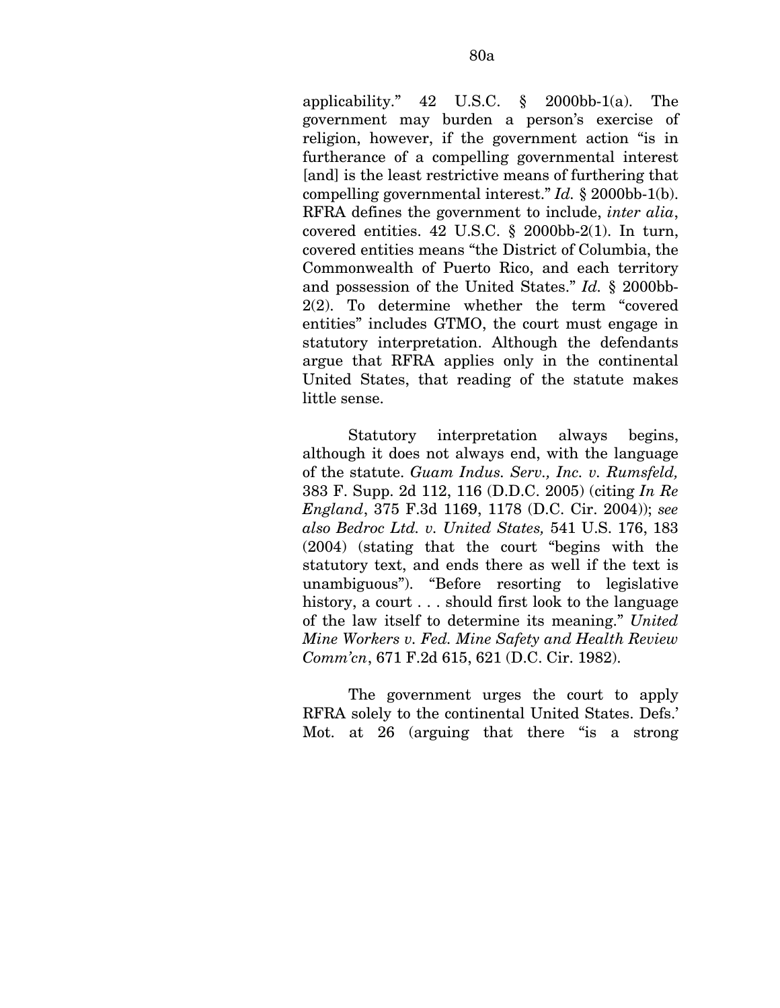applicability." 42 U.S.C. § 2000bb-1(a). The government may burden a person's exercise of religion, however, if the government action "is in furtherance of a compelling governmental interest [and] is the least restrictive means of furthering that compelling governmental interest." *Id.* § 2000bb-1(b). RFRA defines the government to include, *inter alia*, covered entities. 42 U.S.C. § 2000bb-2(1). In turn, covered entities means "the District of Columbia, the Commonwealth of Puerto Rico, and each territory and possession of the United States." *Id.* § 2000bb-2(2). To determine whether the term "covered entities" includes GTMO, the court must engage in statutory interpretation. Although the defendants argue that RFRA applies only in the continental United States, that reading of the statute makes little sense.

Statutory interpretation always begins, although it does not always end, with the language of the statute. *Guam Indus. Serv., Inc. v. Rumsfeld,*  383 F. Supp. 2d 112, 116 (D.D.C. 2005) (citing *In Re England*, 375 F.3d 1169, 1178 (D.C. Cir. 2004)); *see also Bedroc Ltd. v. United States,* 541 U.S. 176, 183 (2004) (stating that the court "begins with the statutory text, and ends there as well if the text is unambiguous"). "Before resorting to legislative history, a court . . . should first look to the language of the law itself to determine its meaning." *United Mine Workers v. Fed. Mine Safety and Health Review Comm'cn*, 671 F.2d 615, 621 (D.C. Cir. 1982).

The government urges the court to apply RFRA solely to the continental United States. Defs.' Mot. at 26 (arguing that there "is a strong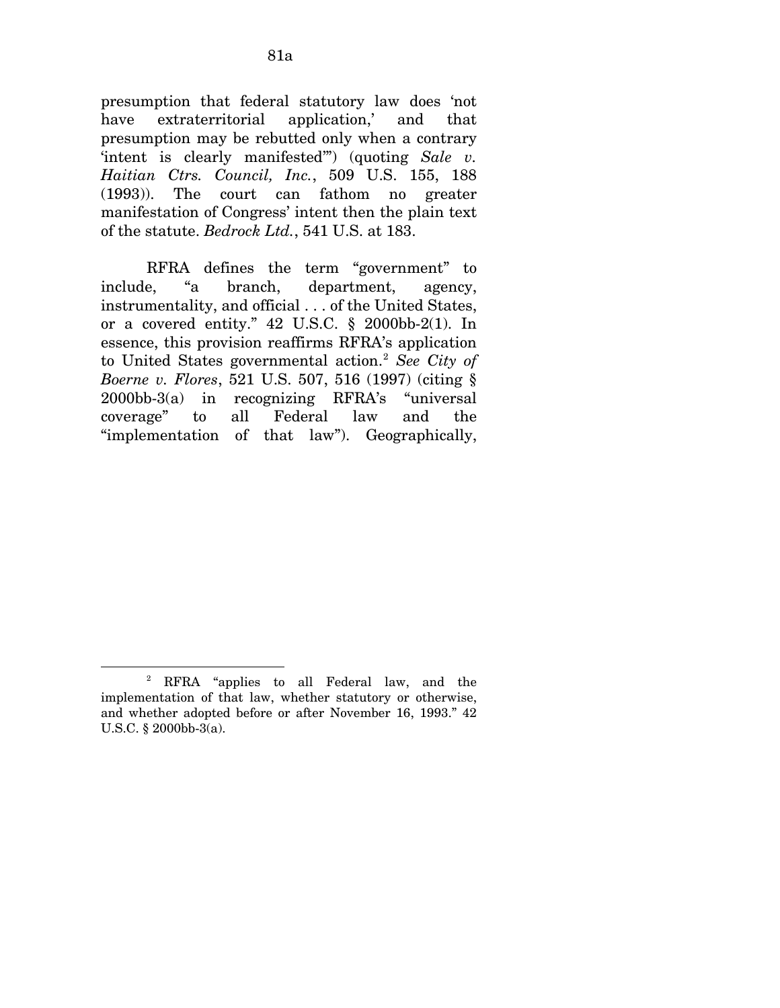presumption that federal statutory law does 'not have extraterritorial application,' and that presumption may be rebutted only when a contrary 'intent is clearly manifested'") (quoting *Sale v. Haitian Ctrs. Council, Inc.*, 509 U.S. 155, 188 (1993)). The court can fathom no greater manifestation of Congress' intent then the plain text of the statute. *Bedrock Ltd.*, 541 U.S. at 183.

RFRA defines the term "government" to include, "a branch, department, agency, instrumentality, and official . . . of the United States, or a covered entity."  $42 \text{ U.S.C. }$  \$ 2000bb-2(1). In essence, this provision reaffirms RFRA's application to United States governmental action.[2](#page-133-0) *See City of Boerne v. Flores*, 521 U.S. 507, 516 (1997) (citing § 2000bb-3(a) in recognizing RFRA's "universal coverage" to all Federal law and the "implementation of that law"). Geographically,

 $\overline{a}$ 

<span id="page-133-0"></span><sup>2</sup> RFRA "applies to all Federal law, and the implementation of that law, whether statutory or otherwise, and whether adopted before or after November 16, 1993." 42 U.S.C. § 2000bb-3(a).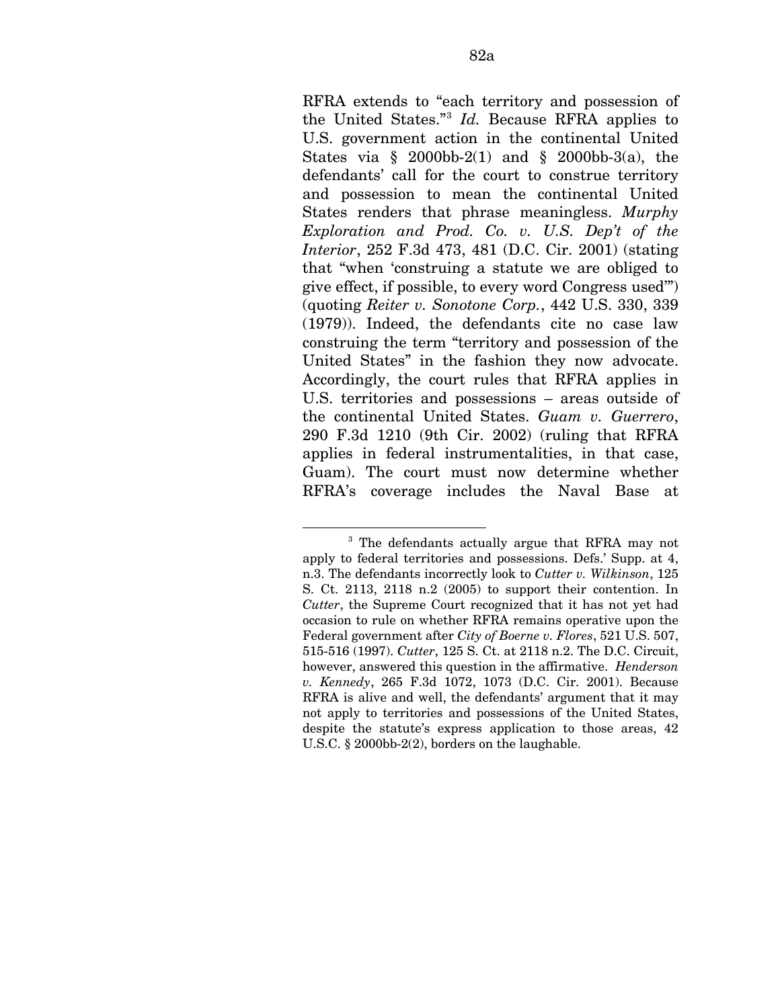RFRA extends to "each territory and possession of the United States."[3](#page-134-0) *Id.* Because RFRA applies to U.S. government action in the continental United States via  $\S$  2000bb-2(1) and  $\S$  2000bb-3(a), the defendants' call for the court to construe territory and possession to mean the continental United States renders that phrase meaningless. *Murphy Exploration and Prod. Co. v. U.S. Dep't of the Interior*, 252 F.3d 473, 481 (D.C. Cir. 2001) (stating that "when 'construing a statute we are obliged to give effect, if possible, to every word Congress used'") (quoting *Reiter v. Sonotone Corp.*, 442 U.S. 330, 339 (1979)). Indeed, the defendants cite no case law construing the term "territory and possession of the United States" in the fashion they now advocate. Accordingly, the court rules that RFRA applies in U.S. territories and possessions – areas outside of the continental United States. *Guam v. Guerrero*, 290 F.3d 1210 (9th Cir. 2002) (ruling that RFRA applies in federal instrumentalities, in that case, Guam). The court must now determine whether RFRA's coverage includes the Naval Base at

<span id="page-134-0"></span><sup>1</sup> 3 The defendants actually argue that RFRA may not apply to federal territories and possessions. Defs.' Supp. at 4, n.3. The defendants incorrectly look to *Cutter v. Wilkinson*, 125 S. Ct. 2113, 2118 n.2 (2005) to support their contention. In *Cutter*, the Supreme Court recognized that it has not yet had occasion to rule on whether RFRA remains operative upon the Federal government after *City of Boerne v. Flores*, 521 U.S. 507, 515-516 (1997). *Cutter*, 125 S. Ct. at 2118 n.2. The D.C. Circuit, however, answered this question in the affirmative. *Henderson v. Kennedy*, 265 F.3d 1072, 1073 (D.C. Cir. 2001). Because RFRA is alive and well, the defendants' argument that it may not apply to territories and possessions of the United States, despite the statute's express application to those areas, 42 U.S.C. § 2000bb-2(2), borders on the laughable.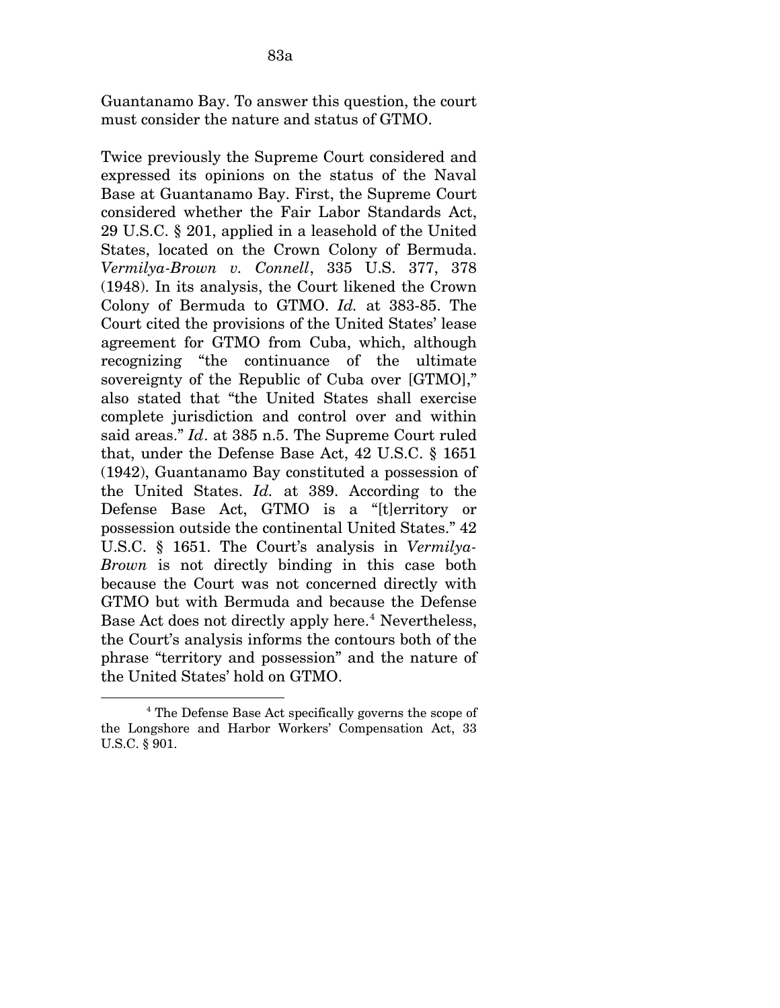Guantanamo Bay. To answer this question, the court must consider the nature and status of GTMO.

Twice previously the Supreme Court considered and expressed its opinions on the status of the Naval Base at Guantanamo Bay. First, the Supreme Court considered whether the Fair Labor Standards Act, 29 U.S.C. § 201, applied in a leasehold of the United States, located on the Crown Colony of Bermuda. *Vermilya-Brown v. Connell*, 335 U.S. 377, 378 (1948). In its analysis, the Court likened the Crown Colony of Bermuda to GTMO. *Id.* at 383-85. The Court cited the provisions of the United States' lease agreement for GTMO from Cuba, which, although recognizing "the continuance of the ultimate sovereignty of the Republic of Cuba over [GTMO]," also stated that "the United States shall exercise complete jurisdiction and control over and within said areas." *Id*. at 385 n.5. The Supreme Court ruled that, under the Defense Base Act, 42 U.S.C. § 1651 (1942), Guantanamo Bay constituted a possession of the United States. *Id.* at 389. According to the Defense Base Act, GTMO is a "[t]erritory or possession outside the continental United States." 42 U.S.C. § 1651. The Court's analysis in *Vermilya-Brown* is not directly binding in this case both because the Court was not concerned directly with GTMO but with Bermuda and because the Defense Base Act does not directly apply here.<sup>[4](#page-135-0)</sup> Nevertheless, the Court's analysis informs the contours both of the phrase "territory and possession" and the nature of the United States' hold on GTMO.

<span id="page-135-0"></span> $\overline{a}$ 4 The Defense Base Act specifically governs the scope of the Longshore and Harbor Workers' Compensation Act, 33 U.S.C. § 901.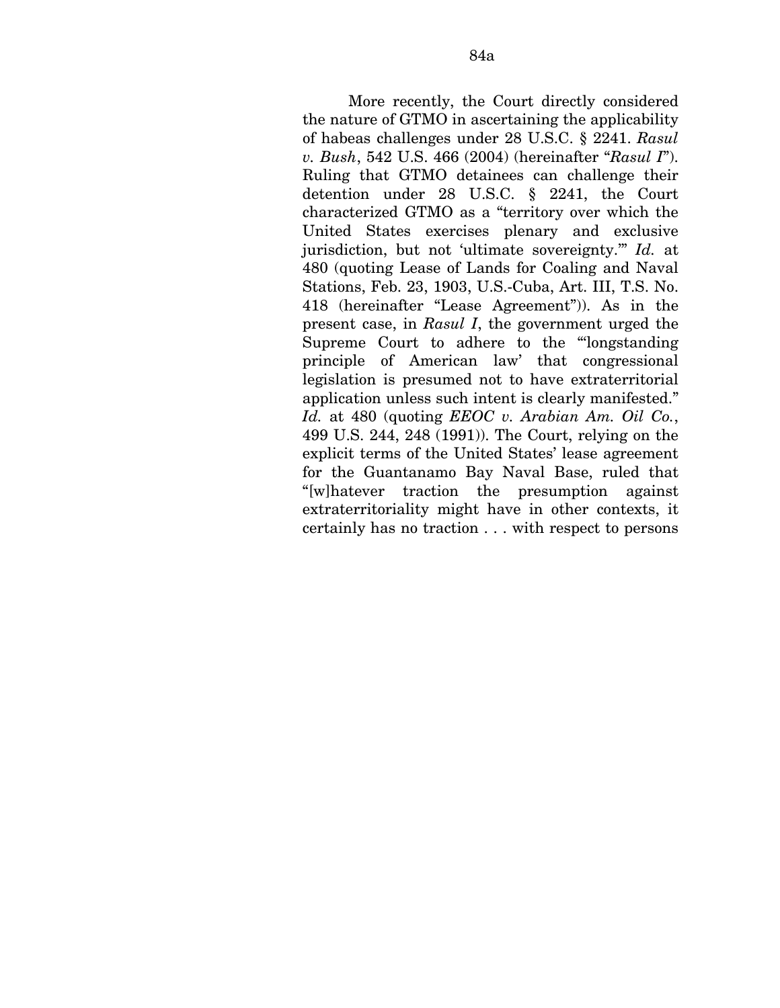More recently, the Court directly considered the nature of GTMO in ascertaining the applicability of habeas challenges under 28 U.S.C. § 2241. *Rasul v. Bush*, 542 U.S. 466 (2004) (hereinafter "*Rasul I*"). Ruling that GTMO detainees can challenge their detention under 28 U.S.C. § 2241, the Court characterized GTMO as a "territory over which the United States exercises plenary and exclusive jurisdiction, but not 'ultimate sovereignty.'" *Id.* at 480 (quoting Lease of Lands for Coaling and Naval Stations, Feb. 23, 1903, U.S.-Cuba, Art. III, T.S. No. 418 (hereinafter "Lease Agreement")). As in the present case, in *Rasul I*, the government urged the Supreme Court to adhere to the "'longstanding principle of American law' that congressional legislation is presumed not to have extraterritorial application unless such intent is clearly manifested." *Id.* at 480 (quoting *EEOC v. Arabian Am. Oil Co.*, 499 U.S. 244, 248 (1991)). The Court, relying on the explicit terms of the United States' lease agreement for the Guantanamo Bay Naval Base, ruled that "[w]hatever traction the presumption against extraterritoriality might have in other contexts, it certainly has no traction . . . with respect to persons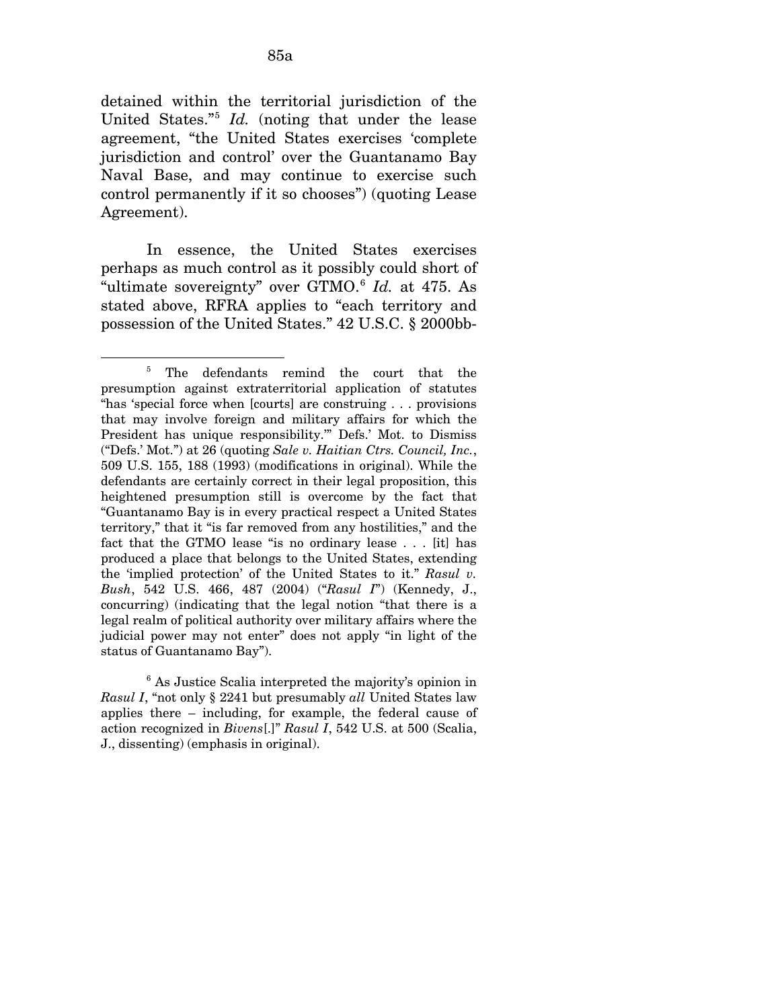detained within the territorial jurisdiction of the United States."[5](#page-137-0) *Id.* (noting that under the lease agreement, "the United States exercises 'complete jurisdiction and control' over the Guantanamo Bay Naval Base, and may continue to exercise such control permanently if it so chooses") (quoting Lease Agreement).

In essence, the United States exercises perhaps as much control as it possibly could short of "ultimate sovereignty" over GTMO.[6](#page-137-1) *Id.* at 475. As stated above, RFRA applies to "each territory and possession of the United States." 42 U.S.C. § 2000bb-

 $\overline{a}$ 

<span id="page-137-1"></span>6 As Justice Scalia interpreted the majority's opinion in *Rasul I*, "not only § 2241 but presumably *all* United States law applies there – including, for example, the federal cause of action recognized in *Bivens*[.]" *Rasul I*, 542 U.S. at 500 (Scalia, J., dissenting) (emphasis in original).

<span id="page-137-0"></span><sup>5</sup> The defendants remind the court that the presumption against extraterritorial application of statutes "has 'special force when [courts] are construing . . . provisions that may involve foreign and military affairs for which the President has unique responsibility.'" Defs.' Mot. to Dismiss ("Defs.' Mot.") at 26 (quoting *Sale v. Haitian Ctrs. Council, Inc.*, 509 U.S. 155, 188 (1993) (modifications in original). While the defendants are certainly correct in their legal proposition, this heightened presumption still is overcome by the fact that "Guantanamo Bay is in every practical respect a United States territory," that it "is far removed from any hostilities," and the fact that the GTMO lease "is no ordinary lease . . . [it] has produced a place that belongs to the United States, extending the 'implied protection' of the United States to it." *Rasul v. Bush*, 542 U.S. 466, 487 (2004) ("*Rasul I*") (Kennedy, J., concurring) (indicating that the legal notion "that there is a legal realm of political authority over military affairs where the judicial power may not enter" does not apply "in light of the status of Guantanamo Bay").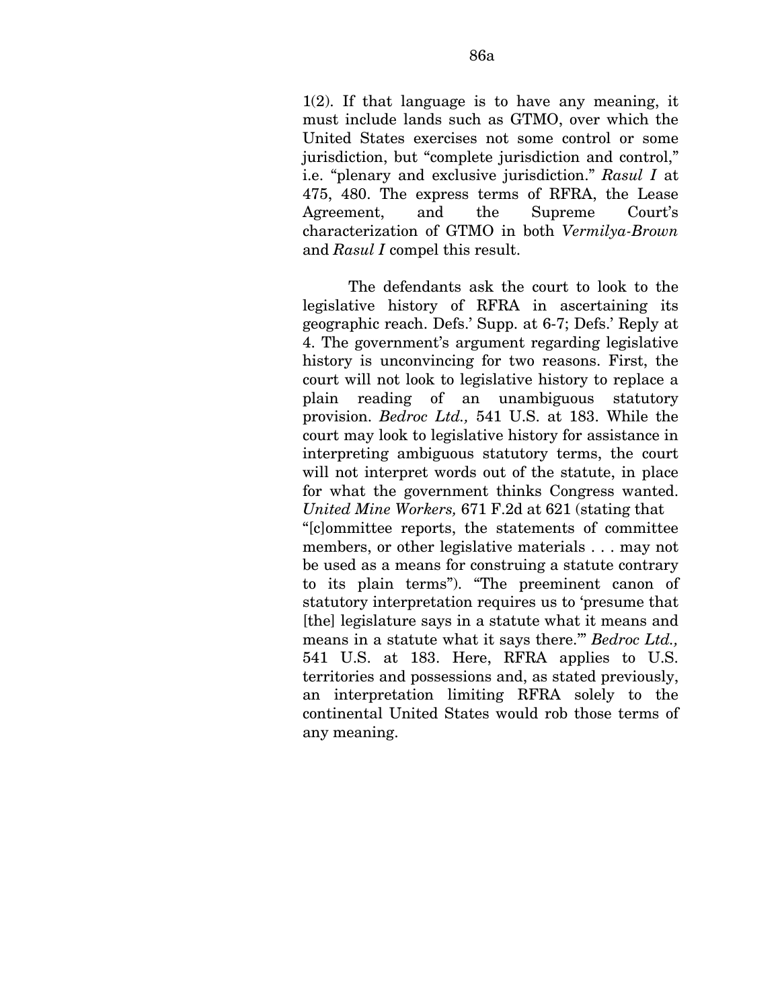1(2). If that language is to have any meaning, it must include lands such as GTMO, over which the United States exercises not some control or some jurisdiction, but "complete jurisdiction and control," i.e. "plenary and exclusive jurisdiction." *Rasul I* at 475, 480. The express terms of RFRA, the Lease Agreement, and the Supreme Court's characterization of GTMO in both *Vermilya-Brown*  and *Rasul I* compel this result.

The defendants ask the court to look to the legislative history of RFRA in ascertaining its geographic reach. Defs.' Supp. at 6-7; Defs.' Reply at 4. The government's argument regarding legislative history is unconvincing for two reasons. First, the court will not look to legislative history to replace a plain reading of an unambiguous statutory provision. *Bedroc Ltd.,* 541 U.S. at 183. While the court may look to legislative history for assistance in interpreting ambiguous statutory terms, the court will not interpret words out of the statute, in place for what the government thinks Congress wanted. *United Mine Workers,* 671 F.2d at 621 (stating that "[c]ommittee reports, the statements of committee members, or other legislative materials . . . may not be used as a means for construing a statute contrary to its plain terms"). "The preeminent canon of statutory interpretation requires us to 'presume that [the] legislature says in a statute what it means and means in a statute what it says there.'" *Bedroc Ltd.,*  541 U.S. at 183. Here, RFRA applies to U.S. territories and possessions and, as stated previously, an interpretation limiting RFRA solely to the continental United States would rob those terms of any meaning.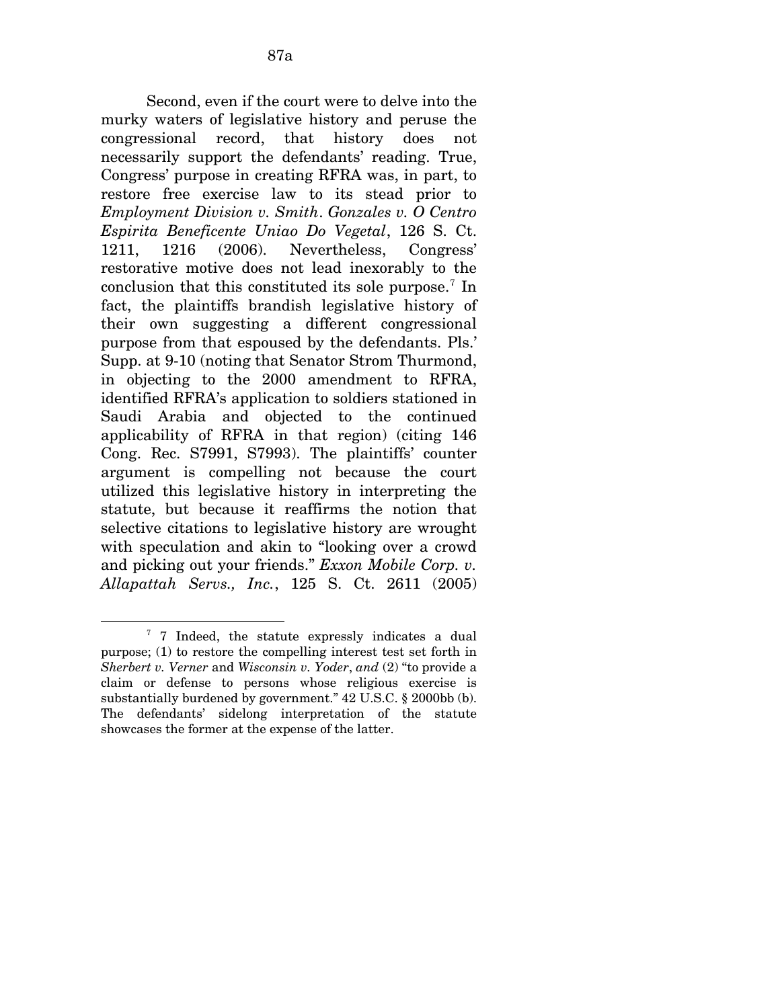Second, even if the court were to delve into the murky waters of legislative history and peruse the congressional record, that history does not necessarily support the defendants' reading. True, Congress' purpose in creating RFRA was, in part, to restore free exercise law to its stead prior to *Employment Division v. Smith*. *Gonzales v. O Centro Espirita Beneficente Uniao Do Vegetal*, 126 S. Ct. 1211, 1216 (2006). Nevertheless, Congress' restorative motive does not lead inexorably to the conclusion that this constituted its sole purpose.<sup>[7](#page-139-0)</sup> In fact, the plaintiffs brandish legislative history of their own suggesting a different congressional purpose from that espoused by the defendants. Pls.' Supp. at 9-10 (noting that Senator Strom Thurmond, in objecting to the 2000 amendment to RFRA, identified RFRA's application to soldiers stationed in Saudi Arabia and objected to the continued applicability of RFRA in that region) (citing 146 Cong. Rec. S7991, S7993). The plaintiffs' counter argument is compelling not because the court utilized this legislative history in interpreting the statute, but because it reaffirms the notion that selective citations to legislative history are wrought with speculation and akin to "looking over a crowd and picking out your friends." *Exxon Mobile Corp. v. Allapattah Servs., Inc.*, 125 S. Ct. 2611 (2005)

 $\overline{a}$ 

<span id="page-139-0"></span><sup>&</sup>lt;sup>7</sup> 7 Indeed, the statute expressly indicates a dual purpose; (1) to restore the compelling interest test set forth in *Sherbert v. Verner* and *Wisconsin v. Yoder*, *and* (2) "to provide a claim or defense to persons whose religious exercise is substantially burdened by government." 42 U.S.C. § 2000bb (b). The defendants' sidelong interpretation of the statute showcases the former at the expense of the latter.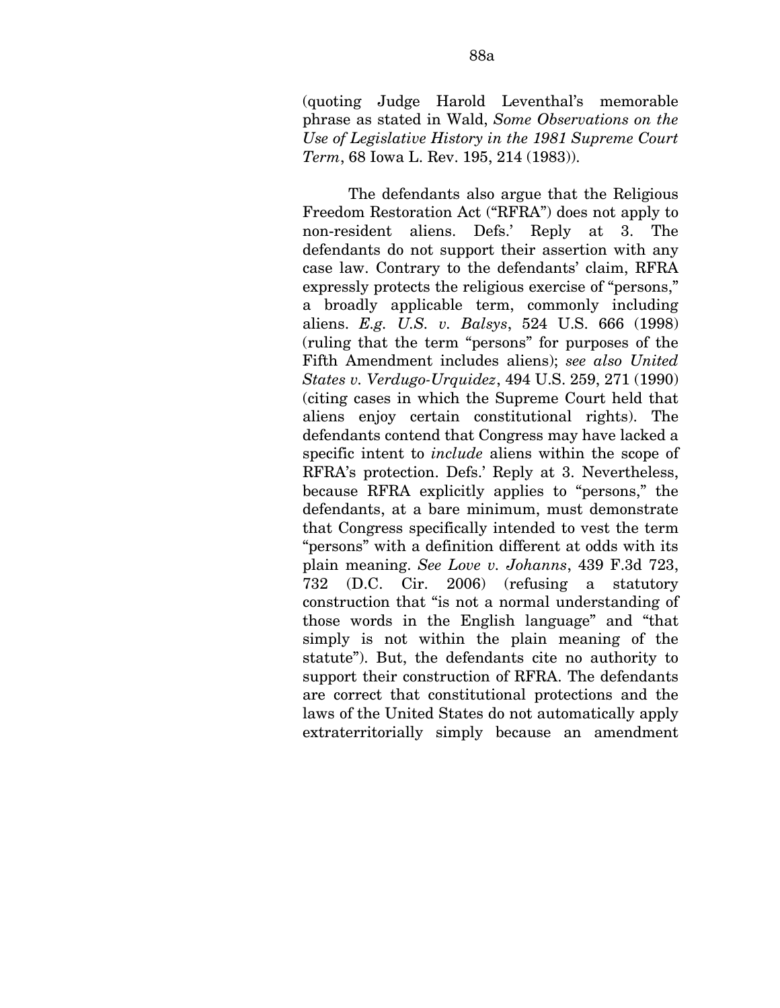(quoting Judge Harold Leventhal's memorable phrase as stated in Wald, *Some Observations on the Use of Legislative History in the 1981 Supreme Court Term*, 68 Iowa L. Rev. 195, 214 (1983)).

The defendants also argue that the Religious Freedom Restoration Act ("RFRA") does not apply to non-resident aliens. Defs.' Reply at 3. The defendants do not support their assertion with any case law. Contrary to the defendants' claim, RFRA expressly protects the religious exercise of "persons," a broadly applicable term, commonly including aliens. *E.g. U.S. v. Balsys*, 524 U.S. 666 (1998) (ruling that the term "persons" for purposes of the Fifth Amendment includes aliens); *see also United States v. Verdugo-Urquidez*, 494 U.S. 259, 271 (1990) (citing cases in which the Supreme Court held that aliens enjoy certain constitutional rights). The defendants contend that Congress may have lacked a specific intent to *include* aliens within the scope of RFRA's protection. Defs.' Reply at 3. Nevertheless, because RFRA explicitly applies to "persons," the defendants, at a bare minimum, must demonstrate that Congress specifically intended to vest the term "persons" with a definition different at odds with its plain meaning. *See Love v. Johanns*, 439 F.3d 723, 732 (D.C. Cir. 2006) (refusing a statutory construction that "is not a normal understanding of those words in the English language" and "that simply is not within the plain meaning of the statute"). But, the defendants cite no authority to support their construction of RFRA. The defendants are correct that constitutional protections and the laws of the United States do not automatically apply extraterritorially simply because an amendment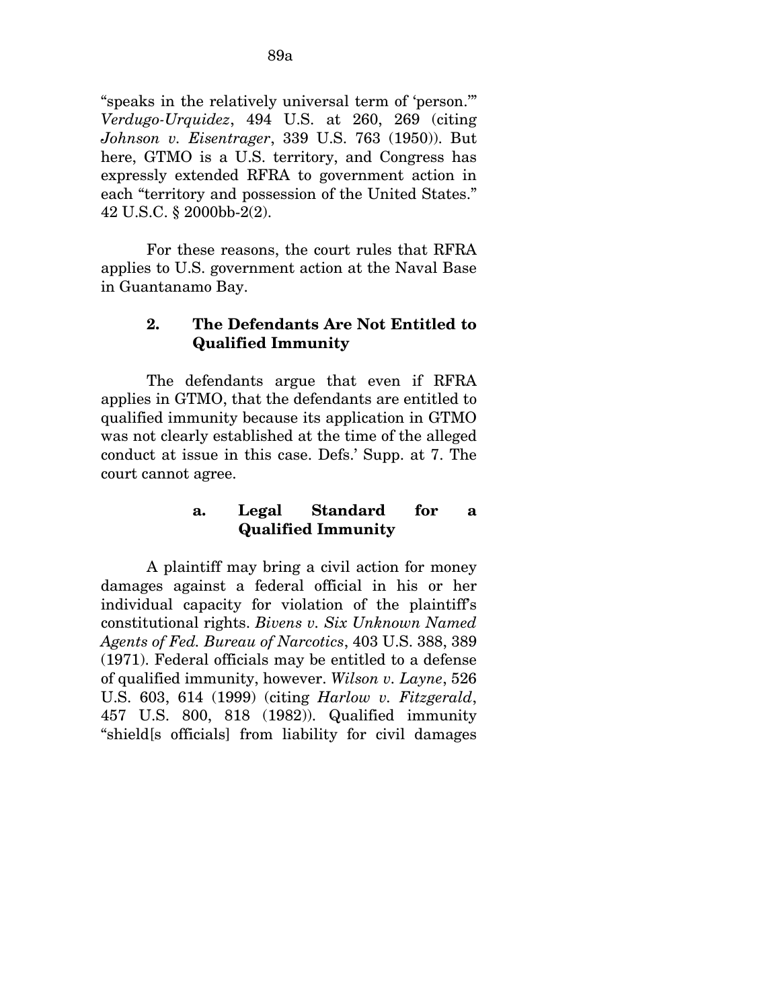"speaks in the relatively universal term of 'person.'" *Verdugo-Urquidez*, 494 U.S. at 260, 269 (citing *Johnson v. Eisentrager*, 339 U.S. 763 (1950)). But here, GTMO is a U.S. territory, and Congress has expressly extended RFRA to government action in each "territory and possession of the United States." 42 U.S.C. § 2000bb-2(2).

For these reasons, the court rules that RFRA applies to U.S. government action at the Naval Base in Guantanamo Bay.

## **2. The Defendants Are Not Entitled to Qualified Immunity**

The defendants argue that even if RFRA applies in GTMO, that the defendants are entitled to qualified immunity because its application in GTMO was not clearly established at the time of the alleged conduct at issue in this case. Defs.' Supp. at 7. The court cannot agree.

## **a. Legal Standard for a Qualified Immunity**

A plaintiff may bring a civil action for money damages against a federal official in his or her individual capacity for violation of the plaintiff's constitutional rights. *Bivens v. Six Unknown Named Agents of Fed. Bureau of Narcotics*, 403 U.S. 388, 389 (1971). Federal officials may be entitled to a defense of qualified immunity, however. *Wilson v. Layne*, 526 U.S. 603, 614 (1999) (citing *Harlow v. Fitzgerald*, 457 U.S. 800, 818 (1982)). Qualified immunity "shield[s officials] from liability for civil damages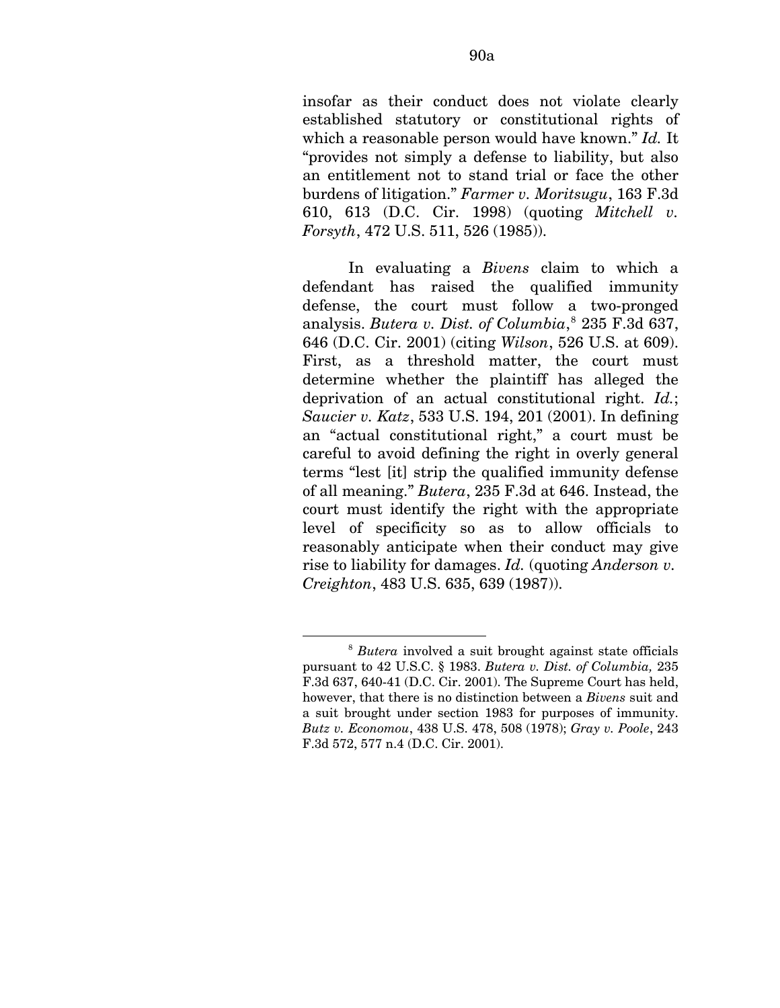insofar as their conduct does not violate clearly established statutory or constitutional rights of which a reasonable person would have known." *Id.* It "provides not simply a defense to liability, but also an entitlement not to stand trial or face the other burdens of litigation." *Farmer v. Moritsugu*, 163 F.3d 610, 613 (D.C. Cir. 1998) (quoting *Mitchell v. Forsyth*, 472 U.S. 511, 526 (1985)).

In evaluating a *Bivens* claim to which a defendant has raised the qualified immunity defense, the court must follow a two-pronged analysis. *Butera v. Dist. of Columbia*, [8](#page-142-0) 235 F.3d 637, 646 (D.C. Cir. 2001) (citing *Wilson*, 526 U.S. at 609). First, as a threshold matter, the court must determine whether the plaintiff has alleged the deprivation of an actual constitutional right. *Id.*; *Saucier v. Katz*, 533 U.S. 194, 201 (2001). In defining an "actual constitutional right," a court must be careful to avoid defining the right in overly general terms "lest [it] strip the qualified immunity defense of all meaning." *Butera*, 235 F.3d at 646. Instead, the court must identify the right with the appropriate level of specificity so as to allow officials to reasonably anticipate when their conduct may give rise to liability for damages. *Id.* (quoting *Anderson v. Creighton*, 483 U.S. 635, 639 (1987)).

1

<span id="page-142-0"></span><sup>8</sup> *Butera* involved a suit brought against state officials pursuant to 42 U.S.C. § 1983. *Butera v. Dist. of Columbia,* 235 F.3d 637, 640-41 (D.C. Cir. 2001). The Supreme Court has held, however, that there is no distinction between a *Bivens* suit and a suit brought under section 1983 for purposes of immunity. *Butz v. Economou*, 438 U.S. 478, 508 (1978); *Gray v. Poole*, 243 F.3d 572, 577 n.4 (D.C. Cir. 2001).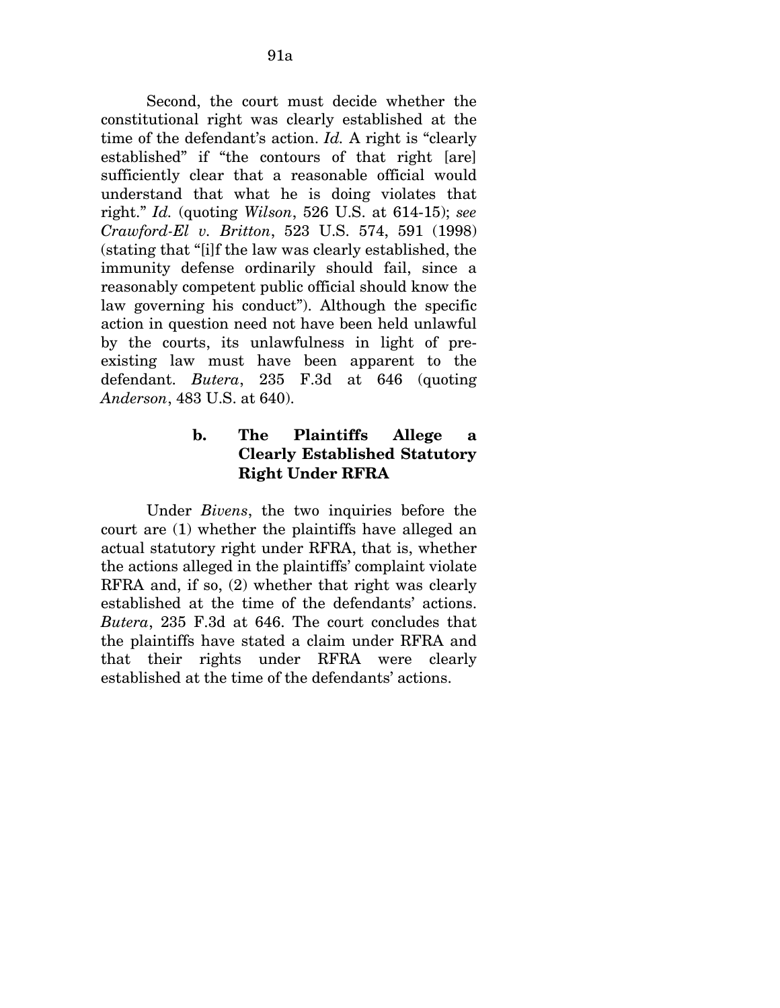Second, the court must decide whether the constitutional right was clearly established at the time of the defendant's action. *Id.* A right is "clearly established" if "the contours of that right [are] sufficiently clear that a reasonable official would understand that what he is doing violates that right." *Id.* (quoting *Wilson*, 526 U.S. at 614-15); *see Crawford-El v. Britton*, 523 U.S. 574, 591 (1998) (stating that "[i]f the law was clearly established, the immunity defense ordinarily should fail, since a reasonably competent public official should know the law governing his conduct"). Although the specific action in question need not have been held unlawful by the courts, its unlawfulness in light of preexisting law must have been apparent to the defendant. *Butera*, 235 F.3d at 646 (quoting *Anderson*, 483 U.S. at 640).

# **b. The Plaintiffs Allege a Clearly Established Statutory Right Under RFRA**

Under *Bivens*, the two inquiries before the court are (1) whether the plaintiffs have alleged an actual statutory right under RFRA, that is, whether the actions alleged in the plaintiffs' complaint violate RFRA and, if so, (2) whether that right was clearly established at the time of the defendants' actions. *Butera*, 235 F.3d at 646. The court concludes that the plaintiffs have stated a claim under RFRA and that their rights under RFRA were clearly established at the time of the defendants' actions.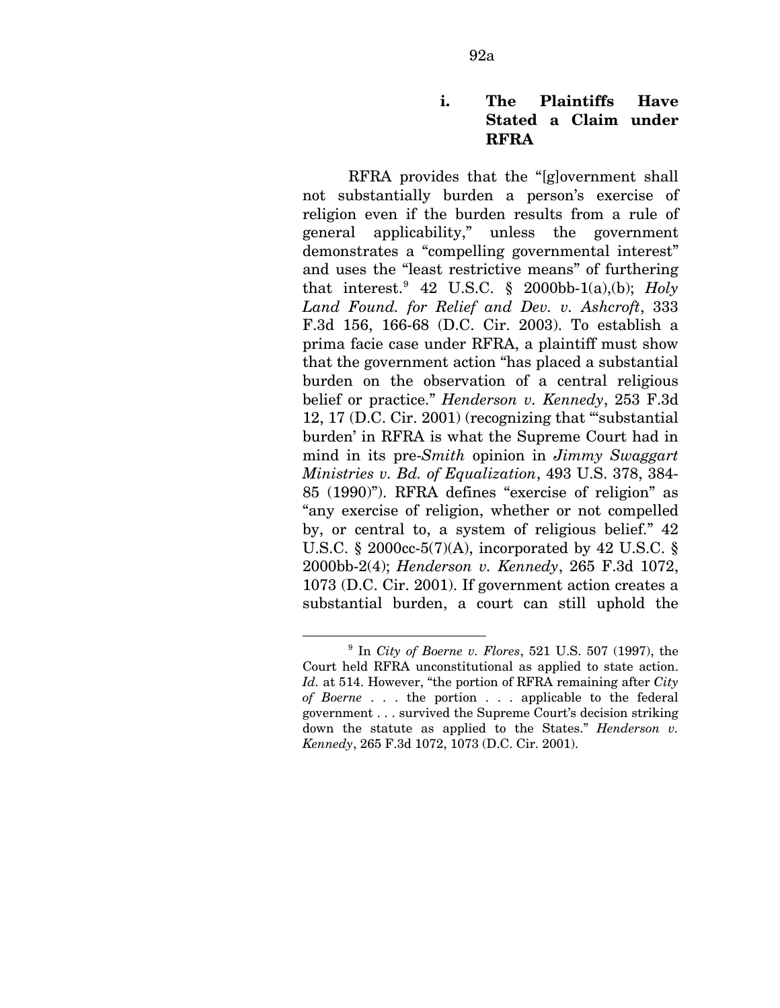## **i. The Plaintiffs Have Stated a Claim under RFRA**

RFRA provides that the "[g]overnment shall not substantially burden a person's exercise of religion even if the burden results from a rule of general applicability," unless the government demonstrates a "compelling governmental interest" and uses the "least restrictive means" of furthering that interest.  $42$  U.S.C. § 2000bb-1(a),(b); *Holy Land Found. for Relief and Dev. v. Ashcroft*, 333 F.3d 156, 166-68 (D.C. Cir. 2003). To establish a prima facie case under RFRA, a plaintiff must show that the government action "has placed a substantial burden on the observation of a central religious belief or practice." *Henderson v. Kennedy*, 253 F.3d 12, 17 (D.C. Cir. 2001) (recognizing that "'substantial burden' in RFRA is what the Supreme Court had in mind in its pre-*Smith* opinion in *Jimmy Swaggart Ministries v. Bd. of Equalization*, 493 U.S. 378, 384- 85 (1990)"). RFRA defines "exercise of religion" as "any exercise of religion, whether or not compelled by, or central to, a system of religious belief." 42 U.S.C. § 2000cc-5(7)(A), incorporated by 42 U.S.C. § 2000bb-2(4); *Henderson v. Kennedy*, 265 F.3d 1072, 1073 (D.C. Cir. 2001). If government action creates a substantial burden, a court can still uphold the

1

<span id="page-144-0"></span><sup>9</sup> In *City of Boerne v. Flores*, 521 U.S. 507 (1997), the Court held RFRA unconstitutional as applied to state action. *Id.* at 514. However, "the portion of RFRA remaining after *City of Boerne* . . . the portion . . . applicable to the federal government . . . survived the Supreme Court's decision striking down the statute as applied to the States." *Henderson v. Kennedy*, 265 F.3d 1072, 1073 (D.C. Cir. 2001).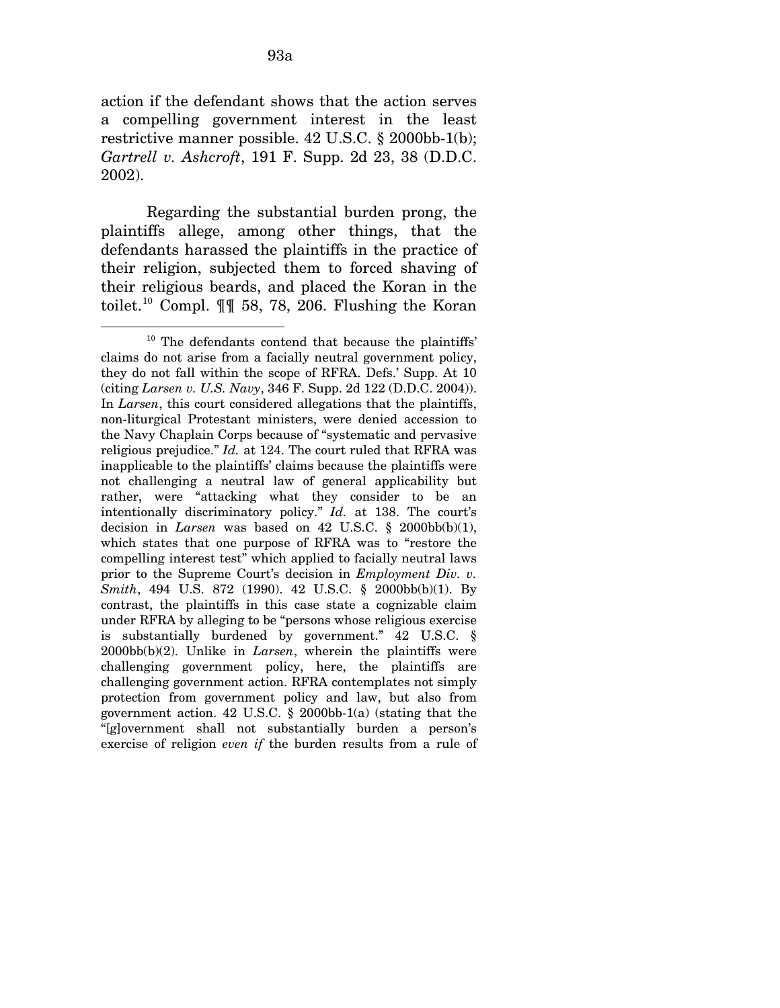action if the defendant shows that the action serves a compelling government interest in the least restrictive manner possible. 42 U.S.C. § 2000bb-1(b); *Gartrell v. Ashcroft*, 191 F. Supp. 2d 23, 38 (D.D.C. 2002).

Regarding the substantial burden prong, the plaintiffs allege, among other things, that the defendants harassed the plaintiffs in the practice of their religion, subjected them to forced shaving of their religious beards, and placed the Koran in the toilet.<sup>[10](#page-145-0)</sup> Compl.  $\P\P$  58, 78, 206. Flushing the Koran

<span id="page-145-0"></span><sup>&</sup>lt;sup>10</sup> The defendants contend that because the plaintiffs' claims do not arise from a facially neutral government policy, they do not fall within the scope of RFRA. Defs.' Supp. At 10 (citing *Larsen v. U.S. Navy*, 346 F. Supp. 2d 122 (D.D.C. 2004)). In *Larsen*, this court considered allegations that the plaintiffs, non-liturgical Protestant ministers, were denied accession to the Navy Chaplain Corps because of "systematic and pervasive religious prejudice." *Id.* at 124. The court ruled that RFRA was inapplicable to the plaintiffs' claims because the plaintiffs were not challenging a neutral law of general applicability but rather, were "attacking what they consider to be an intentionally discriminatory policy." *Id.* at 138. The court's decision in *Larsen* was based on 42 U.S.C.  $\S$  2000bb(b)(1), which states that one purpose of RFRA was to "restore the compelling interest test" which applied to facially neutral laws prior to the Supreme Court's decision in *Employment Div. v. Smith*, 494 U.S. 872 (1990). 42 U.S.C. § 2000bb(b)(1). By contrast, the plaintiffs in this case state a cognizable claim under RFRA by alleging to be "persons whose religious exercise is substantially burdened by government." 42 U.S.C. § 2000bb(b)(2). Unlike in *Larsen*, wherein the plaintiffs were challenging government policy, here, the plaintiffs are challenging government action. RFRA contemplates not simply protection from government policy and law, but also from government action. 42 U.S.C. § 2000bb-1(a) (stating that the "[g]overnment shall not substantially burden a person's exercise of religion *even if* the burden results from a rule of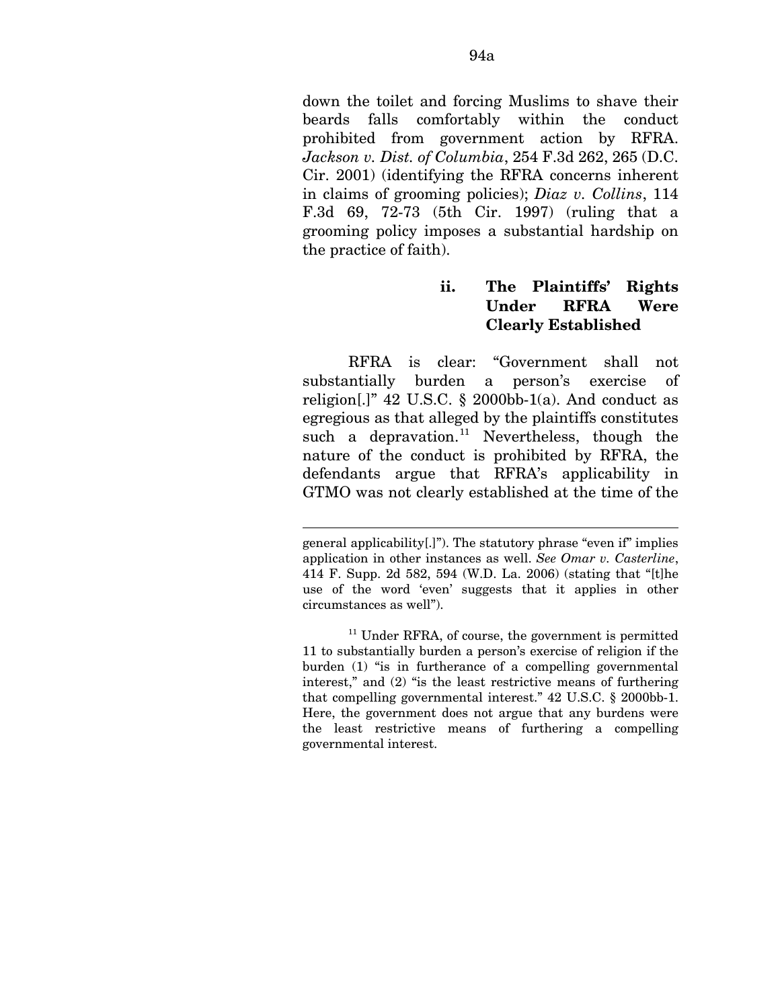down the toilet and forcing Muslims to shave their beards falls comfortably within the conduct prohibited from government action by RFRA. *Jackson v. Dist. of Columbia*, 254 F.3d 262, 265 (D.C. Cir. 2001) (identifying the RFRA concerns inherent in claims of grooming policies); *Diaz v. Collins*, 114 F.3d 69, 72-73 (5th Cir. 1997) (ruling that a grooming policy imposes a substantial hardship on the practice of faith).

# **ii. The Plaintiffs' Rights Under RFRA Were Clearly Established**

RFRA is clear: "Government shall not substantially burden a person's exercise of religion[.]" 42 U.S.C. § 2000bb-1(a). And conduct as egregious as that alleged by the plaintiffs constitutes such a depravation.<sup>[11](#page-146-0)</sup> Nevertheless, though the nature of the conduct is prohibited by RFRA, the defendants argue that RFRA's applicability in GTMO was not clearly established at the time of the

general applicability[.]"). The statutory phrase "even if" implies application in other instances as well. *See Omar v. Casterline*, 414 F. Supp. 2d 582, 594 (W.D. La. 2006) (stating that "[t]he use of the word 'even' suggests that it applies in other circumstances as well").

<span id="page-146-0"></span><sup>&</sup>lt;sup>11</sup> Under RFRA, of course, the government is permitted 11 to substantially burden a person's exercise of religion if the burden (1) "is in furtherance of a compelling governmental interest," and (2) "is the least restrictive means of furthering that compelling governmental interest." 42 U.S.C. § 2000bb-1. Here, the government does not argue that any burdens were the least restrictive means of furthering a compelling governmental interest.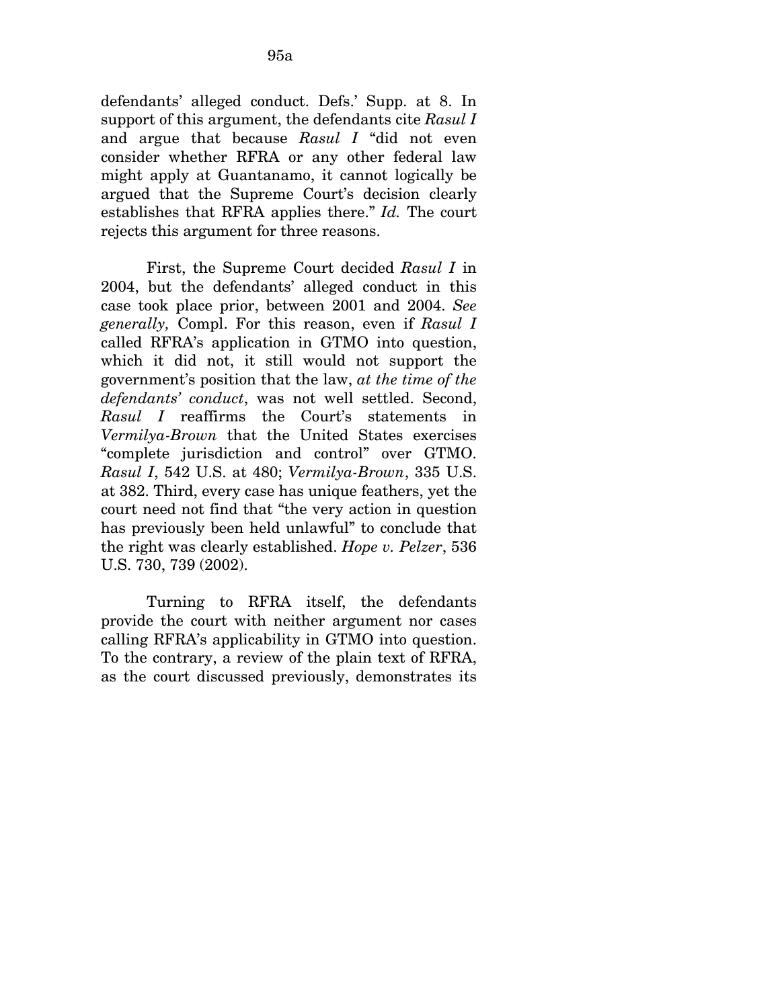defendants' alleged conduct. Defs.' Supp. at 8. In support of this argument, the defendants cite *Rasul I*  and argue that because *Rasul I* "did not even consider whether RFRA or any other federal law might apply at Guantanamo, it cannot logically be argued that the Supreme Court's decision clearly establishes that RFRA applies there." *Id.* The court rejects this argument for three reasons.

First, the Supreme Court decided *Rasul I* in 2004, but the defendants' alleged conduct in this case took place prior, between 2001 and 2004. *See generally,* Compl. For this reason, even if *Rasul I*  called RFRA's application in GTMO into question, which it did not, it still would not support the government's position that the law, *at the time of the defendants' conduct*, was not well settled. Second, *Rasul I* reaffirms the Court's statements in *Vermilya-Brown* that the United States exercises "complete jurisdiction and control" over GTMO. *Rasul I*, 542 U.S. at 480; *Vermilya-Brown*, 335 U.S. at 382. Third, every case has unique feathers, yet the court need not find that "the very action in question has previously been held unlawful" to conclude that the right was clearly established. *Hope v. Pelzer*, 536 U.S. 730, 739 (2002).

Turning to RFRA itself, the defendants provide the court with neither argument nor cases calling RFRA's applicability in GTMO into question. To the contrary, a review of the plain text of RFRA, as the court discussed previously, demonstrates its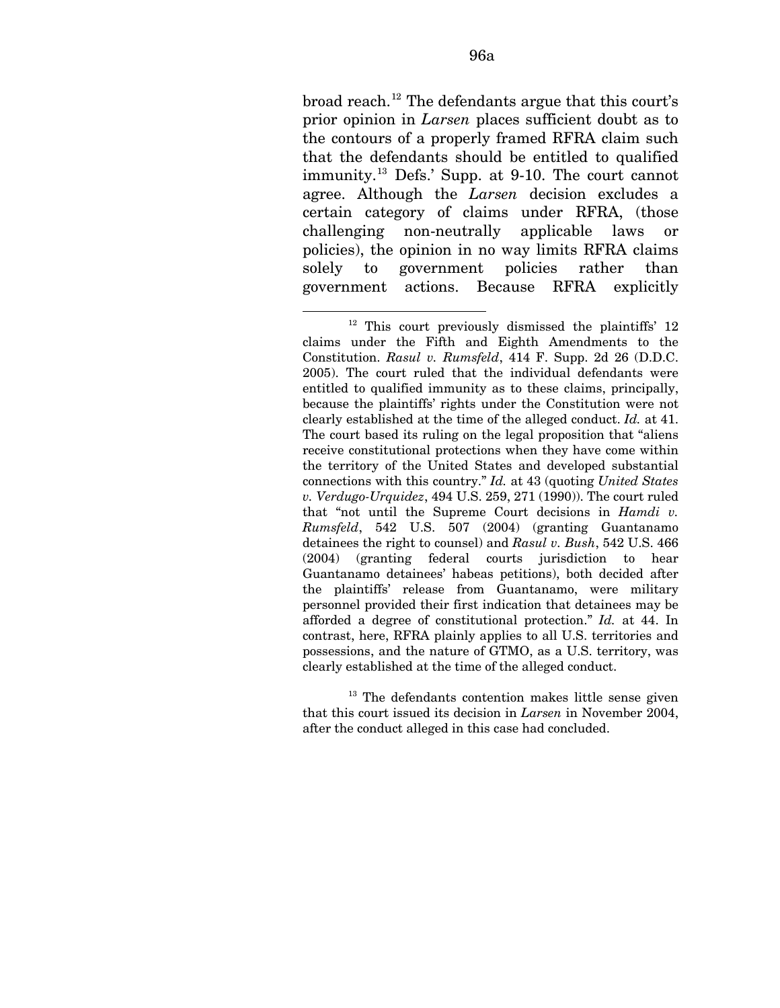broad reach.<sup>[12](#page-148-0)</sup> The defendants argue that this court's prior opinion in *Larsen* places sufficient doubt as to the contours of a properly framed RFRA claim such that the defendants should be entitled to qualified immunity.[13](#page-148-1) Defs.' Supp. at 9-10. The court cannot agree. Although the *Larsen* decision excludes a certain category of claims under RFRA, (those challenging non-neutrally applicable laws or policies), the opinion in no way limits RFRA claims solely to government policies rather than government actions. Because RFRA explicitly

<span id="page-148-1"></span>13 The defendants contention makes little sense given that this court issued its decision in *Larsen* in November 2004, after the conduct alleged in this case had concluded.

<span id="page-148-0"></span><sup>&</sup>lt;u>.</u> <sup>12</sup> This court previously dismissed the plaintiffs' 12 claims under the Fifth and Eighth Amendments to the Constitution. *Rasul v. Rumsfeld*, 414 F. Supp. 2d 26 (D.D.C. 2005). The court ruled that the individual defendants were entitled to qualified immunity as to these claims, principally, because the plaintiffs' rights under the Constitution were not clearly established at the time of the alleged conduct. *Id.* at 41. The court based its ruling on the legal proposition that "aliens receive constitutional protections when they have come within the territory of the United States and developed substantial connections with this country." *Id.* at 43 (quoting *United States v. Verdugo-Urquidez*, 494 U.S. 259, 271 (1990)). The court ruled that "not until the Supreme Court decisions in *Hamdi v. Rumsfeld*, 542 U.S. 507 (2004) (granting Guantanamo detainees the right to counsel) and *Rasul v. Bush*, 542 U.S. 466 (2004) (granting federal courts jurisdiction to hear Guantanamo detainees' habeas petitions), both decided after the plaintiffs' release from Guantanamo, were military personnel provided their first indication that detainees may be afforded a degree of constitutional protection." *Id.* at 44. In contrast, here, RFRA plainly applies to all U.S. territories and possessions, and the nature of GTMO, as a U.S. territory, was clearly established at the time of the alleged conduct.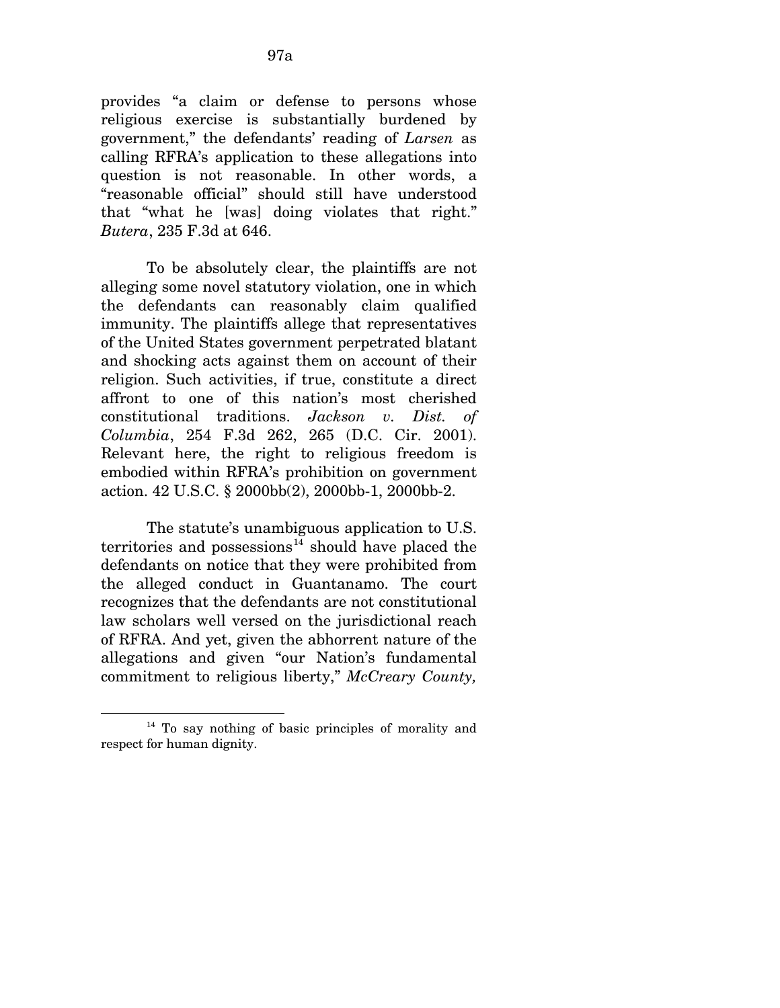provides "a claim or defense to persons whose religious exercise is substantially burdened by government," the defendants' reading of *Larsen* as calling RFRA's application to these allegations into question is not reasonable. In other words, a "reasonable official" should still have understood that "what he [was] doing violates that right." *Butera*, 235 F.3d at 646.

To be absolutely clear, the plaintiffs are not alleging some novel statutory violation, one in which the defendants can reasonably claim qualified immunity. The plaintiffs allege that representatives of the United States government perpetrated blatant and shocking acts against them on account of their religion. Such activities, if true, constitute a direct affront to one of this nation's most cherished constitutional traditions. *Jackson v. Dist. of Columbia*, 254 F.3d 262, 265 (D.C. Cir. 2001). Relevant here, the right to religious freedom is embodied within RFRA's prohibition on government action. 42 U.S.C. § 2000bb(2), 2000bb-1, 2000bb-2.

The statute's unambiguous application to U.S. territories and possessions<sup>[14](#page-149-0)</sup> should have placed the defendants on notice that they were prohibited from the alleged conduct in Guantanamo. The court recognizes that the defendants are not constitutional law scholars well versed on the jurisdictional reach of RFRA. And yet, given the abhorrent nature of the allegations and given "our Nation's fundamental commitment to religious liberty," *McCreary County,* 

<span id="page-149-0"></span><sup>14</sup> To say nothing of basic principles of morality and respect for human dignity.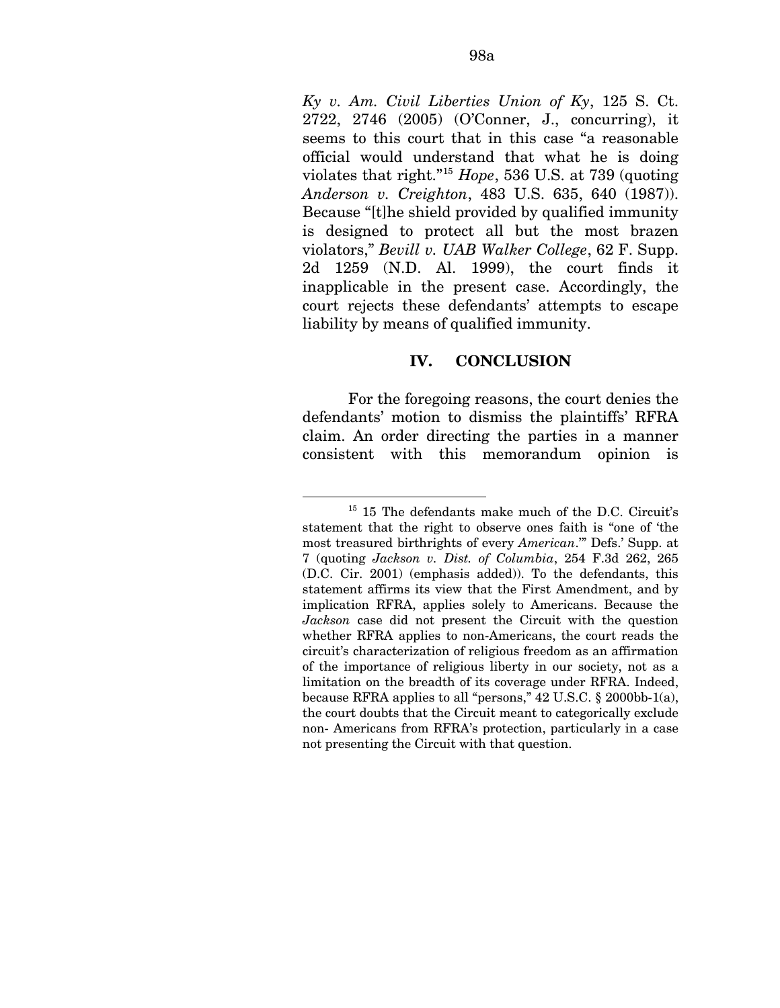*Ky v. Am. Civil Liberties Union of Ky*, 125 S. Ct. 2722, 2746 (2005) (O'Conner, J., concurring), it seems to this court that in this case "a reasonable official would understand that what he is doing violates that right."[15](#page-150-0) *Hope*, 536 U.S. at 739 (quoting *Anderson v. Creighton*, 483 U.S. 635, 640 (1987)). Because "[t]he shield provided by qualified immunity is designed to protect all but the most brazen violators," *Bevill v. UAB Walker College*, 62 F. Supp. 2d 1259 (N.D. Al. 1999), the court finds it inapplicable in the present case. Accordingly, the court rejects these defendants' attempts to escape liability by means of qualified immunity.

### **IV. CONCLUSION**

For the foregoing reasons, the court denies the defendants' motion to dismiss the plaintiffs' RFRA claim. An order directing the parties in a manner consistent with this memorandum opinion is

<span id="page-150-0"></span><sup>1</sup> <sup>15</sup> 15 The defendants make much of the D.C. Circuit's statement that the right to observe ones faith is "one of 'the most treasured birthrights of every *American*.'" Defs.' Supp. at 7 (quoting *Jackson v. Dist. of Columbia*, 254 F.3d 262, 265 (D.C. Cir. 2001) (emphasis added)). To the defendants, this statement affirms its view that the First Amendment, and by implication RFRA, applies solely to Americans. Because the *Jackson* case did not present the Circuit with the question whether RFRA applies to non-Americans, the court reads the circuit's characterization of religious freedom as an affirmation of the importance of religious liberty in our society, not as a limitation on the breadth of its coverage under RFRA. Indeed, because RFRA applies to all "persons," 42 U.S.C. § 2000bb-1(a), the court doubts that the Circuit meant to categorically exclude non- Americans from RFRA's protection, particularly in a case not presenting the Circuit with that question.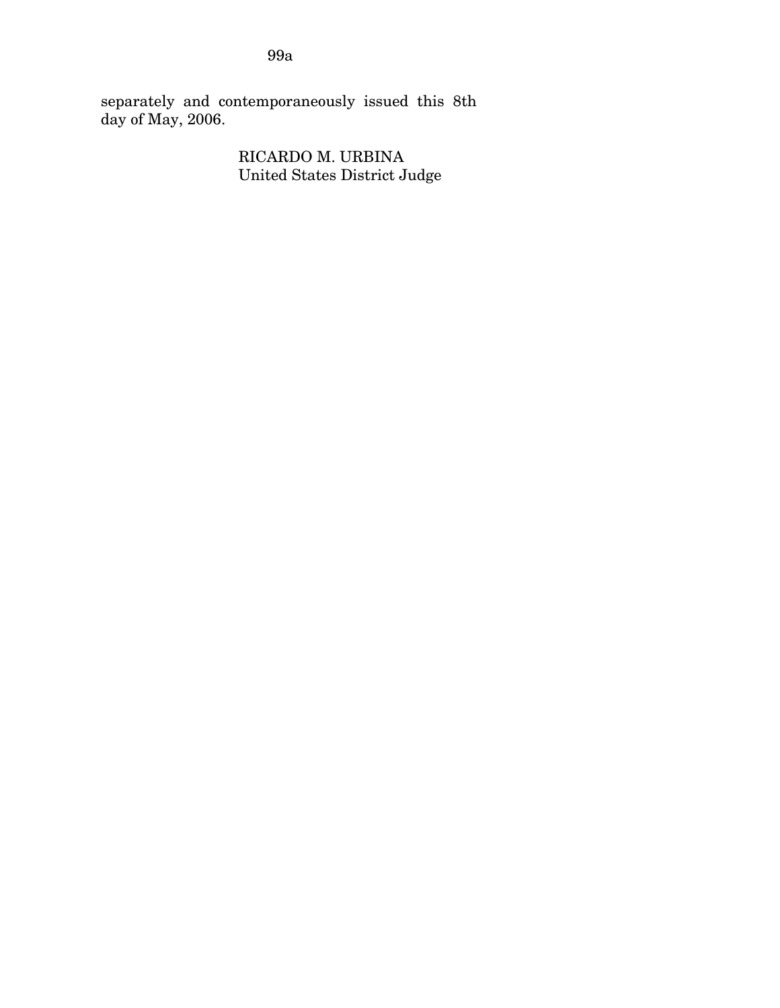separately and contemporaneously issued this 8th day of May, 2006.

> RICARDO M. URBINA United States District Judge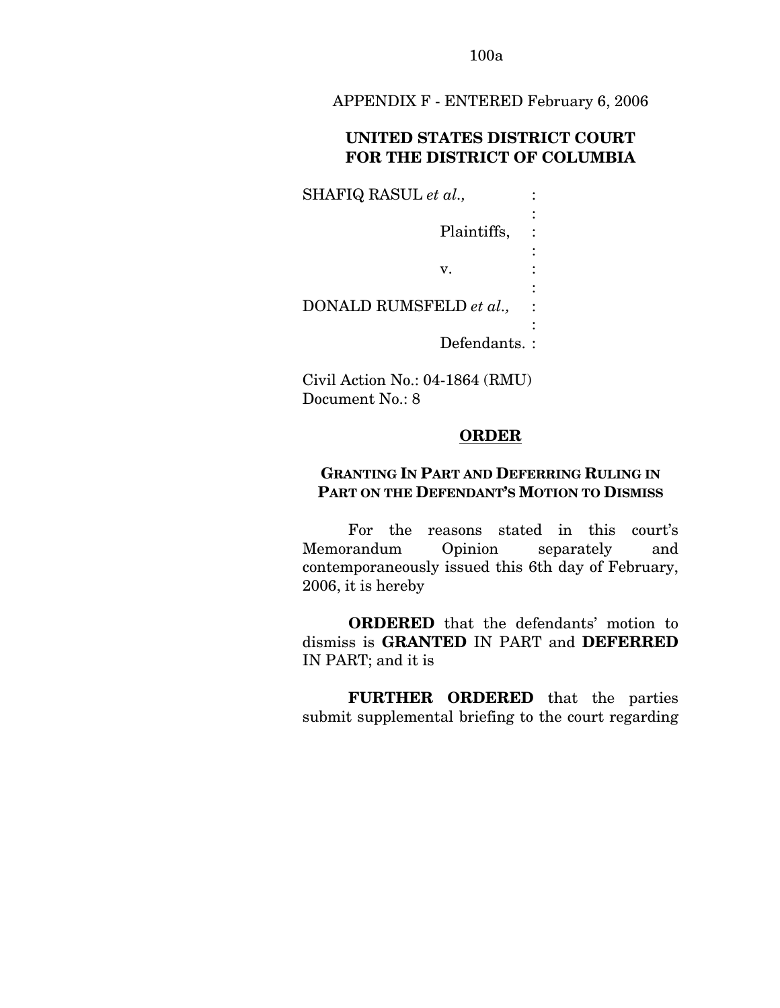APPENDIX F - ENTERED February 6, 2006

# **UNITED STATES DISTRICT COURT FOR THE DISTRICT OF COLUMBIA**

SHAFIQ RASUL *et al.*,  $\qquad$ : the contract of the contract of the contract of Plaintiffs, : the contract of the contract of the contract of  $\mathbf{v}$ .  $\mathbf{v}$ .  $\mathbf{v}$ . the contract of the contract of the contract of DONALD RUMSFELD *et al.,* : the contract of the contract of the contract of Defendants. :

Civil Action No.: 04-1864 (RMU) Document No.: 8

## **ORDER**

# **GRANTING IN PART AND DEFERRING RULING IN PART ON THE DEFENDANT'S MOTION TO DISMISS**

For the reasons stated in this court's Memorandum Opinion separately and contemporaneously issued this 6th day of February, 2006, it is hereby

**ORDERED** that the defendants' motion to dismiss is **GRANTED** IN PART and **DEFERRED** IN PART; and it is

**FURTHER ORDERED** that the parties submit supplemental briefing to the court regarding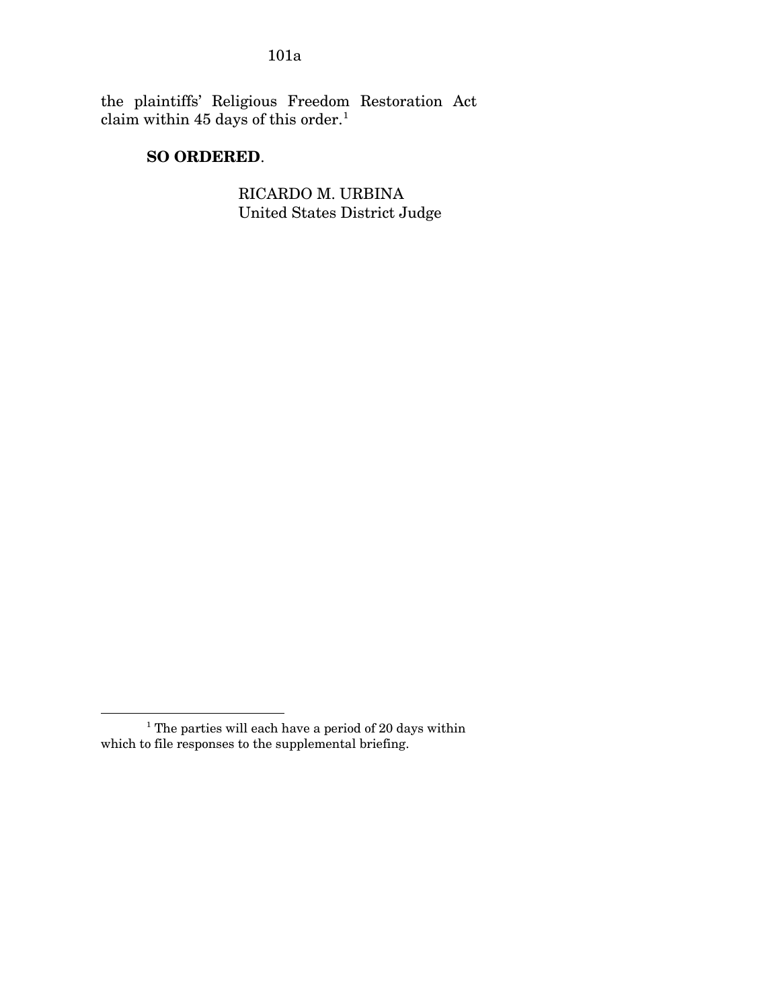the plaintiffs' Religious Freedom Restoration Act claim within 45 days of this order.<sup>[1](#page-153-0)</sup>

# **SO ORDERED**.

RICARDO M. URBINA United States District Judge

<span id="page-153-0"></span> 1 The parties will each have a period of 20 days within which to file responses to the supplemental briefing.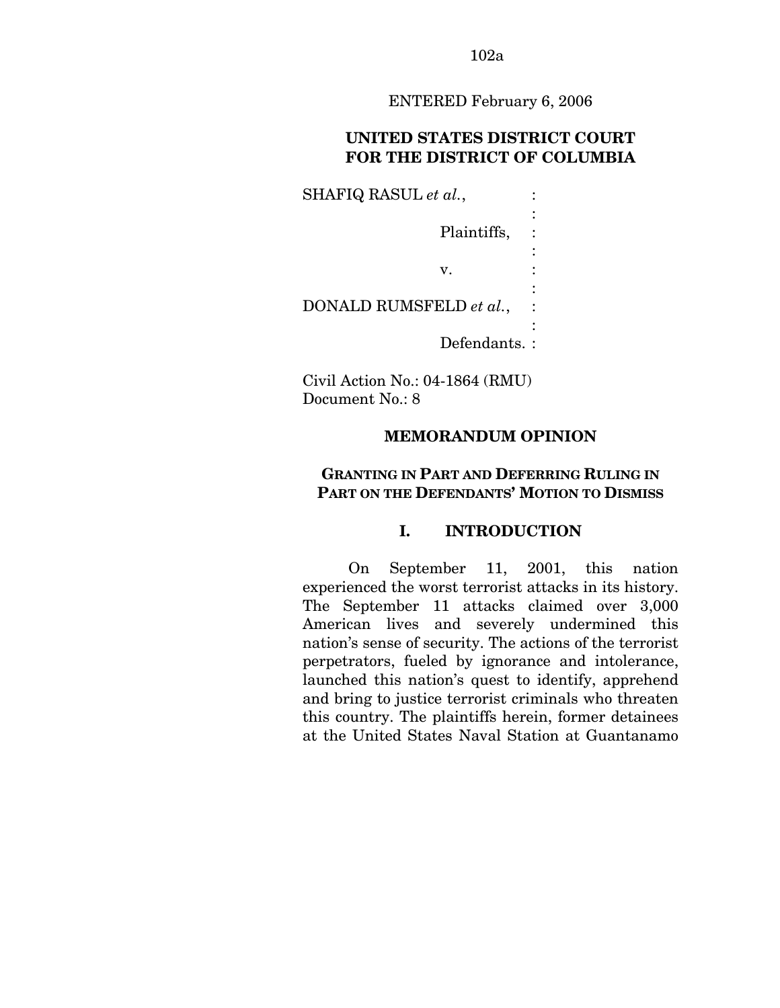ENTERED February 6, 2006

# **UNITED STATES DISTRICT COURT FOR THE DISTRICT OF COLUMBIA**

SHAFIQ RASUL *et al.*,  $\qquad$ : : Plaintiffs, : : v. : : DONALD RUMSFELD *et al.*, : : Defendants. :

Civil Action No.: 04-1864 (RMU) Document No.: 8

# **MEMORANDUM OPINION**

# **GRANTING IN PART AND DEFERRING RULING IN PART ON THE DEFENDANTS' MOTION TO DISMISS**

# **I. INTRODUCTION**

On September 11, 2001, this nation experienced the worst terrorist attacks in its history. The September 11 attacks claimed over 3,000 American lives and severely undermined this nation's sense of security. The actions of the terrorist perpetrators, fueled by ignorance and intolerance, launched this nation's quest to identify, apprehend and bring to justice terrorist criminals who threaten this country. The plaintiffs herein, former detainees at the United States Naval Station at Guantanamo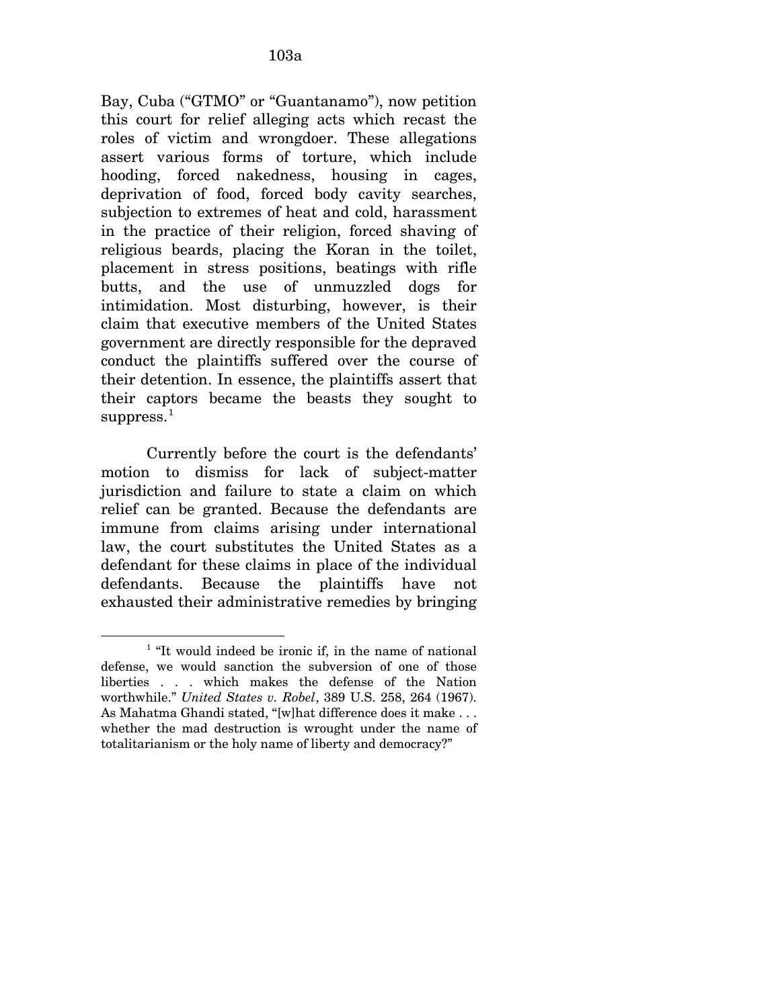Bay, Cuba ("GTMO" or "Guantanamo"), now petition this court for relief alleging acts which recast the roles of victim and wrongdoer. These allegations assert various forms of torture, which include hooding, forced nakedness, housing in cages, deprivation of food, forced body cavity searches, subjection to extremes of heat and cold, harassment in the practice of their religion, forced shaving of religious beards, placing the Koran in the toilet, placement in stress positions, beatings with rifle butts, and the use of unmuzzled dogs for intimidation. Most disturbing, however, is their claim that executive members of the United States government are directly responsible for the depraved conduct the plaintiffs suffered over the course of their detention. In essence, the plaintiffs assert that their captors became the beasts they sought to  $suppress.<sup>1</sup>$  $suppress.<sup>1</sup>$  $suppress.<sup>1</sup>$ 

Currently before the court is the defendants' motion to dismiss for lack of subject-matter jurisdiction and failure to state a claim on which relief can be granted. Because the defendants are immune from claims arising under international law, the court substitutes the United States as a defendant for these claims in place of the individual defendants. Because the plaintiffs have not exhausted their administrative remedies by bringing

<span id="page-155-0"></span><sup>&</sup>lt;sup>1</sup> "It would indeed be ironic if, in the name of national defense, we would sanction the subversion of one of those liberties . . . which makes the defense of the Nation worthwhile." *United States v. Robel*, 389 U.S. 258, 264 (1967). As Mahatma Ghandi stated, "[w]hat difference does it make . . . whether the mad destruction is wrought under the name of totalitarianism or the holy name of liberty and democracy?"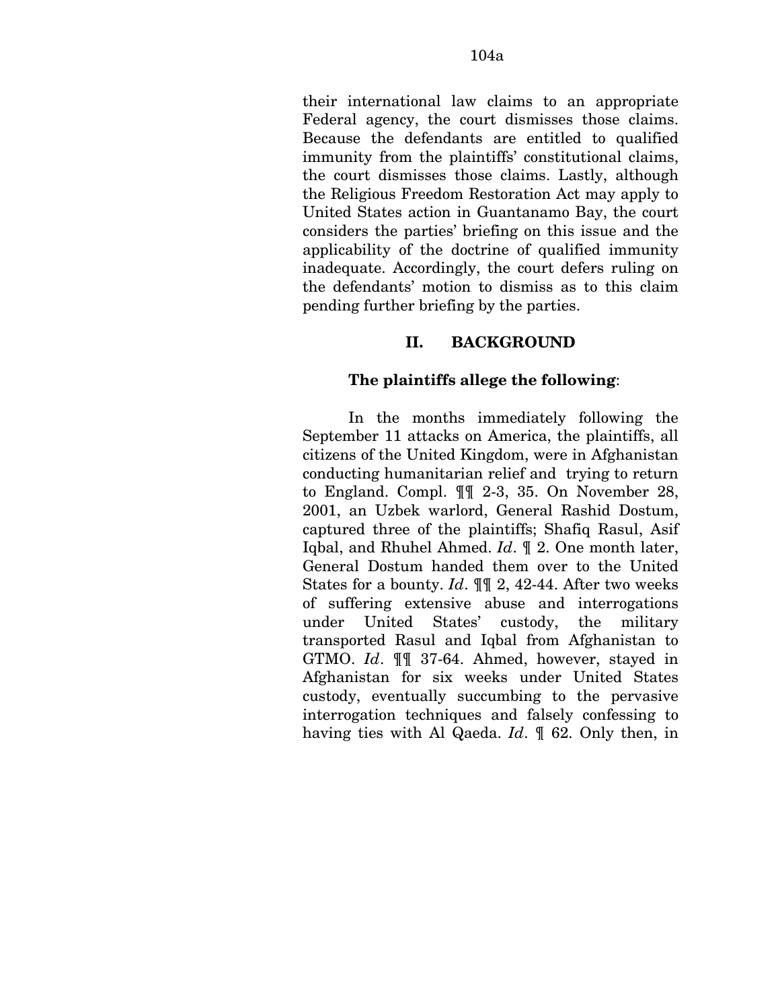their international law claims to an appropriate Federal agency, the court dismisses those claims. Because the defendants are entitled to qualified immunity from the plaintiffs' constitutional claims, the court dismisses those claims. Lastly, although the Religious Freedom Restoration Act may apply to United States action in Guantanamo Bay, the court considers the parties' briefing on this issue and the applicability of the doctrine of qualified immunity inadequate. Accordingly, the court defers ruling on the defendants' motion to dismiss as to this claim pending further briefing by the parties.

# **II. BACKGROUND**

### **The plaintiffs allege the following**:

In the months immediately following the September 11 attacks on America, the plaintiffs, all citizens of the United Kingdom, were in Afghanistan conducting humanitarian relief and trying to return to England. Compl. ¶¶ 2-3, 35. On November 28, 2001, an Uzbek warlord, General Rashid Dostum, captured three of the plaintiffs; Shafiq Rasul, Asif Iqbal, and Rhuhel Ahmed. *Id*. ¶ 2. One month later, General Dostum handed them over to the United States for a bounty. *Id*. ¶¶ 2, 42-44. After two weeks of suffering extensive abuse and interrogations under United States' custody, the military transported Rasul and Iqbal from Afghanistan to GTMO. *Id*. ¶¶ 37-64. Ahmed, however, stayed in Afghanistan for six weeks under United States custody, eventually succumbing to the pervasive interrogation techniques and falsely confessing to having ties with Al Qaeda. *Id*. ¶ 62. Only then, in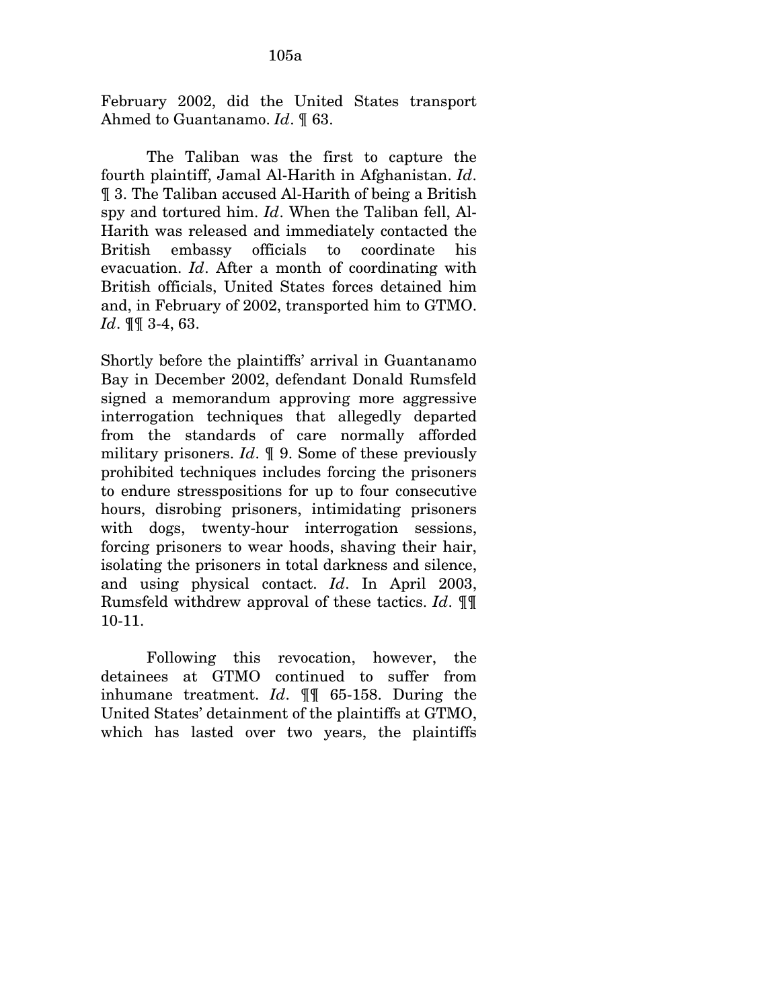February 2002, did the United States transport Ahmed to Guantanamo. *Id*. ¶ 63.

The Taliban was the first to capture the fourth plaintiff, Jamal Al-Harith in Afghanistan. *Id*. ¶ 3. The Taliban accused Al-Harith of being a British spy and tortured him. *Id*. When the Taliban fell, Al-Harith was released and immediately contacted the British embassy officials to coordinate his evacuation. *Id*. After a month of coordinating with British officials, United States forces detained him and, in February of 2002, transported him to GTMO. *Id*. ¶¶ 3-4, 63.

Shortly before the plaintiffs' arrival in Guantanamo Bay in December 2002, defendant Donald Rumsfeld signed a memorandum approving more aggressive interrogation techniques that allegedly departed from the standards of care normally afforded military prisoners. *Id*. ¶ 9. Some of these previously prohibited techniques includes forcing the prisoners to endure stresspositions for up to four consecutive hours, disrobing prisoners, intimidating prisoners with dogs, twenty-hour interrogation sessions, forcing prisoners to wear hoods, shaving their hair, isolating the prisoners in total darkness and silence, and using physical contact. *Id*. In April 2003, Rumsfeld withdrew approval of these tactics. *Id*. ¶¶ 10-11.

Following this revocation, however, the detainees at GTMO continued to suffer from inhumane treatment. *Id*. ¶¶ 65-158. During the United States' detainment of the plaintiffs at GTMO, which has lasted over two years, the plaintiffs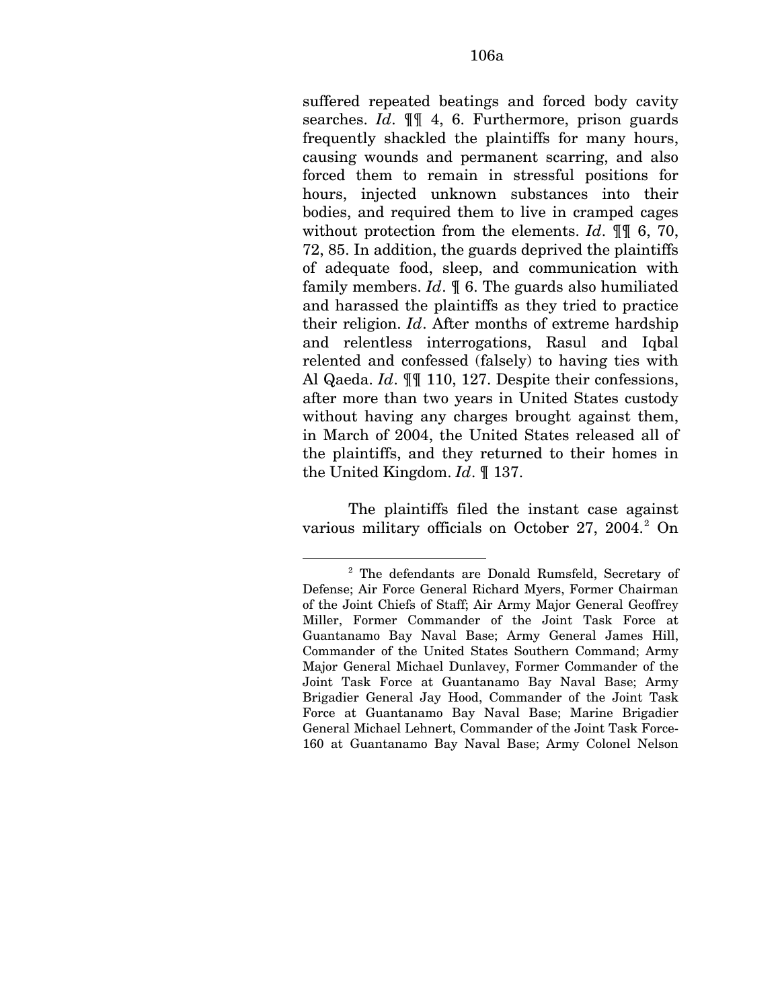suffered repeated beatings and forced body cavity searches. *Id*. ¶¶ 4, 6. Furthermore, prison guards frequently shackled the plaintiffs for many hours, causing wounds and permanent scarring, and also forced them to remain in stressful positions for hours, injected unknown substances into their bodies, and required them to live in cramped cages without protection from the elements. *Id*. ¶¶ 6, 70, 72, 85. In addition, the guards deprived the plaintiffs of adequate food, sleep, and communication with family members. *Id*. ¶ 6. The guards also humiliated and harassed the plaintiffs as they tried to practice their religion. *Id*. After months of extreme hardship and relentless interrogations, Rasul and Iqbal relented and confessed (falsely) to having ties with Al Qaeda. *Id*. ¶¶ 110, 127. Despite their confessions, after more than two years in United States custody without having any charges brought against them, in March of 2004, the United States released all of the plaintiffs, and they returned to their homes in the United Kingdom. *Id*. ¶ 137.

The plaintiffs filed the instant case against various military officials on October [2](#page-158-0)7, 2004.<sup>2</sup> On

1

<span id="page-158-0"></span><sup>&</sup>lt;sup>2</sup> The defendants are Donald Rumsfeld, Secretary of Defense; Air Force General Richard Myers, Former Chairman of the Joint Chiefs of Staff; Air Army Major General Geoffrey Miller, Former Commander of the Joint Task Force at Guantanamo Bay Naval Base; Army General James Hill, Commander of the United States Southern Command; Army Major General Michael Dunlavey, Former Commander of the Joint Task Force at Guantanamo Bay Naval Base; Army Brigadier General Jay Hood, Commander of the Joint Task Force at Guantanamo Bay Naval Base; Marine Brigadier General Michael Lehnert, Commander of the Joint Task Force-160 at Guantanamo Bay Naval Base; Army Colonel Nelson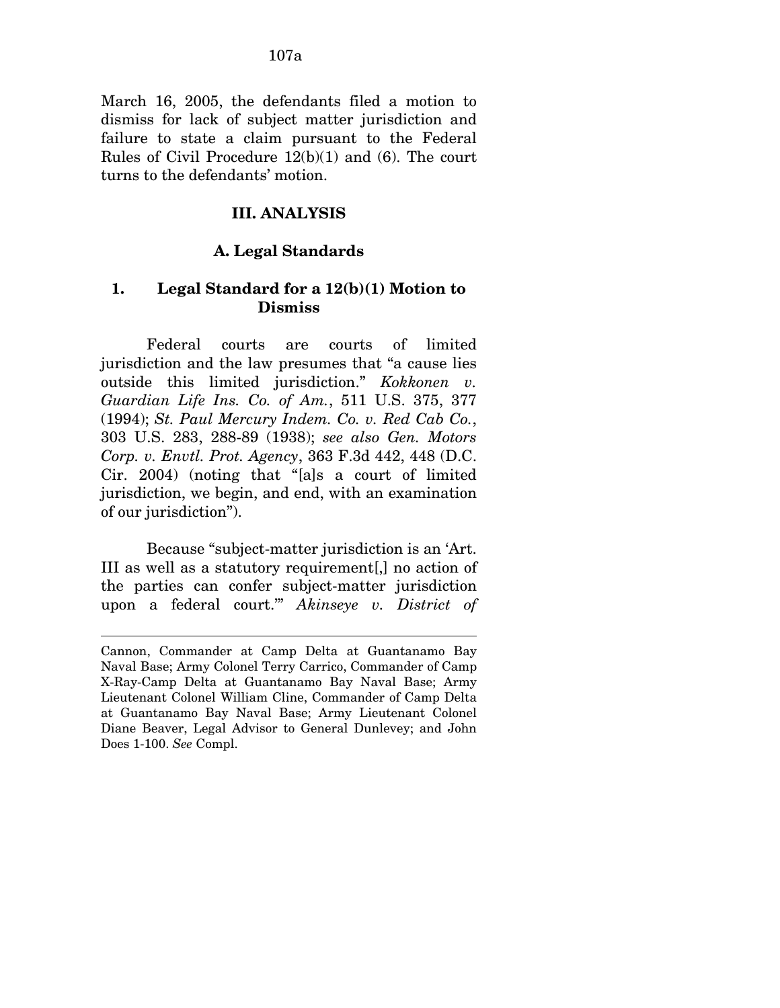March 16, 2005, the defendants filed a motion to dismiss for lack of subject matter jurisdiction and failure to state a claim pursuant to the Federal Rules of Civil Procedure 12(b)(1) and (6). The court turns to the defendants' motion.

## **III. ANALYSIS**

### **A. Legal Standards**

## **1. Legal Standard for a 12(b)(1) Motion to Dismiss**

Federal courts are courts of limited jurisdiction and the law presumes that "a cause lies outside this limited jurisdiction." *Kokkonen v. Guardian Life Ins. Co. of Am.*, 511 U.S. 375, 377 (1994); *St. Paul Mercury Indem. Co. v. Red Cab Co.*, 303 U.S. 283, 288-89 (1938); *see also Gen. Motors Corp. v. Envtl. Prot. Agency*, 363 F.3d 442, 448 (D.C. Cir. 2004) (noting that "[a]s a court of limited jurisdiction, we begin, and end, with an examination of our jurisdiction").

Because "subject-matter jurisdiction is an 'Art. III as well as a statutory requirement[,] no action of the parties can confer subject-matter jurisdiction upon a federal court.'" *Akinseye v. District of* 

Cannon, Commander at Camp Delta at Guantanamo Bay Naval Base; Army Colonel Terry Carrico, Commander of Camp X-Ray-Camp Delta at Guantanamo Bay Naval Base; Army Lieutenant Colonel William Cline, Commander of Camp Delta at Guantanamo Bay Naval Base; Army Lieutenant Colonel Diane Beaver, Legal Advisor to General Dunlevey; and John Does 1-100. *See* Compl.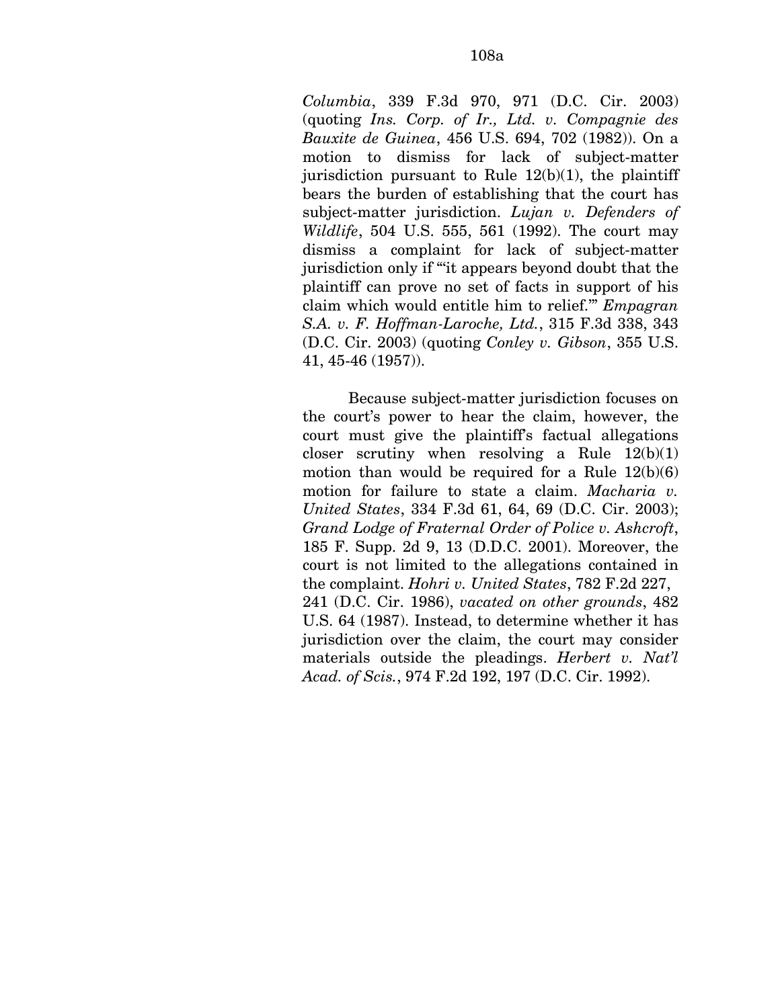*Columbia*, 339 F.3d 970, 971 (D.C. Cir. 2003) (quoting *Ins. Corp. of Ir., Ltd. v. Compagnie des Bauxite de Guinea*, 456 U.S. 694, 702 (1982)). On a motion to dismiss for lack of subject-matter jurisdiction pursuant to Rule  $12(b)(1)$ , the plaintiff bears the burden of establishing that the court has subject-matter jurisdiction. *Lujan v. Defenders of Wildlife*, 504 U.S. 555, 561 (1992). The court may dismiss a complaint for lack of subject-matter jurisdiction only if "'it appears beyond doubt that the plaintiff can prove no set of facts in support of his claim which would entitle him to relief.'" *Empagran S.A. v. F. Hoffman-Laroche, Ltd.*, 315 F.3d 338, 343 (D.C. Cir. 2003) (quoting *Conley v. Gibson*, 355 U.S. 41, 45-46 (1957)).

Because subject-matter jurisdiction focuses on the court's power to hear the claim, however, the court must give the plaintiff's factual allegations closer scrutiny when resolving a Rule  $12(b)(1)$ motion than would be required for a Rule  $12(b)(6)$ motion for failure to state a claim. *Macharia v. United States*, 334 F.3d 61, 64, 69 (D.C. Cir. 2003); *Grand Lodge of Fraternal Order of Police v. Ashcroft*, 185 F. Supp. 2d 9, 13 (D.D.C. 2001). Moreover, the court is not limited to the allegations contained in the complaint. *Hohri v. United States*, 782 F.2d 227, 241 (D.C. Cir. 1986), *vacated on other grounds*, 482 U.S. 64 (1987). Instead, to determine whether it has jurisdiction over the claim, the court may consider materials outside the pleadings. *Herbert v. Nat'l Acad. of Scis.*, 974 F.2d 192, 197 (D.C. Cir. 1992).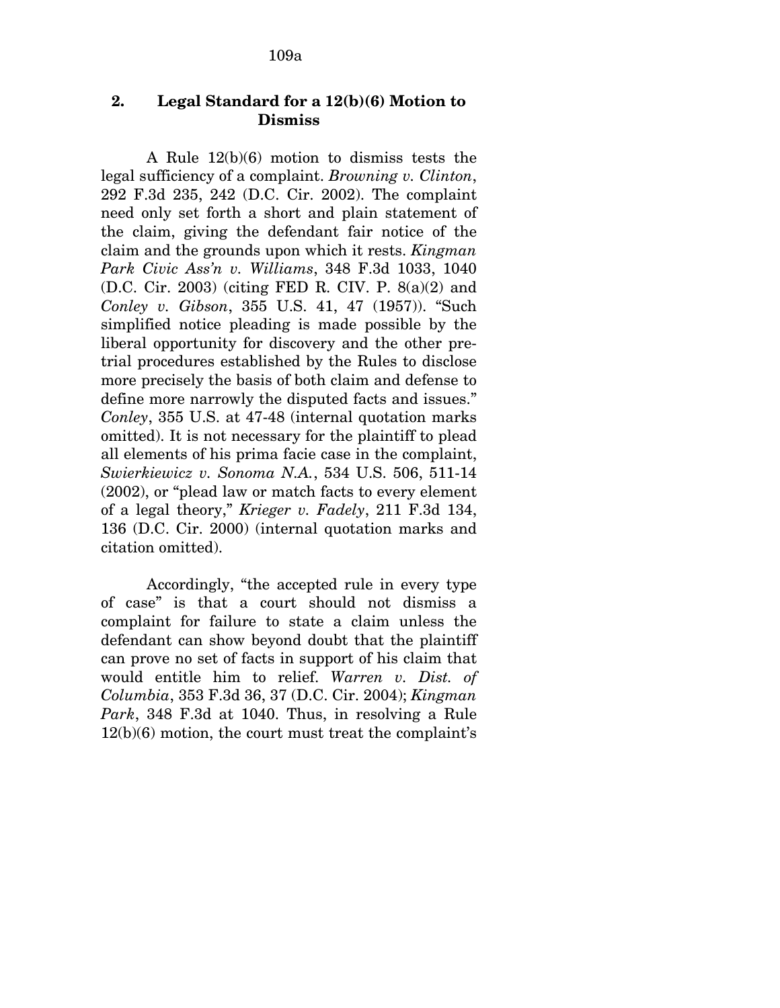# **2. Legal Standard for a 12(b)(6) Motion to Dismiss**

A Rule 12(b)(6) motion to dismiss tests the legal sufficiency of a complaint. *Browning v. Clinton*, 292 F.3d 235, 242 (D.C. Cir. 2002). The complaint need only set forth a short and plain statement of the claim, giving the defendant fair notice of the claim and the grounds upon which it rests. *Kingman Park Civic Ass'n v. Williams*, 348 F.3d 1033, 1040 (D.C. Cir. 2003) (citing FED R. CIV. P. 8(a)(2) and *Conley v. Gibson*, 355 U.S. 41, 47 (1957)). "Such simplified notice pleading is made possible by the liberal opportunity for discovery and the other pretrial procedures established by the Rules to disclose more precisely the basis of both claim and defense to define more narrowly the disputed facts and issues." *Conley*, 355 U.S. at 47-48 (internal quotation marks omitted). It is not necessary for the plaintiff to plead all elements of his prima facie case in the complaint, *Swierkiewicz v. Sonoma N.A.*, 534 U.S. 506, 511-14 (2002), or "plead law or match facts to every element of a legal theory," *Krieger v. Fadely*, 211 F.3d 134, 136 (D.C. Cir. 2000) (internal quotation marks and citation omitted).

Accordingly, "the accepted rule in every type of case" is that a court should not dismiss a complaint for failure to state a claim unless the defendant can show beyond doubt that the plaintiff can prove no set of facts in support of his claim that would entitle him to relief. *Warren v. Dist. of Columbia*, 353 F.3d 36, 37 (D.C. Cir. 2004); *Kingman Park*, 348 F.3d at 1040. Thus, in resolving a Rule 12(b)(6) motion, the court must treat the complaint's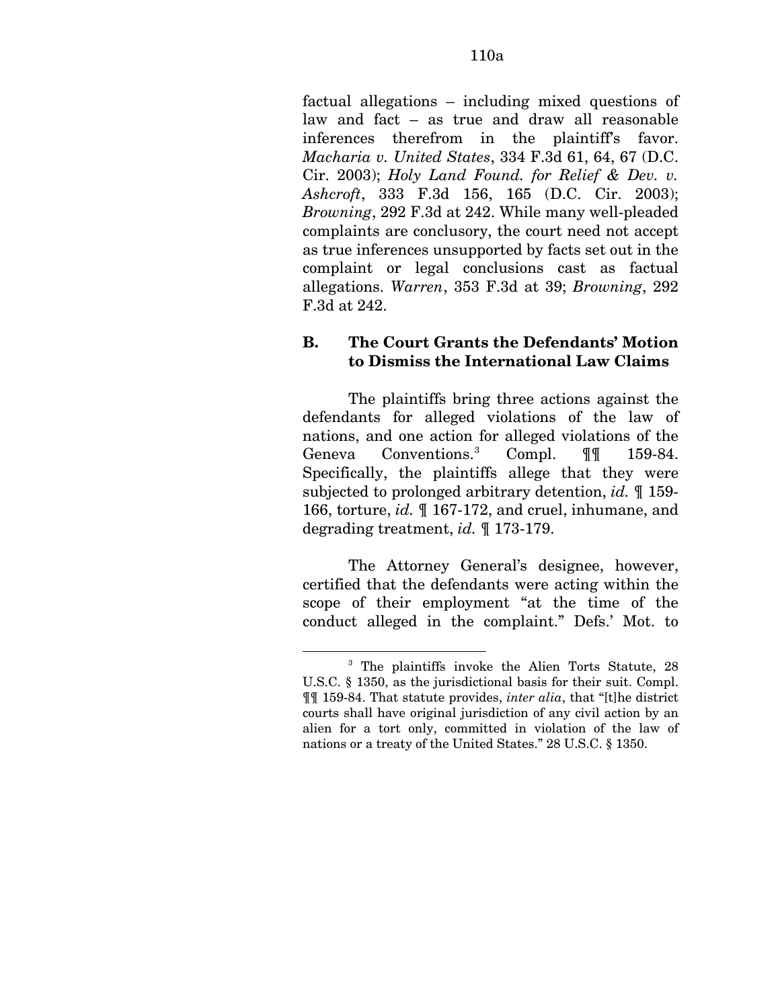factual allegations – including mixed questions of law and fact – as true and draw all reasonable inferences therefrom in the plaintiff's favor. *Macharia v. United States*, 334 F.3d 61, 64, 67 (D.C. Cir. 2003); *Holy Land Found. for Relief & Dev. v. Ashcroft*, 333 F.3d 156, 165 (D.C. Cir. 2003); *Browning*, 292 F.3d at 242. While many well-pleaded complaints are conclusory, the court need not accept as true inferences unsupported by facts set out in the complaint or legal conclusions cast as factual allegations. *Warren*, 353 F.3d at 39; *Browning*, 292 F.3d at 242.

# **B. The Court Grants the Defendants' Motion to Dismiss the International Law Claims**

The plaintiffs bring three actions against the defendants for alleged violations of the law of nations, and one action for alleged violations of the Geneva Conventions.<sup>[3](#page-162-0)</sup> Compl. ¶¶ 159-84. Specifically, the plaintiffs allege that they were subjected to prolonged arbitrary detention, *id.* ¶ 159- 166, torture, *id.* ¶ 167-172, and cruel, inhumane, and degrading treatment, *id.* ¶ 173-179.

The Attorney General's designee, however, certified that the defendants were acting within the scope of their employment "at the time of the conduct alleged in the complaint." Defs.' Mot. to

1

<span id="page-162-0"></span><sup>3</sup> The plaintiffs invoke the Alien Torts Statute, 28 U.S.C. § 1350, as the jurisdictional basis for their suit. Compl. ¶¶ 159-84. That statute provides, *inter alia*, that "[t]he district courts shall have original jurisdiction of any civil action by an alien for a tort only, committed in violation of the law of nations or a treaty of the United States." 28 U.S.C. § 1350.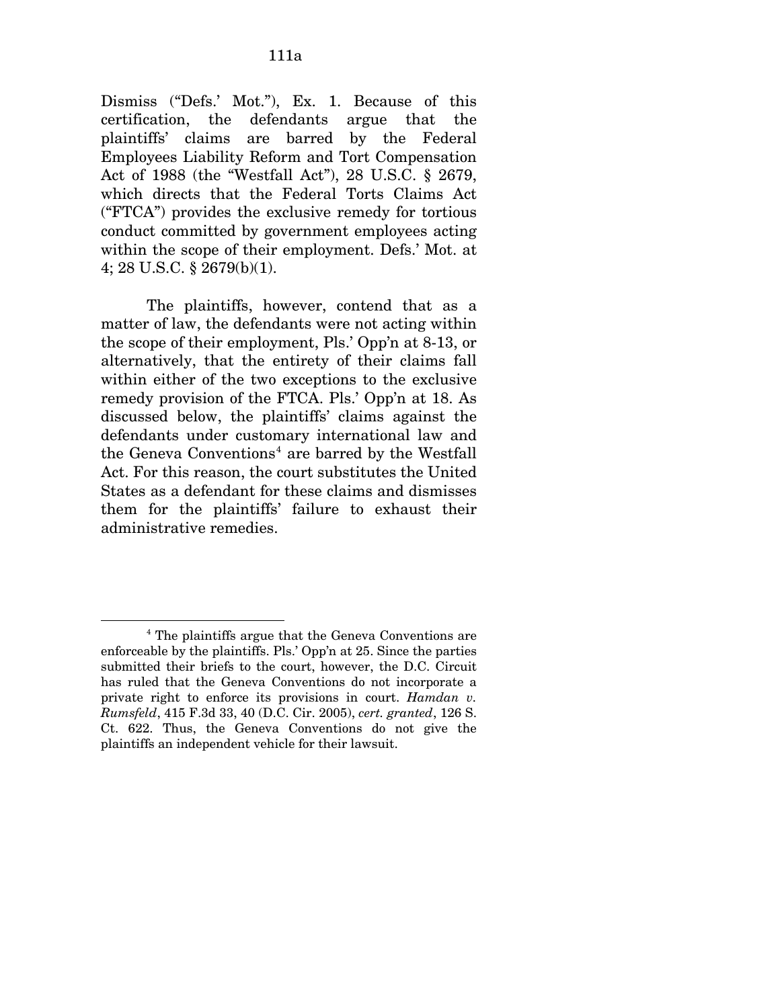Dismiss ("Defs.' Mot."), Ex. 1. Because of this certification, the defendants argue that the plaintiffs' claims are barred by the Federal Employees Liability Reform and Tort Compensation Act of 1988 (the "Westfall Act"), 28 U.S.C. § 2679, which directs that the Federal Torts Claims Act ("FTCA") provides the exclusive remedy for tortious conduct committed by government employees acting within the scope of their employment. Defs.' Mot. at 4; 28 U.S.C. § 2679(b)(1).

The plaintiffs, however, contend that as a matter of law, the defendants were not acting within the scope of their employment, Pls.' Opp'n at 8-13, or alternatively, that the entirety of their claims fall within either of the two exceptions to the exclusive remedy provision of the FTCA. Pls.' Opp'n at 18. As discussed below, the plaintiffs' claims against the defendants under customary international law and the Geneva Conventions<sup>[4](#page-163-0)</sup> are barred by the Westfall Act. For this reason, the court substitutes the United States as a defendant for these claims and dismisses them for the plaintiffs' failure to exhaust their administrative remedies.

<span id="page-163-0"></span><sup>4</sup> The plaintiffs argue that the Geneva Conventions are enforceable by the plaintiffs. Pls.' Opp'n at 25. Since the parties submitted their briefs to the court, however, the D.C. Circuit has ruled that the Geneva Conventions do not incorporate a private right to enforce its provisions in court. *Hamdan v. Rumsfeld*, 415 F.3d 33, 40 (D.C. Cir. 2005), *cert. granted*, 126 S. Ct. 622. Thus, the Geneva Conventions do not give the plaintiffs an independent vehicle for their lawsuit.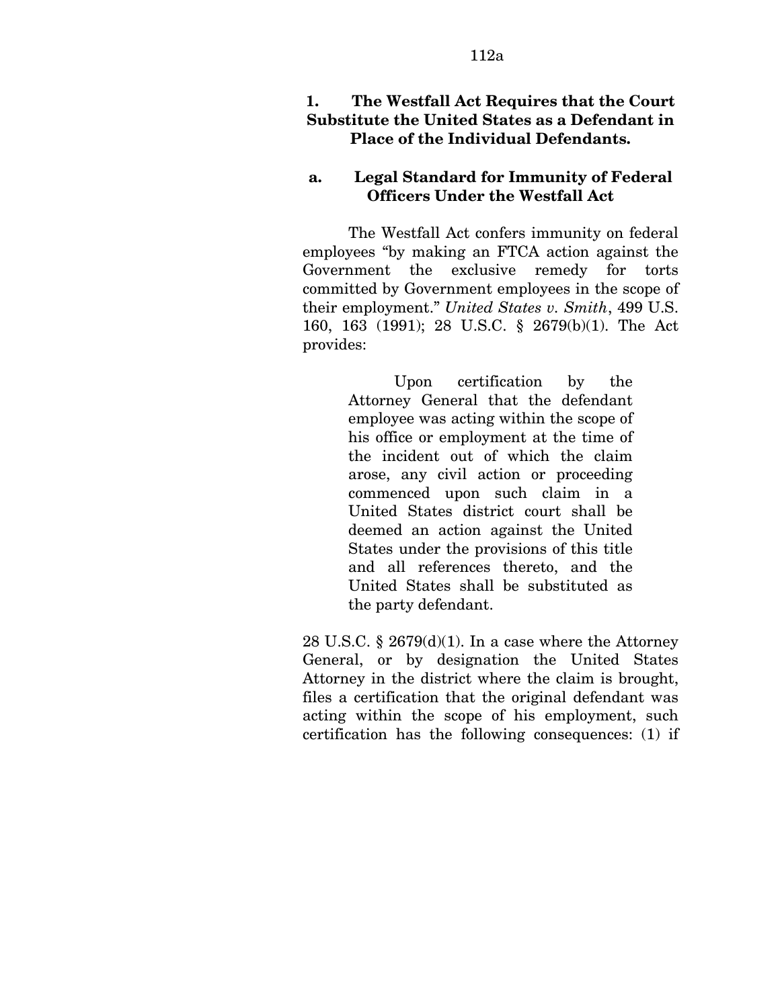# **1. The Westfall Act Requires that the Court Substitute the United States as a Defendant in Place of the Individual Defendants.**

# **a. Legal Standard for Immunity of Federal Officers Under the Westfall Act**

The Westfall Act confers immunity on federal employees "by making an FTCA action against the Government the exclusive remedy for torts committed by Government employees in the scope of their employment." *United States v. Smith*, 499 U.S. 160, 163 (1991); 28 U.S.C. § 2679(b)(1). The Act provides:

> Upon certification by the Attorney General that the defendant employee was acting within the scope of his office or employment at the time of the incident out of which the claim arose, any civil action or proceeding commenced upon such claim in a United States district court shall be deemed an action against the United States under the provisions of this title and all references thereto, and the United States shall be substituted as the party defendant.

28 U.S.C. § 2679 $(d)(1)$ . In a case where the Attorney General, or by designation the United States Attorney in the district where the claim is brought, files a certification that the original defendant was acting within the scope of his employment, such certification has the following consequences: (1) if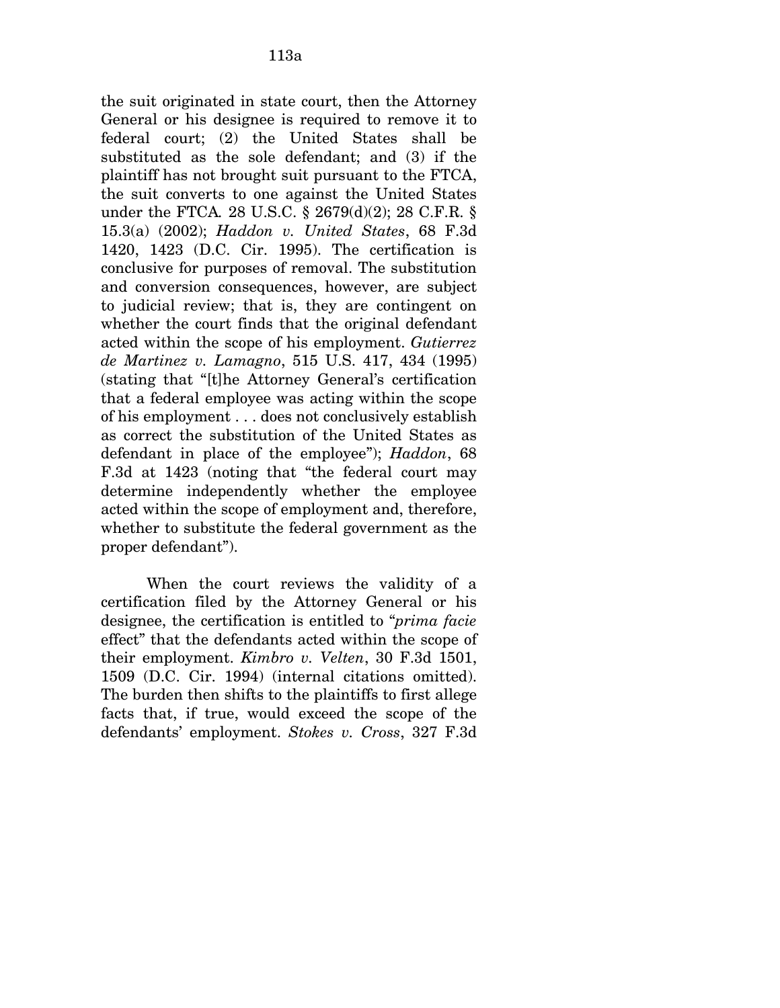the suit originated in state court, then the Attorney General or his designee is required to remove it to federal court; (2) the United States shall be substituted as the sole defendant; and (3) if the plaintiff has not brought suit pursuant to the FTCA, the suit converts to one against the United States under the FTCA*.* 28 U.S.C. § 2679(d)(2); 28 C.F.R. § 15.3(a) (2002); *Haddon v. United States*, 68 F.3d 1420, 1423 (D.C. Cir. 1995). The certification is conclusive for purposes of removal. The substitution and conversion consequences, however, are subject to judicial review; that is, they are contingent on whether the court finds that the original defendant acted within the scope of his employment. *Gutierrez de Martinez v. Lamagno*, 515 U.S. 417, 434 (1995) (stating that "[t]he Attorney General's certification that a federal employee was acting within the scope of his employment . . . does not conclusively establish as correct the substitution of the United States as defendant in place of the employee"); *Haddon*, 68 F.3d at 1423 (noting that "the federal court may determine independently whether the employee acted within the scope of employment and, therefore, whether to substitute the federal government as the proper defendant").

When the court reviews the validity of a certification filed by the Attorney General or his designee, the certification is entitled to "*prima facie*  effect" that the defendants acted within the scope of their employment. *Kimbro v. Velten*, 30 F.3d 1501, 1509 (D.C. Cir. 1994) (internal citations omitted). The burden then shifts to the plaintiffs to first allege facts that, if true, would exceed the scope of the defendants' employment. *Stokes v. Cross*, 327 F.3d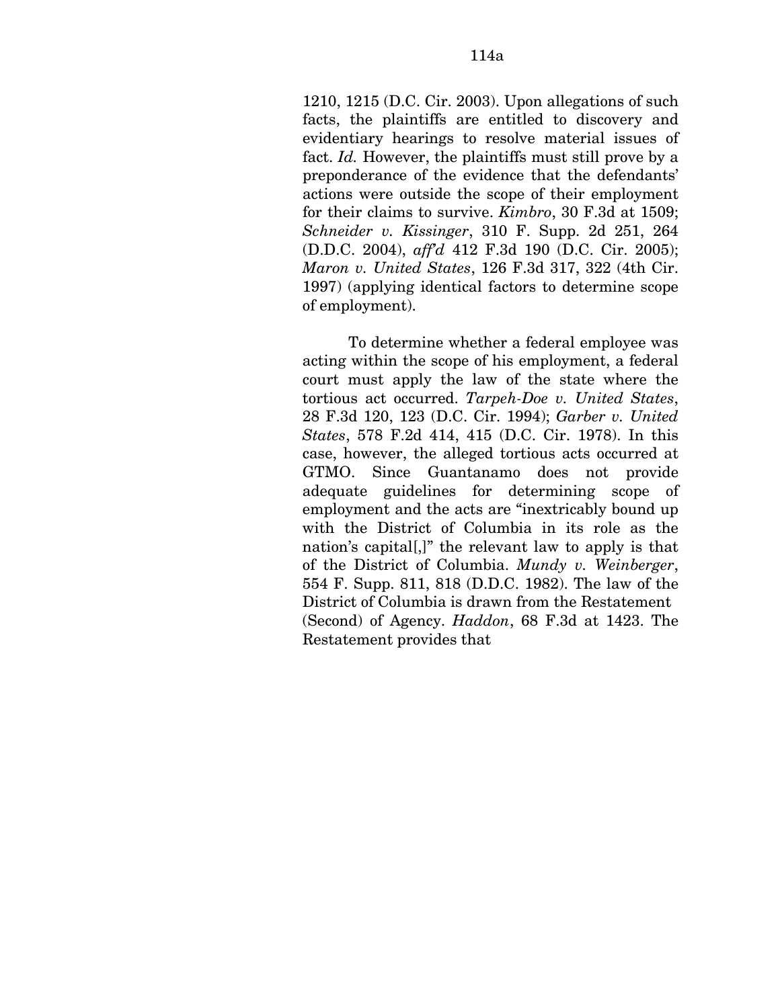1210, 1215 (D.C. Cir. 2003). Upon allegations of such facts, the plaintiffs are entitled to discovery and evidentiary hearings to resolve material issues of fact. *Id.* However, the plaintiffs must still prove by a preponderance of the evidence that the defendants' actions were outside the scope of their employment for their claims to survive. *Kimbro*, 30 F.3d at 1509; *Schneider v. Kissinger*, 310 F. Supp. 2d 251, 264 (D.D.C. 2004), *aff'd* 412 F.3d 190 (D.C. Cir. 2005); *Maron v. United States*, 126 F.3d 317, 322 (4th Cir. 1997) (applying identical factors to determine scope of employment).

To determine whether a federal employee was acting within the scope of his employment, a federal court must apply the law of the state where the tortious act occurred. *Tarpeh-Doe v. United States*, 28 F.3d 120, 123 (D.C. Cir. 1994); *Garber v. United States*, 578 F.2d 414, 415 (D.C. Cir. 1978). In this case, however, the alleged tortious acts occurred at GTMO. Since Guantanamo does not provide adequate guidelines for determining scope of employment and the acts are "inextricably bound up with the District of Columbia in its role as the nation's capital[,]" the relevant law to apply is that of the District of Columbia. *Mundy v. Weinberger*, 554 F. Supp. 811, 818 (D.D.C. 1982). The law of the District of Columbia is drawn from the Restatement (Second) of Agency. *Haddon*, 68 F.3d at 1423. The Restatement provides that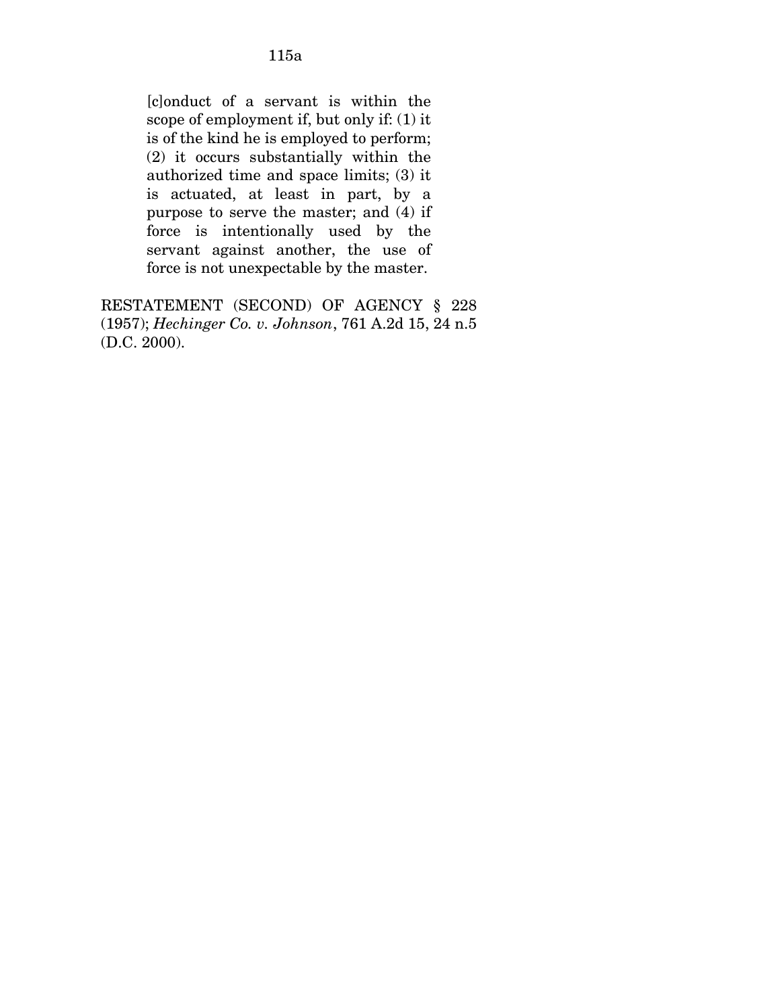[c]onduct of a servant is within the scope of employment if, but only if: (1) it is of the kind he is employed to perform; (2) it occurs substantially within the authorized time and space limits; (3) it is actuated, at least in part, by a purpose to serve the master; and (4) if force is intentionally used by the servant against another, the use of force is not unexpectable by the master.

RESTATEMENT (SECOND) OF AGENCY § 228 (1957); *Hechinger Co. v. Johnson*, 761 A.2d 15, 24 n.5 (D.C. 2000).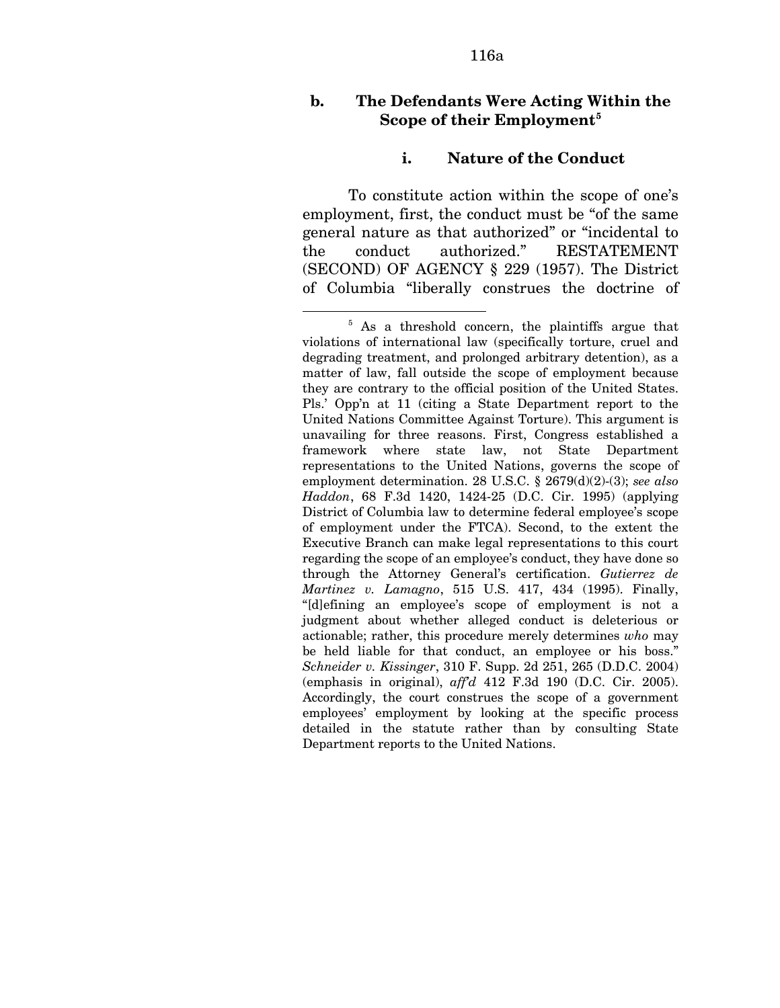# **b. The Defendants Were Acting Within the Scope of their Employment[5](#page-168-0)**

#### **i. Nature of the Conduct**

To constitute action within the scope of one's employment, first, the conduct must be "of the same general nature as that authorized" or "incidental to the conduct authorized." RESTATEMENT (SECOND) OF AGENCY § 229 (1957). The District of Columbia "liberally construes the doctrine of

<u>.</u>

<span id="page-168-0"></span><sup>&</sup>lt;sup>5</sup> As a threshold concern, the plaintiffs argue that violations of international law (specifically torture, cruel and degrading treatment, and prolonged arbitrary detention), as a matter of law, fall outside the scope of employment because they are contrary to the official position of the United States. Pls.' Opp'n at 11 (citing a State Department report to the United Nations Committee Against Torture). This argument is unavailing for three reasons. First, Congress established a framework where state law, not State Department representations to the United Nations, governs the scope of employment determination. 28 U.S.C. § 2679(d)(2)-(3); *see also Haddon*, 68 F.3d 1420, 1424-25 (D.C. Cir. 1995) (applying District of Columbia law to determine federal employee's scope of employment under the FTCA). Second, to the extent the Executive Branch can make legal representations to this court regarding the scope of an employee's conduct, they have done so through the Attorney General's certification. *Gutierrez de Martinez v. Lamagno*, 515 U.S. 417, 434 (1995). Finally, "[d]efining an employee's scope of employment is not a judgment about whether alleged conduct is deleterious or actionable; rather, this procedure merely determines *who* may be held liable for that conduct, an employee or his boss." *Schneider v. Kissinger*, 310 F. Supp. 2d 251, 265 (D.D.C. 2004) (emphasis in original), *aff'd* 412 F.3d 190 (D.C. Cir. 2005). Accordingly, the court construes the scope of a government employees' employment by looking at the specific process detailed in the statute rather than by consulting State Department reports to the United Nations.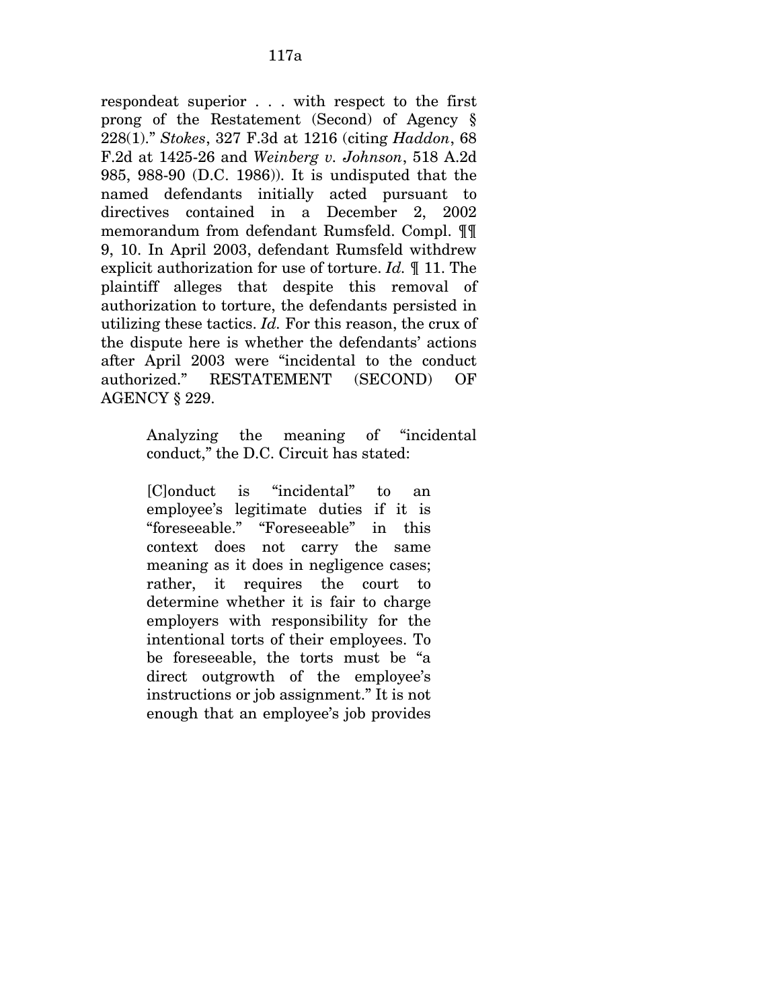respondeat superior . . . with respect to the first prong of the Restatement (Second) of Agency § 228(1)." *Stokes*, 327 F.3d at 1216 (citing *Haddon*, 68 F.2d at 1425-26 and *Weinberg v. Johnson*, 518 A.2d 985, 988-90 (D.C. 1986)). It is undisputed that the named defendants initially acted pursuant to directives contained in a December 2, 2002 memorandum from defendant Rumsfeld. Compl. ¶¶ 9, 10. In April 2003, defendant Rumsfeld withdrew explicit authorization for use of torture. *Id.* ¶ 11. The plaintiff alleges that despite this removal of authorization to torture, the defendants persisted in utilizing these tactics. *Id.* For this reason, the crux of the dispute here is whether the defendants' actions after April 2003 were "incidental to the conduct authorized." RESTATEMENT (SECOND) OF AGENCY § 229.

> Analyzing the meaning of "incidental conduct," the D.C. Circuit has stated:

[C]onduct is "incidental" to an employee's legitimate duties if it is "foreseeable." "Foreseeable" in this context does not carry the same meaning as it does in negligence cases; rather, it requires the court to determine whether it is fair to charge employers with responsibility for the intentional torts of their employees. To be foreseeable, the torts must be "a direct outgrowth of the employee's instructions or job assignment." It is not enough that an employee's job provides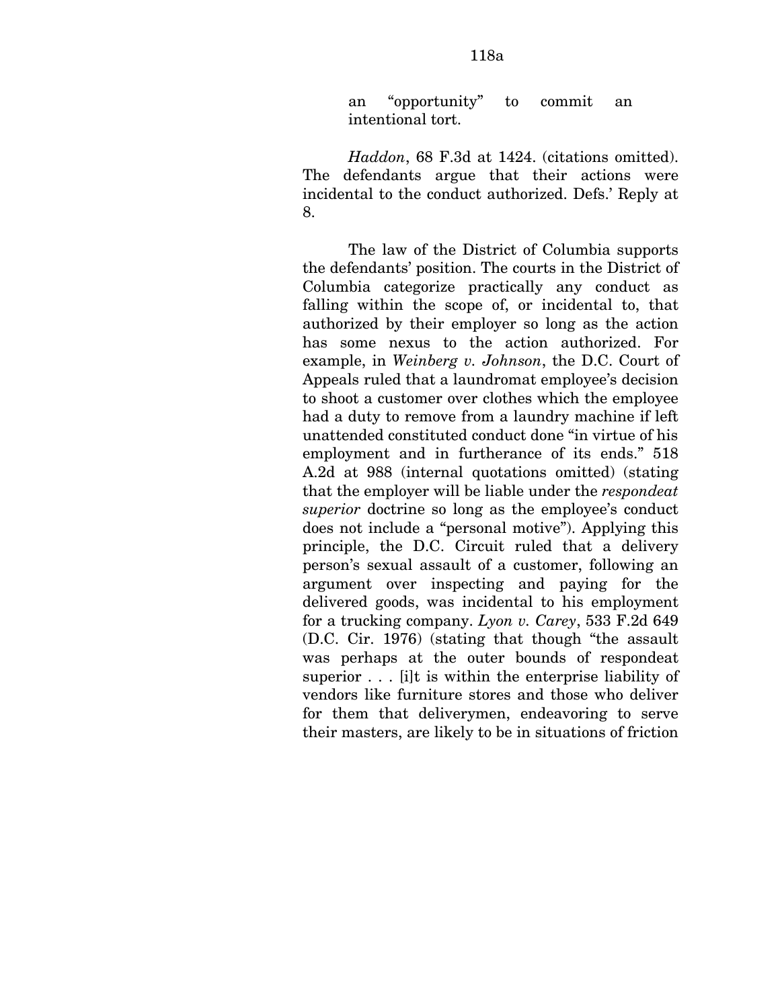an "opportunity" to commit an intentional tort.

*Haddon*, 68 F.3d at 1424. (citations omitted). The defendants argue that their actions were incidental to the conduct authorized. Defs.' Reply at 8.

The law of the District of Columbia supports the defendants' position. The courts in the District of Columbia categorize practically any conduct as falling within the scope of, or incidental to, that authorized by their employer so long as the action has some nexus to the action authorized. For example, in *Weinberg v. Johnson*, the D.C. Court of Appeals ruled that a laundromat employee's decision to shoot a customer over clothes which the employee had a duty to remove from a laundry machine if left unattended constituted conduct done "in virtue of his employment and in furtherance of its ends." 518 A.2d at 988 (internal quotations omitted) (stating that the employer will be liable under the *respondeat superior* doctrine so long as the employee's conduct does not include a "personal motive"). Applying this principle, the D.C. Circuit ruled that a delivery person's sexual assault of a customer, following an argument over inspecting and paying for the delivered goods, was incidental to his employment for a trucking company. *Lyon v. Carey*, 533 F.2d 649 (D.C. Cir. 1976) (stating that though "the assault was perhaps at the outer bounds of respondeat superior . . . [i]t is within the enterprise liability of vendors like furniture stores and those who deliver for them that deliverymen, endeavoring to serve their masters, are likely to be in situations of friction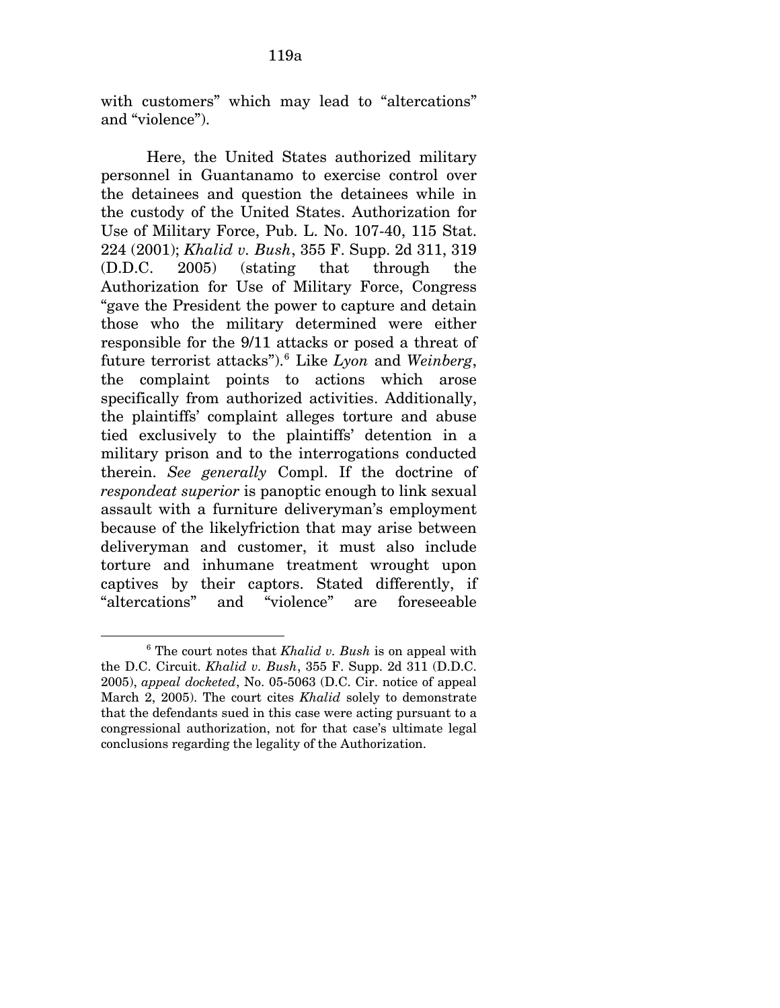with customers" which may lead to "altercations" and "violence").

Here, the United States authorized military personnel in Guantanamo to exercise control over the detainees and question the detainees while in the custody of the United States. Authorization for Use of Military Force, Pub. L. No. 107-40, 115 Stat. 224 (2001); *Khalid v. Bush*, 355 F. Supp. 2d 311, 319 (D.D.C. 2005) (stating that through the Authorization for Use of Military Force, Congress "gave the President the power to capture and detain those who the military determined were either responsible for the 9/11 attacks or posed a threat of future terrorist attacks").[6](#page-171-0) Like *Lyon* and *Weinberg*, the complaint points to actions which arose specifically from authorized activities. Additionally, the plaintiffs' complaint alleges torture and abuse tied exclusively to the plaintiffs' detention in a military prison and to the interrogations conducted therein. *See generally* Compl. If the doctrine of *respondeat superior* is panoptic enough to link sexual assault with a furniture deliveryman's employment because of the likelyfriction that may arise between deliveryman and customer, it must also include torture and inhumane treatment wrought upon captives by their captors. Stated differently, if "altercations" and "violence" are foreseeable

<span id="page-171-0"></span><sup>6</sup> The court notes that *Khalid v. Bush* is on appeal with the D.C. Circuit. *Khalid v. Bush*, 355 F. Supp. 2d 311 (D.D.C. 2005), *appeal docketed*, No. 05-5063 (D.C. Cir. notice of appeal March 2, 2005). The court cites *Khalid* solely to demonstrate that the defendants sued in this case were acting pursuant to a congressional authorization, not for that case's ultimate legal conclusions regarding the legality of the Authorization.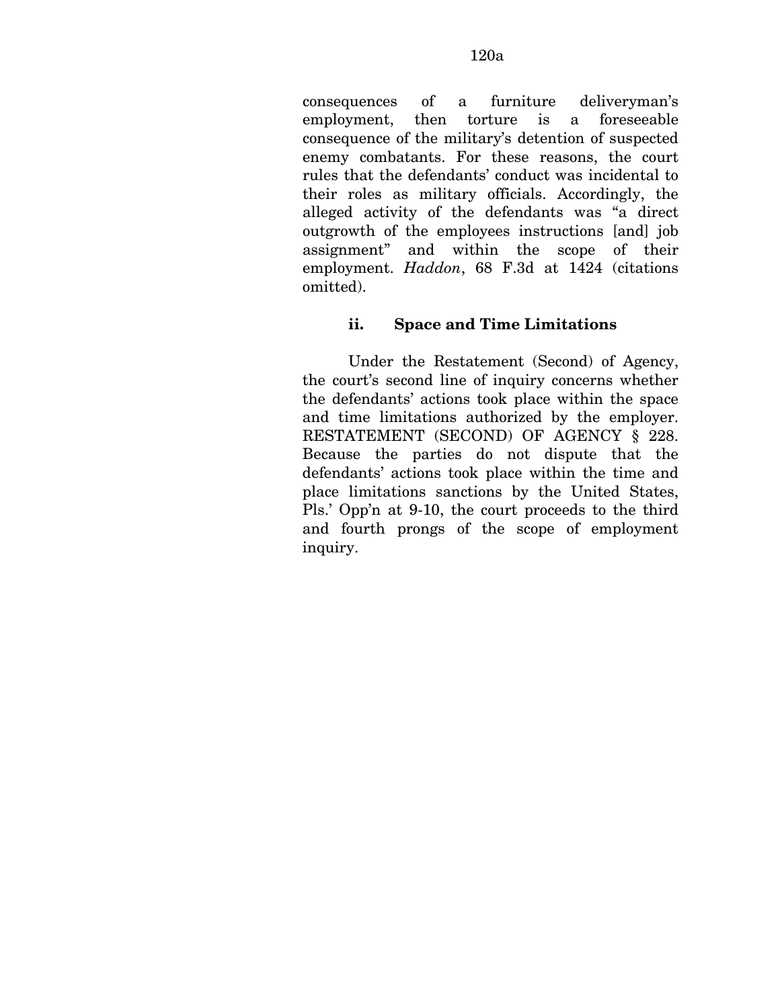consequences of a furniture deliveryman's employment, then torture is a foreseeable consequence of the military's detention of suspected enemy combatants. For these reasons, the court rules that the defendants' conduct was incidental to their roles as military officials. Accordingly, the alleged activity of the defendants was "a direct outgrowth of the employees instructions [and] job assignment" and within the scope of their employment. *Haddon*, 68 F.3d at 1424 (citations omitted).

# **ii. Space and Time Limitations**

Under the Restatement (Second) of Agency, the court's second line of inquiry concerns whether the defendants' actions took place within the space and time limitations authorized by the employer. RESTATEMENT (SECOND) OF AGENCY § 228. Because the parties do not dispute that the defendants' actions took place within the time and place limitations sanctions by the United States, Pls.' Opp'n at 9-10, the court proceeds to the third and fourth prongs of the scope of employment inquiry.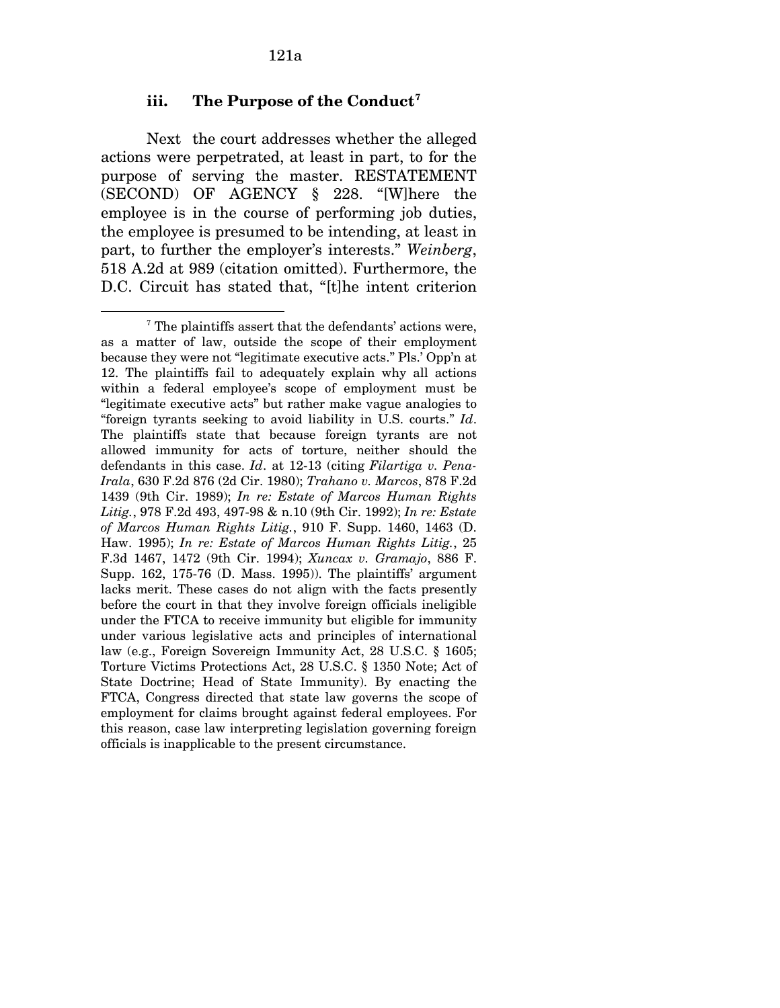## **iii. The Purpose of the Conduct[7](#page-173-0)**

Next the court addresses whether the alleged actions were perpetrated, at least in part, to for the purpose of serving the master. RESTATEMENT (SECOND) OF AGENCY § 228. "[W]here the employee is in the course of performing job duties, the employee is presumed to be intending, at least in part, to further the employer's interests." *Weinberg*, 518 A.2d at 989 (citation omitted). Furthermore, the D.C. Circuit has stated that, "[t]he intent criterion

<span id="page-173-0"></span><sup>7</sup> The plaintiffs assert that the defendants' actions were, as a matter of law, outside the scope of their employment because they were not "legitimate executive acts." Pls.' Opp'n at 12. The plaintiffs fail to adequately explain why all actions within a federal employee's scope of employment must be "legitimate executive acts" but rather make vague analogies to "foreign tyrants seeking to avoid liability in U.S. courts." *Id*. The plaintiffs state that because foreign tyrants are not allowed immunity for acts of torture, neither should the defendants in this case. *Id*. at 12-13 (citing *Filartiga v. Pena-Irala*, 630 F.2d 876 (2d Cir. 1980); *Trahano v. Marcos*, 878 F.2d 1439 (9th Cir. 1989); *In re: Estate of Marcos Human Rights Litig.*, 978 F.2d 493, 497-98 & n.10 (9th Cir. 1992); *In re: Estate of Marcos Human Rights Litig.*, 910 F. Supp. 1460, 1463 (D. Haw. 1995); *In re: Estate of Marcos Human Rights Litig.*, 25 F.3d 1467, 1472 (9th Cir. 1994); *Xuncax v. Gramajo*, 886 F. Supp. 162, 175-76 (D. Mass. 1995)). The plaintiffs' argument lacks merit. These cases do not align with the facts presently before the court in that they involve foreign officials ineligible under the FTCA to receive immunity but eligible for immunity under various legislative acts and principles of international law (e.g., Foreign Sovereign Immunity Act, 28 U.S.C. § 1605; Torture Victims Protections Act, 28 U.S.C. § 1350 Note; Act of State Doctrine; Head of State Immunity). By enacting the FTCA, Congress directed that state law governs the scope of employment for claims brought against federal employees. For this reason, case law interpreting legislation governing foreign officials is inapplicable to the present circumstance.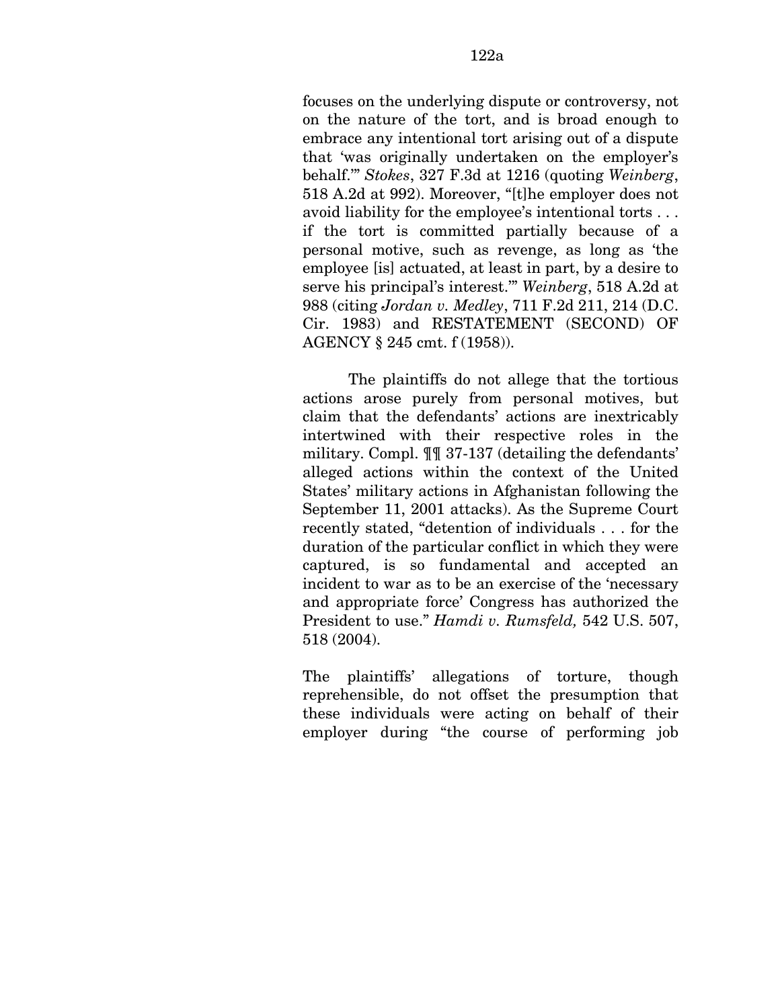focuses on the underlying dispute or controversy, not on the nature of the tort, and is broad enough to embrace any intentional tort arising out of a dispute that 'was originally undertaken on the employer's behalf.'" *Stokes*, 327 F.3d at 1216 (quoting *Weinberg*, 518 A.2d at 992). Moreover, "[t]he employer does not avoid liability for the employee's intentional torts . . . if the tort is committed partially because of a personal motive, such as revenge, as long as 'the employee [is] actuated, at least in part, by a desire to serve his principal's interest.'" *Weinberg*, 518 A.2d at 988 (citing *Jordan v. Medley*, 711 F.2d 211, 214 (D.C. Cir. 1983) and RESTATEMENT (SECOND) OF AGENCY § 245 cmt. f (1958)).

The plaintiffs do not allege that the tortious actions arose purely from personal motives, but claim that the defendants' actions are inextricably intertwined with their respective roles in the military. Compl. ¶¶ 37-137 (detailing the defendants' alleged actions within the context of the United States' military actions in Afghanistan following the September 11, 2001 attacks). As the Supreme Court recently stated, "detention of individuals . . . for the duration of the particular conflict in which they were captured, is so fundamental and accepted an incident to war as to be an exercise of the 'necessary and appropriate force' Congress has authorized the President to use." *Hamdi v. Rumsfeld,* 542 U.S. 507, 518 (2004).

The plaintiffs' allegations of torture, though reprehensible, do not offset the presumption that these individuals were acting on behalf of their employer during "the course of performing job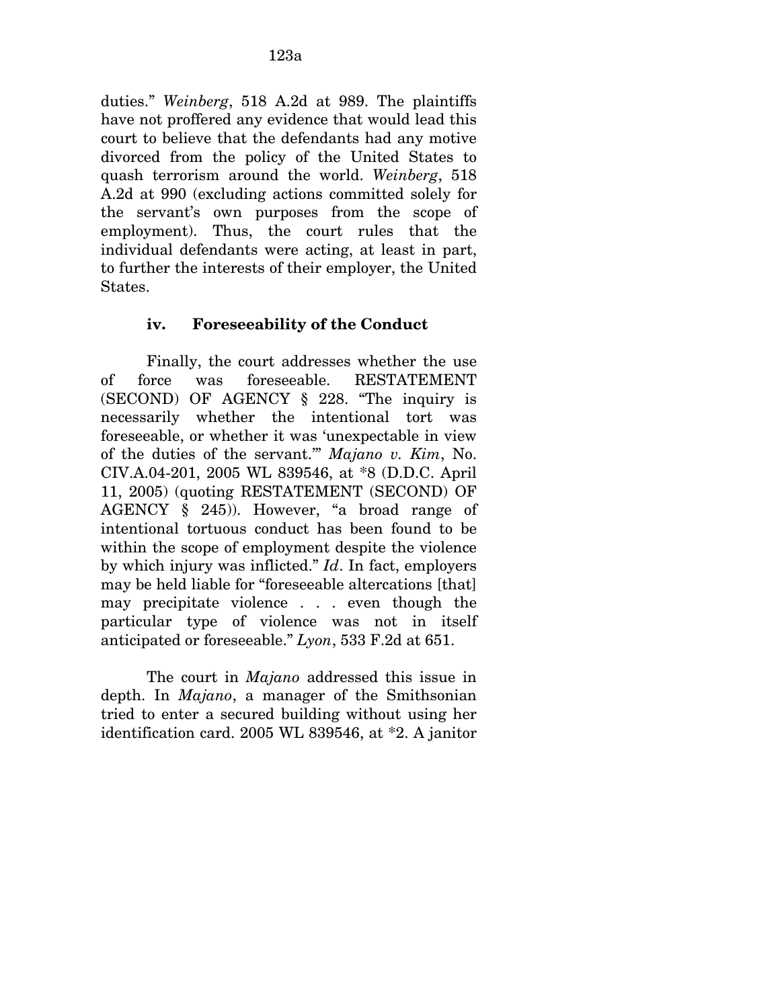duties." *Weinberg*, 518 A.2d at 989. The plaintiffs have not proffered any evidence that would lead this court to believe that the defendants had any motive divorced from the policy of the United States to quash terrorism around the world. *Weinberg*, 518 A.2d at 990 (excluding actions committed solely for the servant's own purposes from the scope of employment). Thus, the court rules that the individual defendants were acting, at least in part, to further the interests of their employer, the United States.

# **iv. Foreseeability of the Conduct**

Finally, the court addresses whether the use of force was foreseeable. RESTATEMENT (SECOND) OF AGENCY § 228. "The inquiry is necessarily whether the intentional tort was foreseeable, or whether it was 'unexpectable in view of the duties of the servant.'" *Majano v. Kim*, No. CIV.A.04-201, 2005 WL 839546, at \*8 (D.D.C. April 11, 2005) (quoting RESTATEMENT (SECOND) OF AGENCY § 245)). However, "a broad range of intentional tortuous conduct has been found to be within the scope of employment despite the violence by which injury was inflicted." *Id*. In fact, employers may be held liable for "foreseeable altercations [that] may precipitate violence . . . even though the particular type of violence was not in itself anticipated or foreseeable." *Lyon*, 533 F.2d at 651.

The court in *Majano* addressed this issue in depth. In *Majano*, a manager of the Smithsonian tried to enter a secured building without using her identification card. 2005 WL 839546, at \*2. A janitor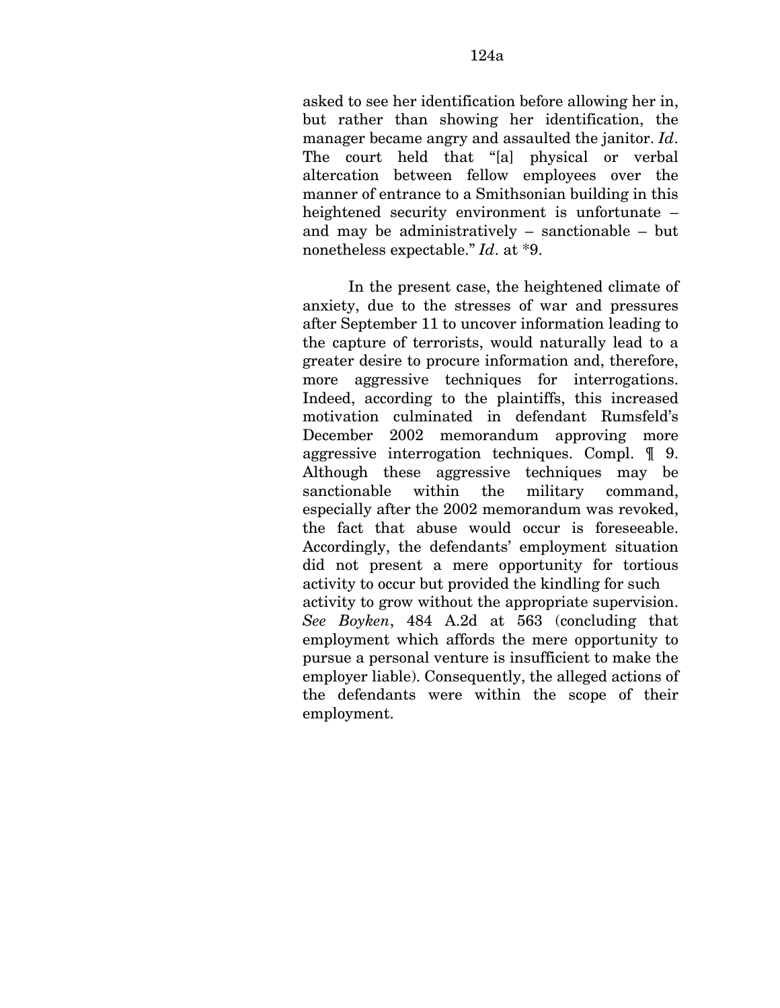asked to see her identification before allowing her in, but rather than showing her identification, the manager became angry and assaulted the janitor. *Id*. The court held that "[a] physical or verbal altercation between fellow employees over the manner of entrance to a Smithsonian building in this heightened security environment is unfortunate – and may be administratively – sanctionable – but nonetheless expectable." *Id*. at \*9.

In the present case, the heightened climate of anxiety, due to the stresses of war and pressures after September 11 to uncover information leading to the capture of terrorists, would naturally lead to a greater desire to procure information and, therefore, more aggressive techniques for interrogations. Indeed, according to the plaintiffs, this increased motivation culminated in defendant Rumsfeld's December 2002 memorandum approving more aggressive interrogation techniques. Compl. ¶ 9. Although these aggressive techniques may be sanctionable within the military command, especially after the 2002 memorandum was revoked, the fact that abuse would occur is foreseeable. Accordingly, the defendants' employment situation did not present a mere opportunity for tortious activity to occur but provided the kindling for such activity to grow without the appropriate supervision. *See Boyken*, 484 A.2d at 563 (concluding that employment which affords the mere opportunity to pursue a personal venture is insufficient to make the employer liable). Consequently, the alleged actions of the defendants were within the scope of their employment.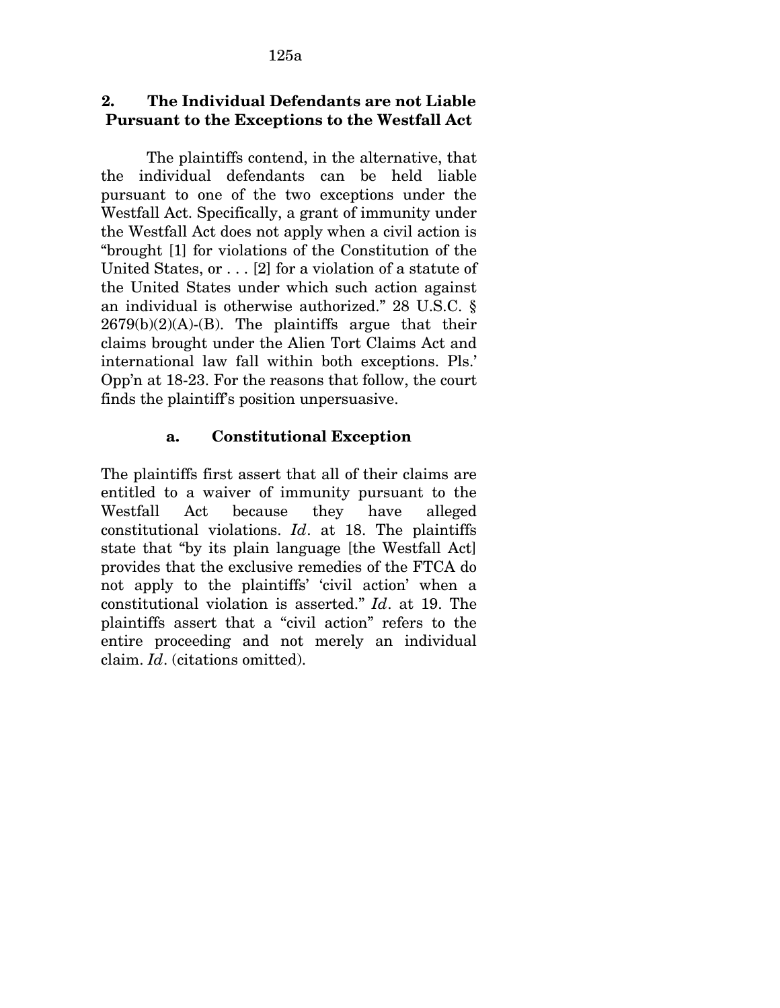# **2. The Individual Defendants are not Liable Pursuant to the Exceptions to the Westfall Act**

The plaintiffs contend, in the alternative, that the individual defendants can be held liable pursuant to one of the two exceptions under the Westfall Act. Specifically, a grant of immunity under the Westfall Act does not apply when a civil action is "brought [1] for violations of the Constitution of the United States, or . . . [2] for a violation of a statute of the United States under which such action against an individual is otherwise authorized." 28 U.S.C. §  $2679(b)(2)(A)-(B)$ . The plaintiffs argue that their claims brought under the Alien Tort Claims Act and international law fall within both exceptions. Pls.' Opp'n at 18-23. For the reasons that follow, the court finds the plaintiff's position unpersuasive.

# **a. Constitutional Exception**

The plaintiffs first assert that all of their claims are entitled to a waiver of immunity pursuant to the Westfall Act because they have alleged constitutional violations. *Id*. at 18. The plaintiffs state that "by its plain language [the Westfall Act] provides that the exclusive remedies of the FTCA do not apply to the plaintiffs' 'civil action' when a constitutional violation is asserted." *Id*. at 19. The plaintiffs assert that a "civil action" refers to the entire proceeding and not merely an individual claim. *Id*. (citations omitted).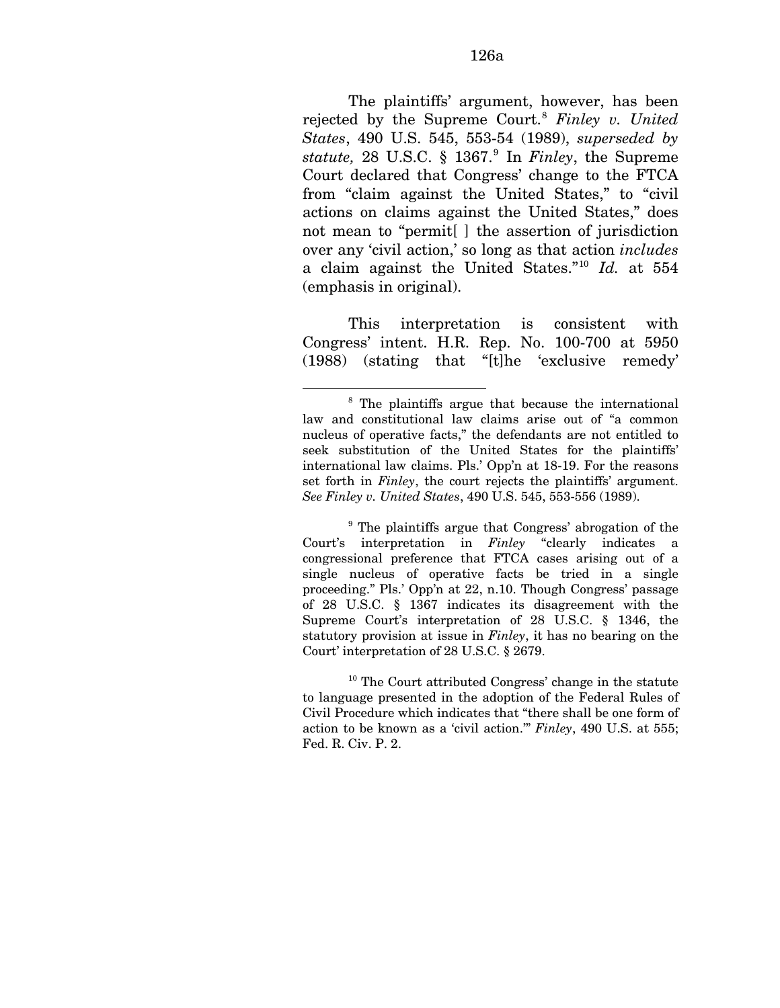The plaintiffs' argument, however, has been rejected by the Supreme Court.[8](#page-178-0) *Finley v. United States*, 490 U.S. 545, 553-54 (1989), *superseded by statute,* 28 U.S.C. § 1367.[9](#page-178-1) In *Finley*, the Supreme Court declared that Congress' change to the FTCA from "claim against the United States," to "civil actions on claims against the United States," does not mean to "permit[ ] the assertion of jurisdiction over any 'civil action,' so long as that action *includes*  a claim against the United States."[10](#page-178-2) *Id.* at 554 (emphasis in original).

This interpretation is consistent with Congress' intent. H.R. Rep. No. 100-700 at 5950 (1988) (stating that "[t]he 'exclusive remedy'

<u>.</u>

<span id="page-178-1"></span><sup>9</sup> The plaintiffs argue that Congress' abrogation of the Court's interpretation in *Finley* "clearly indicates a congressional preference that FTCA cases arising out of a single nucleus of operative facts be tried in a single proceeding." Pls.' Opp'n at 22, n.10. Though Congress' passage of 28 U.S.C. § 1367 indicates its disagreement with the Supreme Court's interpretation of 28 U.S.C. § 1346, the statutory provision at issue in *Finley*, it has no bearing on the Court' interpretation of 28 U.S.C. § 2679.

<span id="page-178-2"></span><sup>10</sup> The Court attributed Congress' change in the statute to language presented in the adoption of the Federal Rules of Civil Procedure which indicates that "there shall be one form of action to be known as a 'civil action.'" *Finley*, 490 U.S. at 555; Fed. R. Civ. P. 2.

<span id="page-178-0"></span><sup>&</sup>lt;sup>8</sup> The plaintiffs argue that because the international law and constitutional law claims arise out of "a common nucleus of operative facts," the defendants are not entitled to seek substitution of the United States for the plaintiffs' international law claims. Pls.' Opp'n at 18-19. For the reasons set forth in *Finley*, the court rejects the plaintiffs' argument. *See Finley v. United States*, 490 U.S. 545, 553-556 (1989).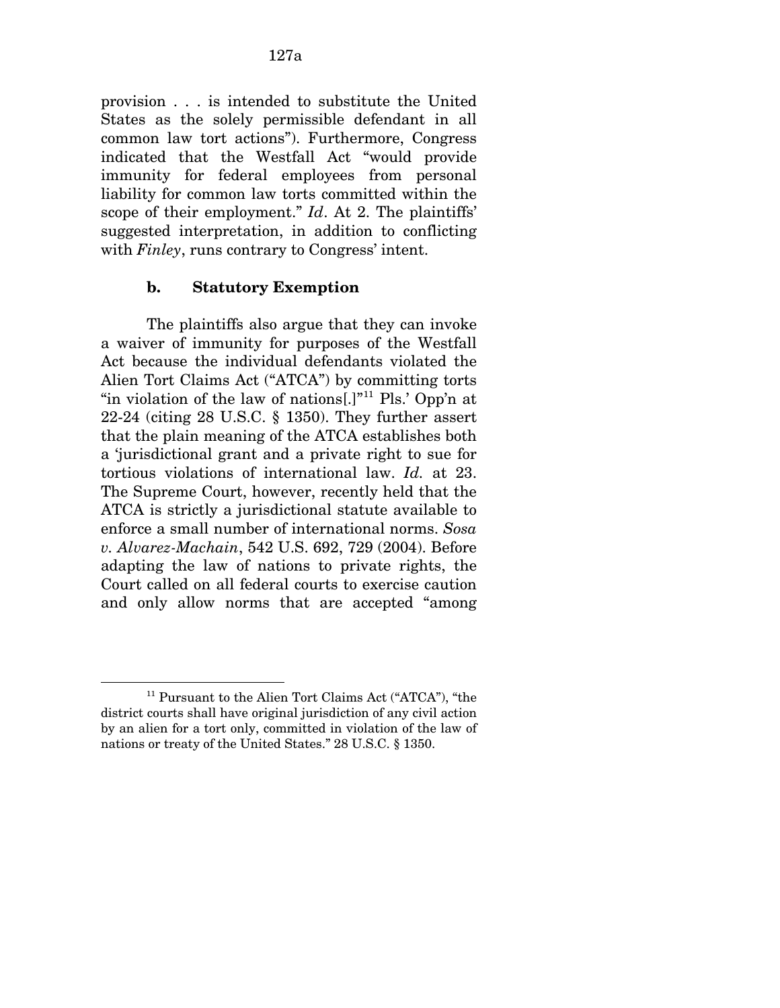provision . . . is intended to substitute the United States as the solely permissible defendant in all common law tort actions"). Furthermore, Congress indicated that the Westfall Act "would provide immunity for federal employees from personal liability for common law torts committed within the scope of their employment." *Id*. At 2. The plaintiffs' suggested interpretation, in addition to conflicting with *Finley*, runs contrary to Congress' intent.

### **b. Statutory Exemption**

The plaintiffs also argue that they can invoke a waiver of immunity for purposes of the Westfall Act because the individual defendants violated the Alien Tort Claims Act ("ATCA") by committing torts "in violation of the law of nations.<sup>[1,[11](#page-179-0)]</sup> Pls.' Opp'n at 22-24 (citing 28 U.S.C. § 1350). They further assert that the plain meaning of the ATCA establishes both a 'jurisdictional grant and a private right to sue for tortious violations of international law. *Id.* at 23. The Supreme Court, however, recently held that the ATCA is strictly a jurisdictional statute available to enforce a small number of international norms. *Sosa v. Alvarez-Machain*, 542 U.S. 692, 729 (2004). Before adapting the law of nations to private rights, the Court called on all federal courts to exercise caution and only allow norms that are accepted "among

<span id="page-179-0"></span><sup>11</sup> Pursuant to the Alien Tort Claims Act ("ATCA"), "the district courts shall have original jurisdiction of any civil action by an alien for a tort only, committed in violation of the law of nations or treaty of the United States." 28 U.S.C. § 1350.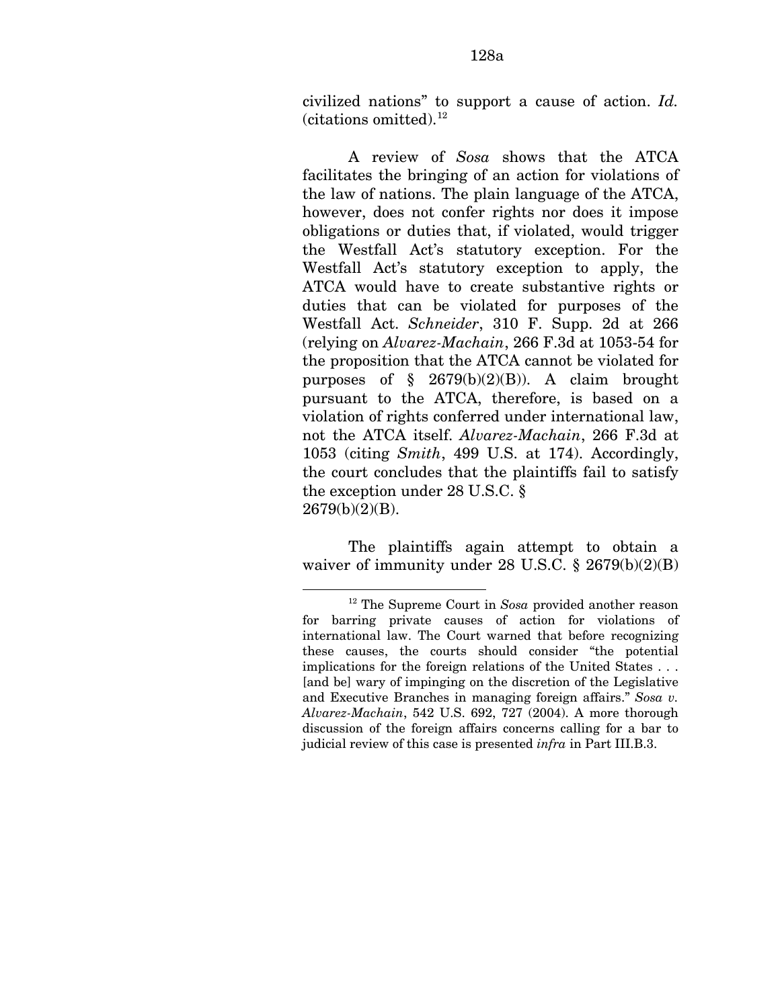civilized nations" to support a cause of action. *Id.*   $(citations omitted).<sup>12</sup>$  $(citations omitted).<sup>12</sup>$  $(citations omitted).<sup>12</sup>$ 

A review of *Sosa* shows that the ATCA facilitates the bringing of an action for violations of the law of nations. The plain language of the ATCA, however, does not confer rights nor does it impose obligations or duties that, if violated, would trigger the Westfall Act's statutory exception. For the Westfall Act's statutory exception to apply, the ATCA would have to create substantive rights or duties that can be violated for purposes of the Westfall Act. *Schneider*, 310 F. Supp. 2d at 266 (relying on *Alvarez-Machain*, 266 F.3d at 1053-54 for the proposition that the ATCA cannot be violated for purposes of § 2679(b)(2)(B)). A claim brought pursuant to the ATCA, therefore, is based on a violation of rights conferred under international law, not the ATCA itself. *Alvarez-Machain*, 266 F.3d at 1053 (citing *Smith*, 499 U.S. at 174). Accordingly, the court concludes that the plaintiffs fail to satisfy the exception under 28 U.S.C. §  $2679(b)(2)(B)$ .

The plaintiffs again attempt to obtain a waiver of immunity under 28 U.S.C. § 2679(b)(2)(B)

1

<span id="page-180-0"></span><sup>12</sup> The Supreme Court in *Sosa* provided another reason for barring private causes of action for violations of international law. The Court warned that before recognizing these causes, the courts should consider "the potential implications for the foreign relations of the United States . . . [and be] wary of impinging on the discretion of the Legislative and Executive Branches in managing foreign affairs." *Sosa v. Alvarez-Machain*, 542 U.S. 692, 727 (2004). A more thorough discussion of the foreign affairs concerns calling for a bar to judicial review of this case is presented *infra* in Part III.B.3.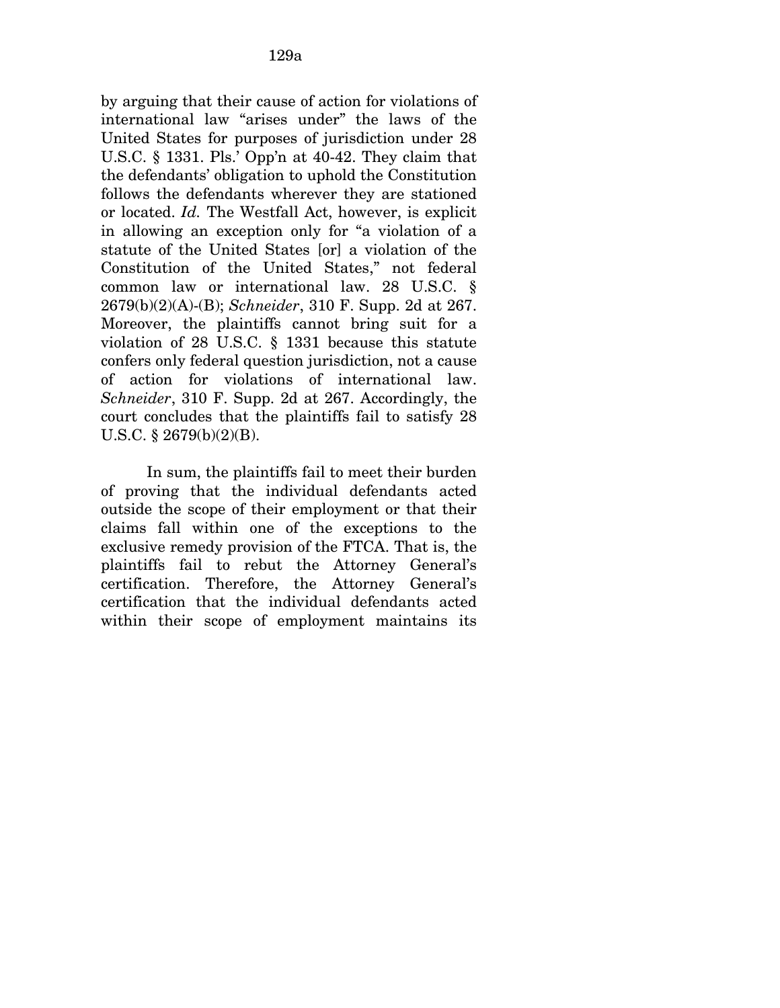by arguing that their cause of action for violations of international law "arises under" the laws of the United States for purposes of jurisdiction under 28 U.S.C. § 1331. Pls.' Opp'n at 40-42. They claim that the defendants' obligation to uphold the Constitution follows the defendants wherever they are stationed or located. *Id.* The Westfall Act, however, is explicit in allowing an exception only for "a violation of a statute of the United States [or] a violation of the Constitution of the United States," not federal common law or international law. 28 U.S.C. § 2679(b)(2)(A)-(B); *Schneider*, 310 F. Supp. 2d at 267. Moreover, the plaintiffs cannot bring suit for a violation of 28 U.S.C. § 1331 because this statute confers only federal question jurisdiction, not a cause of action for violations of international law. *Schneider*, 310 F. Supp. 2d at 267. Accordingly, the court concludes that the plaintiffs fail to satisfy 28 U.S.C. § 2679(b)(2)(B).

In sum, the plaintiffs fail to meet their burden of proving that the individual defendants acted outside the scope of their employment or that their claims fall within one of the exceptions to the exclusive remedy provision of the FTCA. That is, the plaintiffs fail to rebut the Attorney General's certification. Therefore, the Attorney General's certification that the individual defendants acted within their scope of employment maintains its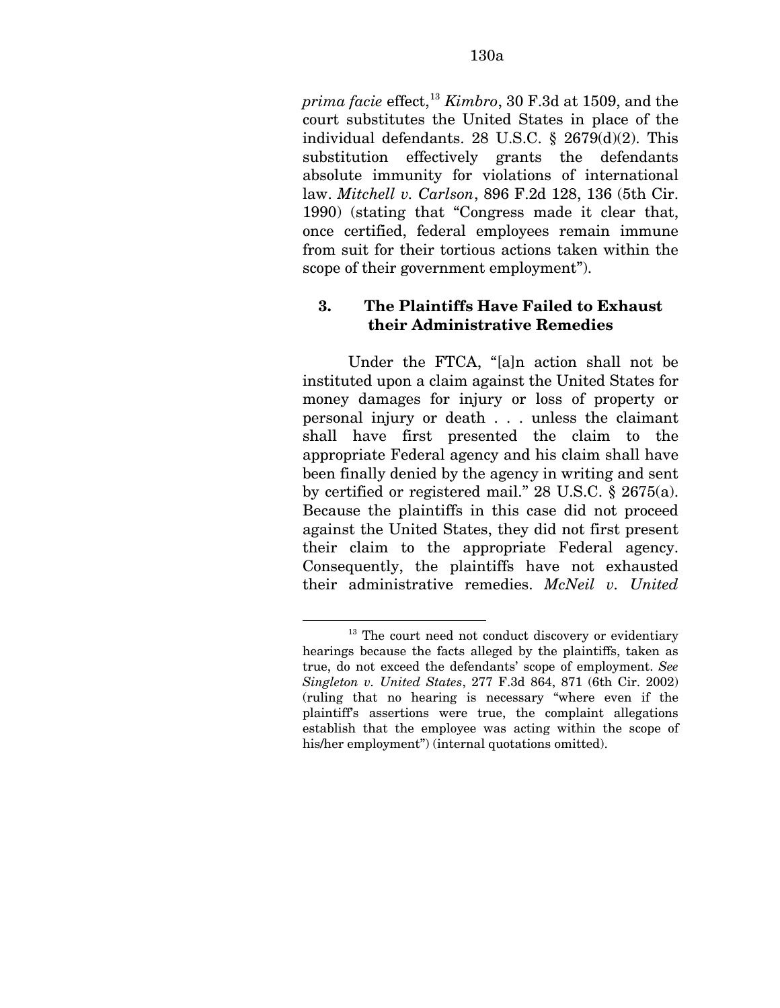*prima facie* effect,[13](#page-182-0) *Kimbro*, 30 F.3d at 1509, and the court substitutes the United States in place of the individual defendants. 28 U.S.C. § 2679(d)(2). This substitution effectively grants the defendants absolute immunity for violations of international law. *Mitchell v. Carlson*, 896 F.2d 128, 136 (5th Cir. 1990) (stating that "Congress made it clear that, once certified, federal employees remain immune from suit for their tortious actions taken within the scope of their government employment").

### **3. The Plaintiffs Have Failed to Exhaust their Administrative Remedies**

Under the FTCA, "[a]n action shall not be instituted upon a claim against the United States for money damages for injury or loss of property or personal injury or death . . . unless the claimant shall have first presented the claim to the appropriate Federal agency and his claim shall have been finally denied by the agency in writing and sent by certified or registered mail." 28 U.S.C. § 2675(a). Because the plaintiffs in this case did not proceed against the United States, they did not first present their claim to the appropriate Federal agency. Consequently, the plaintiffs have not exhausted their administrative remedies. *McNeil v. United* 

<u>.</u>

<span id="page-182-0"></span><sup>&</sup>lt;sup>13</sup> The court need not conduct discovery or evidentiary hearings because the facts alleged by the plaintiffs, taken as true, do not exceed the defendants' scope of employment. *See Singleton v. United States*, 277 F.3d 864, 871 (6th Cir. 2002) (ruling that no hearing is necessary "where even if the plaintiff's assertions were true, the complaint allegations establish that the employee was acting within the scope of his/her employment") (internal quotations omitted).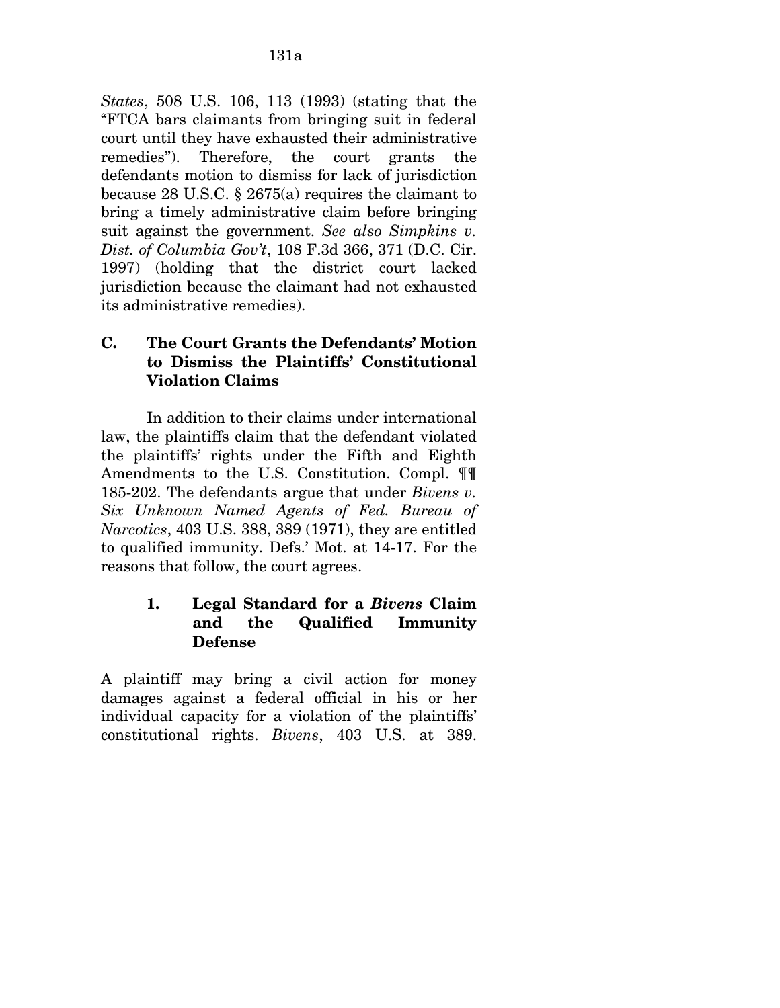*States*, 508 U.S. 106, 113 (1993) (stating that the "FTCA bars claimants from bringing suit in federal court until they have exhausted their administrative remedies"). Therefore, the court grants the defendants motion to dismiss for lack of jurisdiction because 28 U.S.C. § 2675(a) requires the claimant to bring a timely administrative claim before bringing suit against the government. *See also Simpkins v. Dist. of Columbia Gov't*, 108 F.3d 366, 371 (D.C. Cir. 1997) (holding that the district court lacked jurisdiction because the claimant had not exhausted its administrative remedies).

### **C. The Court Grants the Defendants' Motion to Dismiss the Plaintiffs' Constitutional Violation Claims**

In addition to their claims under international law, the plaintiffs claim that the defendant violated the plaintiffs' rights under the Fifth and Eighth Amendments to the U.S. Constitution. Compl. ¶¶ 185-202. The defendants argue that under *Bivens v. Six Unknown Named Agents of Fed. Bureau of Narcotics*, 403 U.S. 388, 389 (1971), they are entitled to qualified immunity. Defs.' Mot. at 14-17. For the reasons that follow, the court agrees.

### **1. Legal Standard for a** *Bivens* **Claim and the Qualified Immunity Defense**

A plaintiff may bring a civil action for money damages against a federal official in his or her individual capacity for a violation of the plaintiffs' constitutional rights. *Bivens*, 403 U.S. at 389.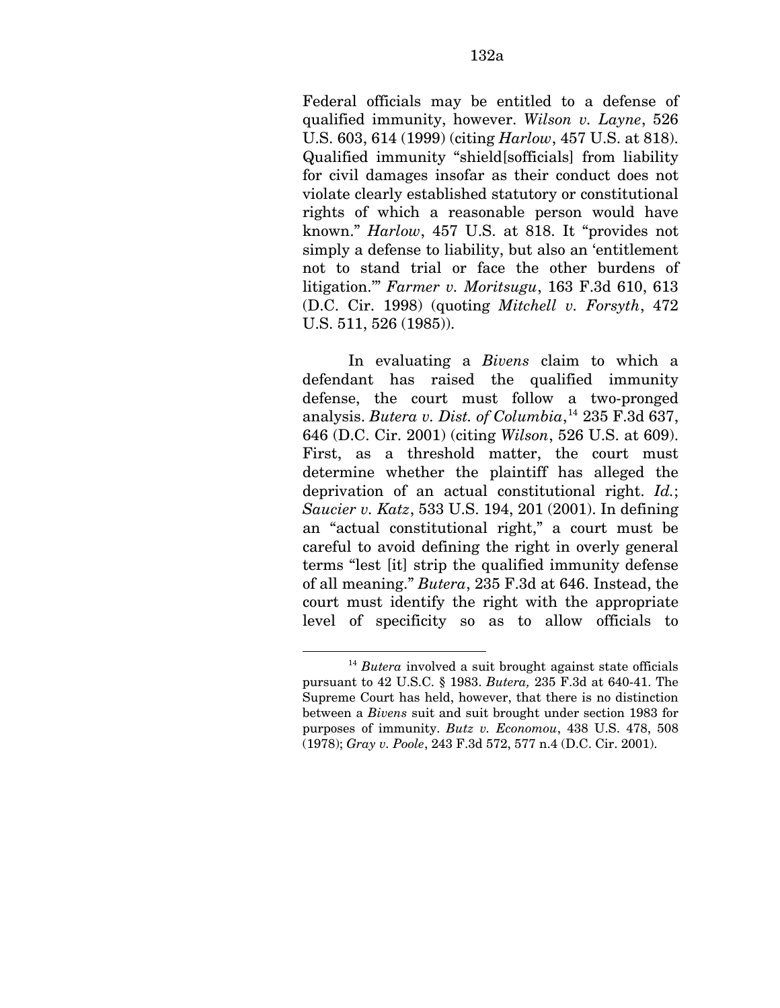Federal officials may be entitled to a defense of qualified immunity, however. *Wilson v. Layne*, 526 U.S. 603, 614 (1999) (citing *Harlow*, 457 U.S. at 818). Qualified immunity "shield[sofficials] from liability for civil damages insofar as their conduct does not violate clearly established statutory or constitutional rights of which a reasonable person would have known." *Harlow*, 457 U.S. at 818. It "provides not simply a defense to liability, but also an 'entitlement not to stand trial or face the other burdens of litigation.'" *Farmer v. Moritsugu*, 163 F.3d 610, 613 (D.C. Cir. 1998) (quoting *Mitchell v. Forsyth*, 472 U.S. 511, 526 (1985)).

In evaluating a *Bivens* claim to which a defendant has raised the qualified immunity defense, the court must follow a two-pronged analysis. *Butera v. Dist. of Columbia*, [14](#page-184-0) 235 F.3d 637, 646 (D.C. Cir. 2001) (citing *Wilson*, 526 U.S. at 609). First, as a threshold matter, the court must determine whether the plaintiff has alleged the deprivation of an actual constitutional right. *Id.*; *Saucier v. Katz*, 533 U.S. 194, 201 (2001). In defining an "actual constitutional right," a court must be careful to avoid defining the right in overly general terms "lest [it] strip the qualified immunity defense of all meaning." *Butera*, 235 F.3d at 646. Instead, the court must identify the right with the appropriate level of specificity so as to allow officials to

1

<span id="page-184-0"></span><sup>14</sup> *Butera* involved a suit brought against state officials pursuant to 42 U.S.C. § 1983. *Butera,* 235 F.3d at 640-41. The Supreme Court has held, however, that there is no distinction between a *Bivens* suit and suit brought under section 1983 for purposes of immunity. *Butz v. Economou*, 438 U.S. 478, 508 (1978); *Gray v. Poole*, 243 F.3d 572, 577 n.4 (D.C. Cir. 2001).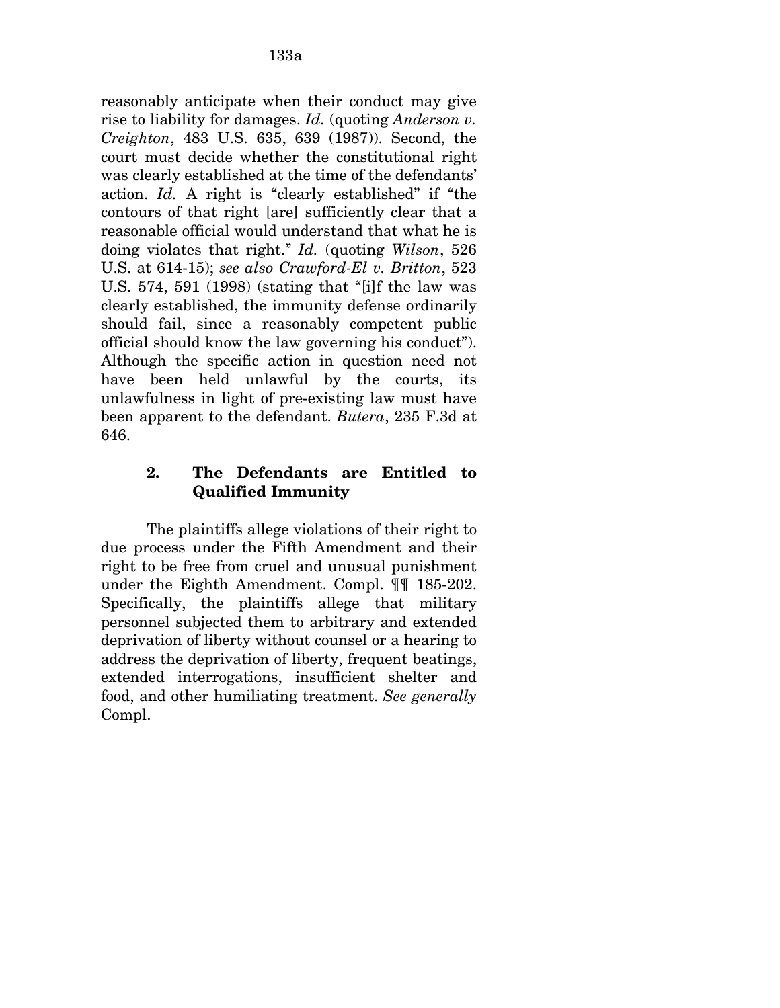reasonably anticipate when their conduct may give rise to liability for damages. *Id.* (quoting *Anderson v. Creighton*, 483 U.S. 635, 639 (1987)). Second, the court must decide whether the constitutional right was clearly established at the time of the defendants' action. *Id.* A right is "clearly established" if "the contours of that right [are] sufficiently clear that a reasonable official would understand that what he is doing violates that right." *Id.* (quoting *Wilson*, 526 U.S. at 614-15); *see also Crawford-El v. Britton*, 523 U.S. 574, 591 (1998) (stating that "[i]f the law was clearly established, the immunity defense ordinarily should fail, since a reasonably competent public official should know the law governing his conduct"). Although the specific action in question need not have been held unlawful by the courts, its unlawfulness in light of pre-existing law must have been apparent to the defendant. *Butera*, 235 F.3d at 646.

### **2. The Defendants are Entitled to Qualified Immunity**

The plaintiffs allege violations of their right to due process under the Fifth Amendment and their right to be free from cruel and unusual punishment under the Eighth Amendment. Compl. ¶¶ 185-202. Specifically, the plaintiffs allege that military personnel subjected them to arbitrary and extended deprivation of liberty without counsel or a hearing to address the deprivation of liberty, frequent beatings, extended interrogations, insufficient shelter and food, and other humiliating treatment. *See generally*  Compl.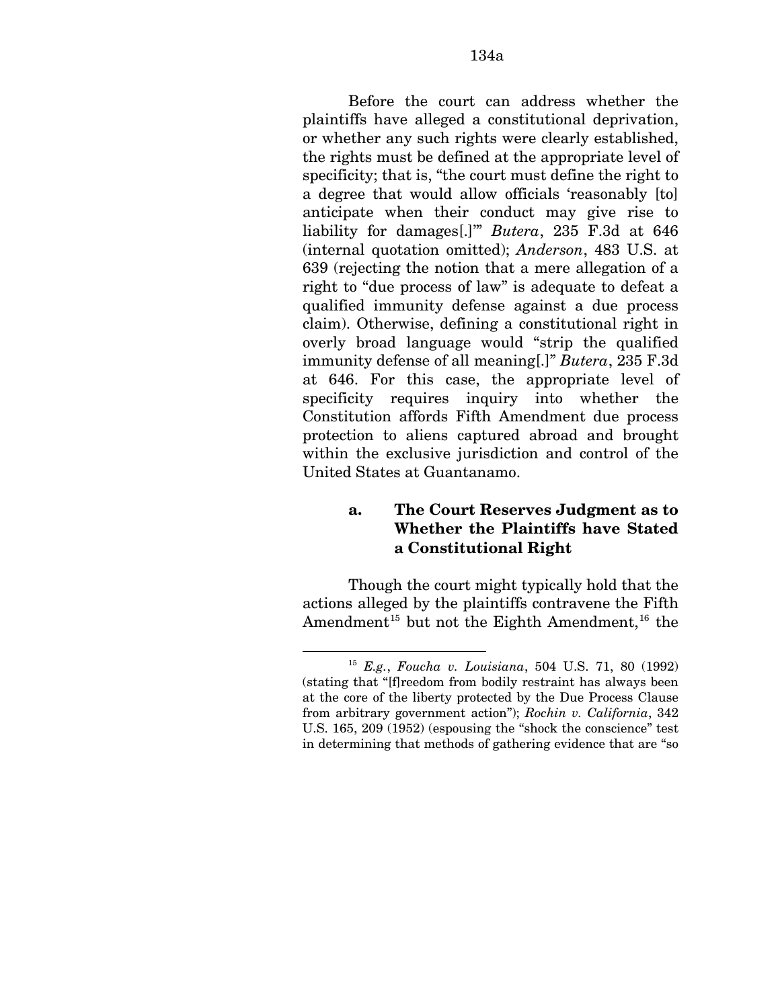Before the court can address whether the plaintiffs have alleged a constitutional deprivation, or whether any such rights were clearly established, the rights must be defined at the appropriate level of specificity; that is, "the court must define the right to a degree that would allow officials 'reasonably [to] anticipate when their conduct may give rise to liability for damages[.]'" *Butera*, 235 F.3d at 646 (internal quotation omitted); *Anderson*, 483 U.S. at 639 (rejecting the notion that a mere allegation of a right to "due process of law" is adequate to defeat a qualified immunity defense against a due process claim). Otherwise, defining a constitutional right in overly broad language would "strip the qualified immunity defense of all meaning[.]" *Butera*, 235 F.3d at 646. For this case, the appropriate level of specificity requires inquiry into whether the Constitution affords Fifth Amendment due process protection to aliens captured abroad and brought within the exclusive jurisdiction and control of the United States at Guantanamo.

### **a. The Court Reserves Judgment as to Whether the Plaintiffs have Stated a Constitutional Right**

<span id="page-186-1"></span>Though the court might typically hold that the actions alleged by the plaintiffs contravene the Fifth Amendment<sup>[15](#page-186-0)</sup> but not the Eighth Amendment,<sup>[16](#page-186-1)</sup> the

1

<span id="page-186-0"></span><sup>15</sup> *E.g.*, *Foucha v. Louisiana*, 504 U.S. 71, 80 (1992) (stating that "[f]reedom from bodily restraint has always been at the core of the liberty protected by the Due Process Clause from arbitrary government action"); *Rochin v. California*, 342 U.S. 165, 209 (1952) (espousing the "shock the conscience" test in determining that methods of gathering evidence that are "so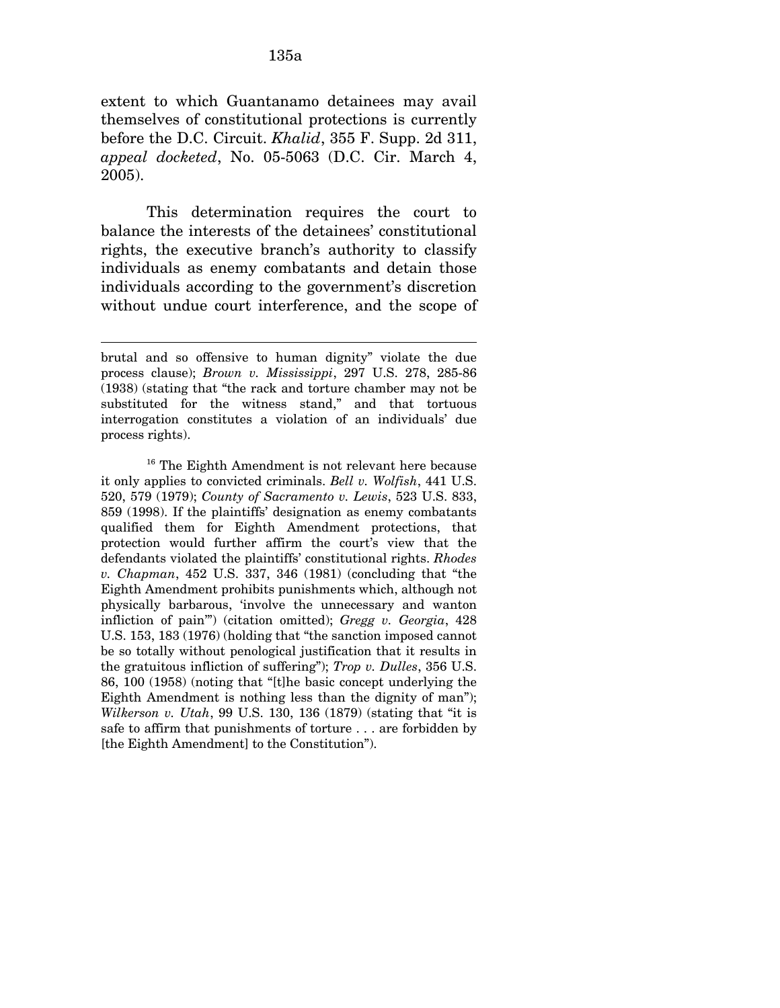extent to which Guantanamo detainees may avail themselves of constitutional protections is currently before the D.C. Circuit. *Khalid*, 355 F. Supp. 2d 311, *appeal docketed*, No. 05-5063 (D.C. Cir. March 4, 2005).

This determination requires the court to balance the interests of the detainees' constitutional rights, the executive branch's authority to classify individuals as enemy combatants and detain those individuals according to the government's discretion without undue court interference, and the scope of

 $\overline{a}$ 

brutal and so offensive to human dignity" violate the due process clause); *Brown v. Mississippi*, 297 U.S. 278, 285-86 (1938) (stating that "the rack and torture chamber may not be substituted for the witness stand," and that tortuous interrogation constitutes a violation of an individuals' due process rights).

<sup>&</sup>lt;sup>16</sup> The Eighth Amendment is not relevant here because it only applies to convicted criminals. *Bell v. Wolfish*, 441 U.S. 520, 579 (1979); *County of Sacramento v. Lewis*, 523 U.S. 833, 859 (1998). If the plaintiffs' designation as enemy combatants qualified them for Eighth Amendment protections, that protection would further affirm the court's view that the defendants violated the plaintiffs' constitutional rights. *Rhodes v. Chapman*, 452 U.S. 337, 346 (1981) (concluding that "the Eighth Amendment prohibits punishments which, although not physically barbarous, 'involve the unnecessary and wanton infliction of pain'") (citation omitted); *Gregg v. Georgia*, 428 U.S. 153, 183 (1976) (holding that "the sanction imposed cannot be so totally without penological justification that it results in the gratuitous infliction of suffering"); *Trop v. Dulles*, 356 U.S. 86, 100 (1958) (noting that "[t]he basic concept underlying the Eighth Amendment is nothing less than the dignity of man"); *Wilkerson v. Utah*, 99 U.S. 130, 136 (1879) (stating that "it is safe to affirm that punishments of torture . . . are forbidden by [the Eighth Amendment] to the Constitution").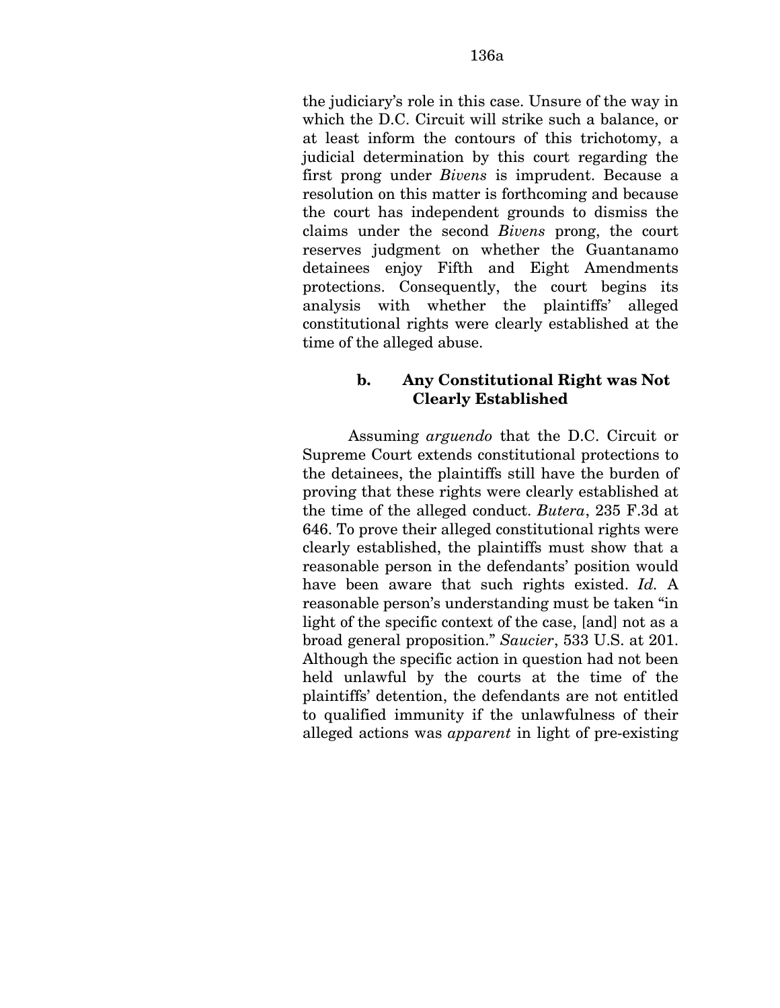the judiciary's role in this case. Unsure of the way in which the D.C. Circuit will strike such a balance, or at least inform the contours of this trichotomy, a judicial determination by this court regarding the first prong under *Bivens* is imprudent. Because a resolution on this matter is forthcoming and because the court has independent grounds to dismiss the claims under the second *Bivens* prong, the court reserves judgment on whether the Guantanamo detainees enjoy Fifth and Eight Amendments protections. Consequently, the court begins its analysis with whether the plaintiffs' alleged constitutional rights were clearly established at the time of the alleged abuse.

### **b. Any Constitutional Right was Not Clearly Established**

Assuming *arguendo* that the D.C. Circuit or Supreme Court extends constitutional protections to the detainees, the plaintiffs still have the burden of proving that these rights were clearly established at the time of the alleged conduct. *Butera*, 235 F.3d at 646. To prove their alleged constitutional rights were clearly established, the plaintiffs must show that a reasonable person in the defendants' position would have been aware that such rights existed. *Id.* A reasonable person's understanding must be taken "in light of the specific context of the case, [and] not as a broad general proposition." *Saucier*, 533 U.S. at 201. Although the specific action in question had not been held unlawful by the courts at the time of the plaintiffs' detention, the defendants are not entitled to qualified immunity if the unlawfulness of their alleged actions was *apparent* in light of pre-existing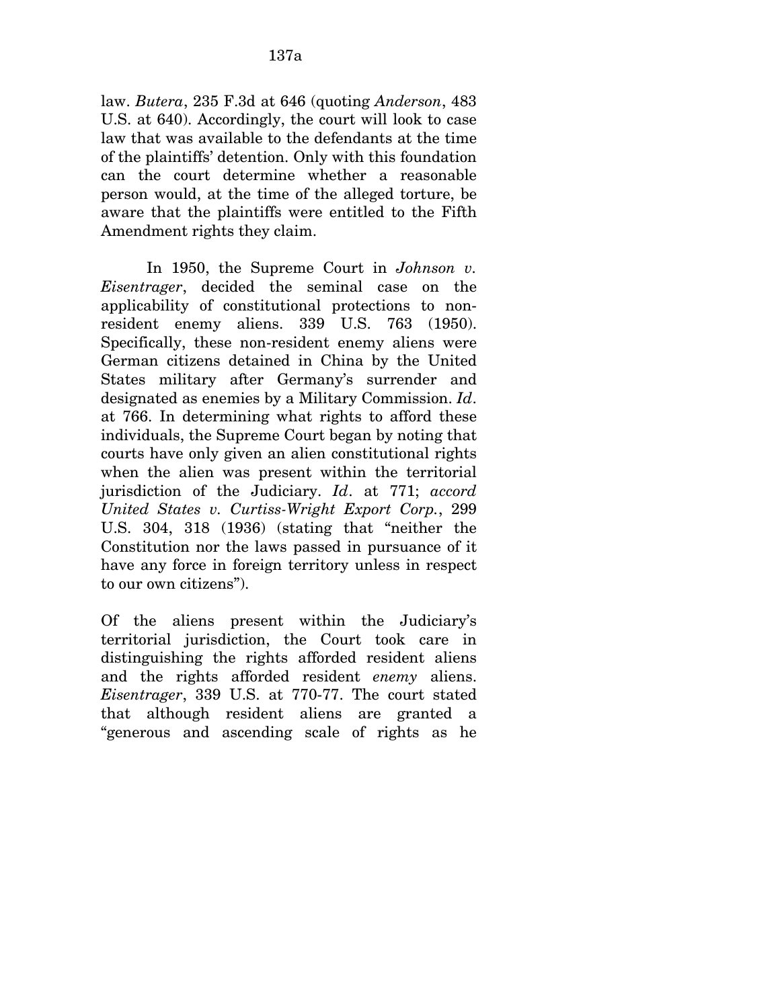law. *Butera*, 235 F.3d at 646 (quoting *Anderson*, 483 U.S. at 640). Accordingly, the court will look to case law that was available to the defendants at the time of the plaintiffs' detention. Only with this foundation can the court determine whether a reasonable person would, at the time of the alleged torture, be aware that the plaintiffs were entitled to the Fifth Amendment rights they claim.

In 1950, the Supreme Court in *Johnson v. Eisentrager*, decided the seminal case on the applicability of constitutional protections to nonresident enemy aliens. 339 U.S. 763 (1950). Specifically, these non-resident enemy aliens were German citizens detained in China by the United States military after Germany's surrender and designated as enemies by a Military Commission. *Id*. at 766. In determining what rights to afford these individuals, the Supreme Court began by noting that courts have only given an alien constitutional rights when the alien was present within the territorial jurisdiction of the Judiciary. *Id*. at 771; *accord United States v. Curtiss-Wright Export Corp.*, 299 U.S. 304, 318 (1936) (stating that "neither the Constitution nor the laws passed in pursuance of it have any force in foreign territory unless in respect to our own citizens").

Of the aliens present within the Judiciary's territorial jurisdiction, the Court took care in distinguishing the rights afforded resident aliens and the rights afforded resident *enemy* aliens. *Eisentrager*, 339 U.S. at 770-77. The court stated that although resident aliens are granted a "generous and ascending scale of rights as he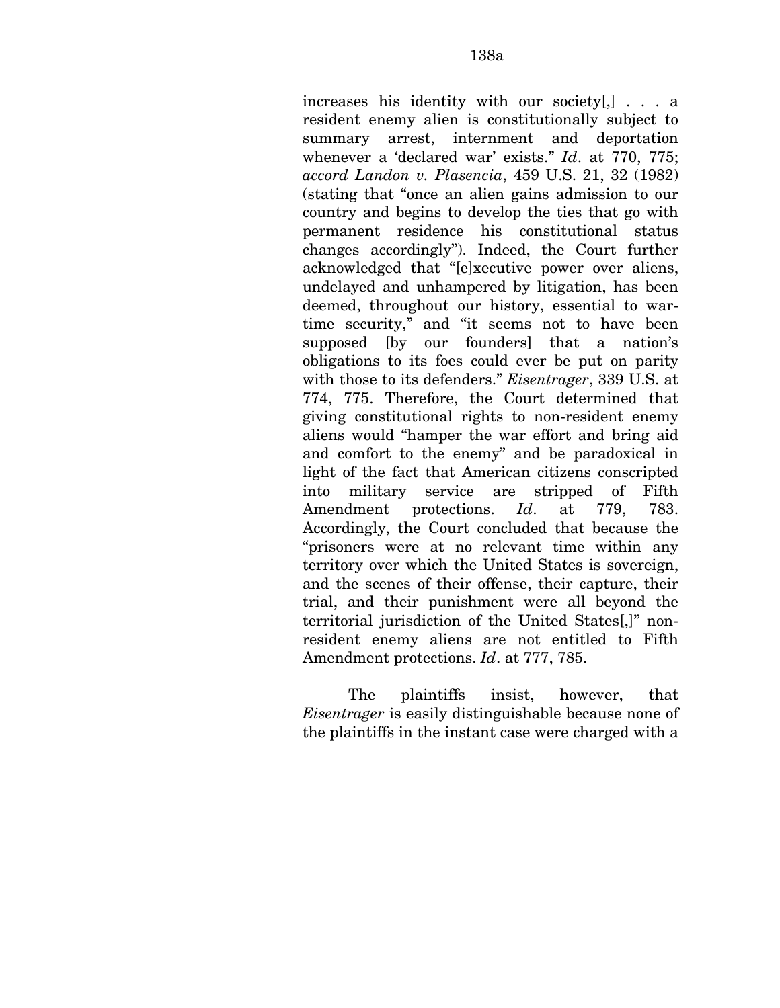increases his identity with our society[,] . . . a resident enemy alien is constitutionally subject to summary arrest, internment and deportation whenever a 'declared war' exists." *Id*. at 770, 775; *accord Landon v. Plasencia*, 459 U.S. 21, 32 (1982) (stating that "once an alien gains admission to our country and begins to develop the ties that go with permanent residence his constitutional status changes accordingly"). Indeed, the Court further acknowledged that "[e]xecutive power over aliens, undelayed and unhampered by litigation, has been deemed, throughout our history, essential to wartime security," and "it seems not to have been supposed [by our founders] that a nation's obligations to its foes could ever be put on parity with those to its defenders." *Eisentrager*, 339 U.S. at 774, 775. Therefore, the Court determined that giving constitutional rights to non-resident enemy aliens would "hamper the war effort and bring aid and comfort to the enemy" and be paradoxical in light of the fact that American citizens conscripted into military service are stripped of Fifth Amendment protections. *Id*. at 779, 783. Accordingly, the Court concluded that because the "prisoners were at no relevant time within any territory over which the United States is sovereign, and the scenes of their offense, their capture, their trial, and their punishment were all beyond the territorial jurisdiction of the United States[,]" nonresident enemy aliens are not entitled to Fifth Amendment protections. *Id*. at 777, 785.

The plaintiffs insist, however, that *Eisentrager* is easily distinguishable because none of the plaintiffs in the instant case were charged with a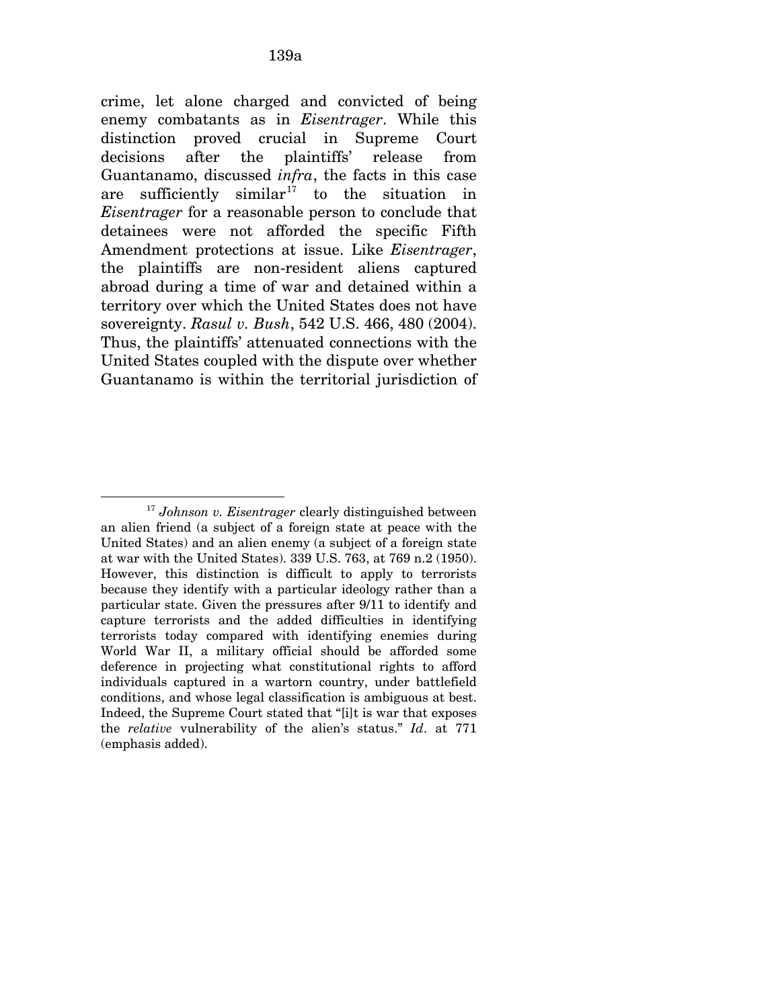crime, let alone charged and convicted of being enemy combatants as in *Eisentrager*. While this distinction proved crucial in Supreme Court decisions after the plaintiffs' release from Guantanamo, discussed *infra*, the facts in this case are sufficiently similar<sup>[17](#page-191-0)</sup> to the situation in *Eisentrager* for a reasonable person to conclude that detainees were not afforded the specific Fifth Amendment protections at issue. Like *Eisentrager*, the plaintiffs are non-resident aliens captured abroad during a time of war and detained within a territory over which the United States does not have sovereignty. *Rasul v. Bush*, 542 U.S. 466, 480 (2004). Thus, the plaintiffs' attenuated connections with the United States coupled with the dispute over whether Guantanamo is within the territorial jurisdiction of

 $\overline{a}$ 

<span id="page-191-0"></span><sup>17</sup> *Johnson v. Eisentrager* clearly distinguished between an alien friend (a subject of a foreign state at peace with the United States) and an alien enemy (a subject of a foreign state at war with the United States). 339 U.S. 763, at 769 n.2 (1950). However, this distinction is difficult to apply to terrorists because they identify with a particular ideology rather than a particular state. Given the pressures after 9/11 to identify and capture terrorists and the added difficulties in identifying terrorists today compared with identifying enemies during World War II, a military official should be afforded some deference in projecting what constitutional rights to afford individuals captured in a wartorn country, under battlefield conditions, and whose legal classification is ambiguous at best. Indeed, the Supreme Court stated that "[i]t is war that exposes the *relative* vulnerability of the alien's status." *Id*. at 771 (emphasis added).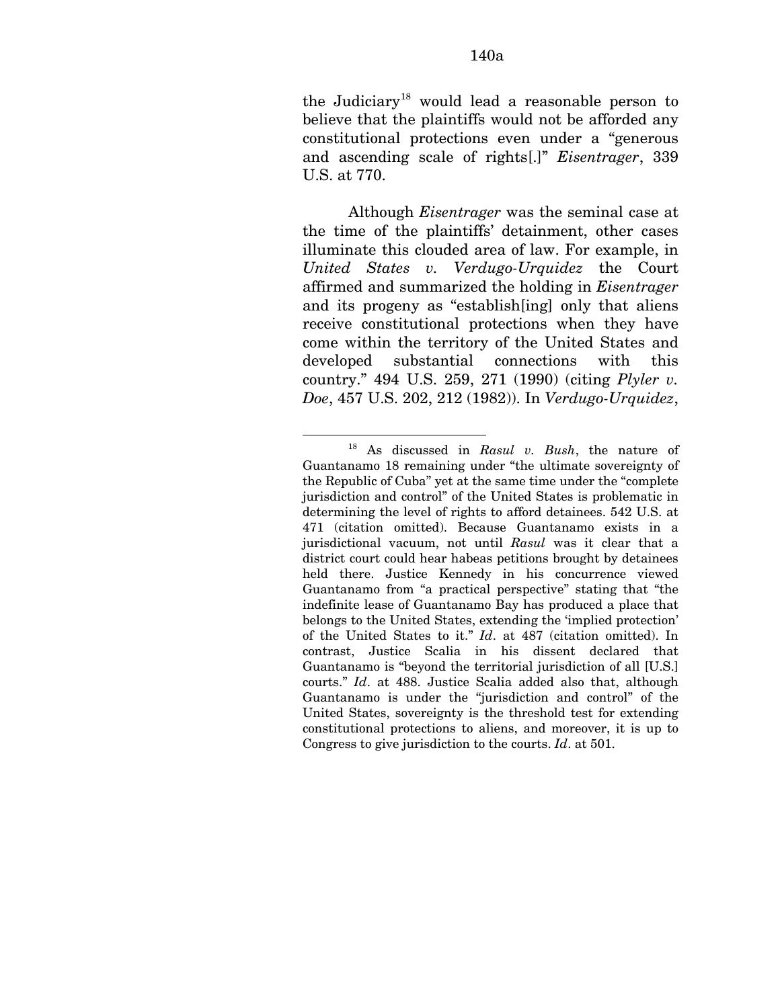Although *Eisentrager* was the seminal case at the time of the plaintiffs' detainment, other cases illuminate this clouded area of law. For example, in *United States v. Verdugo-Urquidez* the Court affirmed and summarized the holding in *Eisentrager*  and its progeny as "establish[ing] only that aliens receive constitutional protections when they have come within the territory of the United States and developed substantial connections with this country." 494 U.S. 259, 271 (1990) (citing *Plyler v. Doe*, 457 U.S. 202, 212 (1982)). In *Verdugo-Urquidez*,

<span id="page-192-0"></span><sup>1</sup> 18 As discussed in *Rasul v. Bush*, the nature of Guantanamo 18 remaining under "the ultimate sovereignty of the Republic of Cuba" yet at the same time under the "complete jurisdiction and control" of the United States is problematic in determining the level of rights to afford detainees. 542 U.S. at 471 (citation omitted). Because Guantanamo exists in a jurisdictional vacuum, not until *Rasul* was it clear that a district court could hear habeas petitions brought by detainees held there. Justice Kennedy in his concurrence viewed Guantanamo from "a practical perspective" stating that "the indefinite lease of Guantanamo Bay has produced a place that belongs to the United States, extending the 'implied protection' of the United States to it." *Id*. at 487 (citation omitted). In contrast, Justice Scalia in his dissent declared that Guantanamo is "beyond the territorial jurisdiction of all [U.S.] courts." *Id*. at 488. Justice Scalia added also that, although Guantanamo is under the "jurisdiction and control" of the United States, sovereignty is the threshold test for extending constitutional protections to aliens, and moreover, it is up to Congress to give jurisdiction to the courts. *Id*. at 501.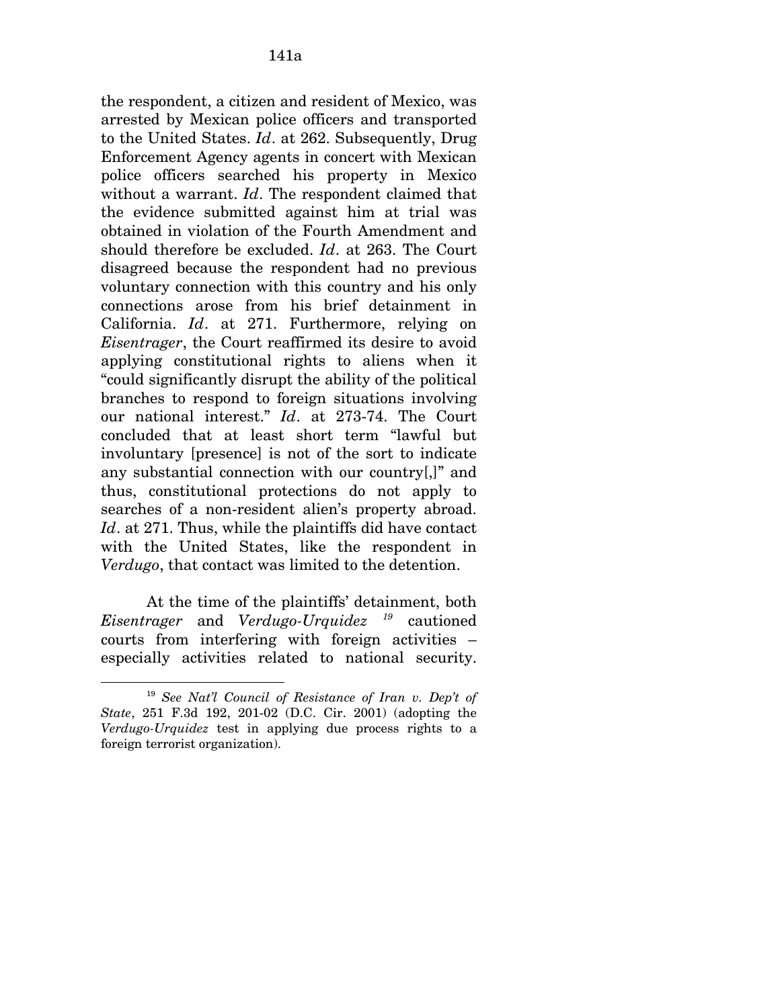the respondent, a citizen and resident of Mexico, was arrested by Mexican police officers and transported to the United States. *Id*. at 262. Subsequently, Drug Enforcement Agency agents in concert with Mexican police officers searched his property in Mexico without a warrant. *Id*. The respondent claimed that the evidence submitted against him at trial was obtained in violation of the Fourth Amendment and should therefore be excluded. *Id*. at 263. The Court disagreed because the respondent had no previous voluntary connection with this country and his only connections arose from his brief detainment in California. *Id*. at 271. Furthermore, relying on *Eisentrager*, the Court reaffirmed its desire to avoid applying constitutional rights to aliens when it "could significantly disrupt the ability of the political branches to respond to foreign situations involving our national interest." *Id*. at 273-74. The Court concluded that at least short term "lawful but involuntary [presence] is not of the sort to indicate any substantial connection with our country[,]" and thus, constitutional protections do not apply to searches of a non-resident alien's property abroad. *Id*. at 271. Thus, while the plaintiffs did have contact with the United States, like the respondent in *Verdugo*, that contact was limited to the detention.

At the time of the plaintiffs' detainment, both *Eisentrager* and *Verdugo-Urquidez [19](#page-193-0)* cautioned courts from interfering with foreign activities – especially activities related to national security.

 $\overline{a}$ 

<span id="page-193-0"></span><sup>19</sup> *See Nat'l Council of Resistance of Iran v. Dep't of State*, 251 F.3d 192, 201-02 (D.C. Cir. 2001) (adopting the *Verdugo-Urquidez* test in applying due process rights to a foreign terrorist organization).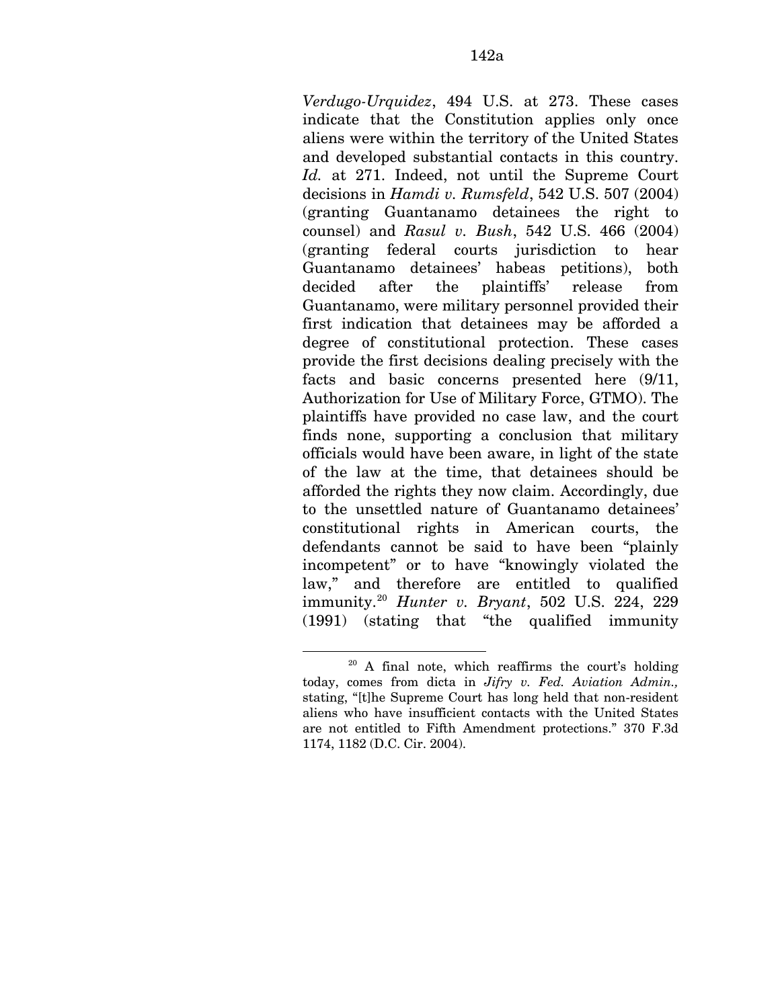*Verdugo-Urquidez*, 494 U.S. at 273. These cases indicate that the Constitution applies only once aliens were within the territory of the United States and developed substantial contacts in this country. *Id.* at 271. Indeed, not until the Supreme Court decisions in *Hamdi v. Rumsfeld*, 542 U.S. 507 (2004) (granting Guantanamo detainees the right to counsel) and *Rasul v. Bush*, 542 U.S. 466 (2004) (granting federal courts jurisdiction to hear Guantanamo detainees' habeas petitions), both decided after the plaintiffs' release from Guantanamo, were military personnel provided their first indication that detainees may be afforded a degree of constitutional protection. These cases provide the first decisions dealing precisely with the facts and basic concerns presented here (9/11, Authorization for Use of Military Force, GTMO). The plaintiffs have provided no case law, and the court finds none, supporting a conclusion that military officials would have been aware, in light of the state of the law at the time, that detainees should be afforded the rights they now claim. Accordingly, due to the unsettled nature of Guantanamo detainees' constitutional rights in American courts, the defendants cannot be said to have been "plainly incompetent" or to have "knowingly violated the law," and therefore are entitled to qualified immunity.[20](#page-194-0) *Hunter v. Bryant*, 502 U.S. 224, 229 (1991) (stating that "the qualified immunity

1

<span id="page-194-0"></span> $20$  A final note, which reaffirms the court's holding today, comes from dicta in *Jifry v. Fed. Aviation Admin.,*  stating, "[t]he Supreme Court has long held that non-resident aliens who have insufficient contacts with the United States are not entitled to Fifth Amendment protections." 370 F.3d 1174, 1182 (D.C. Cir. 2004).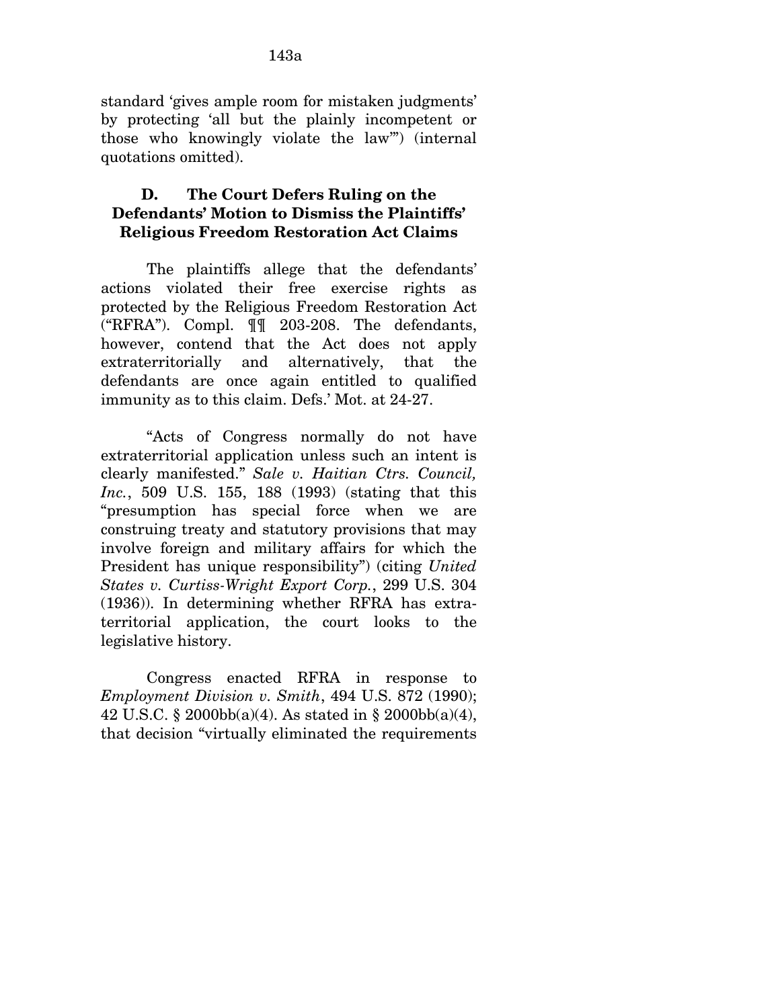standard 'gives ample room for mistaken judgments' by protecting 'all but the plainly incompetent or those who knowingly violate the law'") (internal quotations omitted).

### **D. The Court Defers Ruling on the Defendants' Motion to Dismiss the Plaintiffs' Religious Freedom Restoration Act Claims**

The plaintiffs allege that the defendants' actions violated their free exercise rights as protected by the Religious Freedom Restoration Act ("RFRA"). Compl. ¶¶ 203-208. The defendants, however, contend that the Act does not apply extraterritorially and alternatively, that the defendants are once again entitled to qualified immunity as to this claim. Defs.' Mot. at 24-27.

"Acts of Congress normally do not have extraterritorial application unless such an intent is clearly manifested." *Sale v. Haitian Ctrs. Council, Inc.*, 509 U.S. 155, 188 (1993) (stating that this "presumption has special force when we are construing treaty and statutory provisions that may involve foreign and military affairs for which the President has unique responsibility") (citing *United States v. Curtiss-Wright Export Corp.*, 299 U.S. 304 (1936)). In determining whether RFRA has extraterritorial application, the court looks to the legislative history.

Congress enacted RFRA in response to *Employment Division v. Smith*, 494 U.S. 872 (1990); 42 U.S.C. § 2000bb(a)(4). As stated in § 2000bb(a)(4), that decision "virtually eliminated the requirements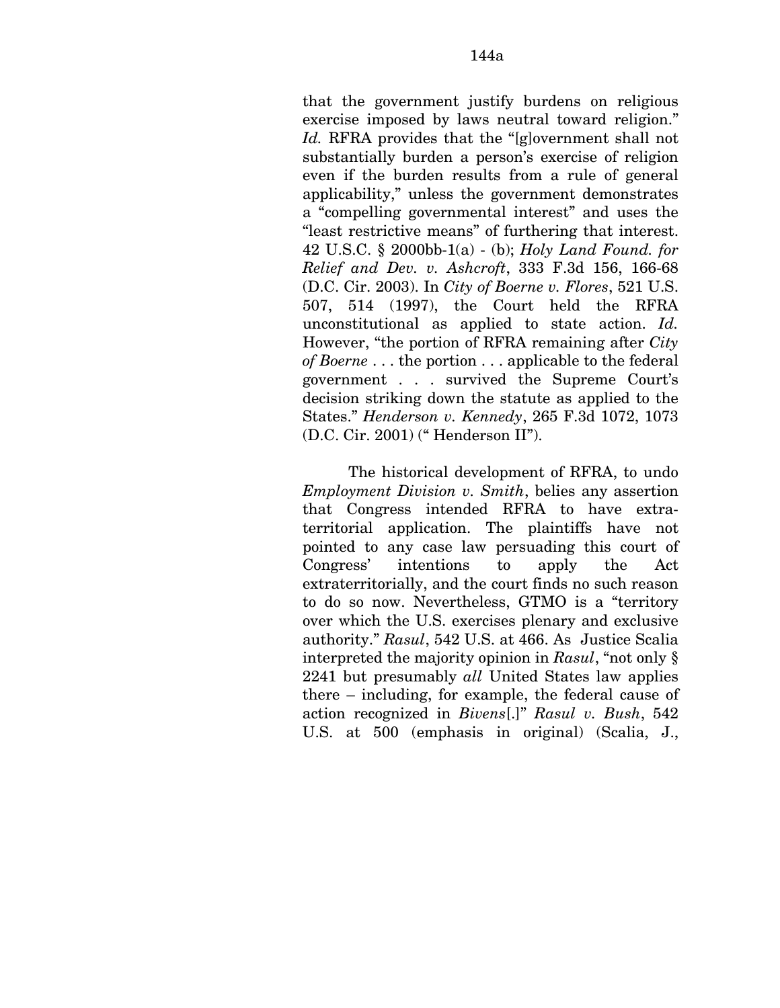that the government justify burdens on religious exercise imposed by laws neutral toward religion." *Id.* RFRA provides that the "[g]overnment shall not substantially burden a person's exercise of religion even if the burden results from a rule of general applicability," unless the government demonstrates a "compelling governmental interest" and uses the "least restrictive means" of furthering that interest. 42 U.S.C. § 2000bb-1(a) - (b); *Holy Land Found. for Relief and Dev. v. Ashcroft*, 333 F.3d 156, 166-68 (D.C. Cir. 2003). In *City of Boerne v. Flores*, 521 U.S. 507, 514 (1997), the Court held the RFRA unconstitutional as applied to state action. *Id.*  However, "the portion of RFRA remaining after *City of Boerne* . . . the portion . . . applicable to the federal government . . . survived the Supreme Court's decision striking down the statute as applied to the States." *Henderson v. Kennedy*, 265 F.3d 1072, 1073 (D.C. Cir. 2001) (" Henderson II").

The historical development of RFRA, to undo *Employment Division v. Smith*, belies any assertion that Congress intended RFRA to have extraterritorial application. The plaintiffs have not pointed to any case law persuading this court of Congress' intentions to apply the Act extraterritorially, and the court finds no such reason to do so now. Nevertheless, GTMO is a "territory over which the U.S. exercises plenary and exclusive authority." *Rasul*, 542 U.S. at 466. As Justice Scalia interpreted the majority opinion in *Rasul*, "not only § 2241 but presumably *all* United States law applies there – including, for example, the federal cause of action recognized in *Bivens*[.]" *Rasul v. Bush*, 542 U.S. at 500 (emphasis in original) (Scalia, J.,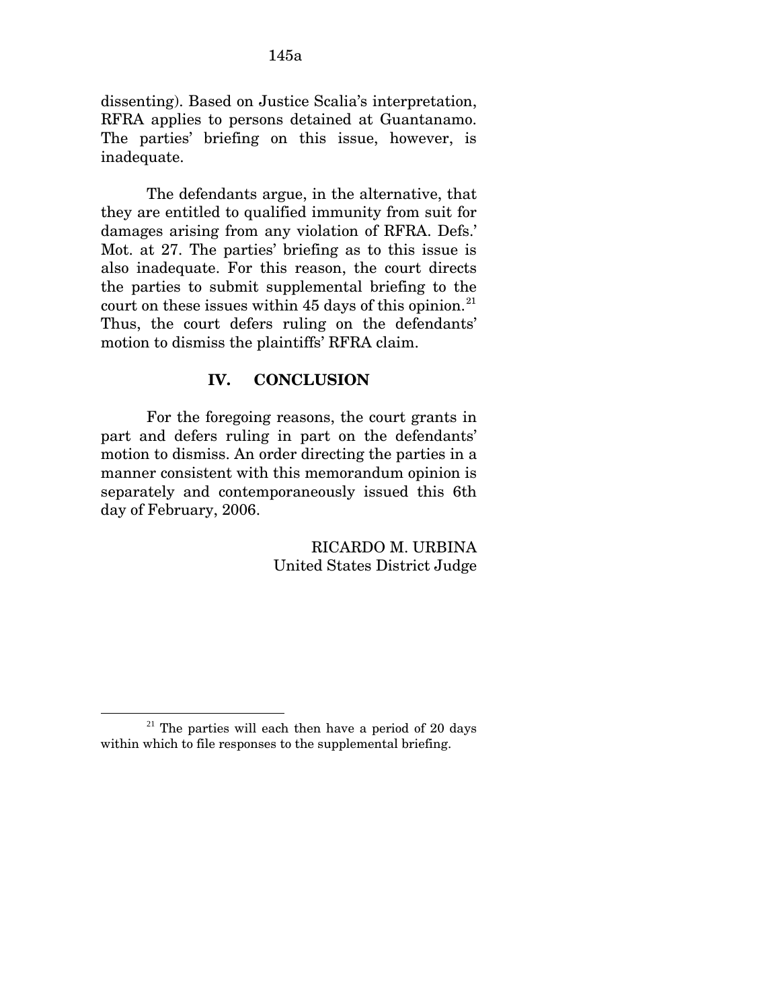dissenting). Based on Justice Scalia's interpretation, RFRA applies to persons detained at Guantanamo. The parties' briefing on this issue, however, is inadequate.

The defendants argue, in the alternative, that they are entitled to qualified immunity from suit for damages arising from any violation of RFRA. Defs.' Mot. at 27. The parties' briefing as to this issue is also inadequate. For this reason, the court directs the parties to submit supplemental briefing to the court on these issues within 45 days of this opinion. $^{21}$  $^{21}$  $^{21}$ Thus, the court defers ruling on the defendants' motion to dismiss the plaintiffs' RFRA claim.

#### **IV. CONCLUSION**

For the foregoing reasons, the court grants in part and defers ruling in part on the defendants' motion to dismiss. An order directing the parties in a manner consistent with this memorandum opinion is separately and contemporaneously issued this 6th day of February, 2006.

> RICARDO M. URBINA United States District Judge

 $\overline{a}$ 

<span id="page-197-0"></span> $21$  The parties will each then have a period of 20 days within which to file responses to the supplemental briefing.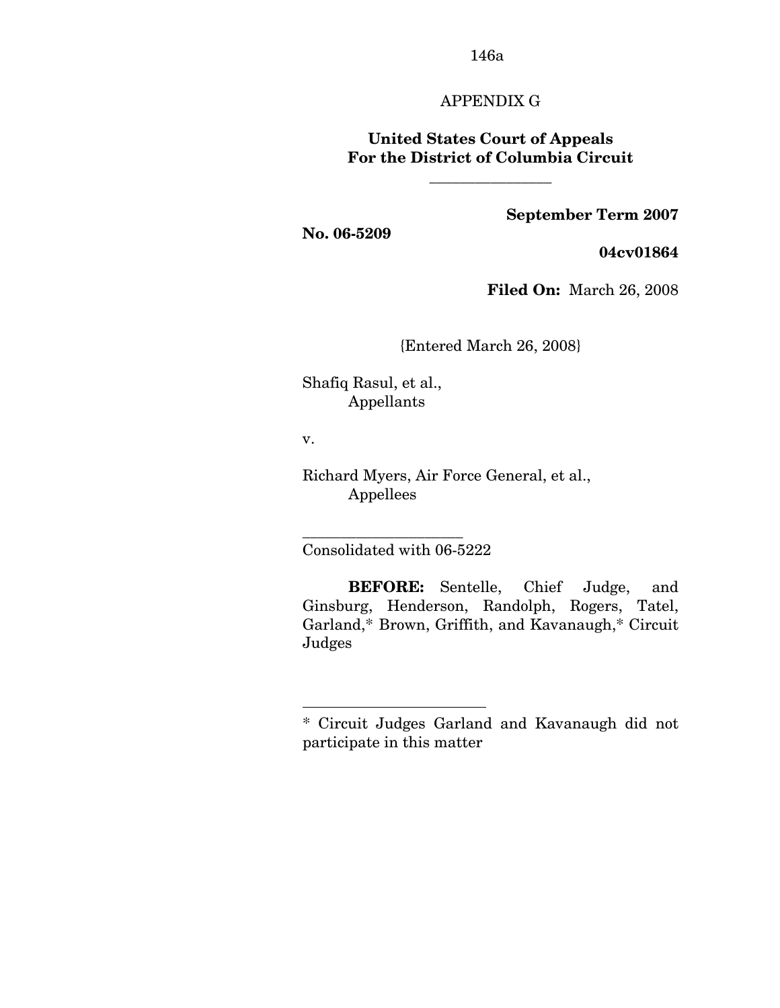### APPENDIX G

### **United States Court of Appeals For the District of Columbia Circuit**

**\_\_\_\_\_\_\_\_\_\_\_\_\_\_\_\_** 

#### **September Term 2007**

**No. 06-5209** 

**04cv01864**

**Filed On:** March 26, 2008

{Entered March 26, 2008}

Shafiq Rasul, et al., Appellants

v.

1

Richard Myers, Air Force General, et al., Appellees

Consolidated with 06-5222

\_\_\_\_\_\_\_\_\_\_\_\_\_\_\_\_\_\_\_\_\_

**BEFORE:** Sentelle, Chief Judge, and Ginsburg, Henderson, Randolph, Rogers, Tatel, Garland,\*[\\*](#page-198-0) Brown, Griffith, and Kavanaugh,\* Circuit Judges

<span id="page-198-0"></span><sup>\*</sup> Circuit Judges Garland and Kavanaugh did not participate in this matter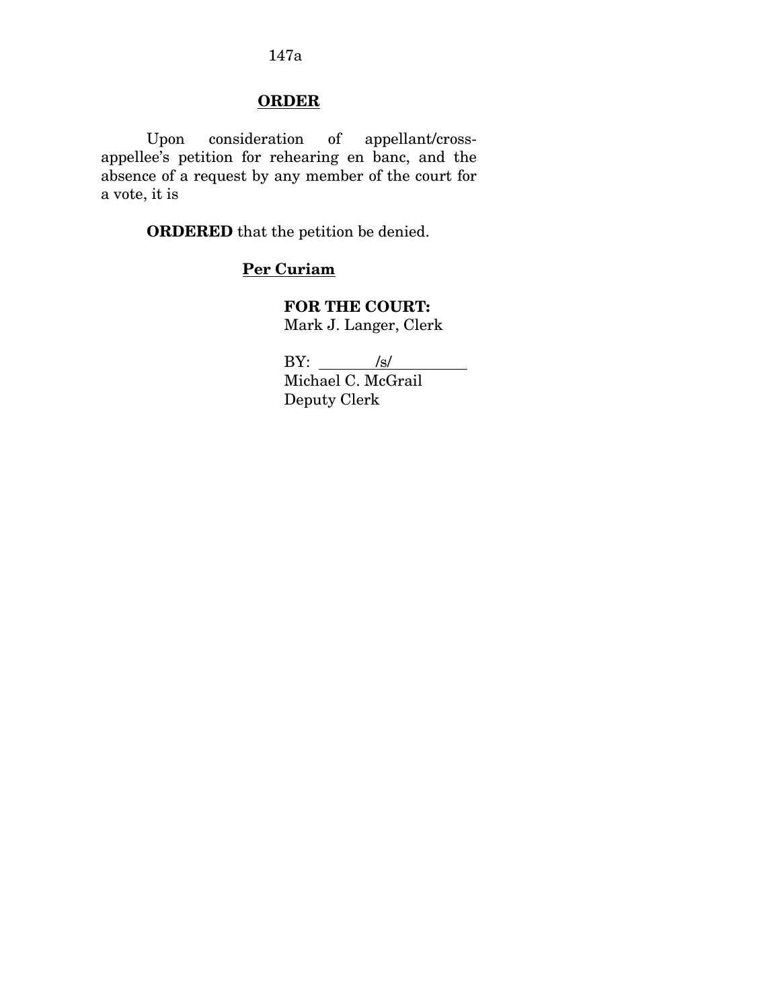### **ORDER**

 Upon consideration of appellant/crossappellee's petition for rehearing en banc, and the absence of a request by any member of the court for a vote, it is

**ORDERED** that the petition be denied.

## **Per Curiam**

**FOR THE COURT:** Mark J. Langer, Clerk

 $BY:$  /s/ Michael C. McGrail Deputy Clerk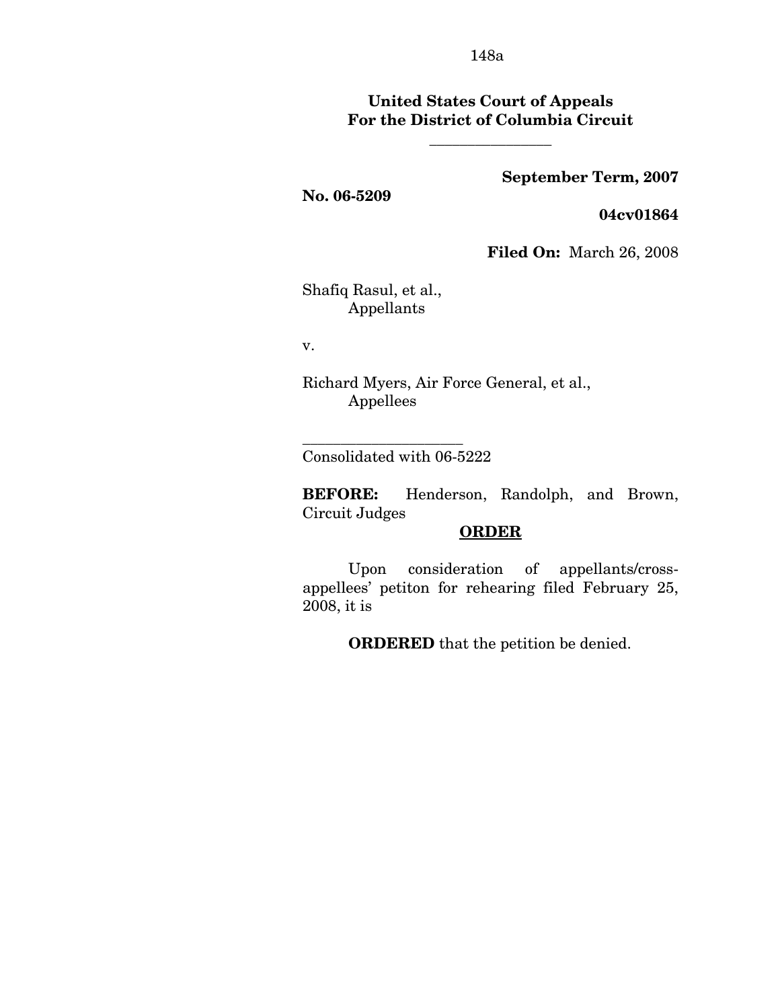### **United States Court of Appeals For the District of Columbia Circuit**

**\_\_\_\_\_\_\_\_\_\_\_\_\_\_\_\_** 

### **September Term, 2007**

#### **No. 06-5209**

**04cv01864** 

**Filed On:** March 26, 2008

Shafiq Rasul, et al., Appellants

v.

Richard Myers, Air Force General, et al., Appellees

Consolidated with 06-5222

\_\_\_\_\_\_\_\_\_\_\_\_\_\_\_\_\_\_\_\_\_

**BEFORE:** Henderson, Randolph, and Brown, Circuit Judges

#### **ORDER**

 Upon consideration of appellants/crossappellees' petiton for rehearing filed February 25, 2008, it is

**ORDERED** that the petition be denied.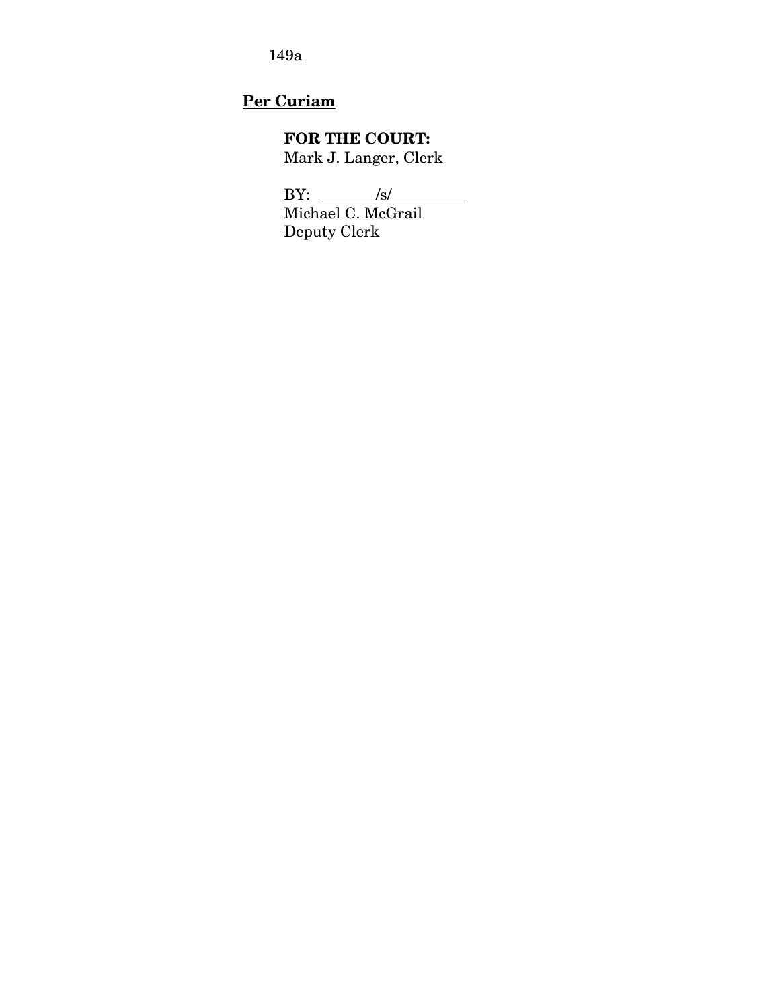## **Per Curiam**

## **FOR THE COURT:**

Mark J. Langer, Clerk

BY: <u>/s/</u>

Michael C. McGrail Deputy Clerk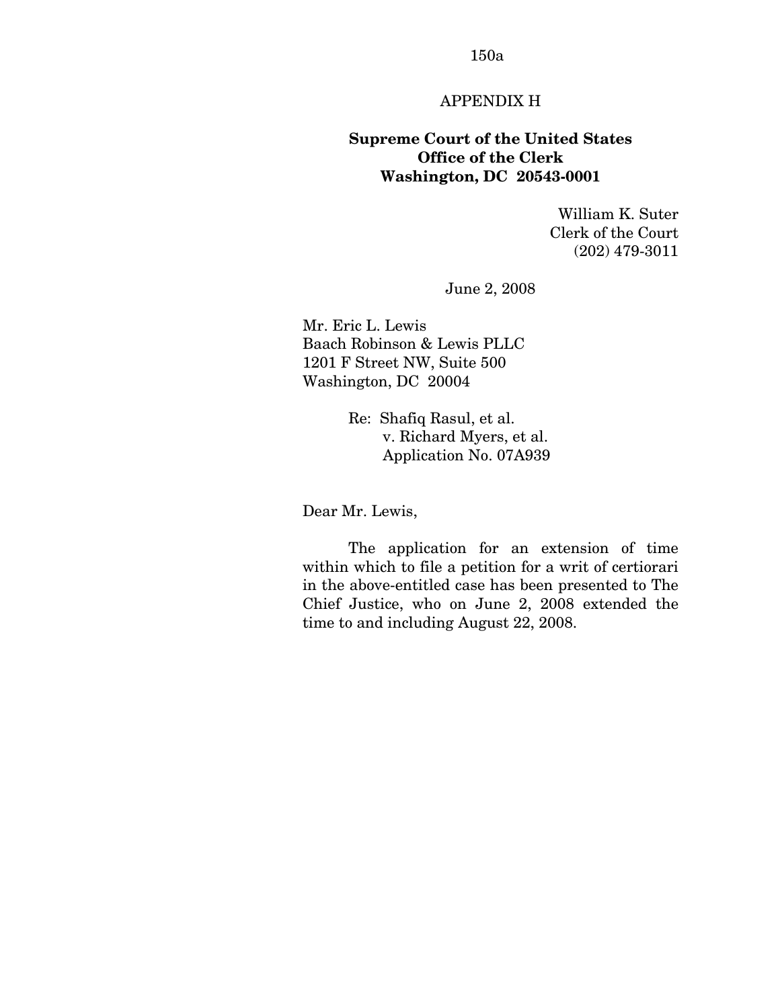### APPENDIX H

### **Supreme Court of the United States Office of the Clerk Washington, DC 20543-0001**

William K. Suter Clerk of the Court (202) 479-3011

June 2, 2008

Mr. Eric L. Lewis Baach Robinson & Lewis PLLC 1201 F Street NW, Suite 500 Washington, DC 20004

> Re: Shafiq Rasul, et al. v. Richard Myers, et al. Application No. 07A939

Dear Mr. Lewis,

 The application for an extension of time within which to file a petition for a writ of certiorari in the above-entitled case has been presented to The Chief Justice, who on June 2, 2008 extended the time to and including August 22, 2008.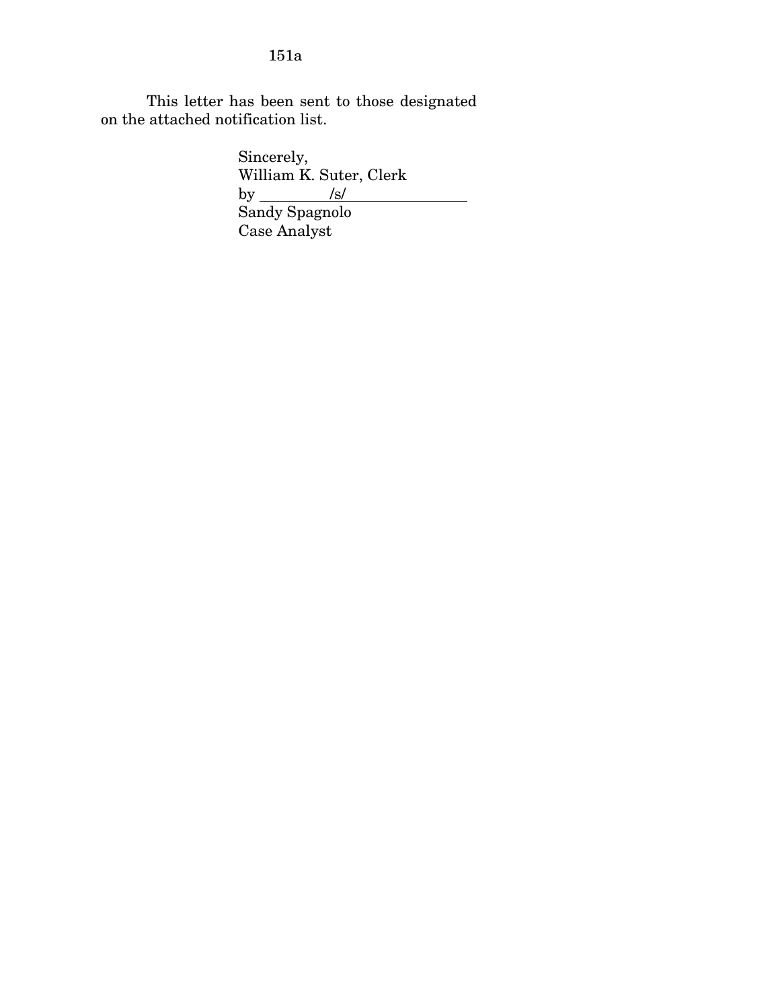This letter has been sent to those designated on the attached notification list.

Sincerely, William K. Suter, Clerk  $by \underline{\qquad \qquad \text{/s/}}$  Sandy Spagnolo Case Analyst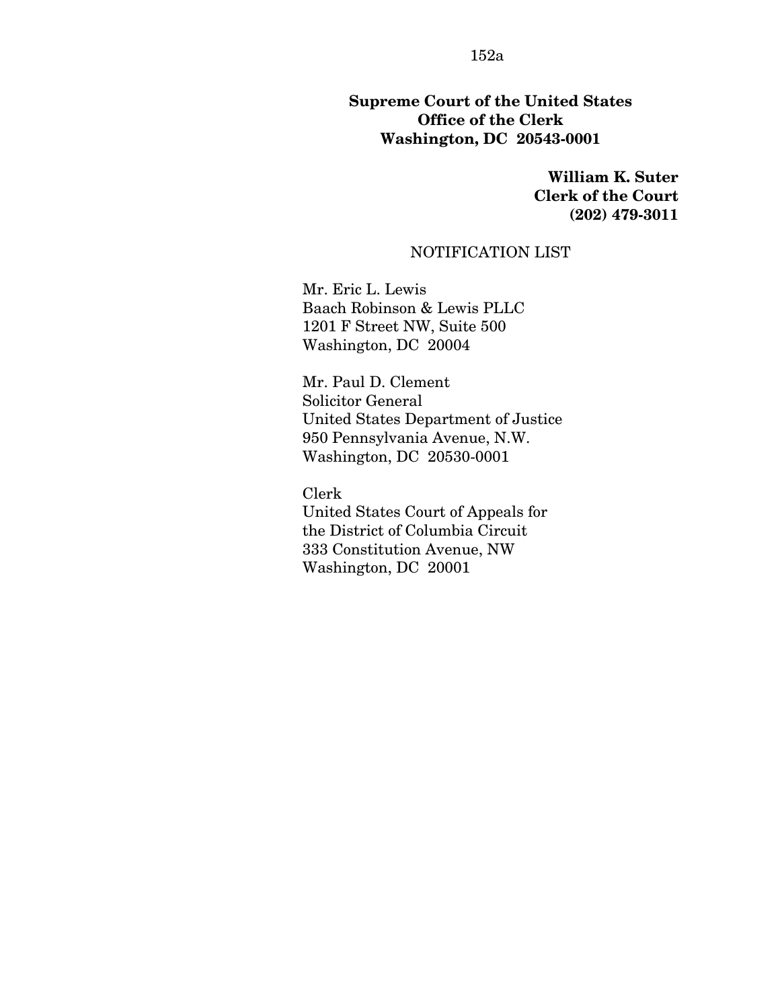### **Supreme Court of the United States Office of the Clerk Washington, DC 20543-0001**

**William K. Suter Clerk of the Court (202) 479-3011** 

#### NOTIFICATION LIST

Mr. Eric L. Lewis Baach Robinson & Lewis PLLC 1201 F Street NW, Suite 500 Washington, DC 20004

Mr. Paul D. Clement Solicitor General United States Department of Justice 950 Pennsylvania Avenue, N.W. Washington, DC 20530-0001

Clerk United States Court of Appeals for the District of Columbia Circuit 333 Constitution Avenue, NW Washington, DC 20001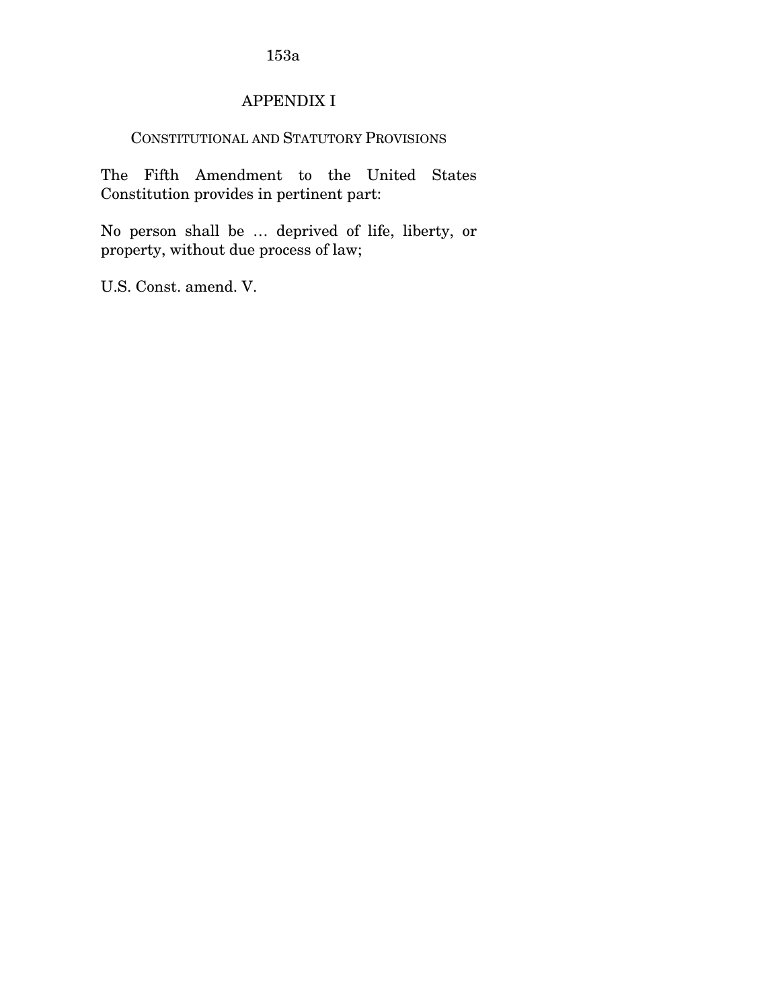### APPENDIX I

### CONSTITUTIONAL AND STATUTORY PROVISIONS

The Fifth Amendment to the United States Constitution provides in pertinent part:

No person shall be … deprived of life, liberty, or property, without due process of law;

U.S. Const. amend. V.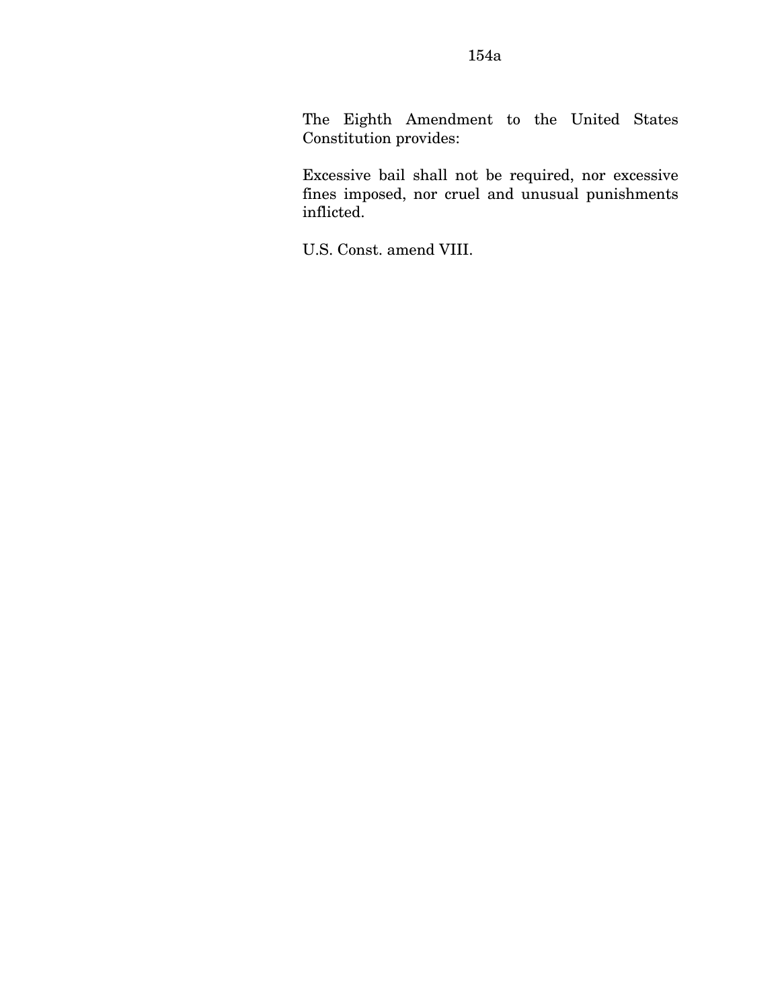The Eighth Amendment to the United States Constitution provides:

Excessive bail shall not be required, nor excessive fines imposed, nor cruel and unusual punishments inflicted.

U.S. Const. amend VIII.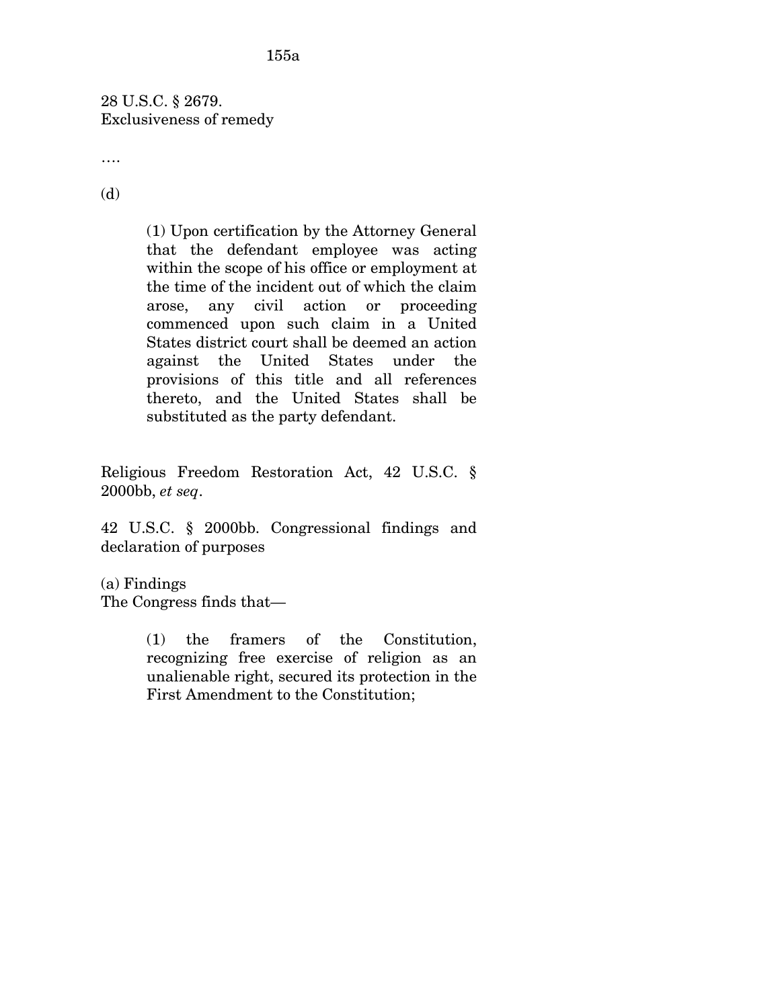28 U.S.C. § 2679. Exclusiveness of remedy

….

(d)

(1) Upon certification by the Attorney General that the defendant employee was acting within the scope of his office or employment at the time of the incident out of which the claim arose, any civil action or proceeding commenced upon such claim in a United States district court shall be deemed an action against the United States under the provisions of this title and all references thereto, and the United States shall be substituted as the party defendant.

Religious Freedom Restoration Act, 42 U.S.C. § 2000bb, *et seq*.

42 U.S.C. § 2000bb. Congressional findings and declaration of purposes

(a) Findings

The Congress finds that—

(1) the framers of the Constitution, recognizing free exercise of religion as an unalienable right, secured its protection in the First Amendment to the Constitution;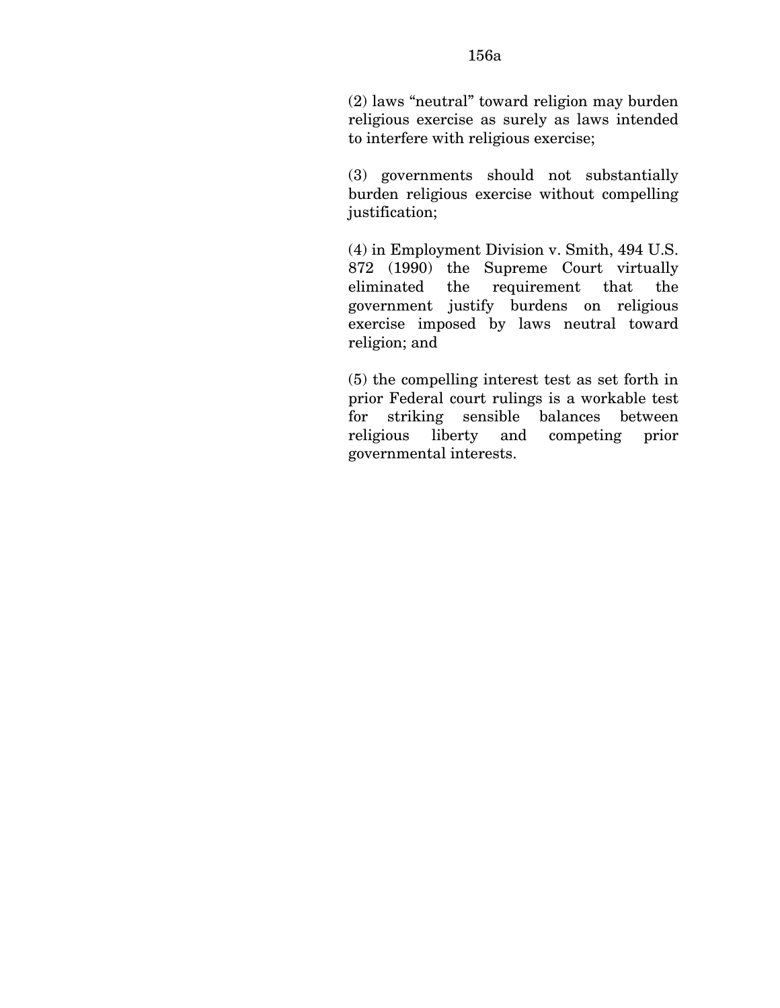(3) governments should not substantially burden religious exercise without compelling justification;

(4) in Employment Division v. Smith, 494 U.S. 872 (1990) the Supreme Court virtually eliminated the requirement that the government justify burdens on religious exercise imposed by laws neutral toward religion; and

(5) the compelling interest test as set forth in prior Federal court rulings is a workable test for striking sensible balances between religious liberty and competing prior governmental interests.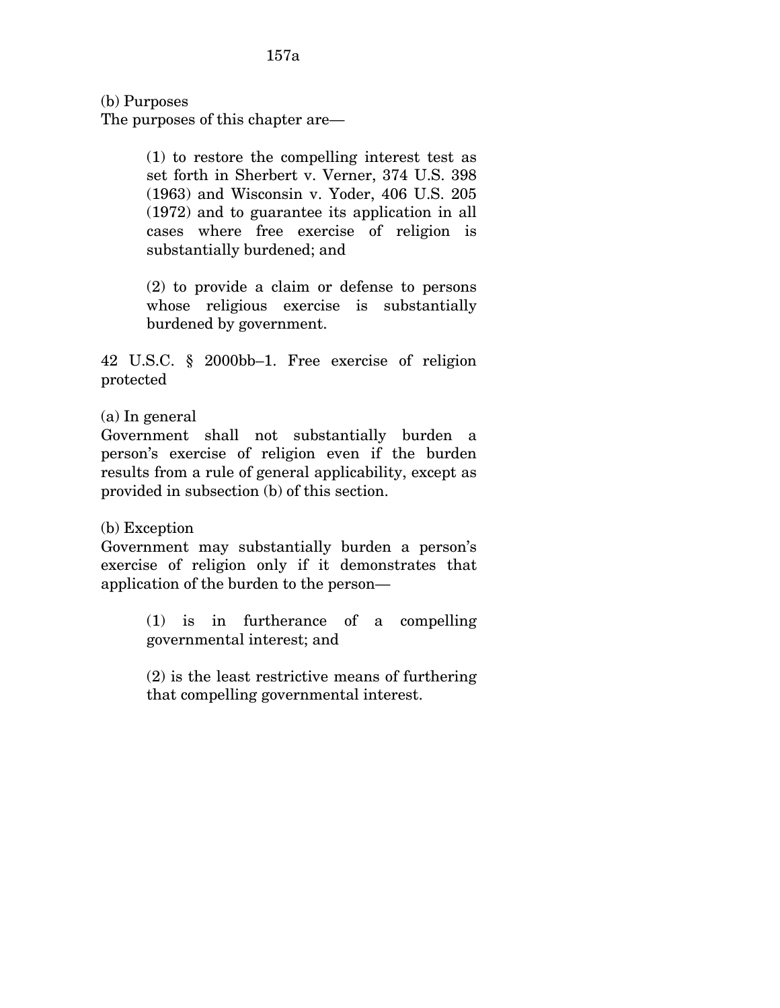(b) Purposes

The purposes of this chapter are—

(1) to restore the compelling interest test as set forth in Sherbert v. Verner, 374 U.S. 398 (1963) and Wisconsin v. Yoder, 406 U.S. 205 (1972) and to guarantee its application in all cases where free exercise of religion is substantially burdened; and

(2) to provide a claim or defense to persons whose religious exercise is substantially burdened by government.

42 U.S.C. § 2000bb–1. Free exercise of religion protected

(a) In general

Government shall not substantially burden a person's exercise of religion even if the burden results from a rule of general applicability, except as provided in subsection (b) of this section.

(b) Exception

Government may substantially burden a person's exercise of religion only if it demonstrates that application of the burden to the person—

> (1) is in furtherance of a compelling governmental interest; and

> (2) is the least restrictive means of furthering that compelling governmental interest.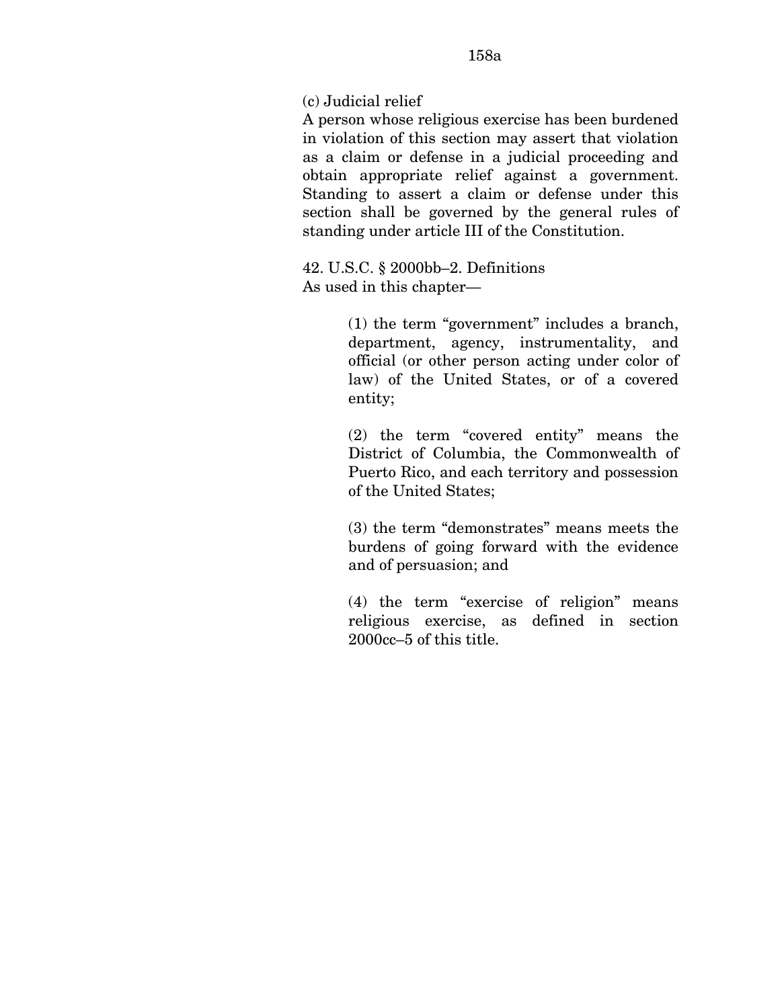(c) Judicial relief

A person whose religious exercise has been burdened in violation of this section may assert that violation as a claim or defense in a judicial proceeding and obtain appropriate relief against a government. Standing to assert a claim or defense under this section shall be governed by the general rules of standing under article III of the Constitution.

42. U.S.C. § 2000bb–2. Definitions As used in this chapter—

> (1) the term "government" includes a branch, department, agency, instrumentality, and official (or other person acting under color of law) of the United States, or of a covered entity;

> (2) the term "covered entity" means the District of Columbia, the Commonwealth of Puerto Rico, and each territory and possession of the United States;

> (3) the term "demonstrates" means meets the burdens of going forward with the evidence and of persuasion; and

> (4) the term "exercise of religion" means religious exercise, as defined in section 2000cc–5 of this title.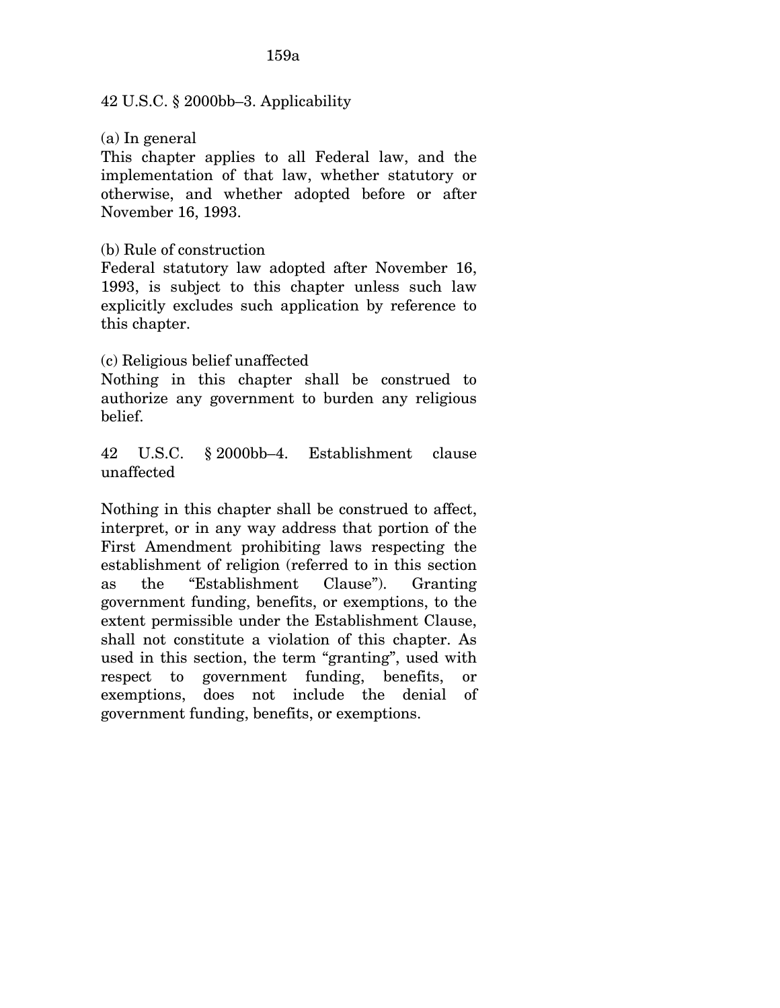#### 42 U.S.C. § 2000bb–3. Applicability

(a) In general

This chapter applies to all Federal law, and the implementation of that law, whether statutory or otherwise, and whether adopted before or after November 16, 1993.

### (b) Rule of construction

Federal statutory law adopted after November 16, 1993, is subject to this chapter unless such law explicitly excludes such application by reference to this chapter.

### (c) Religious belief unaffected

Nothing in this chapter shall be construed to authorize any government to burden any religious belief.

42 U.S.C. § 2000bb–4. Establishment clause unaffected

Nothing in this chapter shall be construed to affect, interpret, or in any way address that portion of the First Amendment prohibiting laws respecting the establishment of religion (referred to in this section as the "Establishment Clause"). Granting government funding, benefits, or exemptions, to the extent permissible under the Establishment Clause, shall not constitute a violation of this chapter. As used in this section, the term "granting", used with respect to government funding, benefits, or exemptions, does not include the denial of government funding, benefits, or exemptions.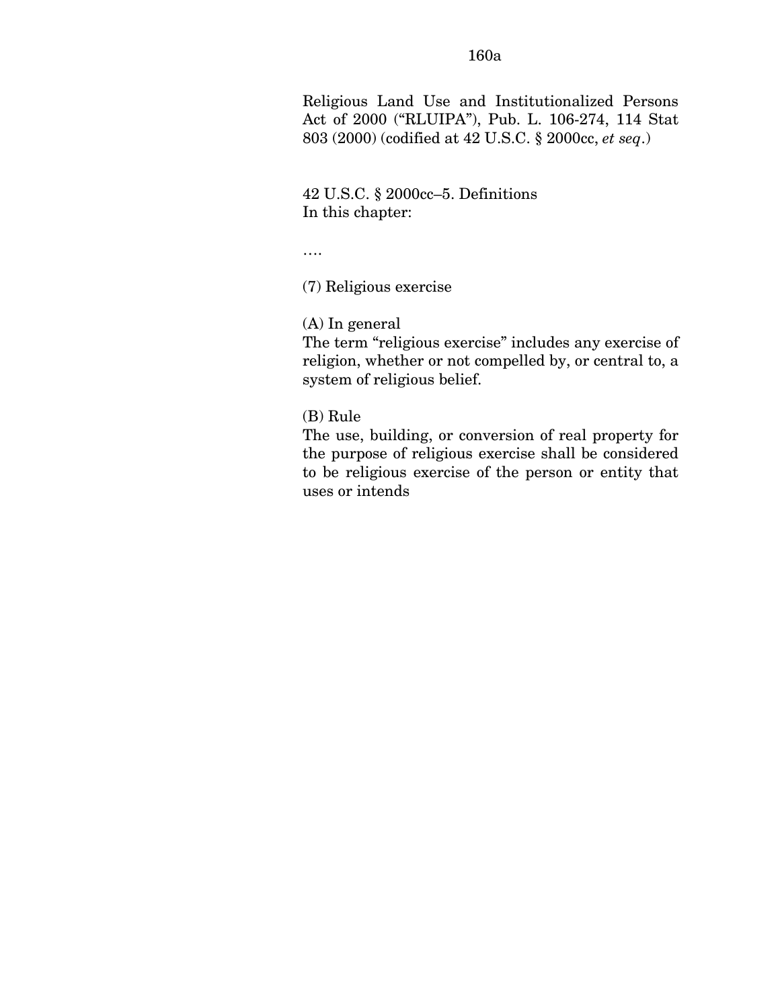Religious Land Use and Institutionalized Persons Act of 2000 ("RLUIPA"), Pub. L. 106-274, 114 Stat 803 (2000) (codified at 42 U.S.C. § 2000cc, *et seq*.)

42 U.S.C. § 2000cc–5. Definitions In this chapter:

….

(7) Religious exercise

(A) In general

The term "religious exercise" includes any exercise of religion, whether or not compelled by, or central to, a system of religious belief.

(B) Rule

The use, building, or conversion of real property for the purpose of religious exercise shall be considered to be religious exercise of the person or entity that uses or intends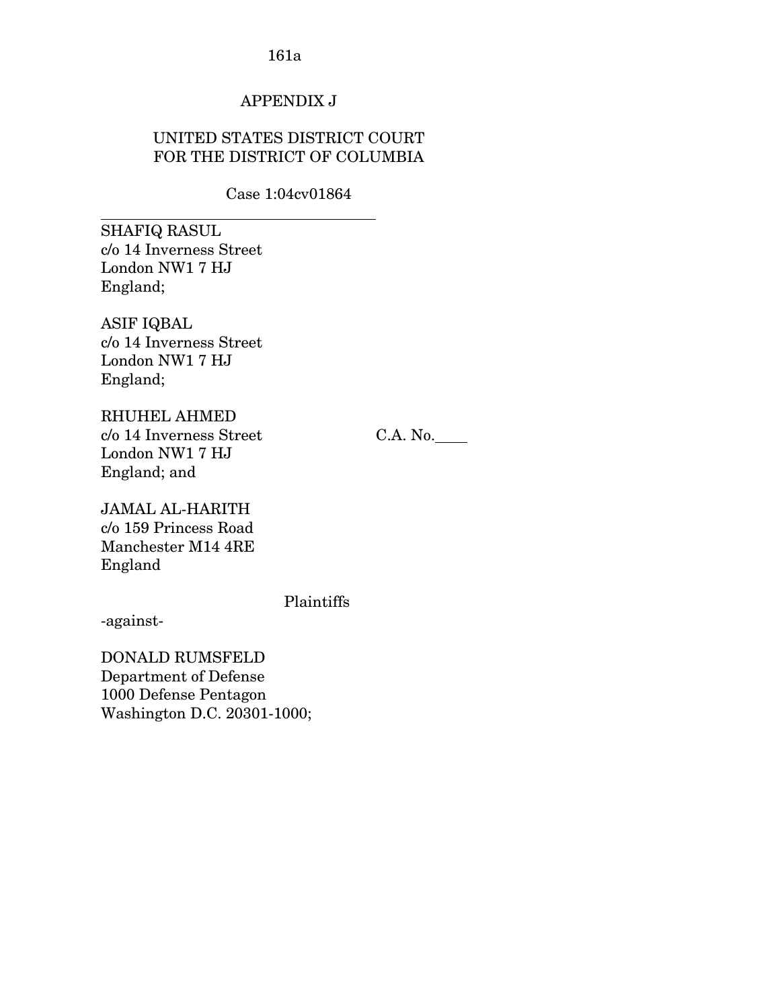### APPENDIX J

### UNITED STATES DISTRICT COURT FOR THE DISTRICT OF COLUMBIA

Case 1:04cv01864

SHAFIQ RASUL c/o 14 Inverness Street London NW1 7 HJ England;

 $\overline{a}$ 

ASIF IQBAL c/o 14 Inverness Street London NW1 7 HJ England;

RHUHEL AHMED c/o 14 Inverness Street C.A. No. London NW1 7 HJ England; and

JAMAL AL-HARITH c/o 159 Princess Road Manchester M14 4RE England

Plaintiffs

-against-

DONALD RUMSFELD Department of Defense 1000 Defense Pentagon Washington D.C. 20301-1000;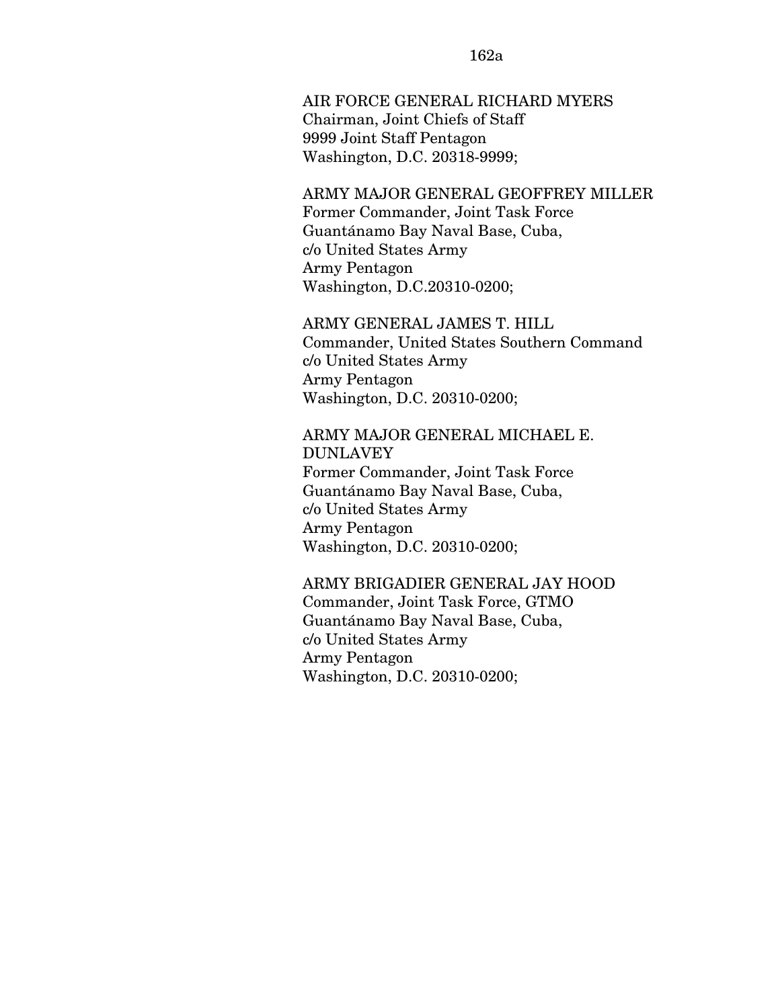AIR FORCE GENERAL RICHARD MYERS Chairman, Joint Chiefs of Staff 9999 Joint Staff Pentagon Washington, D.C. 20318-9999;

### ARMY MAJOR GENERAL GEOFFREY MILLER Former Commander, Joint Task Force Guantánamo Bay Naval Base, Cuba, c/o United States Army Army Pentagon Washington, D.C.20310-0200;

ARMY GENERAL JAMES T. HILL Commander, United States Southern Command c/o United States Army Army Pentagon Washington, D.C. 20310-0200;

### ARMY MAJOR GENERAL MICHAEL E. DUNLAVEY Former Commander, Joint Task Force Guantánamo Bay Naval Base, Cuba, c/o United States Army Army Pentagon Washington, D.C. 20310-0200;

# ARMY BRIGADIER GENERAL JAY HOOD

Commander, Joint Task Force, GTMO Guantánamo Bay Naval Base, Cuba, c/o United States Army Army Pentagon Washington, D.C. 20310-0200;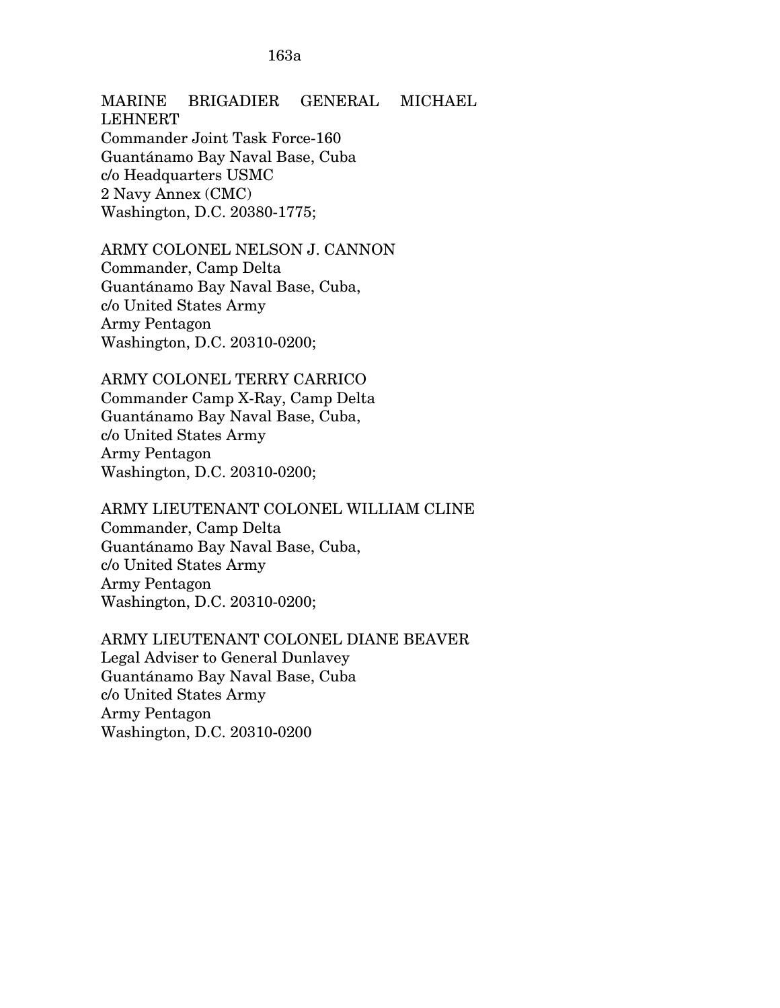### MARINE BRIGADIER GENERAL MICHAEL LEHNERT Commander Joint Task Force-160 Guantánamo Bay Naval Base, Cuba c/o Headquarters USMC 2 Navy Annex (CMC) Washington, D.C. 20380-1775;

ARMY COLONEL NELSON J. CANNON Commander, Camp Delta Guantánamo Bay Naval Base, Cuba, c/o United States Army Army Pentagon Washington, D.C. 20310-0200;

ARMY COLONEL TERRY CARRICO Commander Camp X-Ray, Camp Delta Guantánamo Bay Naval Base, Cuba, c/o United States Army Army Pentagon Washington, D.C. 20310-0200;

ARMY LIEUTENANT COLONEL WILLIAM CLINE Commander, Camp Delta Guantánamo Bay Naval Base, Cuba, c/o United States Army Army Pentagon Washington, D.C. 20310-0200;

### ARMY LIEUTENANT COLONEL DIANE BEAVER

Legal Adviser to General Dunlavey Guantánamo Bay Naval Base, Cuba c/o United States Army Army Pentagon Washington, D.C. 20310-0200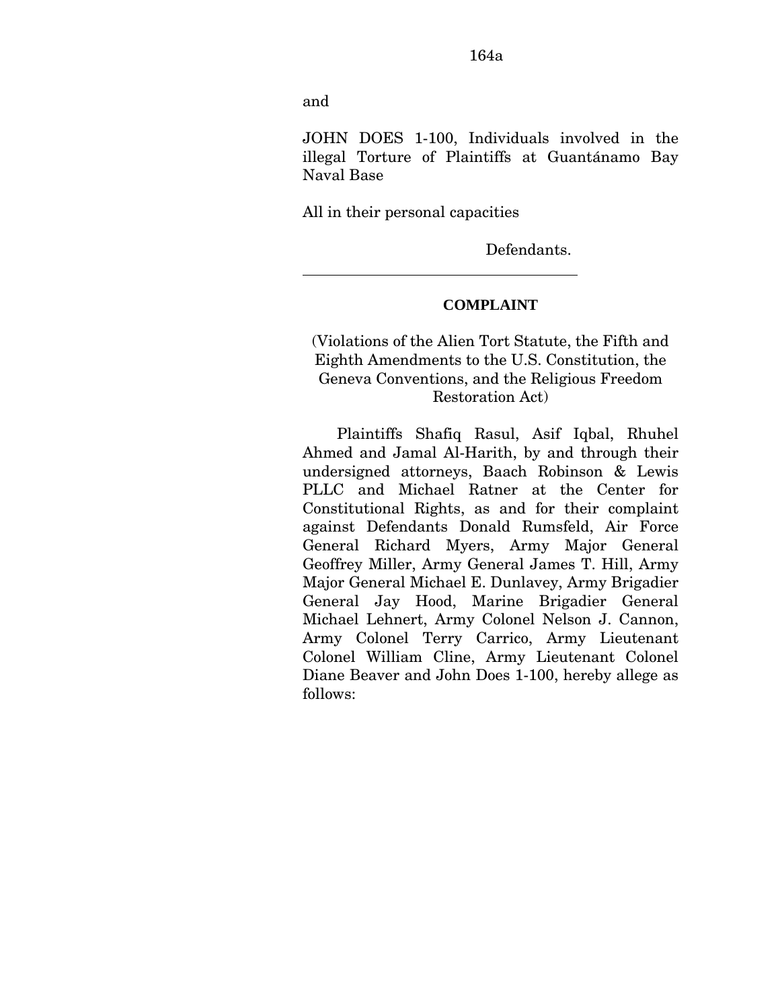and

 $\overline{a}$ 

JOHN DOES 1-100, Individuals involved in the illegal Torture of Plaintiffs at Guantánamo Bay Naval Base

All in their personal capacities

Defendants.

### **COMPLAINT**

(Violations of the Alien Tort Statute, the Fifth and Eighth Amendments to the U.S. Constitution, the Geneva Conventions, and the Religious Freedom Restoration Act)

Plaintiffs Shafiq Rasul, Asif Iqbal, Rhuhel Ahmed and Jamal Al-Harith, by and through their undersigned attorneys, Baach Robinson & Lewis PLLC and Michael Ratner at the Center for Constitutional Rights, as and for their complaint against Defendants Donald Rumsfeld, Air Force General Richard Myers, Army Major General Geoffrey Miller, Army General James T. Hill, Army Major General Michael E. Dunlavey, Army Brigadier General Jay Hood, Marine Brigadier General Michael Lehnert, Army Colonel Nelson J. Cannon, Army Colonel Terry Carrico, Army Lieutenant Colonel William Cline, Army Lieutenant Colonel Diane Beaver and John Does 1-100, hereby allege as follows: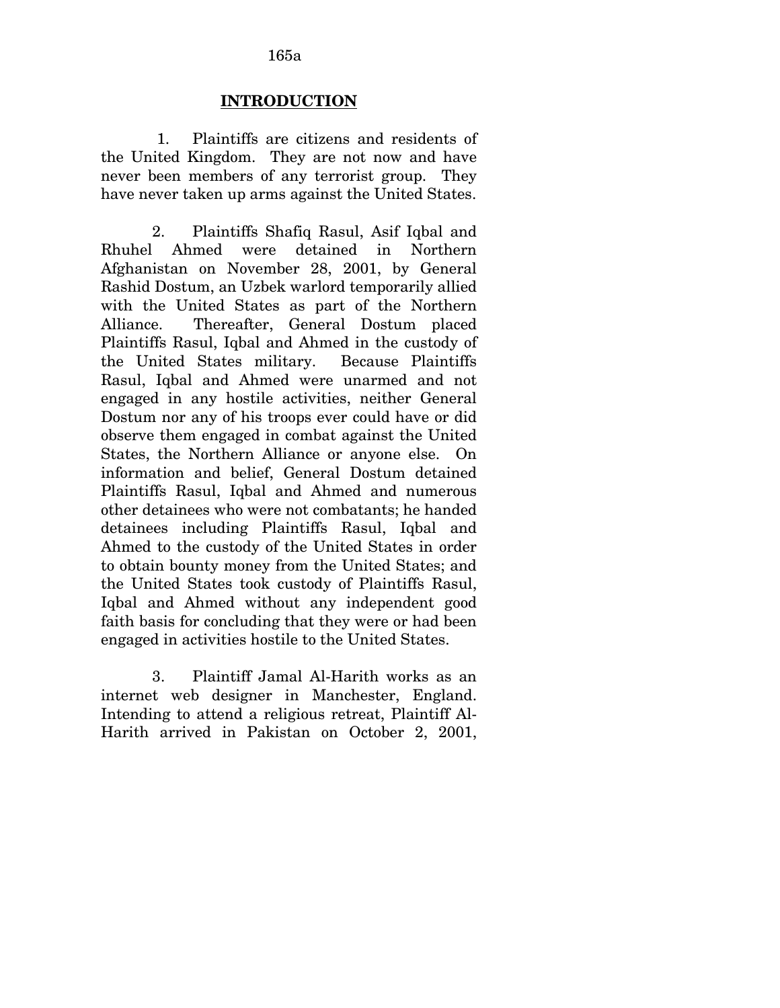### 165a

#### **INTRODUCTION**

1. Plaintiffs are citizens and residents of the United Kingdom. They are not now and have never been members of any terrorist group. They have never taken up arms against the United States.

2. Plaintiffs Shafiq Rasul, Asif Iqbal and Rhuhel Ahmed were detained in Northern Afghanistan on November 28, 2001, by General Rashid Dostum, an Uzbek warlord temporarily allied with the United States as part of the Northern Alliance. Thereafter, General Dostum placed Plaintiffs Rasul, Iqbal and Ahmed in the custody of the United States military. Because Plaintiffs Rasul, Iqbal and Ahmed were unarmed and not engaged in any hostile activities, neither General Dostum nor any of his troops ever could have or did observe them engaged in combat against the United States, the Northern Alliance or anyone else. On information and belief, General Dostum detained Plaintiffs Rasul, Iqbal and Ahmed and numerous other detainees who were not combatants; he handed detainees including Plaintiffs Rasul, Iqbal and Ahmed to the custody of the United States in order to obtain bounty money from the United States; and the United States took custody of Plaintiffs Rasul, Iqbal and Ahmed without any independent good faith basis for concluding that they were or had been engaged in activities hostile to the United States.

3. Plaintiff Jamal Al-Harith works as an internet web designer in Manchester, England. Intending to attend a religious retreat, Plaintiff Al-Harith arrived in Pakistan on October 2, 2001,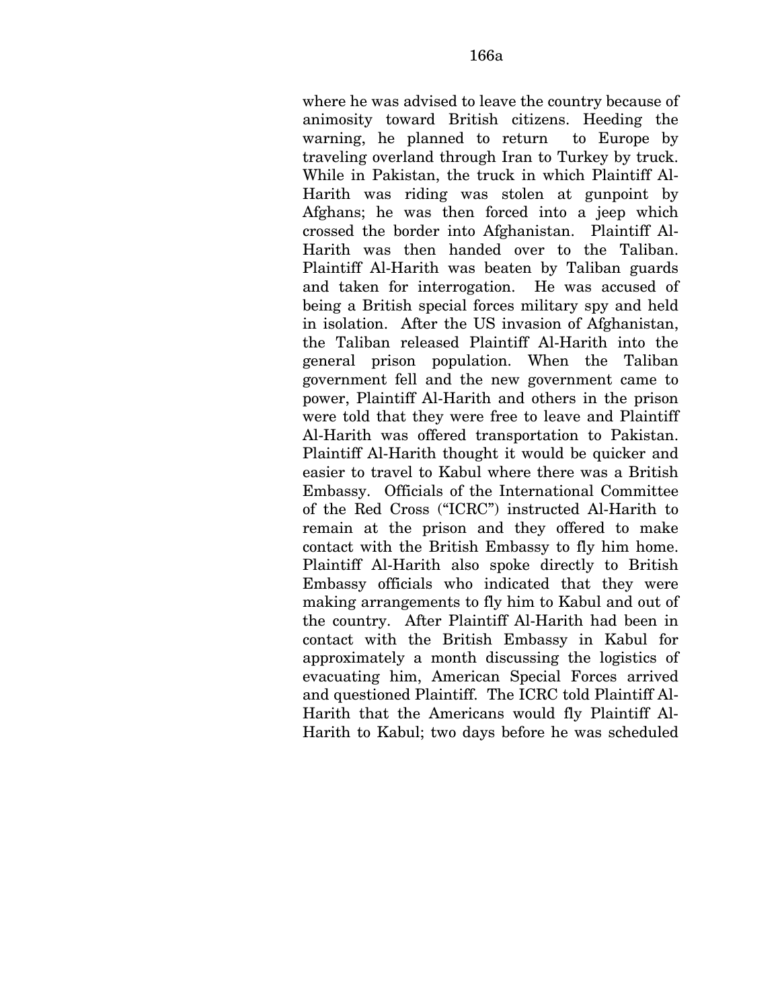where he was advised to leave the country because of animosity toward British citizens. Heeding the warning, he planned to return to Europe by traveling overland through Iran to Turkey by truck. While in Pakistan, the truck in which Plaintiff Al-Harith was riding was stolen at gunpoint by Afghans; he was then forced into a jeep which crossed the border into Afghanistan. Plaintiff Al-Harith was then handed over to the Taliban. Plaintiff Al-Harith was beaten by Taliban guards and taken for interrogation. He was accused of being a British special forces military spy and held in isolation. After the US invasion of Afghanistan, the Taliban released Plaintiff Al-Harith into the general prison population. When the Taliban government fell and the new government came to power, Plaintiff Al-Harith and others in the prison were told that they were free to leave and Plaintiff Al-Harith was offered transportation to Pakistan. Plaintiff Al-Harith thought it would be quicker and easier to travel to Kabul where there was a British Embassy. Officials of the International Committee of the Red Cross ("ICRC") instructed Al-Harith to remain at the prison and they offered to make contact with the British Embassy to fly him home. Plaintiff Al-Harith also spoke directly to British Embassy officials who indicated that they were making arrangements to fly him to Kabul and out of the country. After Plaintiff Al-Harith had been in contact with the British Embassy in Kabul for approximately a month discussing the logistics of evacuating him, American Special Forces arrived and questioned Plaintiff. The ICRC told Plaintiff Al-Harith that the Americans would fly Plaintiff Al-Harith to Kabul; two days before he was scheduled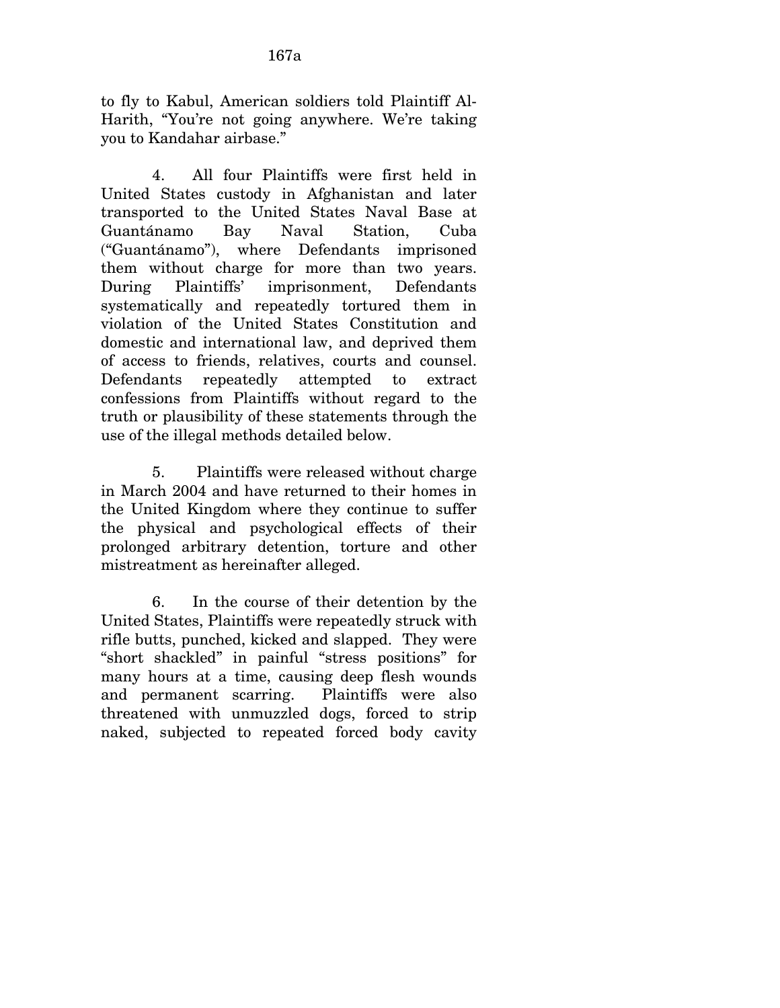to fly to Kabul, American soldiers told Plaintiff Al-Harith, "You're not going anywhere. We're taking you to Kandahar airbase."

4. All four Plaintiffs were first held in United States custody in Afghanistan and later transported to the United States Naval Base at Guantánamo Bay Naval Station, Cuba ("Guantánamo"), where Defendants imprisoned them without charge for more than two years. During Plaintiffs' imprisonment, Defendants systematically and repeatedly tortured them in violation of the United States Constitution and domestic and international law, and deprived them of access to friends, relatives, courts and counsel. Defendants repeatedly attempted to extract confessions from Plaintiffs without regard to the truth or plausibility of these statements through the use of the illegal methods detailed below.

5. Plaintiffs were released without charge in March 2004 and have returned to their homes in the United Kingdom where they continue to suffer the physical and psychological effects of their prolonged arbitrary detention, torture and other mistreatment as hereinafter alleged.

6. In the course of their detention by the United States, Plaintiffs were repeatedly struck with rifle butts, punched, kicked and slapped. They were "short shackled" in painful "stress positions" for many hours at a time, causing deep flesh wounds and permanent scarring. Plaintiffs were also threatened with unmuzzled dogs, forced to strip naked, subjected to repeated forced body cavity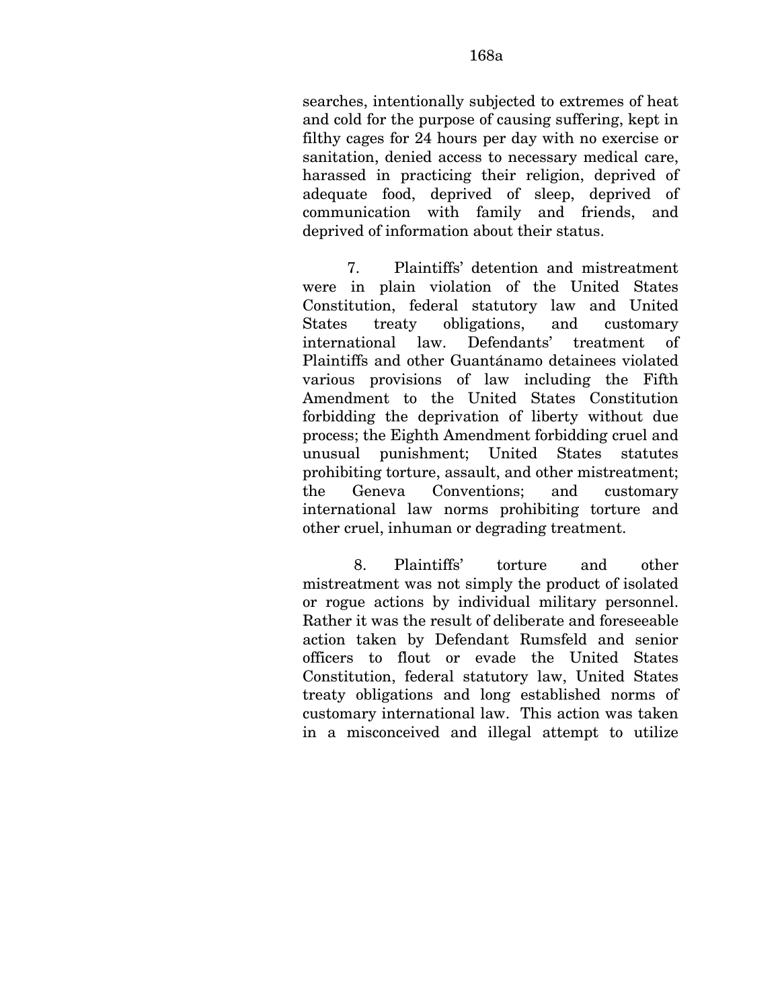searches, intentionally subjected to extremes of heat and cold for the purpose of causing suffering, kept in filthy cages for 24 hours per day with no exercise or sanitation, denied access to necessary medical care, harassed in practicing their religion, deprived of adequate food, deprived of sleep, deprived of communication with family and friends, and deprived of information about their status.

7. Plaintiffs' detention and mistreatment were in plain violation of the United States Constitution, federal statutory law and United States treaty obligations, and customary international law. Defendants' treatment of Plaintiffs and other Guantánamo detainees violated various provisions of law including the Fifth Amendment to the United States Constitution forbidding the deprivation of liberty without due process; the Eighth Amendment forbidding cruel and unusual punishment; United States statutes prohibiting torture, assault, and other mistreatment; the Geneva Conventions; and customary international law norms prohibiting torture and other cruel, inhuman or degrading treatment.

8. Plaintiffs' torture and other mistreatment was not simply the product of isolated or rogue actions by individual military personnel. Rather it was the result of deliberate and foreseeable action taken by Defendant Rumsfeld and senior officers to flout or evade the United States Constitution, federal statutory law, United States treaty obligations and long established norms of customary international law. This action was taken in a misconceived and illegal attempt to utilize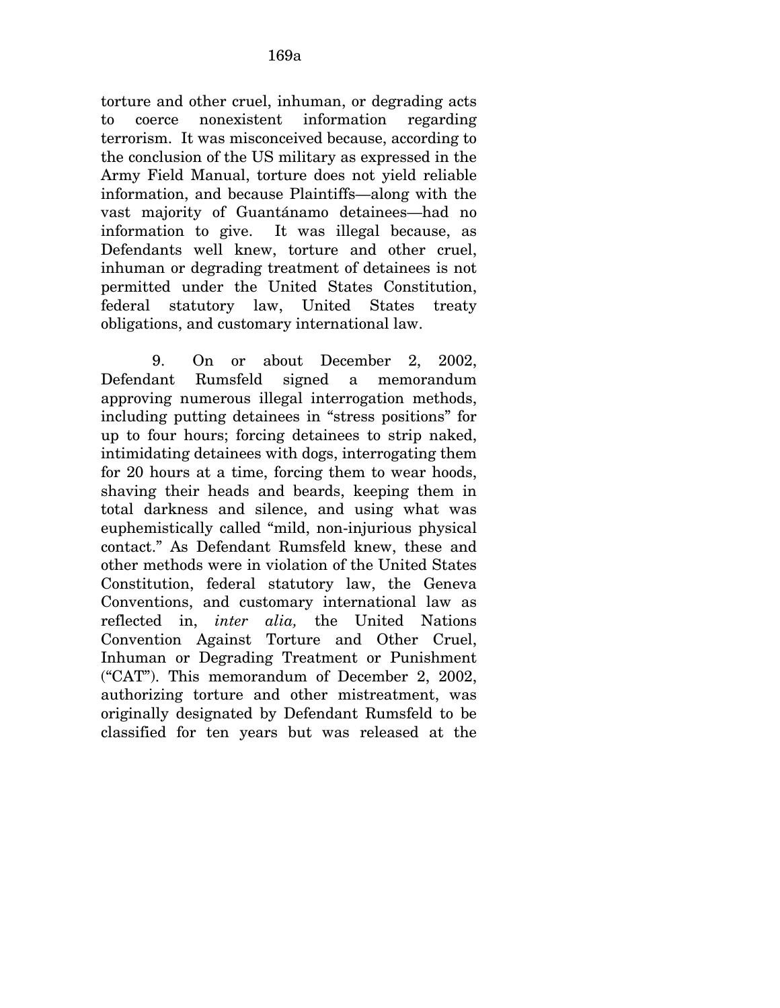the conclusion of the US military as expressed in the Army Field Manual, torture does not yield reliable information, and because Plaintiffs—along with the vast majority of Guantánamo detainees—had no information to give. It was illegal because, as Defendants well knew, torture and other cruel, inhuman or degrading treatment of detainees is not permitted under the United States Constitution, federal statutory law, United States treaty obligations, and customary international law.

9. On or about December 2, 2002, Defendant Rumsfeld signed a memorandum approving numerous illegal interrogation methods, including putting detainees in "stress positions" for up to four hours; forcing detainees to strip naked, intimidating detainees with dogs, interrogating them for 20 hours at a time, forcing them to wear hoods, shaving their heads and beards, keeping them in total darkness and silence, and using what was euphemistically called "mild, non-injurious physical contact." As Defendant Rumsfeld knew, these and other methods were in violation of the United States Constitution, federal statutory law, the Geneva Conventions, and customary international law as reflected in, *inter alia,* the United Nations Convention Against Torture and Other Cruel, Inhuman or Degrading Treatment or Punishment ("CAT"). This memorandum of December 2, 2002, authorizing torture and other mistreatment, was originally designated by Defendant Rumsfeld to be classified for ten years but was released at the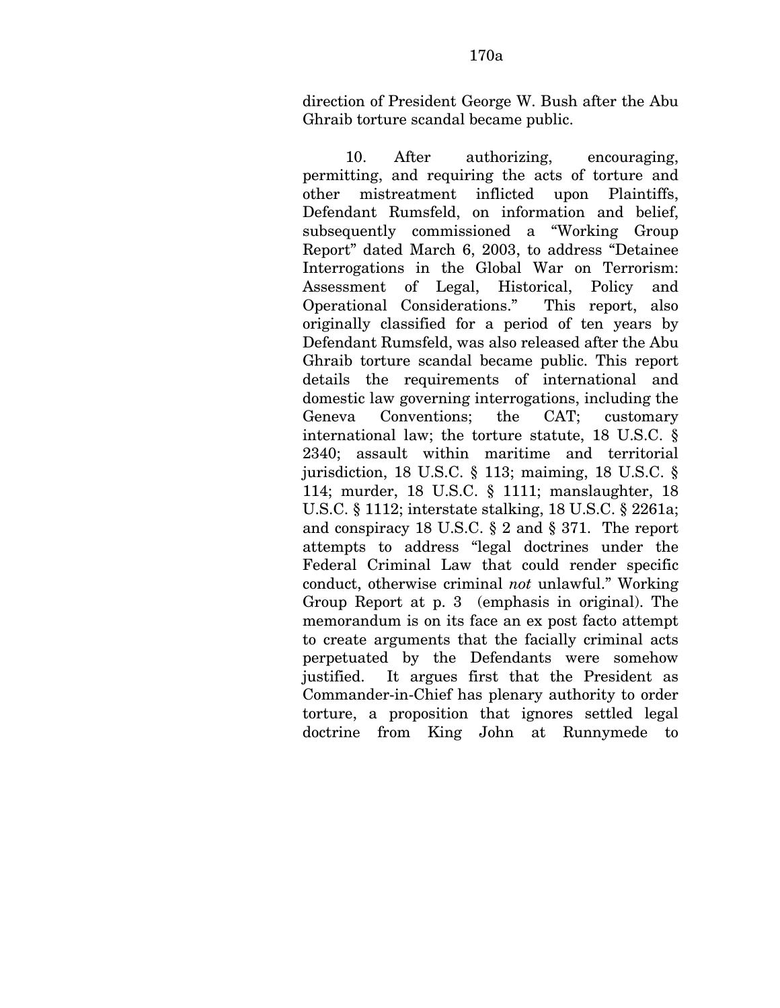direction of President George W. Bush after the Abu Ghraib torture scandal became public.

10. After authorizing, encouraging, permitting, and requiring the acts of torture and other mistreatment inflicted upon Plaintiffs, Defendant Rumsfeld, on information and belief, subsequently commissioned a "Working Group Report" dated March 6, 2003, to address "Detainee Interrogations in the Global War on Terrorism: Assessment of Legal, Historical, Policy and Operational Considerations." This report, also originally classified for a period of ten years by Defendant Rumsfeld, was also released after the Abu Ghraib torture scandal became public. This report details the requirements of international and domestic law governing interrogations, including the Geneva Conventions; the CAT; customary international law; the torture statute, 18 U.S.C. § 2340; assault within maritime and territorial jurisdiction, 18 U.S.C. § 113; maiming, 18 U.S.C. § 114; murder, 18 U.S.C. § 1111; manslaughter, 18 U.S.C. § 1112; interstate stalking, 18 U.S.C. § 2261a; and conspiracy 18 U.S.C. § 2 and § 371. The report attempts to address "legal doctrines under the Federal Criminal Law that could render specific conduct, otherwise criminal *not* unlawful." Working Group Report at p. 3 (emphasis in original). The memorandum is on its face an ex post facto attempt to create arguments that the facially criminal acts perpetuated by the Defendants were somehow justified. It argues first that the President as Commander-in-Chief has plenary authority to order torture, a proposition that ignores settled legal doctrine from King John at Runnymede to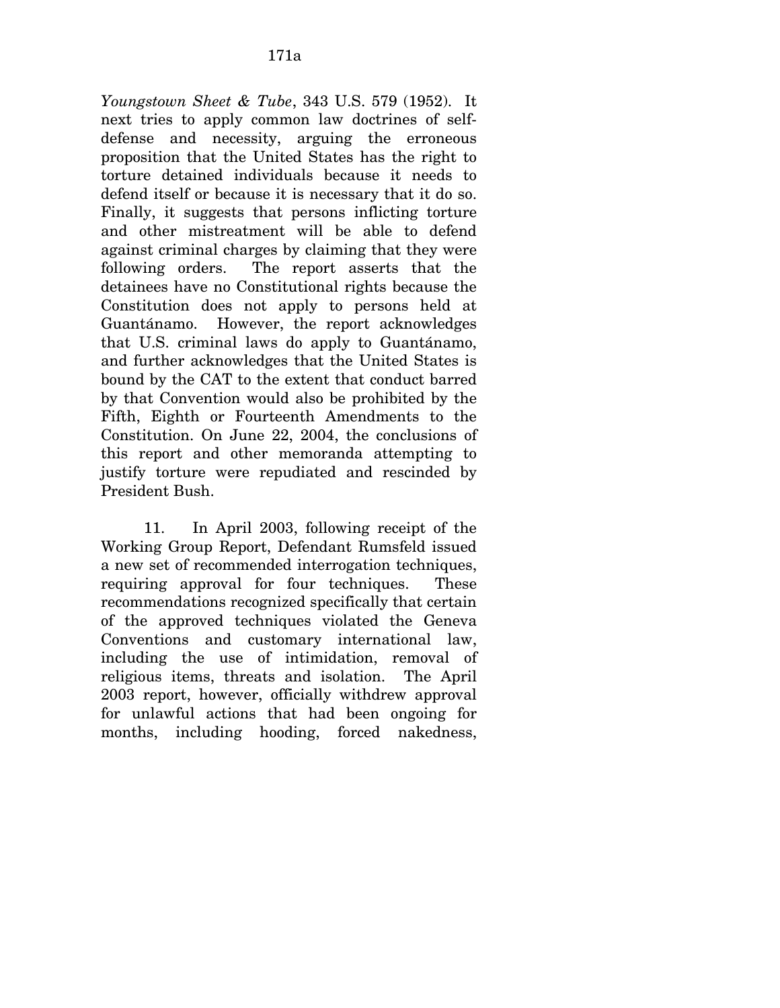*Youngstown Sheet & Tube*, 343 U.S. 579 (1952). It next tries to apply common law doctrines of selfdefense and necessity, arguing the erroneous proposition that the United States has the right to torture detained individuals because it needs to defend itself or because it is necessary that it do so. Finally, it suggests that persons inflicting torture and other mistreatment will be able to defend against criminal charges by claiming that they were following orders. The report asserts that the detainees have no Constitutional rights because the Constitution does not apply to persons held at Guantánamo. However, the report acknowledges that U.S. criminal laws do apply to Guantánamo, and further acknowledges that the United States is bound by the CAT to the extent that conduct barred by that Convention would also be prohibited by the Fifth, Eighth or Fourteenth Amendments to the Constitution. On June 22, 2004, the conclusions of this report and other memoranda attempting to justify torture were repudiated and rescinded by President Bush.

11. In April 2003, following receipt of the Working Group Report, Defendant Rumsfeld issued a new set of recommended interrogation techniques, requiring approval for four techniques. These recommendations recognized specifically that certain of the approved techniques violated the Geneva Conventions and customary international law, including the use of intimidation, removal of religious items, threats and isolation. The April 2003 report, however, officially withdrew approval for unlawful actions that had been ongoing for months, including hooding, forced nakedness,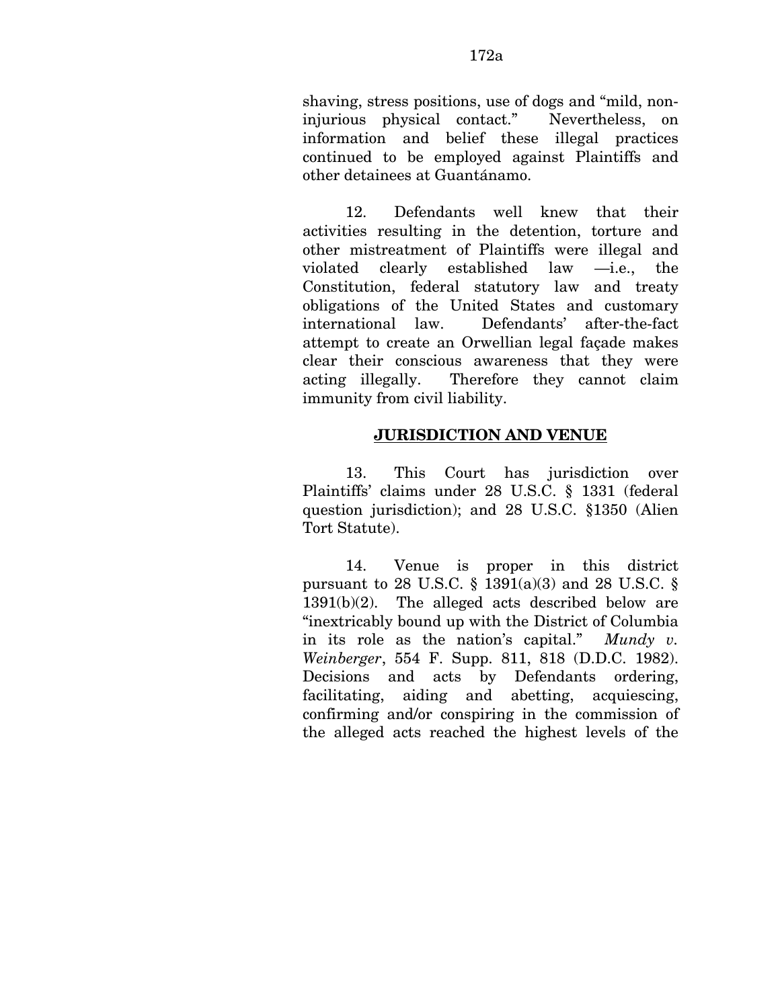12. Defendants well knew that their activities resulting in the detention, torture and other mistreatment of Plaintiffs were illegal and violated clearly established law —i.e., the Constitution, federal statutory law and treaty obligations of the United States and customary international law. Defendants' after-the-fact attempt to create an Orwellian legal façade makes clear their conscious awareness that they were acting illegally. Therefore they cannot claim immunity from civil liability.

## **JURISDICTION AND VENUE**

13. This Court has jurisdiction over Plaintiffs' claims under 28 U.S.C. § 1331 (federal question jurisdiction); and 28 U.S.C. §1350 (Alien Tort Statute).

14. Venue is proper in this district pursuant to 28 U.S.C.  $\S$  1391(a)(3) and 28 U.S.C.  $\S$ 1391(b)(2). The alleged acts described below are "inextricably bound up with the District of Columbia in its role as the nation's capital." *Mundy v. Weinberger*, 554 F. Supp. 811, 818 (D.D.C. 1982). Decisions and acts by Defendants ordering, facilitating, aiding and abetting, acquiescing, confirming and/or conspiring in the commission of the alleged acts reached the highest levels of the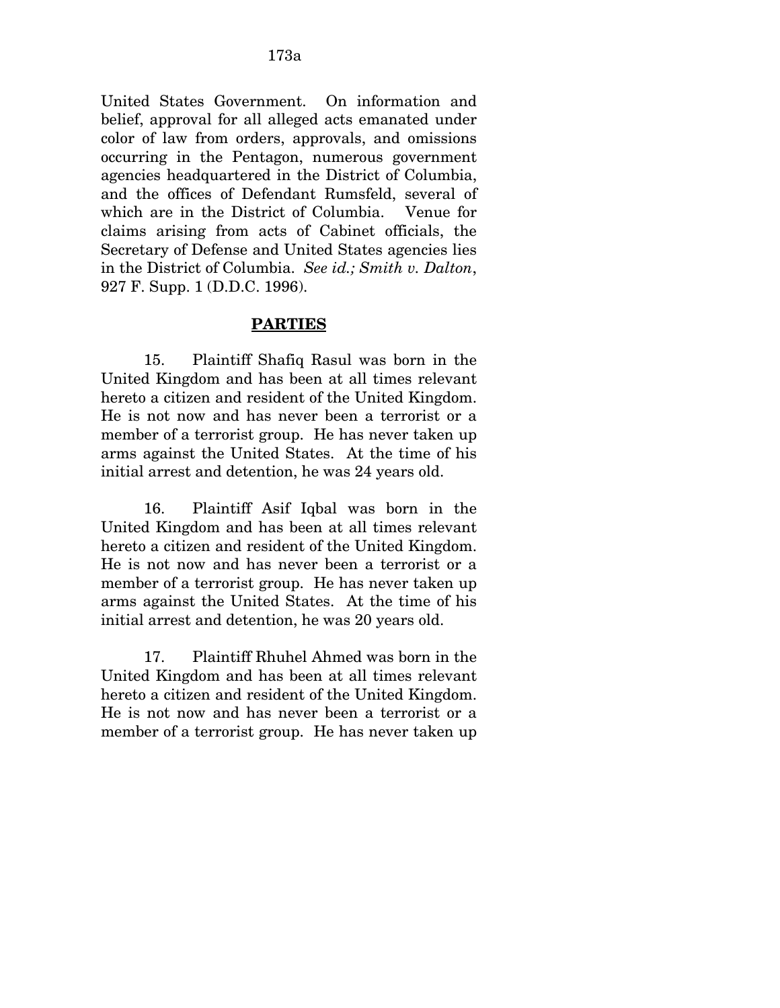United States Government. On information and belief, approval for all alleged acts emanated under color of law from orders, approvals, and omissions occurring in the Pentagon, numerous government agencies headquartered in the District of Columbia, and the offices of Defendant Rumsfeld, several of which are in the District of Columbia. Venue for claims arising from acts of Cabinet officials, the Secretary of Defense and United States agencies lies in the District of Columbia. *See id.; Smith v. Dalton*, 927 F. Supp. 1 (D.D.C. 1996).

### **PARTIES**

15. Plaintiff Shafiq Rasul was born in the United Kingdom and has been at all times relevant hereto a citizen and resident of the United Kingdom. He is not now and has never been a terrorist or a member of a terrorist group. He has never taken up arms against the United States. At the time of his initial arrest and detention, he was 24 years old.

16. Plaintiff Asif Iqbal was born in the United Kingdom and has been at all times relevant hereto a citizen and resident of the United Kingdom. He is not now and has never been a terrorist or a member of a terrorist group. He has never taken up arms against the United States. At the time of his initial arrest and detention, he was 20 years old.

17. Plaintiff Rhuhel Ahmed was born in the United Kingdom and has been at all times relevant hereto a citizen and resident of the United Kingdom. He is not now and has never been a terrorist or a member of a terrorist group. He has never taken up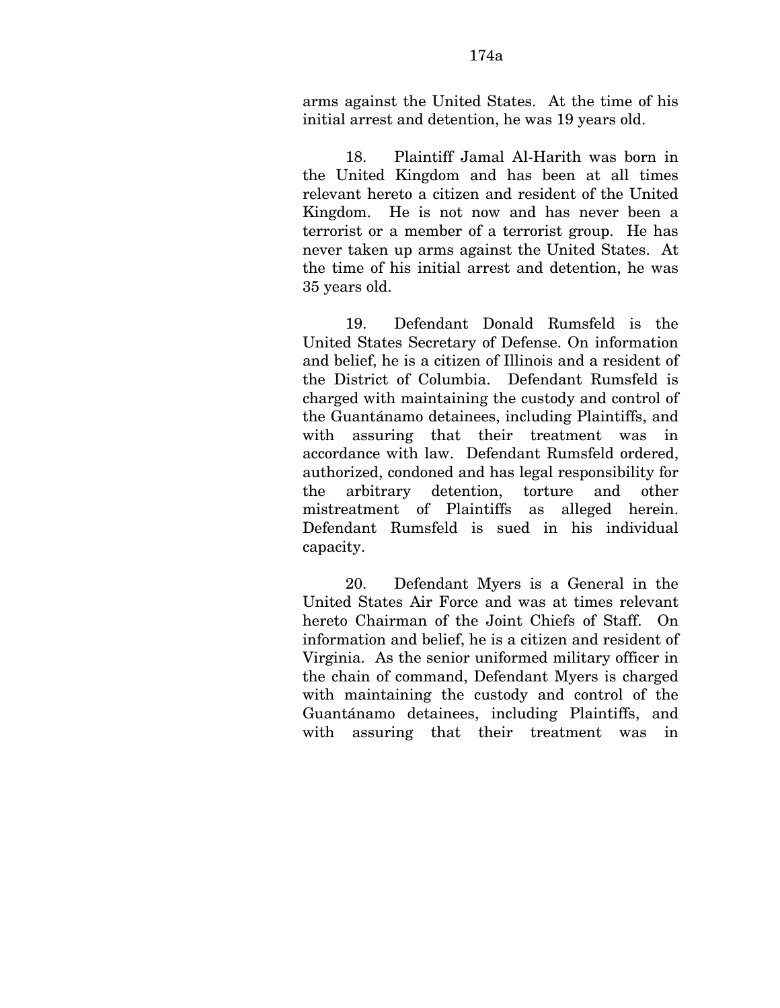18. Plaintiff Jamal Al-Harith was born in the United Kingdom and has been at all times relevant hereto a citizen and resident of the United Kingdom. He is not now and has never been a terrorist or a member of a terrorist group. He has never taken up arms against the United States. At the time of his initial arrest and detention, he was 35 years old.

19. Defendant Donald Rumsfeld is the United States Secretary of Defense. On information and belief, he is a citizen of Illinois and a resident of the District of Columbia. Defendant Rumsfeld is charged with maintaining the custody and control of the Guantánamo detainees, including Plaintiffs, and with assuring that their treatment was in accordance with law. Defendant Rumsfeld ordered, authorized, condoned and has legal responsibility for the arbitrary detention, torture and other mistreatment of Plaintiffs as alleged herein. Defendant Rumsfeld is sued in his individual capacity.

20. Defendant Myers is a General in the United States Air Force and was at times relevant hereto Chairman of the Joint Chiefs of Staff. On information and belief, he is a citizen and resident of Virginia. As the senior uniformed military officer in the chain of command, Defendant Myers is charged with maintaining the custody and control of the Guantánamo detainees, including Plaintiffs, and with assuring that their treatment was in

initial arrest and detention, he was 19 years old.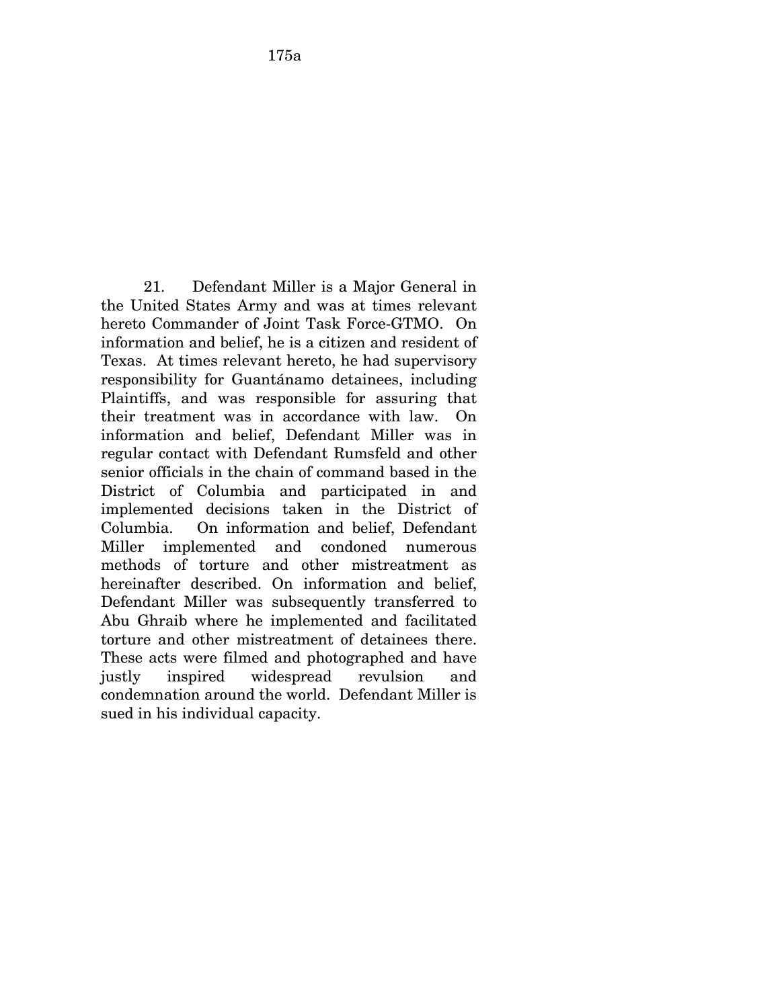21. Defendant Miller is a Major General in the United States Army and was at times relevant hereto Commander of Joint Task Force-GTMO. On information and belief, he is a citizen and resident of Texas. At times relevant hereto, he had supervisory responsibility for Guantánamo detainees, including Plaintiffs, and was responsible for assuring that their treatment was in accordance with law. On information and belief, Defendant Miller was in regular contact with Defendant Rumsfeld and other senior officials in the chain of command based in the District of Columbia and participated in and implemented decisions taken in the District of Columbia. On information and belief, Defendant Miller implemented and condoned numerous methods of torture and other mistreatment as hereinafter described. On information and belief, Defendant Miller was subsequently transferred to Abu Ghraib where he implemented and facilitated torture and other mistreatment of detainees there. These acts were filmed and photographed and have justly inspired widespread revulsion and condemnation around the world. Defendant Miller is sued in his individual capacity.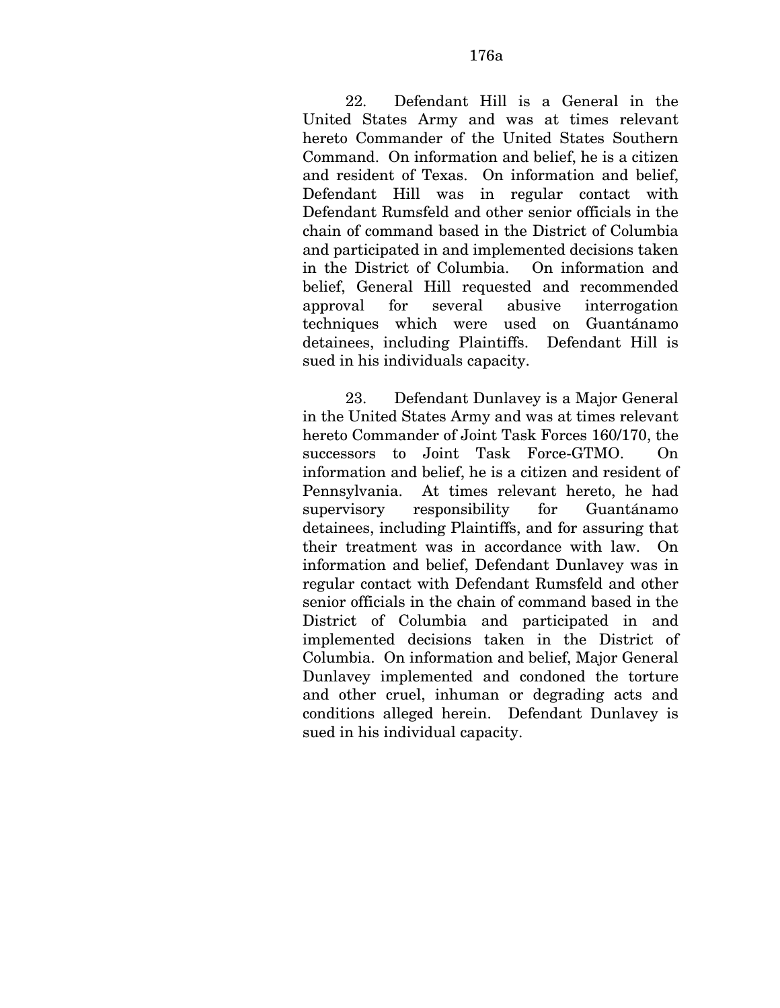22. Defendant Hill is a General in the United States Army and was at times relevant hereto Commander of the United States Southern Command. On information and belief, he is a citizen and resident of Texas. On information and belief, Defendant Hill was in regular contact with Defendant Rumsfeld and other senior officials in the chain of command based in the District of Columbia and participated in and implemented decisions taken in the District of Columbia. On information and belief, General Hill requested and recommended approval for several abusive interrogation techniques which were used on Guantánamo detainees, including Plaintiffs. Defendant Hill is sued in his individuals capacity.

23. Defendant Dunlavey is a Major General in the United States Army and was at times relevant hereto Commander of Joint Task Forces 160/170, the successors to Joint Task Force-GTMO. On information and belief, he is a citizen and resident of Pennsylvania. At times relevant hereto, he had supervisory responsibility for Guantánamo detainees, including Plaintiffs, and for assuring that their treatment was in accordance with law. On information and belief, Defendant Dunlavey was in regular contact with Defendant Rumsfeld and other senior officials in the chain of command based in the District of Columbia and participated in and implemented decisions taken in the District of Columbia. On information and belief, Major General Dunlavey implemented and condoned the torture and other cruel, inhuman or degrading acts and conditions alleged herein. Defendant Dunlavey is sued in his individual capacity.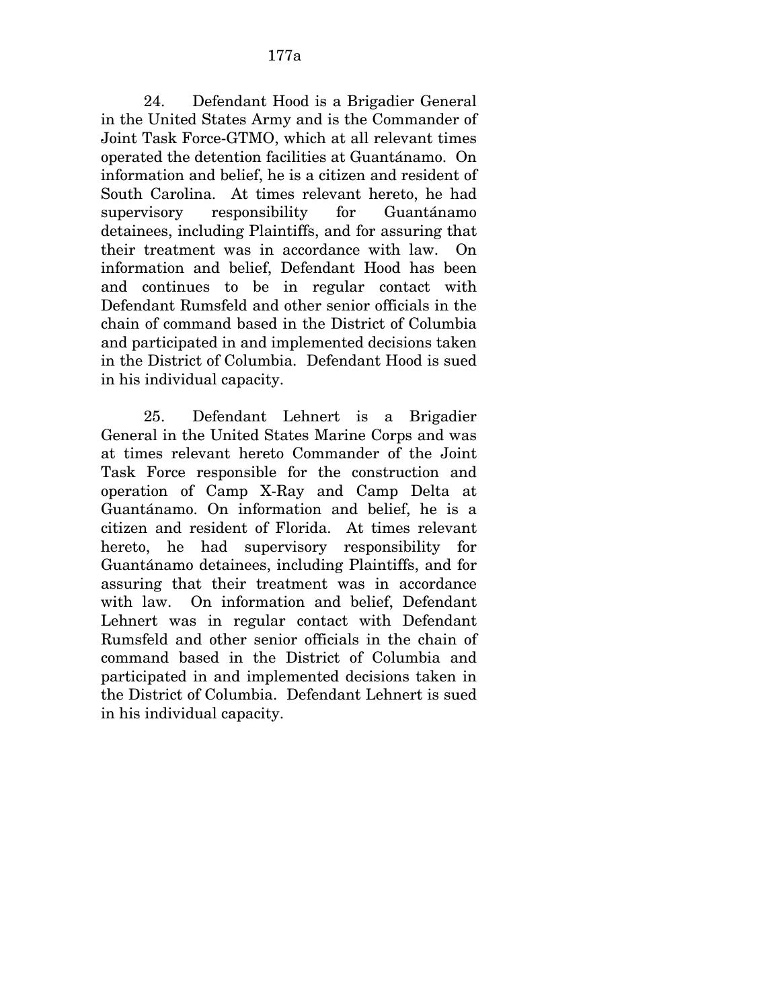24. Defendant Hood is a Brigadier General in the United States Army and is the Commander of Joint Task Force-GTMO, which at all relevant times operated the detention facilities at Guantánamo. On information and belief, he is a citizen and resident of South Carolina. At times relevant hereto, he had supervisory responsibility for Guantánamo detainees, including Plaintiffs, and for assuring that their treatment was in accordance with law. On information and belief, Defendant Hood has been and continues to be in regular contact with Defendant Rumsfeld and other senior officials in the chain of command based in the District of Columbia and participated in and implemented decisions taken in the District of Columbia. Defendant Hood is sued in his individual capacity.

25. Defendant Lehnert is a Brigadier General in the United States Marine Corps and was at times relevant hereto Commander of the Joint Task Force responsible for the construction and operation of Camp X-Ray and Camp Delta at Guantánamo. On information and belief, he is a citizen and resident of Florida. At times relevant hereto, he had supervisory responsibility for Guantánamo detainees, including Plaintiffs, and for assuring that their treatment was in accordance with law. On information and belief, Defendant Lehnert was in regular contact with Defendant Rumsfeld and other senior officials in the chain of command based in the District of Columbia and participated in and implemented decisions taken in the District of Columbia. Defendant Lehnert is sued in his individual capacity.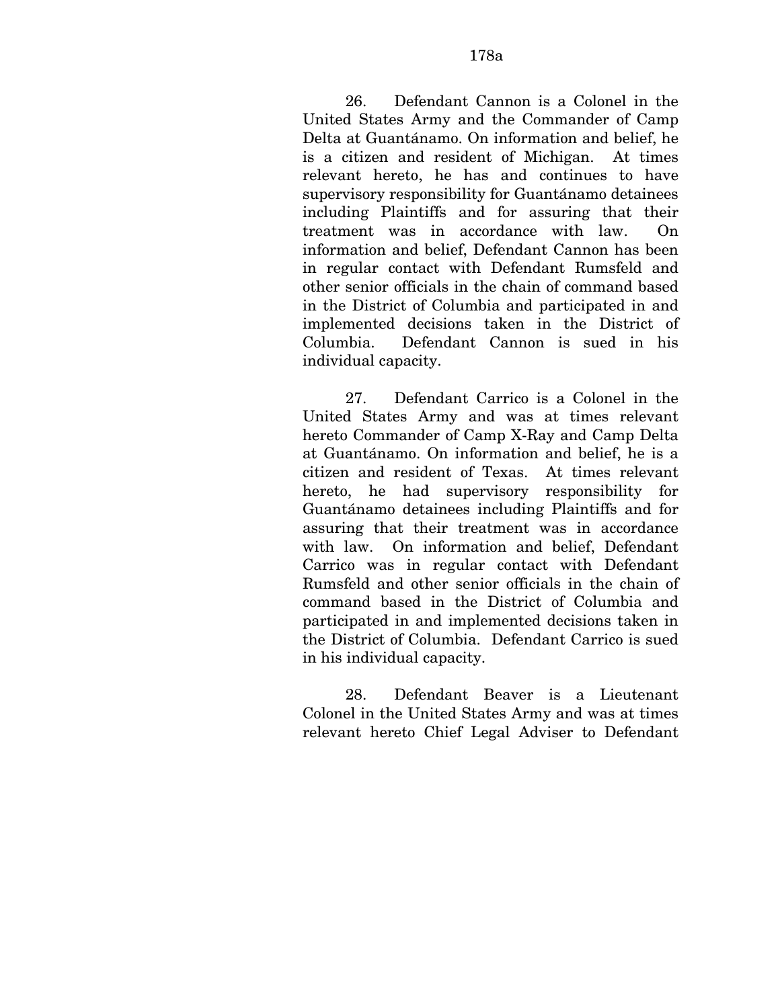26. Defendant Cannon is a Colonel in the United States Army and the Commander of Camp Delta at Guantánamo. On information and belief, he is a citizen and resident of Michigan. At times relevant hereto, he has and continues to have supervisory responsibility for Guantánamo detainees including Plaintiffs and for assuring that their treatment was in accordance with law. On information and belief, Defendant Cannon has been in regular contact with Defendant Rumsfeld and other senior officials in the chain of command based in the District of Columbia and participated in and implemented decisions taken in the District of Columbia. Defendant Cannon is sued in his individual capacity.

27. Defendant Carrico is a Colonel in the United States Army and was at times relevant hereto Commander of Camp X-Ray and Camp Delta at Guantánamo. On information and belief, he is a citizen and resident of Texas. At times relevant hereto, he had supervisory responsibility for Guantánamo detainees including Plaintiffs and for assuring that their treatment was in accordance with law. On information and belief, Defendant Carrico was in regular contact with Defendant Rumsfeld and other senior officials in the chain of command based in the District of Columbia and participated in and implemented decisions taken in the District of Columbia. Defendant Carrico is sued in his individual capacity.

28. Defendant Beaver is a Lieutenant Colonel in the United States Army and was at times relevant hereto Chief Legal Adviser to Defendant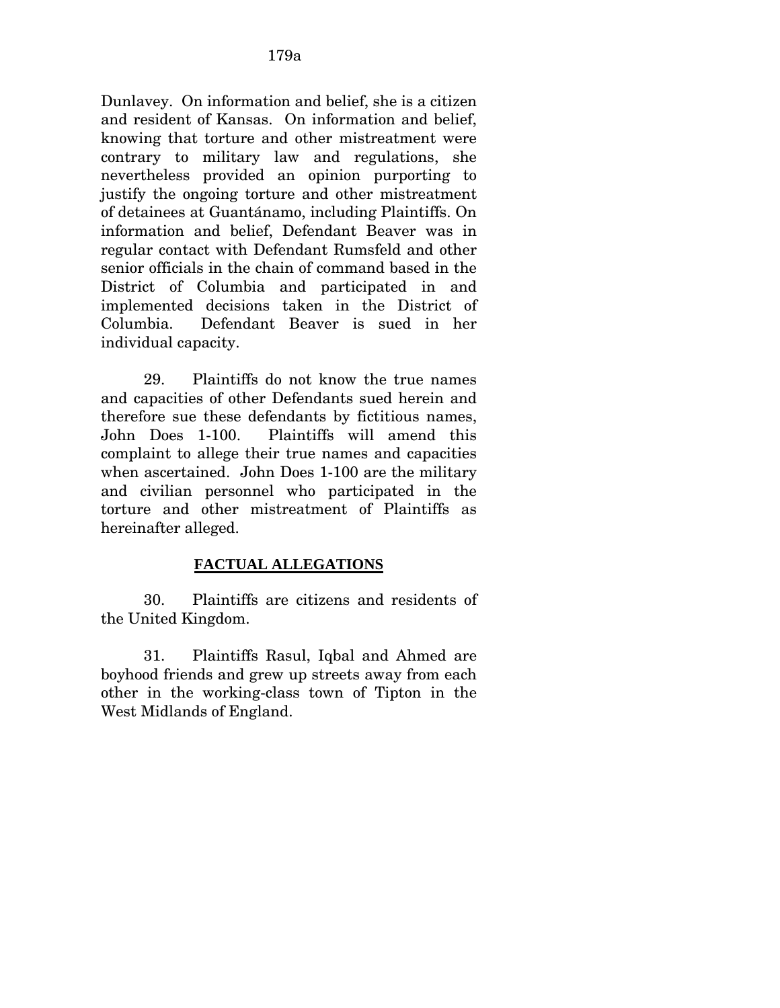Dunlavey. On information and belief, she is a citizen and resident of Kansas. On information and belief, knowing that torture and other mistreatment were contrary to military law and regulations, she nevertheless provided an opinion purporting to justify the ongoing torture and other mistreatment of detainees at Guantánamo, including Plaintiffs. On information and belief, Defendant Beaver was in regular contact with Defendant Rumsfeld and other senior officials in the chain of command based in the District of Columbia and participated in and implemented decisions taken in the District of Columbia. Defendant Beaver is sued in her individual capacity.

29. Plaintiffs do not know the true names and capacities of other Defendants sued herein and therefore sue these defendants by fictitious names, John Does 1-100. Plaintiffs will amend this complaint to allege their true names and capacities when ascertained. John Does 1-100 are the military and civilian personnel who participated in the torture and other mistreatment of Plaintiffs as hereinafter alleged.

### **FACTUAL ALLEGATIONS**

30. Plaintiffs are citizens and residents of the United Kingdom.

31. Plaintiffs Rasul, Iqbal and Ahmed are boyhood friends and grew up streets away from each other in the working-class town of Tipton in the West Midlands of England.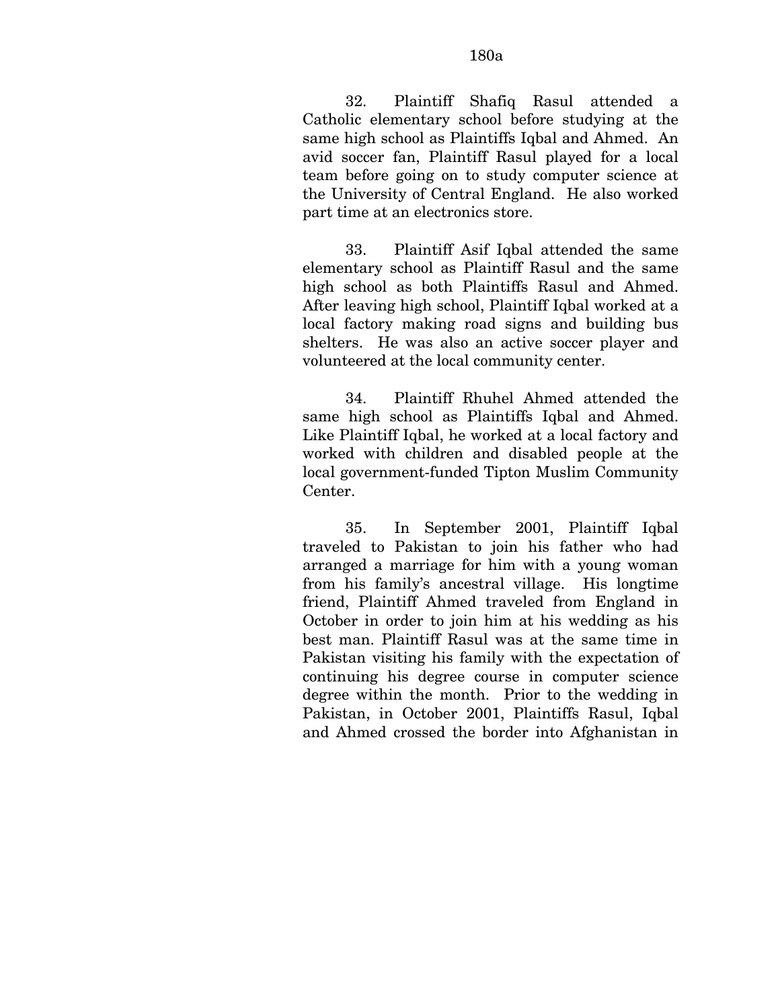32. Plaintiff Shafiq Rasul attended a Catholic elementary school before studying at the same high school as Plaintiffs Iqbal and Ahmed. An avid soccer fan, Plaintiff Rasul played for a local team before going on to study computer science at the University of Central England. He also worked part time at an electronics store.

33. Plaintiff Asif Iqbal attended the same elementary school as Plaintiff Rasul and the same high school as both Plaintiffs Rasul and Ahmed. After leaving high school, Plaintiff Iqbal worked at a local factory making road signs and building bus shelters. He was also an active soccer player and volunteered at the local community center.

34. Plaintiff Rhuhel Ahmed attended the same high school as Plaintiffs Iqbal and Ahmed. Like Plaintiff Iqbal, he worked at a local factory and worked with children and disabled people at the local government-funded Tipton Muslim Community Center.

35. In September 2001, Plaintiff Iqbal traveled to Pakistan to join his father who had arranged a marriage for him with a young woman from his family's ancestral village. His longtime friend, Plaintiff Ahmed traveled from England in October in order to join him at his wedding as his best man. Plaintiff Rasul was at the same time in Pakistan visiting his family with the expectation of continuing his degree course in computer science degree within the month. Prior to the wedding in Pakistan, in October 2001, Plaintiffs Rasul, Iqbal and Ahmed crossed the border into Afghanistan in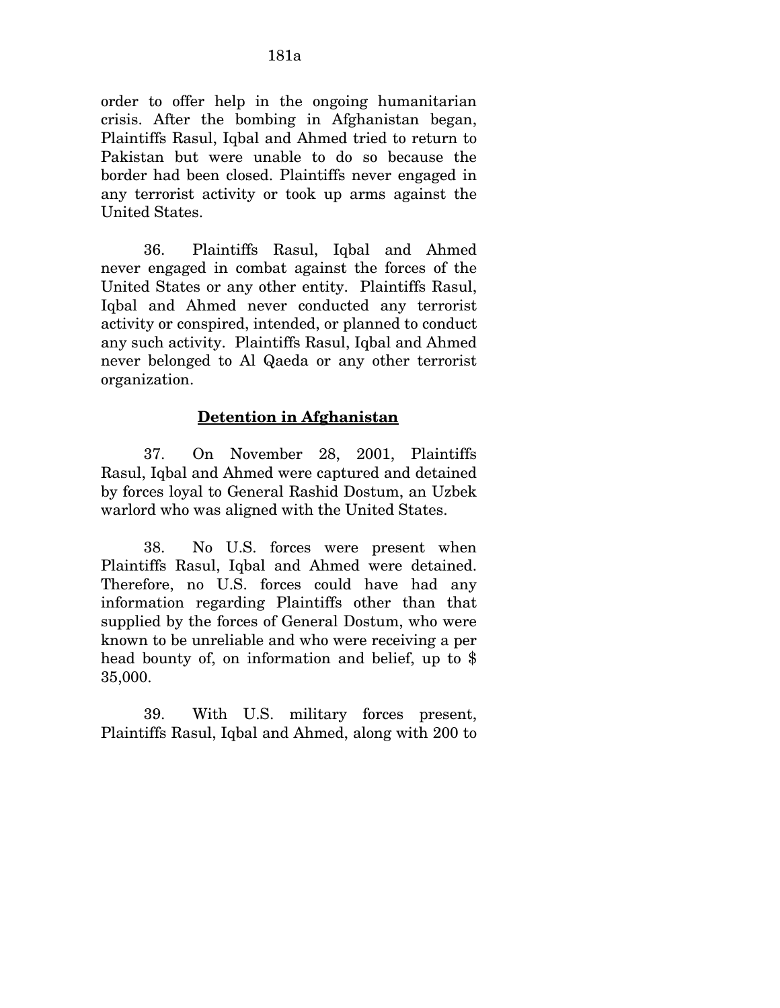order to offer help in the ongoing humanitarian crisis. After the bombing in Afghanistan began, Plaintiffs Rasul, Iqbal and Ahmed tried to return to Pakistan but were unable to do so because the border had been closed. Plaintiffs never engaged in any terrorist activity or took up arms against the United States.

36. Plaintiffs Rasul, Iqbal and Ahmed never engaged in combat against the forces of the United States or any other entity. Plaintiffs Rasul, Iqbal and Ahmed never conducted any terrorist activity or conspired, intended, or planned to conduct any such activity. Plaintiffs Rasul, Iqbal and Ahmed never belonged to Al Qaeda or any other terrorist organization.

## **Detention in Afghanistan**

37. On November 28, 2001, Plaintiffs Rasul, Iqbal and Ahmed were captured and detained by forces loyal to General Rashid Dostum, an Uzbek warlord who was aligned with the United States.

38. No U.S. forces were present when Plaintiffs Rasul, Iqbal and Ahmed were detained. Therefore, no U.S. forces could have had any information regarding Plaintiffs other than that supplied by the forces of General Dostum, who were known to be unreliable and who were receiving a per head bounty of, on information and belief, up to \$ 35,000.

39. With U.S. military forces present, Plaintiffs Rasul, Iqbal and Ahmed, along with 200 to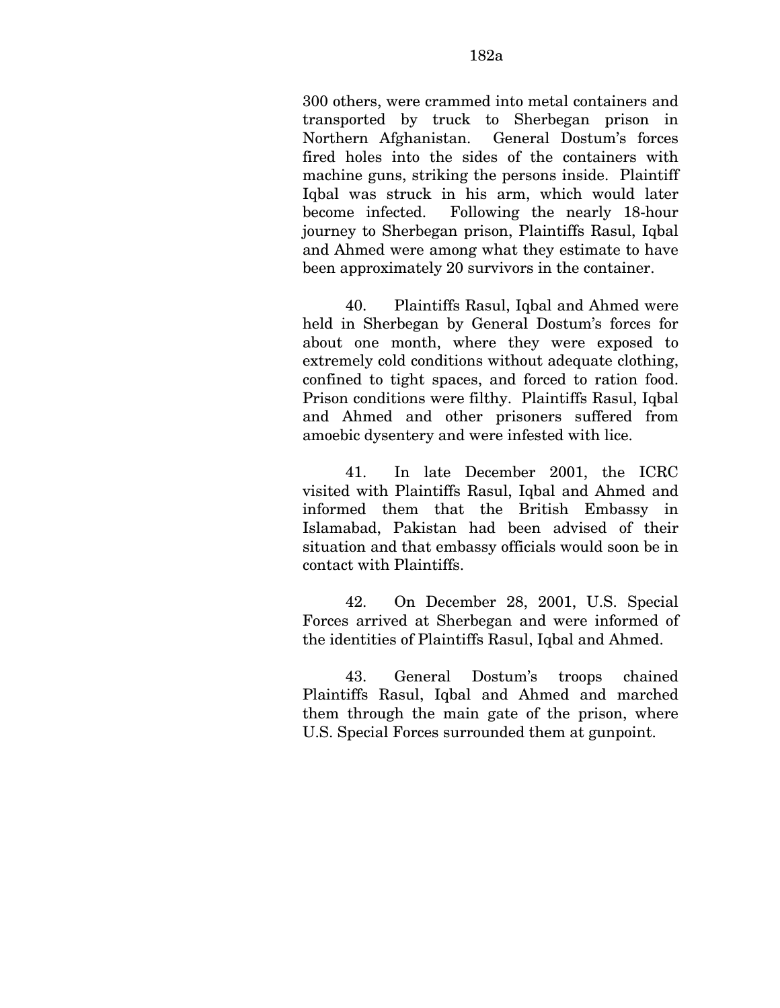300 others, were crammed into metal containers and transported by truck to Sherbegan prison in Northern Afghanistan. General Dostum's forces fired holes into the sides of the containers with machine guns, striking the persons inside. Plaintiff Iqbal was struck in his arm, which would later become infected. Following the nearly 18-hour journey to Sherbegan prison, Plaintiffs Rasul, Iqbal and Ahmed were among what they estimate to have been approximately 20 survivors in the container.

40. Plaintiffs Rasul, Iqbal and Ahmed were held in Sherbegan by General Dostum's forces for about one month, where they were exposed to extremely cold conditions without adequate clothing, confined to tight spaces, and forced to ration food. Prison conditions were filthy. Plaintiffs Rasul, Iqbal and Ahmed and other prisoners suffered from amoebic dysentery and were infested with lice.

41. In late December 2001, the ICRC visited with Plaintiffs Rasul, Iqbal and Ahmed and informed them that the British Embassy in Islamabad, Pakistan had been advised of their situation and that embassy officials would soon be in contact with Plaintiffs.

42. On December 28, 2001, U.S. Special Forces arrived at Sherbegan and were informed of the identities of Plaintiffs Rasul, Iqbal and Ahmed.

43. General Dostum's troops chained Plaintiffs Rasul, Iqbal and Ahmed and marched them through the main gate of the prison, where U.S. Special Forces surrounded them at gunpoint.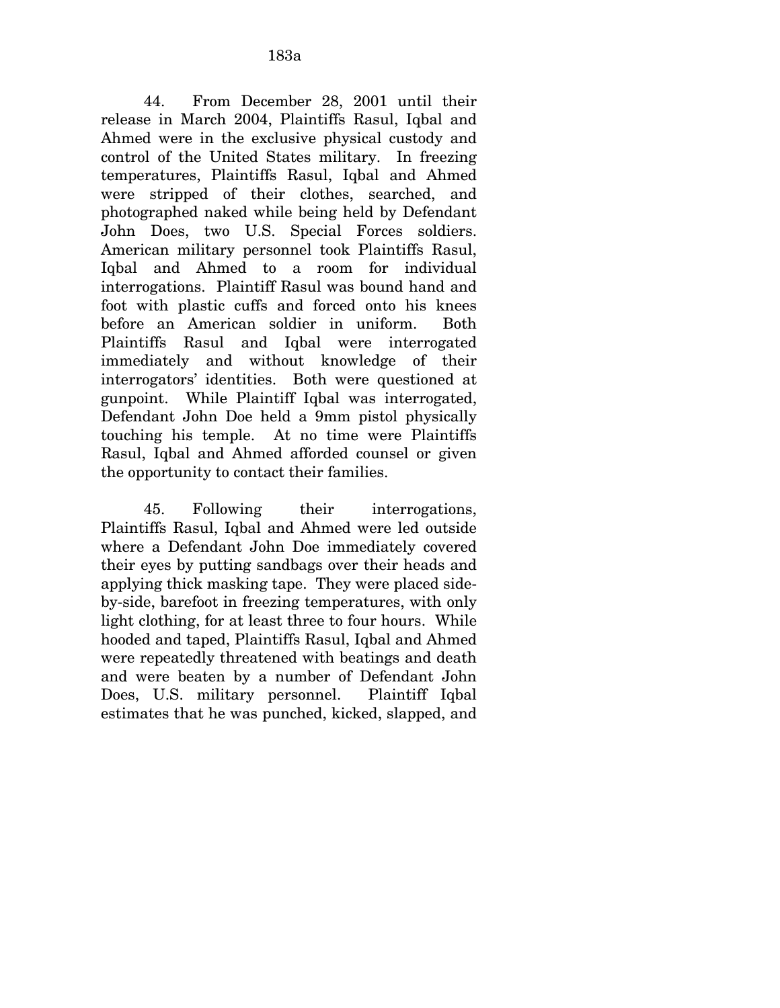44. From December 28, 2001 until their release in March 2004, Plaintiffs Rasul, Iqbal and Ahmed were in the exclusive physical custody and control of the United States military. In freezing temperatures, Plaintiffs Rasul, Iqbal and Ahmed were stripped of their clothes, searched, and photographed naked while being held by Defendant John Does, two U.S. Special Forces soldiers. American military personnel took Plaintiffs Rasul, Iqbal and Ahmed to a room for individual interrogations. Plaintiff Rasul was bound hand and foot with plastic cuffs and forced onto his knees before an American soldier in uniform. Both Plaintiffs Rasul and Iqbal were interrogated immediately and without knowledge of their interrogators' identities. Both were questioned at gunpoint. While Plaintiff Iqbal was interrogated, Defendant John Doe held a 9mm pistol physically touching his temple. At no time were Plaintiffs Rasul, Iqbal and Ahmed afforded counsel or given the opportunity to contact their families.

45. Following their interrogations, Plaintiffs Rasul, Iqbal and Ahmed were led outside where a Defendant John Doe immediately covered their eyes by putting sandbags over their heads and applying thick masking tape. They were placed sideby-side, barefoot in freezing temperatures, with only light clothing, for at least three to four hours. While hooded and taped, Plaintiffs Rasul, Iqbal and Ahmed were repeatedly threatened with beatings and death and were beaten by a number of Defendant John Does, U.S. military personnel. Plaintiff Iqbal estimates that he was punched, kicked, slapped, and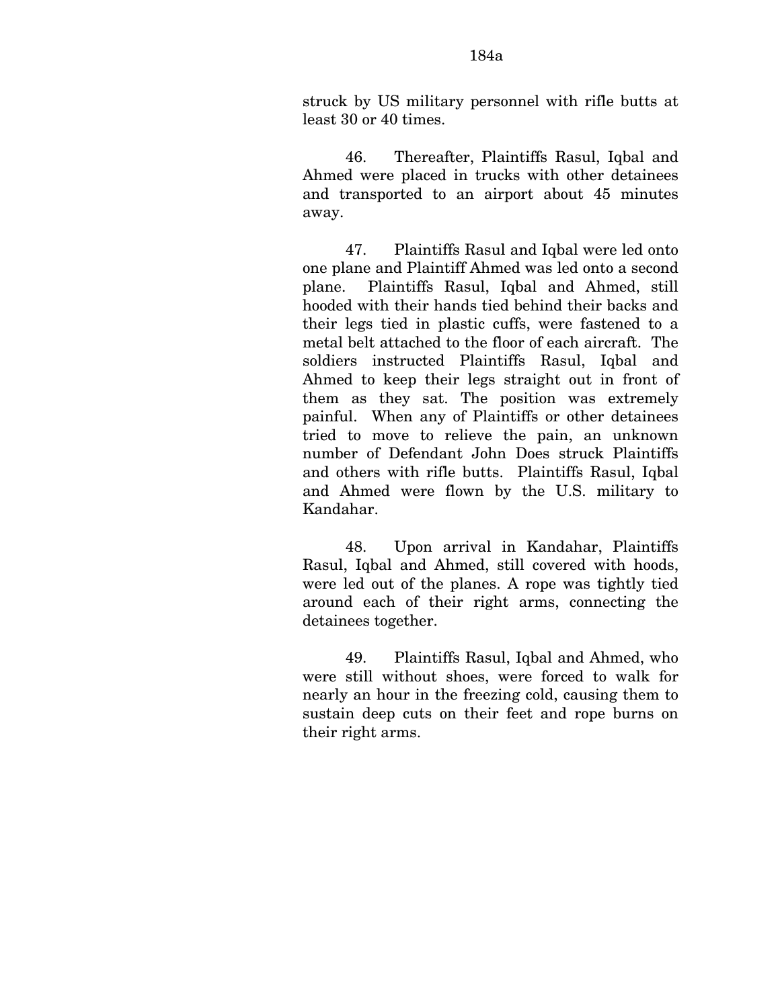struck by US military personnel with rifle butts at least 30 or 40 times.

46. Thereafter, Plaintiffs Rasul, Iqbal and Ahmed were placed in trucks with other detainees and transported to an airport about 45 minutes away.

47. Plaintiffs Rasul and Iqbal were led onto one plane and Plaintiff Ahmed was led onto a second plane. Plaintiffs Rasul, Iqbal and Ahmed, still hooded with their hands tied behind their backs and their legs tied in plastic cuffs, were fastened to a metal belt attached to the floor of each aircraft. The soldiers instructed Plaintiffs Rasul, Iqbal and Ahmed to keep their legs straight out in front of them as they sat. The position was extremely painful. When any of Plaintiffs or other detainees tried to move to relieve the pain, an unknown number of Defendant John Does struck Plaintiffs and others with rifle butts. Plaintiffs Rasul, Iqbal and Ahmed were flown by the U.S. military to Kandahar.

48. Upon arrival in Kandahar, Plaintiffs Rasul, Iqbal and Ahmed, still covered with hoods, were led out of the planes. A rope was tightly tied around each of their right arms, connecting the detainees together.

49. Plaintiffs Rasul, Iqbal and Ahmed, who were still without shoes, were forced to walk for nearly an hour in the freezing cold, causing them to sustain deep cuts on their feet and rope burns on their right arms.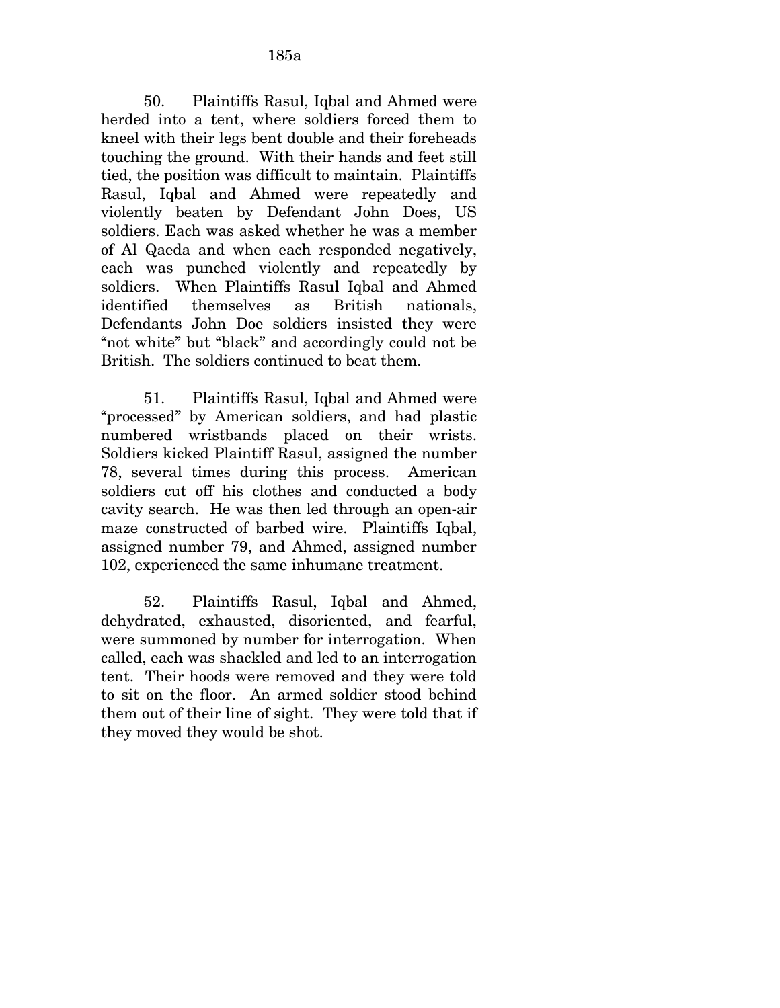50. Plaintiffs Rasul, Iqbal and Ahmed were herded into a tent, where soldiers forced them to kneel with their legs bent double and their foreheads touching the ground. With their hands and feet still tied, the position was difficult to maintain. Plaintiffs Rasul, Iqbal and Ahmed were repeatedly and violently beaten by Defendant John Does, US soldiers. Each was asked whether he was a member of Al Qaeda and when each responded negatively, each was punched violently and repeatedly by soldiers. When Plaintiffs Rasul Iqbal and Ahmed identified themselves as British nationals, Defendants John Doe soldiers insisted they were "not white" but "black" and accordingly could not be British. The soldiers continued to beat them.

51. Plaintiffs Rasul, Iqbal and Ahmed were "processed" by American soldiers, and had plastic numbered wristbands placed on their wrists. Soldiers kicked Plaintiff Rasul, assigned the number 78, several times during this process. American soldiers cut off his clothes and conducted a body cavity search. He was then led through an open-air maze constructed of barbed wire. Plaintiffs Iqbal, assigned number 79, and Ahmed, assigned number 102, experienced the same inhumane treatment.

52. Plaintiffs Rasul, Iqbal and Ahmed, dehydrated, exhausted, disoriented, and fearful, were summoned by number for interrogation. When called, each was shackled and led to an interrogation tent. Their hoods were removed and they were told to sit on the floor. An armed soldier stood behind them out of their line of sight. They were told that if they moved they would be shot.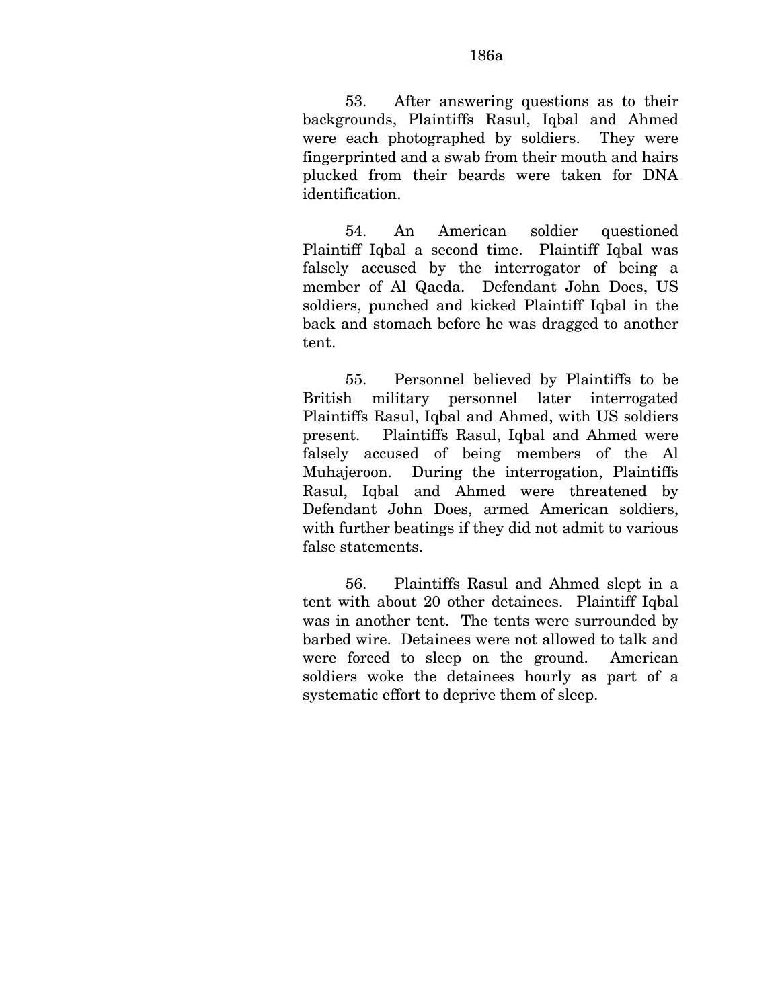53. After answering questions as to their backgrounds, Plaintiffs Rasul, Iqbal and Ahmed were each photographed by soldiers. They were fingerprinted and a swab from their mouth and hairs plucked from their beards were taken for DNA identification.

54. An American soldier questioned Plaintiff Iqbal a second time. Plaintiff Iqbal was falsely accused by the interrogator of being a member of Al Qaeda. Defendant John Does, US soldiers, punched and kicked Plaintiff Iqbal in the back and stomach before he was dragged to another tent.

55. Personnel believed by Plaintiffs to be British military personnel later interrogated Plaintiffs Rasul, Iqbal and Ahmed, with US soldiers present. Plaintiffs Rasul, Iqbal and Ahmed were falsely accused of being members of the Al Muhajeroon. During the interrogation, Plaintiffs Rasul, Iqbal and Ahmed were threatened by Defendant John Does, armed American soldiers, with further beatings if they did not admit to various false statements.

56. Plaintiffs Rasul and Ahmed slept in a tent with about 20 other detainees. Plaintiff Iqbal was in another tent. The tents were surrounded by barbed wire. Detainees were not allowed to talk and were forced to sleep on the ground. American soldiers woke the detainees hourly as part of a systematic effort to deprive them of sleep.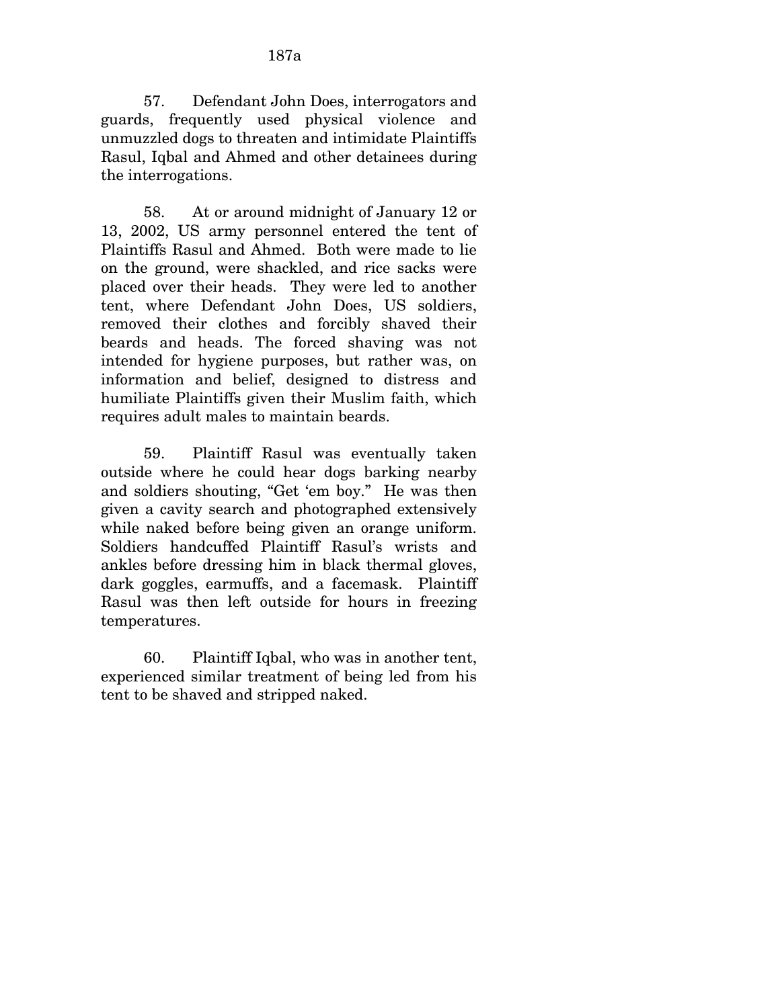57. Defendant John Does, interrogators and guards, frequently used physical violence and unmuzzled dogs to threaten and intimidate Plaintiffs Rasul, Iqbal and Ahmed and other detainees during the interrogations.

58. At or around midnight of January 12 or 13, 2002, US army personnel entered the tent of Plaintiffs Rasul and Ahmed. Both were made to lie on the ground, were shackled, and rice sacks were placed over their heads. They were led to another tent, where Defendant John Does, US soldiers, removed their clothes and forcibly shaved their beards and heads. The forced shaving was not intended for hygiene purposes, but rather was, on information and belief, designed to distress and humiliate Plaintiffs given their Muslim faith, which requires adult males to maintain beards.

59. Plaintiff Rasul was eventually taken outside where he could hear dogs barking nearby and soldiers shouting, "Get 'em boy." He was then given a cavity search and photographed extensively while naked before being given an orange uniform. Soldiers handcuffed Plaintiff Rasul's wrists and ankles before dressing him in black thermal gloves, dark goggles, earmuffs, and a facemask. Plaintiff Rasul was then left outside for hours in freezing temperatures.

60. Plaintiff Iqbal, who was in another tent, experienced similar treatment of being led from his tent to be shaved and stripped naked.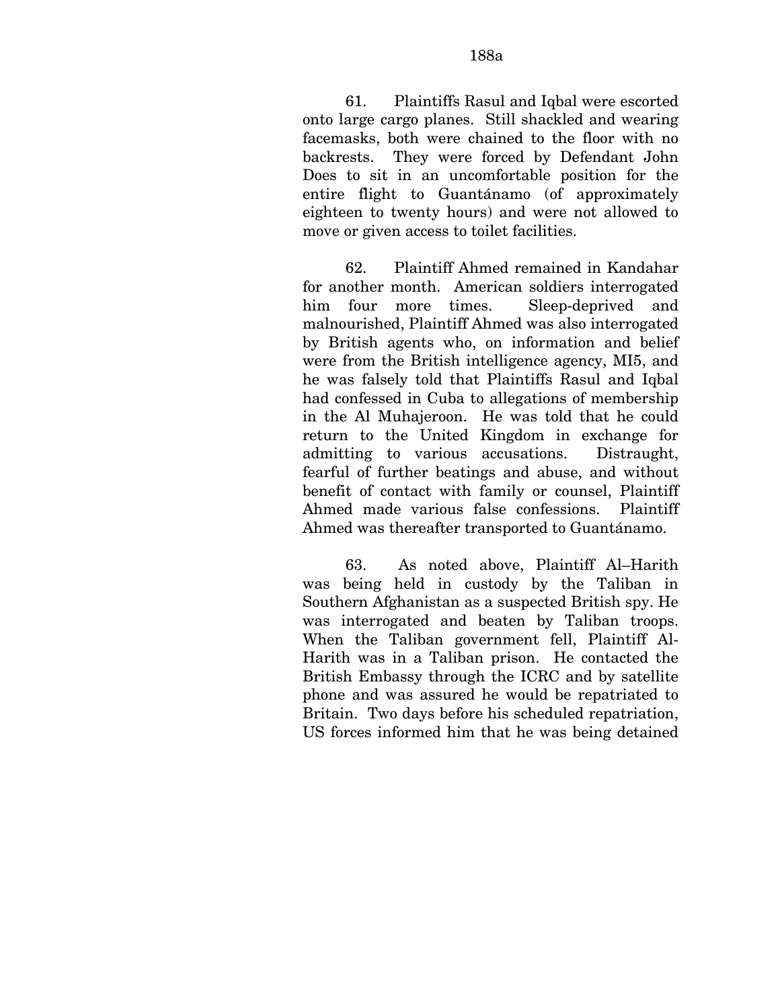61. Plaintiffs Rasul and Iqbal were escorted onto large cargo planes. Still shackled and wearing facemasks, both were chained to the floor with no backrests. They were forced by Defendant John Does to sit in an uncomfortable position for the entire flight to Guantánamo (of approximately eighteen to twenty hours) and were not allowed to move or given access to toilet facilities.

62. Plaintiff Ahmed remained in Kandahar for another month. American soldiers interrogated him four more times. Sleep-deprived and malnourished, Plaintiff Ahmed was also interrogated by British agents who, on information and belief were from the British intelligence agency, MI5, and he was falsely told that Plaintiffs Rasul and Iqbal had confessed in Cuba to allegations of membership in the Al Muhajeroon. He was told that he could return to the United Kingdom in exchange for admitting to various accusations. Distraught, fearful of further beatings and abuse, and without benefit of contact with family or counsel, Plaintiff Ahmed made various false confessions. Plaintiff Ahmed was thereafter transported to Guantánamo.

63. As noted above, Plaintiff Al–Harith was being held in custody by the Taliban in Southern Afghanistan as a suspected British spy. He was interrogated and beaten by Taliban troops. When the Taliban government fell, Plaintiff Al-Harith was in a Taliban prison. He contacted the British Embassy through the ICRC and by satellite phone and was assured he would be repatriated to Britain. Two days before his scheduled repatriation, US forces informed him that he was being detained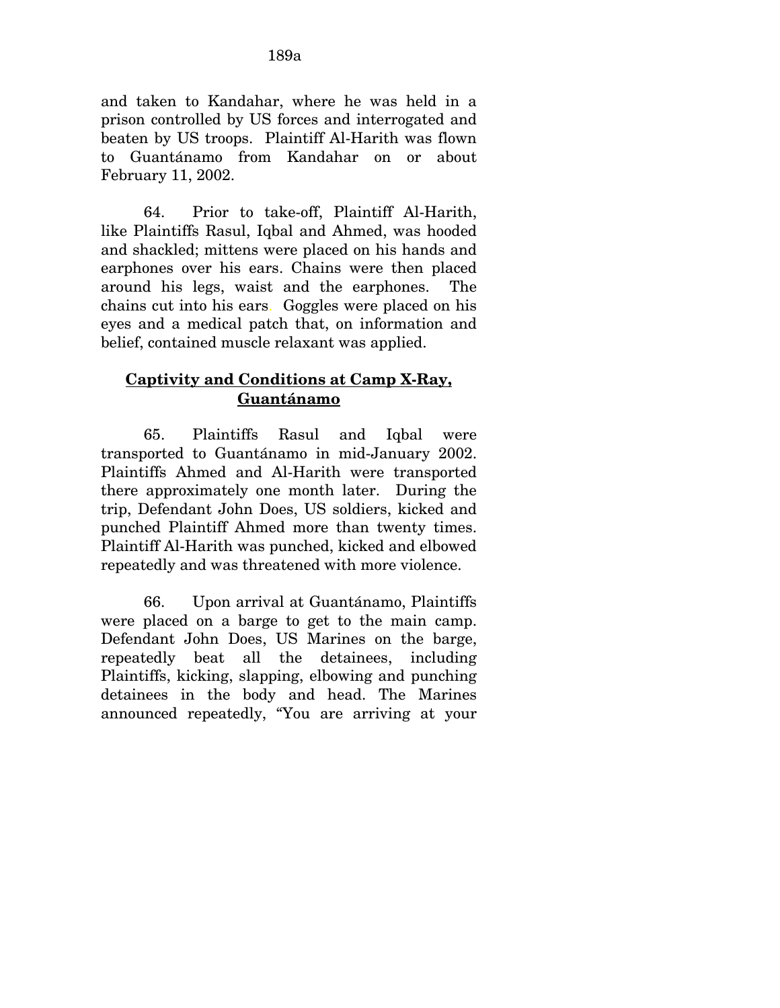and taken to Kandahar, where he was held in a prison controlled by US forces and interrogated and beaten by US troops. Plaintiff Al-Harith was flown to Guantánamo from Kandahar on or about February 11, 2002.

64. Prior to take-off, Plaintiff Al-Harith, like Plaintiffs Rasul, Iqbal and Ahmed, was hooded and shackled; mittens were placed on his hands and earphones over his ears. Chains were then placed around his legs, waist and the earphones. The chains cut into his ears. Goggles were placed on his eyes and a medical patch that, on information and belief, contained muscle relaxant was applied.

## **Captivity and Conditions at Camp X-Ray, Guantánamo**

65. Plaintiffs Rasul and Iqbal were transported to Guantánamo in mid-January 2002. Plaintiffs Ahmed and Al-Harith were transported there approximately one month later. During the trip, Defendant John Does, US soldiers, kicked and punched Plaintiff Ahmed more than twenty times. Plaintiff Al-Harith was punched, kicked and elbowed repeatedly and was threatened with more violence.

66. Upon arrival at Guantánamo, Plaintiffs were placed on a barge to get to the main camp. Defendant John Does, US Marines on the barge, repeatedly beat all the detainees, including Plaintiffs, kicking, slapping, elbowing and punching detainees in the body and head. The Marines announced repeatedly, "You are arriving at your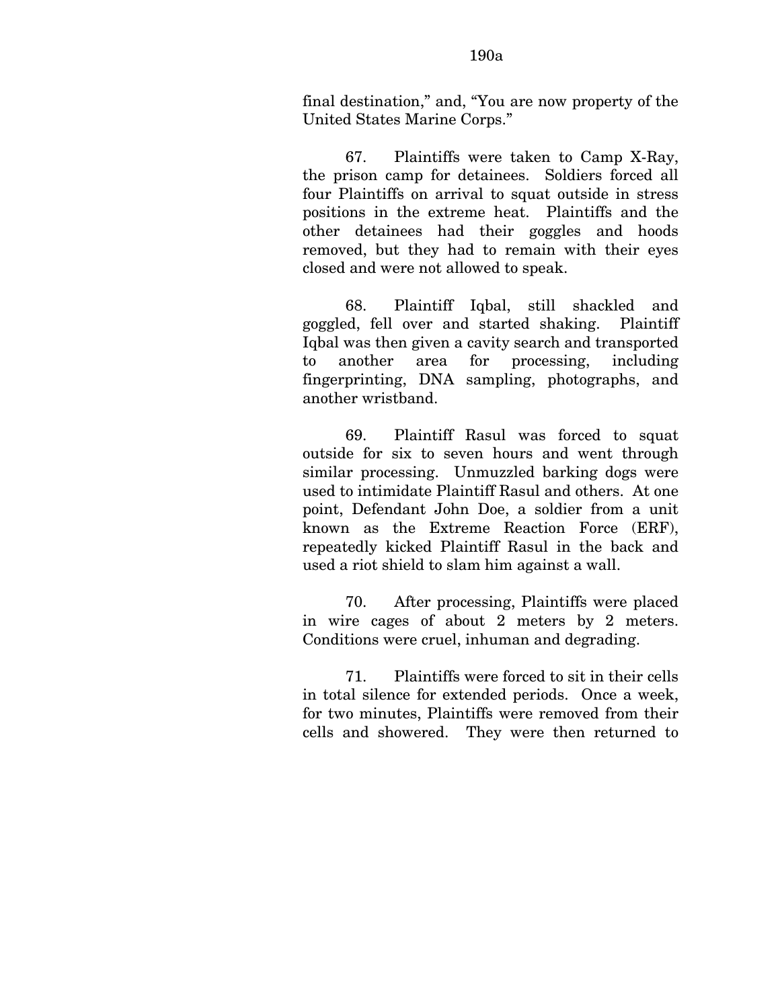final destination," and, "You are now property of the United States Marine Corps."

67. Plaintiffs were taken to Camp X-Ray, the prison camp for detainees. Soldiers forced all four Plaintiffs on arrival to squat outside in stress positions in the extreme heat. Plaintiffs and the other detainees had their goggles and hoods removed, but they had to remain with their eyes closed and were not allowed to speak.

68. Plaintiff Iqbal, still shackled and goggled, fell over and started shaking. Plaintiff Iqbal was then given a cavity search and transported to another area for processing, including fingerprinting, DNA sampling, photographs, and another wristband.

69. Plaintiff Rasul was forced to squat outside for six to seven hours and went through similar processing. Unmuzzled barking dogs were used to intimidate Plaintiff Rasul and others. At one point, Defendant John Doe, a soldier from a unit known as the Extreme Reaction Force (ERF), repeatedly kicked Plaintiff Rasul in the back and used a riot shield to slam him against a wall.

70. After processing, Plaintiffs were placed in wire cages of about 2 meters by 2 meters. Conditions were cruel, inhuman and degrading.

71. Plaintiffs were forced to sit in their cells in total silence for extended periods. Once a week, for two minutes, Plaintiffs were removed from their cells and showered. They were then returned to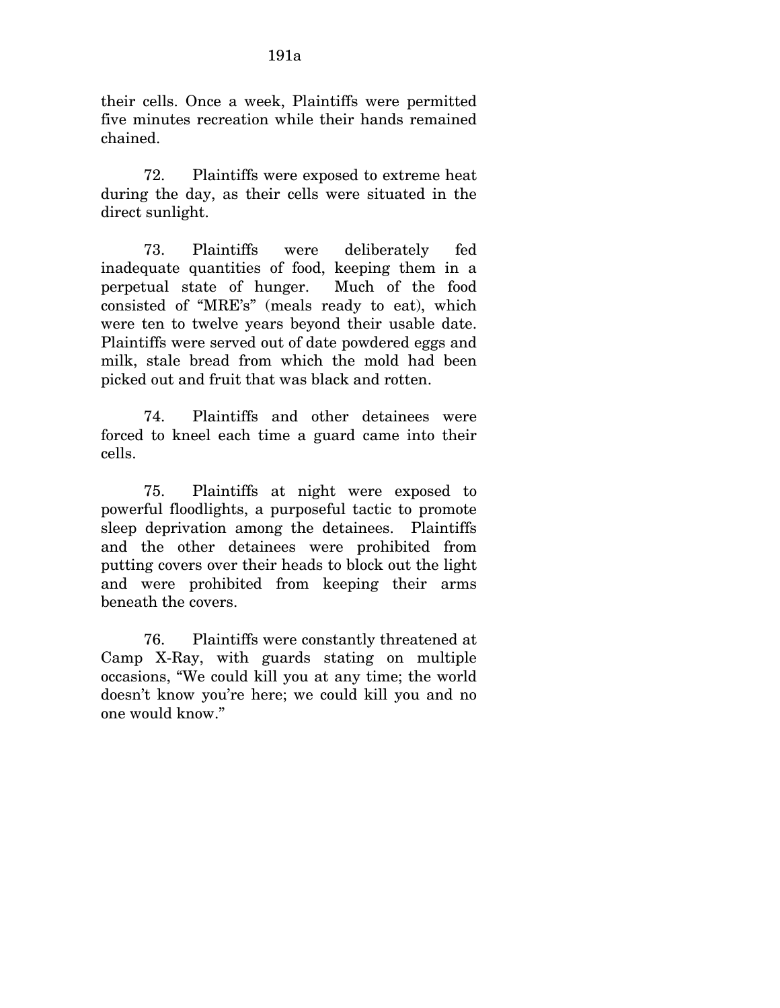their cells. Once a week, Plaintiffs were permitted five minutes recreation while their hands remained chained.

72. Plaintiffs were exposed to extreme heat during the day, as their cells were situated in the direct sunlight.

73. Plaintiffs were deliberately fed inadequate quantities of food, keeping them in a perpetual state of hunger. Much of the food consisted of "MRE's" (meals ready to eat), which were ten to twelve years beyond their usable date. Plaintiffs were served out of date powdered eggs and milk, stale bread from which the mold had been picked out and fruit that was black and rotten.

74. Plaintiffs and other detainees were forced to kneel each time a guard came into their cells.

75. Plaintiffs at night were exposed to powerful floodlights, a purposeful tactic to promote sleep deprivation among the detainees. Plaintiffs and the other detainees were prohibited from putting covers over their heads to block out the light and were prohibited from keeping their arms beneath the covers.

76. Plaintiffs were constantly threatened at Camp X-Ray, with guards stating on multiple occasions, "We could kill you at any time; the world doesn't know you're here; we could kill you and no one would know."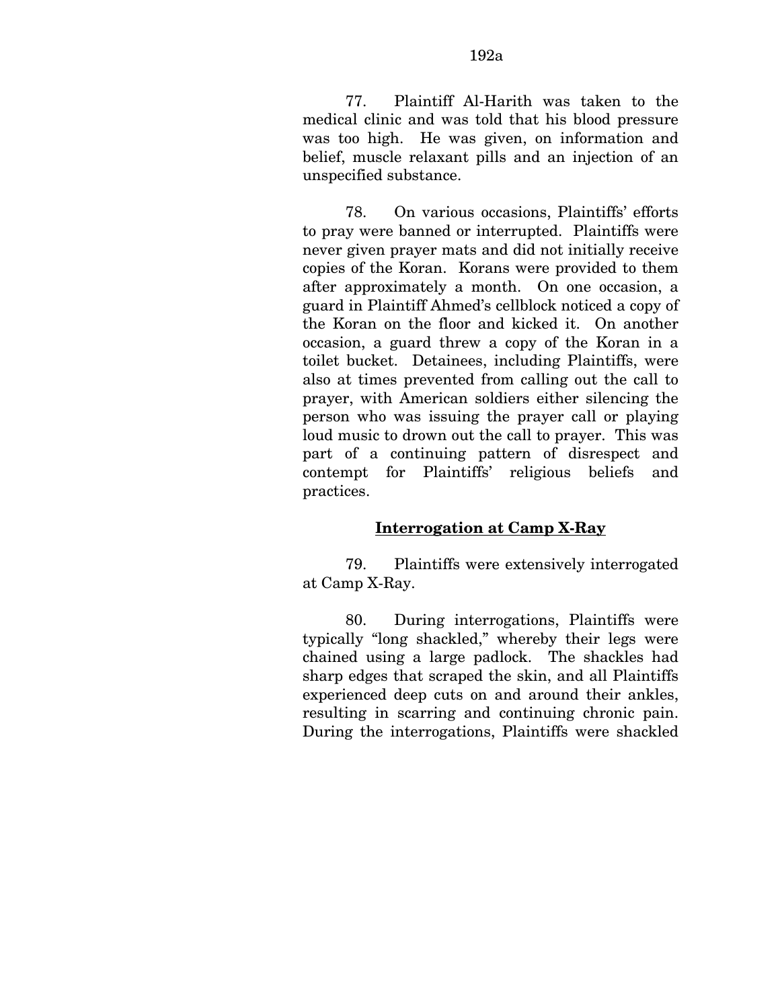77. Plaintiff Al-Harith was taken to the medical clinic and was told that his blood pressure was too high. He was given, on information and belief, muscle relaxant pills and an injection of an unspecified substance.

78. On various occasions, Plaintiffs' efforts to pray were banned or interrupted. Plaintiffs were never given prayer mats and did not initially receive copies of the Koran. Korans were provided to them after approximately a month. On one occasion, a guard in Plaintiff Ahmed's cellblock noticed a copy of the Koran on the floor and kicked it. On another occasion, a guard threw a copy of the Koran in a toilet bucket. Detainees, including Plaintiffs, were also at times prevented from calling out the call to prayer, with American soldiers either silencing the person who was issuing the prayer call or playing loud music to drown out the call to prayer. This was part of a continuing pattern of disrespect and contempt for Plaintiffs' religious beliefs and practices.

### **Interrogation at Camp X-Ray**

79. Plaintiffs were extensively interrogated at Camp X-Ray.

80. During interrogations, Plaintiffs were typically "long shackled," whereby their legs were chained using a large padlock. The shackles had sharp edges that scraped the skin, and all Plaintiffs experienced deep cuts on and around their ankles, resulting in scarring and continuing chronic pain. During the interrogations, Plaintiffs were shackled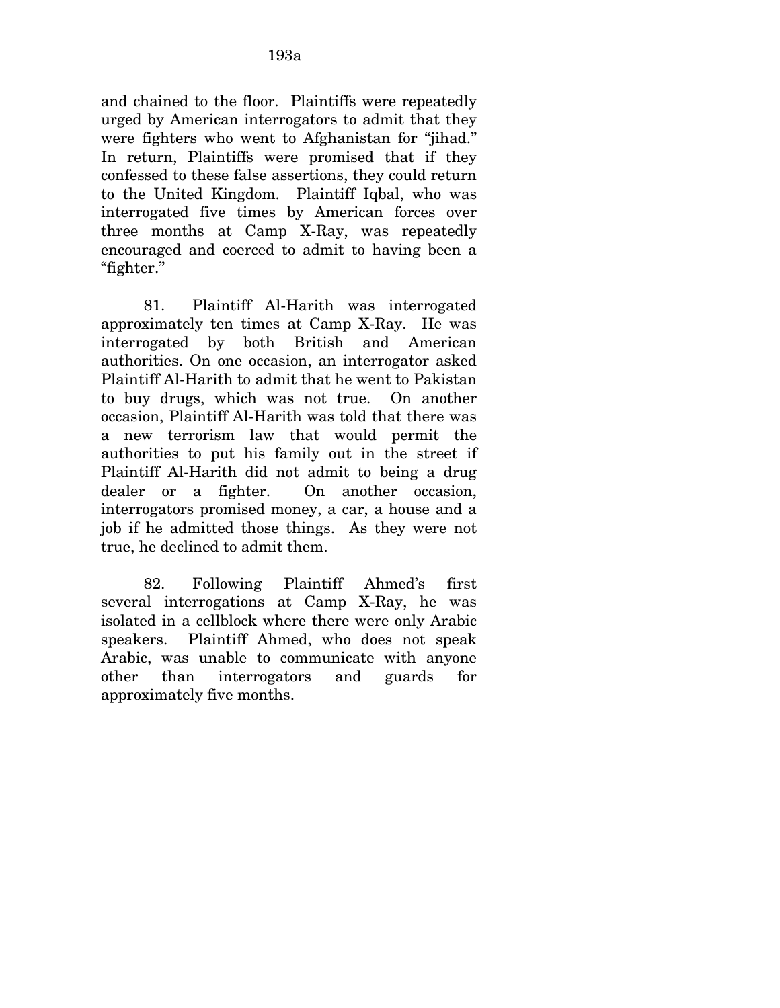and chained to the floor. Plaintiffs were repeatedly urged by American interrogators to admit that they were fighters who went to Afghanistan for "jihad." In return, Plaintiffs were promised that if they confessed to these false assertions, they could return to the United Kingdom. Plaintiff Iqbal, who was interrogated five times by American forces over three months at Camp X-Ray, was repeatedly encouraged and coerced to admit to having been a "fighter."

81. Plaintiff Al-Harith was interrogated approximately ten times at Camp X-Ray. He was interrogated by both British and American authorities. On one occasion, an interrogator asked Plaintiff Al-Harith to admit that he went to Pakistan to buy drugs, which was not true. On another occasion, Plaintiff Al-Harith was told that there was a new terrorism law that would permit the authorities to put his family out in the street if Plaintiff Al-Harith did not admit to being a drug dealer or a fighter. On another occasion, interrogators promised money, a car, a house and a job if he admitted those things. As they were not true, he declined to admit them.

82. Following Plaintiff Ahmed's first several interrogations at Camp X-Ray, he was isolated in a cellblock where there were only Arabic speakers. Plaintiff Ahmed, who does not speak Arabic, was unable to communicate with anyone other than interrogators and guards for approximately five months.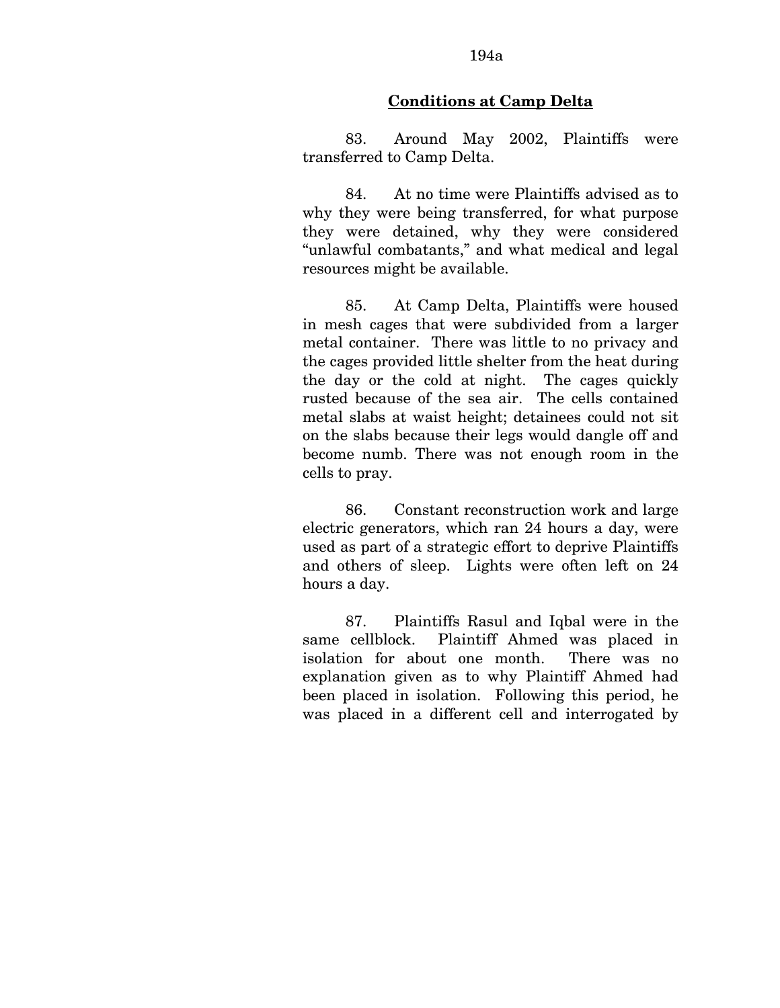# 194a

### **Conditions at Camp Delta**

83. Around May 2002, Plaintiffs were transferred to Camp Delta.

84. At no time were Plaintiffs advised as to why they were being transferred, for what purpose they were detained, why they were considered "unlawful combatants," and what medical and legal resources might be available.

85. At Camp Delta, Plaintiffs were housed in mesh cages that were subdivided from a larger metal container. There was little to no privacy and the cages provided little shelter from the heat during the day or the cold at night. The cages quickly rusted because of the sea air. The cells contained metal slabs at waist height; detainees could not sit on the slabs because their legs would dangle off and become numb. There was not enough room in the cells to pray.

86. Constant reconstruction work and large electric generators, which ran 24 hours a day, were used as part of a strategic effort to deprive Plaintiffs and others of sleep. Lights were often left on 24 hours a day.

87. Plaintiffs Rasul and Iqbal were in the same cellblock. Plaintiff Ahmed was placed in isolation for about one month. There was no explanation given as to why Plaintiff Ahmed had been placed in isolation. Following this period, he was placed in a different cell and interrogated by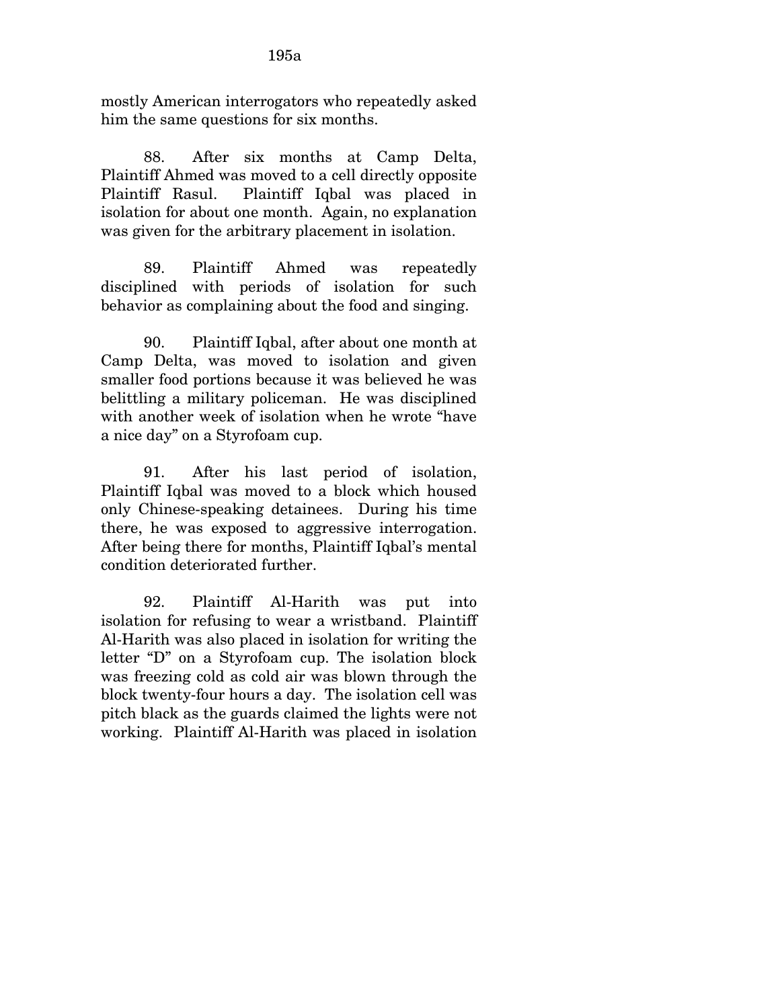mostly American interrogators who repeatedly asked him the same questions for six months.

88. After six months at Camp Delta, Plaintiff Ahmed was moved to a cell directly opposite Plaintiff Rasul. Plaintiff Iqbal was placed in isolation for about one month. Again, no explanation was given for the arbitrary placement in isolation.

89. Plaintiff Ahmed was repeatedly disciplined with periods of isolation for such behavior as complaining about the food and singing.

90. Plaintiff Iqbal, after about one month at Camp Delta, was moved to isolation and given smaller food portions because it was believed he was belittling a military policeman. He was disciplined with another week of isolation when he wrote "have a nice day" on a Styrofoam cup.

91. After his last period of isolation, Plaintiff Iqbal was moved to a block which housed only Chinese-speaking detainees. During his time there, he was exposed to aggressive interrogation. After being there for months, Plaintiff Iqbal's mental condition deteriorated further.

92. Plaintiff Al-Harith was put into isolation for refusing to wear a wristband. Plaintiff Al-Harith was also placed in isolation for writing the letter "D" on a Styrofoam cup. The isolation block was freezing cold as cold air was blown through the block twenty-four hours a day. The isolation cell was pitch black as the guards claimed the lights were not working. Plaintiff Al-Harith was placed in isolation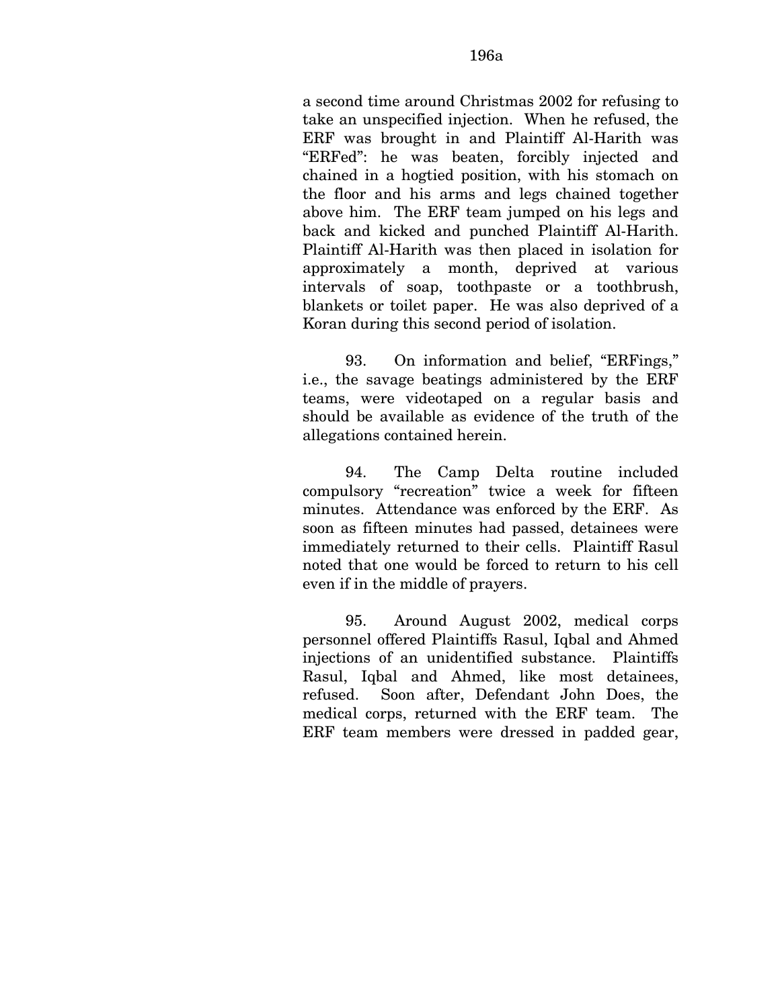a second time around Christmas 2002 for refusing to take an unspecified injection. When he refused, the ERF was brought in and Plaintiff Al-Harith was "ERFed": he was beaten, forcibly injected and chained in a hogtied position, with his stomach on the floor and his arms and legs chained together above him. The ERF team jumped on his legs and back and kicked and punched Plaintiff Al-Harith. Plaintiff Al-Harith was then placed in isolation for approximately a month, deprived at various intervals of soap, toothpaste or a toothbrush, blankets or toilet paper. He was also deprived of a Koran during this second period of isolation.

93. On information and belief, "ERFings," i.e., the savage beatings administered by the ERF teams, were videotaped on a regular basis and should be available as evidence of the truth of the allegations contained herein.

94. The Camp Delta routine included compulsory "recreation" twice a week for fifteen minutes. Attendance was enforced by the ERF. As soon as fifteen minutes had passed, detainees were immediately returned to their cells. Plaintiff Rasul noted that one would be forced to return to his cell even if in the middle of prayers.

95. Around August 2002, medical corps personnel offered Plaintiffs Rasul, Iqbal and Ahmed injections of an unidentified substance. Plaintiffs Rasul, Iqbal and Ahmed, like most detainees, refused. Soon after, Defendant John Does, the medical corps, returned with the ERF team. The ERF team members were dressed in padded gear,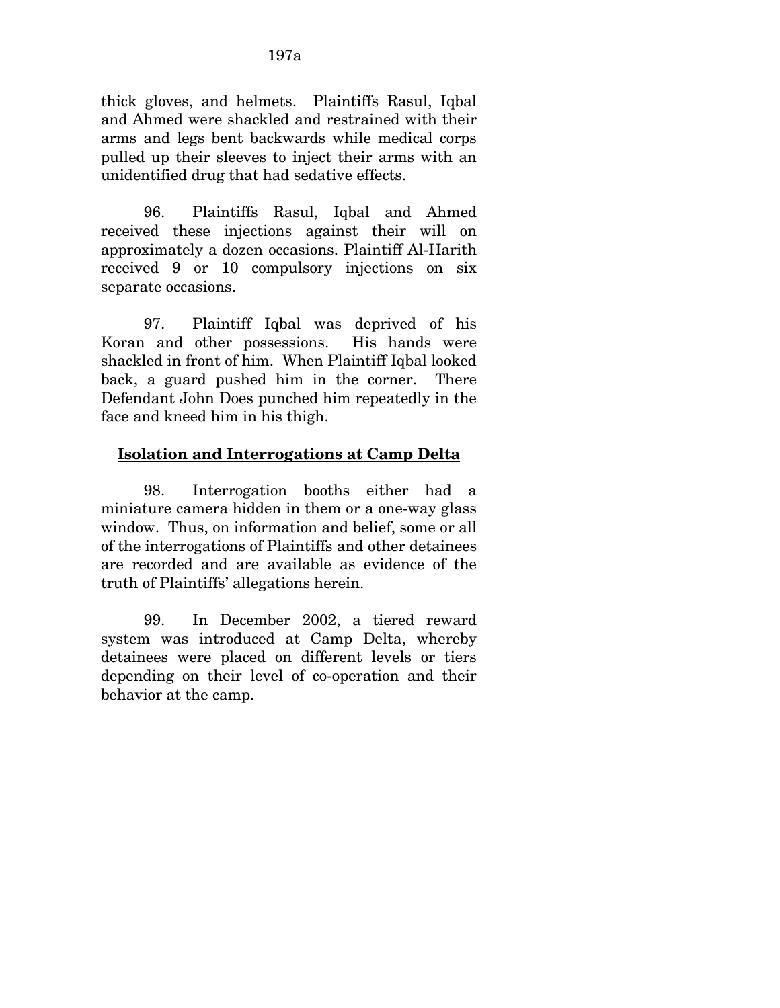thick gloves, and helmets. Plaintiffs Rasul, Iqbal and Ahmed were shackled and restrained with their arms and legs bent backwards while medical corps pulled up their sleeves to inject their arms with an unidentified drug that had sedative effects.

96. Plaintiffs Rasul, Iqbal and Ahmed received these injections against their will on approximately a dozen occasions. Plaintiff Al-Harith received 9 or 10 compulsory injections on six separate occasions.

97. Plaintiff Iqbal was deprived of his Koran and other possessions. His hands were shackled in front of him. When Plaintiff Iqbal looked back, a guard pushed him in the corner. There Defendant John Does punched him repeatedly in the face and kneed him in his thigh.

## **Isolation and Interrogations at Camp Delta**

98. Interrogation booths either had a miniature camera hidden in them or a one-way glass window. Thus, on information and belief, some or all of the interrogations of Plaintiffs and other detainees are recorded and are available as evidence of the truth of Plaintiffs' allegations herein.

99. In December 2002, a tiered reward system was introduced at Camp Delta, whereby detainees were placed on different levels or tiers depending on their level of co-operation and their behavior at the camp.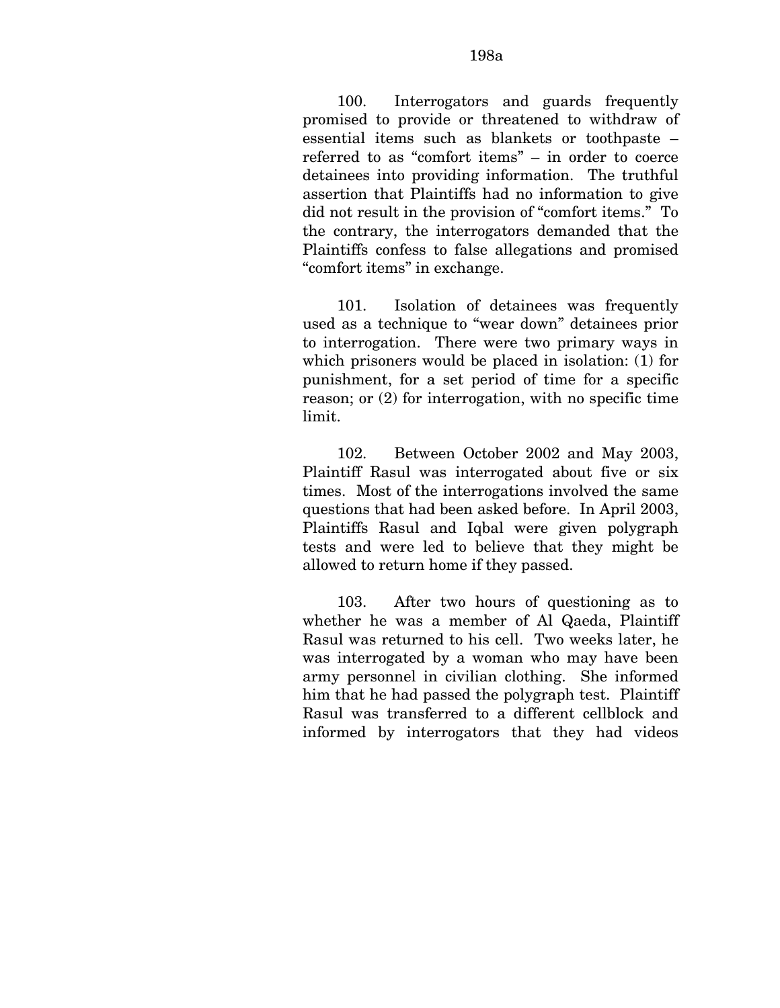#### 198a

100. Interrogators and guards frequently promised to provide or threatened to withdraw of essential items such as blankets or toothpaste – referred to as "comfort items" – in order to coerce detainees into providing information. The truthful assertion that Plaintiffs had no information to give did not result in the provision of "comfort items." To the contrary, the interrogators demanded that the Plaintiffs confess to false allegations and promised "comfort items" in exchange.

101. Isolation of detainees was frequently used as a technique to "wear down" detainees prior to interrogation. There were two primary ways in which prisoners would be placed in isolation: (1) for punishment, for a set period of time for a specific reason; or (2) for interrogation, with no specific time limit.

102. Between October 2002 and May 2003, Plaintiff Rasul was interrogated about five or six times. Most of the interrogations involved the same questions that had been asked before. In April 2003, Plaintiffs Rasul and Iqbal were given polygraph tests and were led to believe that they might be allowed to return home if they passed.

103. After two hours of questioning as to whether he was a member of Al Qaeda, Plaintiff Rasul was returned to his cell. Two weeks later, he was interrogated by a woman who may have been army personnel in civilian clothing. She informed him that he had passed the polygraph test. Plaintiff Rasul was transferred to a different cellblock and informed by interrogators that they had videos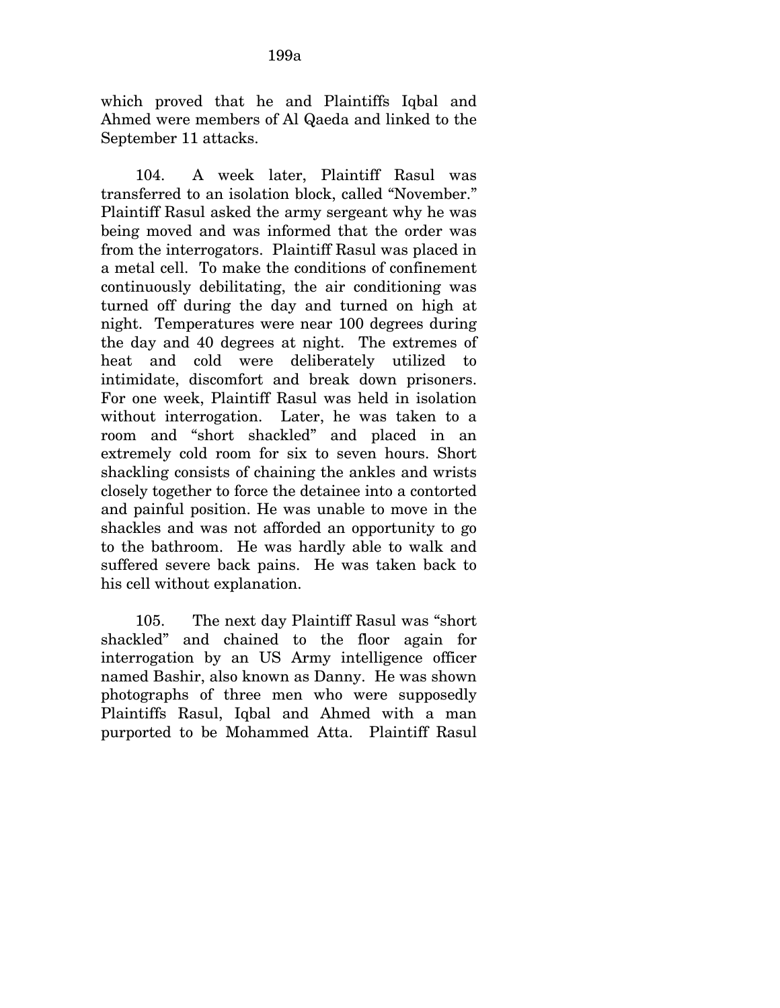which proved that he and Plaintiffs Iqbal and Ahmed were members of Al Qaeda and linked to the September 11 attacks.

104. A week later, Plaintiff Rasul was transferred to an isolation block, called "November." Plaintiff Rasul asked the army sergeant why he was being moved and was informed that the order was from the interrogators. Plaintiff Rasul was placed in a metal cell. To make the conditions of confinement continuously debilitating, the air conditioning was turned off during the day and turned on high at night. Temperatures were near 100 degrees during the day and 40 degrees at night. The extremes of heat and cold were deliberately utilized to intimidate, discomfort and break down prisoners. For one week, Plaintiff Rasul was held in isolation without interrogation. Later, he was taken to a room and "short shackled" and placed in an extremely cold room for six to seven hours. Short shackling consists of chaining the ankles and wrists closely together to force the detainee into a contorted and painful position. He was unable to move in the shackles and was not afforded an opportunity to go to the bathroom. He was hardly able to walk and suffered severe back pains. He was taken back to his cell without explanation.

105. The next day Plaintiff Rasul was "short shackled" and chained to the floor again for interrogation by an US Army intelligence officer named Bashir, also known as Danny. He was shown photographs of three men who were supposedly Plaintiffs Rasul, Iqbal and Ahmed with a man purported to be Mohammed Atta. Plaintiff Rasul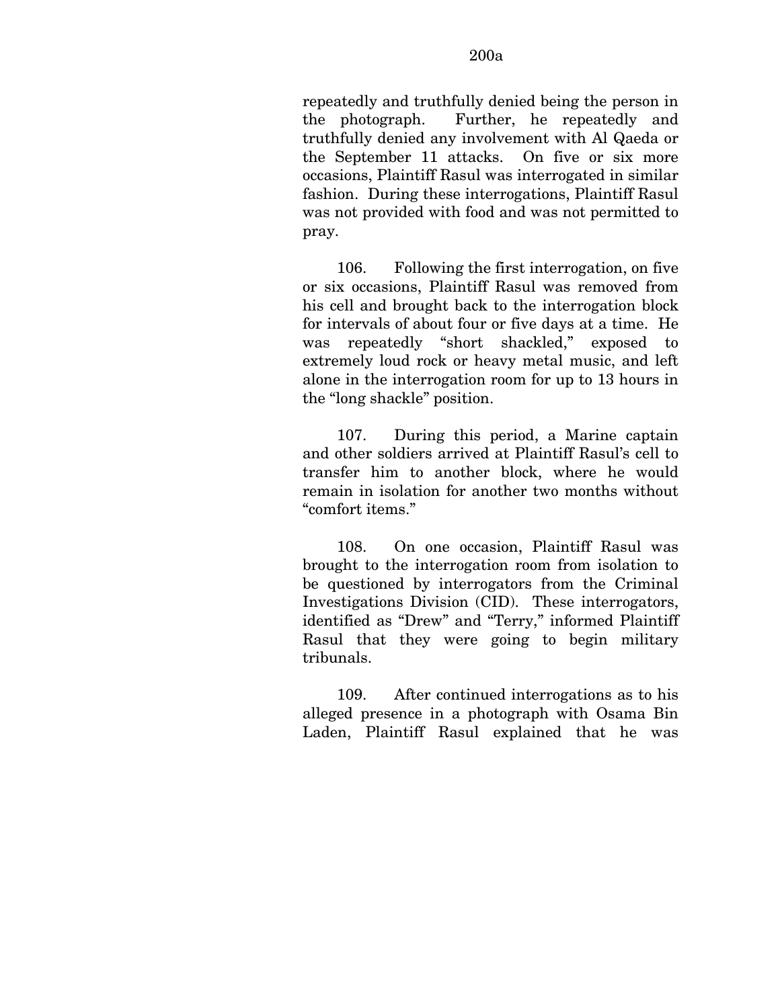repeatedly and truthfully denied being the person in the photograph. Further, he repeatedly and truthfully denied any involvement with Al Qaeda or the September 11 attacks. On five or six more occasions, Plaintiff Rasul was interrogated in similar fashion. During these interrogations, Plaintiff Rasul was not provided with food and was not permitted to pray.

106. Following the first interrogation, on five or six occasions, Plaintiff Rasul was removed from his cell and brought back to the interrogation block for intervals of about four or five days at a time. He was repeatedly "short shackled," exposed to extremely loud rock or heavy metal music, and left alone in the interrogation room for up to 13 hours in the "long shackle" position.

107. During this period, a Marine captain and other soldiers arrived at Plaintiff Rasul's cell to transfer him to another block, where he would remain in isolation for another two months without "comfort items."

108. On one occasion, Plaintiff Rasul was brought to the interrogation room from isolation to be questioned by interrogators from the Criminal Investigations Division (CID). These interrogators, identified as "Drew" and "Terry," informed Plaintiff Rasul that they were going to begin military tribunals.

109. After continued interrogations as to his alleged presence in a photograph with Osama Bin Laden, Plaintiff Rasul explained that he was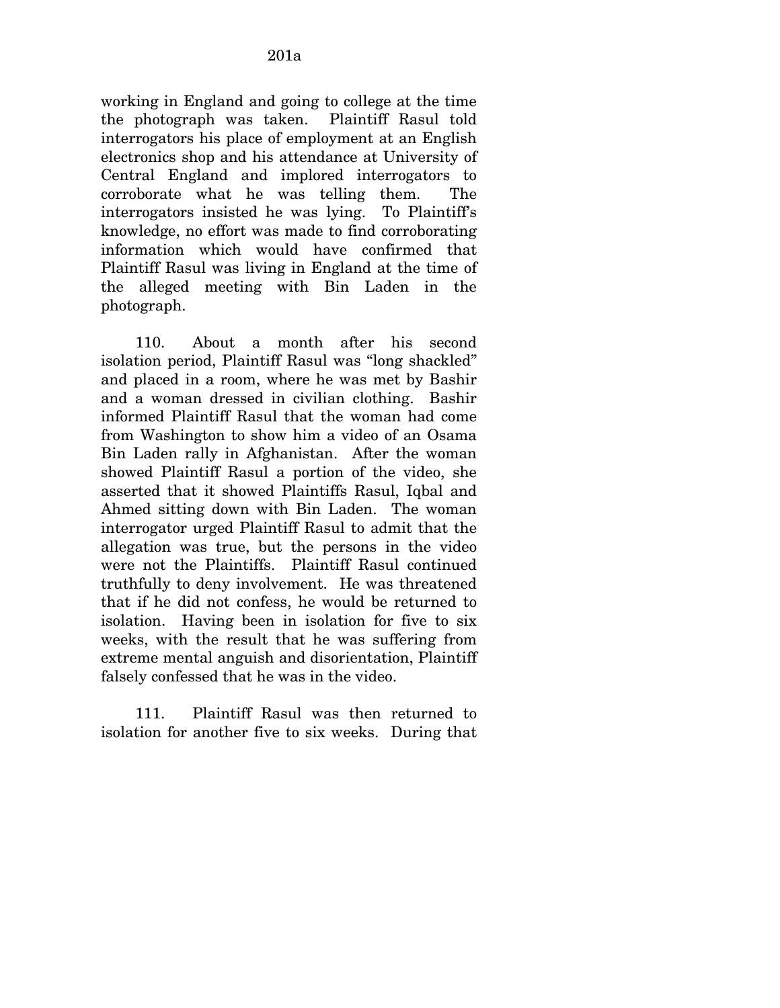working in England and going to college at the time the photograph was taken. Plaintiff Rasul told interrogators his place of employment at an English electronics shop and his attendance at University of Central England and implored interrogators to corroborate what he was telling them. The interrogators insisted he was lying. To Plaintiff's knowledge, no effort was made to find corroborating information which would have confirmed that Plaintiff Rasul was living in England at the time of the alleged meeting with Bin Laden in the photograph.

110. About a month after his second isolation period, Plaintiff Rasul was "long shackled" and placed in a room, where he was met by Bashir and a woman dressed in civilian clothing. Bashir informed Plaintiff Rasul that the woman had come from Washington to show him a video of an Osama Bin Laden rally in Afghanistan. After the woman showed Plaintiff Rasul a portion of the video, she asserted that it showed Plaintiffs Rasul, Iqbal and Ahmed sitting down with Bin Laden. The woman interrogator urged Plaintiff Rasul to admit that the allegation was true, but the persons in the video were not the Plaintiffs. Plaintiff Rasul continued truthfully to deny involvement. He was threatened that if he did not confess, he would be returned to isolation. Having been in isolation for five to six weeks, with the result that he was suffering from extreme mental anguish and disorientation, Plaintiff falsely confessed that he was in the video.

111. Plaintiff Rasul was then returned to isolation for another five to six weeks. During that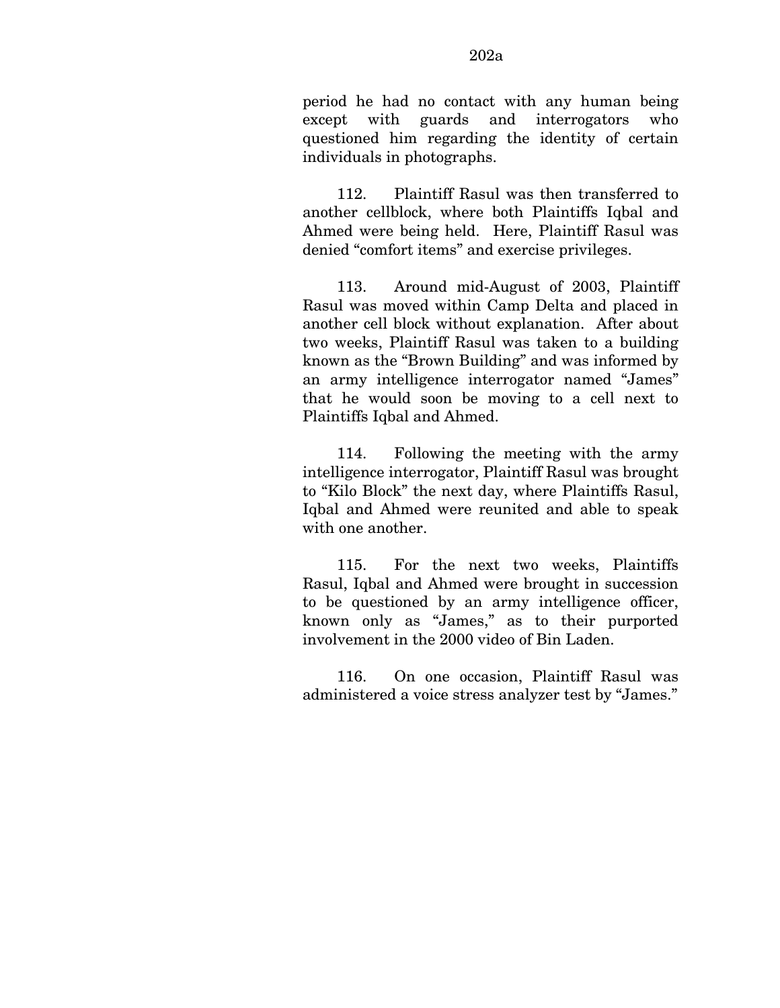112. Plaintiff Rasul was then transferred to another cellblock, where both Plaintiffs Iqbal and Ahmed were being held. Here, Plaintiff Rasul was denied "comfort items" and exercise privileges.

113. Around mid-August of 2003, Plaintiff Rasul was moved within Camp Delta and placed in another cell block without explanation. After about two weeks, Plaintiff Rasul was taken to a building known as the "Brown Building" and was informed by an army intelligence interrogator named "James" that he would soon be moving to a cell next to Plaintiffs Iqbal and Ahmed.

114. Following the meeting with the army intelligence interrogator, Plaintiff Rasul was brought to "Kilo Block" the next day, where Plaintiffs Rasul, Iqbal and Ahmed were reunited and able to speak with one another.

115. For the next two weeks, Plaintiffs Rasul, Iqbal and Ahmed were brought in succession to be questioned by an army intelligence officer, known only as "James," as to their purported involvement in the 2000 video of Bin Laden.

116. On one occasion, Plaintiff Rasul was administered a voice stress analyzer test by "James."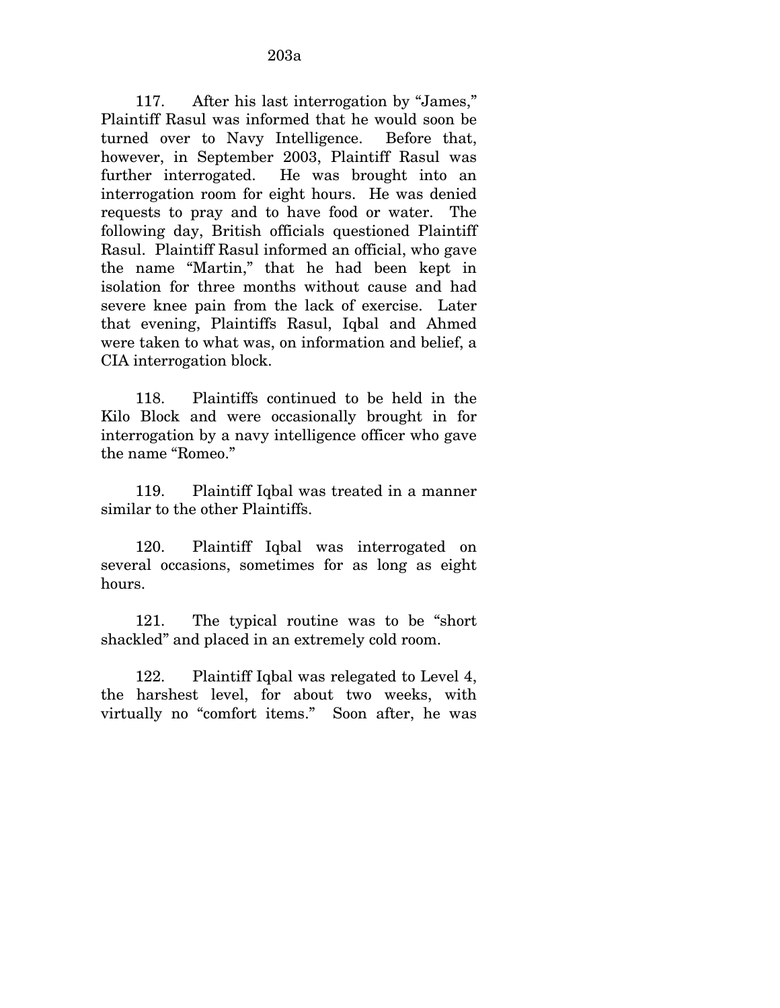117. After his last interrogation by "James," Plaintiff Rasul was informed that he would soon be turned over to Navy Intelligence. Before that, however, in September 2003, Plaintiff Rasul was further interrogated. He was brought into an interrogation room for eight hours. He was denied requests to pray and to have food or water. The following day, British officials questioned Plaintiff Rasul. Plaintiff Rasul informed an official, who gave the name "Martin," that he had been kept in isolation for three months without cause and had severe knee pain from the lack of exercise. Later that evening, Plaintiffs Rasul, Iqbal and Ahmed were taken to what was, on information and belief, a CIA interrogation block.

118. Plaintiffs continued to be held in the Kilo Block and were occasionally brought in for interrogation by a navy intelligence officer who gave the name "Romeo."

119. Plaintiff Iqbal was treated in a manner similar to the other Plaintiffs.

120. Plaintiff Iqbal was interrogated on several occasions, sometimes for as long as eight hours.

121. The typical routine was to be "short shackled" and placed in an extremely cold room.

122. Plaintiff Iqbal was relegated to Level 4, the harshest level, for about two weeks, with virtually no "comfort items." Soon after, he was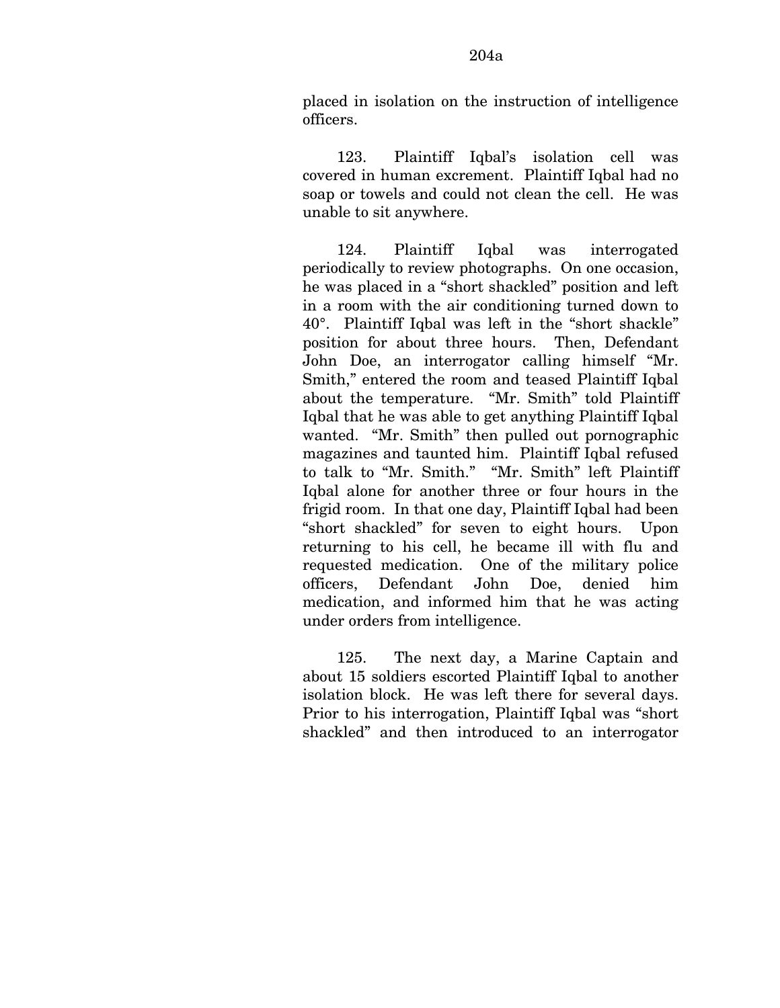123. Plaintiff Iqbal's isolation cell was covered in human excrement. Plaintiff Iqbal had no soap or towels and could not clean the cell. He was unable to sit anywhere.

124. Plaintiff Iqbal was interrogated periodically to review photographs. On one occasion, he was placed in a "short shackled" position and left in a room with the air conditioning turned down to 40°. Plaintiff Iqbal was left in the "short shackle" position for about three hours. Then, Defendant John Doe, an interrogator calling himself "Mr. Smith," entered the room and teased Plaintiff Iqbal about the temperature. "Mr. Smith" told Plaintiff Iqbal that he was able to get anything Plaintiff Iqbal wanted. "Mr. Smith" then pulled out pornographic magazines and taunted him. Plaintiff Iqbal refused to talk to "Mr. Smith." "Mr. Smith" left Plaintiff Iqbal alone for another three or four hours in the frigid room. In that one day, Plaintiff Iqbal had been "short shackled" for seven to eight hours. Upon returning to his cell, he became ill with flu and requested medication. One of the military police officers, Defendant John Doe, denied him medication, and informed him that he was acting under orders from intelligence.

125. The next day, a Marine Captain and about 15 soldiers escorted Plaintiff Iqbal to another isolation block. He was left there for several days. Prior to his interrogation, Plaintiff Iqbal was "short shackled" and then introduced to an interrogator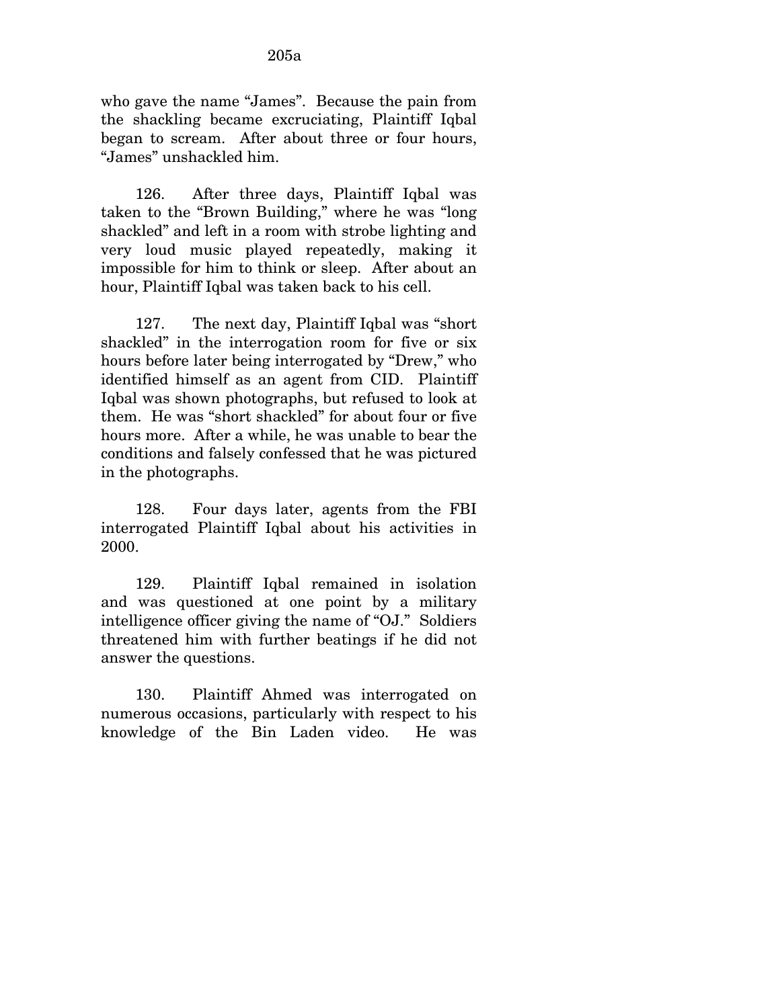who gave the name "James". Because the pain from the shackling became excruciating, Plaintiff Iqbal began to scream. After about three or four hours, "James" unshackled him.

126. After three days, Plaintiff Iqbal was taken to the "Brown Building," where he was "long shackled" and left in a room with strobe lighting and very loud music played repeatedly, making it impossible for him to think or sleep. After about an hour, Plaintiff Iqbal was taken back to his cell.

127. The next day, Plaintiff Iqbal was "short shackled" in the interrogation room for five or six hours before later being interrogated by "Drew," who identified himself as an agent from CID. Plaintiff Iqbal was shown photographs, but refused to look at them. He was "short shackled" for about four or five hours more. After a while, he was unable to bear the conditions and falsely confessed that he was pictured in the photographs.

128. Four days later, agents from the FBI interrogated Plaintiff Iqbal about his activities in 2000.

129. Plaintiff Iqbal remained in isolation and was questioned at one point by a military intelligence officer giving the name of "OJ." Soldiers threatened him with further beatings if he did not answer the questions.

130. Plaintiff Ahmed was interrogated on numerous occasions, particularly with respect to his knowledge of the Bin Laden video. He was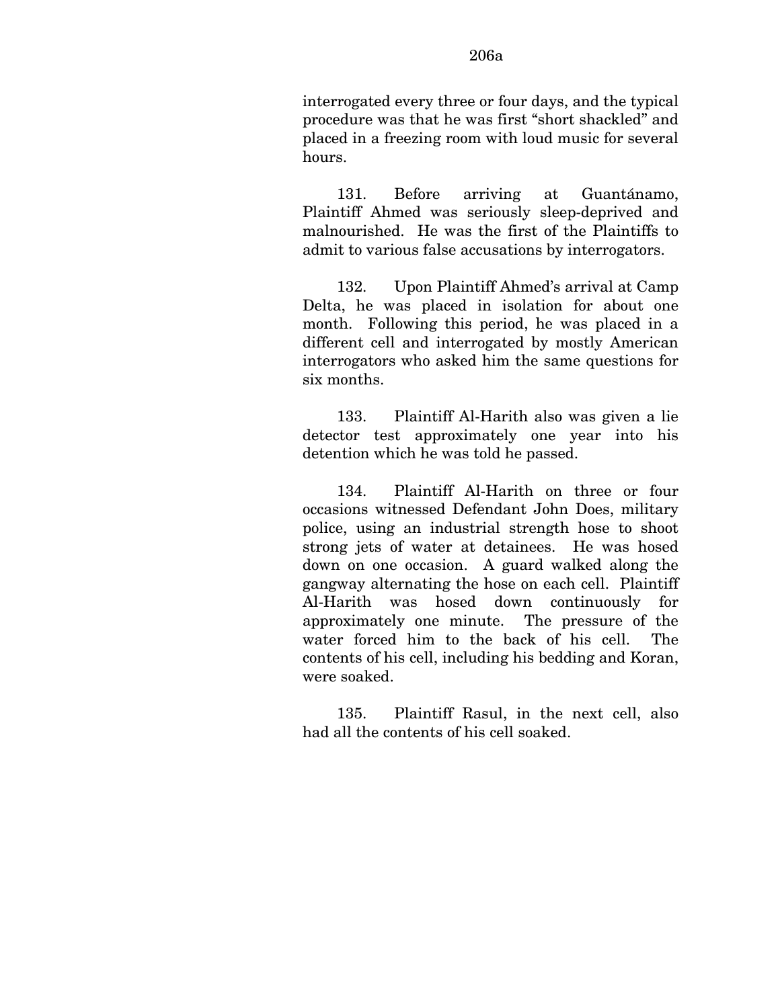interrogated every three or four days, and the typical procedure was that he was first "short shackled" and placed in a freezing room with loud music for several hours.

131. Before arriving at Guantánamo, Plaintiff Ahmed was seriously sleep-deprived and malnourished. He was the first of the Plaintiffs to admit to various false accusations by interrogators.

132. Upon Plaintiff Ahmed's arrival at Camp Delta, he was placed in isolation for about one month. Following this period, he was placed in a different cell and interrogated by mostly American interrogators who asked him the same questions for six months.

133. Plaintiff Al-Harith also was given a lie detector test approximately one year into his detention which he was told he passed.

134. Plaintiff Al-Harith on three or four occasions witnessed Defendant John Does, military police, using an industrial strength hose to shoot strong jets of water at detainees. He was hosed down on one occasion. A guard walked along the gangway alternating the hose on each cell. Plaintiff Al-Harith was hosed down continuously for approximately one minute. The pressure of the water forced him to the back of his cell. The contents of his cell, including his bedding and Koran, were soaked.

135. Plaintiff Rasul, in the next cell, also had all the contents of his cell soaked.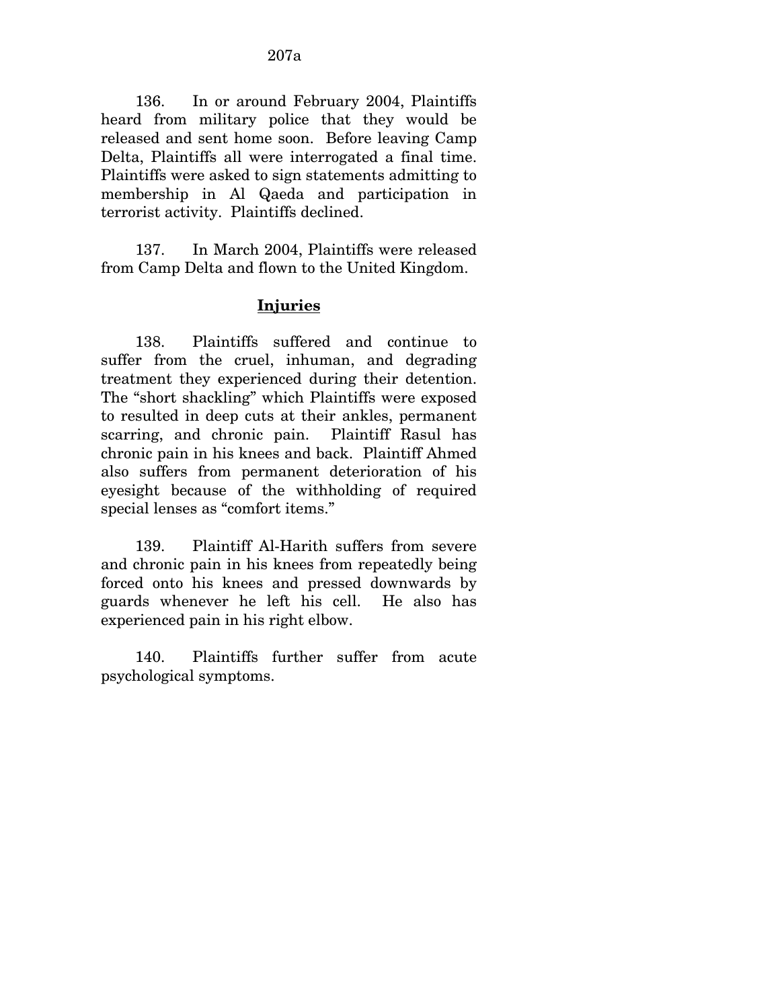136. In or around February 2004, Plaintiffs heard from military police that they would be released and sent home soon. Before leaving Camp Delta, Plaintiffs all were interrogated a final time. Plaintiffs were asked to sign statements admitting to membership in Al Qaeda and participation in terrorist activity. Plaintiffs declined.

137. In March 2004, Plaintiffs were released from Camp Delta and flown to the United Kingdom.

## **Injuries**

138. Plaintiffs suffered and continue to suffer from the cruel, inhuman, and degrading treatment they experienced during their detention. The "short shackling" which Plaintiffs were exposed to resulted in deep cuts at their ankles, permanent scarring, and chronic pain. Plaintiff Rasul has chronic pain in his knees and back. Plaintiff Ahmed also suffers from permanent deterioration of his eyesight because of the withholding of required special lenses as "comfort items."

139. Plaintiff Al-Harith suffers from severe and chronic pain in his knees from repeatedly being forced onto his knees and pressed downwards by guards whenever he left his cell. He also has experienced pain in his right elbow.

140. Plaintiffs further suffer from acute psychological symptoms.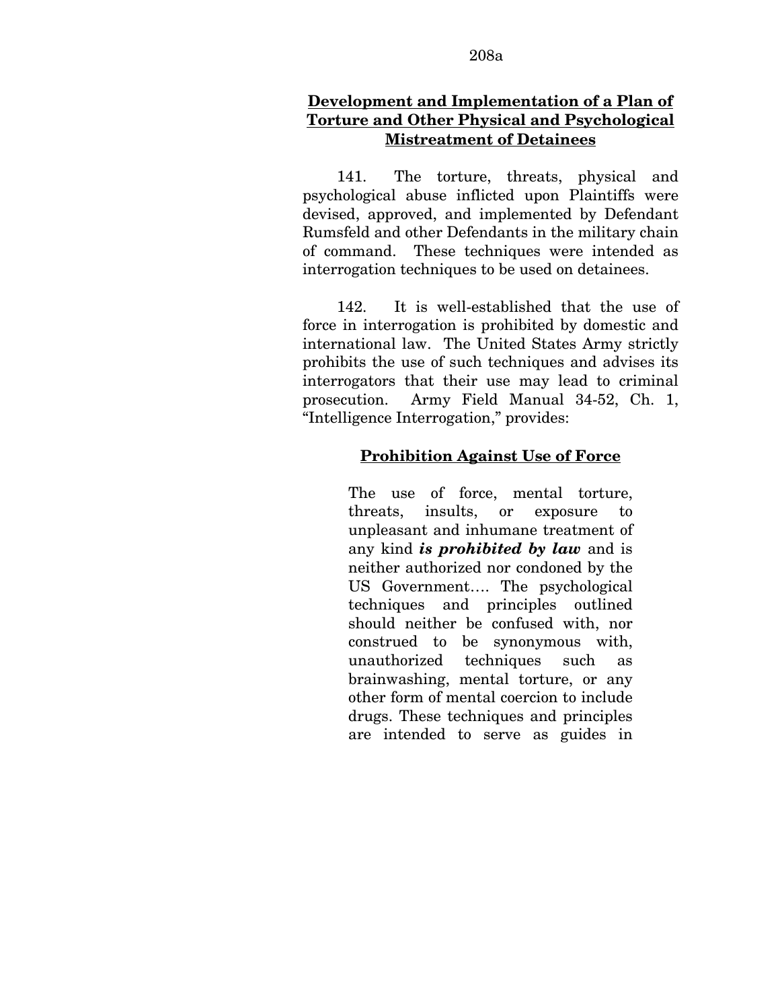## **Development and Implementation of a Plan of Torture and Other Physical and Psychological Mistreatment of Detainees**

141. The torture, threats, physical and psychological abuse inflicted upon Plaintiffs were devised, approved, and implemented by Defendant Rumsfeld and other Defendants in the military chain of command. These techniques were intended as interrogation techniques to be used on detainees.

142. It is well-established that the use of force in interrogation is prohibited by domestic and international law. The United States Army strictly prohibits the use of such techniques and advises its interrogators that their use may lead to criminal prosecution. Army Field Manual 34-52, Ch. 1, "Intelligence Interrogation," provides:

### **Prohibition Against Use of Force**

The use of force, mental torture, threats, insults, or exposure to unpleasant and inhumane treatment of any kind *is prohibited by law* and is neither authorized nor condoned by the US Government…. The psychological techniques and principles outlined should neither be confused with, nor construed to be synonymous with, unauthorized techniques such as brainwashing, mental torture, or any other form of mental coercion to include drugs. These techniques and principles are intended to serve as guides in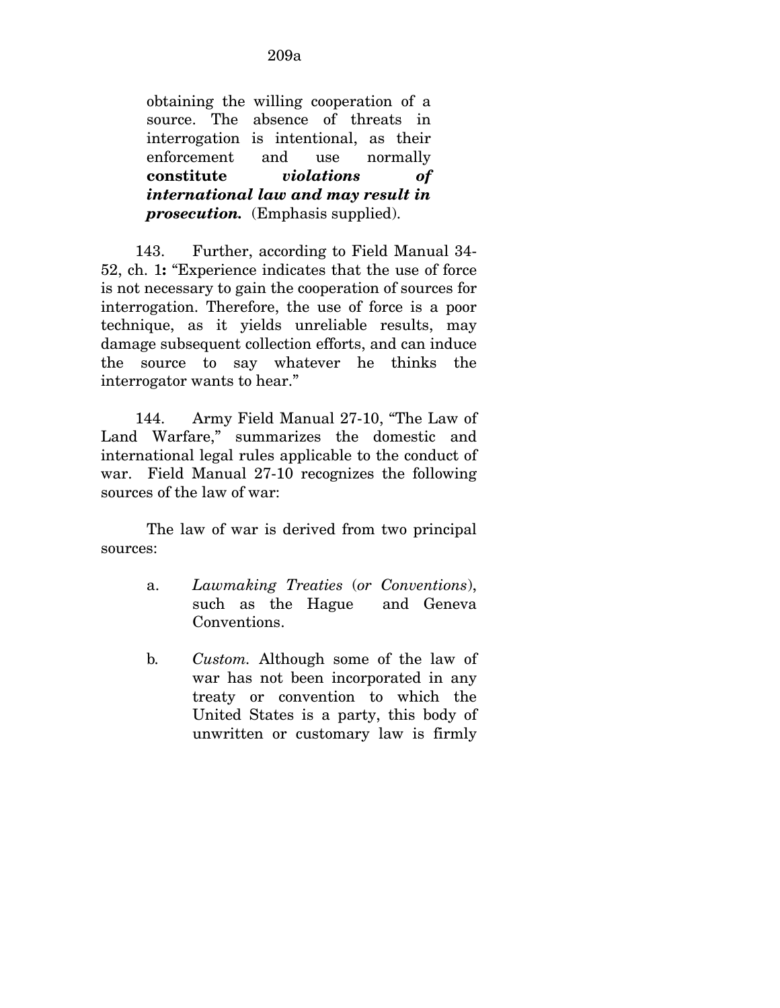obtaining the willing cooperation of a source. The absence of threats in interrogation is intentional, as their enforcement and use normally **constitute** *violations of international law and may result in prosecution.* (Emphasis supplied).

143. Further, according to Field Manual 34- 52, ch. 1**:** "Experience indicates that the use of force is not necessary to gain the cooperation of sources for interrogation. Therefore, the use of force is a poor technique, as it yields unreliable results, may damage subsequent collection efforts, and can induce the source to say whatever he thinks the interrogator wants to hear."

144. Army Field Manual 27-10, "The Law of Land Warfare," summarizes the domestic and international legal rules applicable to the conduct of war. Field Manual 27-10 recognizes the following sources of the law of war:

 The law of war is derived from two principal sources:

- a. *Lawmaking Treaties* (*or Conventions*), such as the Hague and Geneva Conventions.
- b*. Custom.* Although some of the law of war has not been incorporated in any treaty or convention to which the United States is a party, this body of unwritten or customary law is firmly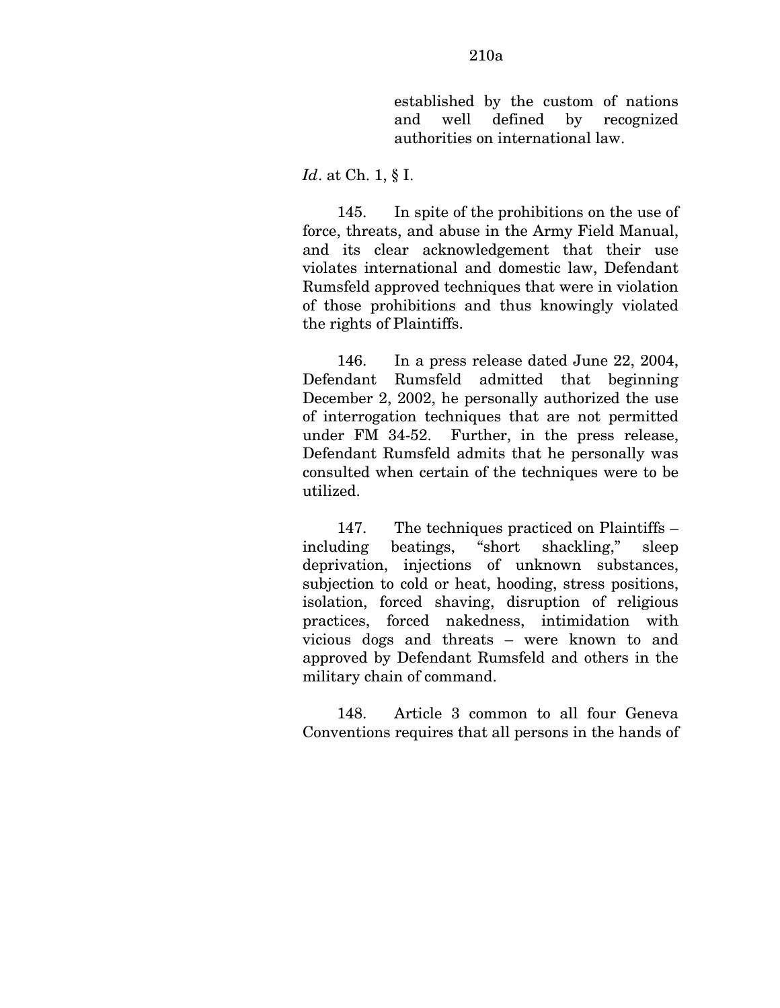## *Id*. at Ch. 1, § I.

145. In spite of the prohibitions on the use of force, threats, and abuse in the Army Field Manual, and its clear acknowledgement that their use violates international and domestic law, Defendant Rumsfeld approved techniques that were in violation of those prohibitions and thus knowingly violated the rights of Plaintiffs.

146. In a press release dated June 22, 2004, Defendant Rumsfeld admitted that beginning December 2, 2002, he personally authorized the use of interrogation techniques that are not permitted under FM 34-52. Further, in the press release, Defendant Rumsfeld admits that he personally was consulted when certain of the techniques were to be utilized.

147. The techniques practiced on Plaintiffs – including beatings, "short shackling," sleep deprivation, injections of unknown substances, subjection to cold or heat, hooding, stress positions, isolation, forced shaving, disruption of religious practices, forced nakedness, intimidation with vicious dogs and threats – were known to and approved by Defendant Rumsfeld and others in the military chain of command.

148. Article 3 common to all four Geneva Conventions requires that all persons in the hands of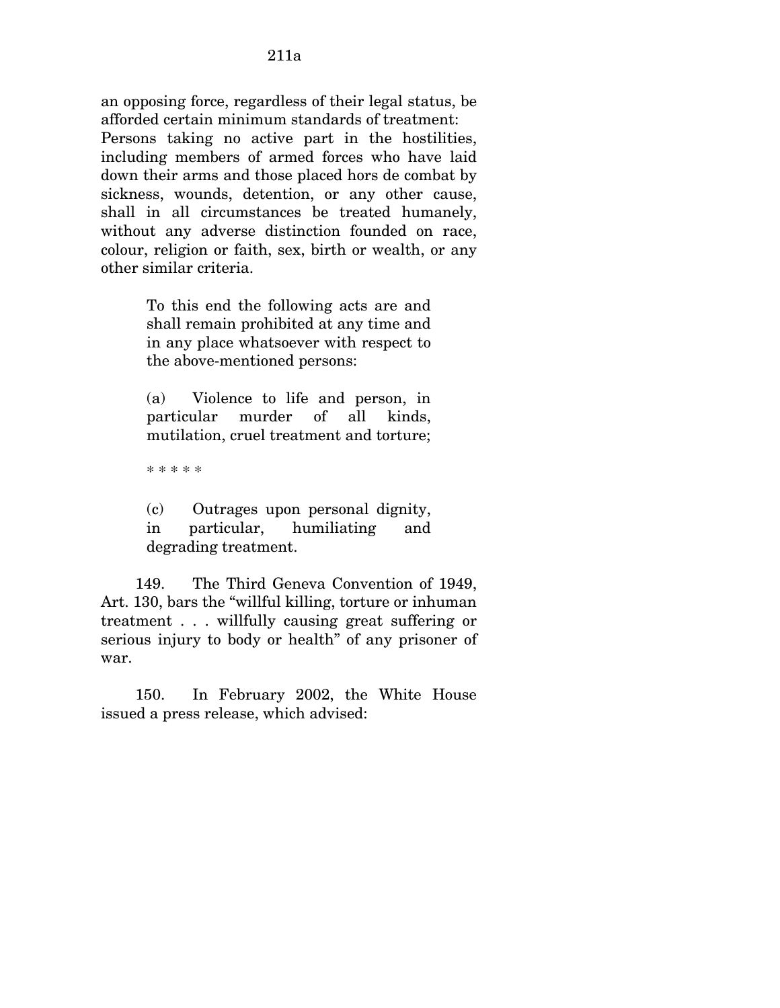an opposing force, regardless of their legal status, be afforded certain minimum standards of treatment:

Persons taking no active part in the hostilities, including members of armed forces who have laid down their arms and those placed hors de combat by sickness, wounds, detention, or any other cause, shall in all circumstances be treated humanely, without any adverse distinction founded on race, colour, religion or faith, sex, birth or wealth, or any other similar criteria.

> To this end the following acts are and shall remain prohibited at any time and in any place whatsoever with respect to the above-mentioned persons:

> (a) Violence to life and person, in particular murder of all kinds, mutilation, cruel treatment and torture;

\* \* \* \* \*

(c) Outrages upon personal dignity, in particular, humiliating and degrading treatment.

149. The Third Geneva Convention of 1949, Art. 130, bars the "willful killing, torture or inhuman treatment . . . willfully causing great suffering or serious injury to body or health" of any prisoner of war.

150. In February 2002, the White House issued a press release, which advised: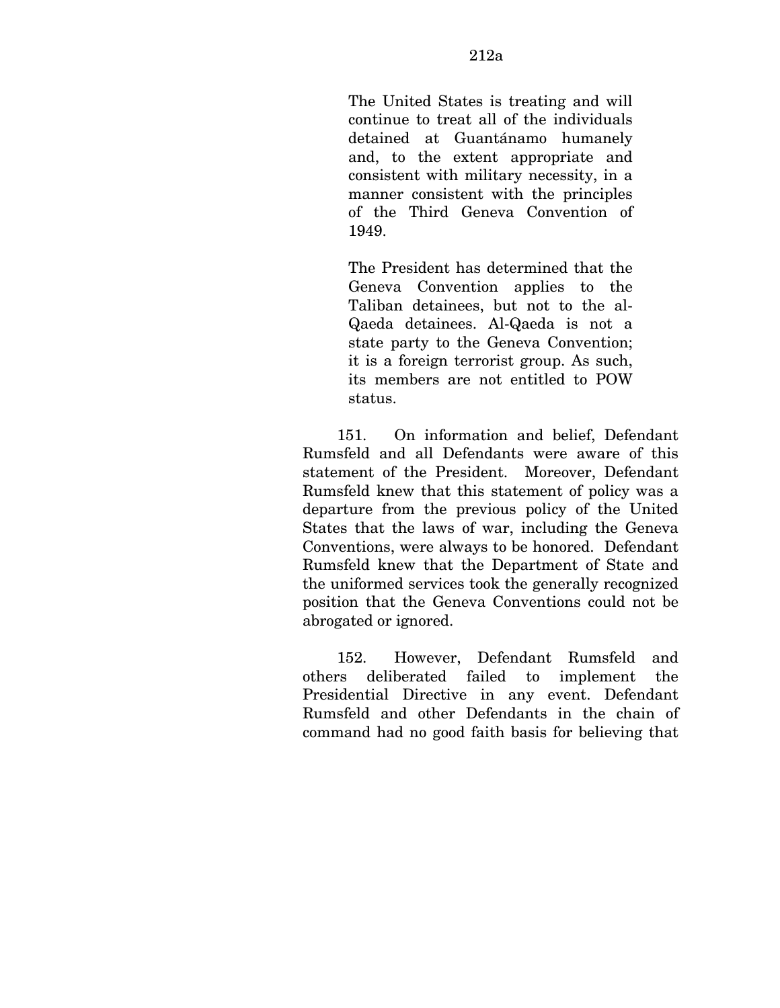The United States is treating and will continue to treat all of the individuals detained at Guantánamo humanely and, to the extent appropriate and consistent with military necessity, in a manner consistent with the principles of the Third Geneva Convention of 1949.

The President has determined that the Geneva Convention applies to the Taliban detainees, but not to the al-Qaeda detainees. Al-Qaeda is not a state party to the Geneva Convention; it is a foreign terrorist group. As such, its members are not entitled to POW status.

151. On information and belief, Defendant Rumsfeld and all Defendants were aware of this statement of the President. Moreover, Defendant Rumsfeld knew that this statement of policy was a departure from the previous policy of the United States that the laws of war, including the Geneva Conventions, were always to be honored. Defendant Rumsfeld knew that the Department of State and the uniformed services took the generally recognized position that the Geneva Conventions could not be abrogated or ignored.

152. However, Defendant Rumsfeld and others deliberated failed to implement the Presidential Directive in any event. Defendant Rumsfeld and other Defendants in the chain of command had no good faith basis for believing that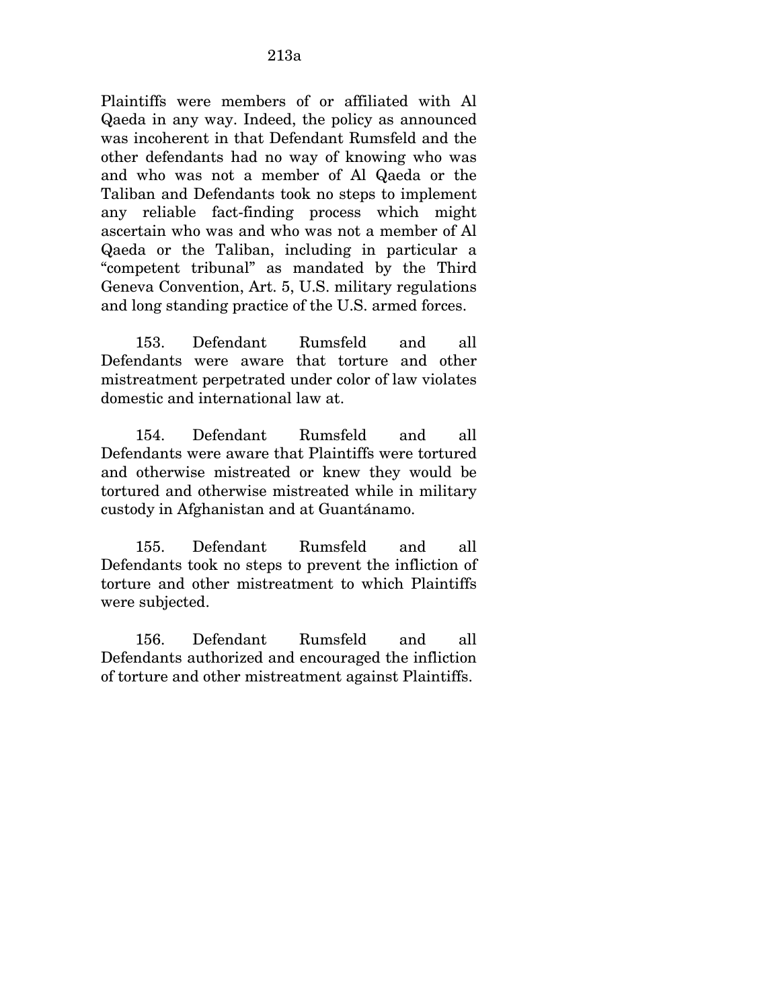Plaintiffs were members of or affiliated with Al Qaeda in any way. Indeed, the policy as announced was incoherent in that Defendant Rumsfeld and the other defendants had no way of knowing who was and who was not a member of Al Qaeda or the Taliban and Defendants took no steps to implement any reliable fact-finding process which might ascertain who was and who was not a member of Al Qaeda or the Taliban, including in particular a "competent tribunal" as mandated by the Third Geneva Convention, Art. 5, U.S. military regulations and long standing practice of the U.S. armed forces.

153. Defendant Rumsfeld and all Defendants were aware that torture and other mistreatment perpetrated under color of law violates domestic and international law at.

154. Defendant Rumsfeld and all Defendants were aware that Plaintiffs were tortured and otherwise mistreated or knew they would be tortured and otherwise mistreated while in military custody in Afghanistan and at Guantánamo.

155. Defendant Rumsfeld and all Defendants took no steps to prevent the infliction of torture and other mistreatment to which Plaintiffs were subjected.

156. Defendant Rumsfeld and all Defendants authorized and encouraged the infliction of torture and other mistreatment against Plaintiffs.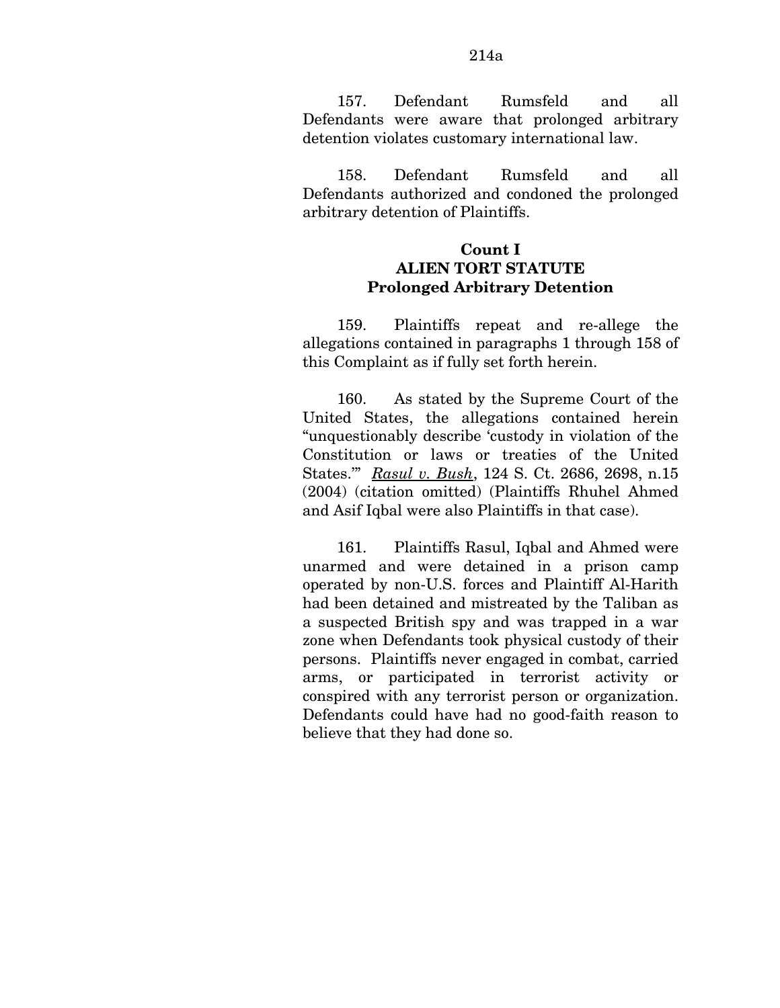157. Defendant Rumsfeld and all Defendants were aware that prolonged arbitrary detention violates customary international law.

158. Defendant Rumsfeld and all Defendants authorized and condoned the prolonged arbitrary detention of Plaintiffs.

## **Count I ALIEN TORT STATUTE Prolonged Arbitrary Detention**

159. Plaintiffs repeat and re-allege the allegations contained in paragraphs 1 through 158 of this Complaint as if fully set forth herein.

160. As stated by the Supreme Court of the United States, the allegations contained herein "unquestionably describe 'custody in violation of the Constitution or laws or treaties of the United States.'" *Rasul v. Bush*, 124 S. Ct. 2686, 2698, n.15 (2004) (citation omitted) (Plaintiffs Rhuhel Ahmed and Asif Iqbal were also Plaintiffs in that case).

161. Plaintiffs Rasul, Iqbal and Ahmed were unarmed and were detained in a prison camp operated by non-U.S. forces and Plaintiff Al-Harith had been detained and mistreated by the Taliban as a suspected British spy and was trapped in a war zone when Defendants took physical custody of their persons. Plaintiffs never engaged in combat, carried arms, or participated in terrorist activity or conspired with any terrorist person or organization. Defendants could have had no good-faith reason to believe that they had done so.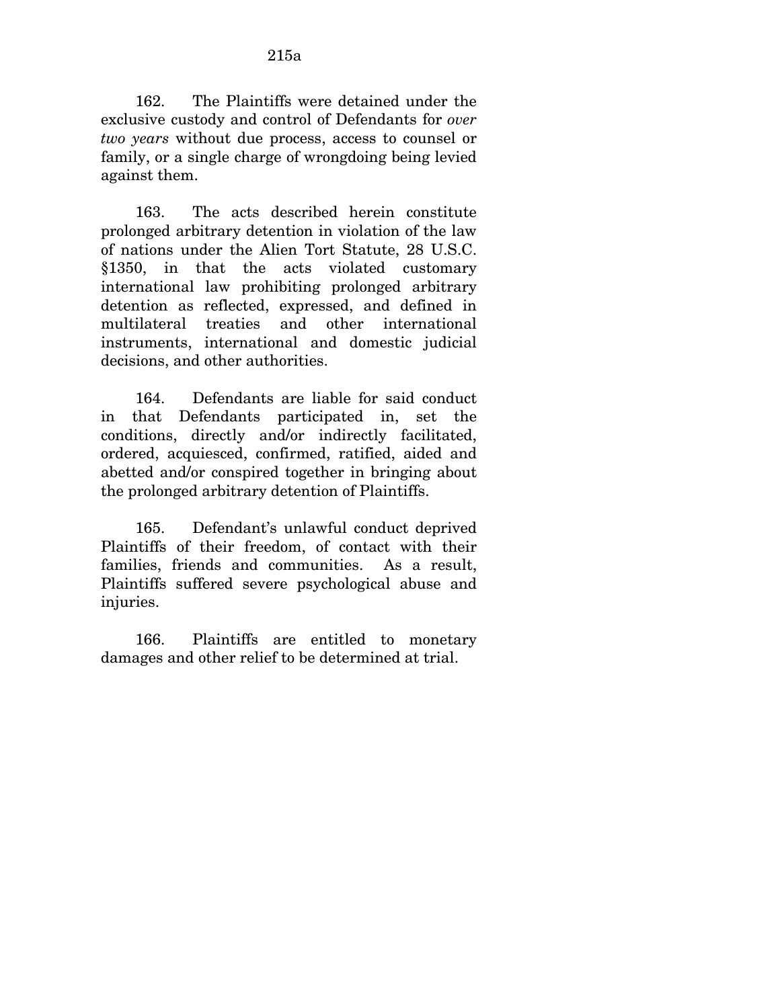162. The Plaintiffs were detained under the exclusive custody and control of Defendants for *over two years* without due process, access to counsel or family, or a single charge of wrongdoing being levied against them.

163. The acts described herein constitute prolonged arbitrary detention in violation of the law of nations under the Alien Tort Statute, 28 U.S.C. §1350, in that the acts violated customary international law prohibiting prolonged arbitrary detention as reflected, expressed, and defined in multilateral treaties and other international instruments, international and domestic judicial decisions, and other authorities.

164. Defendants are liable for said conduct in that Defendants participated in, set the conditions, directly and/or indirectly facilitated, ordered, acquiesced, confirmed, ratified, aided and abetted and/or conspired together in bringing about the prolonged arbitrary detention of Plaintiffs.

165. Defendant's unlawful conduct deprived Plaintiffs of their freedom, of contact with their families, friends and communities. As a result, Plaintiffs suffered severe psychological abuse and injuries.

166. Plaintiffs are entitled to monetary damages and other relief to be determined at trial.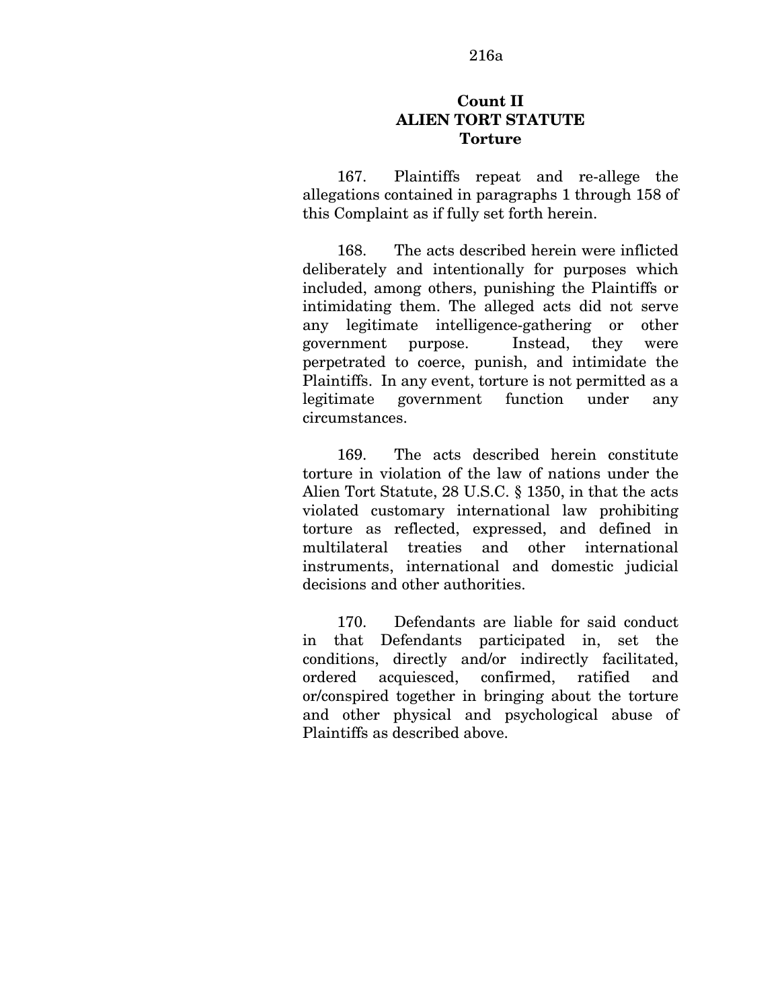#### 216a

## **Count II ALIEN TORT STATUTE Torture**

167. Plaintiffs repeat and re-allege the allegations contained in paragraphs 1 through 158 of this Complaint as if fully set forth herein.

168. The acts described herein were inflicted deliberately and intentionally for purposes which included, among others, punishing the Plaintiffs or intimidating them. The alleged acts did not serve any legitimate intelligence-gathering or other government purpose. Instead, they were perpetrated to coerce, punish, and intimidate the Plaintiffs. In any event, torture is not permitted as a legitimate government function under any circumstances.

169. The acts described herein constitute torture in violation of the law of nations under the Alien Tort Statute, 28 U.S.C. § 1350, in that the acts violated customary international law prohibiting torture as reflected, expressed, and defined in multilateral treaties and other international instruments, international and domestic judicial decisions and other authorities.

170. Defendants are liable for said conduct in that Defendants participated in, set the conditions, directly and/or indirectly facilitated, ordered acquiesced, confirmed, ratified and or/conspired together in bringing about the torture and other physical and psychological abuse of Plaintiffs as described above.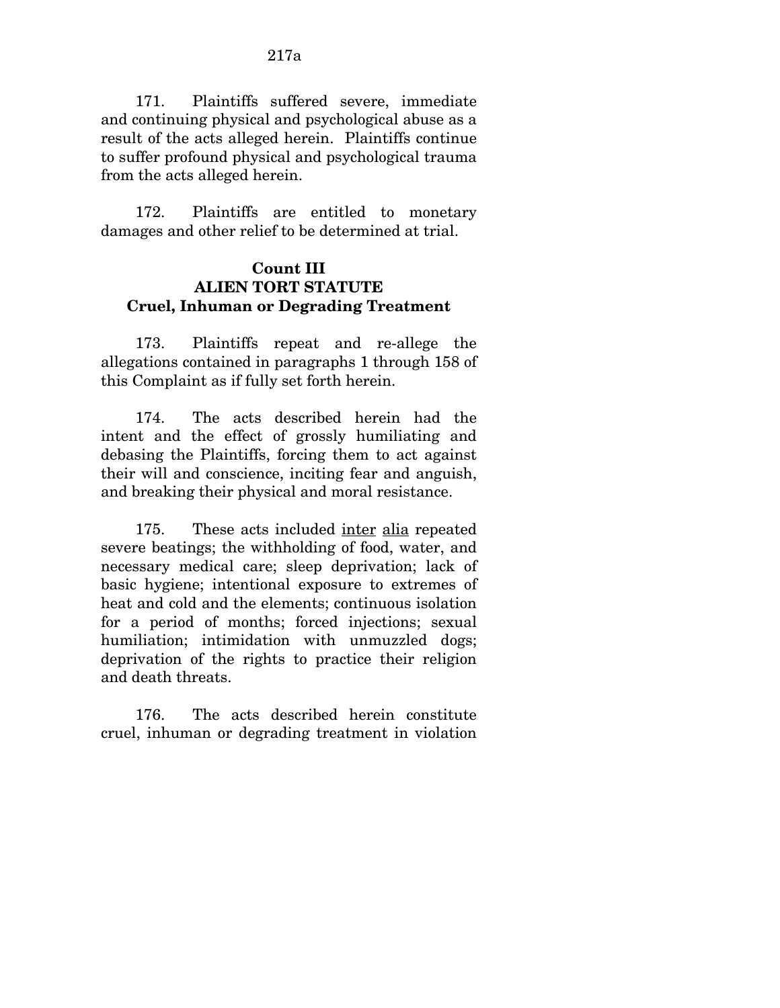171. Plaintiffs suffered severe, immediate and continuing physical and psychological abuse as a result of the acts alleged herein. Plaintiffs continue to suffer profound physical and psychological trauma from the acts alleged herein.

172. Plaintiffs are entitled to monetary damages and other relief to be determined at trial.

## **Count III ALIEN TORT STATUTE Cruel, Inhuman or Degrading Treatment**

173. Plaintiffs repeat and re-allege the allegations contained in paragraphs 1 through 158 of this Complaint as if fully set forth herein.

174. The acts described herein had the intent and the effect of grossly humiliating and debasing the Plaintiffs, forcing them to act against their will and conscience, inciting fear and anguish, and breaking their physical and moral resistance.

175. These acts included inter alia repeated severe beatings; the withholding of food, water, and necessary medical care; sleep deprivation; lack of basic hygiene; intentional exposure to extremes of heat and cold and the elements; continuous isolation for a period of months; forced injections; sexual humiliation; intimidation with unmuzzled dogs; deprivation of the rights to practice their religion and death threats.

176. The acts described herein constitute cruel, inhuman or degrading treatment in violation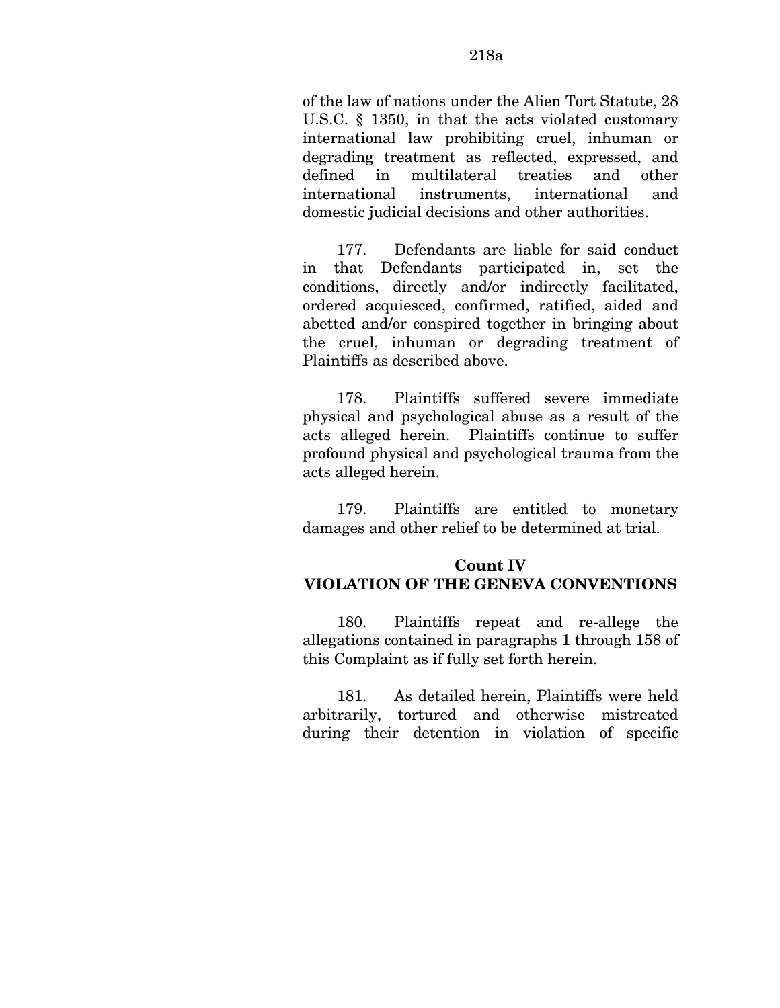177. Defendants are liable for said conduct in that Defendants participated in, set the conditions, directly and/or indirectly facilitated, ordered acquiesced, confirmed, ratified, aided and abetted and/or conspired together in bringing about the cruel, inhuman or degrading treatment of Plaintiffs as described above.

international instruments, international and domestic judicial decisions and other authorities.

178. Plaintiffs suffered severe immediate physical and psychological abuse as a result of the acts alleged herein. Plaintiffs continue to suffer profound physical and psychological trauma from the acts alleged herein.

179. Plaintiffs are entitled to monetary damages and other relief to be determined at trial.

# **Count IV VIOLATION OF THE GENEVA CONVENTIONS**

180. Plaintiffs repeat and re-allege the allegations contained in paragraphs 1 through 158 of this Complaint as if fully set forth herein.

181. As detailed herein, Plaintiffs were held arbitrarily, tortured and otherwise mistreated during their detention in violation of specific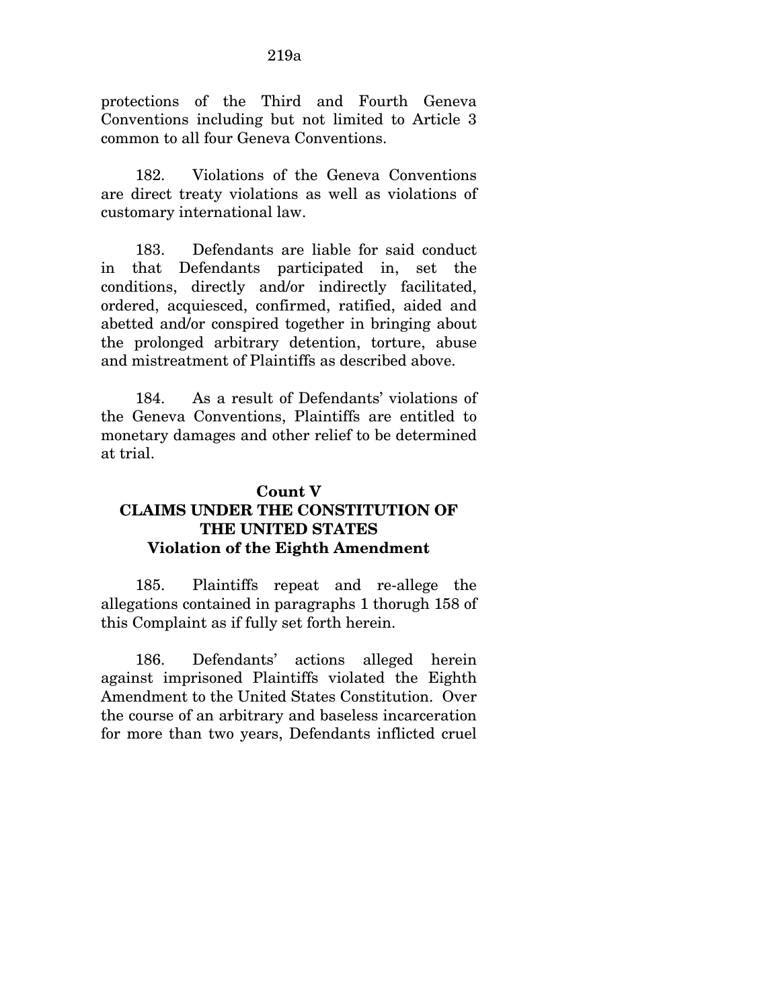protections of the Third and Fourth Geneva Conventions including but not limited to Article 3 common to all four Geneva Conventions.

182. Violations of the Geneva Conventions are direct treaty violations as well as violations of customary international law.

183. Defendants are liable for said conduct in that Defendants participated in, set the conditions, directly and/or indirectly facilitated, ordered, acquiesced, confirmed, ratified, aided and abetted and/or conspired together in bringing about the prolonged arbitrary detention, torture, abuse and mistreatment of Plaintiffs as described above.

184. As a result of Defendants' violations of the Geneva Conventions, Plaintiffs are entitled to monetary damages and other relief to be determined at trial.

# **Count V CLAIMS UNDER THE CONSTITUTION OF THE UNITED STATES Violation of the Eighth Amendment**

185. Plaintiffs repeat and re-allege the allegations contained in paragraphs 1 thorugh 158 of this Complaint as if fully set forth herein.

186. Defendants' actions alleged herein against imprisoned Plaintiffs violated the Eighth Amendment to the United States Constitution. Over the course of an arbitrary and baseless incarceration for more than two years, Defendants inflicted cruel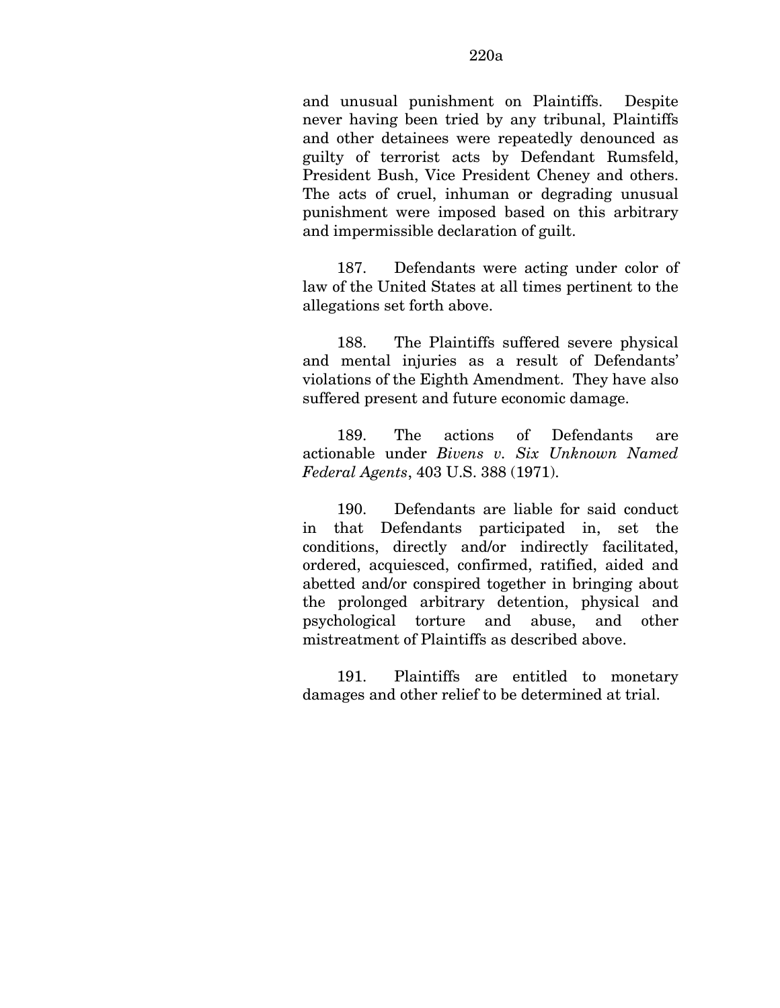and unusual punishment on Plaintiffs. Despite never having been tried by any tribunal, Plaintiffs and other detainees were repeatedly denounced as guilty of terrorist acts by Defendant Rumsfeld, President Bush, Vice President Cheney and others. The acts of cruel, inhuman or degrading unusual punishment were imposed based on this arbitrary and impermissible declaration of guilt.

187. Defendants were acting under color of law of the United States at all times pertinent to the allegations set forth above.

188. The Plaintiffs suffered severe physical and mental injuries as a result of Defendants' violations of the Eighth Amendment. They have also suffered present and future economic damage.

189. The actions of Defendants are actionable under *Bivens v. Six Unknown Named Federal Agents*, 403 U.S. 388 (1971).

190. Defendants are liable for said conduct in that Defendants participated in, set the conditions, directly and/or indirectly facilitated, ordered, acquiesced, confirmed, ratified, aided and abetted and/or conspired together in bringing about the prolonged arbitrary detention, physical and psychological torture and abuse, and other mistreatment of Plaintiffs as described above.

191. Plaintiffs are entitled to monetary damages and other relief to be determined at trial.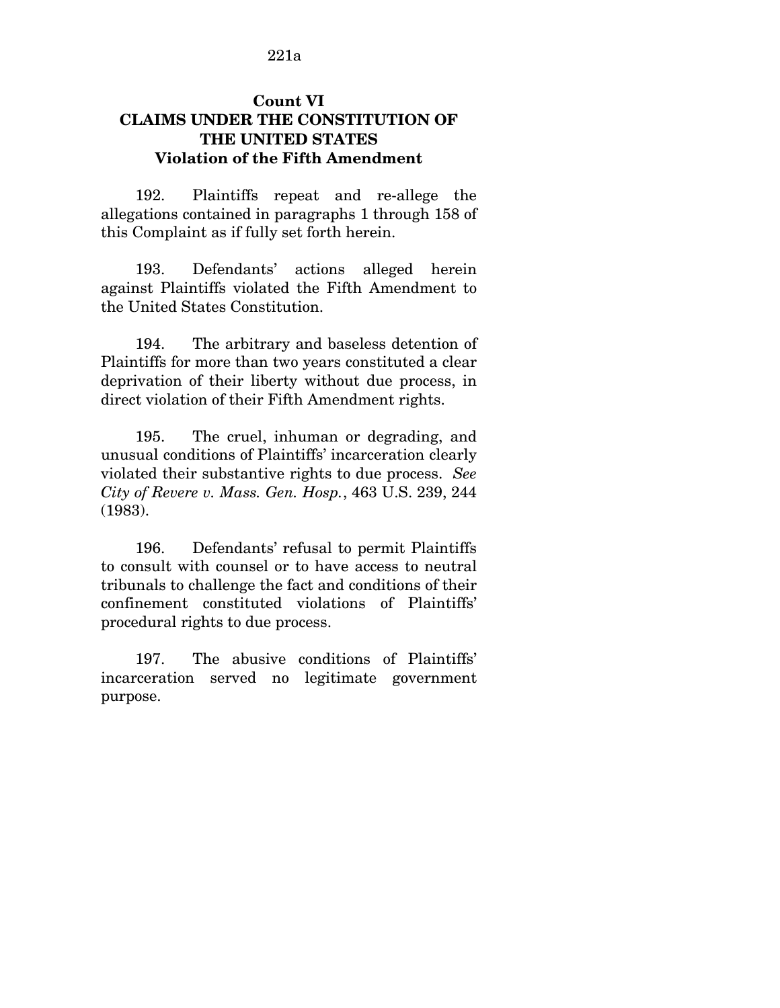## **Count VI CLAIMS UNDER THE CONSTITUTION OF THE UNITED STATES Violation of the Fifth Amendment**

192. Plaintiffs repeat and re-allege the allegations contained in paragraphs 1 through 158 of this Complaint as if fully set forth herein.

193. Defendants' actions alleged herein against Plaintiffs violated the Fifth Amendment to the United States Constitution.

194. The arbitrary and baseless detention of Plaintiffs for more than two years constituted a clear deprivation of their liberty without due process, in direct violation of their Fifth Amendment rights.

195. The cruel, inhuman or degrading, and unusual conditions of Plaintiffs' incarceration clearly violated their substantive rights to due process. *See City of Revere v. Mass. Gen. Hosp.*, 463 U.S. 239, 244 (1983).

196. Defendants' refusal to permit Plaintiffs to consult with counsel or to have access to neutral tribunals to challenge the fact and conditions of their confinement constituted violations of Plaintiffs' procedural rights to due process.

197. The abusive conditions of Plaintiffs' incarceration served no legitimate government purpose.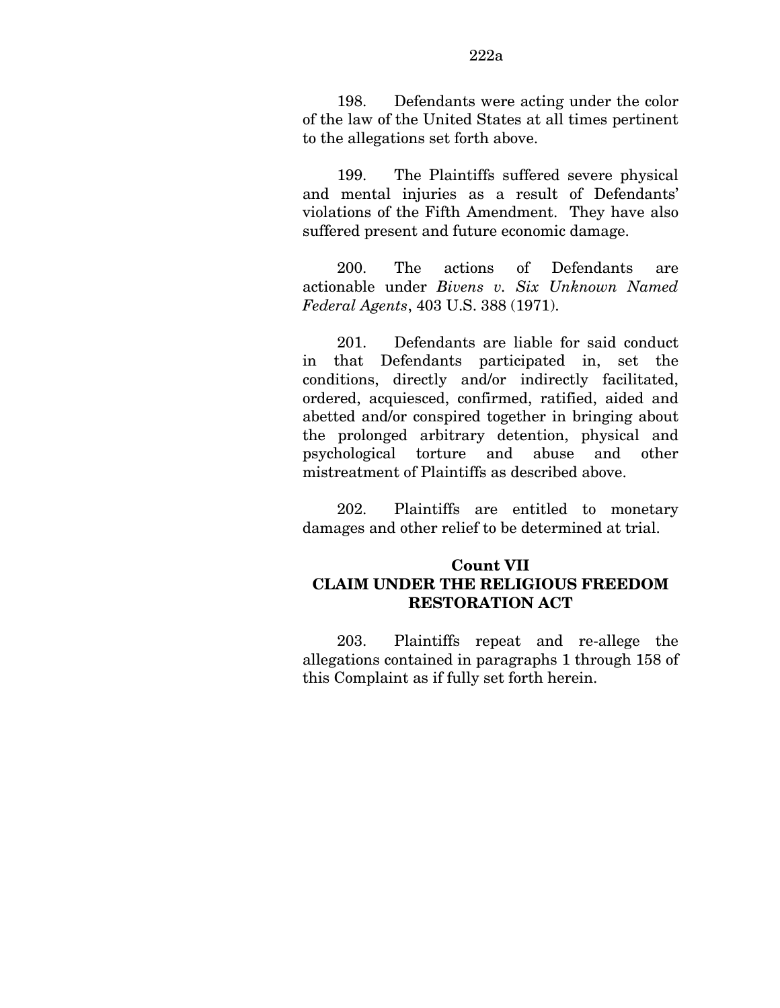198. Defendants were acting under the color of the law of the United States at all times pertinent to the allegations set forth above.

199. The Plaintiffs suffered severe physical and mental injuries as a result of Defendants' violations of the Fifth Amendment. They have also suffered present and future economic damage.

200. The actions of Defendants are actionable under *Bivens v. Six Unknown Named Federal Agents*, 403 U.S. 388 (1971).

201. Defendants are liable for said conduct in that Defendants participated in, set the conditions, directly and/or indirectly facilitated, ordered, acquiesced, confirmed, ratified, aided and abetted and/or conspired together in bringing about the prolonged arbitrary detention, physical and psychological torture and abuse and other mistreatment of Plaintiffs as described above.

202. Plaintiffs are entitled to monetary damages and other relief to be determined at trial.

## **Count VII CLAIM UNDER THE RELIGIOUS FREEDOM RESTORATION ACT**

203. Plaintiffs repeat and re-allege the allegations contained in paragraphs 1 through 158 of this Complaint as if fully set forth herein.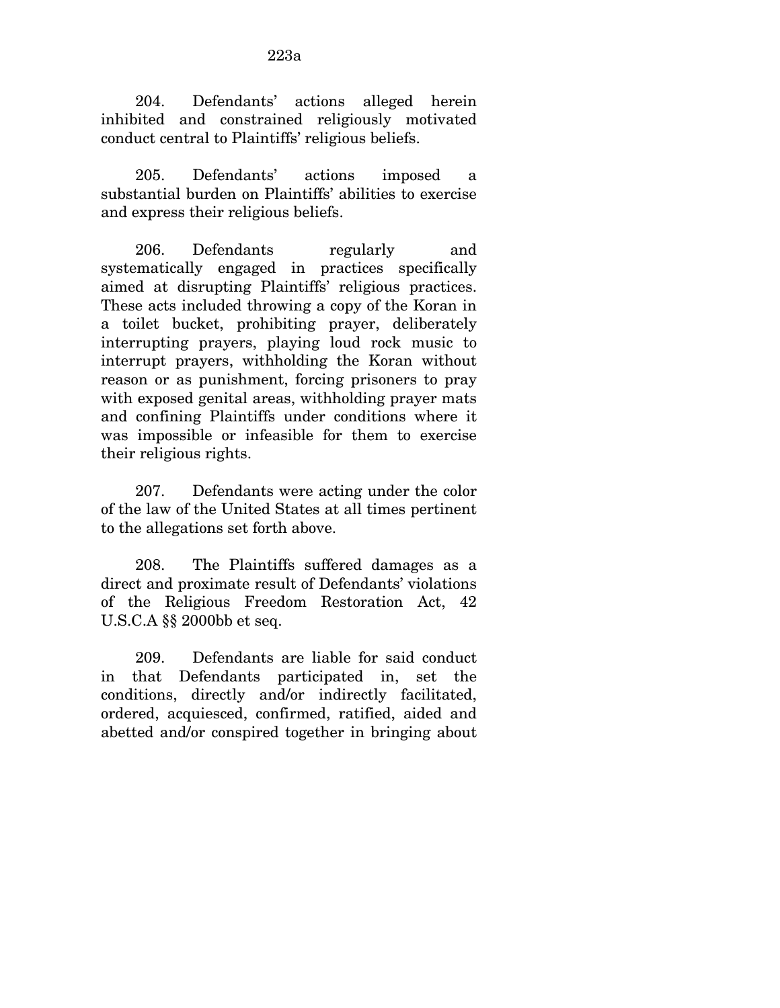204. Defendants' actions alleged herein inhibited and constrained religiously motivated conduct central to Plaintiffs' religious beliefs.

205. Defendants' actions imposed a substantial burden on Plaintiffs' abilities to exercise and express their religious beliefs.

206. Defendants regularly and systematically engaged in practices specifically aimed at disrupting Plaintiffs' religious practices. These acts included throwing a copy of the Koran in a toilet bucket, prohibiting prayer, deliberately interrupting prayers, playing loud rock music to interrupt prayers, withholding the Koran without reason or as punishment, forcing prisoners to pray with exposed genital areas, withholding prayer mats and confining Plaintiffs under conditions where it was impossible or infeasible for them to exercise their religious rights.

207. Defendants were acting under the color of the law of the United States at all times pertinent to the allegations set forth above.

208. The Plaintiffs suffered damages as a direct and proximate result of Defendants' violations of the Religious Freedom Restoration Act, 42 U.S.C.A §§ 2000bb et seq.

209. Defendants are liable for said conduct in that Defendants participated in, set the conditions, directly and/or indirectly facilitated, ordered, acquiesced, confirmed, ratified, aided and abetted and/or conspired together in bringing about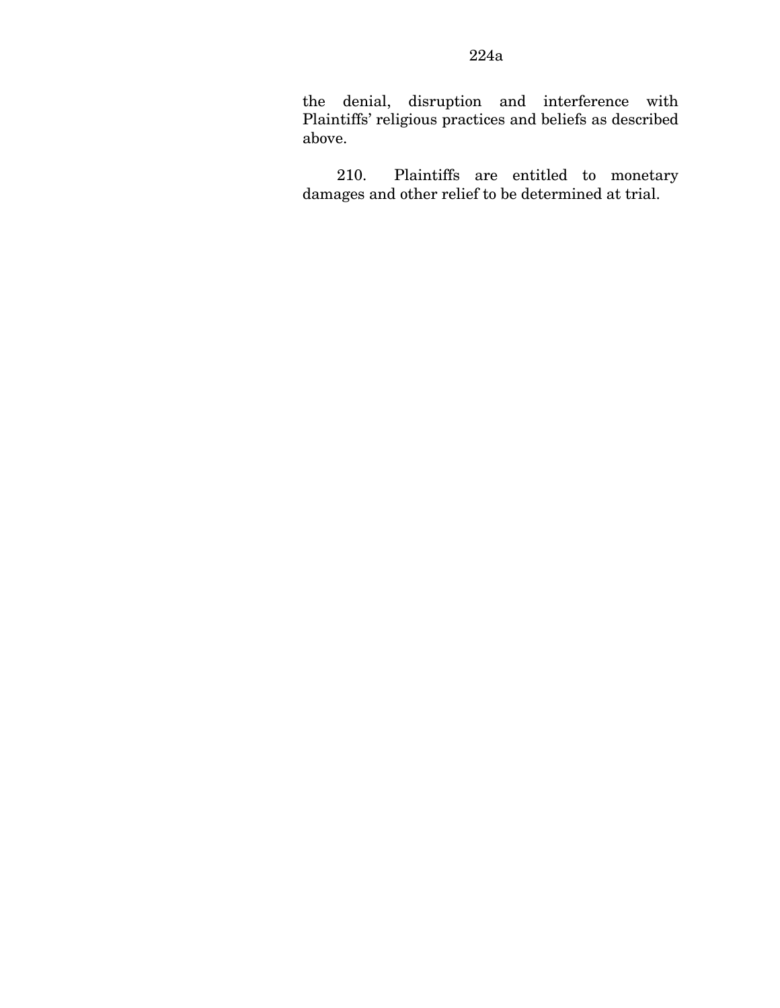the denial, disruption and interference with Plaintiffs' religious practices and beliefs as described above.

210. Plaintiffs are entitled to monetary damages and other relief to be determined at trial.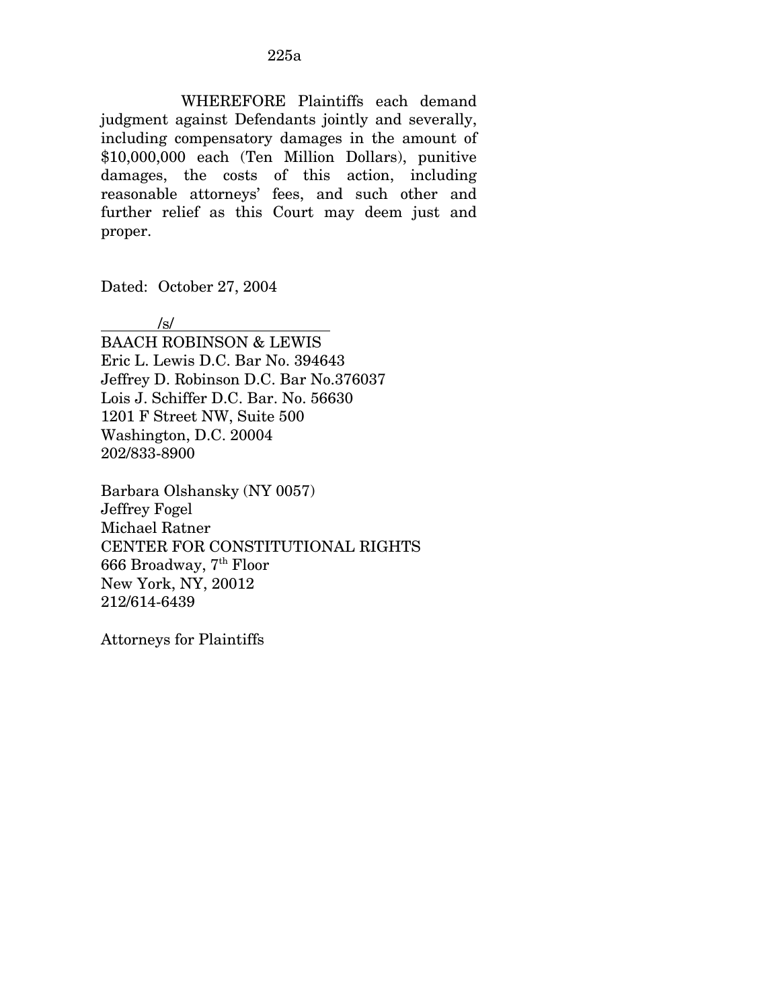WHEREFORE Plaintiffs each demand judgment against Defendants jointly and severally, including compensatory damages in the amount of \$10,000,000 each (Ten Million Dollars), punitive damages, the costs of this action, including reasonable attorneys' fees, and such other and further relief as this Court may deem just and proper.

Dated: October 27, 2004

/s/

BAACH ROBINSON & LEWIS Eric L. Lewis D.C. Bar No. 394643 Jeffrey D. Robinson D.C. Bar No.376037 Lois J. Schiffer D.C. Bar. No. 56630 1201 F Street NW, Suite 500 Washington, D.C. 20004 202/833-8900

Barbara Olshansky (NY 0057) Jeffrey Fogel Michael Ratner CENTER FOR CONSTITUTIONAL RIGHTS 666 Broadway, 7th Floor New York, NY, 20012 212/614-6439

Attorneys for Plaintiffs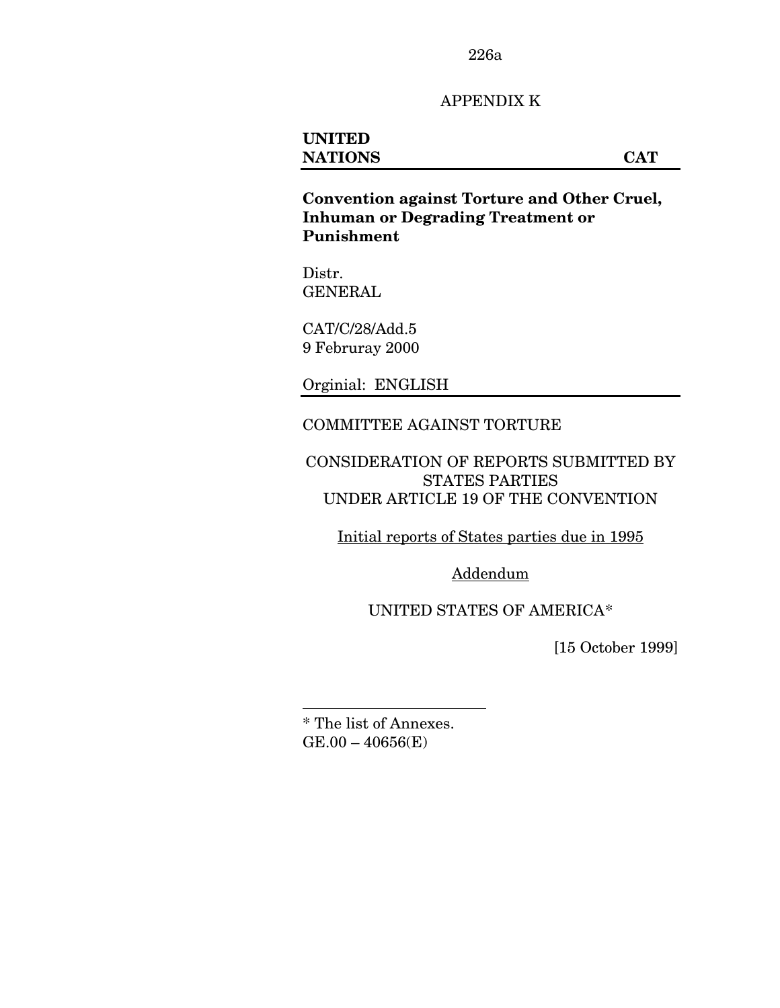226a

## APPENDIX K

# **UNITED NATIONS CAT**

**Convention against Torture and Other Cruel, Inhuman or Degrading Treatment or Punishment** 

Distr. GENERAL

CAT/C/28/Add.5 9 Februray 2000

Orginial: ENGLISH

#### COMMITTEE AGAINST TORTURE

CONSIDERATION OF REPORTS SUBMITTED BY STATES PARTIES UNDER ARTICLE 19 OF THE CONVENTION

Initial reports of States parties due in 1995

Addendum

UNITED STATES OF AMERICA[\\*](#page-278-0) 

[15 October 1999]

<span id="page-278-0"></span>\* The list of Annexes.  $GE.00 - 40656(E)$ 

1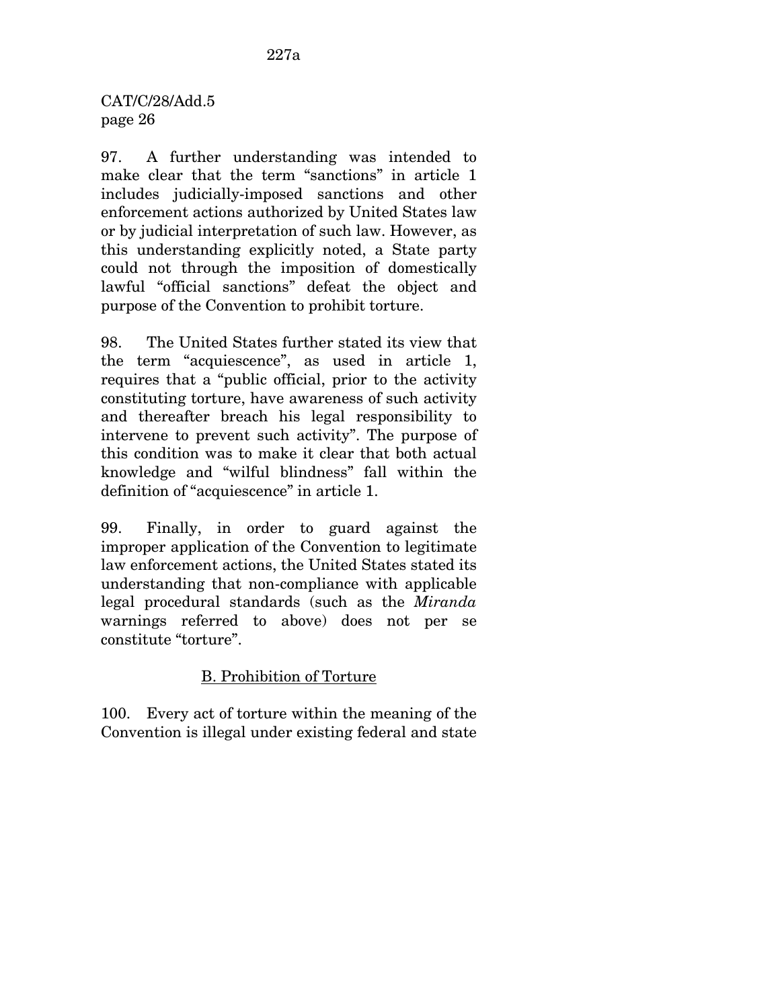CAT/C/28/Add.5 page 26

97. A further understanding was intended to make clear that the term "sanctions" in article 1 includes judicially-imposed sanctions and other enforcement actions authorized by United States law or by judicial interpretation of such law. However, as this understanding explicitly noted, a State party could not through the imposition of domestically lawful "official sanctions" defeat the object and purpose of the Convention to prohibit torture.

98. The United States further stated its view that the term "acquiescence", as used in article 1, requires that a "public official, prior to the activity constituting torture, have awareness of such activity and thereafter breach his legal responsibility to intervene to prevent such activity". The purpose of this condition was to make it clear that both actual knowledge and "wilful blindness" fall within the definition of "acquiescence" in article 1.

99. Finally, in order to guard against the improper application of the Convention to legitimate law enforcement actions, the United States stated its understanding that non-compliance with applicable legal procedural standards (such as the *Miranda* warnings referred to above) does not per se constitute "torture".

# B. Prohibition of Torture

100. Every act of torture within the meaning of the Convention is illegal under existing federal and state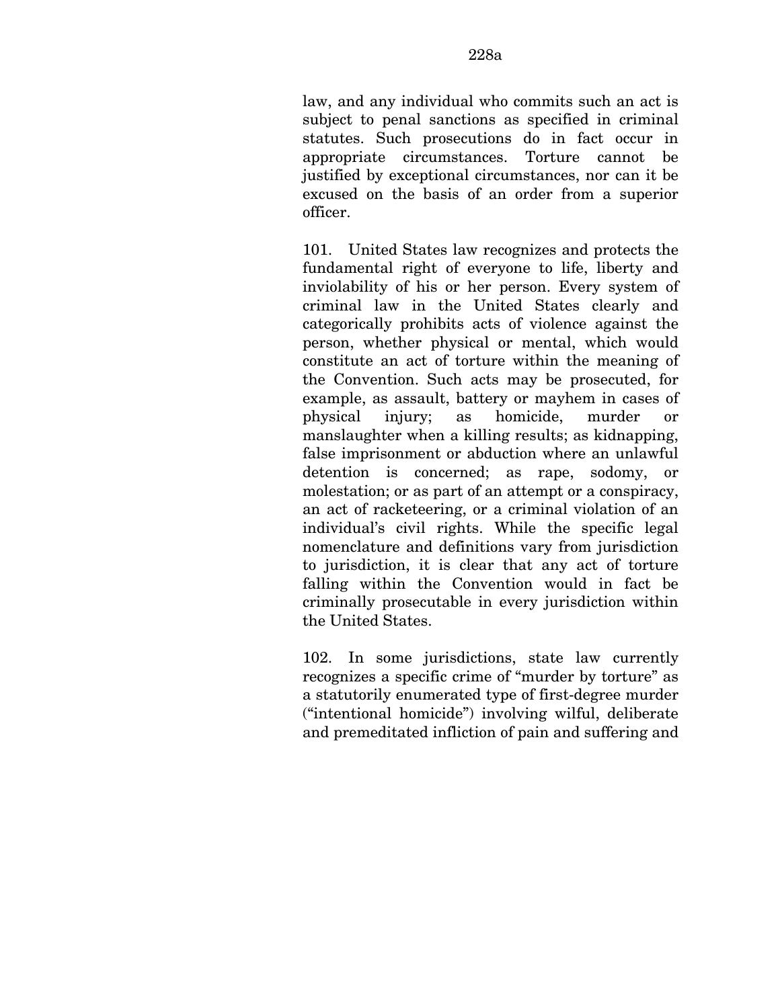law, and any individual who commits such an act is subject to penal sanctions as specified in criminal statutes. Such prosecutions do in fact occur in appropriate circumstances. Torture cannot be justified by exceptional circumstances, nor can it be excused on the basis of an order from a superior officer.

101. United States law recognizes and protects the fundamental right of everyone to life, liberty and inviolability of his or her person. Every system of criminal law in the United States clearly and categorically prohibits acts of violence against the person, whether physical or mental, which would constitute an act of torture within the meaning of the Convention. Such acts may be prosecuted, for example, as assault, battery or mayhem in cases of physical injury; as homicide, murder or manslaughter when a killing results; as kidnapping, false imprisonment or abduction where an unlawful detention is concerned; as rape, sodomy, or molestation; or as part of an attempt or a conspiracy, an act of racketeering, or a criminal violation of an individual's civil rights. While the specific legal nomenclature and definitions vary from jurisdiction to jurisdiction, it is clear that any act of torture falling within the Convention would in fact be criminally prosecutable in every jurisdiction within the United States.

102. In some jurisdictions, state law currently recognizes a specific crime of "murder by torture" as a statutorily enumerated type of first-degree murder ("intentional homicide") involving wilful, deliberate and premeditated infliction of pain and suffering and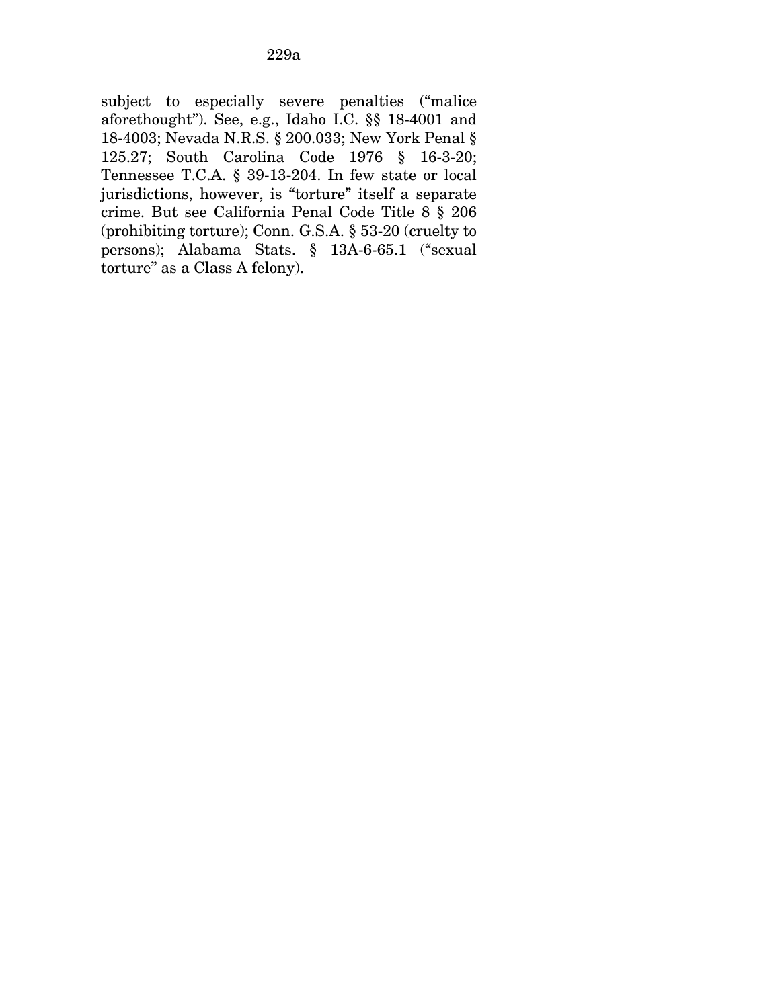subject to especially severe penalties ("malice aforethought"). See, e.g., Idaho I.C. §§ 18-4001 and 18-4003; Nevada N.R.S. § 200.033; New York Penal § 125.27; South Carolina Code 1976 § 16-3-20; Tennessee T.C.A. § 39-13-204. In few state or local jurisdictions, however, is "torture" itself a separate crime. But see California Penal Code Title 8 § 206 (prohibiting torture); Conn. G.S.A. § 53-20 (cruelty to persons); Alabama Stats. § 13A-6-65.1 ("sexual torture" as a Class A felony).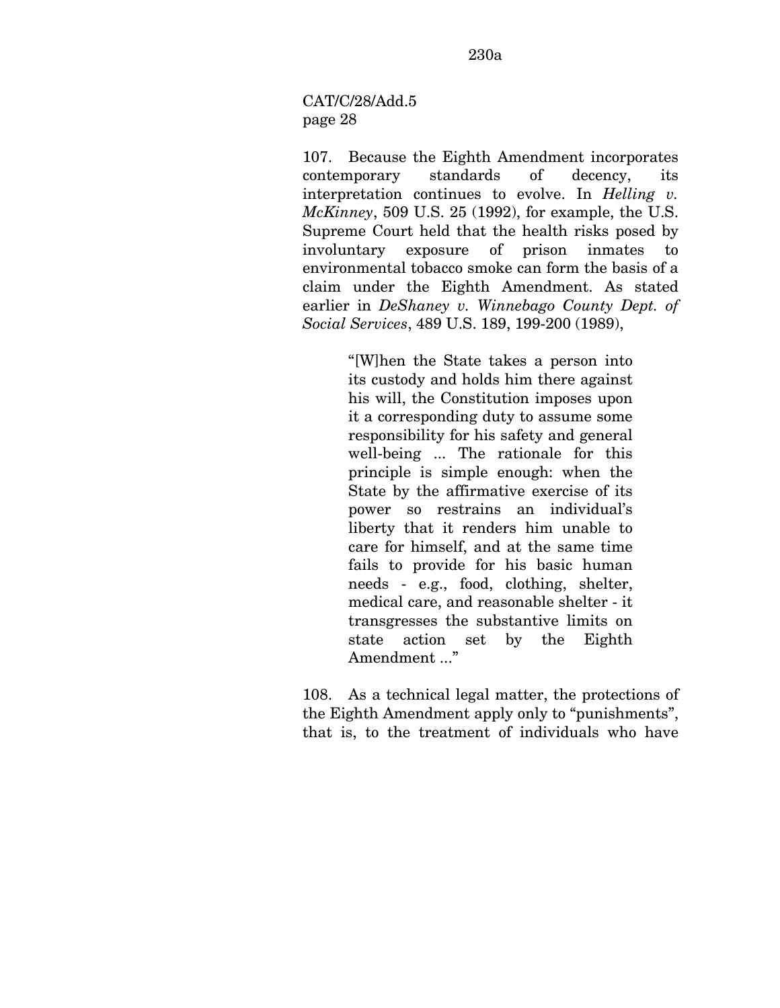CAT/C/28/Add.5 page 28

107. Because the Eighth Amendment incorporates contemporary standards of decency, its interpretation continues to evolve. In *Helling v. McKinney*, 509 U.S. 25 (1992), for example, the U.S. Supreme Court held that the health risks posed by involuntary exposure of prison inmates to environmental tobacco smoke can form the basis of a claim under the Eighth Amendment. As stated earlier in *DeShaney v. Winnebago County Dept. of Social Services*, 489 U.S. 189, 199-200 (1989),

> "[W]hen the State takes a person into its custody and holds him there against his will, the Constitution imposes upon it a corresponding duty to assume some responsibility for his safety and general well-being ... The rationale for this principle is simple enough: when the State by the affirmative exercise of its power so restrains an individual's liberty that it renders him unable to care for himself, and at the same time fails to provide for his basic human needs - e.g., food, clothing, shelter, medical care, and reasonable shelter - it transgresses the substantive limits on state action set by the Eighth Amendment ..."

108. As a technical legal matter, the protections of the Eighth Amendment apply only to "punishments", that is, to the treatment of individuals who have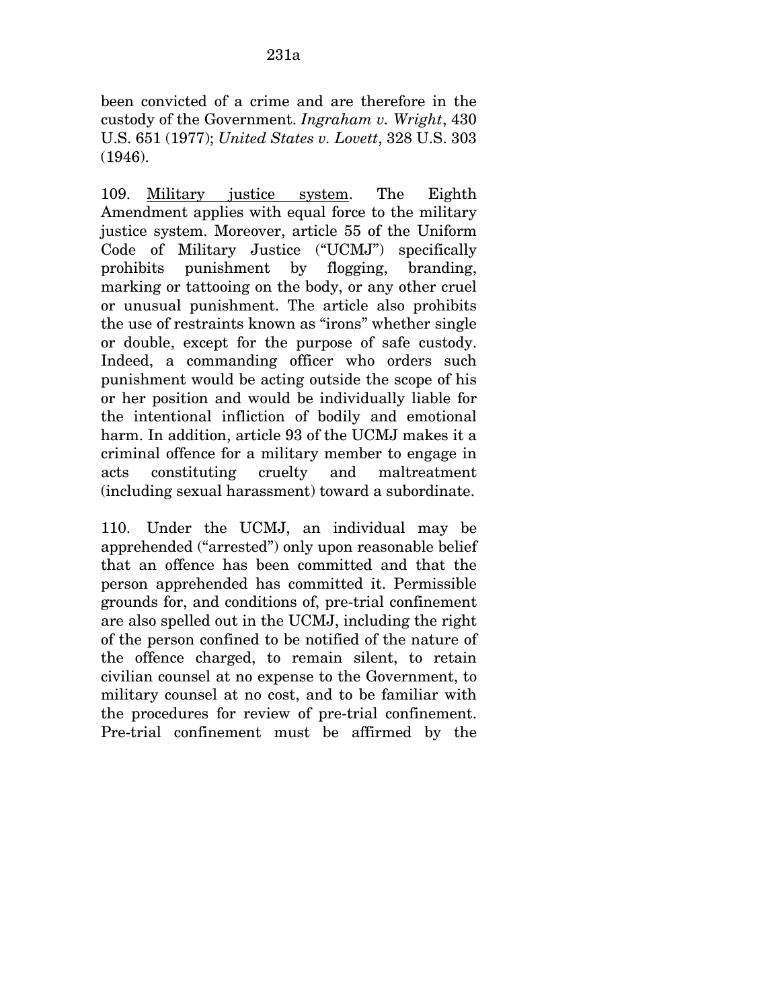been convicted of a crime and are therefore in the custody of the Government. *Ingraham v. Wright*, 430 U.S. 651 (1977); *United States v. Lovett*, 328 U.S. 303 (1946).

109. Military justice system. The Eighth Amendment applies with equal force to the military justice system. Moreover, article 55 of the Uniform Code of Military Justice ("UCMJ") specifically prohibits punishment by flogging, branding, marking or tattooing on the body, or any other cruel or unusual punishment. The article also prohibits the use of restraints known as "irons" whether single or double, except for the purpose of safe custody. Indeed, a commanding officer who orders such punishment would be acting outside the scope of his or her position and would be individually liable for the intentional infliction of bodily and emotional harm. In addition, article 93 of the UCMJ makes it a criminal offence for a military member to engage in acts constituting cruelty and maltreatment (including sexual harassment) toward a subordinate.

110. Under the UCMJ, an individual may be apprehended ("arrested") only upon reasonable belief that an offence has been committed and that the person apprehended has committed it. Permissible grounds for, and conditions of, pre-trial confinement are also spelled out in the UCMJ, including the right of the person confined to be notified of the nature of the offence charged, to remain silent, to retain civilian counsel at no expense to the Government, to military counsel at no cost, and to be familiar with the procedures for review of pre-trial confinement. Pre-trial confinement must be affirmed by the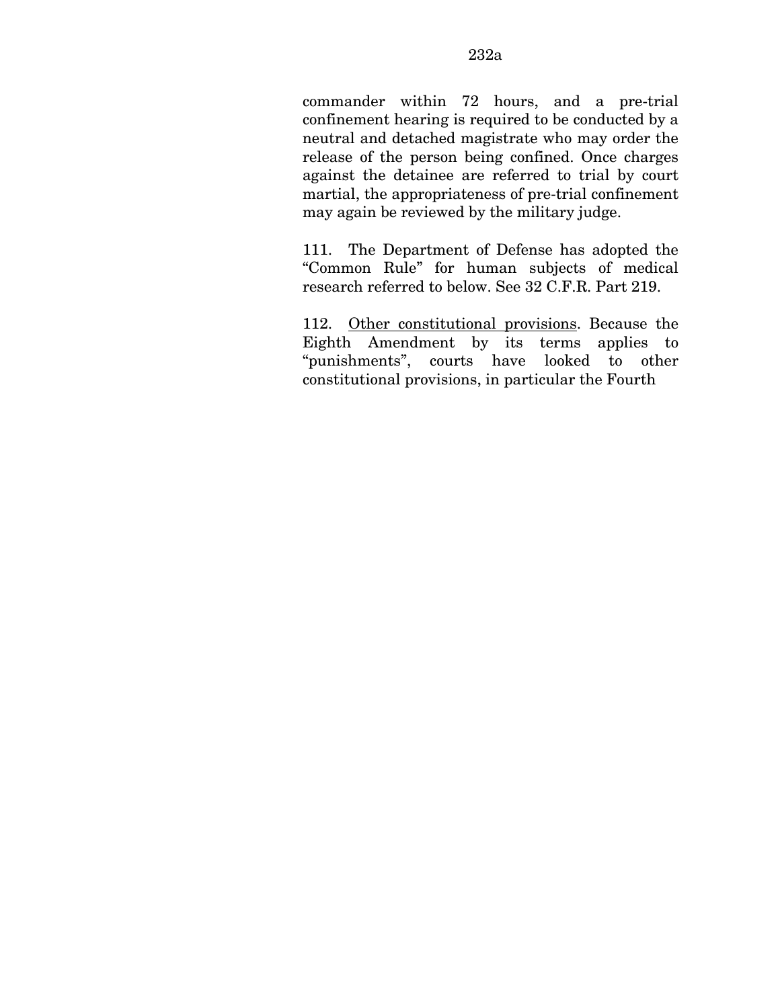commander within 72 hours, and a pre-trial confinement hearing is required to be conducted by a neutral and detached magistrate who may order the release of the person being confined. Once charges against the detainee are referred to trial by court martial, the appropriateness of pre-trial confinement may again be reviewed by the military judge.

111. The Department of Defense has adopted the "Common Rule" for human subjects of medical research referred to below. See 32 C.F.R. Part 219.

112. Other constitutional provisions. Because the Eighth Amendment by its terms applies to "punishments", courts have looked to other constitutional provisions, in particular the Fourth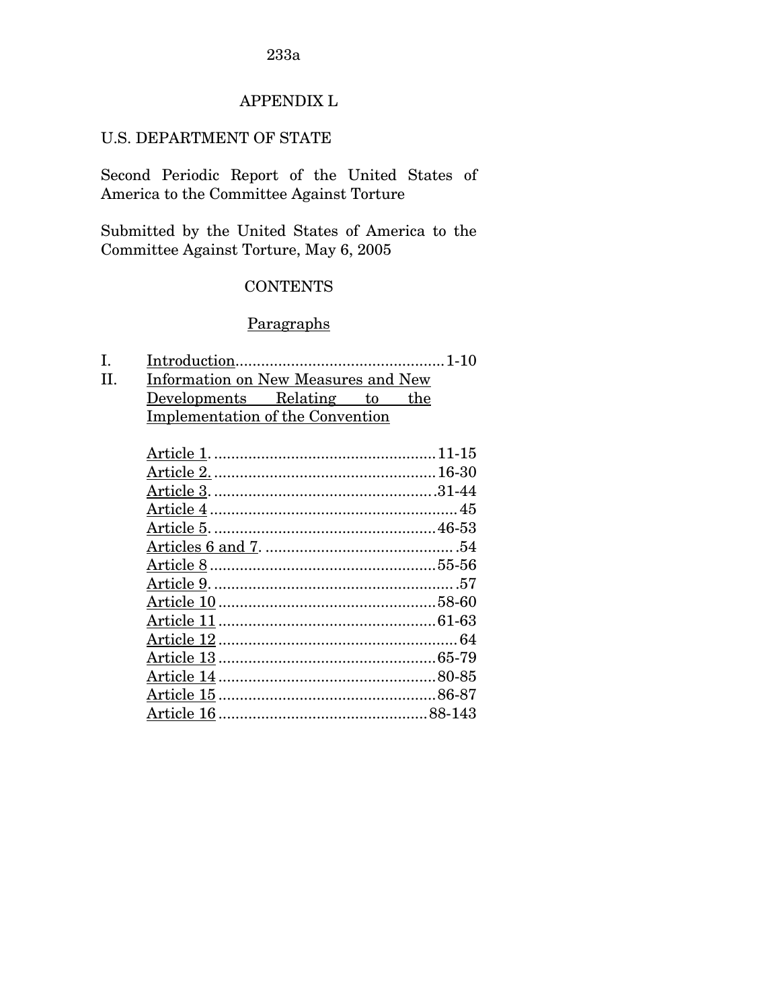#### 233a

## APPENDIX L

#### U.S. DEPARTMENT OF STATE

Second Periodic Report of the United States of America to the Committee Against Torture

Submitted by the United States of America to the Committee Against Torture, May 6, 2005

#### CONTENTS

## **Paragraphs**

- I. Introduction.................................................1-10
- II. Information on New Measures and New Developments Relating to the Implementation of the Convention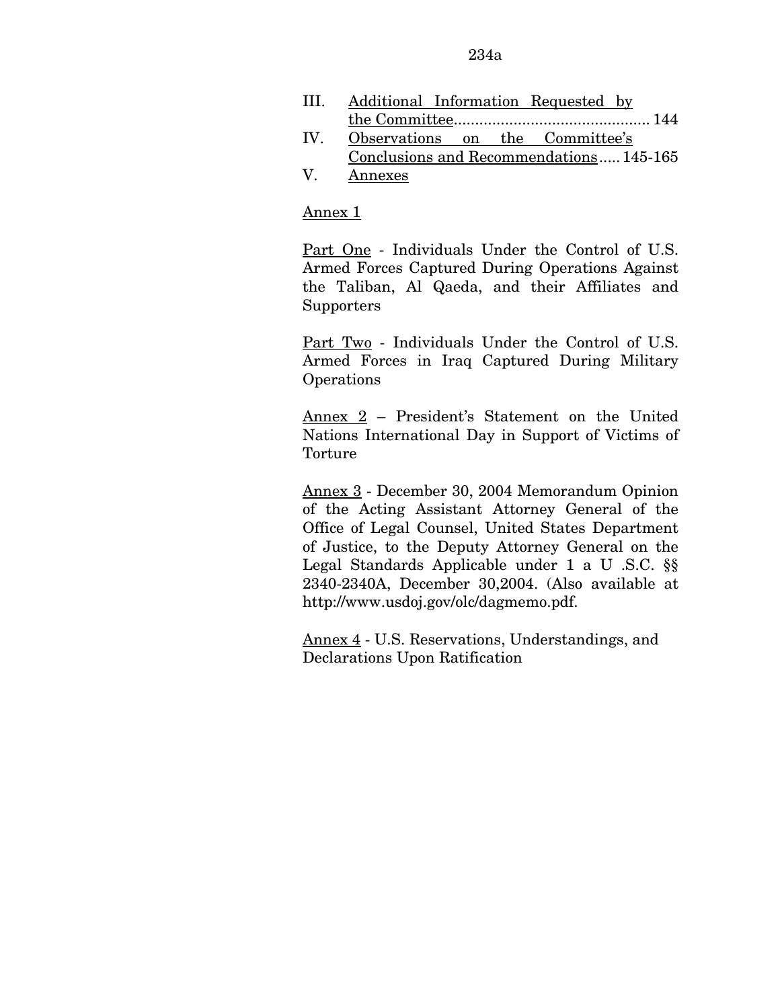- III. Additional Information Requested by the Committee.............................................. 144
- IV. Observations on the Committee's Conclusions and Recommendations.....145-165
- V. Annexes

### Annex 1

Part One - Individuals Under the Control of U.S. Armed Forces Captured During Operations Against the Taliban, Al Qaeda, and their Affiliates and **Supporters** 

Part Two - Individuals Under the Control of U.S. Armed Forces in Iraq Captured During Military **Operations** 

Annex 2 – President's Statement on the United Nations International Day in Support of Victims of Torture

Annex 3 - December 30, 2004 Memorandum Opinion of the Acting Assistant Attorney General of the Office of Legal Counsel, United States Department of Justice, to the Deputy Attorney General on the Legal Standards Applicable under 1 a U .S.C. §§ 2340-2340A, December 30,2004. (Also available at http://www.usdoj.gov/olc/dagmemo.pdf.

Annex 4 - U.S. Reservations, Understandings, and Declarations Upon Ratification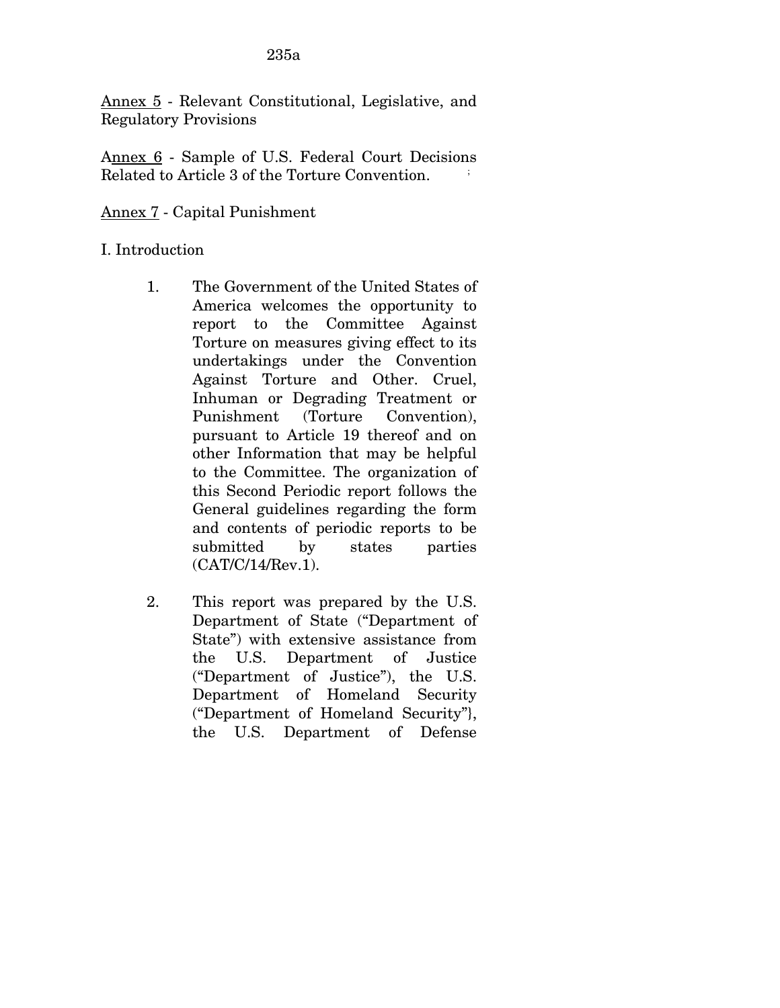Annex 5 - Relevant Constitutional, Legislative, and Regulatory Provisions

Annex 6 - Sample of U.S. Federal Court Decisions Related to Article 3 of the Torture Convention.

## Annex 7 - Capital Punishment

## I. Introduction

- 1. The Government of the United States of America welcomes the opportunity to report to the Committee Against Torture on measures giving effect to its undertakings under the Convention Against Torture and Other. Cruel, Inhuman or Degrading Treatment or Punishment (Torture Convention), pursuant to Article 19 thereof and on other Information that may be helpful to the Committee. The organization of this Second Periodic report follows the General guidelines regarding the form and contents of periodic reports to be submitted by states parties (CAT/C/14/Rev.1).
- 2. This report was prepared by the U.S. Department of State ("Department of State") with extensive assistance from the U.S. Department of Justice ("Department of Justice"), the U.S. Department of Homeland Security ("Department of Homeland Security"}, the U.S. Department of Defense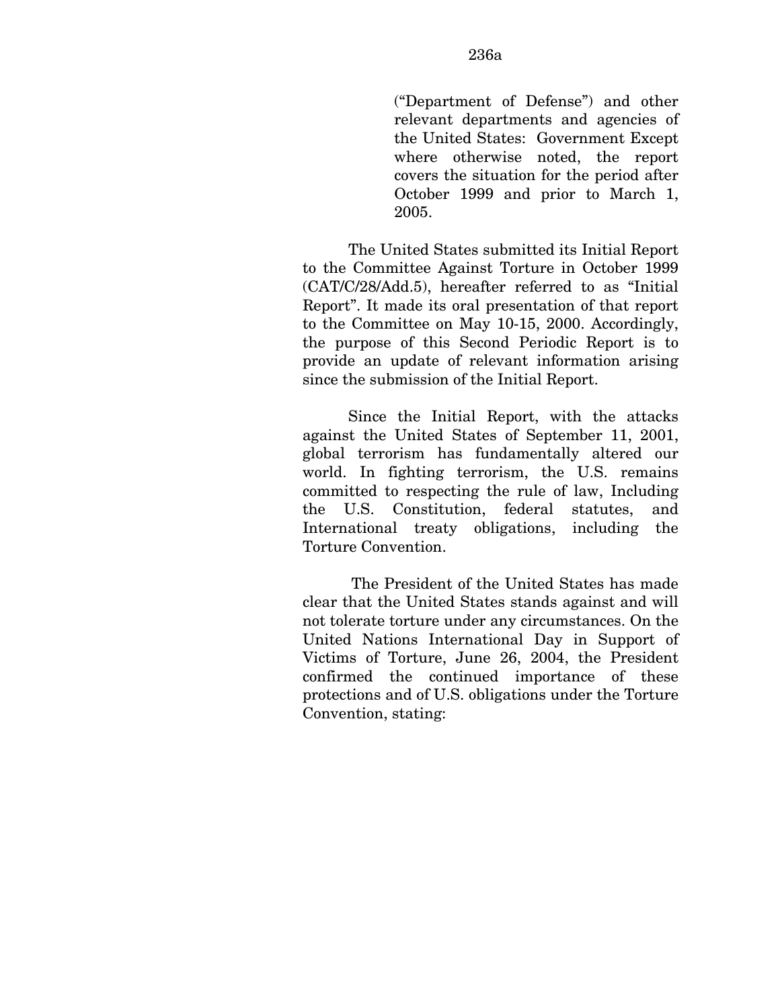("Department of Defense") and other relevant departments and agencies of the United States: Government Except where otherwise noted, the report covers the situation for the period after October 1999 and prior to March 1, 2005.

The United States submitted its Initial Report to the Committee Against Torture in October 1999 (CAT/C/28/Add.5), hereafter referred to as "Initial Report". It made its oral presentation of that report to the Committee on May 10-15, 2000. Accordingly, the purpose of this Second Periodic Report is to provide an update of relevant information arising since the submission of the Initial Report.

Since the Initial Report, with the attacks against the United States of September 11, 2001, global terrorism has fundamentally altered our world. In fighting terrorism, the U.S. remains committed to respecting the rule of law, Including the U.S. Constitution, federal statutes, and International treaty obligations, including the Torture Convention.

The President of the United States has made clear that the United States stands against and will not tolerate torture under any circumstances. On the United Nations International Day in Support of Victims of Torture, June 26, 2004, the President confirmed the continued importance of these protections and of U.S. obligations under the Torture Convention, stating: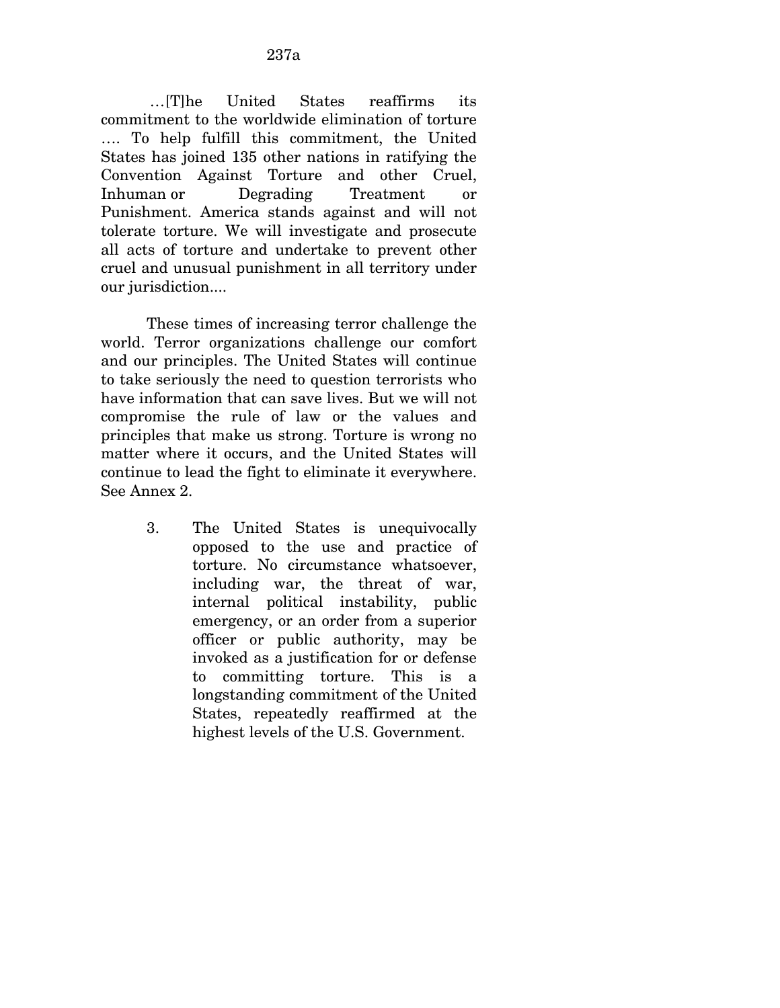…[T]he United States reaffirms its commitment to the worldwide elimination of torture …. To help fulfill this commitment, the United States has joined 135 other nations in ratifying the Convention Against Torture and other Cruel, Inhuman or Degrading Treatment or Punishment. America stands against and will not tolerate torture. We will investigate and prosecute all acts of torture and undertake to prevent other cruel and unusual punishment in all territory under our jurisdiction....

 These times of increasing terror challenge the world. Terror organizations challenge our comfort and our principles. The United States will continue to take seriously the need to question terrorists who have information that can save lives. But we will not compromise the rule of law or the values and principles that make us strong. Torture is wrong no matter where it occurs, and the United States will continue to lead the fight to eliminate it everywhere. See Annex 2.

> 3. The United States is unequivocally opposed to the use and practice of torture. No circumstance whatsoever, including war, the threat of war, internal political instability, public emergency, or an order from a superior officer or public authority, may be invoked as a justification for or defense to committing torture. This is a longstanding commitment of the United States, repeatedly reaffirmed at the highest levels of the U.S. Government.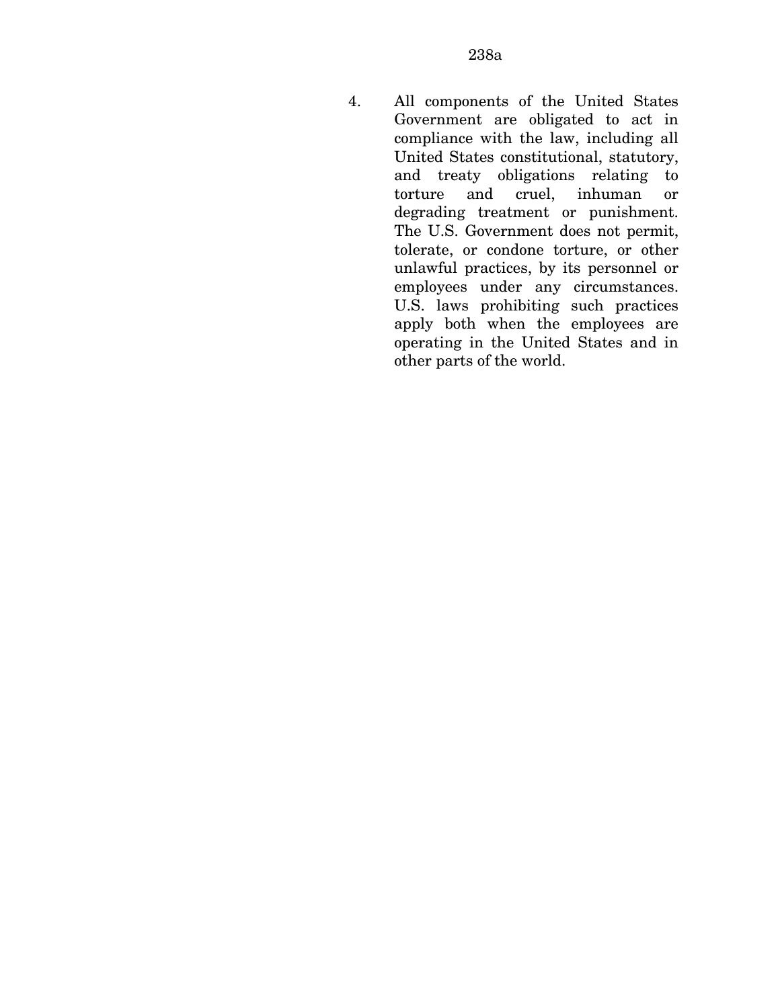4. All components of the United States Government are obligated to act in compliance with the law, including all United States constitutional, statutory, and treaty obligations relating to torture and cruel, inhuman or degrading treatment or punishment. The U.S. Government does not permit, tolerate, or condone torture, or other unlawful practices, by its personnel or employees under any circumstances. U.S. laws prohibiting such practices apply both when the employees are operating in the United States and in other parts of the world.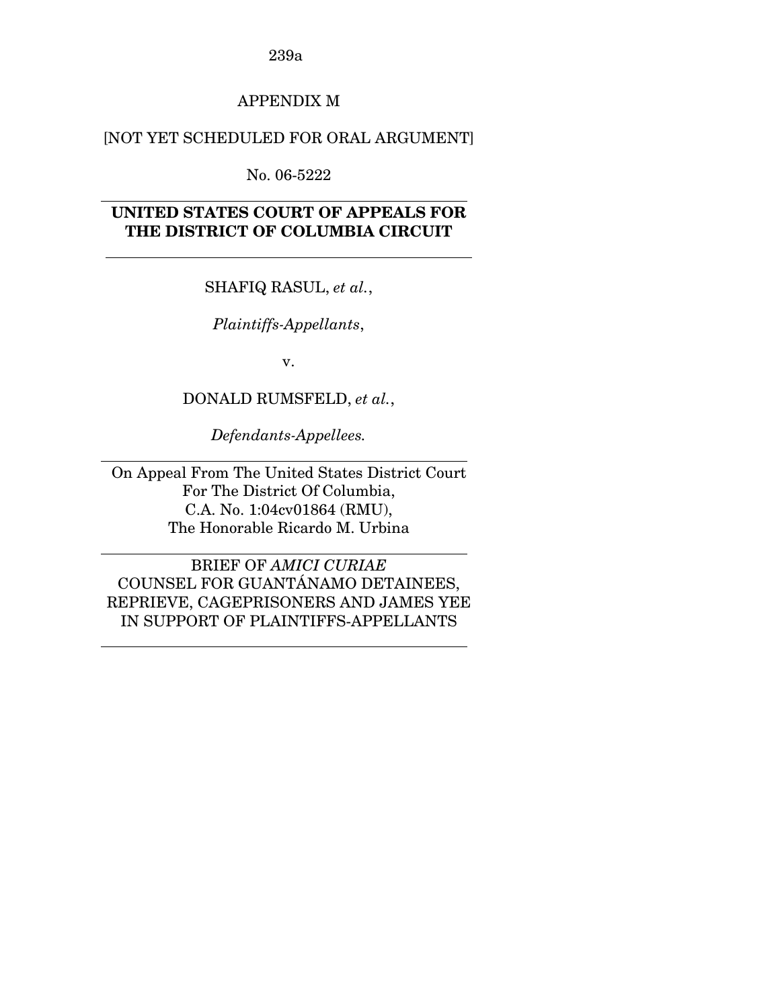## APPENDIX M

## [NOT YET SCHEDULED FOR ORAL ARGUMENT]

No. 06-5222

 $\overline{a}$ 

 $\overline{a}$ 

 $\overline{a}$ 

 $\overline{a}$ 

 $\overline{a}$ 

## **UNITED STATES COURT OF APPEALS FOR THE DISTRICT OF COLUMBIA CIRCUIT**

SHAFIQ RASUL, *et al.*,

*Plaintiffs-Appellants*,

v.

DONALD RUMSFELD, *et al.*,

*Defendants-Appellees.* 

On Appeal From The United States District Court For The District Of Columbia, C.A. No. 1:04cv01864 (RMU), The Honorable Ricardo M. Urbina

BRIEF OF *AMICI CURIAE*  COUNSEL FOR GUANTÁNAMO DETAINEES, REPRIEVE, CAGEPRISONERS AND JAMES YEE IN SUPPORT OF PLAINTIFFS-APPELLANTS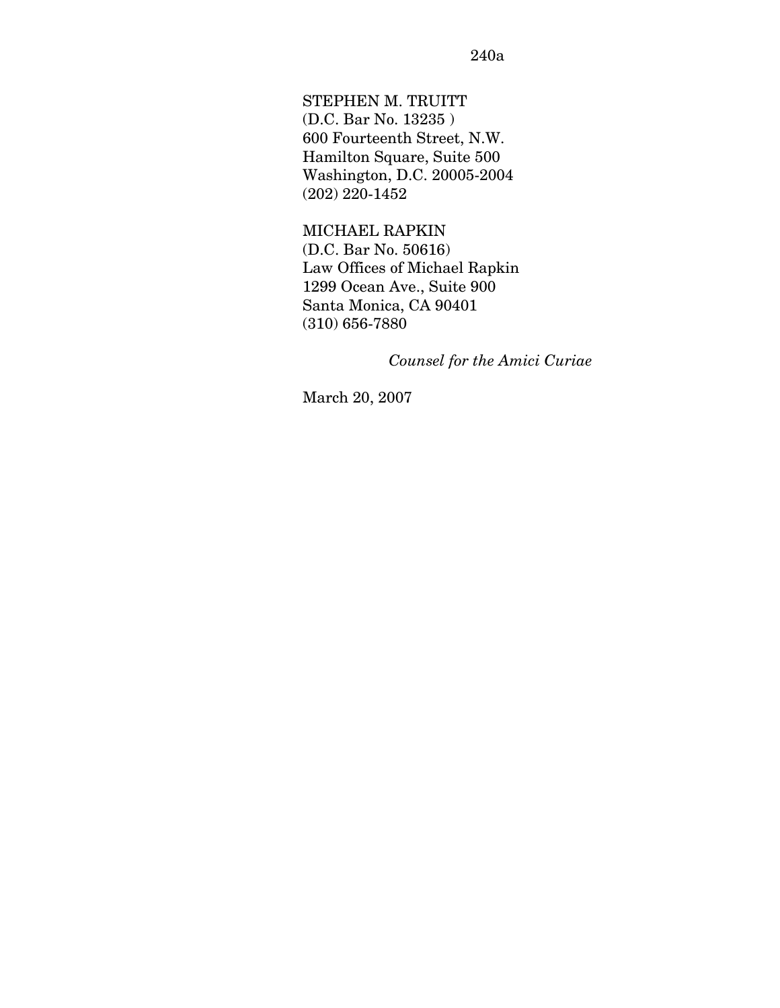STEPHEN M. TRUITT (D.C. Bar No. 13235 ) 600 Fourteenth Street, N.W. Hamilton Square, Suite 500 Washington, D.C. 20005-2004 (202) 220-1452

MICHAEL RAPKIN (D.C. Bar No. 50616) Law Offices of Michael Rapkin 1299 Ocean Ave., Suite 900 Santa Monica, CA 90401 (310) 656-7880

*Counsel for the Amici Curiae* 

March 20, 2007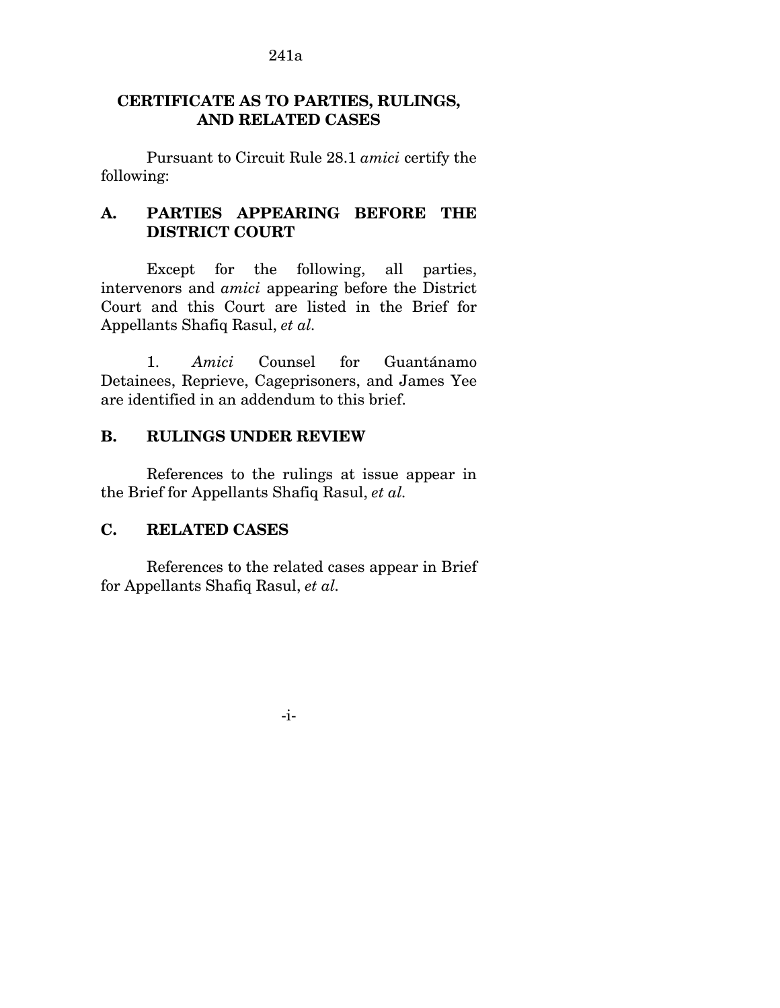## **CERTIFICATE AS TO PARTIES, RULINGS, AND RELATED CASES**

Pursuant to Circuit Rule 28.1 *amici* certify the following:

## **A. PARTIES APPEARING BEFORE THE DISTRICT COURT**

Except for the following, all parties, intervenors and *amici* appearing before the District Court and this Court are listed in the Brief for Appellants Shafiq Rasul, *et al.* 

1. *Amici* Counsel for Guantánamo Detainees, Reprieve, Cageprisoners, and James Yee are identified in an addendum to this brief.

## **B. RULINGS UNDER REVIEW**

References to the rulings at issue appear in the Brief for Appellants Shafiq Rasul, *et al.* 

## **C. RELATED CASES**

References to the related cases appear in Brief for Appellants Shafiq Rasul, *et al.* 

-i-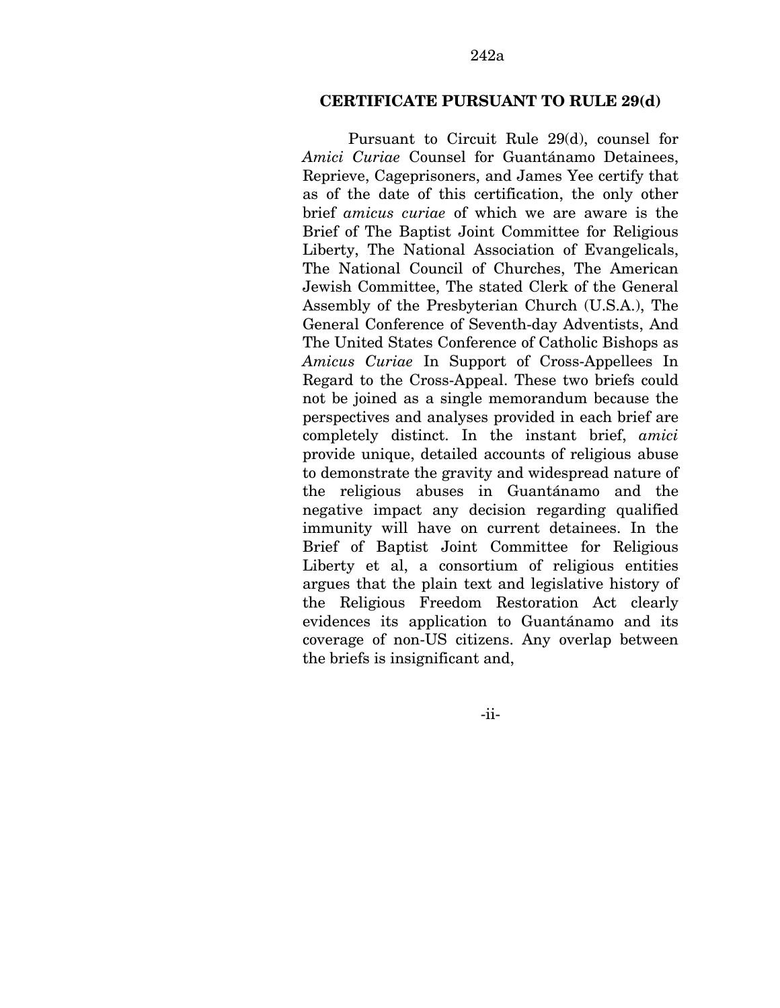#### **CERTIFICATE PURSUANT TO RULE 29(d)**

Pursuant to Circuit Rule 29(d), counsel for *Amici Curiae* Counsel for Guantánamo Detainees, Reprieve, Cageprisoners, and James Yee certify that as of the date of this certification, the only other brief *amicus curiae* of which we are aware is the Brief of The Baptist Joint Committee for Religious Liberty, The National Association of Evangelicals, The National Council of Churches, The American Jewish Committee, The stated Clerk of the General Assembly of the Presbyterian Church (U.S.A.), The General Conference of Seventh-day Adventists, And The United States Conference of Catholic Bishops as *Amicus Curiae* In Support of Cross-Appellees In Regard to the Cross-Appeal. These two briefs could not be joined as a single memorandum because the perspectives and analyses provided in each brief are completely distinct. In the instant brief, *amici*  provide unique, detailed accounts of religious abuse to demonstrate the gravity and widespread nature of the religious abuses in Guantánamo and the negative impact any decision regarding qualified immunity will have on current detainees. In the Brief of Baptist Joint Committee for Religious Liberty et al, a consortium of religious entities argues that the plain text and legislative history of the Religious Freedom Restoration Act clearly evidences its application to Guantánamo and its coverage of non-US citizens. Any overlap between the briefs is insignificant and,

-ii-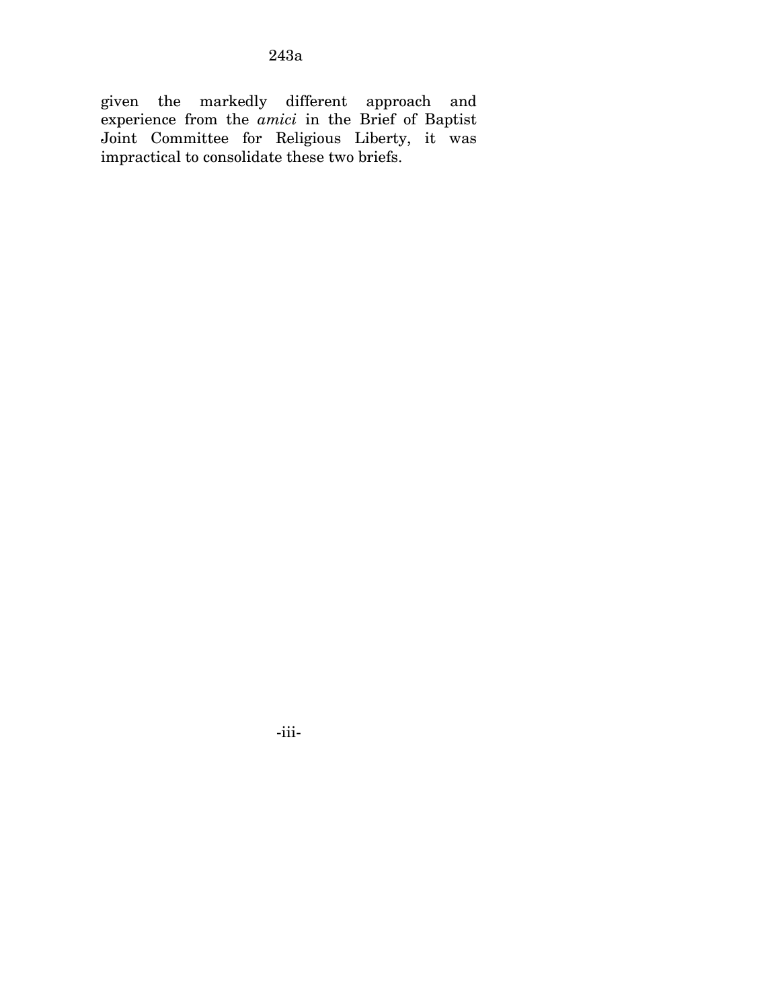given the markedly different approach and experience from the *amici* in the Brief of Baptist Joint Committee for Religious Liberty, it was impractical to consolidate these two briefs.

-iii-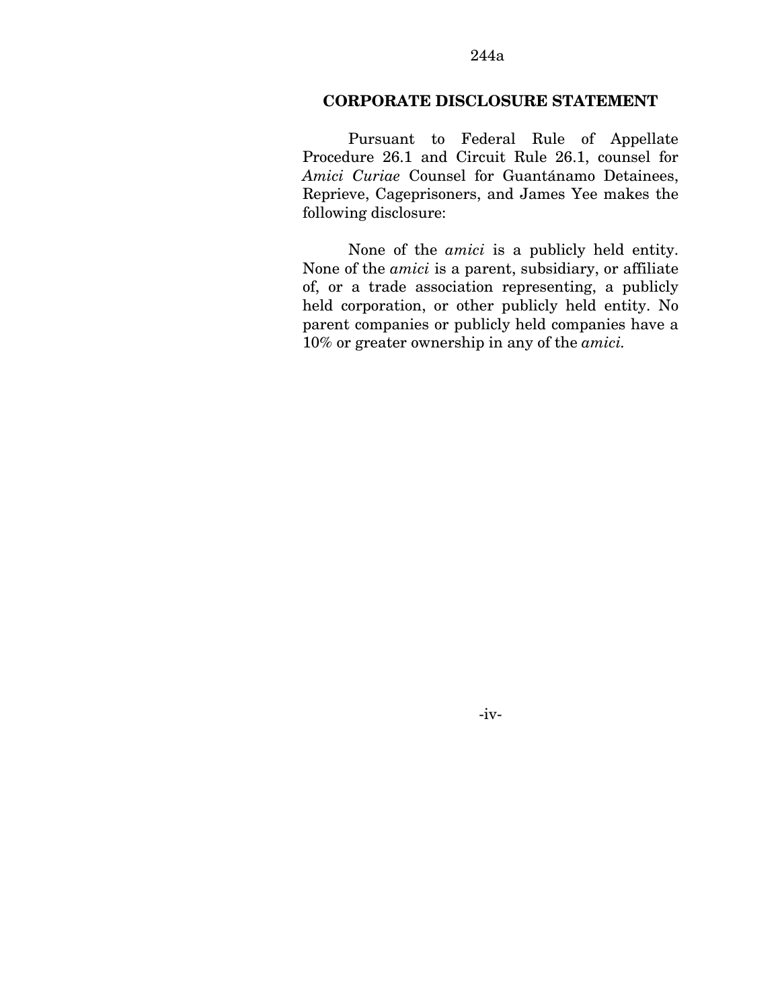#### **CORPORATE DISCLOSURE STATEMENT**

Pursuant to Federal Rule of Appellate Procedure 26.1 and Circuit Rule 26.1, counsel for *Amici Curiae* Counsel for Guantánamo Detainees, Reprieve, Cageprisoners, and James Yee makes the following disclosure:

None of the *amici* is a publicly held entity. None of the *amici* is a parent, subsidiary, or affiliate of, or a trade association representing, a publicly held corporation, or other publicly held entity. No parent companies or publicly held companies have a 10% or greater ownership in any of the *amici.*

-iv-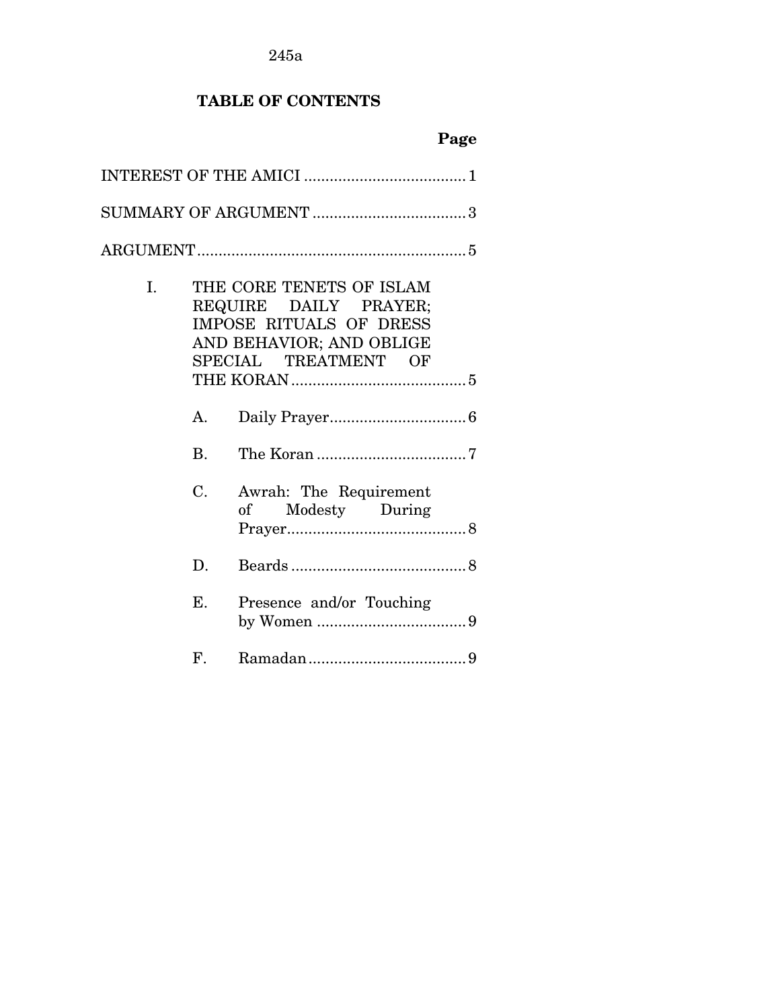# **TABLE OF CONTENTS**

| I. |    | THE CORE TENETS OF ISLAM<br>REQUIRE DAILY PRAYER;<br>IMPOSE RITUALS OF DRESS<br>AND BEHAVIOR; AND OBLIGE<br>SPECIAL TREATMENT OF |
|----|----|----------------------------------------------------------------------------------------------------------------------------------|
|    | A. |                                                                                                                                  |
|    | B. |                                                                                                                                  |
|    | C. | Awrah: The Requirement<br>Modesty During<br>of                                                                                   |
|    | D. |                                                                                                                                  |
|    | E. | Presence and/or Touching                                                                                                         |
|    | F. |                                                                                                                                  |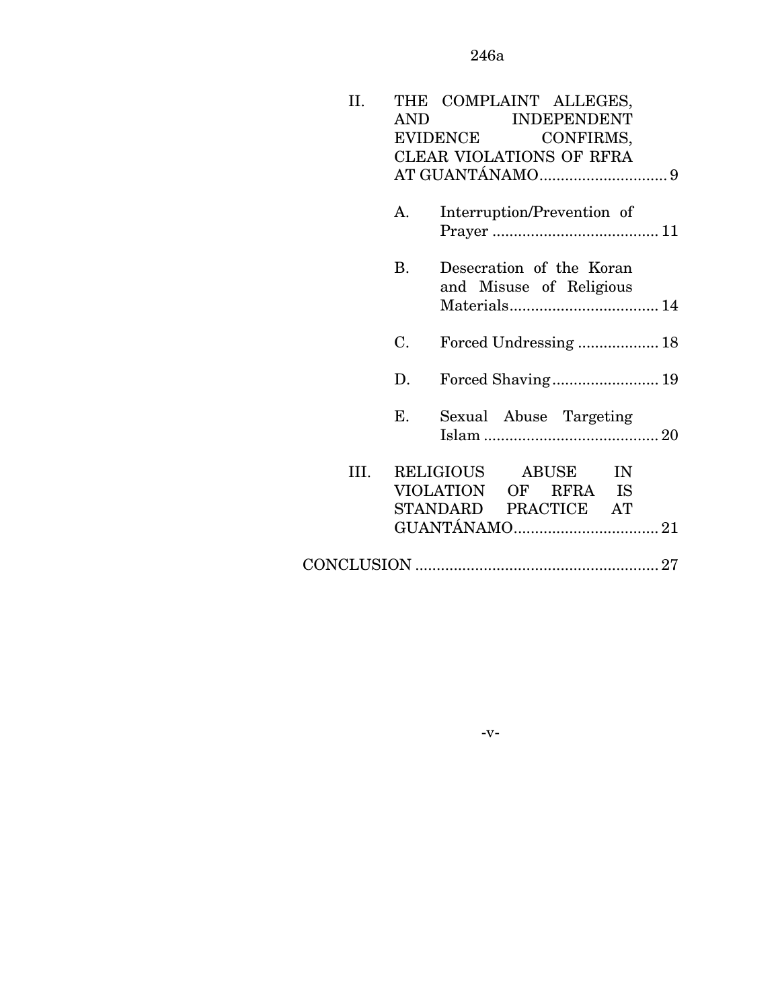| II.  |     | THE COMPLAINT ALLEGES,                              |
|------|-----|-----------------------------------------------------|
|      | AND | <b>INDEPENDENT</b>                                  |
|      |     | <b>EVIDENCE</b><br>CONFIRMS,                        |
|      |     | CLEAR VIOLATIONS OF RFRA                            |
|      |     |                                                     |
|      | A.  | Interruption/Prevention of                          |
|      | B.  | Desecration of the Koran<br>and Misuse of Religious |
|      |     |                                                     |
|      | C.  | Forced Undressing 18                                |
|      | D.  |                                                     |
|      | E.  | Sexual Abuse Targeting                              |
| III. |     | RELIGIOUS ABUSE IN                                  |
|      |     | VIOLATION OF RFRA IS                                |
|      |     | STANDARD PRACTICE AT                                |
|      |     |                                                     |
|      |     |                                                     |
|      |     |                                                     |

-v-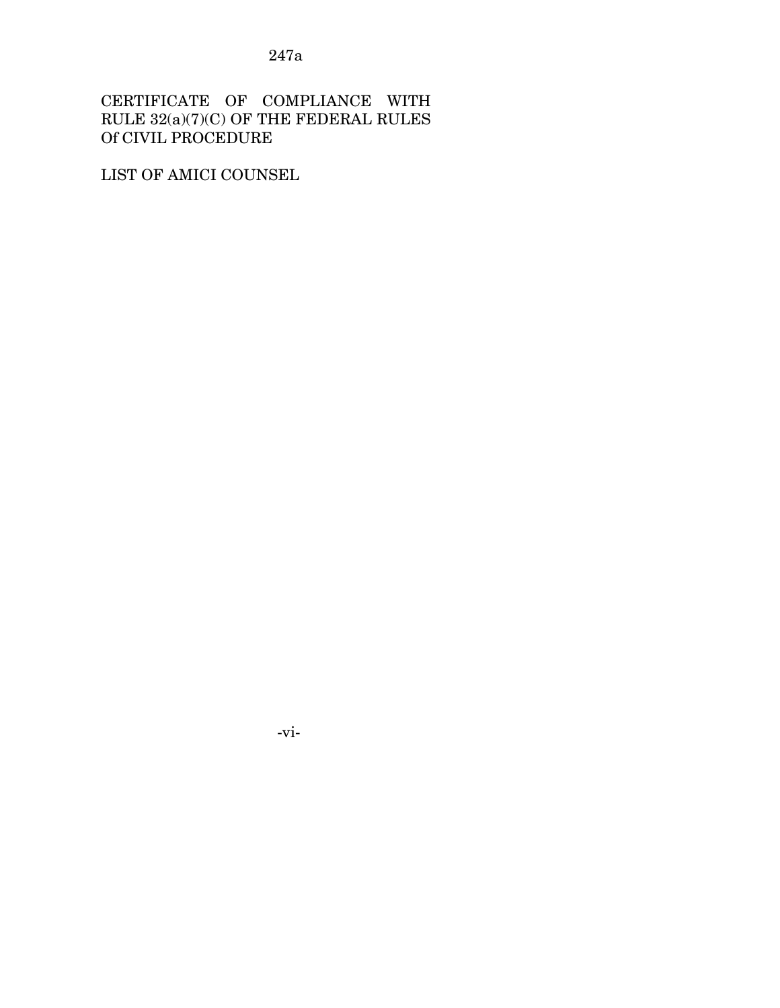CERTIFICATE OF COMPLIANCE WITH RULE 32(a)(7)(C) OF THE FEDERAL RULES Of CIVIL PROCEDURE

LIST OF AMICI COUNSEL

-vi-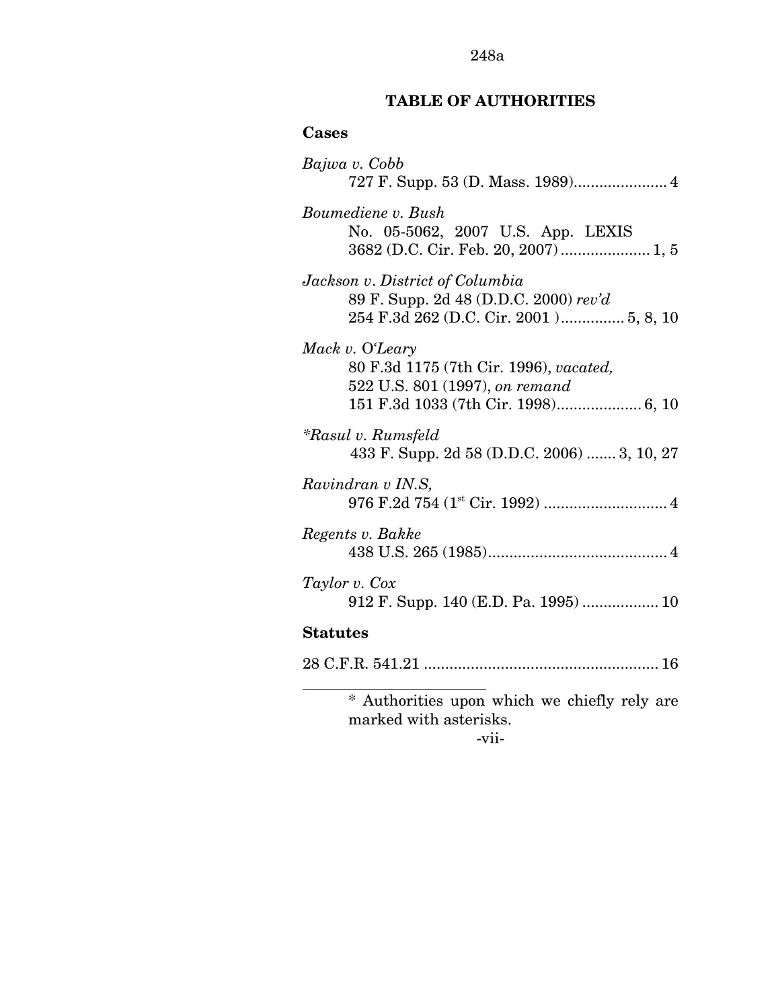# **TABLE OF AUTHORITIES**

## **Cases**

| Bajwa v. Cobb                                                                                                                      |
|------------------------------------------------------------------------------------------------------------------------------------|
|                                                                                                                                    |
| Boumediene v. Bush<br>No. 05-5062, 2007 U.S. App. LEXIS<br>3682 (D.C. Cir. Feb. 20, 2007)  1, 5                                    |
| Jackson v. District of Columbia<br>89 F. Supp. 2d 48 (D.D.C. 2000) rev'd<br>254 F.3d 262 (D.C. Cir. 2001) 5, 8, 10                 |
| Mack v. O'Leary<br>80 F.3d 1175 (7th Cir. 1996), vacated,<br>522 U.S. 801 (1997), on remand<br>151 F.3d 1033 (7th Cir. 1998) 6, 10 |
| <i>*Rasul v. Rumsfeld</i><br>433 F. Supp. 2d 58 (D.D.C. 2006)  3, 10, 27                                                           |
| Ravindran v IN.S,<br>976 F.2d 754 (1 <sup>st</sup> Cir. 1992)  4                                                                   |
| Regents v. Bakke                                                                                                                   |
| Taylor v. Cox                                                                                                                      |
| <b>Statutes</b>                                                                                                                    |
|                                                                                                                                    |
| ∗<br>Authorities upon which we chiefly rely are<br>marked with asterisks.                                                          |

-vii-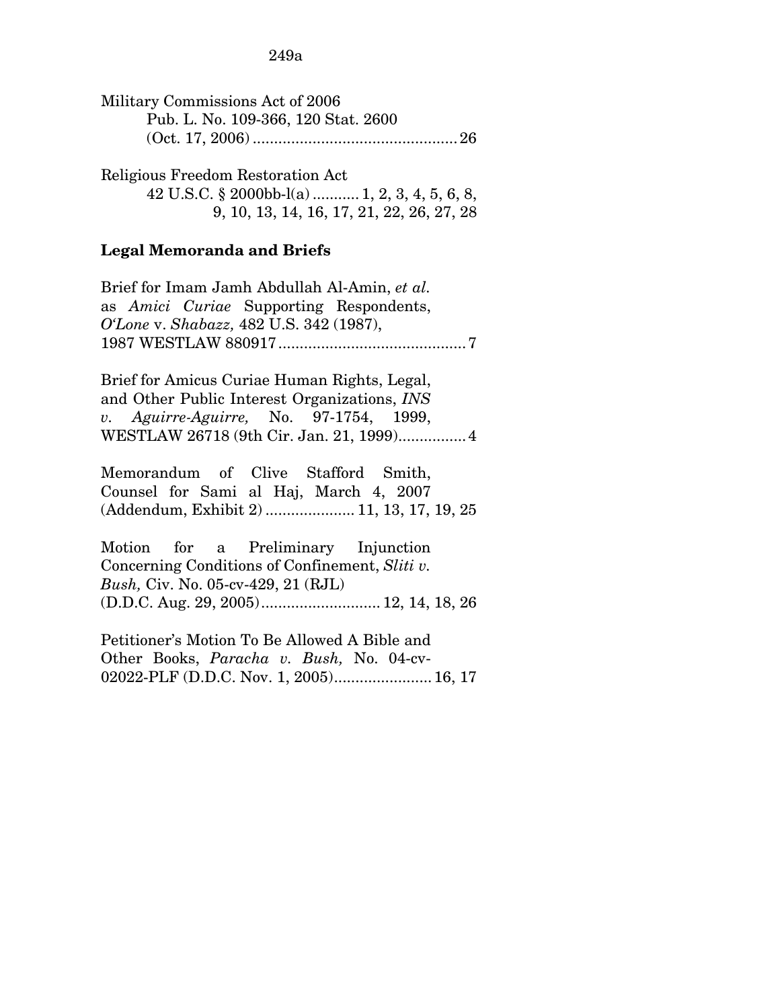| Military Commissions Act of 2006    |  |
|-------------------------------------|--|
| Pub. L. No. 109-366, 120 Stat. 2600 |  |
|                                     |  |

Religious Freedom Restoration Act 42 U.S.C. § 2000bb-l(a) ........... 1, 2, 3, 4, 5, 6, 8, 9, 10, 13, 14, 16, 17, 21, 22, 26, 27, 28

### **Legal Memoranda and Briefs**

Brief for Imam Jamh Abdullah Al-Amin, *et al.*  as *Amici Curiae* Supporting Respondents, *O'Lone* v. *Shabazz,* 482 U.S. 342 (1987), 1987 WESTLAW 880917............................................7

Brief for Amicus Curiae Human Rights, Legal, and Other Public Interest Organizations, *INS v. Aguirre-Aguirre,* No. 97-1754, 1999, WESTLAW 26718 (9th Cir. Jan. 21, 1999)................4

Memorandum of Clive Stafford Smith, Counsel for Sami al Haj, March 4, 2007 (Addendum, Exhibit 2) ..................... 11, 13, 17, 19, 25

Motion for a Preliminary Injunction Concerning Conditions of Confinement, *Sliti v. Bush,* Civ. No. 05-cv-429, 21 (RJL) (D.D.C. Aug. 29, 2005)............................ 12, 14, 18, 26

Petitioner's Motion To Be Allowed A Bible and Other Books, *Paracha v. Bush,* No. 04-cv-02022-PLF (D.D.C. Nov. 1, 2005)....................... 16, 17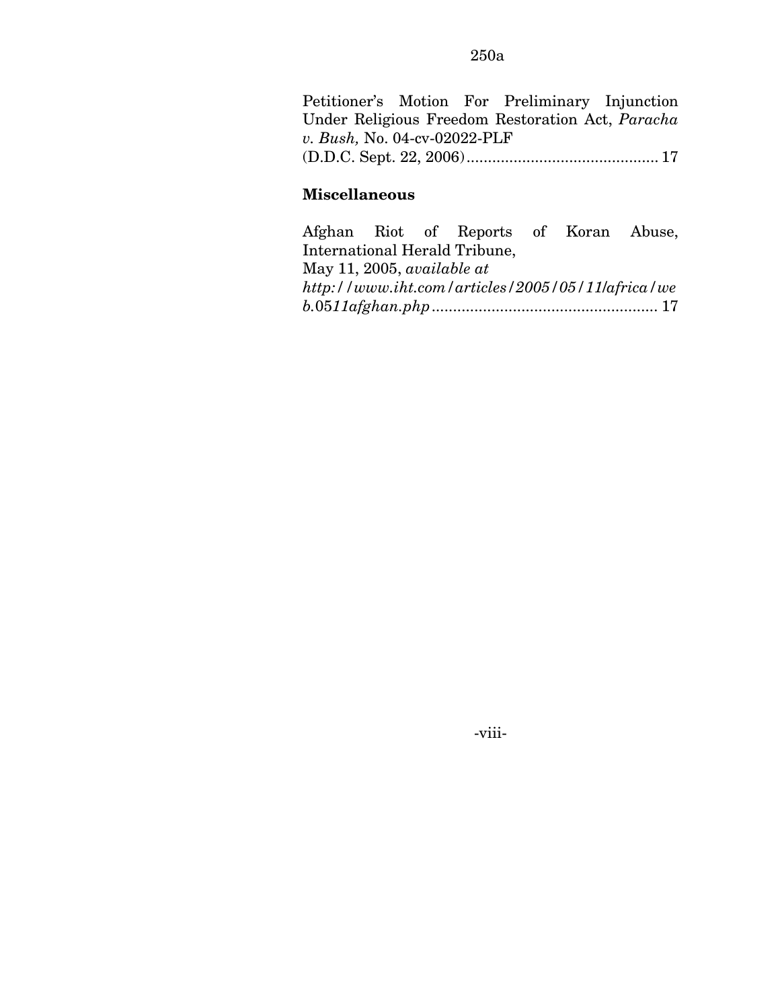Petitioner's Motion For Preliminary Injunction Under Religious Freedom Restoration Act, *Paracha v. Bush,* No. 04-cv-02022-PLF (D.D.C. Sept. 22, 2006)............................................. 17

## **Miscellaneous**

Afghan Riot of Reports of Koran Abuse, International Herald Tribune, May 11, 2005, *available at http://www.iht.com/articles/2005/05/11*/*africa/we b.*05*11afghan.php .....................................................* 17

-viii-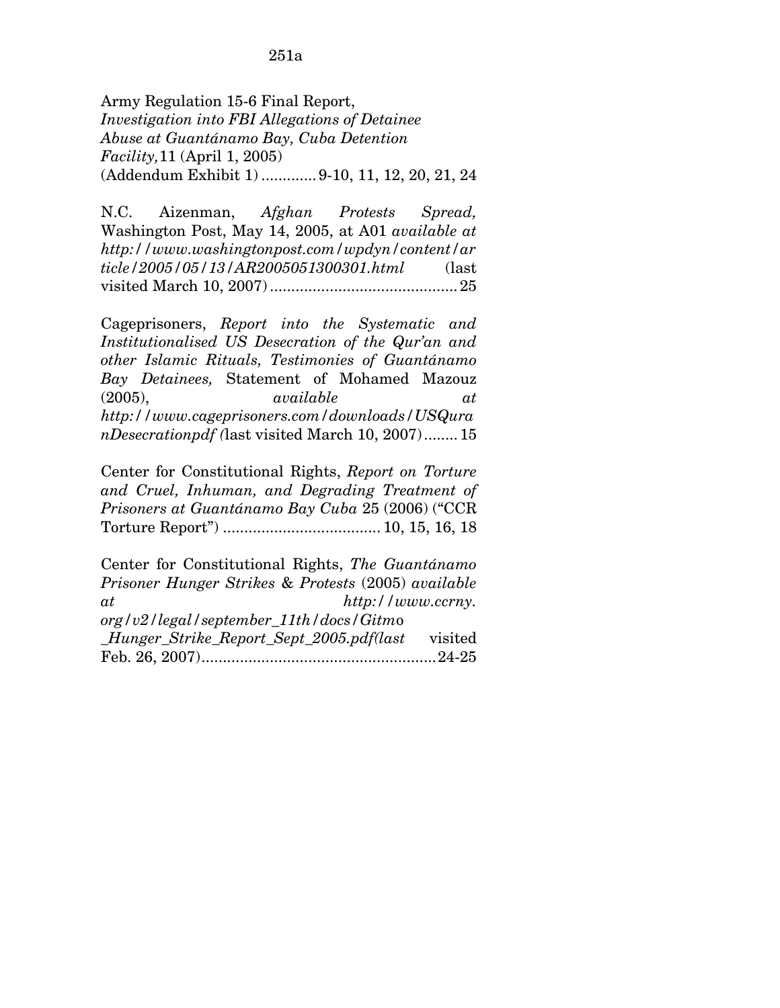Army Regulation 15-6 Final Report, *Investigation into FBI Allegations of Detainee Abuse at Guantánamo Bay, Cuba Detention Facility,*11 (April 1, 2005) (Addendum Exhibit 1) .............9-10, 11, 12, 20, 21, 24

N.C. Aizenman, *Afghan Protests Spread,*  Washington Post, May 14, 2005, at A01 *available at http://www.washingtonpost.com/wpdyn/content/ar ticle/2005/05/13/AR2005051300301.html* (last visited March 10, 2007) ............................................25

Cageprisoners, *Report into the Systematic and Institutionalised US Desecration of the Qur'an and other Islamic Rituals, Testimonies of Guantánamo Bay Detainees,* Statement of Mohamed Mazouz (2005), *available at http://www.cageprisoners.com/downloads/USQura nDesecrationpdf (*last visited March 10, 2007)........15

Center for Constitutional Rights, *Report on Torture and Cruel, Inhuman, and Degrading Treatment of Prisoners at Guantánamo Bay Cuba* 25 (2006) ("CCR Torture Report") ..................................... 10, 15, 16, 18

Center for Constitutional Rights, *The Guantánamo Prisoner Hunger Strikes* & *Protests* (2005) *available at http://www.ccrny. org/v2/legal/september\_11th/docs/Gitm*o *\_Hunger\_Strike\_Report\_Sept\_2005.pdf(last* visited Feb. 26, 2007).......................................................24-25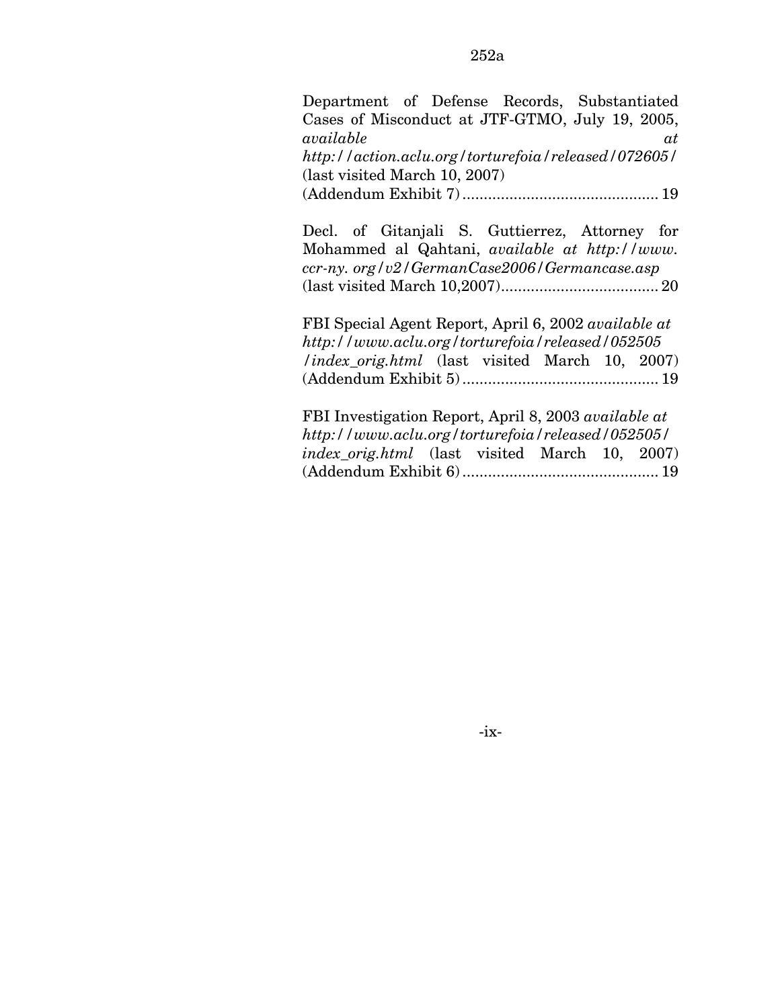Department of Defense Records, Substantiated Cases of Misconduct at JTF-GTMO, July 19, 2005, *available at http://action.aclu.org/torturefoia/released/072605/*  (last visited March 10, 2007) (Addendum Exhibit 7) .............................................. 19

Decl. of Gitanjali S. Guttierrez, Attorney for Mohammed al Qahtani, *available at http://www. ccr-ny. org/v2/GermanCase2006/Germancase.asp*  (last visited March 10,2007)..................................... 20

FBI Special Agent Report, April 6, 2002 *available at http://www.aclu.org/torturefoia/released/052505 /index\_orig.html* (last visited March 10, 2007) (Addendum Exhibit 5) .............................................. 19

FBI Investigation Report, April 8, 2003 *available at http://www.aclu.org/torturefoia/released/052505/ index*\_*orig.html* (last visited March 10, 2007) (Addendum Exhibit 6) .............................................. 19

-ix-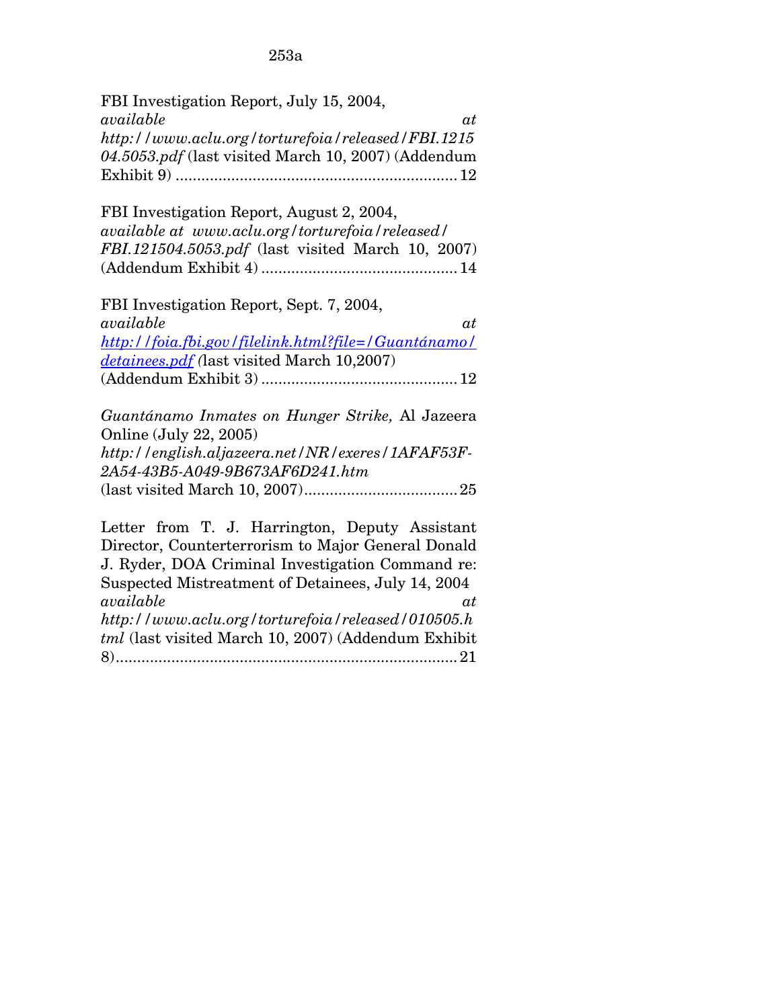| FBI Investigation Report, July 15, 2004,              |
|-------------------------------------------------------|
| available<br>at                                       |
| http://www.aclu.org/torturefoia/released/FBI.1215     |
| 04.5053.pdf (last visited March 10, 2007) (Addendum   |
|                                                       |
|                                                       |
| FBI Investigation Report, August 2, 2004,             |
| available at www.aclu.org/torturefoia/released/       |
| FBI.121504.5053.pdf (last visited March 10, 2007)     |
|                                                       |
|                                                       |
| FBI Investigation Report, Sept. 7, 2004,              |
| available<br>at                                       |
| http://foia.fbi.gov/filelink.html?file=/Guantánamo/   |
| detainees.pdf (last visited March 10,2007)            |
| ${\bf (Addendum\ Exhibit\ 3)} \dots {\bf 3} {\bf 12}$ |
|                                                       |
| Guantánamo Inmates on Hunger Strike, Al Jazeera       |
| Online (July 22, 2005)                                |
| http://english.aljazeera.net/NR/exeres/1AFAF53F-      |
| 2A54-43B5-A049-9B673AF6D241.htm                       |
|                                                       |
|                                                       |
| Letter from T. J. Harrington, Deputy Assistant        |
| Director, Counterterrorism to Major General Donald    |
| J. Ryder, DOA Criminal Investigation Command re:      |
| Suspected Mistreatment of Detainees, July 14, 2004    |
| available<br>at                                       |
| http://www.aclu.org/torturefoia/released/010505.h     |
| tml (last visited March 10, 2007) (Addendum Exhibit   |
|                                                       |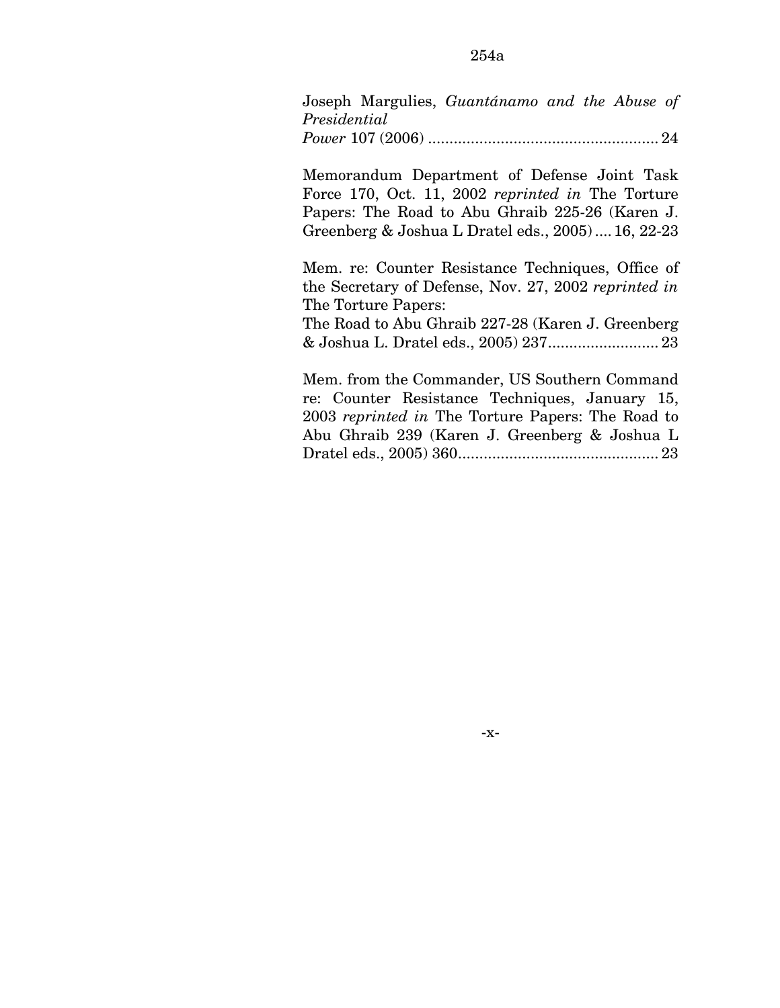Joseph Margulies, *Guantánamo and the Abuse of Presidential Power* 107 (2006) ...................................................... 24

Memorandum Department of Defense Joint Task Force 170, Oct. 11, 2002 *reprinted in* The Torture Papers: The Road to Abu Ghraib 225-26 (Karen J. Greenberg & Joshua L Dratel eds., 2005) ....16, 22-23

Mem. re: Counter Resistance Techniques, Office of the Secretary of Defense, Nov. 27, 2002 *reprinted in*  The Torture Papers:

The Road to Abu Ghraib 227-28 (Karen J. Greenberg & Joshua L. Dratel eds., 2005) 237.......................... 23

Mem. from the Commander, US Southern Command re: Counter Resistance Techniques, January 15, 2003 *reprinted in* The Torture Papers: The Road to Abu Ghraib 239 (Karen J. Greenberg & Joshua L Dratel eds., 2005) 360............................................... 23

-x-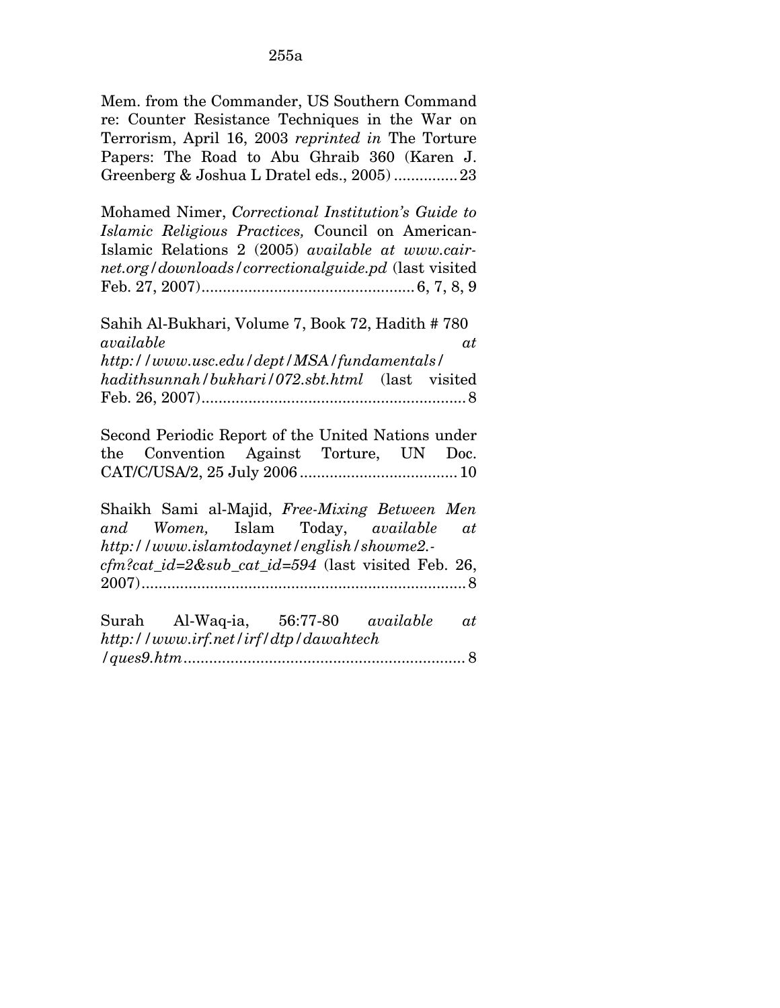Mem. from the Commander, US Southern Command re: Counter Resistance Techniques in the War on Terrorism, April 16, 2003 *reprinted in* The Torture Papers: The Road to Abu Ghraib 360 (Karen J. Greenberg & Joshua L Dratel eds., 2005) ...............23

Mohamed Nimer, *Correctional Institution's Guide to Islamic Religious Practices,* Council on American-Islamic Relations 2 (2005) *available at www.cairnet.org/downloads/correctionalguide.pd* (last visited Feb. 27, 2007).................................................. 6, 7, 8, 9

Sahih Al-Bukhari, Volume 7, Book 72, Hadith # 780 *available at http://www.usc.edu/dept/MSA/fundamentals/ hadithsunnah/bukhari/072.sbt.html* (last visited Feb. 26, 2007)..............................................................8

Second Periodic Report of the United Nations under the Convention Against Torture, UN Doc. CAT/C/USA/2, 25 July 2006 .....................................10

Shaikh Sami al-Majid, *Free-Mixing Between Men and Women,* Islam Today, *available at http://www.islamtodaynet/english/showme2. cfm?cat\_id=2&sub\_cat\_id=594* (last visited Feb. 26, 2007)............................................................................8

| Surah Al-Waq-ia, 56:77-80 <i>available at</i> |  |  |
|-----------------------------------------------|--|--|
| http://www.irf.net/irf/dtp/dawahtech          |  |  |
|                                               |  |  |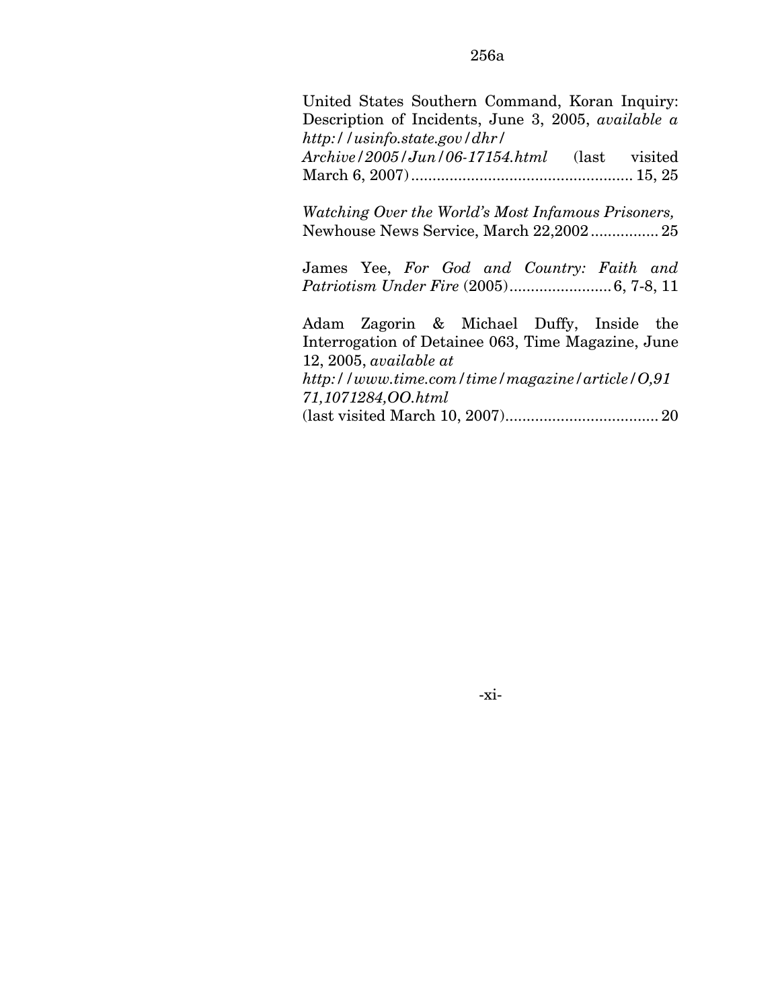United States Southern Command, Koran Inquiry: Description of Incidents, June 3, 2005, *available a http://usinfo.state.gov/dhr/* 

*Archive/2005/Jun/06-17154.html* (last visited March 6, 2007).................................................... 15, 25

*Watching Over the World's Most Infamous Prisoners,*  Newhouse News Service, March 22,2002................ 25

James Yee, *For God and Country: Faith and Patriotism Under Fire* (2005)........................6, 7-8, 11

Adam Zagorin & Michael Duffy, Inside the Interrogation of Detainee 063, Time Magazine, June 12, 2005, *available at http://www.time.com/time/magazine/article/O,91 71,1071284,OO.html* 

(last visited March 10, 2007).................................... 20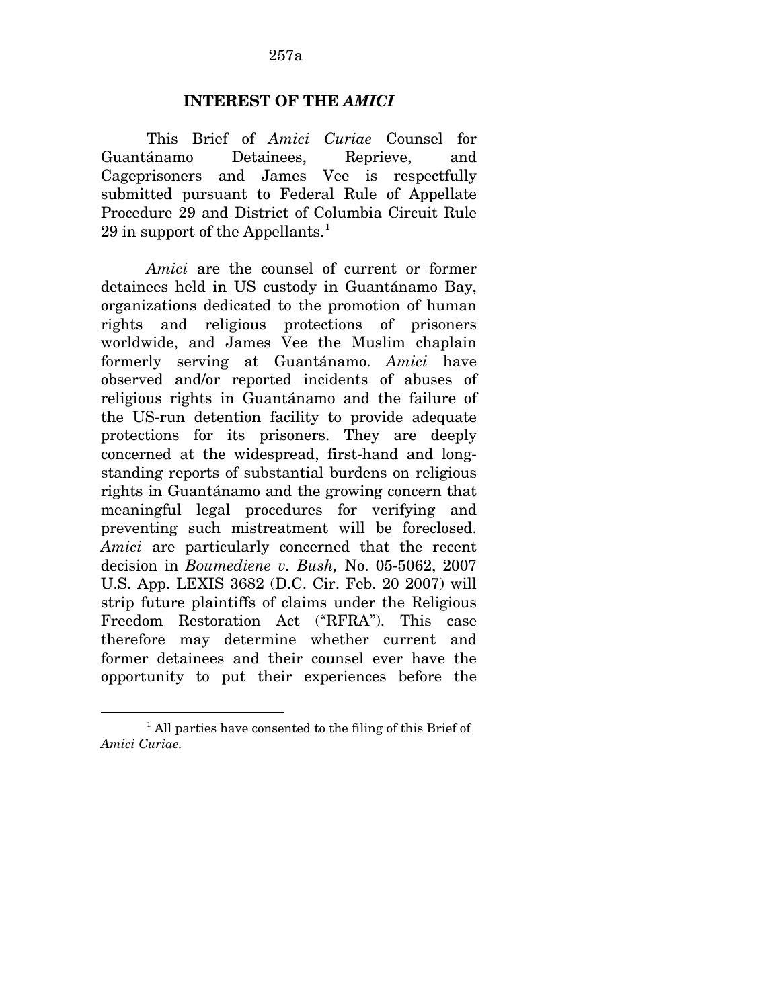#### **INTEREST OF THE** *AMICI*

This Brief of *Amici Curiae* Counsel for Guantánamo Detainees, Reprieve, and Cageprisoners and James Vee is respectfully submitted pursuant to Federal Rule of Appellate Procedure 29 and District of Columbia Circuit Rule 29 in support of the Appellants. $<sup>1</sup>$  $<sup>1</sup>$  $<sup>1</sup>$ </sup>

*Amici* are the counsel of current or former detainees held in US custody in Guantánamo Bay, organizations dedicated to the promotion of human rights and religious protections of prisoners worldwide, and James Vee the Muslim chaplain formerly serving at Guantánamo. *Amici* have observed and/or reported incidents of abuses of religious rights in Guantánamo and the failure of the US-run detention facility to provide adequate protections for its prisoners. They are deeply concerned at the widespread, first-hand and longstanding reports of substantial burdens on religious rights in Guantánamo and the growing concern that meaningful legal procedures for verifying and preventing such mistreatment will be foreclosed. *Amici* are particularly concerned that the recent decision in *Boumediene v. Bush,* No. 05-5062, 2007 U.S. App. LEXIS 3682 (D.C. Cir. Feb. 20 2007) will strip future plaintiffs of claims under the Religious Freedom Restoration Act ("RFRA"). This case therefore may determine whether current and former detainees and their counsel ever have the opportunity to put their experiences before the

 $\overline{a}$ 

<span id="page-309-0"></span><sup>&</sup>lt;sup>1</sup> All parties have consented to the filing of this Brief of *Amici Curiae.*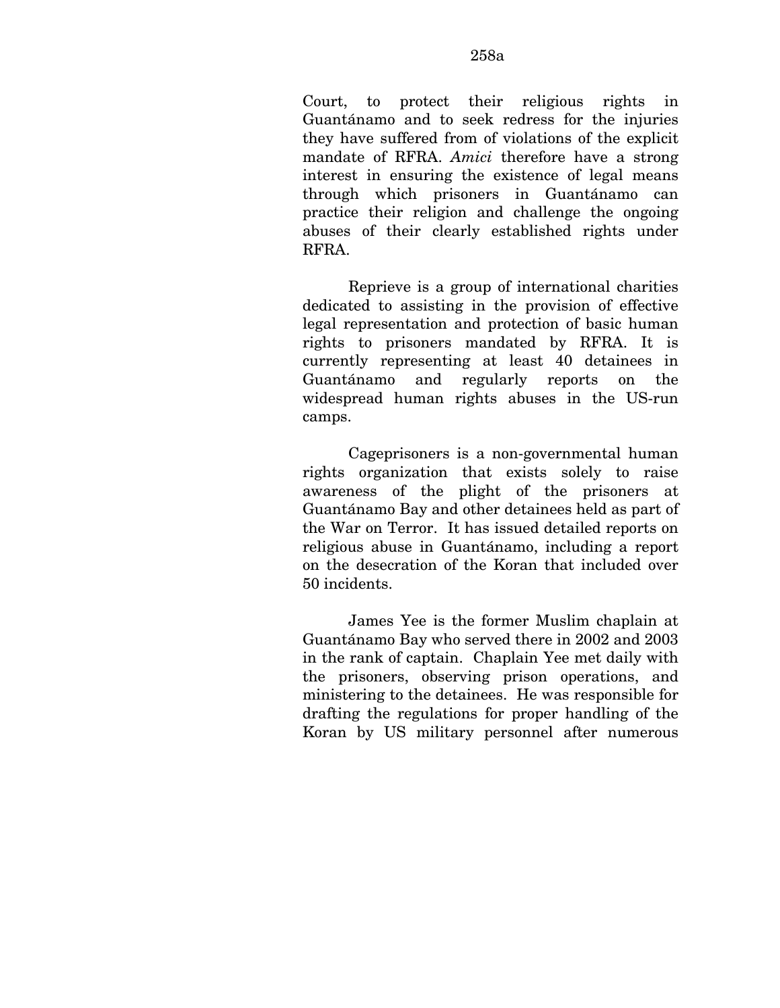Court, to protect their religious rights in Guantánamo and to seek redress for the injuries they have suffered from of violations of the explicit mandate of RFRA. *Amici* therefore have a strong interest in ensuring the existence of legal means through which prisoners in Guantánamo can practice their religion and challenge the ongoing abuses of their clearly established rights under RFRA.

Reprieve is a group of international charities dedicated to assisting in the provision of effective legal representation and protection of basic human rights to prisoners mandated by RFRA. It is currently representing at least 40 detainees in Guantánamo and regularly reports on the widespread human rights abuses in the US-run camps.

Cageprisoners is a non-governmental human rights organization that exists solely to raise awareness of the plight of the prisoners at Guantánamo Bay and other detainees held as part of the War on Terror. It has issued detailed reports on religious abuse in Guantánamo, including a report on the desecration of the Koran that included over 50 incidents.

James Yee is the former Muslim chaplain at Guantánamo Bay who served there in 2002 and 2003 in the rank of captain. Chaplain Yee met daily with the prisoners, observing prison operations, and ministering to the detainees. He was responsible for drafting the regulations for proper handling of the Koran by US military personnel after numerous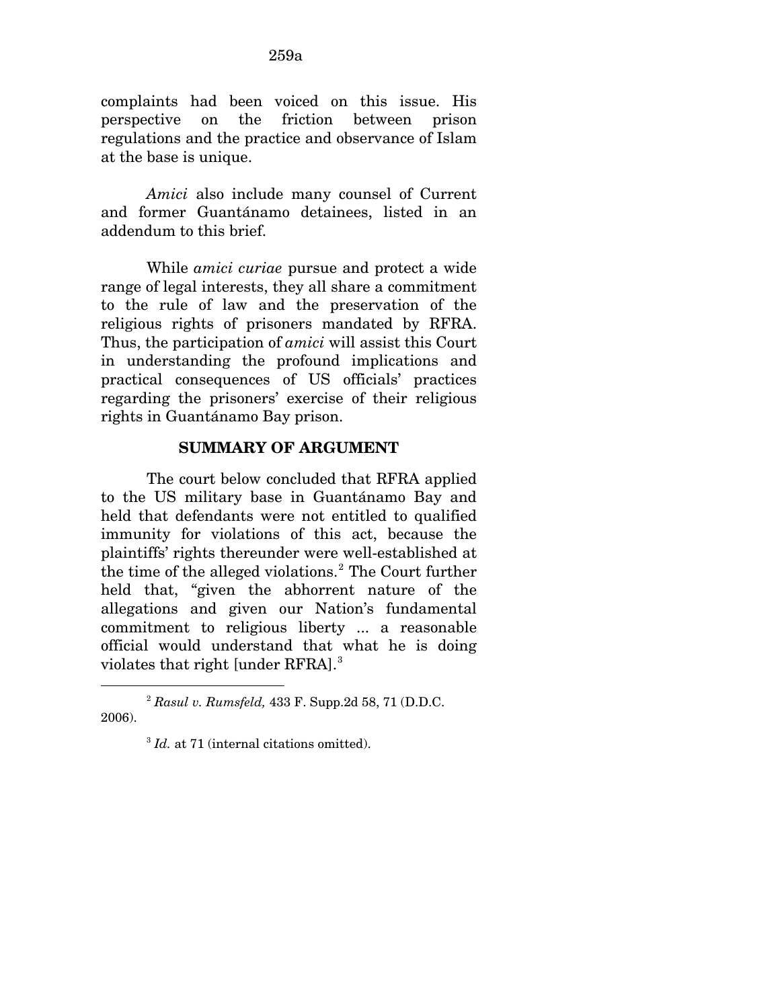complaints had been voiced on this issue. His perspective on the friction between prison regulations and the practice and observance of Islam at the base is unique.

*Amici* also include many counsel of Current and former Guantánamo detainees, listed in an addendum to this brief.

While *amici curiae* pursue and protect a wide range of legal interests, they all share a commitment to the rule of law and the preservation of the religious rights of prisoners mandated by RFRA. Thus, the participation of *amici* will assist this Court in understanding the profound implications and practical consequences of US officials' practices regarding the prisoners' exercise of their religious rights in Guantánamo Bay prison.

### **SUMMARY OF ARGUMENT**

The court below concluded that RFRA applied to the US military base in Guantánamo Bay and held that defendants were not entitled to qualified immunity for violations of this act, because the plaintiffs' rights thereunder were well-established at the time of the alleged violations.<sup>[2](#page-311-0)</sup> The Court further held that, "given the abhorrent nature of the allegations and given our Nation's fundamental commitment to religious liberty ... a reasonable official would understand that what he is doing violates that right [under RFRA].<sup>[3](#page-311-1)</sup>

l

<span id="page-311-1"></span><span id="page-311-0"></span><sup>2</sup> *Rasul v. Rumsfeld,* 433 F. Supp.2d 58, 71 (D.D.C. 2006).

<sup>&</sup>lt;sup>3</sup> *Id.* at 71 (internal citations omitted).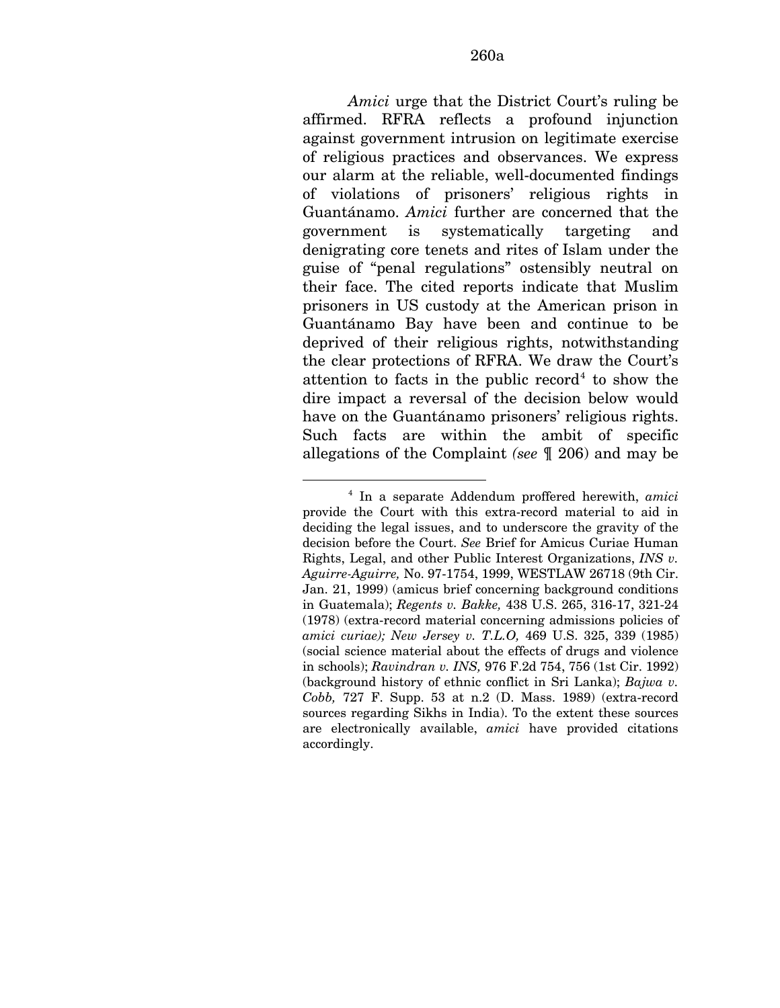*Amici* urge that the District Court's ruling be affirmed. RFRA reflects a profound injunction against government intrusion on legitimate exercise of religious practices and observances. We express our alarm at the reliable, well-documented findings of violations of prisoners' religious rights in Guantánamo. *Amici* further are concerned that the government is systematically targeting and denigrating core tenets and rites of Islam under the guise of "penal regulations" ostensibly neutral on their face. The cited reports indicate that Muslim prisoners in US custody at the American prison in Guantánamo Bay have been and continue to be deprived of their religious rights, notwithstanding the clear protections of RFRA. We draw the Court's attention to facts in the public record<sup>[4](#page-312-0)</sup> to show the dire impact a reversal of the decision below would have on the Guantánamo prisoners' religious rights. Such facts are within the ambit of specific allegations of the Complaint *(see* ¶ 206) and may be

<span id="page-312-0"></span><sup>&</sup>lt;u>.</u> 4 In a separate Addendum proffered herewith, *amici*  provide the Court with this extra-record material to aid in deciding the legal issues, and to underscore the gravity of the decision before the Court. *See* Brief for Amicus Curiae Human Rights, Legal, and other Public Interest Organizations, *INS v. Aguirre-Aguirre,* No. 97-1754, 1999, WESTLAW 26718 (9th Cir. Jan. 21, 1999) (amicus brief concerning background conditions in Guatemala); *Regents v. Bakke,* 438 U.S. 265, 316-17, 321-24 (1978) (extra-record material concerning admissions policies of *amici curiae); New Jersey v. T.L.O,* 469 U.S. 325, 339 (1985) (social science material about the effects of drugs and violence in schools); *Ravindran v. INS,* 976 F.2d 754, 756 (1st Cir. 1992) (background history of ethnic conflict in Sri Lanka); *Bajwa v. Cobb,* 727 F. Supp. 53 at n.2 (D. Mass. 1989) (extra-record sources regarding Sikhs in India). To the extent these sources are electronically available, *amici* have provided citations accordingly.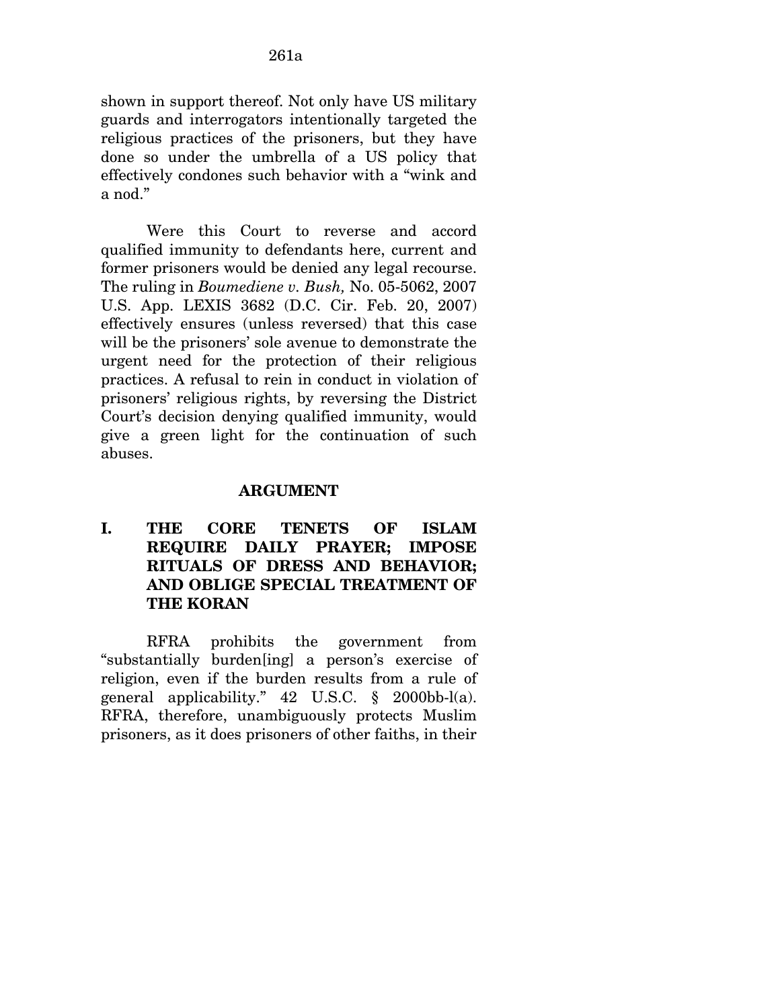shown in support thereof. Not only have US military guards and interrogators intentionally targeted the religious practices of the prisoners, but they have done so under the umbrella of a US policy that effectively condones such behavior with a "wink and a nod."

Were this Court to reverse and accord qualified immunity to defendants here, current and former prisoners would be denied any legal recourse. The ruling in *Boumediene v. Bush,* No. 05-5062, 2007 U.S. App. LEXIS 3682 (D.C. Cir. Feb. 20, 2007) effectively ensures (unless reversed) that this case will be the prisoners' sole avenue to demonstrate the urgent need for the protection of their religious practices. A refusal to rein in conduct in violation of prisoners' religious rights, by reversing the District Court's decision denying qualified immunity, would give a green light for the continuation of such abuses.

### **ARGUMENT**

**I. THE CORE TENETS OF ISLAM REQUIRE DAILY PRAYER; IMPOSE RITUALS OF DRESS AND BEHAVIOR; AND OBLIGE SPECIAL TREATMENT OF THE KORAN** 

RFRA prohibits the government from "substantially burden[ing] a person's exercise of religion, even if the burden results from a rule of general applicability." 42 U.S.C. § 2000bb-l(a). RFRA, therefore, unambiguously protects Muslim prisoners, as it does prisoners of other faiths, in their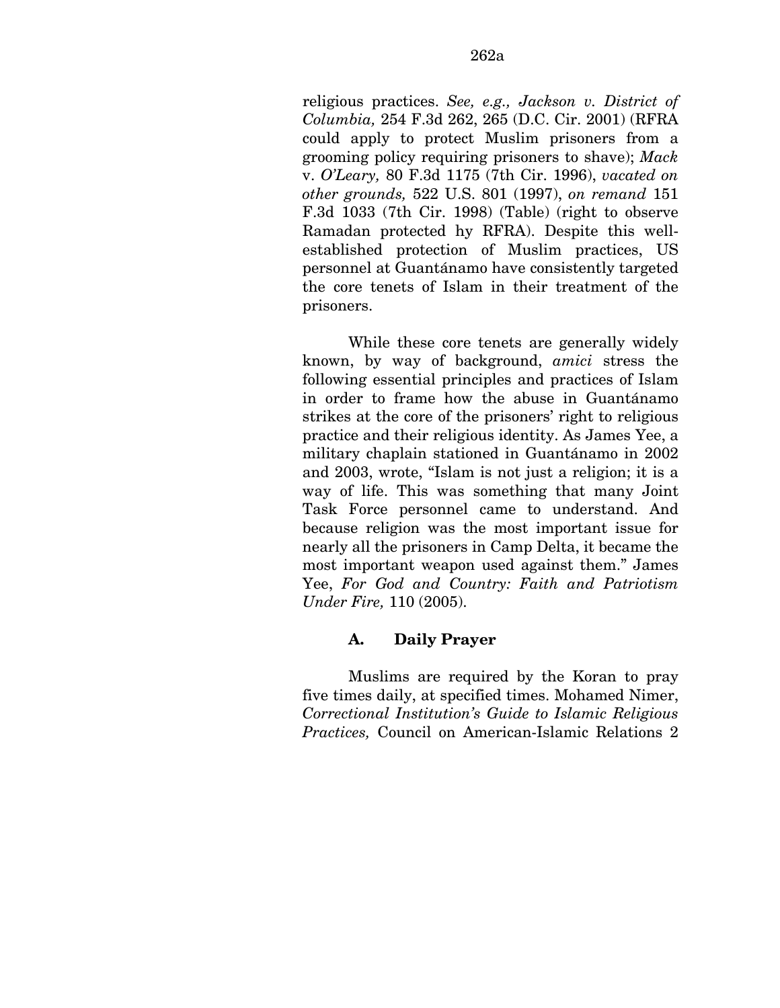religious practices. *See, e.g., Jackson v. District of Columbia,* 254 F.3d 262, 265 (D.C. Cir. 2001) (RFRA could apply to protect Muslim prisoners from a grooming policy requiring prisoners to shave); *Mack*  v. *O'Leary,* 80 F.3d 1175 (7th Cir. 1996), *vacated on other grounds,* 522 U.S. 801 (1997), *on remand* 151 F.3d 1033 (7th Cir. 1998) (Table) (right to observe Ramadan protected hy RFRA). Despite this wellestablished protection of Muslim practices, US personnel at Guantánamo have consistently targeted the core tenets of Islam in their treatment of the prisoners.

While these core tenets are generally widely known, by way of background, *amici* stress the following essential principles and practices of Islam in order to frame how the abuse in Guantánamo strikes at the core of the prisoners' right to religious practice and their religious identity. As James Yee, a military chaplain stationed in Guantánamo in 2002 and 2003, wrote, "Islam is not just a religion; it is a way of life. This was something that many Joint Task Force personnel came to understand. And because religion was the most important issue for nearly all the prisoners in Camp Delta, it became the most important weapon used against them." James Yee, *For God and Country: Faith and Patriotism Under Fire,* 110 (2005).

## **A. Daily Prayer**

Muslims are required by the Koran to pray five times daily, at specified times. Mohamed Nimer, *Correctional Institution's Guide to Islamic Religious Practices,* Council on American-Islamic Relations 2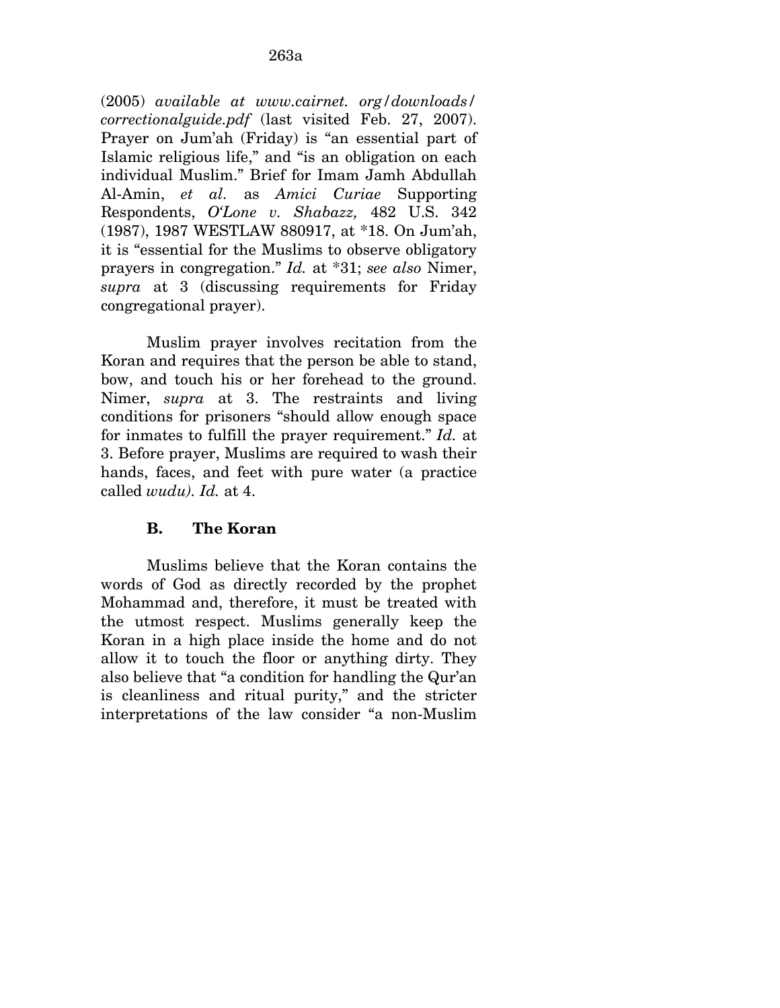(2005) *available at www.cairnet. org/downloads/ correctionalguide.pdf* (last visited Feb. 27, 2007). Prayer on Jum'ah (Friday) is "an essential part of Islamic religious life," and "is an obligation on each individual Muslim." Brief for Imam Jamh Abdullah Al-Amin, *et al.* as *Amici Curiae* Supporting Respondents, *O'Lone v. Shabazz,* 482 U.S. 342 (1987), 1987 WESTLAW 880917, at \*18. On Jum'ah, it is "essential for the Muslims to observe obligatory prayers in congregation." *Id.* at \*31; *see also* Nimer, *supra* at 3 (discussing requirements for Friday congregational prayer).

Muslim prayer involves recitation from the Koran and requires that the person be able to stand, bow, and touch his or her forehead to the ground. Nimer, *supra* at 3. The restraints and living conditions for prisoners "should allow enough space for inmates to fulfill the prayer requirement." *Id.* at 3. Before prayer, Muslims are required to wash their hands, faces, and feet with pure water (a practice called *wudu). Id.* at 4.

### **B. The Koran**

Muslims believe that the Koran contains the words of God as directly recorded by the prophet Mohammad and, therefore, it must be treated with the utmost respect. Muslims generally keep the Koran in a high place inside the home and do not allow it to touch the floor or anything dirty. They also believe that "a condition for handling the Qur'an is cleanliness and ritual purity," and the stricter interpretations of the law consider "a non-Muslim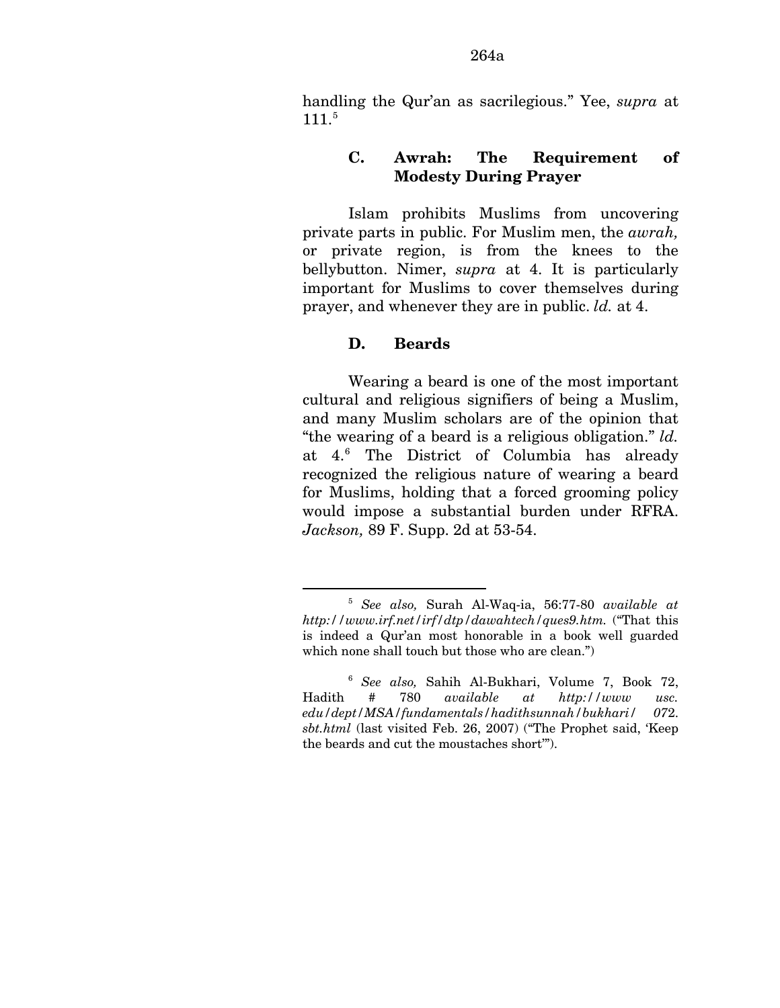handling the Qur'an as sacrilegious." Yee, *supra* at  $111.<sup>5</sup>$  $111.<sup>5</sup>$  $111.<sup>5</sup>$ 

### **C. Awrah: The Requirement of Modesty During Prayer**

Islam prohibits Muslims from uncovering private parts in public. For Muslim men, the *awrah,*  or private region, is from the knees to the bellybutton. Nimer, *supra* at 4. It is particularly important for Muslims to cover themselves during prayer, and whenever they are in public. *ld.* at 4.

### **D. Beards**

<u>.</u>

Wearing a beard is one of the most important cultural and religious signifiers of being a Muslim, and many Muslim scholars are of the opinion that "the wearing of a beard is a religious obligation." *ld.*  at 4.[6](#page-316-1) The District of Columbia has already recognized the religious nature of wearing a beard for Muslims, holding that a forced grooming policy would impose a substantial burden under RFRA. *Jackson,* 89 F. Supp. 2d at 53-54.

<span id="page-316-0"></span><sup>5</sup> *See also,* Surah Al-Waq-ia, 56:77-80 *available at http://www.irf.net/irf/dtp/dawahtech/ques9.htm.* ("That this is indeed a Qur'an most honorable in a book well guarded which none shall touch but those who are clean.")

<span id="page-316-1"></span><sup>6</sup> *See also,* Sahih Al-Bukhari, Volume 7, Book 72, Hadith # 780 *available at http://www usc. edu/dept/MSA/fundamentals/hadithsunnah/bukhari/ 07*2. *sbt.html* (last visited Feb. 26, 2007) ("The Prophet said, 'Keep the beards and cut the moustaches short'").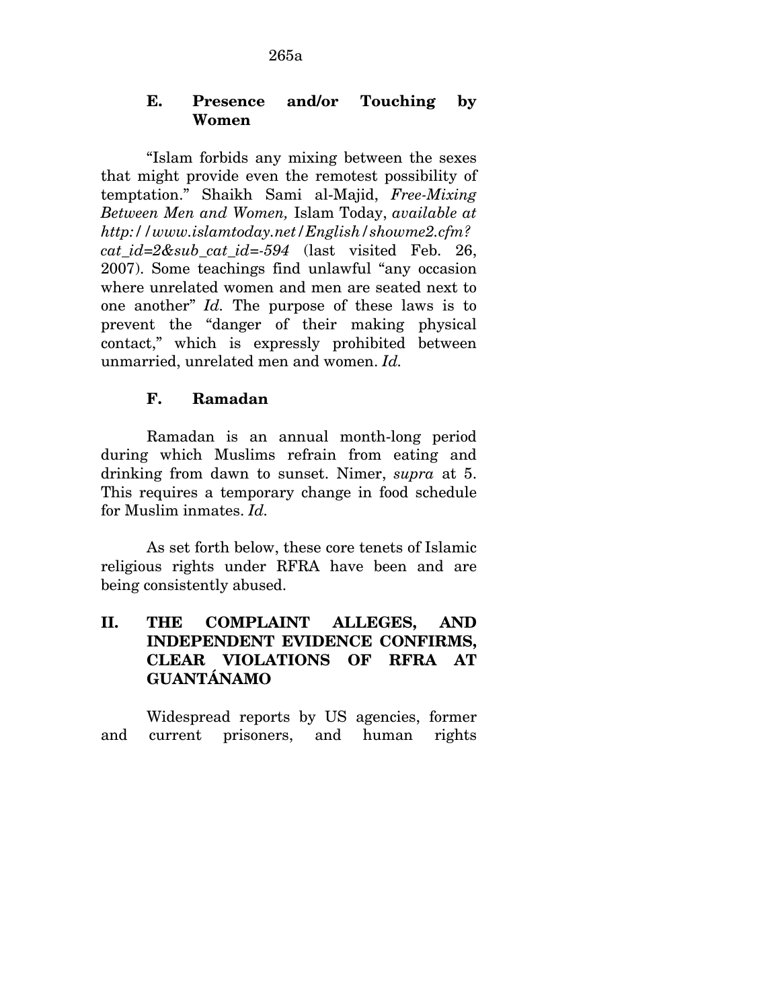### **E. Presence and/or Touching by Women**

"Islam forbids any mixing between the sexes that might provide even the remotest possibility of temptation." Shaikh Sami al-Majid, *Free-Mixing Between Men and Women,* Islam Today, *available at http://www.islamtoday.net/English/showme2.cfm? cat\_id=2&sub\_cat\_id=-594* (last visited Feb. 26, 2007). Some teachings find unlawful "any occasion where unrelated women and men are seated next to one another" *Id.* The purpose of these laws is to prevent the "danger of their making physical contact," which is expressly prohibited between unmarried, unrelated men and women. *Id.* 

## **F. Ramadan**

Ramadan is an annual month-long period during which Muslims refrain from eating and drinking from dawn to sunset. Nimer, *supra* at 5. This requires a temporary change in food schedule for Muslim inmates. *Id.* 

As set forth below, these core tenets of Islamic religious rights under RFRA have been and are being consistently abused.

## **II. THE COMPLAINT ALLEGES, AND INDEPENDENT EVIDENCE CONFIRMS, CLEAR VIOLATIONS OF RFRA AT GUANTÁNAMO**

Widespread reports by US agencies, former and current prisoners, and human rights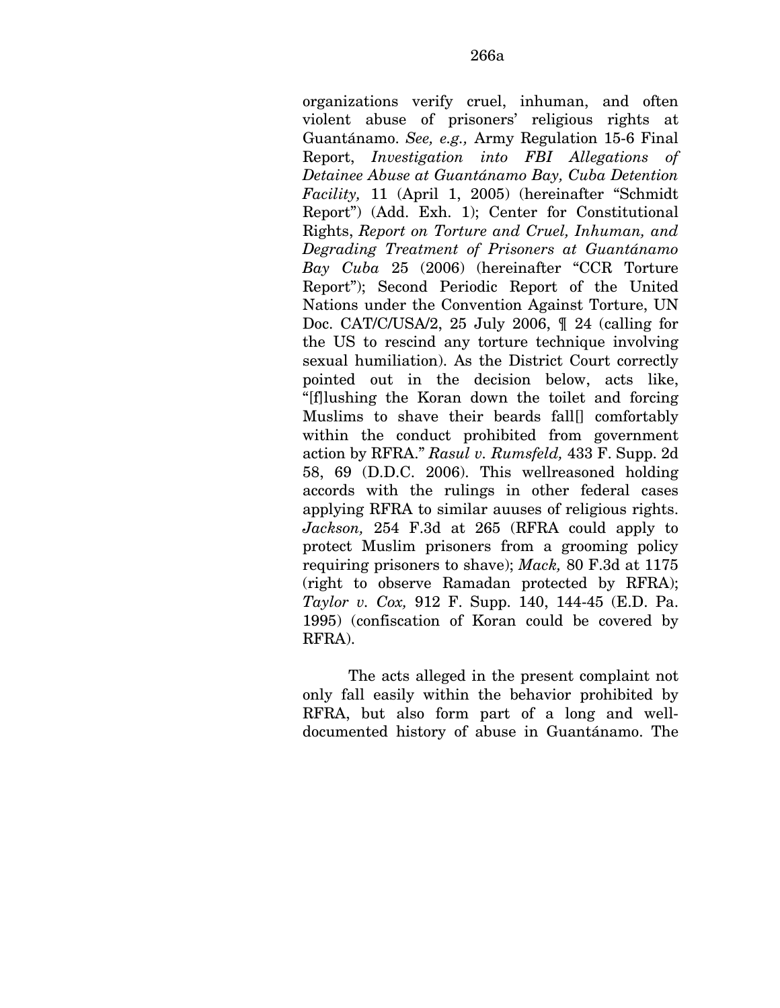organizations verify cruel, inhuman, and often violent abuse of prisoners' religious rights at Guantánamo. *See, e.g.,* Army Regulation 15-6 Final Report, *Investigation into FBI Allegations of Detainee Abuse at Guantánamo Bay, Cuba Detention Facility,* 11 (April 1, 2005) (hereinafter "Schmidt Report") (Add. Exh. 1); Center for Constitutional Rights, *Report on Torture and Cruel, Inhuman, and Degrading Treatment of Prisoners at Guantánamo Bay Cuba* 25 (2006) (hereinafter "CCR Torture Report"); Second Periodic Report of the United Nations under the Convention Against Torture, UN Doc. CAT/C/USA/2, 25 July 2006, ¶ 24 (calling for the US to rescind any torture technique involving sexual humiliation). As the District Court correctly pointed out in the decision below, acts like, "[f]lushing the Koran down the toilet and forcing Muslims to shave their beards fall[] comfortably within the conduct prohibited from government action by RFRA." *Rasul v. Rumsfeld,* 433 F. Supp. 2d 58, 69 (D.D.C. 2006). This wellreasoned holding accords with the rulings in other federal cases applying RFRA to similar auuses of religious rights. *Jackson,* 254 F.3d at 265 (RFRA could apply to protect Muslim prisoners from a grooming policy requiring prisoners to shave); *Mack,* 80 F.3d at 1175 (right to observe Ramadan protected by RFRA); *Taylor v. Cox,* 912 F. Supp. 140, 144-45 (E.D. Pa. 1995) (confiscation of Koran could be covered by RFRA).

The acts alleged in the present complaint not only fall easily within the behavior prohibited by RFRA, but also form part of a long and welldocumented history of abuse in Guantánamo. The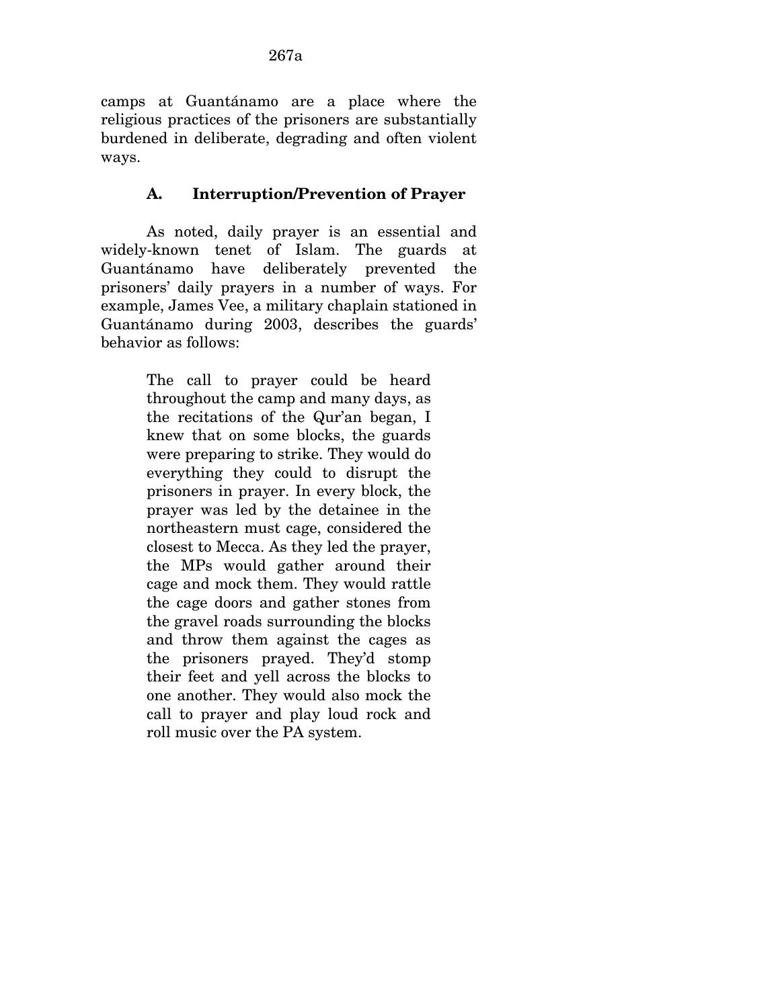camps at Guantánamo are a place where the religious practices of the prisoners are substantially burdened in deliberate, degrading and often violent ways.

## **A. Interruption/Prevention of Prayer**

As noted, daily prayer is an essential and widely-known tenet of Islam. The guards at Guantánamo have deliberately prevented the prisoners' daily prayers in a number of ways. For example, James Vee, a military chaplain stationed in Guantánamo during 2003, describes the guards' behavior as follows:

> The call to prayer could be heard throughout the camp and many days, as the recitations of the Qur'an began, I knew that on some blocks, the guards were preparing to strike. They would do everything they could to disrupt the prisoners in prayer. In every block, the prayer was led by the detainee in the northeastern must cage, considered the closest to Mecca. As they led the prayer, the MPs would gather around their cage and mock them. They would rattle the cage doors and gather stones from the gravel roads surrounding the blocks and throw them against the cages as the prisoners prayed. They'd stomp their feet and yell across the blocks to one another. They would also mock the call to prayer and play loud rock and roll music over the PA system.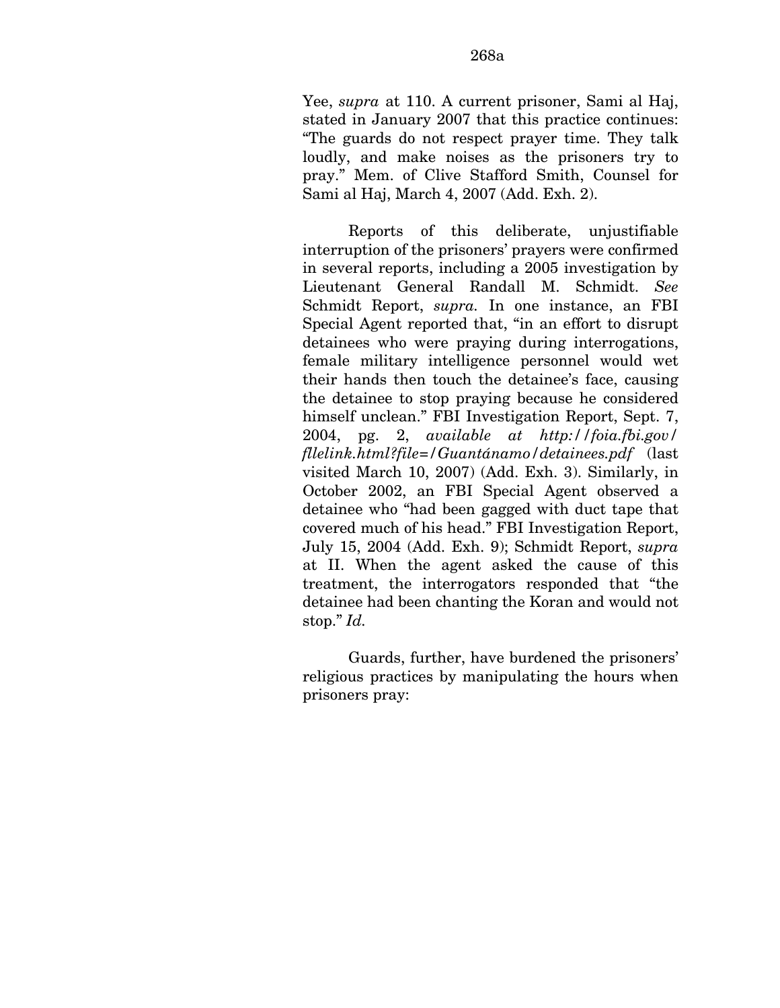Yee, *supra* at 110. A current prisoner, Sami al Haj, stated in January 2007 that this practice continues: "The guards do not respect prayer time. They talk loudly, and make noises as the prisoners try to pray." Mem. of Clive Stafford Smith, Counsel for Sami al Haj, March 4, 2007 (Add. Exh. 2).

Reports of this deliberate, unjustifiable interruption of the prisoners' prayers were confirmed in several reports, including a 2005 investigation by Lieutenant General Randall M. Schmidt. *See*  Schmidt Report, *supra.* In one instance, an FBI Special Agent reported that, "in an effort to disrupt detainees who were praying during interrogations, female military intelligence personnel would wet their hands then touch the detainee's face, causing the detainee to stop praying because he considered himself unclean." FBI Investigation Report, Sept. 7, 2004, pg. 2, *available at http://foia.fbi.gov/ fllelink.html?file=/Guantánamo/detainees.pdf* (last visited March 10, 2007) (Add. Exh. 3). Similarly, in October 2002, an FBI Special Agent observed a detainee who "had been gagged with duct tape that covered much of his head." FBI Investigation Report, July 15, 2004 (Add. Exh. 9); Schmidt Report, *supra*  at II. When the agent asked the cause of this treatment, the interrogators responded that "the detainee had been chanting the Koran and would not stop." *Id.* 

Guards, further, have burdened the prisoners' religious practices by manipulating the hours when prisoners pray: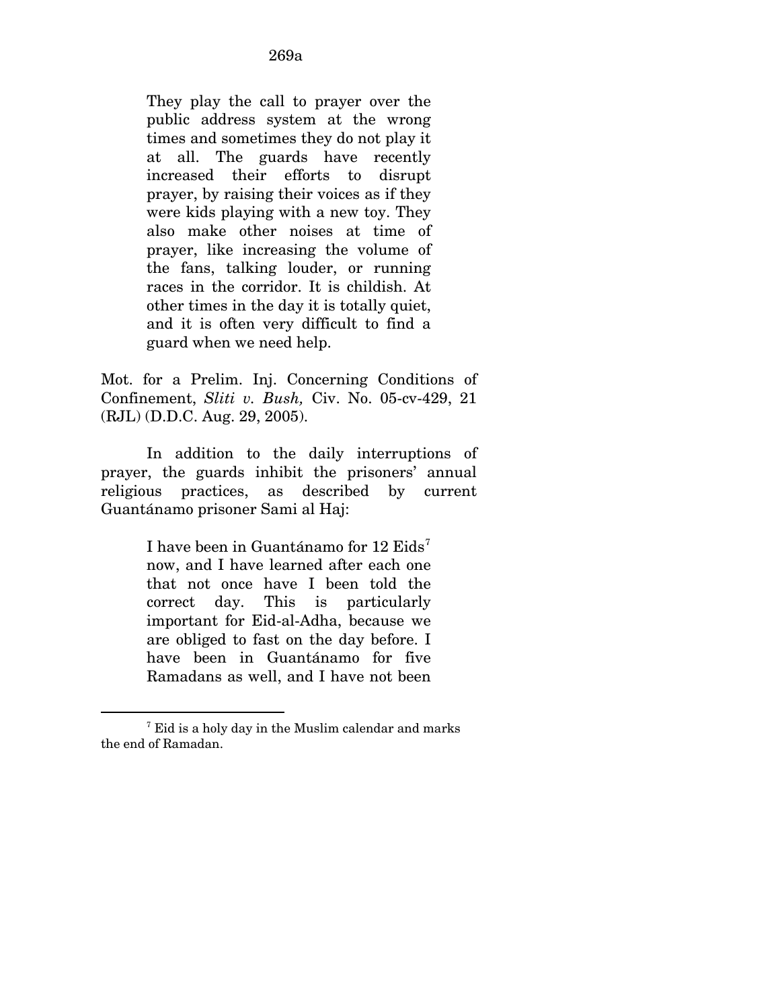They play the call to prayer over the public address system at the wrong times and sometimes they do not play it at all. The guards have recently increased their efforts to disrupt prayer, by raising their voices as if they were kids playing with a new toy. They also make other noises at time of prayer, like increasing the volume of the fans, talking louder, or running races in the corridor. It is childish. At other times in the day it is totally quiet, and it is often very difficult to find a guard when we need help.

Mot. for a Prelim. Inj. Concerning Conditions of Confinement, *Sliti v. Bush,* Civ. No. 05-cv-429, 21 (RJL) (D.D.C. Aug. 29, 2005).

In addition to the daily interruptions of prayer, the guards inhibit the prisoners' annual religious practices, as described by current Guantánamo prisoner Sami al Haj:

> I have been in Guantánamo for 12 Eids<sup>[7](#page-321-0)</sup> now, and I have learned after each one that not once have I been told the correct day. This is particularly important for Eid-al-Adha, because we are obliged to fast on the day before. I have been in Guantánamo for five Ramadans as well, and I have not been

 $\overline{a}$ 

<span id="page-321-0"></span><sup>&</sup>lt;sup>7</sup> Eid is a holy day in the Muslim calendar and marks the end of Ramadan.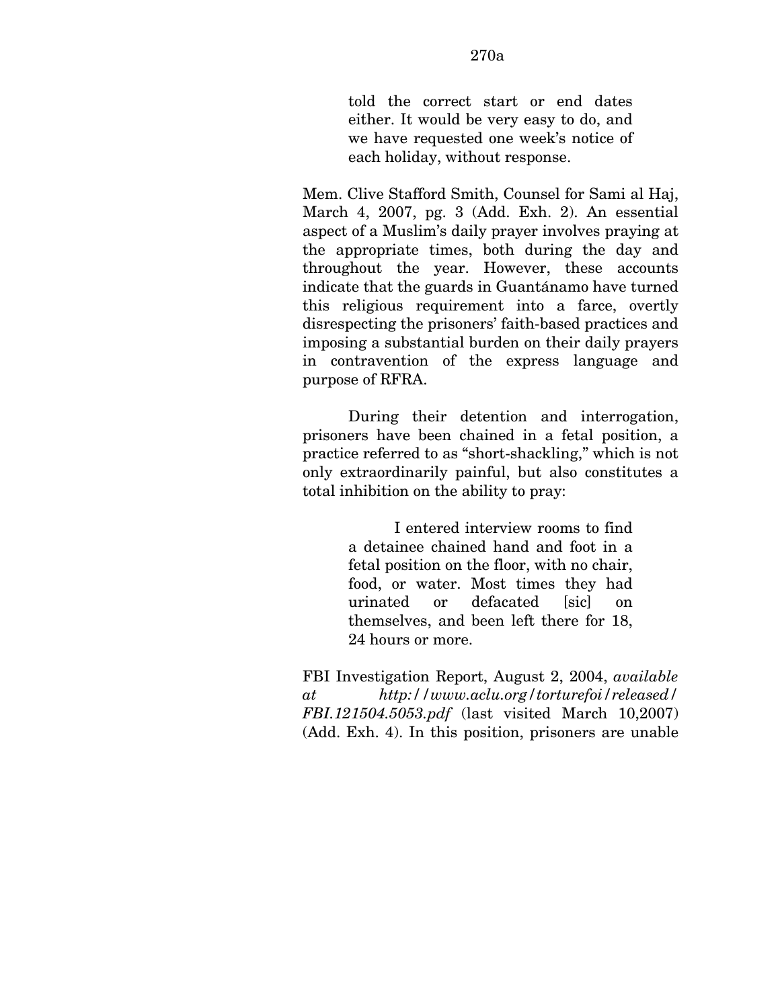told the correct start or end dates either. It would be very easy to do, and we have requested one week's notice of each holiday, without response.

Mem. Clive Stafford Smith, Counsel for Sami al Haj, March 4, 2007, pg. 3 (Add. Exh. 2). An essential aspect of a Muslim's daily prayer involves praying at the appropriate times, both during the day and throughout the year. However, these accounts indicate that the guards in Guantánamo have turned this religious requirement into a farce, overtly disrespecting the prisoners' faith-based practices and imposing a substantial burden on their daily prayers in contravention of the express language and purpose of RFRA.

During their detention and interrogation, prisoners have been chained in a fetal position, a practice referred to as "short-shackling," which is not only extraordinarily painful, but also constitutes a total inhibition on the ability to pray:

> I entered interview rooms to find a detainee chained hand and foot in a fetal position on the floor, with no chair, food, or water. Most times they had urinated or defacated [sic] on themselves, and been left there for 18, 24 hours or more.

FBI Investigation Report, August 2, 2004, *available at http://www.aclu.org/torturefoi/released/ FBI.121504.5053.pdf* (last visited March 10,2007) (Add. Exh. 4). In this position, prisoners are unable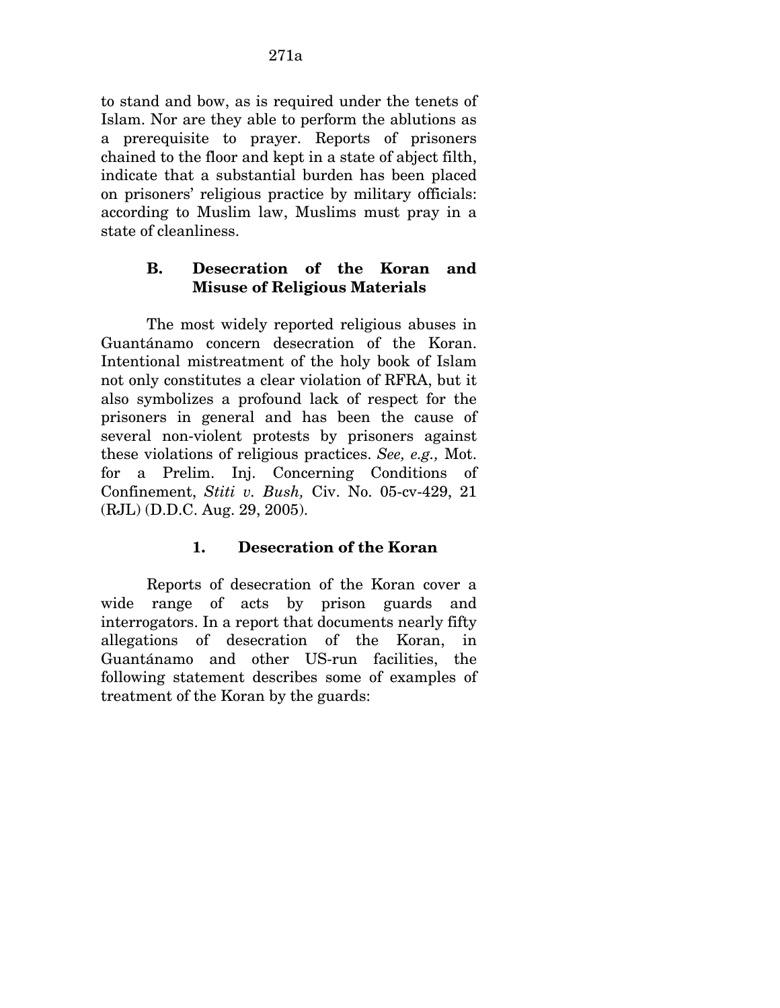to stand and bow, as is required under the tenets of Islam. Nor are they able to perform the ablutions as a prerequisite to prayer. Reports of prisoners chained to the floor and kept in a state of abject filth, indicate that a substantial burden has been placed on prisoners' religious practice by military officials: according to Muslim law, Muslims must pray in a state of cleanliness.

## **B. Desecration of the Koran and Misuse of Religious Materials**

The most widely reported religious abuses in Guantánamo concern desecration of the Koran. Intentional mistreatment of the holy book of Islam not only constitutes a clear violation of RFRA, but it also symbolizes a profound lack of respect for the prisoners in general and has been the cause of several non-violent protests by prisoners against these violations of religious practices. *See, e.g.,* Mot. for a Prelim. Inj. Concerning Conditions of Confinement, *Stiti v. Bush,* Civ. No. 05-cv-429, 21 (RJL) (D.D.C. Aug. 29, 2005).

## **1. Desecration of the Koran**

Reports of desecration of the Koran cover a wide range of acts by prison guards and interrogators. In a report that documents nearly fifty allegations of desecration of the Koran, in Guantánamo and other US-run facilities, the following statement describes some of examples of treatment of the Koran by the guards: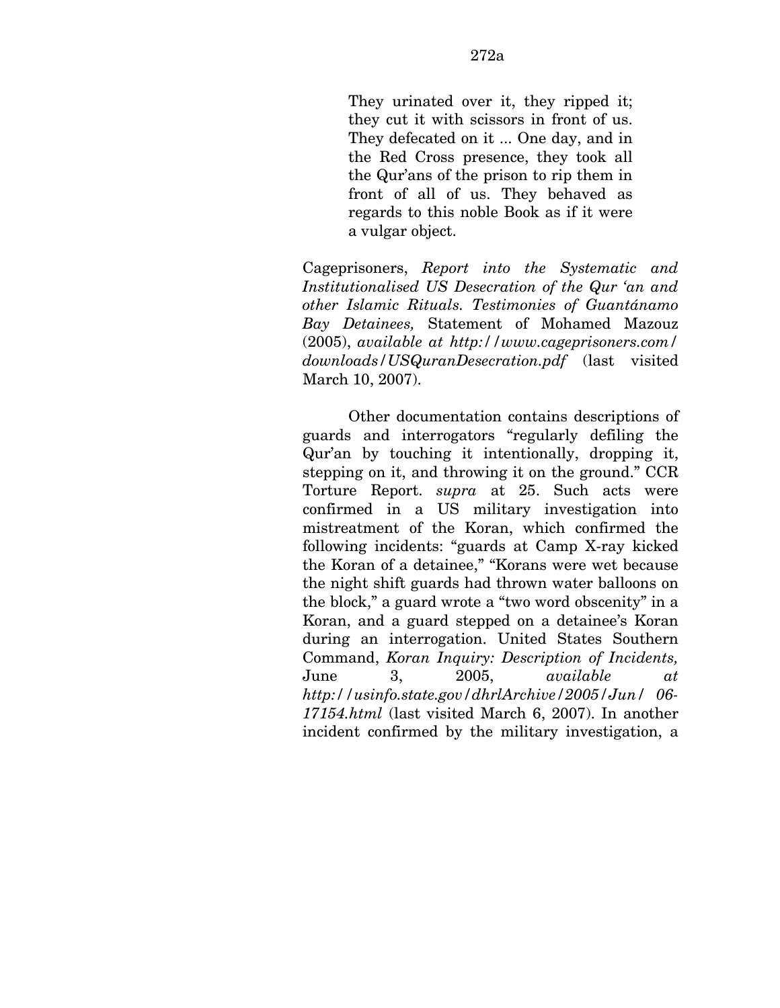They urinated over it, they ripped it; they cut it with scissors in front of us. They defecated on it ... One day, and in the Red Cross presence, they took all the Qur'ans of the prison to rip them in front of all of us. They behaved as regards to this noble Book as if it were a vulgar object.

Cageprisoners, *Report into the Systematic and Institutionalised US Desecration of the Qur 'an and other Islamic Rituals. Testimonies of Guantánamo Bay Detainees,* Statement of Mohamed Mazouz (2005), *available at http://www.cageprisoners.com/ downloads/USQuranDesecration.pdf* (last visited March 10, 2007).

Other documentation contains descriptions of guards and interrogators "regularly defiling the Qur'an by touching it intentionally, dropping it, stepping on it, and throwing it on the ground." CCR Torture Report. *supra* at 25. Such acts were confirmed in a US military investigation into mistreatment of the Koran, which confirmed the following incidents: "guards at Camp X-ray kicked the Koran of a detainee," "Korans were wet because the night shift guards had thrown water balloons on the block," a guard wrote a "two word obscenity" in a Koran, and a guard stepped on a detainee's Koran during an interrogation. United States Southern Command, *Koran Inquiry: Description of Incidents,*  June 3, 2005, *available at http://usinfo.state.gov/dhrlArchive/2005/Jun/ 06- 17154.html* (last visited March 6, 2007). In another incident confirmed by the military investigation, a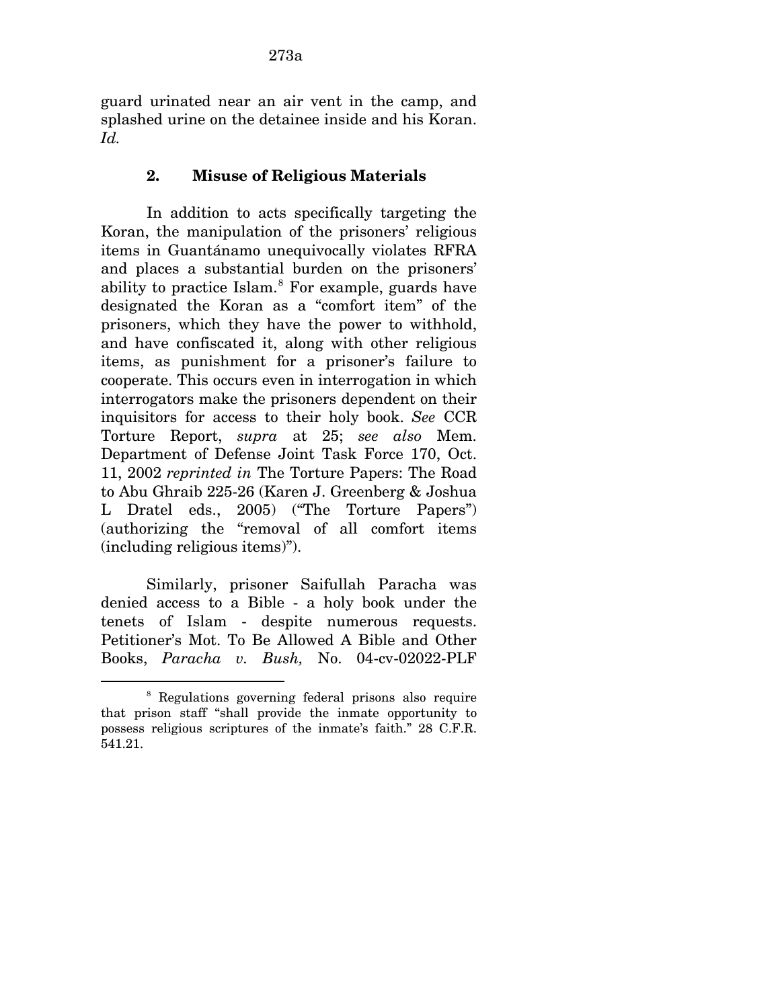guard urinated near an air vent in the camp, and splashed urine on the detainee inside and his Koran. *Id.* 

### **2. Misuse of Religious Materials**

In addition to acts specifically targeting the Koran, the manipulation of the prisoners' religious items in Guantánamo unequivocally violates RFRA and places a substantial burden on the prisoners' ability to practice Islam.<sup>[8](#page-325-0)</sup> For example, guards have designated the Koran as a "comfort item" of the prisoners, which they have the power to withhold, and have confiscated it, along with other religious items, as punishment for a prisoner's failure to cooperate. This occurs even in interrogation in which interrogators make the prisoners dependent on their inquisitors for access to their holy book. *See* CCR Torture Report, *supra* at 25; *see also* Mem. Department of Defense Joint Task Force 170, Oct. 11, 2002 *reprinted in* The Torture Papers: The Road to Abu Ghraib 225-26 (Karen J. Greenberg & Joshua L Dratel eds., 2005) ("The Torture Papers") (authorizing the "removal of all comfort items (including religious items)").

Similarly, prisoner Saifullah Paracha was denied access to a Bible - a holy book under the tenets of Islam - despite numerous requests. Petitioner's Mot. To Be Allowed A Bible and Other Books, *Paracha v. Bush,* No. 04-cv-02022-PLF

 $\overline{a}$ 

<span id="page-325-0"></span><sup>8</sup> Regulations governing federal prisons also require that prison staff "shall provide the inmate opportunity to possess religious scriptures of the inmate's faith." 28 C.F.R. 541.21.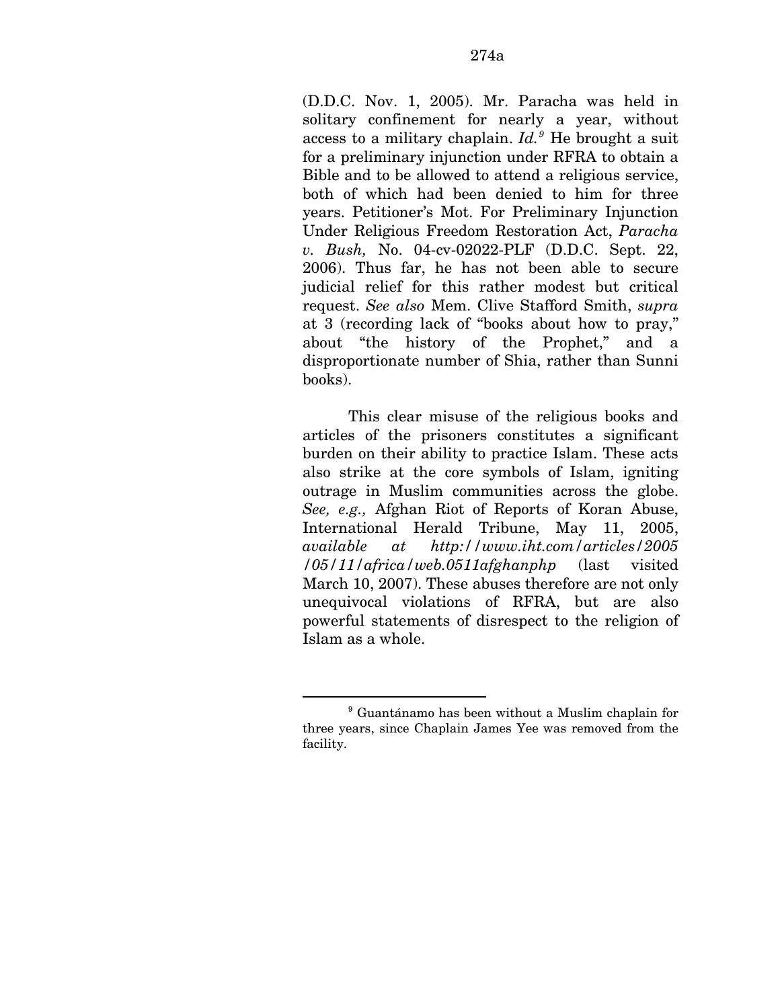(D.D.C. Nov. 1, 2005). Mr. Paracha was held in solitary confinement for nearly a year, without access to a military chaplain. *Id.[9](#page-326-0)* He brought a suit for a preliminary injunction under RFRA to obtain a Bible and to be allowed to attend a religious service, both of which had been denied to him for three years. Petitioner's Mot. For Preliminary Injunction Under Religious Freedom Restoration Act, *Paracha v. Bush,* No. 04-cv-02022-PLF (D.D.C. Sept. 22, 2006). Thus far, he has not been able to secure judicial relief for this rather modest but critical request. *See also* Mem. Clive Stafford Smith, *supra*  at 3 (recording lack of "books about how to pray," about "the history of the Prophet," and a disproportionate number of Shia, rather than Sunni books).

This clear misuse of the religious books and articles of the prisoners constitutes a significant burden on their ability to practice Islam. These acts also strike at the core symbols of Islam, igniting outrage in Muslim communities across the globe. *See, e.g.,* Afghan Riot of Reports of Koran Abuse, International Herald Tribune, May 11, 2005, *available at http://www.iht.com/articles/2005 /05/11/africa/web.0511afghanphp* (last visited March 10, 2007). These abuses therefore are not only unequivocal violations of RFRA, but are also powerful statements of disrespect to the religion of Islam as a whole.

1

<span id="page-326-0"></span><sup>9</sup> Guantánamo has been without a Muslim chaplain for three years, since Chaplain James Yee was removed from the facility.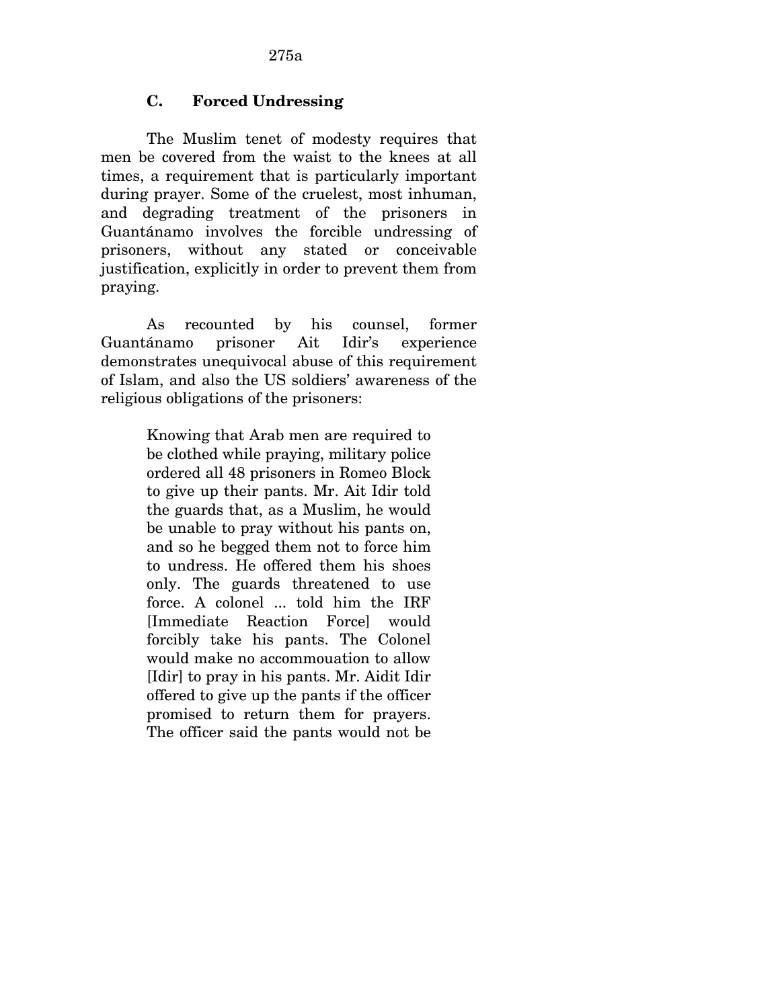## **C. Forced Undressing**

The Muslim tenet of modesty requires that men be covered from the waist to the knees at all times, a requirement that is particularly important during prayer. Some of the cruelest, most inhuman, and degrading treatment of the prisoners in Guantánamo involves the forcible undressing of prisoners, without any stated or conceivable justification, explicitly in order to prevent them from praying.

As recounted by his counsel, former Guantánamo prisoner Ait Idir's experience demonstrates unequivocal abuse of this requirement of Islam, and also the US soldiers' awareness of the religious obligations of the prisoners:

> Knowing that Arab men are required to be clothed while praying, military police ordered all 48 prisoners in Romeo Block to give up their pants. Mr. Ait Idir told the guards that, as a Muslim, he would be unable to pray without his pants on, and so he begged them not to force him to undress. He offered them his shoes only. The guards threatened to use force. A colonel ... told him the IRF [Immediate Reaction Force] would forcibly take his pants. The Colonel would make no accommouation to allow [Idir] to pray in his pants. Mr. Aidit Idir offered to give up the pants if the officer promised to return them for prayers. The officer said the pants would not be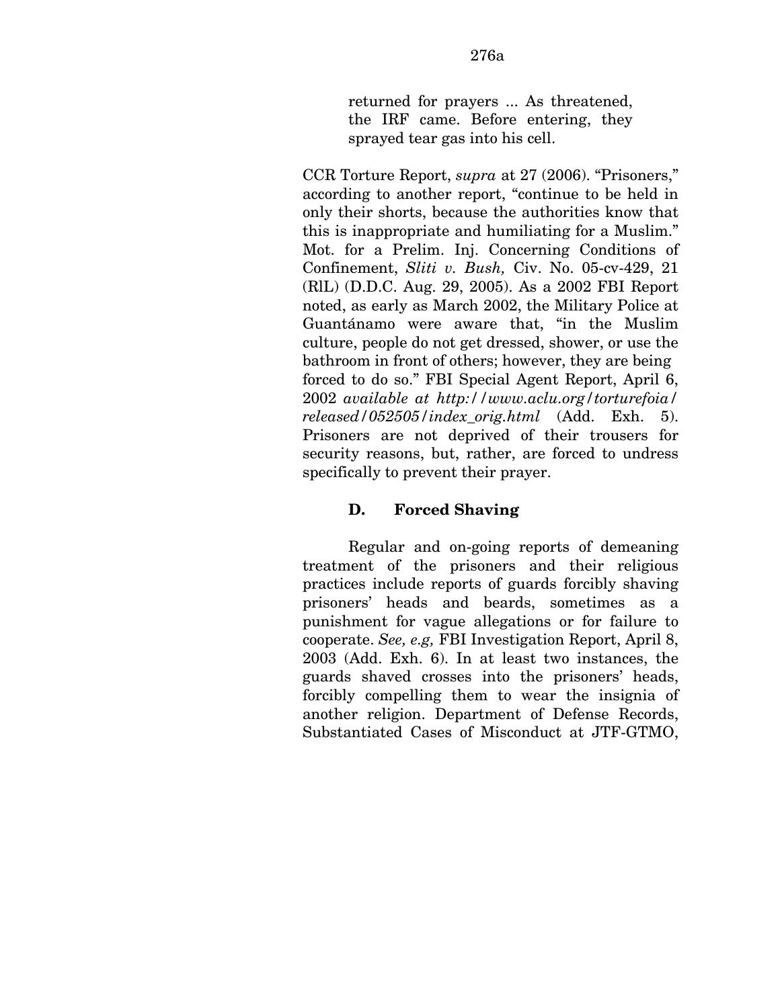CCR Torture Report, *supra* at 27 (2006). "Prisoners," according to another report, "continue to be held in only their shorts, because the authorities know that this is inappropriate and humiliating for a Muslim." Mot. for a Prelim. Inj. Concerning Conditions of Confinement, *Sliti v. Bush,* Civ. No. 05-cv-429, 21 (RlL) (D.D.C. Aug. 29, 2005). As a 2002 FBI Report noted, as early as March 2002, the Military Police at Guantánamo were aware that, "in the Muslim culture, people do not get dressed, shower, or use the bathroom in front of others; however, they are being forced to do so." FBI Special Agent Report, April 6, 2002 *available at http://www.aclu.org/torturefoia/ released/052505/index\_orig.html* (Add. Exh. 5). Prisoners are not deprived of their trousers for security reasons, but, rather, are forced to undress specifically to prevent their prayer.

# **D. Forced Shaving**

Regular and on-going reports of demeaning treatment of the prisoners and their religious practices include reports of guards forcibly shaving prisoners' heads and beards, sometimes as a punishment for vague allegations or for failure to cooperate. *See, e.g,* FBI Investigation Report, April 8, 2003 (Add. Exh. 6). In at least two instances, the guards shaved crosses into the prisoners' heads, forcibly compelling them to wear the insignia of another religion. Department of Defense Records, Substantiated Cases of Misconduct at JTF-GTMO,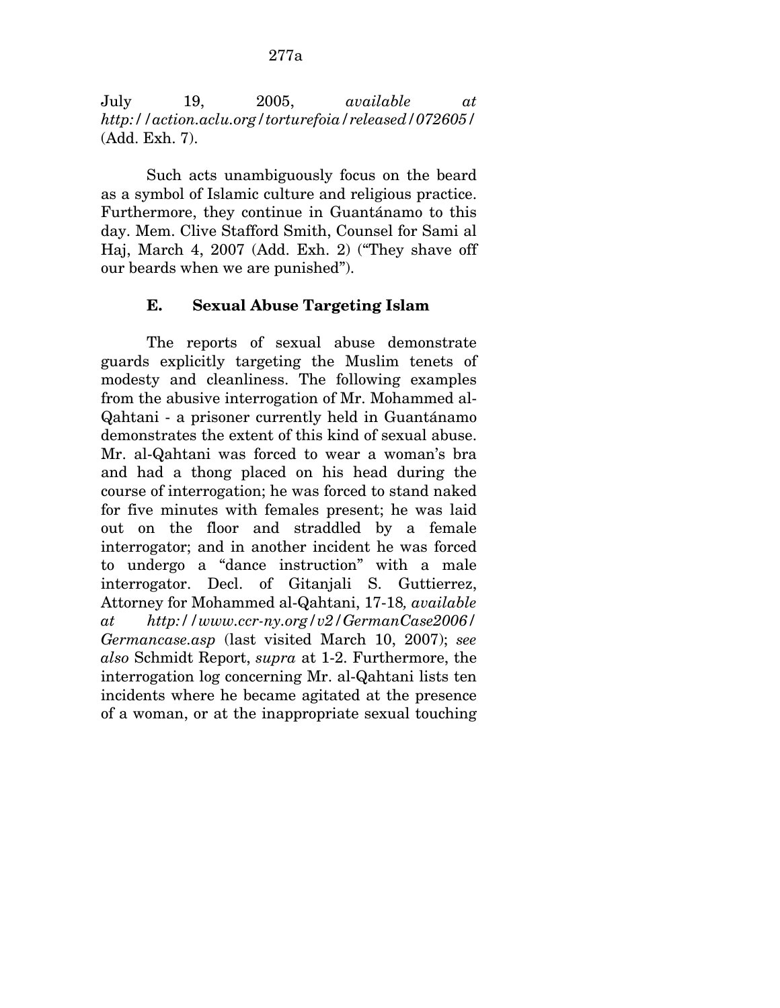July 19, 2005, *available at http://action.aclu.org/torturefoia/released/072605/*  (Add. Exh. 7).

Such acts unambiguously focus on the beard as a symbol of Islamic culture and religious practice. Furthermore, they continue in Guantánamo to this day. Mem. Clive Stafford Smith, Counsel for Sami al Haj, March 4, 2007 (Add. Exh. 2) ("They shave off our beards when we are punished").

## **E. Sexual Abuse Targeting Islam**

The reports of sexual abuse demonstrate guards explicitly targeting the Muslim tenets of modesty and cleanliness. The following examples from the abusive interrogation of Mr. Mohammed al-Qahtani - a prisoner currently held in Guantánamo demonstrates the extent of this kind of sexual abuse. Mr. al-Qahtani was forced to wear a woman's bra and had a thong placed on his head during the course of interrogation; he was forced to stand naked for five minutes with females present; he was laid out on the floor and straddled by a female interrogator; and in another incident he was forced to undergo a "dance instruction" with a male interrogator. Decl. of Gitanjali S. Guttierrez, Attorney for Mohammed al-Qahtani, 17-18*, available at http://www.ccr-ny.org/v2/GermanCase2006/ Germancase.asp* (last visited March 10, 2007); *see also* Schmidt Report, *supra* at 1-2. Furthermore, the interrogation log concerning Mr. al-Qahtani lists ten incidents where he became agitated at the presence of a woman, or at the inappropriate sexual touching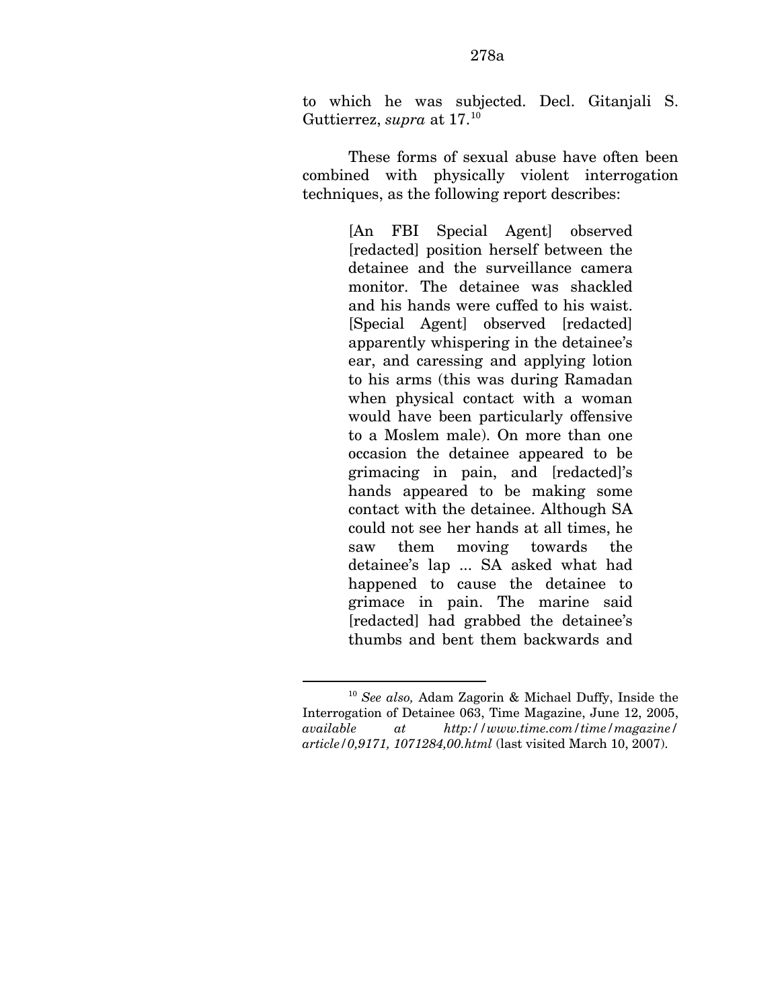to which he was subjected. Decl. Gitanjali S. Guttierrez, *supra* at 17.<sup>[10](#page-330-0)</sup>

These forms of sexual abuse have often been combined with physically violent interrogation techniques, as the following report describes:

> [An FBI Special Agent] observed [redacted] position herself between the detainee and the surveillance camera monitor. The detainee was shackled and his hands were cuffed to his waist. [Special Agent] observed [redacted] apparently whispering in the detainee's ear, and caressing and applying lotion to his arms (this was during Ramadan when physical contact with a woman would have been particularly offensive to a Moslem male). On more than one occasion the detainee appeared to be grimacing in pain, and [redacted]'s hands appeared to be making some contact with the detainee. Although SA could not see her hands at all times, he saw them moving towards the detainee's lap ... SA asked what had happened to cause the detainee to grimace in pain. The marine said [redacted] had grabbed the detainee's thumbs and bent them backwards and

1

<span id="page-330-0"></span><sup>10</sup> *See also,* Adam Zagorin & Michael Duffy, Inside the Interrogation of Detainee 063, Time Magazine, June 12, 2005, *available at http://www.time.com/time/magazine/ article/0,9171, 1071284,00.html* (last visited March 10, 2007).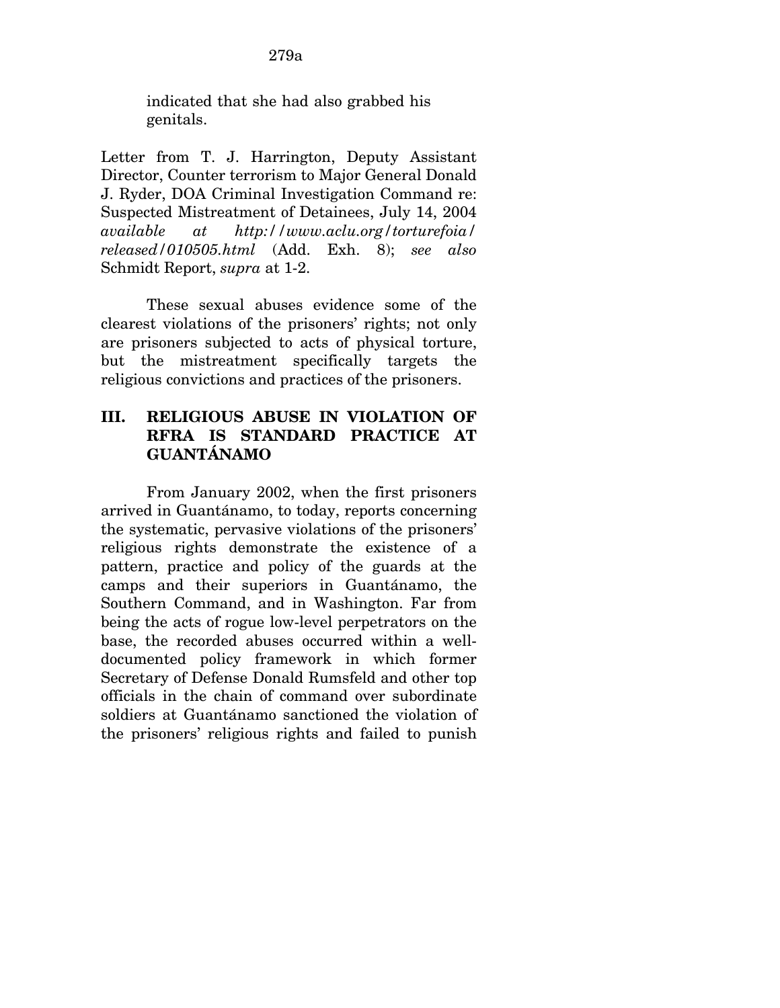indicated that she had also grabbed his genitals.

Letter from T. J. Harrington, Deputy Assistant Director, Counter terrorism to Major General Donald J. Ryder, DOA Criminal Investigation Command re: Suspected Mistreatment of Detainees, July 14, 2004 *available at http://www.aclu.org/torturefoia/ released/010505.html* (Add. Exh. 8); *see also*  Schmidt Report, *supra* at 1-2.

These sexual abuses evidence some of the clearest violations of the prisoners' rights; not only are prisoners subjected to acts of physical torture, but the mistreatment specifically targets the religious convictions and practices of the prisoners.

# **III. RELIGIOUS ABUSE IN VIOLATION OF RFRA IS STANDARD PRACTICE AT GUANTÁNAMO**

From January 2002, when the first prisoners arrived in Guantánamo, to today, reports concerning the systematic, pervasive violations of the prisoners' religious rights demonstrate the existence of a pattern, practice and policy of the guards at the camps and their superiors in Guantánamo, the Southern Command, and in Washington. Far from being the acts of rogue low-level perpetrators on the base, the recorded abuses occurred within a welldocumented policy framework in which former Secretary of Defense Donald Rumsfeld and other top officials in the chain of command over subordinate soldiers at Guantánamo sanctioned the violation of the prisoners' religious rights and failed to punish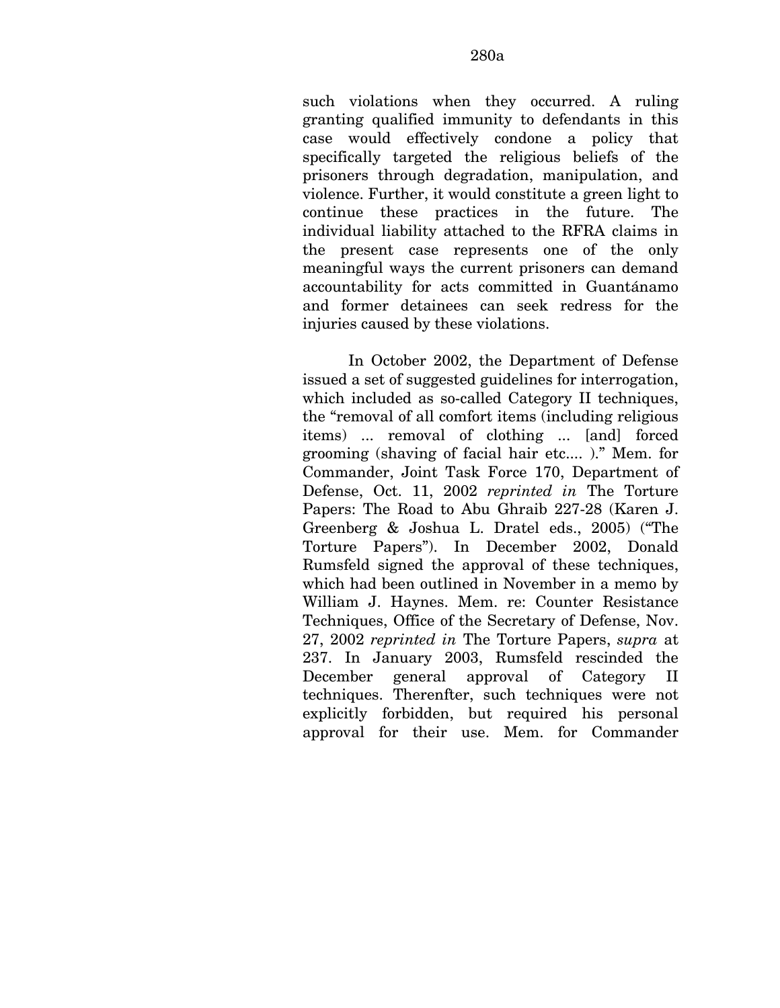such violations when they occurred. A ruling granting qualified immunity to defendants in this case would effectively condone a policy that specifically targeted the religious beliefs of the prisoners through degradation, manipulation, and violence. Further, it would constitute a green light to continue these practices in the future. The individual liability attached to the RFRA claims in the present case represents one of the only meaningful ways the current prisoners can demand accountability for acts committed in Guantánamo and former detainees can seek redress for the injuries caused by these violations.

In October 2002, the Department of Defense issued a set of suggested guidelines for interrogation, which included as so-called Category II techniques, the "removal of all comfort items (including religious items) ... removal of clothing ... [and] forced grooming (shaving of facial hair etc.... )." Mem. for Commander, Joint Task Force 170, Department of Defense, Oct. 11, 2002 *reprinted in* The Torture Papers: The Road to Abu Ghraib 227-28 (Karen J. Greenberg & Joshua L. Dratel eds., 2005) ("The Torture Papers"). In December 2002, Donald Rumsfeld signed the approval of these techniques, which had been outlined in November in a memo by William J. Haynes. Mem. re: Counter Resistance Techniques, Office of the Secretary of Defense, Nov. 27, 2002 *reprinted in* The Torture Papers, *supra* at 237. In January 2003, Rumsfeld rescinded the December general approval of Category II techniques. Therenfter, such techniques were not explicitly forbidden, but required his personal approval for their use. Mem. for Commander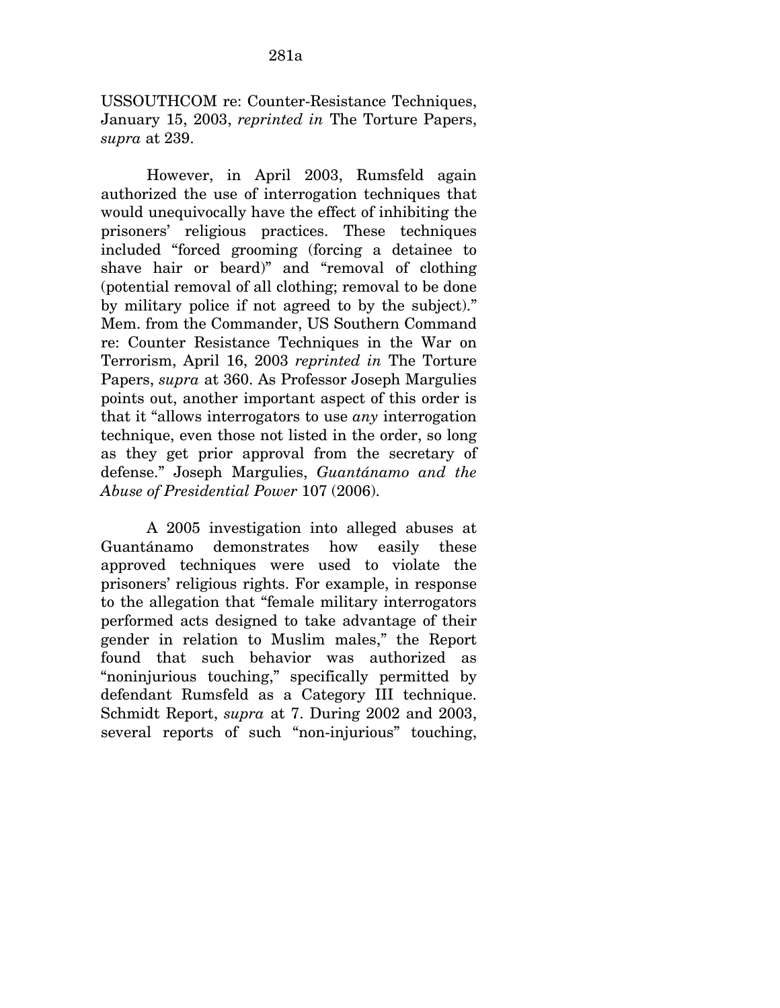USSOUTHCOM re: Counter-Resistance Techniques, January 15, 2003, *reprinted in* The Torture Papers, *supra* at 239.

However, in April 2003, Rumsfeld again authorized the use of interrogation techniques that would unequivocally have the effect of inhibiting the prisoners' religious practices. These techniques included "forced grooming (forcing a detainee to shave hair or beard)" and "removal of clothing (potential removal of all clothing; removal to be done by military police if not agreed to by the subject)." Mem. from the Commander, US Southern Command re: Counter Resistance Techniques in the War on Terrorism, April 16, 2003 *reprinted in* The Torture Papers, *supra* at 360. As Professor Joseph Margulies points out, another important aspect of this order is that it "allows interrogators to use *any* interrogation technique, even those not listed in the order, so long as they get prior approval from the secretary of defense." Joseph Margulies, *Guantánamo and the Abuse of Presidential Power* 107 (2006).

A 2005 investigation into alleged abuses at Guantánamo demonstrates how easily these approved techniques were used to violate the prisoners' religious rights. For example, in response to the allegation that "female military interrogators performed acts designed to take advantage of their gender in relation to Muslim males," the Report found that such behavior was authorized as "noninjurious touching," specifically permitted by defendant Rumsfeld as a Category III technique. Schmidt Report, *supra* at 7. During 2002 and 2003, several reports of such "non-injurious" touching,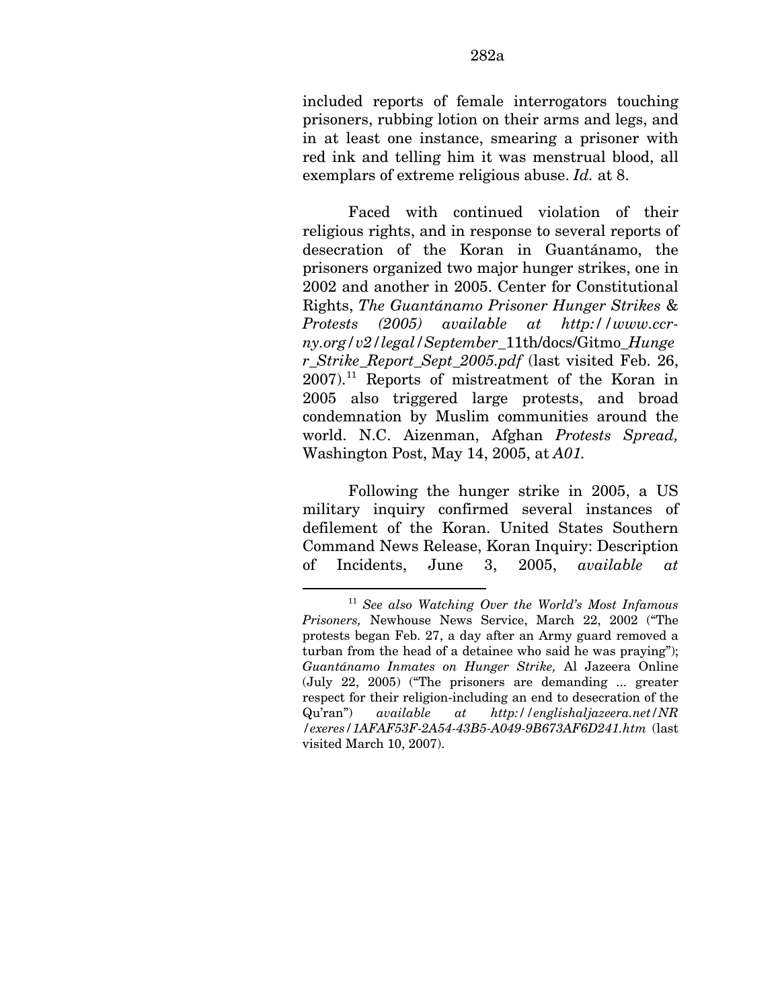included reports of female interrogators touching prisoners, rubbing lotion on their arms and legs, and in at least one instance, smearing a prisoner with red ink and telling him it was menstrual blood, all exemplars of extreme religious abuse. *Id.* at 8.

Faced with continued violation of their religious rights, and in response to several reports of desecration of the Koran in Guantánamo, the prisoners organized two major hunger strikes, one in 2002 and another in 2005. Center for Constitutional Rights, *The Guantánamo Prisoner Hunger Strikes* & *Protests (2005) available at http://www.ccrny.org/v2/legal/September*\_11th/docs/Gitmo\_*Hunge r\_Strike\_Report\_Sept\_2005.pdf* (last visited Feb. 26, 2007).[11](#page-334-0) Reports of mistreatment of the Koran in 2005 also triggered large protests, and broad condemnation by Muslim communities around the world. N.C. Aizenman, Afghan *Protests Spread,*  Washington Post, May 14, 2005, at *A01.* 

Following the hunger strike in 2005, a US military inquiry confirmed several instances of defilement of the Koran. United States Southern Command News Release, Koran Inquiry: Description of Incidents, June 3, 2005, *available at* 

<u>.</u>

<span id="page-334-0"></span><sup>11</sup> *See also Watching Over the World's Most Infamous Prisoners,* Newhouse News Service, March 22, 2002 ("The protests began Feb. 27, a day after an Army guard removed a turban from the head of a detainee who said he was praying"); *Guantánamo Inmates on Hunger Strike,* Al Jazeera Online (July 22, 2005) ("The prisoners are demanding ... greater respect for their religion-including an end to desecration of the Qu'ran") *available at http://englishaljazeera.net/NR /exeres/1AFAF53F-2A54-43B5-A049-9B673AF6D241.htm* (last visited March 10, 2007).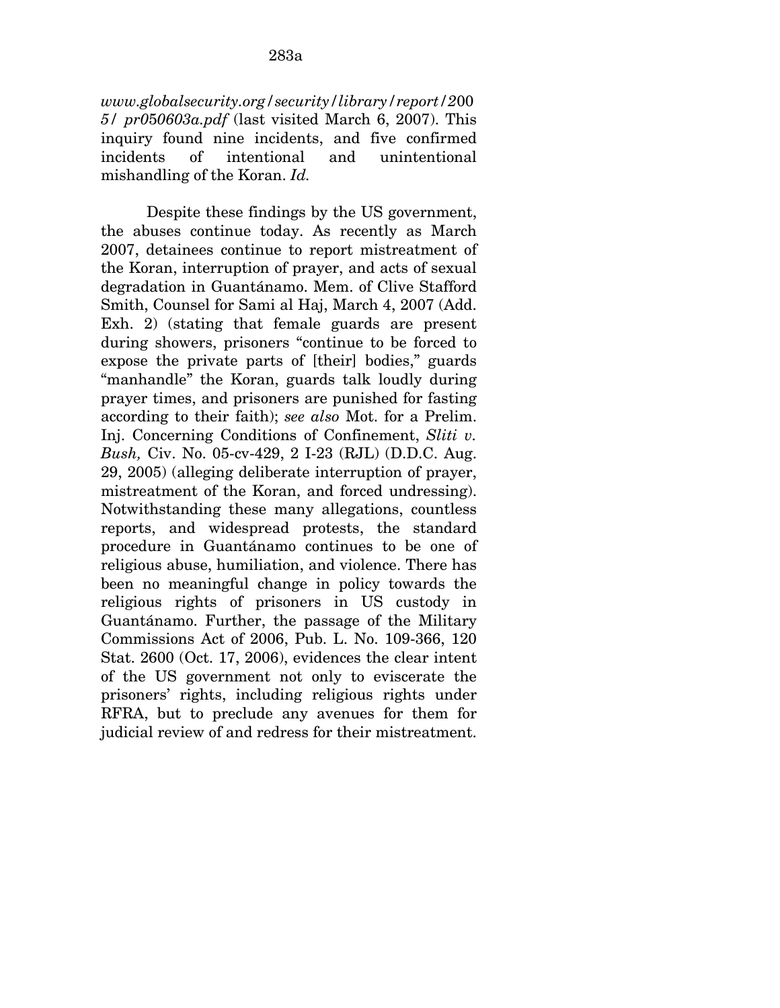*www.globalsecurity.org/security/library/report/2*00 *5/ pr0*5*0603a.pdf* (last visited March 6, 2007). This inquiry found nine incidents, and five confirmed incidents of intentional and unintentional mishandling of the Koran. *Id.* 

Despite these findings by the US government, the abuses continue today. As recently as March 2007, detainees continue to report mistreatment of the Koran, interruption of prayer, and acts of sexual degradation in Guantánamo. Mem. of Clive Stafford Smith, Counsel for Sami al Haj, March 4, 2007 (Add. Exh. 2) (stating that female guards are present during showers, prisoners "continue to be forced to expose the private parts of [their] bodies," guards "manhandle" the Koran, guards talk loudly during prayer times, and prisoners are punished for fasting according to their faith); *see also* Mot. for a Prelim. Inj. Concerning Conditions of Confinement, *Sliti v. Bush,* Civ. No. 05-cv-429, 2 I-23 (RJL) (D.D.C. Aug. 29, 2005) (alleging deliberate interruption of prayer, mistreatment of the Koran, and forced undressing). Notwithstanding these many allegations, countless reports, and widespread protests, the standard procedure in Guantánamo continues to be one of religious abuse, humiliation, and violence. There has been no meaningful change in policy towards the religious rights of prisoners in US custody in Guantánamo. Further, the passage of the Military Commissions Act of 2006, Pub. L. No. 109-366, 120 Stat. 2600 (Oct. 17, 2006), evidences the clear intent of the US government not only to eviscerate the prisoners' rights, including religious rights under RFRA, but to preclude any avenues for them for judicial review of and redress for their mistreatment.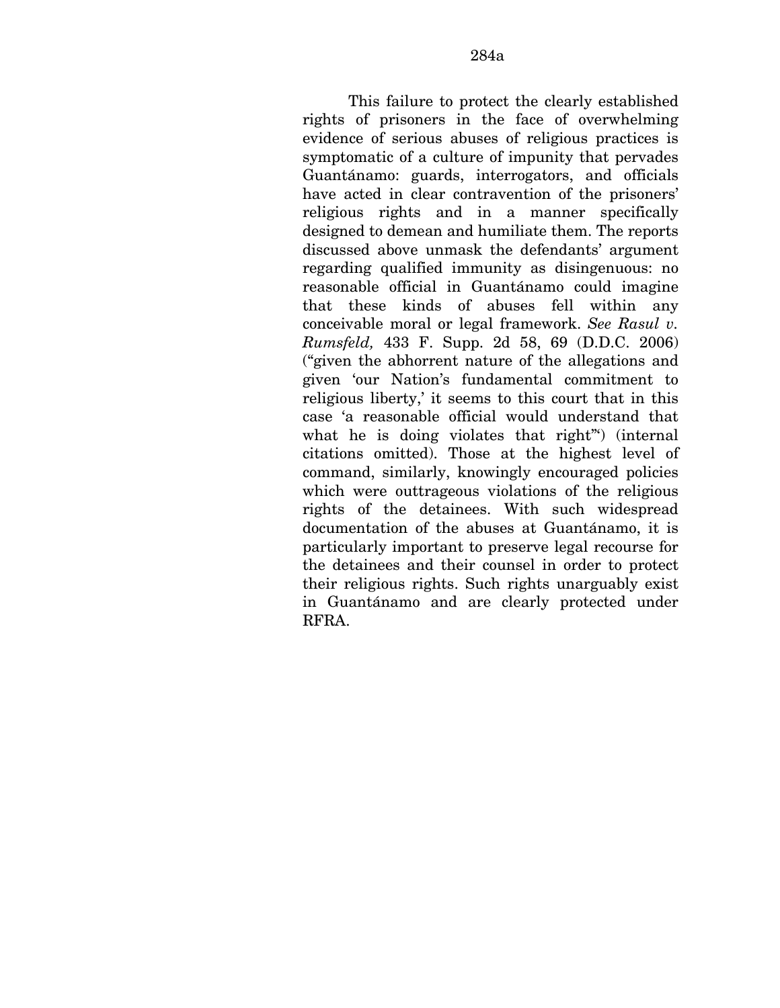This failure to protect the clearly established rights of prisoners in the face of overwhelming evidence of serious abuses of religious practices is symptomatic of a culture of impunity that pervades Guantánamo: guards, interrogators, and officials have acted in clear contravention of the prisoners' religious rights and in a manner specifically designed to demean and humiliate them. The reports discussed above unmask the defendants' argument regarding qualified immunity as disingenuous: no reasonable official in Guantánamo could imagine that these kinds of abuses fell within any conceivable moral or legal framework. *See Rasul v. Rumsfeld,* 433 F. Supp. 2d 58, 69 (D.D.C. 2006) ("given the abhorrent nature of the allegations and given 'our Nation's fundamental commitment to religious liberty,' it seems to this court that in this case 'a reasonable official would understand that what he is doing violates that right"') (internal citations omitted). Those at the highest level of command, similarly, knowingly encouraged policies which were outtrageous violations of the religious rights of the detainees. With such widespread documentation of the abuses at Guantánamo, it is particularly important to preserve legal recourse for the detainees and their counsel in order to protect their religious rights. Such rights unarguably exist in Guantánamo and are clearly protected under RFRA.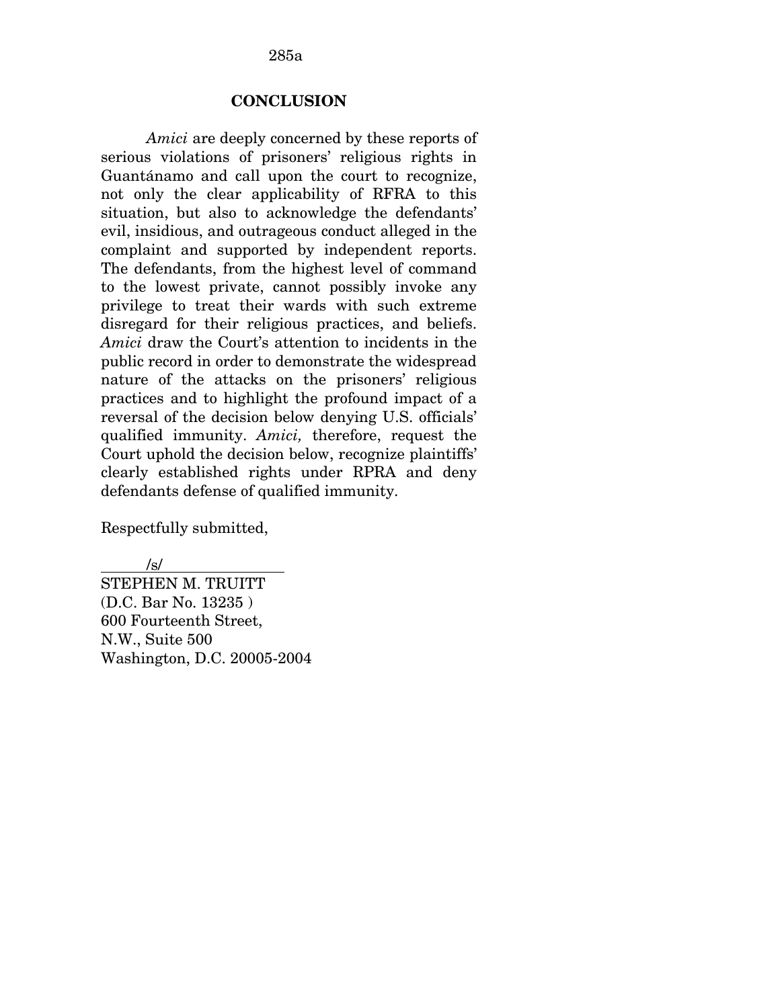285a

### **CONCLUSION**

*Amici* are deeply concerned by these reports of serious violations of prisoners' religious rights in Guantánamo and call upon the court to recognize, not only the clear applicability of RFRA to this situation, but also to acknowledge the defendants' evil, insidious, and outrageous conduct alleged in the complaint and supported by independent reports. The defendants, from the highest level of command to the lowest private, cannot possibly invoke any privilege to treat their wards with such extreme disregard for their religious practices, and beliefs. *Amici* draw the Court's attention to incidents in the public record in order to demonstrate the widespread nature of the attacks on the prisoners' religious practices and to highlight the profound impact of a reversal of the decision below denying U.S. officials' qualified immunity. *Amici,* therefore, request the Court uphold the decision below, recognize plaintiffs' clearly established rights under RPRA and deny defendants defense of qualified immunity.

Respectfully submitted,

 /s/ STEPHEN M. TRUITT (D.C. Bar No. 13235 ) 600 Fourteenth Street, N.W., Suite 500 Washington, D.C. 20005-2004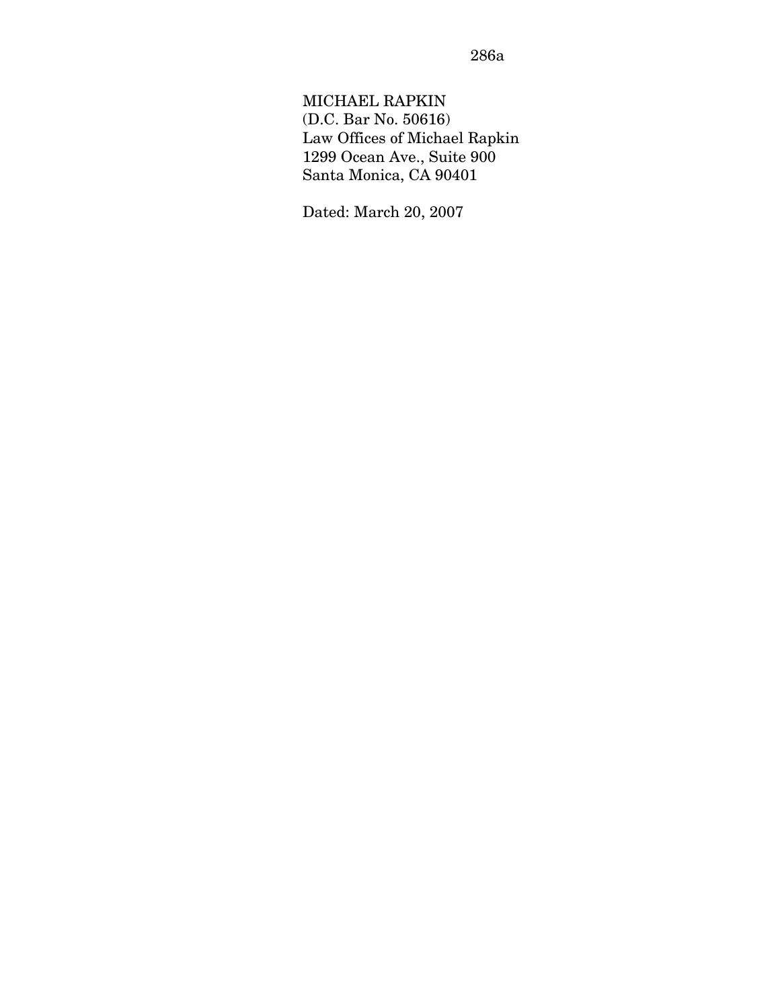MICHAEL RAPKIN (D.C. Bar No. 50616) Law Offices of Michael Rapkin 1299 Ocean Ave., Suite 900 Santa Monica, CA 90401

Dated: March 20, 2007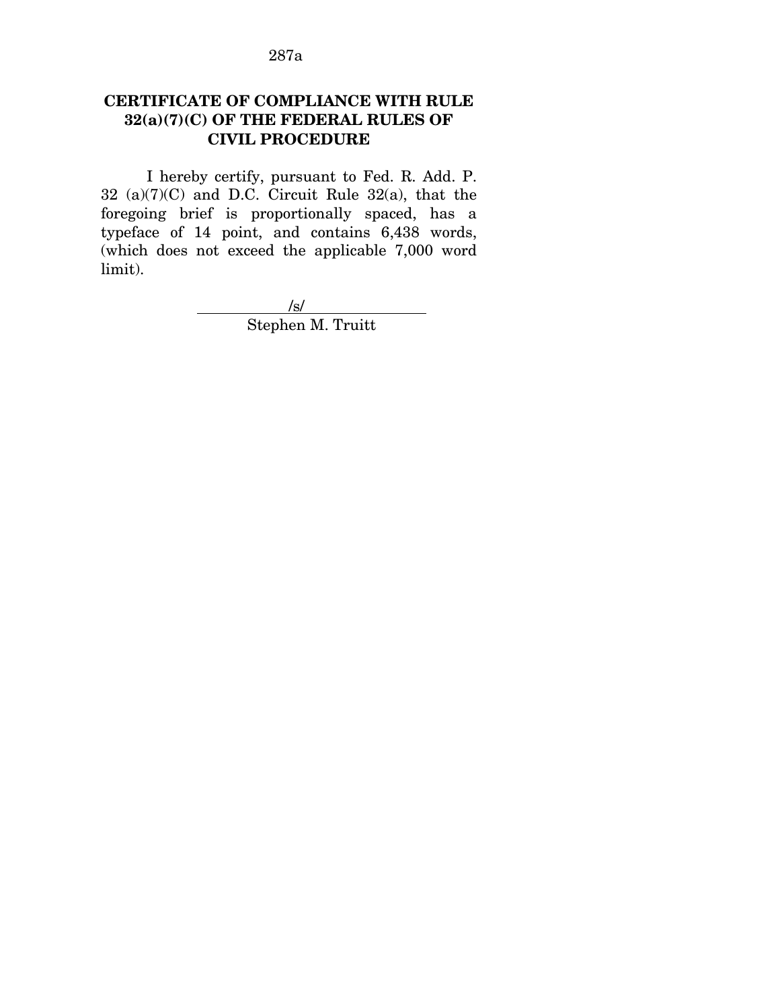## **CERTIFICATE OF COMPLIANCE WITH RULE 32(a)(7)(C) OF THE FEDERAL RULES OF CIVIL PROCEDURE**

I hereby certify, pursuant to Fed. R. Add. P. 32 (a)(7)(C) and D.C. Circuit Rule 32(a), that the foregoing brief is proportionally spaced, has a typeface of 14 point, and contains 6,438 words, (which does not exceed the applicable 7,000 word limit).

> $\frac{1}{s}$ Stephen M. Truitt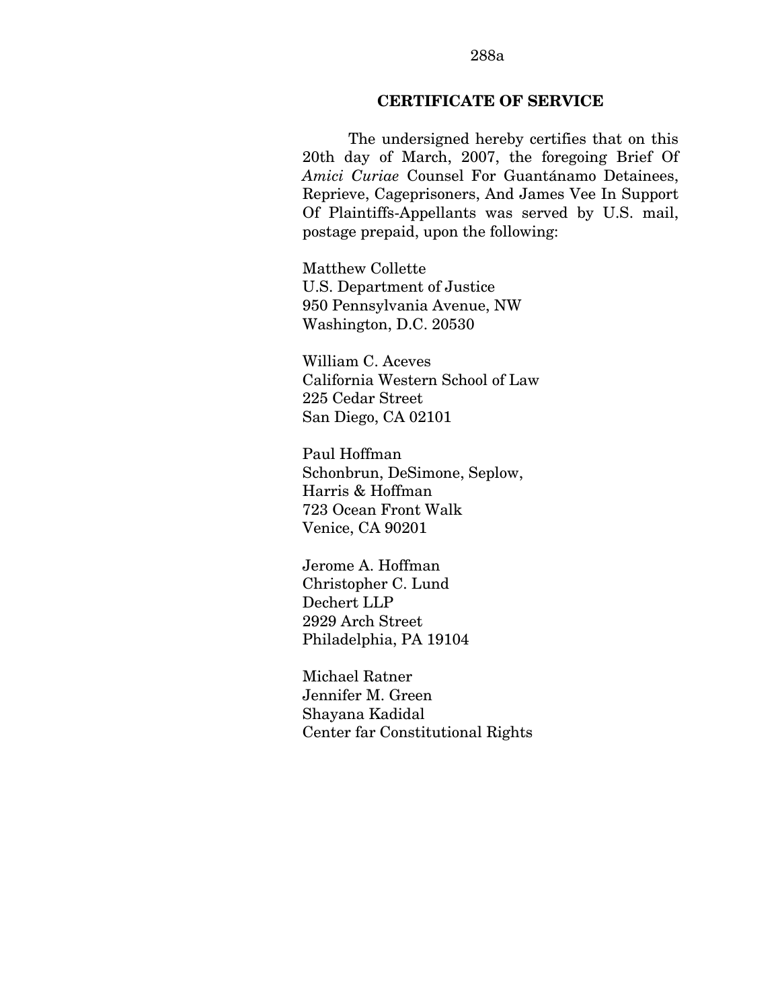### **CERTIFICATE OF SERVICE**

The undersigned hereby certifies that on this 20th day of March, 2007, the foregoing Brief Of *Amici Curiae* Counsel For Guantánamo Detainees, Reprieve, Cageprisoners, And James Vee In Support Of Plaintiffs-Appellants was served by U.S. mail, postage prepaid, upon the following:

Matthew Collette U.S. Department of Justice 950 Pennsylvania Avenue, NW Washington, D.C. 20530

William C. Aceves California Western School of Law 225 Cedar Street San Diego, CA 02101

Paul Hoffman Schonbrun, DeSimone, Seplow, Harris & Hoffman 723 Ocean Front Walk Venice, CA 90201

Jerome A. Hoffman Christopher C. Lund Dechert LLP 2929 Arch Street Philadelphia, PA 19104

Michael Ratner Jennifer M. Green Shayana Kadidal Center far Constitutional Rights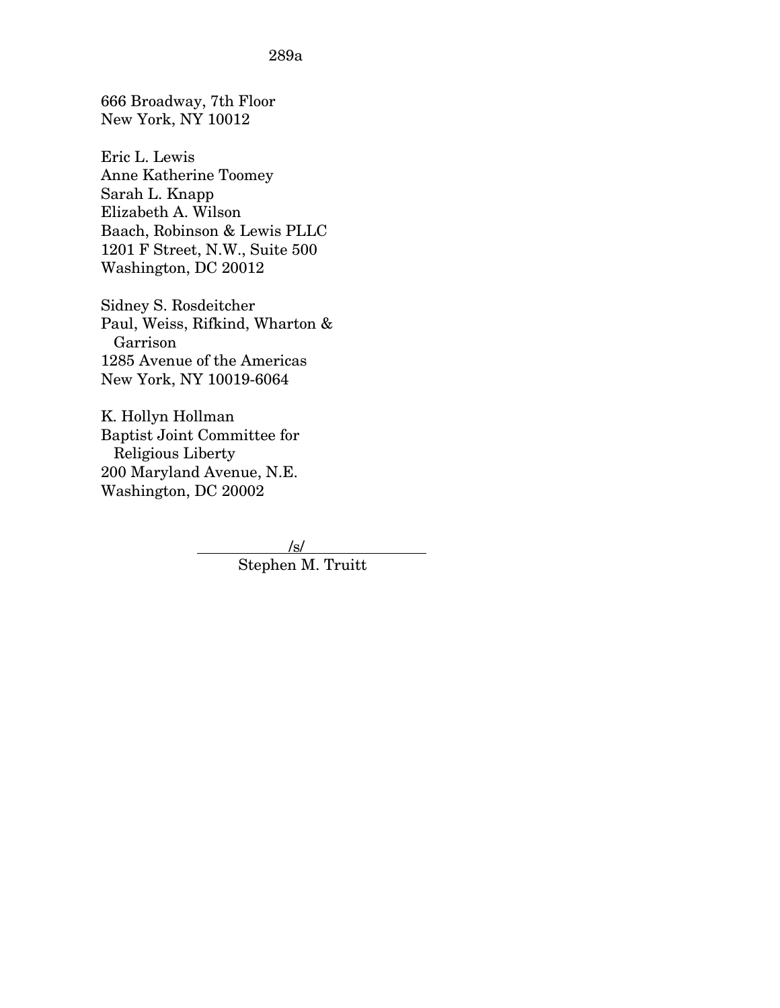666 Broadway, 7th Floor New York, NY 10012

Eric L. Lewis Anne Katherine Toomey Sarah L. Knapp Elizabeth A. Wilson Baach, Robinson & Lewis PLLC 1201 F Street, N.W., Suite 500 Washington, DC 20012

Sidney S. Rosdeitcher Paul, Weiss, Rifkind, Wharton & Garrison 1285 Avenue of the Americas New York, NY 10019-6064

K. Hollyn Hollman Baptist Joint Committee for Religious Liberty 200 Maryland Avenue, N.E. Washington, DC 20002

> /s/ Stephen M. Truitt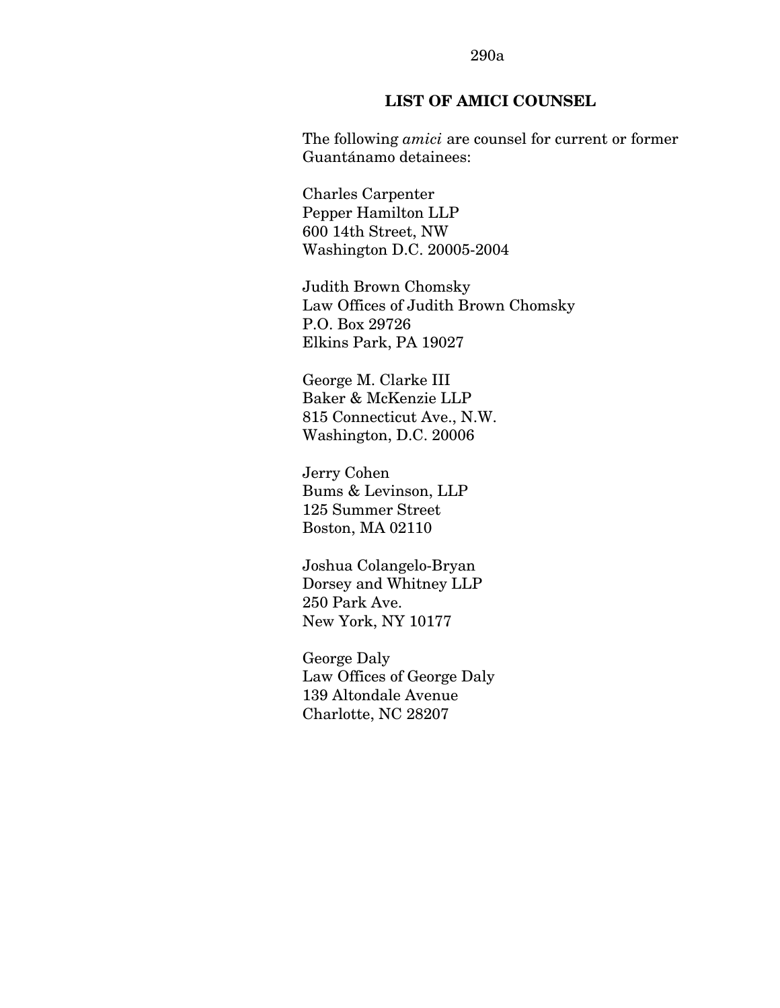#### 290a

### **LIST OF AMICI COUNSEL**

The following *amici* are counsel for current or former Guantánamo detainees:

Charles Carpenter Pepper Hamilton LLP 600 14th Street, NW Washington D.C. 20005-2004

Judith Brown Chomsky Law Offices of Judith Brown Chomsky P.O. Box 29726 Elkins Park, PA 19027

George M. Clarke III Baker & McKenzie LLP 815 Connecticut Ave., N.W. Washington, D.C. 20006

Jerry Cohen Bums & Levinson, LLP 125 Summer Street Boston, MA 02110

Joshua Colangelo-Bryan Dorsey and Whitney LLP 250 Park Ave. New York, NY 10177

George Daly Law Offices of George Daly 139 Altondale Avenue Charlotte, NC 28207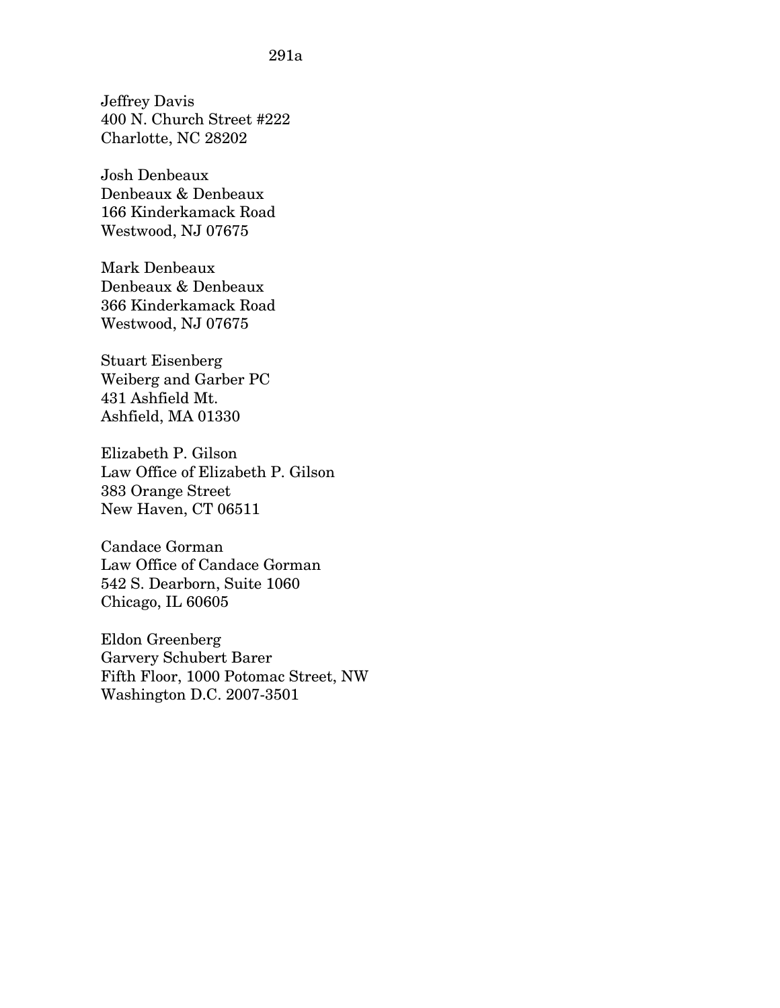Jeffrey Davis 400 N. Church Street #222 Charlotte, NC 28202

Josh Denbeaux Denbeaux & Denbeaux 166 Kinderkamack Road Westwood, NJ 07675

Mark Denbeaux Denbeaux & Denbeaux 366 Kinderkamack Road Westwood, NJ 07675

Stuart Eisenberg Weiberg and Garber PC 431 Ashfield Mt. Ashfield, MA 01330

Elizabeth P. Gilson Law Office of Elizabeth P. Gilson 383 Orange Street New Haven, CT 06511

Candace Gorman Law Office of Candace Gorman 542 S. Dearborn, Suite 1060 Chicago, IL 60605

Eldon Greenberg Garvery Schubert Barer Fifth Floor, 1000 Potomac Street, NW Washington D.C. 2007-3501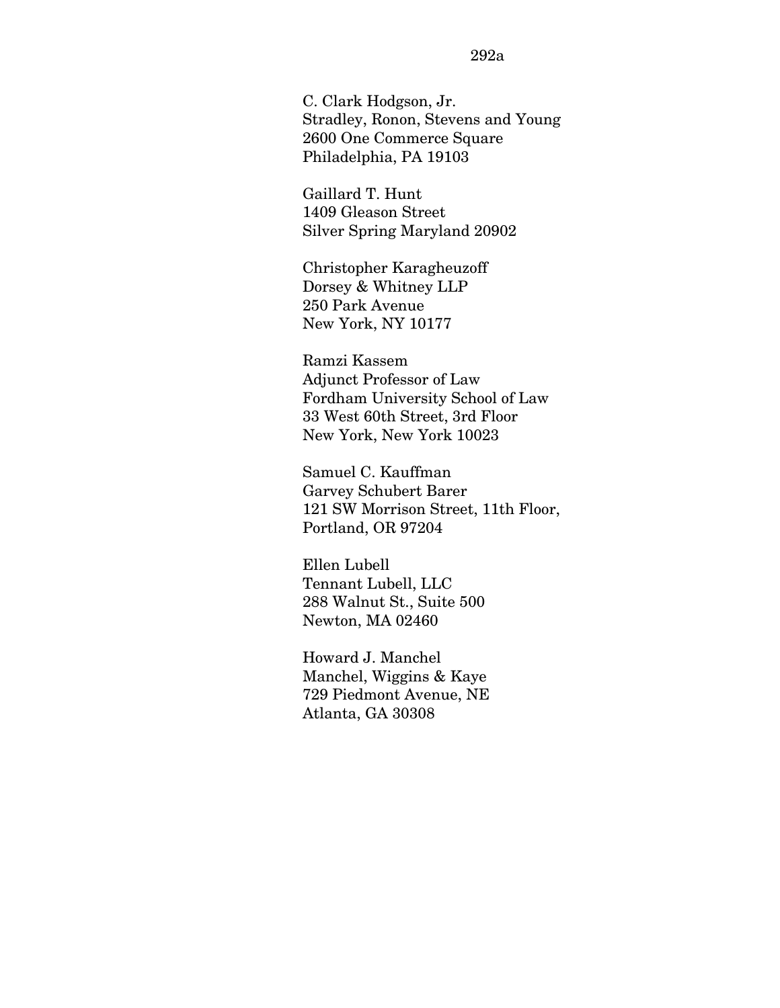C. Clark Hodgson, Jr. Stradley, Ronon, Stevens and Young 2600 One Commerce Square Philadelphia, PA 19103

Gaillard T. Hunt 1409 Gleason Street Silver Spring Maryland 20902

Christopher Karagheuzoff Dorsey & Whitney LLP 250 Park Avenue New York, NY 10177

Ramzi Kassem Adjunct Professor of Law Fordham University School of Law 33 West 60th Street, 3rd Floor New York, New York 10023

Samuel C. Kauffman Garvey Schubert Barer 121 SW Morrison Street, 11th Floor, Portland, OR 97204

Ellen Lubell Tennant Lubell, LLC 288 Walnut St., Suite 500 Newton, MA 02460

Howard J. Manchel Manchel, Wiggins & Kaye 729 Piedmont Avenue, NE Atlanta, GA 30308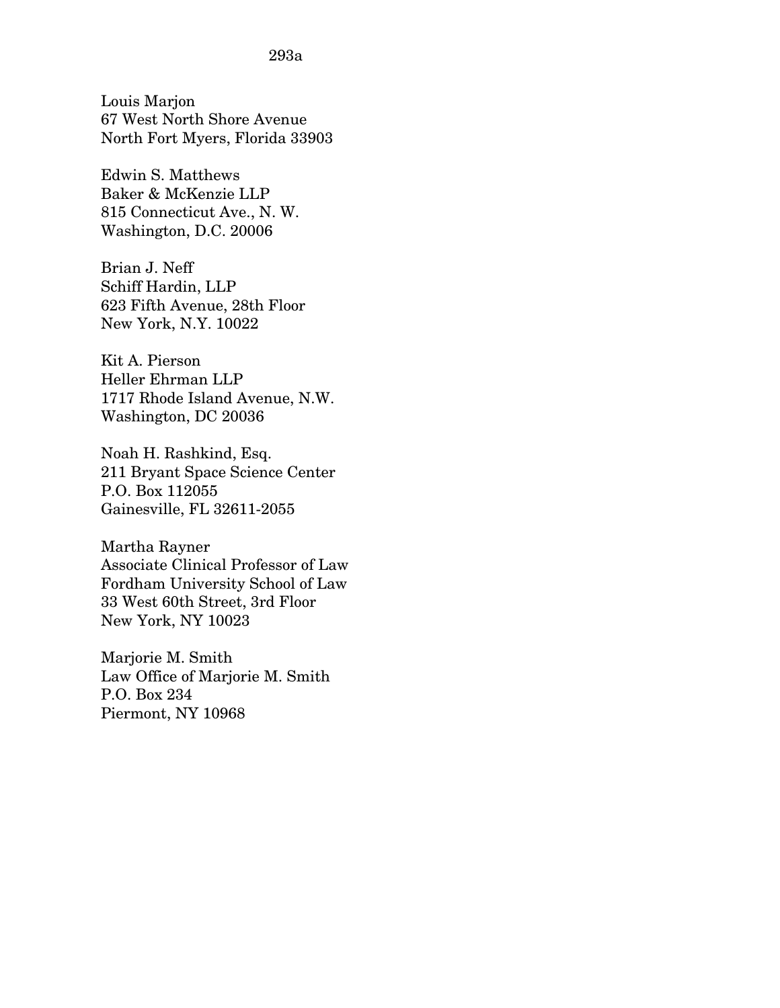Louis Marjon 67 West North Shore Avenue North Fort Myers, Florida 33903

Edwin S. Matthews Baker & McKenzie LLP 815 Connecticut Ave., N. W. Washington, D.C. 20006

Brian J. Neff Schiff Hardin, LLP 623 Fifth Avenue, 28th Floor New York, N.Y. 10022

Kit A. Pierson Heller Ehrman LLP 1717 Rhode Island Avenue, N.W. Washington, DC 20036

Noah H. Rashkind, Esq. 211 Bryant Space Science Center P.O. Box 112055 Gainesville, FL 32611-2055

Martha Rayner Associate Clinical Professor of Law Fordham University School of Law 33 West 60th Street, 3rd Floor New York, NY 10023

Marjorie M. Smith Law Office of Marjorie M. Smith P.O. Box 234 Piermont, NY 10968